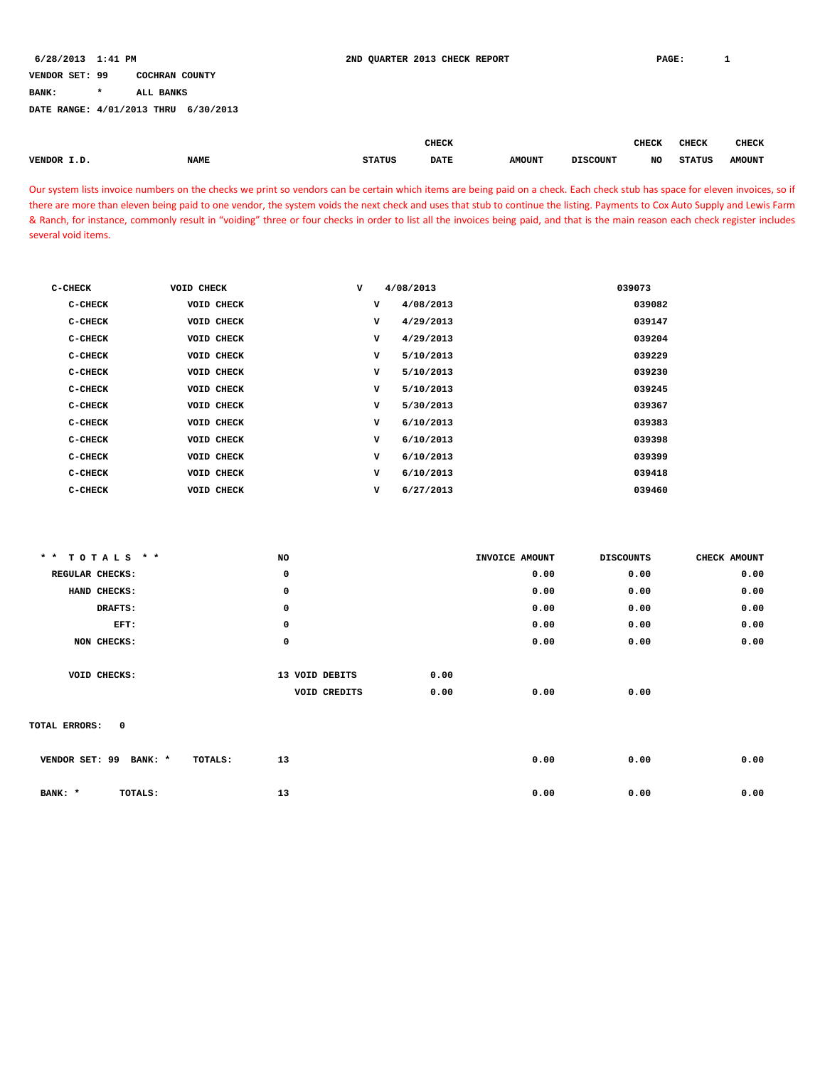**BANK: \* ALL BANKS**

**DATE RANGE: 4/01/2013 THRU 6/30/2013**

|               |             |               |             |                         |                          |           |               | <b>CHECK</b>             |
|---------------|-------------|---------------|-------------|-------------------------|--------------------------|-----------|---------------|--------------------------|
| <b>VENDOR</b> | <b>NAME</b> | <b>STATUS</b> | <b>DATE</b> | <b>AMOUNT</b><br>$   -$ | <b>DISCOUNT</b><br>_____ | NC<br>--- | <b>STATUS</b> | <b>AMOUNT</b><br>$    -$ |

Our system lists invoice numbers on the checks we print so vendors can be certain which items are being paid on a check. Each check stub has space for eleven invoices, so if there are more than eleven being paid to one vendor, the system voids the next check and uses that stub to continue the listing. Payments to Cox Auto Supply and Lewis Farm & Ranch, for instance, commonly result in "voiding" three or four checks in order to list all the invoices being paid, and that is the main reason each check register includes several void items.

| C-CHECK | <b>VOID CHECK</b> | v |   | 4/08/2013 | 039073 |
|---------|-------------------|---|---|-----------|--------|
| C-CHECK | <b>VOID CHECK</b> |   | v | 4/08/2013 | 039082 |
| C-CHECK | <b>VOID CHECK</b> |   | v | 4/29/2013 | 039147 |
| C-CHECK | VOID CHECK        |   | v | 4/29/2013 | 039204 |
| C-CHECK | <b>VOID CHECK</b> |   | v | 5/10/2013 | 039229 |
| C-CHECK | <b>VOID CHECK</b> |   | v | 5/10/2013 | 039230 |
| C-CHECK | <b>VOID CHECK</b> |   | v | 5/10/2013 | 039245 |
| C-CHECK | VOID CHECK        |   | v | 5/30/2013 | 039367 |
| C-CHECK | <b>VOID CHECK</b> |   | v | 6/10/2013 | 039383 |
| C-CHECK | <b>VOID CHECK</b> |   | v | 6/10/2013 | 039398 |
| C-CHECK | <b>VOID CHECK</b> |   | v | 6/10/2013 | 039399 |
| C-CHECK | <b>VOID CHECK</b> |   | v | 6/10/2013 | 039418 |
| C-CHECK | <b>VOID CHECK</b> |   | v | 6/27/2013 | 039460 |

| ** TOTALS **                  | NO             | INVOICE AMOUNT | <b>DISCOUNTS</b> | CHECK AMOUNT |
|-------------------------------|----------------|----------------|------------------|--------------|
| REGULAR CHECKS:               | 0              | 0.00           | 0.00             | 0.00         |
| HAND CHECKS:                  | 0              | 0.00           | 0.00             | 0.00         |
| DRAFTS:                       | 0              | 0.00           | 0.00             | 0.00         |
| EFT:                          | 0              | 0.00           | 0.00             | 0.00         |
| NON CHECKS:                   | $\mathbf 0$    | 0.00           | 0.00             | 0.00         |
|                               |                |                |                  |              |
| VOID CHECKS:                  | 13 VOID DEBITS | 0.00           |                  |              |
|                               | VOID CREDITS   | 0.00<br>0.00   | 0.00             |              |
|                               |                |                |                  |              |
| $\mathbf{o}$<br>TOTAL ERRORS: |                |                |                  |              |
|                               |                |                |                  |              |
| VENDOR SET: 99<br>BANK: *     | 13<br>TOTALS:  | 0.00           | 0.00             | 0.00         |
|                               |                |                |                  |              |
| BANK: *<br>TOTALS:            | 13             | 0.00           | 0.00             | 0.00         |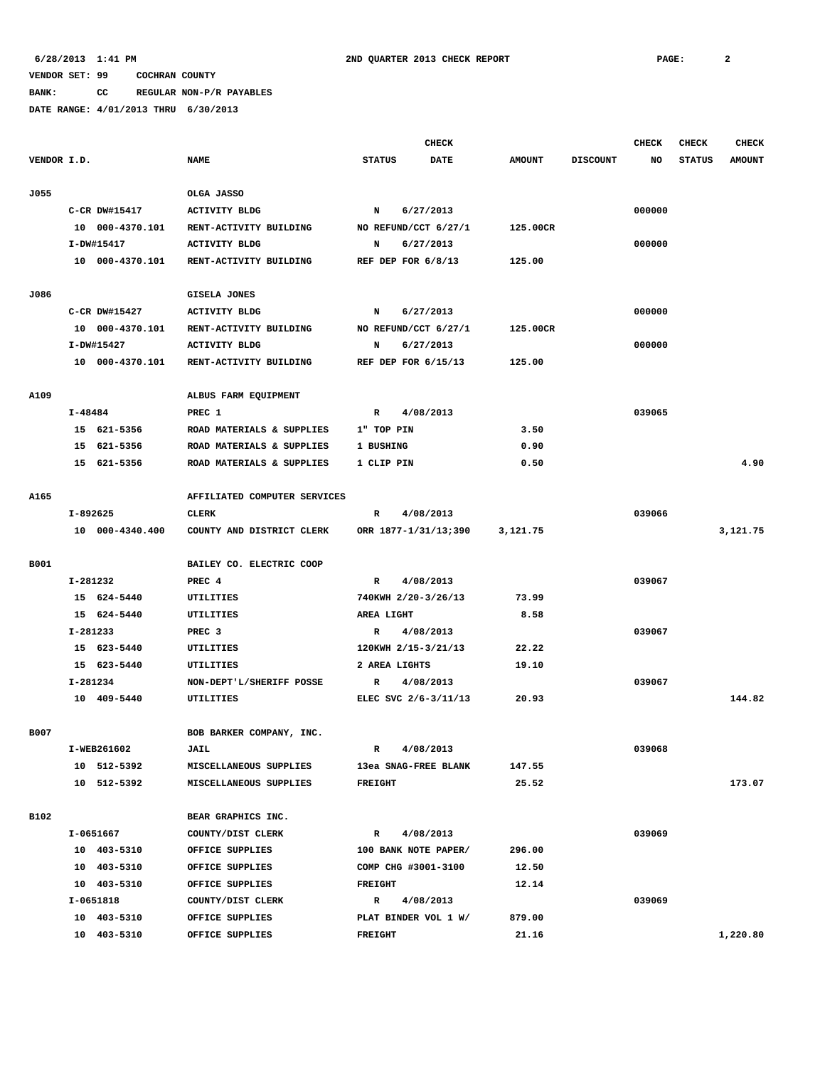# **BANK: CC REGULAR NON-P/R PAYABLES**

|             |         |                         |                              |                      | <b>CHECK</b> |               |                 | <b>CHECK</b> | <b>CHECK</b>  | <b>CHECK</b>  |
|-------------|---------|-------------------------|------------------------------|----------------------|--------------|---------------|-----------------|--------------|---------------|---------------|
| VENDOR I.D. |         |                         | <b>NAME</b>                  | <b>STATUS</b>        | <b>DATE</b>  | <b>AMOUNT</b> | <b>DISCOUNT</b> | NO           | <b>STATUS</b> | <b>AMOUNT</b> |
|             |         |                         |                              |                      |              |               |                 |              |               |               |
| J055        |         |                         | OLGA JASSO                   |                      |              |               |                 |              |               |               |
|             |         | C-CR DW#15417           | <b>ACTIVITY BLDG</b>         | N                    | 6/27/2013    |               |                 | 000000       |               |               |
|             |         | 10 000-4370.101         | RENT-ACTIVITY BUILDING       | NO REFUND/CCT 6/27/1 |              | 125.00CR      |                 |              |               |               |
|             |         | I-DW#15417              | <b>ACTIVITY BLDG</b>         | N                    | 6/27/2013    |               |                 | 000000       |               |               |
|             |         | 10 000-4370.101         | RENT-ACTIVITY BUILDING       | REF DEP FOR 6/8/13   |              | 125.00        |                 |              |               |               |
|             |         |                         |                              |                      |              |               |                 |              |               |               |
| J086        |         |                         | GISELA JONES                 |                      |              |               |                 |              |               |               |
|             |         | C-CR DW#15427           | <b>ACTIVITY BLDG</b>         | N                    | 6/27/2013    |               |                 | 000000       |               |               |
|             |         | 10 000-4370.101         | RENT-ACTIVITY BUILDING       | NO REFUND/CCT 6/27/1 |              | 125.00CR      |                 |              |               |               |
|             |         | I-DW#15427              | <b>ACTIVITY BLDG</b>         | N                    | 6/27/2013    |               |                 | 000000       |               |               |
|             |         | 10 000-4370.101         | RENT-ACTIVITY BUILDING       | REF DEP FOR 6/15/13  |              | 125.00        |                 |              |               |               |
| A109        |         |                         | ALBUS FARM EQUIPMENT         |                      |              |               |                 |              |               |               |
|             | I-48484 |                         | PREC 1                       | R                    | 4/08/2013    |               |                 | 039065       |               |               |
|             |         | 15 621-5356             | ROAD MATERIALS & SUPPLIES    | 1" TOP PIN           |              | 3.50          |                 |              |               |               |
|             |         | 15 621-5356             | ROAD MATERIALS & SUPPLIES    | 1 BUSHING            |              | 0.90          |                 |              |               |               |
|             |         | 15 621-5356             | ROAD MATERIALS & SUPPLIES    | 1 CLIP PIN           |              | 0.50          |                 |              |               | 4.90          |
|             |         |                         |                              |                      |              |               |                 |              |               |               |
| A165        |         |                         | AFFILIATED COMPUTER SERVICES |                      |              |               |                 |              |               |               |
|             |         | I-892625                | CLERK                        | $\mathbb{R}$         | 4/08/2013    |               |                 | 039066       |               |               |
|             |         | 10 000-4340.400         | COUNTY AND DISTRICT CLERK    | ORR 1877-1/31/13;390 |              | 3,121.75      |                 |              |               | 3,121.75      |
|             |         |                         |                              |                      |              |               |                 |              |               |               |
| B001        |         |                         | BAILEY CO. ELECTRIC COOP     |                      |              |               |                 |              |               |               |
|             |         | I-281232                | PREC 4                       | R                    | 4/08/2013    |               |                 | 039067       |               |               |
|             |         | 15 624-5440             | UTILITIES                    | 740KWH 2/20-3/26/13  |              | 73.99         |                 |              |               |               |
|             |         | 15 624-5440             | UTILITIES                    | AREA LIGHT           |              | 8.58          |                 |              |               |               |
|             |         | I-281233                | PREC <sub>3</sub>            | R                    | 4/08/2013    |               |                 | 039067       |               |               |
|             |         | 15 623-5440             | UTILITIES                    | 120KWH 2/15-3/21/13  |              | 22.22         |                 |              |               |               |
|             |         | 15 623-5440             | UTILITIES                    | 2 AREA LIGHTS        |              | 19.10         |                 |              |               |               |
|             |         | I-281234<br>10 409-5440 | NON-DEPT'L/SHERIFF POSSE     | R                    | 4/08/2013    |               |                 | 039067       |               | 144.82        |
|             |         |                         | UTILITIES                    | ELEC SVC 2/6-3/11/13 |              | 20.93         |                 |              |               |               |
| <b>B007</b> |         |                         | BOB BARKER COMPANY, INC.     |                      |              |               |                 |              |               |               |
|             |         | I-WEB261602             | <b>JAIL</b>                  | $\mathbf{R}$         | 4/08/2013    |               |                 | 039068       |               |               |
|             |         | 10 512-5392             | MISCELLANEOUS SUPPLIES       | 13ea SNAG-FREE BLANK |              | 147.55        |                 |              |               |               |
|             |         | 10 512-5392             | MISCELLANEOUS SUPPLIES       | <b>FREIGHT</b>       |              | 25.52         |                 |              |               | 173.07        |
|             |         |                         |                              |                      |              |               |                 |              |               |               |
| <b>B102</b> |         |                         | BEAR GRAPHICS INC.           |                      |              |               |                 |              |               |               |
|             |         | I-0651667               | COUNTY/DIST CLERK            | $\mathbb{R}$         | 4/08/2013    |               |                 | 039069       |               |               |
|             |         | 10 403-5310             | OFFICE SUPPLIES              | 100 BANK NOTE PAPER/ |              | 296.00        |                 |              |               |               |
|             |         | 10 403-5310             | OFFICE SUPPLIES              | COMP CHG #3001-3100  |              | 12.50         |                 |              |               |               |
|             |         | 10 403-5310             | OFFICE SUPPLIES              | <b>FREIGHT</b>       |              | 12.14         |                 |              |               |               |
|             |         | I-0651818               | COUNTY/DIST CLERK            | R                    | 4/08/2013    |               |                 | 039069       |               |               |
|             |         | 10 403-5310             | OFFICE SUPPLIES              | PLAT BINDER VOL 1 W/ |              | 879.00        |                 |              |               |               |
|             |         | 10 403-5310             | OFFICE SUPPLIES              | FREIGHT              |              | 21.16         |                 |              |               | 1,220.80      |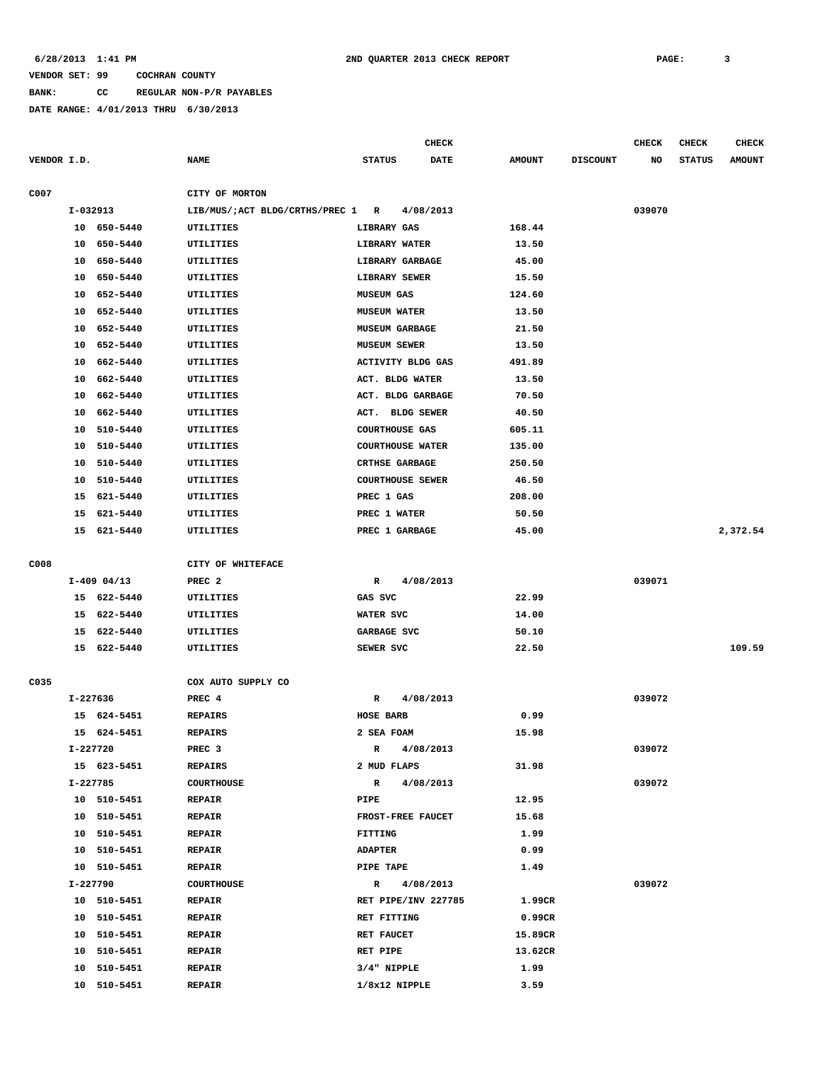**BANK: CC REGULAR NON-P/R PAYABLES**

|             |          |               |                                  |                |                         | <b>CHECK</b>        |               |                 | <b>CHECK</b> | <b>CHECK</b>  | <b>CHECK</b>  |
|-------------|----------|---------------|----------------------------------|----------------|-------------------------|---------------------|---------------|-----------------|--------------|---------------|---------------|
| VENDOR I.D. |          |               | <b>NAME</b>                      | <b>STATUS</b>  |                         | <b>DATE</b>         | <b>AMOUNT</b> | <b>DISCOUNT</b> | NO           | <b>STATUS</b> | <b>AMOUNT</b> |
| C007        |          |               | CITY OF MORTON                   |                |                         |                     |               |                 |              |               |               |
|             |          | I-032913      | LIB/MUS/;ACT BLDG/CRTHS/PREC 1 R |                |                         | 4/08/2013           |               |                 | 039070       |               |               |
|             |          | 10 650-5440   | <b>UTILITIES</b>                 |                | LIBRARY GAS             |                     | 168.44        |                 |              |               |               |
|             | 10       | 650-5440      | UTILITIES                        |                | LIBRARY WATER           |                     | 13.50         |                 |              |               |               |
|             | 10       | 650-5440      | UTILITIES                        |                | LIBRARY GARBAGE         |                     | 45.00         |                 |              |               |               |
|             | 10       | 650-5440      | UTILITIES                        |                | LIBRARY SEWER           |                     | 15.50         |                 |              |               |               |
|             | 10       | 652-5440      | UTILITIES                        |                | <b>MUSEUM GAS</b>       |                     | 124.60        |                 |              |               |               |
|             | 10       | 652-5440      | UTILITIES                        |                | <b>MUSEUM WATER</b>     |                     | 13.50         |                 |              |               |               |
|             | 10       | 652-5440      | UTILITIES                        |                | <b>MUSEUM GARBAGE</b>   |                     | 21.50         |                 |              |               |               |
|             | 10       | 652-5440      | UTILITIES                        |                | <b>MUSEUM SEWER</b>     |                     | 13.50         |                 |              |               |               |
|             | 10       | 662-5440      | UTILITIES                        |                | ACTIVITY BLDG GAS       |                     | 491.89        |                 |              |               |               |
|             | 10       | 662-5440      | UTILITIES                        |                | ACT. BLDG WATER         |                     | 13.50         |                 |              |               |               |
|             | 10       | 662-5440      | UTILITIES                        |                | ACT. BLDG GARBAGE       |                     | 70.50         |                 |              |               |               |
|             | 10       | 662-5440      | UTILITIES                        | ACT.           | <b>BLDG SEWER</b>       |                     | 40.50         |                 |              |               |               |
|             | 10       | 510-5440      | UTILITIES                        |                | <b>COURTHOUSE GAS</b>   |                     | 605.11        |                 |              |               |               |
|             | 10       | 510-5440      | UTILITIES                        |                | <b>COURTHOUSE WATER</b> |                     | 135.00        |                 |              |               |               |
|             | 10       | 510-5440      | UTILITIES                        |                | <b>CRTHSE GARBAGE</b>   |                     | 250.50        |                 |              |               |               |
|             | 10       | 510-5440      | UTILITIES                        |                | <b>COURTHOUSE SEWER</b> |                     | 46.50         |                 |              |               |               |
|             | 15       | 621-5440      | UTILITIES                        |                | PREC 1 GAS              |                     | 208.00        |                 |              |               |               |
|             | 15       | 621-5440      | UTILITIES                        |                | PREC 1 WATER            |                     | 50.50         |                 |              |               |               |
|             |          | 15 621-5440   | UTILITIES                        |                | PREC 1 GARBAGE          |                     | 45.00         |                 |              |               | 2,372.54      |
|             |          |               |                                  |                |                         |                     |               |                 |              |               |               |
| C008        |          |               | CITY OF WHITEFACE                |                |                         |                     |               |                 |              |               |               |
|             |          | $I-409$ 04/13 | PREC <sub>2</sub>                | $\mathbf R$    |                         | 4/08/2013           |               |                 | 039071       |               |               |
|             |          | 15 622-5440   | UTILITIES                        | GAS SVC        |                         |                     | 22.99         |                 |              |               |               |
|             | 15       | 622-5440      | UTILITIES                        |                | WATER SVC               |                     | 14.00         |                 |              |               |               |
|             | 15       | 622-5440      | UTILITIES                        |                | GARBAGE SVC             |                     | 50.10         |                 |              |               |               |
|             |          | 15 622-5440   | UTILITIES                        |                | SEWER SVC               |                     | 22.50         |                 |              |               | 109.59        |
|             |          |               |                                  |                |                         |                     |               |                 |              |               |               |
| C035        |          |               | COX AUTO SUPPLY CO               |                |                         |                     |               |                 |              |               |               |
|             | I-227636 |               | PREC 4                           | R              |                         | 4/08/2013           |               |                 | 039072       |               |               |
|             |          | 15 624-5451   | <b>REPAIRS</b>                   |                | <b>HOSE BARB</b>        |                     | 0.99          |                 |              |               |               |
|             |          | 15 624-5451   | <b>REPAIRS</b>                   |                | 2 SEA FOAM              |                     | 15.98         |                 |              |               |               |
|             | I-227720 |               | PREC 3                           | R              |                         | 4/08/2013           |               |                 | 039072       |               |               |
|             |          | 15 623-5451   | <b>REPAIRS</b>                   |                | 2 MUD FLAPS             |                     | 31.98         |                 |              |               |               |
|             |          | I-227785      | <b>COURTHOUSE</b>                | R              |                         | 4/08/2013           |               |                 | 039072       |               |               |
|             |          | 10 510-5451   | <b>REPAIR</b>                    | PIPE           |                         |                     | 12.95         |                 |              |               |               |
|             |          | 10 510-5451   | <b>REPAIR</b>                    |                | FROST-FREE FAUCET       |                     | 15.68         |                 |              |               |               |
|             |          | 10 510-5451   | <b>REPAIR</b>                    | <b>FITTING</b> |                         |                     | 1.99          |                 |              |               |               |
|             |          | 10 510-5451   | <b>REPAIR</b>                    | <b>ADAPTER</b> |                         |                     | 0.99          |                 |              |               |               |
|             |          | 10 510-5451   | <b>REPAIR</b>                    |                | PIPE TAPE               |                     | 1.49          |                 |              |               |               |
|             | I-227790 |               | <b>COURTHOUSE</b>                | $\mathbb{R}$   |                         | 4/08/2013           |               |                 | 039072       |               |               |
|             |          | 10 510-5451   | <b>REPAIR</b>                    |                |                         | RET PIPE/INV 227785 | 1.99CR        |                 |              |               |               |
|             |          | 10 510-5451   | <b>REPAIR</b>                    |                | RET FITTING             |                     | 0.99CR        |                 |              |               |               |
|             |          | 10 510-5451   | <b>REPAIR</b>                    |                | RET FAUCET              |                     | 15.89CR       |                 |              |               |               |
|             |          | 10 510-5451   | <b>REPAIR</b>                    | RET PIPE       |                         |                     | 13.62CR       |                 |              |               |               |
|             | 10       | 510-5451      | <b>REPAIR</b>                    |                | $3/4"$ NIPPLE           |                     | 1.99          |                 |              |               |               |
|             |          | 10 510-5451   | <b>REPAIR</b>                    |                | $1/8x12$ NIPPLE         |                     | 3.59          |                 |              |               |               |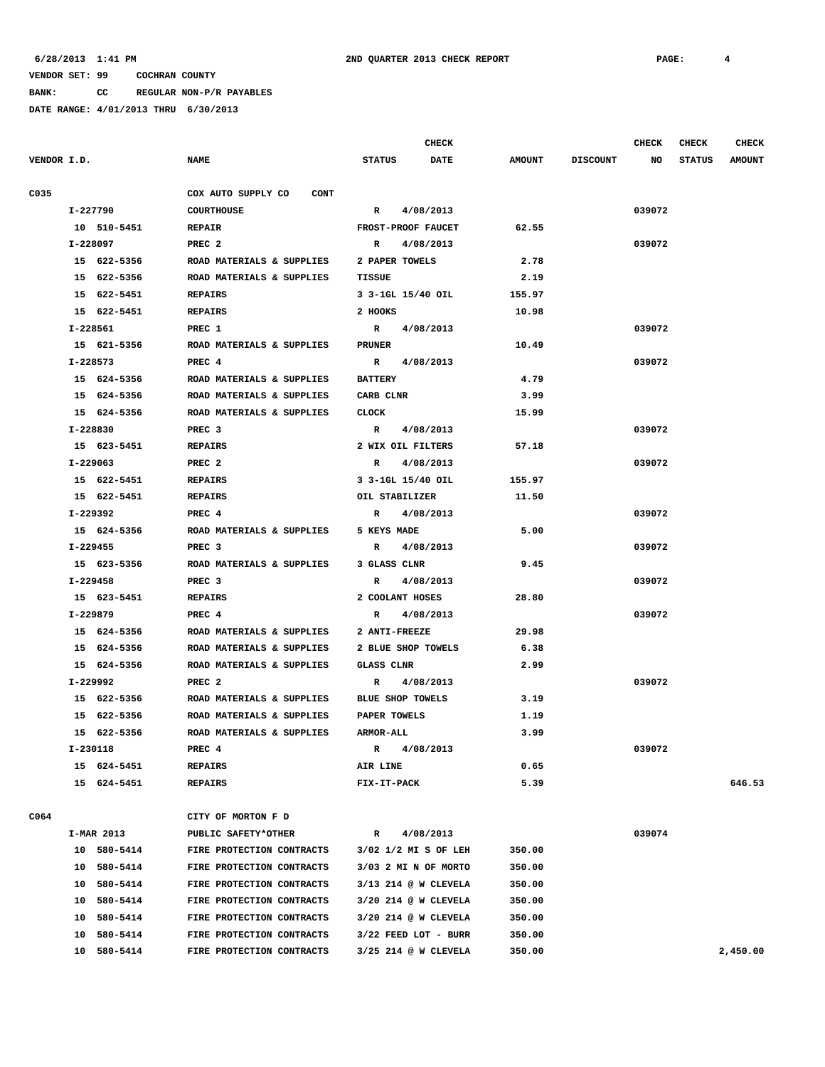**BANK: CC REGULAR NON-P/R PAYABLES**

|             |             |                                   |                         | <b>CHECK</b>         |               |                 | CHECK  | <b>CHECK</b>  | <b>CHECK</b>  |
|-------------|-------------|-----------------------------------|-------------------------|----------------------|---------------|-----------------|--------|---------------|---------------|
| VENDOR I.D. |             | <b>NAME</b>                       | <b>STATUS</b>           | <b>DATE</b>          | <b>AMOUNT</b> | <b>DISCOUNT</b> | NO     | <b>STATUS</b> | <b>AMOUNT</b> |
| C035        |             | COX AUTO SUPPLY CO<br><b>CONT</b> |                         |                      |               |                 |        |               |               |
|             | I-227790    | <b>COURTHOUSE</b>                 | R                       | 4/08/2013            |               |                 | 039072 |               |               |
|             | 10 510-5451 | <b>REPAIR</b>                     | FROST-PROOF FAUCET      |                      | 62.55         |                 |        |               |               |
|             | I-228097    | PREC <sub>2</sub>                 | $\mathbb{R}$            | 4/08/2013            |               |                 | 039072 |               |               |
|             | 15 622-5356 | ROAD MATERIALS & SUPPLIES         | 2 PAPER TOWELS          |                      | 2.78          |                 |        |               |               |
|             | 15 622-5356 | ROAD MATERIALS & SUPPLIES         | TISSUE                  |                      | 2.19          |                 |        |               |               |
|             | 15 622-5451 | <b>REPAIRS</b>                    | 3 3-1GL 15/40 OIL       |                      | 155.97        |                 |        |               |               |
|             | 15 622-5451 | <b>REPAIRS</b>                    | 2 HOOKS                 |                      | 10.98         |                 |        |               |               |
|             | I-228561    | PREC 1                            | $\mathbb{R}$            | 4/08/2013            |               |                 | 039072 |               |               |
|             | 15 621-5356 | ROAD MATERIALS & SUPPLIES         | <b>PRUNER</b>           |                      | 10.49         |                 |        |               |               |
|             | I-228573    | PREC 4                            | $\mathbb{R}$            | 4/08/2013            |               |                 | 039072 |               |               |
|             | 15 624-5356 | ROAD MATERIALS & SUPPLIES         | <b>BATTERY</b>          |                      | 4.79          |                 |        |               |               |
|             | 15 624-5356 | ROAD MATERIALS & SUPPLIES         | CARB CLNR               |                      | 3.99          |                 |        |               |               |
|             | 15 624-5356 | ROAD MATERIALS & SUPPLIES         | <b>CLOCK</b>            |                      | 15.99         |                 |        |               |               |
|             | I-228830    | PREC <sub>3</sub>                 | $\mathbb{R}$            | 4/08/2013            |               |                 | 039072 |               |               |
|             | 15 623-5451 | <b>REPAIRS</b>                    | 2 WIX OIL FILTERS       |                      | 57.18         |                 |        |               |               |
|             | I-229063    | PREC <sub>2</sub>                 | $\mathbb{R}$            | 4/08/2013            |               |                 | 039072 |               |               |
|             | 15 622-5451 | <b>REPAIRS</b>                    | 3 3-1GL 15/40 OIL       |                      | 155.97        |                 |        |               |               |
|             | 15 622-5451 | <b>REPAIRS</b>                    | OIL STABILIZER          |                      | 11.50         |                 |        |               |               |
|             | I-229392    | PREC <sub>4</sub>                 | $\mathbb{R}$            | 4/08/2013            |               |                 | 039072 |               |               |
|             | 15 624-5356 | ROAD MATERIALS & SUPPLIES         | 5 KEYS MADE             |                      | 5.00          |                 |        |               |               |
|             | I-229455    | PREC <sub>3</sub>                 | $\mathbb{R}$            | 4/08/2013            |               |                 | 039072 |               |               |
|             | 15 623-5356 | ROAD MATERIALS & SUPPLIES         | 3 GLASS CLNR            |                      | 9.45          |                 |        |               |               |
|             | I-229458    | PREC <sub>3</sub>                 | $\mathbb{R}$            | 4/08/2013            |               |                 | 039072 |               |               |
|             | 15 623-5451 | <b>REPAIRS</b>                    | 2 COOLANT HOSES         |                      | 28.80         |                 |        |               |               |
|             | I-229879    | PREC 4                            | R                       | 4/08/2013            |               |                 | 039072 |               |               |
|             | 15 624-5356 | ROAD MATERIALS & SUPPLIES         | 2 ANTI-FREEZE           |                      | 29.98         |                 |        |               |               |
|             | 15 624-5356 | ROAD MATERIALS & SUPPLIES         | 2 BLUE SHOP TOWELS      |                      | 6.38          |                 |        |               |               |
|             | 15 624-5356 | ROAD MATERIALS & SUPPLIES         | <b>GLASS CLNR</b>       |                      | 2.99          |                 |        |               |               |
|             | I-229992    | PREC <sub>2</sub>                 | R                       | 4/08/2013            |               |                 | 039072 |               |               |
|             | 15 622-5356 | ROAD MATERIALS & SUPPLIES         | <b>BLUE SHOP TOWELS</b> |                      | 3.19          |                 |        |               |               |
|             | 15 622-5356 | ROAD MATERIALS & SUPPLIES         | PAPER TOWELS            |                      | 1.19          |                 |        |               |               |
|             | 15 622-5356 | ROAD MATERIALS & SUPPLIES         | <b>ARMOR-ALL</b>        |                      | 3.99          |                 |        |               |               |
|             | I-230118    | PREC 4                            | R                       | 4/08/2013            |               |                 | 039072 |               |               |
|             | 15 624-5451 | <b>REPAIRS</b>                    | AIR LINE                |                      | 0.65          |                 |        |               |               |
|             | 15 624-5451 | <b>REPAIRS</b>                    | FIX-IT-PACK             |                      | 5.39          |                 |        |               | 646.53        |
| C064        |             | CITY OF MORTON F D                |                         |                      |               |                 |        |               |               |
|             | I-MAR 2013  | PUBLIC SAFETY*OTHER               | R                       | 4/08/2013            |               |                 | 039074 |               |               |
|             | 10 580-5414 | FIRE PROTECTION CONTRACTS         |                         | 3/02 1/2 MI S OF LEH | 350.00        |                 |        |               |               |
|             | 10 580-5414 | FIRE PROTECTION CONTRACTS         |                         | 3/03 2 MI N OF MORTO | 350.00        |                 |        |               |               |
|             | 10 580-5414 | FIRE PROTECTION CONTRACTS         |                         | 3/13 214 @ W CLEVELA | 350.00        |                 |        |               |               |
|             | 10 580-5414 | FIRE PROTECTION CONTRACTS         |                         | 3/20 214 @ W CLEVELA | 350.00        |                 |        |               |               |
|             | 10 580-5414 | FIRE PROTECTION CONTRACTS         |                         | 3/20 214 @ W CLEVELA | 350.00        |                 |        |               |               |
|             | 10 580-5414 | FIRE PROTECTION CONTRACTS         |                         | 3/22 FEED LOT - BURR | 350.00        |                 |        |               |               |
|             | 10 580-5414 | FIRE PROTECTION CONTRACTS         |                         | 3/25 214 @ W CLEVELA | 350.00        |                 |        |               | 2,450.00      |
|             |             |                                   |                         |                      |               |                 |        |               |               |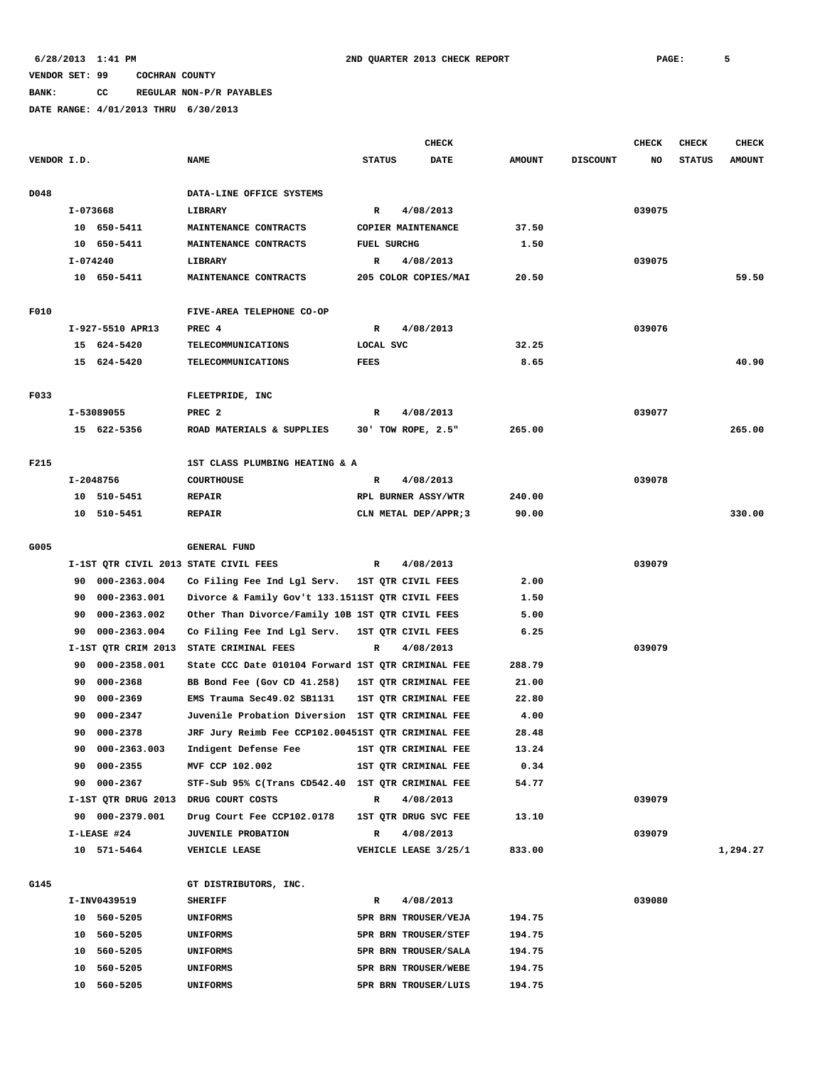### **BANK: CC REGULAR NON-P/R PAYABLES**

|             |          |                  |                                                    |                    | <b>CHECK</b>          |               |                 | <b>CHECK</b> | <b>CHECK</b>  | <b>CHECK</b>  |
|-------------|----------|------------------|----------------------------------------------------|--------------------|-----------------------|---------------|-----------------|--------------|---------------|---------------|
| VENDOR I.D. |          |                  | <b>NAME</b>                                        | <b>STATUS</b>      | <b>DATE</b>           | <b>AMOUNT</b> | <b>DISCOUNT</b> | NO           | <b>STATUS</b> | <b>AMOUNT</b> |
| D048        |          |                  | DATA-LINE OFFICE SYSTEMS                           |                    |                       |               |                 |              |               |               |
|             | I-073668 |                  | LIBRARY                                            | $\mathbb{R}$       | 4/08/2013             |               |                 | 039075       |               |               |
|             |          | 10 650-5411      | MAINTENANCE CONTRACTS                              |                    | COPIER MAINTENANCE    | 37.50         |                 |              |               |               |
|             |          | 10 650-5411      | MAINTENANCE CONTRACTS                              | <b>FUEL SURCHG</b> |                       | 1.50          |                 |              |               |               |
|             | I-074240 |                  | LIBRARY                                            | R                  | 4/08/2013             |               |                 | 039075       |               |               |
|             |          | 10 650-5411      | MAINTENANCE CONTRACTS                              |                    | 205 COLOR COPIES/MAI  | 20.50         |                 |              |               | 59.50         |
| F010        |          |                  | FIVE-AREA TELEPHONE CO-OP                          |                    |                       |               |                 |              |               |               |
|             |          | I-927-5510 APR13 | PREC 4                                             | R                  | 4/08/2013             |               |                 | 039076       |               |               |
|             |          | 15 624-5420      | TELECOMMUNICATIONS                                 | LOCAL SVC          |                       | 32.25         |                 |              |               |               |
|             |          | 15 624-5420      | TELECOMMUNICATIONS                                 | FEES               |                       | 8.65          |                 |              |               | 40.90         |
| F033        |          |                  | FLEETPRIDE, INC                                    |                    |                       |               |                 |              |               |               |
|             |          | I-53089055       | PREC <sub>2</sub>                                  | R                  | 4/08/2013             |               |                 | 039077       |               |               |
|             |          | 15 622-5356      | ROAD MATERIALS & SUPPLIES                          |                    | 30' TOW ROPE, 2.5"    | 265.00        |                 |              |               | 265.00        |
| F215        |          |                  | 1ST CLASS PLUMBING HEATING & A                     |                    |                       |               |                 |              |               |               |
|             |          | I-2048756        | <b>COURTHOUSE</b>                                  |                    | 4/08/2013             |               |                 | 039078       |               |               |
|             |          |                  | <b>REPAIR</b>                                      | R                  | RPL BURNER ASSY/WTR   | 240.00        |                 |              |               |               |
|             |          | 10 510-5451      |                                                    |                    |                       |               |                 |              |               | 330.00        |
|             |          | 10 510-5451      | <b>REPAIR</b>                                      |                    | CLN METAL DEP/APPR; 3 | 90.00         |                 |              |               |               |
| G005        |          |                  | <b>GENERAL FUND</b>                                |                    |                       |               |                 |              |               |               |
|             |          |                  | I-1ST QTR CIVIL 2013 STATE CIVIL FEES              | R                  | 4/08/2013             |               |                 | 039079       |               |               |
|             | 90       | 000-2363.004     | Co Filing Fee Ind Lgl Serv.                        |                    | 1ST QTR CIVIL FEES    | 2.00          |                 |              |               |               |
|             | 90       | 000-2363.001     | Divorce & Family Gov't 133.1511ST QTR CIVIL FEES   |                    |                       | 1.50          |                 |              |               |               |
|             | 90       | 000-2363.002     | Other Than Divorce/Family 10B 1ST QTR CIVIL FEES   |                    |                       | 5.00          |                 |              |               |               |
|             | 90       | 000-2363.004     | Co Filing Fee Ind Lgl Serv.                        |                    | 1ST QTR CIVIL FEES    | 6.25          |                 |              |               |               |
|             |          |                  | I-1ST QTR CRIM 2013 STATE CRIMINAL FEES            | R                  | 4/08/2013             |               |                 | 039079       |               |               |
|             | 90       | 000-2358.001     | State CCC Date 010104 Forward 1ST QTR CRIMINAL FEE |                    |                       | 288.79        |                 |              |               |               |
|             | 90       | 000-2368         | BB Bond Fee (Gov CD 41.258)                        |                    | 1ST QTR CRIMINAL FEE  | 21.00         |                 |              |               |               |
|             | 90       | 000-2369         | EMS Trauma Sec49.02 SB1131                         |                    | 1ST QTR CRIMINAL FEE  | 22.80         |                 |              |               |               |
|             | 90       | 000-2347         | Juvenile Probation Diversion 1ST QTR CRIMINAL FEE  |                    |                       | 4.00          |                 |              |               |               |
|             | 90       | 000-2378         | JRF Jury Reimb Fee CCP102.00451ST QTR CRIMINAL FEE |                    |                       | 28.48         |                 |              |               |               |
|             |          | 90 000-2363.003  | Indigent Defense Fee                               |                    | 1ST QTR CRIMINAL FEE  | 13.24         |                 |              |               |               |
|             |          | 90 000-2355      | MVF CCP 102.002                                    |                    | 1ST QTR CRIMINAL FEE  | 0.34          |                 |              |               |               |
|             | 90       | 000-2367         | STF-Sub 95% C(Trans CD542.40 1ST QTR CRIMINAL FEE  |                    |                       | 54.77         |                 |              |               |               |
|             |          |                  | I-1ST QTR DRUG 2013 DRUG COURT COSTS               | R                  | 4/08/2013             |               |                 | 039079       |               |               |
|             |          | 90 000-2379.001  | Drug Court Fee CCP102.0178                         |                    | 1ST QTR DRUG SVC FEE  | 13.10         |                 |              |               |               |
|             |          | I-LEASE #24      | <b>JUVENILE PROBATION</b>                          | R                  | 4/08/2013             |               |                 | 039079       |               |               |
|             |          | 10 571-5464      | VEHICLE LEASE                                      |                    | VEHICLE LEASE 3/25/1  | 833.00        |                 |              |               | 1,294.27      |
| G145        |          |                  | GT DISTRIBUTORS, INC.                              |                    |                       |               |                 |              |               |               |
|             |          | I-INV0439519     | <b>SHERIFF</b>                                     | R                  | 4/08/2013             |               |                 | 039080       |               |               |
|             |          | 10 560-5205      |                                                    |                    | 5PR BRN TROUSER/VEJA  | 194.75        |                 |              |               |               |
|             |          | 10 560-5205      | UNIFORMS                                           |                    | 5PR BRN TROUSER/STEF  | 194.75        |                 |              |               |               |
|             | 10       |                  | UNIFORMS                                           |                    |                       | 194.75        |                 |              |               |               |
|             |          | 560-5205         | UNIFORMS                                           |                    | 5PR BRN TROUSER/SALA  |               |                 |              |               |               |
|             | 10       | 560-5205         | <b>UNIFORMS</b>                                    |                    | 5PR BRN TROUSER/WEBE  | 194.75        |                 |              |               |               |
|             |          | 10 560-5205      | UNIFORMS                                           |                    | 5PR BRN TROUSER/LUIS  | 194.75        |                 |              |               |               |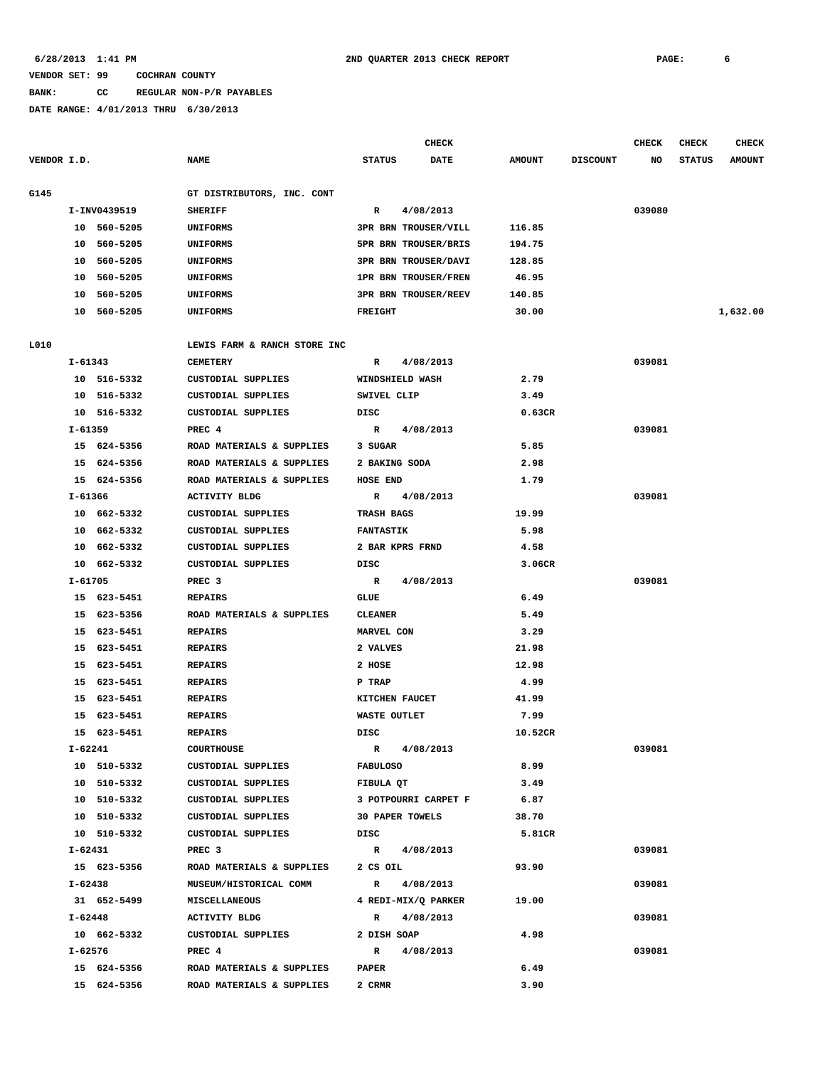### **BANK: CC REGULAR NON-P/R PAYABLES**

|             |         |              |                              |                  | CHECK                       |               |                 | <b>CHECK</b> | <b>CHECK</b>  | <b>CHECK</b>  |
|-------------|---------|--------------|------------------------------|------------------|-----------------------------|---------------|-----------------|--------------|---------------|---------------|
| VENDOR I.D. |         |              | <b>NAME</b>                  | <b>STATUS</b>    | DATE                        | <b>AMOUNT</b> | <b>DISCOUNT</b> | NO           | <b>STATUS</b> | <b>AMOUNT</b> |
| G145        |         |              | GT DISTRIBUTORS, INC. CONT   |                  |                             |               |                 |              |               |               |
|             |         | I-INV0439519 | <b>SHERIFF</b>               | R                | 4/08/2013                   |               |                 | 039080       |               |               |
|             |         | 10 560-5205  | UNIFORMS                     |                  | <b>3PR BRN TROUSER/VILL</b> | 116.85        |                 |              |               |               |
|             |         | 10 560-5205  | UNIFORMS                     |                  | 5PR BRN TROUSER/BRIS        | 194.75        |                 |              |               |               |
|             |         | 10 560-5205  | UNIFORMS                     |                  | 3PR BRN TROUSER/DAVI        | 128.85        |                 |              |               |               |
|             |         | 10 560-5205  | UNIFORMS                     |                  | <b>1PR BRN TROUSER/FREN</b> | 46.95         |                 |              |               |               |
|             |         | 10 560-5205  | UNIFORMS                     |                  | <b>3PR BRN TROUSER/REEV</b> | 140.85        |                 |              |               |               |
|             |         | 10 560-5205  | UNIFORMS                     | <b>FREIGHT</b>   |                             | 30.00         |                 |              |               | 1,632.00      |
| L010        |         |              | LEWIS FARM & RANCH STORE INC |                  |                             |               |                 |              |               |               |
|             | I-61343 |              | <b>CEMETERY</b>              | $\mathbb{R}$     | 4/08/2013                   |               |                 | 039081       |               |               |
|             |         | 10 516-5332  | CUSTODIAL SUPPLIES           |                  | WINDSHIELD WASH             | 2.79          |                 |              |               |               |
|             |         | 10 516-5332  | CUSTODIAL SUPPLIES           | SWIVEL CLIP      |                             | 3.49          |                 |              |               |               |
|             |         | 10 516-5332  | CUSTODIAL SUPPLIES           | DISC             |                             | 0.63CR        |                 |              |               |               |
|             | I-61359 |              | PREC 4                       | $\mathbb{R}$     | 4/08/2013                   |               |                 | 039081       |               |               |
|             |         |              |                              |                  |                             |               |                 |              |               |               |
|             |         | 15 624-5356  | ROAD MATERIALS & SUPPLIES    | 3 SUGAR          |                             | 5.85          |                 |              |               |               |
|             |         | 15 624-5356  | ROAD MATERIALS & SUPPLIES    | 2 BAKING SODA    |                             | 2.98          |                 |              |               |               |
|             |         | 15 624-5356  | ROAD MATERIALS & SUPPLIES    | HOSE END         |                             | 1.79          |                 |              |               |               |
|             | I-61366 |              | <b>ACTIVITY BLDG</b>         | $\mathbb{R}$     | 4/08/2013                   |               |                 | 039081       |               |               |
|             |         | 10 662-5332  | <b>CUSTODIAL SUPPLIES</b>    | TRASH BAGS       |                             | 19.99         |                 |              |               |               |
|             |         | 10 662-5332  | CUSTODIAL SUPPLIES           | <b>FANTASTIK</b> |                             | 5.98          |                 |              |               |               |
|             |         | 10 662-5332  | CUSTODIAL SUPPLIES           |                  | 2 BAR KPRS FRND             | 4.58          |                 |              |               |               |
|             |         | 10 662-5332  | CUSTODIAL SUPPLIES           | DISC             |                             | 3.06CR        |                 |              |               |               |
|             | I-61705 |              | PREC <sub>3</sub>            | $\mathbb{R}$     | 4/08/2013                   |               |                 | 039081       |               |               |
|             |         | 15 623-5451  | <b>REPAIRS</b>               | GLUE             |                             | 6.49          |                 |              |               |               |
|             |         | 15 623-5356  | ROAD MATERIALS & SUPPLIES    | <b>CLEANER</b>   |                             | 5.49          |                 |              |               |               |
|             |         | 15 623-5451  | <b>REPAIRS</b>               | MARVEL CON       |                             | 3.29          |                 |              |               |               |
|             |         | 15 623-5451  | <b>REPAIRS</b>               | 2 VALVES         |                             | 21.98         |                 |              |               |               |
|             |         | 15 623-5451  | <b>REPAIRS</b>               | 2 HOSE           |                             | 12.98         |                 |              |               |               |
|             |         | 15 623-5451  | <b>REPAIRS</b>               | P TRAP           |                             | 4.99          |                 |              |               |               |
|             |         | 15 623-5451  | <b>REPAIRS</b>               | KITCHEN FAUCET   |                             | 41.99         |                 |              |               |               |
|             | 15      | 623-5451     | <b>REPAIRS</b>               | WASTE OUTLET     |                             | 7.99          |                 |              |               |               |
|             |         | 15 623-5451  | <b>REPAIRS</b>               | DISC             |                             | 10.52CR       |                 |              |               |               |
|             | I-62241 |              | <b>COURTHOUSE</b>            |                  | R 4/08/2013                 |               |                 | 039081       |               |               |
|             |         | 10 510-5332  | CUSTODIAL SUPPLIES           | <b>FABULOSO</b>  |                             | 8.99          |                 |              |               |               |
|             |         | 10 510-5332  | CUSTODIAL SUPPLIES           | FIBULA QT        |                             | 3.49          |                 |              |               |               |
|             |         | 10 510-5332  | CUSTODIAL SUPPLIES           |                  | 3 POTPOURRI CARPET F        | 6.87          |                 |              |               |               |
|             |         | 10 510-5332  | CUSTODIAL SUPPLIES           |                  | <b>30 PAPER TOWELS</b>      | 38.70         |                 |              |               |               |
|             |         | 10 510-5332  | CUSTODIAL SUPPLIES           | DISC             |                             | 5.81CR        |                 |              |               |               |
|             |         | I-62431      | PREC 3                       |                  | R 4/08/2013                 |               |                 | 039081       |               |               |
|             |         | 15 623-5356  | ROAD MATERIALS & SUPPLIES    | 2 CS OIL         |                             | 93.90         |                 |              |               |               |
|             | I-62438 |              | MUSEUM/HISTORICAL COMM       |                  | R 4/08/2013                 |               |                 | 039081       |               |               |
|             |         | 31 652-5499  | MISCELLANEOUS                |                  | 4 REDI-MIX/Q PARKER         | 19.00         |                 |              |               |               |
|             | I-62448 |              | <b>ACTIVITY BLDG</b>         | $\mathbf R$      | 4/08/2013                   |               |                 | 039081       |               |               |
|             |         | 10 662-5332  | CUSTODIAL SUPPLIES           | 2 DISH SOAP      |                             | 4.98          |                 |              |               |               |
|             | I-62576 |              | PREC 4                       | R                | 4/08/2013                   |               |                 | 039081       |               |               |
|             |         | 15 624-5356  | ROAD MATERIALS & SUPPLIES    | <b>PAPER</b>     |                             | 6.49          |                 |              |               |               |
|             |         | 15 624-5356  | ROAD MATERIALS & SUPPLIES    | 2 CRMR           |                             | 3.90          |                 |              |               |               |
|             |         |              |                              |                  |                             |               |                 |              |               |               |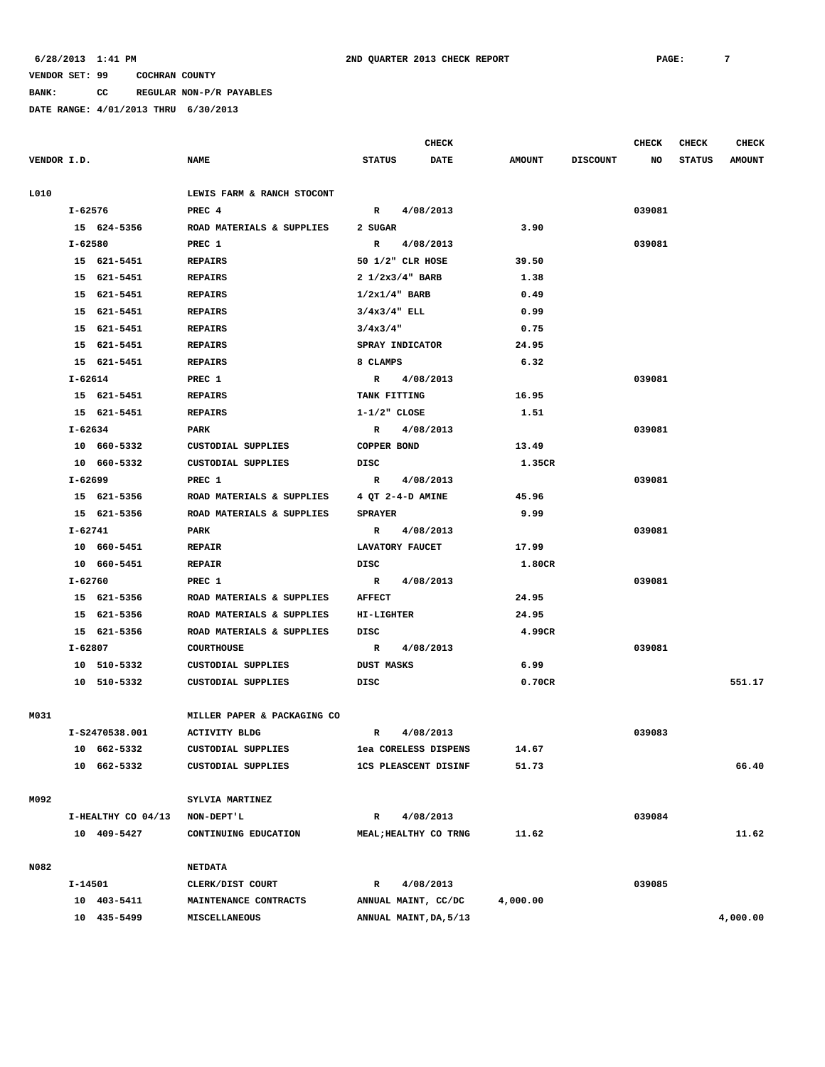**BANK: CC REGULAR NON-P/R PAYABLES**

|             |             |                    |                             |                          | CHECK                       |               |                 | <b>CHECK</b> | <b>CHECK</b>  | <b>CHECK</b>  |
|-------------|-------------|--------------------|-----------------------------|--------------------------|-----------------------------|---------------|-----------------|--------------|---------------|---------------|
| VENDOR I.D. |             |                    | <b>NAME</b>                 | <b>STATUS</b>            | <b>DATE</b>                 | <b>AMOUNT</b> | <b>DISCOUNT</b> | NO           | <b>STATUS</b> | <b>AMOUNT</b> |
| L010        |             |                    | LEWIS FARM & RANCH STOCONT  |                          |                             |               |                 |              |               |               |
|             | I-62576     |                    | PREC 4                      |                          | R 4/08/2013                 |               |                 | 039081       |               |               |
|             |             | 15 624-5356        | ROAD MATERIALS & SUPPLIES   | 2 SUGAR                  |                             | 3.90          |                 |              |               |               |
|             | I-62580     |                    | PREC 1                      | $\mathbb{R}$             | 4/08/2013                   |               |                 | 039081       |               |               |
|             |             | 15 621-5451        | <b>REPAIRS</b>              |                          | 50 1/2" CLR HOSE            | 39.50         |                 |              |               |               |
|             |             | 15 621-5451        | <b>REPAIRS</b>              | $2 \frac{1}{2x3/4}$ BARB |                             | 1.38          |                 |              |               |               |
|             |             | 15 621-5451        | <b>REPAIRS</b>              | $1/2x1/4$ BARB           |                             | 0.49          |                 |              |               |               |
|             |             | 15 621-5451        | <b>REPAIRS</b>              | $3/4x3/4"$ ELL           |                             | 0.99          |                 |              |               |               |
|             |             | 15 621-5451        | <b>REPAIRS</b>              | 3/4x3/4"                 |                             | 0.75          |                 |              |               |               |
|             |             | 15 621-5451        | <b>REPAIRS</b>              | SPRAY INDICATOR          |                             | 24.95         |                 |              |               |               |
|             |             | 15 621-5451        | <b>REPAIRS</b>              | 8 CLAMPS                 |                             | 6.32          |                 |              |               |               |
|             | I-62614     |                    | PREC 1                      | $\mathbf{R}$             | 4/08/2013                   |               |                 | 039081       |               |               |
|             |             | 15 621-5451        | <b>REPAIRS</b>              | TANK FITTING             |                             | 16.95         |                 |              |               |               |
|             |             | 15 621-5451        | <b>REPAIRS</b>              | $1 - 1/2$ " CLOSE        |                             | 1.51          |                 |              |               |               |
|             | $I - 62634$ |                    | PARK                        | R                        | 4/08/2013                   |               |                 | 039081       |               |               |
|             |             | 10 660-5332        | CUSTODIAL SUPPLIES          | COPPER BOND              |                             | 13.49         |                 |              |               |               |
|             |             | 10 660-5332        | CUSTODIAL SUPPLIES          | DISC                     |                             | 1.35CR        |                 |              |               |               |
|             | I-62699     |                    | PREC 1                      | R                        | 4/08/2013                   |               |                 | 039081       |               |               |
|             |             | 15 621-5356        | ROAD MATERIALS & SUPPLIES   |                          | 4 OT 2-4-D AMINE            | 45.96         |                 |              |               |               |
|             |             | 15 621-5356        | ROAD MATERIALS & SUPPLIES   | <b>SPRAYER</b>           |                             | 9.99          |                 |              |               |               |
|             | I-62741     |                    | PARK                        | $\mathbb{R}$             | 4/08/2013                   |               |                 | 039081       |               |               |
|             |             | 10 660-5451        | <b>REPAIR</b>               | LAVATORY FAUCET          |                             | 17.99         |                 |              |               |               |
|             |             | 10 660-5451        | <b>REPAIR</b>               | DISC                     |                             | 1.80CR        |                 |              |               |               |
|             | I-62760     |                    | PREC 1                      | $\mathbb{R}$             | 4/08/2013                   |               |                 | 039081       |               |               |
|             |             | 15 621-5356        | ROAD MATERIALS & SUPPLIES   | <b>AFFECT</b>            |                             | 24.95         |                 |              |               |               |
|             |             | 15 621-5356        | ROAD MATERIALS & SUPPLIES   | <b>HI-LIGHTER</b>        |                             | 24.95         |                 |              |               |               |
|             |             | 15 621-5356        | ROAD MATERIALS & SUPPLIES   | DISC                     |                             | 4.99CR        |                 |              |               |               |
|             | I-62807     |                    | <b>COURTHOUSE</b>           | R                        | 4/08/2013                   |               |                 | 039081       |               |               |
|             |             | 10 510-5332        | CUSTODIAL SUPPLIES          | <b>DUST MASKS</b>        |                             | 6.99          |                 |              |               |               |
|             |             | 10 510-5332        | CUSTODIAL SUPPLIES          | DISC                     |                             | 0.70CR        |                 |              |               | 551.17        |
| M031        |             |                    | MILLER PAPER & PACKAGING CO |                          |                             |               |                 |              |               |               |
|             |             | I-S2470538.001     | <b>ACTIVITY BLDG</b>        | R                        | 4/08/2013                   |               |                 | 039083       |               |               |
|             |             | 10 662-5332        | CUSTODIAL SUPPLIES          |                          | lea CORELESS DISPENS        | 14.67         |                 |              |               |               |
|             |             | 10 662-5332        | CUSTODIAL SUPPLIES          |                          | <b>1CS PLEASCENT DISINF</b> | 51.73         |                 |              |               | 66.40         |
|             |             |                    |                             |                          |                             |               |                 |              |               |               |
| M092        |             |                    | SYLVIA MARTINEZ             |                          |                             |               |                 |              |               |               |
|             |             | I-HEALTHY CO 04/13 | NON-DEPT'L                  | R                        | 4/08/2013                   |               |                 | 039084       |               |               |
|             |             | 10 409-5427        | CONTINUING EDUCATION        |                          | MEAL; HEALTHY CO TRNG       | 11.62         |                 |              |               | 11.62         |
|             |             |                    |                             |                          |                             |               |                 |              |               |               |
| N082        |             |                    | <b>NETDATA</b>              |                          |                             |               |                 |              |               |               |
|             | I-14501     |                    | CLERK/DIST COURT            | $\mathbf{R}$             | 4/08/2013                   |               |                 | 039085       |               |               |
|             |             | 10 403-5411        | MAINTENANCE CONTRACTS       |                          | ANNUAL MAINT, CC/DC         | 4,000.00      |                 |              |               |               |
|             |             | 10 435-5499        | MISCELLANEOUS               |                          | ANNUAL MAINT, DA, 5/13      |               |                 |              |               | 4,000.00      |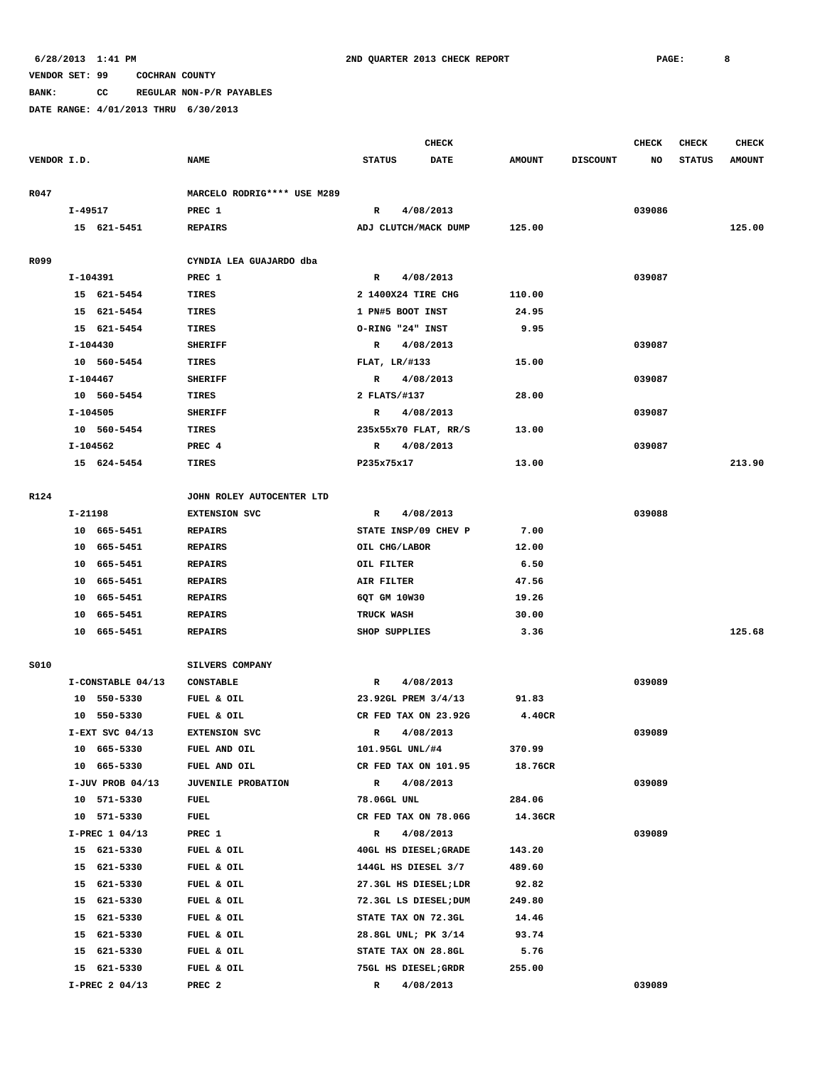**BANK: CC REGULAR NON-P/R PAYABLES**

|             |                    |                              | <b>CHECK</b>         |                       |               |                 |        | <b>CHECK</b>  | <b>CHECK</b>  |
|-------------|--------------------|------------------------------|----------------------|-----------------------|---------------|-----------------|--------|---------------|---------------|
| VENDOR I.D. |                    | <b>NAME</b>                  | <b>STATUS</b>        | <b>DATE</b>           | <b>AMOUNT</b> | <b>DISCOUNT</b> | NO     | <b>STATUS</b> | <b>AMOUNT</b> |
| R047        |                    | MARCELO RODRIG **** USE M289 |                      |                       |               |                 |        |               |               |
|             | $I-49517$          | PREC 1                       | R                    | 4/08/2013             |               |                 | 039086 |               |               |
|             | 15 621-5451        | <b>REPAIRS</b>               | ADJ CLUTCH/MACK DUMP |                       | 125.00        |                 |        |               | 125.00        |
| R099        |                    | CYNDIA LEA GUAJARDO dba      |                      |                       |               |                 |        |               |               |
|             | I-104391           | PREC 1                       | R                    | 4/08/2013             |               |                 | 039087 |               |               |
|             | 15 621-5454        | TIRES                        | 2 1400X24 TIRE CHG   |                       | 110.00        |                 |        |               |               |
|             | 15 621-5454        | TIRES                        | 1 PN#5 BOOT INST     |                       | 24.95         |                 |        |               |               |
|             | 15 621-5454        | TIRES                        | O-RING "24" INST     |                       | 9.95          |                 |        |               |               |
|             | I-104430           | <b>SHERIFF</b>               | R                    | 4/08/2013             |               |                 | 039087 |               |               |
|             | 10 560-5454        | <b>TIRES</b>                 | FLAT, LR/#133        |                       | 15.00         |                 |        |               |               |
|             | I-104467           | <b>SHERIFF</b>               | R                    | 4/08/2013             |               |                 | 039087 |               |               |
|             | 10 560-5454        | <b>TIRES</b>                 | 2 FLATS/#137         |                       | 28.00         |                 |        |               |               |
|             | I-104505           | <b>SHERIFF</b>               | R                    | 4/08/2013             |               |                 | 039087 |               |               |
|             | 10 560-5454        | TIRES                        | 235x55x70 FLAT, RR/S |                       | 13.00         |                 |        |               |               |
|             | I-104562           | PREC 4                       | R                    | 4/08/2013             |               |                 | 039087 |               |               |
|             | 15 624-5454        | TIRES                        | P235x75x17           |                       | 13.00         |                 |        |               | 213.90        |
| R124        |                    | JOHN ROLEY AUTOCENTER LTD    |                      |                       |               |                 |        |               |               |
|             | I-21198            | <b>EXTENSION SVC</b>         | R                    | 4/08/2013             |               |                 | 039088 |               |               |
|             | 10 665-5451        | <b>REPAIRS</b>               |                      | STATE INSP/09 CHEV P  | 7.00          |                 |        |               |               |
|             | 10 665-5451        | <b>REPAIRS</b>               | OIL CHG/LABOR        |                       | 12.00         |                 |        |               |               |
|             | 10 665-5451        | <b>REPAIRS</b>               | OIL FILTER           |                       | 6.50          |                 |        |               |               |
|             | 10 665-5451        | <b>REPAIRS</b>               | AIR FILTER           |                       | 47.56         |                 |        |               |               |
|             | 10 665-5451        | <b>REPAIRS</b>               | 6QT GM 10W30         |                       | 19.26         |                 |        |               |               |
|             | 10 665-5451        | <b>REPAIRS</b>               | TRUCK WASH           |                       | 30.00         |                 |        |               |               |
|             | 10 665-5451        | <b>REPAIRS</b>               | SHOP SUPPLIES        |                       | 3.36          |                 |        |               | 125.68        |
| S010        |                    | SILVERS COMPANY              |                      |                       |               |                 |        |               |               |
|             | I-CONSTABLE 04/13  | <b>CONSTABLE</b>             | R                    | 4/08/2013             |               |                 | 039089 |               |               |
|             | 10 550-5330        | FUEL & OIL                   | 23.92GL PREM 3/4/13  |                       | 91.83         |                 |        |               |               |
|             | 10 550-5330        | FUEL & OIL                   |                      | CR FED TAX ON 23.92G  | 4.40CR        |                 |        |               |               |
|             | $I-EXT$ SVC 04/13  | <b>EXTENSION SVC</b>         | R                    | 4/08/2013             |               |                 | 039089 |               |               |
|             | 10 665-5330        | FUEL AND OIL                 | 101.95GL UNL/#4      |                       | 370.99        |                 |        |               |               |
|             | 10 665-5330        | FUEL AND OIL                 |                      | CR FED TAX ON 101.95  | 18.76CR       |                 |        |               |               |
|             | $I-JUV$ PROB 04/13 | <b>JUVENILE PROBATION</b>    | R                    | 4/08/2013             |               |                 | 039089 |               |               |
|             | 10 571-5330        | FUEL                         | 78.06GL UNL          |                       | 284.06        |                 |        |               |               |
|             | 571-5330<br>10     | FUEL                         |                      | CR FED TAX ON 78.06G  | 14.36CR       |                 |        |               |               |
|             | I-PREC 1 04/13     | PREC 1                       | R                    | 4/08/2013             |               |                 | 039089 |               |               |
|             | 15 621-5330        | FUEL & OIL                   |                      | 40GL HS DIESEL; GRADE | 143.20        |                 |        |               |               |
|             | 15 621-5330        | FUEL & OIL                   | 144GL HS DIESEL 3/7  |                       | 489.60        |                 |        |               |               |
|             | 15 621-5330        | FUEL & OIL                   |                      | 27.3GL HS DIESEL;LDR  | 92.82         |                 |        |               |               |
|             | 15 621-5330        | FUEL & OIL                   |                      | 72.3GL LS DIESEL; DUM | 249.80        |                 |        |               |               |
|             | 15 621-5330        | FUEL & OIL                   | STATE TAX ON 72.3GL  |                       | 14.46         |                 |        |               |               |
|             | 15 621-5330        | FUEL & OIL                   | 28.8GL UNL; PK 3/14  |                       | 93.74         |                 |        |               |               |
|             | 15 621-5330        | FUEL & OIL                   | STATE TAX ON 28.8GL  |                       | 5.76          |                 |        |               |               |
|             | 15 621-5330        | FUEL & OIL                   | 75GL HS DIESEL; GRDR |                       | 255.00        |                 |        |               |               |
|             | I-PREC 2 04/13     | PREC <sub>2</sub>            | R                    | 4/08/2013             |               |                 | 039089 |               |               |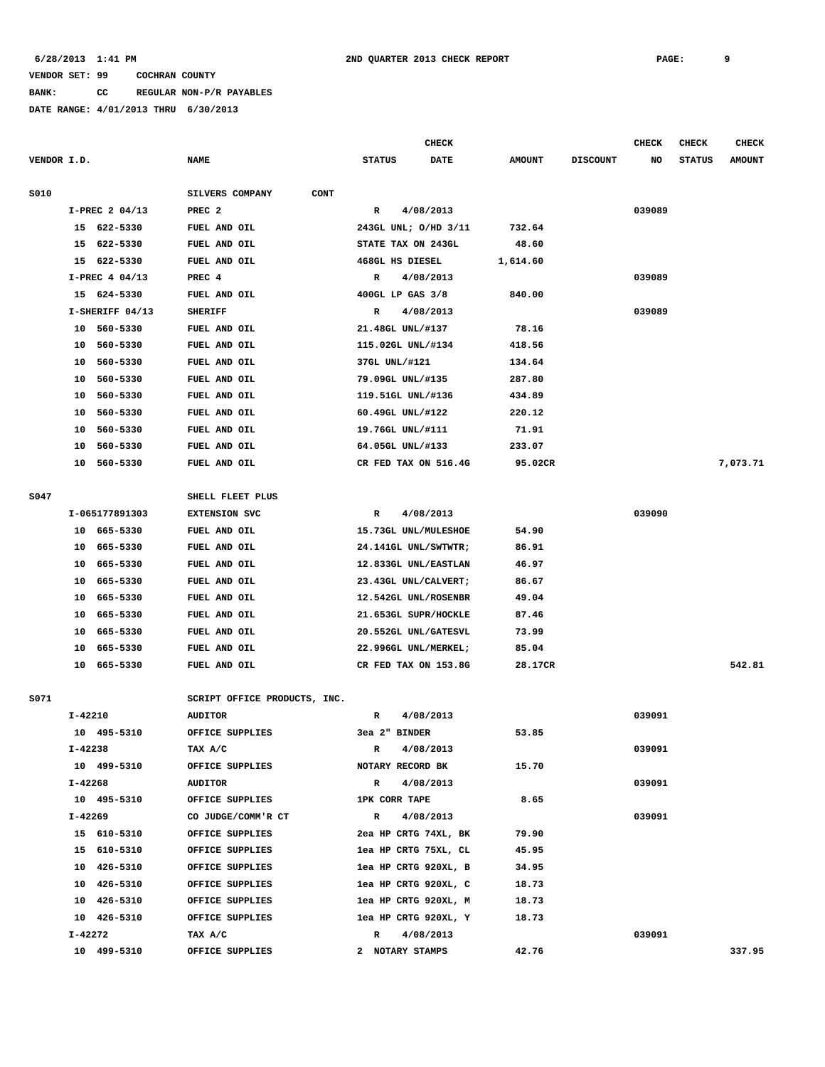**BANK: CC REGULAR NON-P/R PAYABLES**

**DATE RANGE: 4/01/2013 THRU 6/30/2013**

|             |         |                 |                                | <b>CHECK</b>         |                      |               |                 | <b>CHECK</b> | <b>CHECK</b>  | CHECK         |
|-------------|---------|-----------------|--------------------------------|----------------------|----------------------|---------------|-----------------|--------------|---------------|---------------|
| VENDOR I.D. |         |                 | <b>NAME</b>                    | <b>STATUS</b>        | <b>DATE</b>          | <b>AMOUNT</b> | <b>DISCOUNT</b> | NO           | <b>STATUS</b> | <b>AMOUNT</b> |
| S010        |         |                 | SILVERS COMPANY<br><b>CONT</b> |                      |                      |               |                 |              |               |               |
|             |         | I-PREC 2 04/13  | PREC <sub>2</sub>              | $\mathbb{R}$         | 4/08/2013            |               |                 | 039089       |               |               |
|             |         | 15 622-5330     | FUEL AND OIL                   |                      | 243GL UNL; O/HD 3/11 | 732.64        |                 |              |               |               |
|             | 15      | 622-5330        | FUEL AND OIL                   | STATE TAX ON 243GL   |                      | 48.60         |                 |              |               |               |
|             | 15      | 622-5330        | FUEL AND OIL                   | 468GL HS DIESEL      |                      | 1,614.60      |                 |              |               |               |
|             |         | I-PREC 4 04/13  | PREC 4                         | R                    | 4/08/2013            |               |                 | 039089       |               |               |
|             |         | 15 624-5330     | FUEL AND OIL                   | 400GL LP GAS 3/8     |                      | 840.00        |                 |              |               |               |
|             |         | I-SHERIFF 04/13 | <b>SHERIFF</b>                 | R                    | 4/08/2013            |               |                 | 039089       |               |               |
|             | 10      | 560-5330        | <b>FUEL AND OIL</b>            | 21.48GL UNL/#137     |                      | 78.16         |                 |              |               |               |
|             | 10      | 560-5330        | FUEL AND OIL                   | 115.02GL UNL/#134    |                      | 418.56        |                 |              |               |               |
|             | 10      | 560-5330        | FUEL AND OIL                   | 37GL UNL/#121        |                      | 134.64        |                 |              |               |               |
|             | 10      | 560-5330        | <b>FUEL AND OIL</b>            | 79.09GL UNL/#135     |                      | 287.80        |                 |              |               |               |
|             | 10      | 560-5330        | FUEL AND OIL                   | 119.51GL UNL/#136    |                      | 434.89        |                 |              |               |               |
|             | 10      | 560-5330        | <b>FUEL AND OIL</b>            | 60.49GL UNL/#122     |                      | 220.12        |                 |              |               |               |
|             | 10      | 560-5330        | <b>FUEL AND OIL</b>            | 19.76GL UNL/#111     |                      | 71.91         |                 |              |               |               |
|             | 10      | 560-5330        | FUEL AND OIL                   | 64.05GL UNL/#133     |                      | 233.07        |                 |              |               |               |
|             | 10      | 560-5330        | FUEL AND OIL                   |                      | CR FED TAX ON 516.4G | 95.02CR       |                 |              |               | 7,073.71      |
|             |         |                 |                                |                      |                      |               |                 |              |               |               |
| S047        |         |                 | SHELL FLEET PLUS               |                      |                      |               |                 |              |               |               |
|             |         | I-065177891303  | <b>EXTENSION SVC</b>           | R                    | 4/08/2013            |               |                 | 039090       |               |               |
|             | 10      | 665-5330        | <b>FUEL AND OIL</b>            |                      | 15.73GL UNL/MULESHOE | 54.90         |                 |              |               |               |
|             | 10      | 665-5330        | FUEL AND OIL                   |                      | 24.141GL UNL/SWTWTR; | 86.91         |                 |              |               |               |
|             | 10      | 665-5330        | <b>FUEL AND OIL</b>            |                      | 12.833GL UNL/EASTLAN | 46.97         |                 |              |               |               |
|             | 10      | 665-5330        | <b>FUEL AND OIL</b>            |                      | 23.43GL UNL/CALVERT; | 86.67         |                 |              |               |               |
|             | 10      | 665-5330        | FUEL AND OIL                   |                      | 12.542GL UNL/ROSENBR | 49.04         |                 |              |               |               |
|             | 10      | 665-5330        | FUEL AND OIL                   |                      | 21.653GL SUPR/HOCKLE | 87.46         |                 |              |               |               |
|             | 10      | 665-5330        | FUEL AND OIL                   |                      | 20.552GL UNL/GATESVL | 73.99         |                 |              |               |               |
|             | 10      | 665-5330        | FUEL AND OIL                   |                      | 22.996GL UNL/MERKEL; | 85.04         |                 |              |               |               |
|             | 10      | 665-5330        | FUEL AND OIL                   |                      | CR FED TAX ON 153.8G | 28.17CR       |                 |              |               | 542.81        |
| S071        |         |                 | SCRIPT OFFICE PRODUCTS, INC.   |                      |                      |               |                 |              |               |               |
|             | I-42210 |                 | <b>AUDITOR</b>                 | R                    | 4/08/2013            |               |                 | 039091       |               |               |
|             |         | 10 495-5310     | OFFICE SUPPLIES                | 3ea 2" BINDER        |                      | 53.85         |                 |              |               |               |
|             | I-42238 |                 | TAX A/C                        | R                    | 4/08/2013            |               |                 | 039091       |               |               |
|             |         | 10 499-5310     | OFFICE SUPPLIES                | NOTARY RECORD BK     |                      | 15.70         |                 |              |               |               |
|             | I-42268 |                 | AUDITOR                        | $\mathbf{R}$         | 4/08/2013            |               |                 | 039091       |               |               |
|             |         | 10 495-5310     | OFFICE SUPPLIES                | <b>1PK CORR TAPE</b> |                      | 8.65          |                 |              |               |               |
|             | I-42269 |                 | CO JUDGE/COMM'R CT             | $\mathbb{R}$         | 4/08/2013            |               |                 | 039091       |               |               |
|             |         | 15 610-5310     | OFFICE SUPPLIES                |                      | 2ea HP CRTG 74XL, BK | 79.90         |                 |              |               |               |
|             |         | 15 610-5310     | OFFICE SUPPLIES                |                      | lea HP CRTG 75XL, CL | 45.95         |                 |              |               |               |
|             |         | 10 426-5310     | OFFICE SUPPLIES                |                      | lea HP CRTG 920XL, B | 34.95         |                 |              |               |               |
|             |         | 10 426-5310     | OFFICE SUPPLIES                |                      | lea HP CRTG 920XL, C | 18.73         |                 |              |               |               |
|             |         | 10 426-5310     | OFFICE SUPPLIES                |                      | lea HP CRTG 920XL, M | 18.73         |                 |              |               |               |
|             |         | 10 426-5310     | OFFICE SUPPLIES                |                      | lea HP CRTG 920XL, Y | 18.73         |                 |              |               |               |
|             | I-42272 |                 | TAX A/C                        | $\mathbb{R}$         | 4/08/2013            |               |                 | 039091       |               |               |
|             |         |                 |                                |                      |                      |               |                 |              |               |               |

 **10 499-5310 OFFICE SUPPLIES 2 NOTARY STAMPS 42.76 337.95**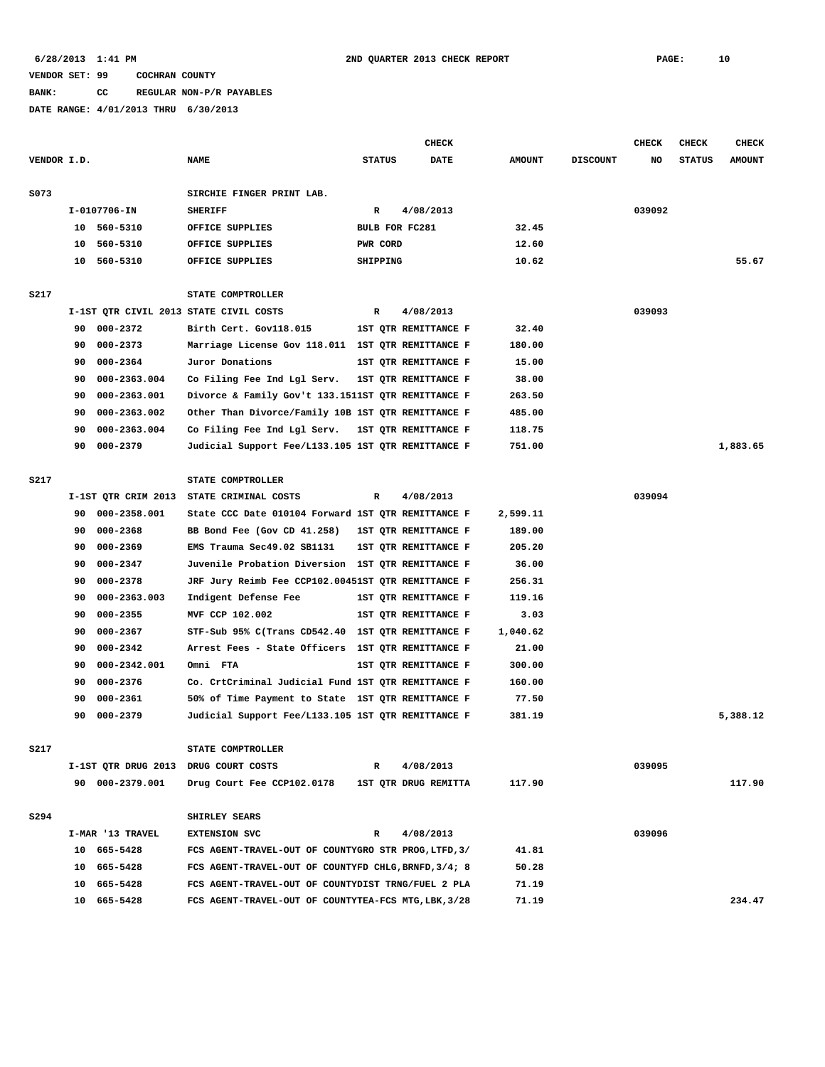#### **BANK: CC REGULAR NON-P/R PAYABLES**

|             |    |                     |                                                      |              |               | <b>CHECK</b>         |               |                 | <b>CHECK</b> | <b>CHECK</b>  | <b>CHECK</b>  |
|-------------|----|---------------------|------------------------------------------------------|--------------|---------------|----------------------|---------------|-----------------|--------------|---------------|---------------|
| VENDOR I.D. |    |                     | <b>NAME</b>                                          |              | <b>STATUS</b> | DATE                 | <b>AMOUNT</b> | <b>DISCOUNT</b> | NO           | <b>STATUS</b> | <b>AMOUNT</b> |
|             |    |                     |                                                      |              |               |                      |               |                 |              |               |               |
| S073        |    |                     | SIRCHIE FINGER PRINT LAB.                            |              |               |                      |               |                 |              |               |               |
|             |    | $I-0107706 - IN$    | <b>SHERIFF</b>                                       | $\mathbb{R}$ |               | 4/08/2013            |               |                 | 039092       |               |               |
|             |    | 10 560-5310         | OFFICE SUPPLIES                                      |              |               | BULB FOR FC281       | 32.45         |                 |              |               |               |
|             | 10 | 560-5310            | OFFICE SUPPLIES                                      |              | PWR CORD      |                      | 12.60         |                 |              |               |               |
|             | 10 | 560-5310            | OFFICE SUPPLIES                                      |              | SHIPPING      |                      | 10.62         |                 |              |               | 55.67         |
|             |    |                     |                                                      |              |               |                      |               |                 |              |               |               |
| <b>S217</b> |    |                     | STATE COMPTROLLER                                    |              |               |                      |               |                 |              |               |               |
|             |    |                     | I-1ST QTR CIVIL 2013 STATE CIVIL COSTS               | R            |               | 4/08/2013            |               |                 | 039093       |               |               |
|             | 90 | 000-2372            | Birth Cert. Gov118.015                               |              |               | 1ST QTR REMITTANCE F | 32.40         |                 |              |               |               |
|             | 90 | 000-2373            | Marriage License Gov 118.011 1ST QTR REMITTANCE F    |              |               |                      | 180.00        |                 |              |               |               |
|             | 90 | 000-2364            | Juror Donations                                      |              |               | 1ST QTR REMITTANCE F | 15.00         |                 |              |               |               |
|             | 90 | 000-2363.004        | Co Filing Fee Ind Lgl Serv.                          |              |               | 1ST QTR REMITTANCE F | 38.00         |                 |              |               |               |
|             | 90 | 000-2363.001        | Divorce & Family Gov't 133.1511ST QTR REMITTANCE F   |              |               |                      | 263.50        |                 |              |               |               |
|             | 90 | 000-2363.002        | Other Than Divorce/Family 10B 1ST QTR REMITTANCE F   |              |               |                      | 485.00        |                 |              |               |               |
|             | 90 | 000-2363.004        | Co Filing Fee Ind Lgl Serv.                          |              |               | 1ST QTR REMITTANCE F | 118.75        |                 |              |               |               |
|             | 90 | 000-2379            | Judicial Support Fee/L133.105 1ST QTR REMITTANCE F   |              |               |                      | 751.00        |                 |              |               | 1,883.65      |
|             |    |                     |                                                      |              |               |                      |               |                 |              |               |               |
| S217        |    |                     | STATE COMPTROLLER                                    |              |               |                      |               |                 |              |               |               |
|             |    | I-1ST QTR CRIM 2013 | STATE CRIMINAL COSTS                                 | R            |               | 4/08/2013            |               |                 | 039094       |               |               |
|             | 90 | 000-2358.001        | State CCC Date 010104 Forward 1ST QTR REMITTANCE F   |              |               |                      | 2,599.11      |                 |              |               |               |
|             | 90 | 000-2368            | BB Bond Fee (Gov CD 41.258)                          |              |               | 1ST QTR REMITTANCE F | 189.00        |                 |              |               |               |
|             | 90 | 000-2369            | EMS Trauma Sec49.02 SB1131                           |              |               | 1ST OTR REMITTANCE F | 205.20        |                 |              |               |               |
|             | 90 | $000 - 2347$        | Juvenile Probation Diversion 1ST QTR REMITTANCE F    |              |               |                      | 36.00         |                 |              |               |               |
|             | 90 | 000-2378            | JRF Jury Reimb Fee CCP102.00451ST QTR REMITTANCE F   |              |               |                      | 256.31        |                 |              |               |               |
|             | 90 | 000-2363.003        | Indigent Defense Fee                                 |              |               | 1ST QTR REMITTANCE F | 119.16        |                 |              |               |               |
|             | 90 | 000-2355            | MVF CCP 102.002                                      |              |               | 1ST QTR REMITTANCE F | 3.03          |                 |              |               |               |
|             | 90 | $000 - 2367$        | STF-Sub 95% C(Trans CD542.40 1ST QTR REMITTANCE F    |              |               |                      | 1,040.62      |                 |              |               |               |
|             | 90 | $000 - 2342$        | Arrest Fees - State Officers 1ST QTR REMITTANCE F    |              |               |                      | 21.00         |                 |              |               |               |
|             | 90 | 000-2342.001        | Omni FTA                                             |              |               | 1ST QTR REMITTANCE F | 300.00        |                 |              |               |               |
|             | 90 | 000-2376            | Co. CrtCriminal Judicial Fund 1ST QTR REMITTANCE F   |              |               |                      | 160.00        |                 |              |               |               |
|             | 90 | 000-2361            | 50% of Time Payment to State 1ST QTR REMITTANCE F    |              |               |                      | 77.50         |                 |              |               |               |
|             | 90 | 000-2379            | Judicial Support Fee/L133.105 1ST QTR REMITTANCE F   |              |               |                      | 381.19        |                 |              |               | 5,388.12      |
|             |    |                     |                                                      |              |               |                      |               |                 |              |               |               |
| S217        |    |                     | STATE COMPTROLLER                                    |              |               |                      |               |                 |              |               |               |
|             |    |                     | I-1ST QTR DRUG 2013 DRUG COURT COSTS                 | R            |               | 4/08/2013            |               |                 | 039095       |               |               |
|             |    | 90 000-2379.001     | Drug Court Fee CCP102.0178                           |              |               | 1ST QTR DRUG REMITTA | 117.90        |                 |              |               | 117.90        |
|             |    |                     |                                                      |              |               |                      |               |                 |              |               |               |
| S294        |    |                     | SHIRLEY SEARS                                        |              |               |                      |               |                 |              |               |               |
|             |    | I-MAR '13 TRAVEL    | <b>EXTENSION SVC</b>                                 | R            |               | 4/08/2013            |               |                 | 039096       |               |               |
|             |    | 10 665-5428         | FCS AGENT-TRAVEL-OUT OF COUNTYGRO STR PROG, LTFD, 3/ |              |               |                      | 41.81         |                 |              |               |               |
|             |    | 10 665-5428         | FCS AGENT-TRAVEL-OUT OF COUNTYFD CHLG, BRNFD, 3/4; 8 |              |               |                      | 50.28         |                 |              |               |               |
|             |    | 10 665-5428         | FCS AGENT-TRAVEL-OUT OF COUNTYDIST TRNG/FUEL 2 PLA   |              |               |                      | 71.19         |                 |              |               |               |
|             |    | 10 665-5428         | FCS AGENT-TRAVEL-OUT OF COUNTYTEA-FCS MTG, LBK, 3/28 |              |               |                      | 71.19         |                 |              |               | 234.47        |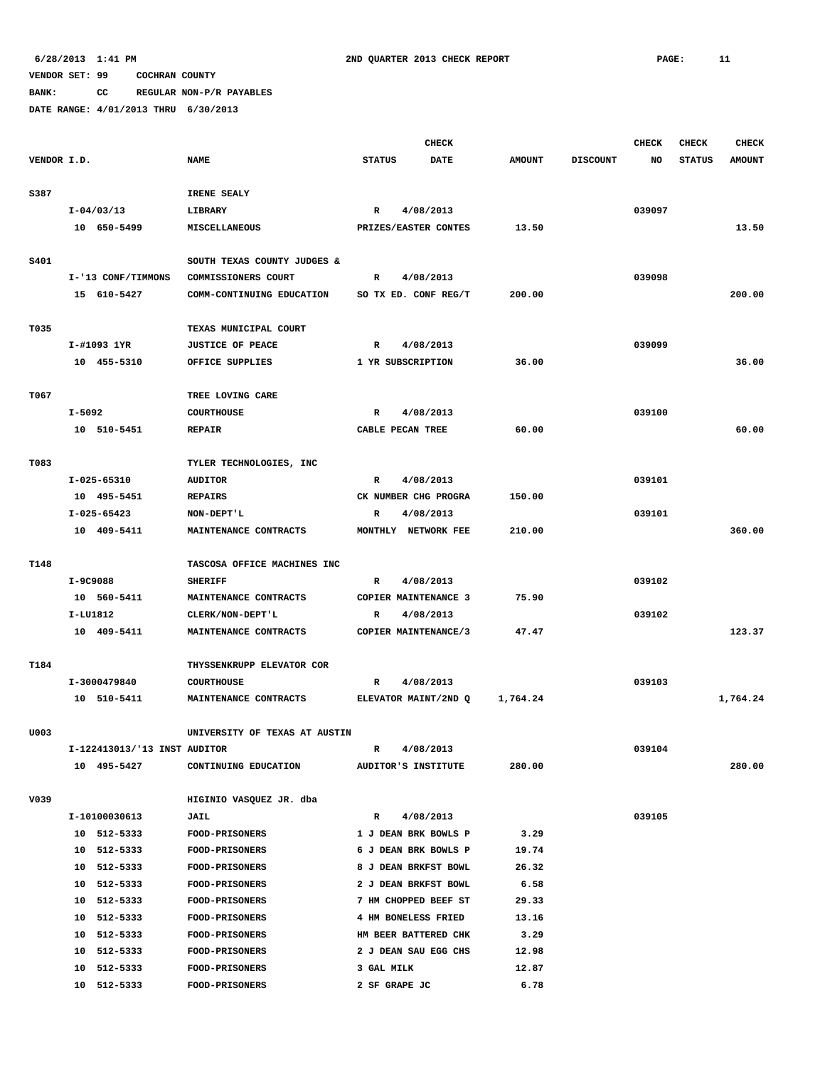**BANK: CC REGULAR NON-P/R PAYABLES**

|             |          |                              |                               |                        | <b>CHECK</b>         |               |                 | <b>CHECK</b> | <b>CHECK</b>  | <b>CHECK</b>  |
|-------------|----------|------------------------------|-------------------------------|------------------------|----------------------|---------------|-----------------|--------------|---------------|---------------|
| VENDOR I.D. |          |                              | <b>NAME</b>                   | <b>STATUS</b>          | DATE                 | <b>AMOUNT</b> | <b>DISCOUNT</b> | NO           | <b>STATUS</b> | <b>AMOUNT</b> |
|             |          |                              |                               |                        |                      |               |                 |              |               |               |
| S387        |          |                              | IRENE SEALY                   |                        |                      |               |                 |              |               |               |
|             |          | $I - 04/03/13$               | LIBRARY                       | R                      | 4/08/2013            |               |                 | 039097       |               |               |
|             |          | 10 650-5499                  | MISCELLANEOUS                 |                        | PRIZES/EASTER CONTES | 13.50         |                 |              |               | 13.50         |
|             |          |                              |                               |                        |                      |               |                 |              |               |               |
| S401        |          |                              | SOUTH TEXAS COUNTY JUDGES &   |                        |                      |               |                 |              |               |               |
|             |          | I-'13 CONF/TIMMONS           | COMMISSIONERS COURT           | R                      | 4/08/2013            |               |                 | 039098       |               |               |
|             |          | 15 610-5427                  | COMM-CONTINUING EDUCATION     |                        | SO TX ED. CONF REG/T | 200.00        |                 |              |               | 200.00        |
|             |          |                              |                               |                        |                      |               |                 |              |               |               |
| T035        |          |                              | TEXAS MUNICIPAL COURT         |                        |                      |               |                 |              |               |               |
|             |          | I-#1093 1YR<br>10 455-5310   | <b>JUSTICE OF PEACE</b>       | R<br>1 YR SUBSCRIPTION | 4/08/2013            | 36.00         |                 | 039099       |               | 36.00         |
|             |          |                              | OFFICE SUPPLIES               |                        |                      |               |                 |              |               |               |
| T067        |          |                              | TREE LOVING CARE              |                        |                      |               |                 |              |               |               |
|             | $I-5092$ |                              | <b>COURTHOUSE</b>             | $\mathbb{R}$           | 4/08/2013            |               |                 | 039100       |               |               |
|             |          | 10 510-5451                  | <b>REPAIR</b>                 | CABLE PECAN TREE       |                      | 60.00         |                 |              |               | 60.00         |
|             |          |                              |                               |                        |                      |               |                 |              |               |               |
| T083        |          |                              | TYLER TECHNOLOGIES, INC       |                        |                      |               |                 |              |               |               |
|             |          | I-025-65310                  | <b>AUDITOR</b>                | R                      | 4/08/2013            |               |                 | 039101       |               |               |
|             |          | 10 495-5451                  | <b>REPAIRS</b>                |                        | CK NUMBER CHG PROGRA | 150.00        |                 |              |               |               |
|             |          | I-025-65423                  | NON-DEPT'L                    | R                      | 4/08/2013            |               |                 | 039101       |               |               |
|             |          | 10 409-5411                  | MAINTENANCE CONTRACTS         |                        | MONTHLY NETWORK FEE  | 210.00        |                 |              |               | 360.00        |
|             |          |                              |                               |                        |                      |               |                 |              |               |               |
| T148        |          |                              | TASCOSA OFFICE MACHINES INC   |                        |                      |               |                 |              |               |               |
|             | I-9C9088 |                              | <b>SHERIFF</b>                | R                      | 4/08/2013            |               |                 | 039102       |               |               |
|             |          | 10 560-5411                  | MAINTENANCE CONTRACTS         |                        | COPIER MAINTENANCE 3 | 75.90         |                 |              |               |               |
|             | I-LU1812 |                              | CLERK/NON-DEPT'L              | R                      | 4/08/2013            |               |                 | 039102       |               |               |
|             |          | 10 409-5411                  | MAINTENANCE CONTRACTS         |                        | COPIER MAINTENANCE/3 | 47.47         |                 |              |               | 123.37        |
|             |          |                              |                               |                        |                      |               |                 |              |               |               |
| T184        |          |                              | THYSSENKRUPP ELEVATOR COR     |                        |                      |               |                 |              |               |               |
|             |          | I-3000479840                 | <b>COURTHOUSE</b>             | R                      | 4/08/2013            |               |                 | 039103       |               |               |
|             |          | 10 510-5411                  | MAINTENANCE CONTRACTS         |                        | ELEVATOR MAINT/2ND Q | 1,764.24      |                 |              |               | 1,764.24      |
|             |          |                              |                               |                        |                      |               |                 |              |               |               |
| U003        |          |                              | UNIVERSITY OF TEXAS AT AUSTIN |                        |                      |               |                 |              |               |               |
|             |          | I-122413013/'13 INST AUDITOR |                               | R                      | 4/08/2013            |               |                 | 039104       |               |               |
|             |          | 10 495-5427                  | CONTINUING EDUCATION          |                        | AUDITOR'S INSTITUTE  | 280.00        |                 |              |               | 280.00        |
| V039        |          |                              | HIGINIO VASQUEZ JR. dba       |                        |                      |               |                 |              |               |               |
|             |          | I-10100030613                | <b>JAIL</b>                   | $\mathbb{R}$           | 4/08/2013            |               |                 | 039105       |               |               |
|             |          | 10 512-5333                  | <b>FOOD-PRISONERS</b>         |                        | 1 J DEAN BRK BOWLS P | 3.29          |                 |              |               |               |
|             |          | 10 512-5333                  | <b>FOOD-PRISONERS</b>         |                        | 6 J DEAN BRK BOWLS P | 19.74         |                 |              |               |               |
|             |          | 10 512-5333                  | <b>FOOD-PRISONERS</b>         |                        | 8 J DEAN BRKFST BOWL | 26.32         |                 |              |               |               |
|             |          | 10 512-5333                  | <b>FOOD-PRISONERS</b>         |                        | 2 J DEAN BRKFST BOWL | 6.58          |                 |              |               |               |
|             |          | 10 512-5333                  | FOOD-PRISONERS                |                        | 7 HM CHOPPED BEEF ST | 29.33         |                 |              |               |               |
|             |          | 10 512-5333                  | <b>FOOD-PRISONERS</b>         |                        | 4 HM BONELESS FRIED  | 13.16         |                 |              |               |               |
|             |          | 10 512-5333                  | <b>FOOD-PRISONERS</b>         |                        | HM BEER BATTERED CHK | 3.29          |                 |              |               |               |
|             |          | 10 512-5333                  | <b>FOOD-PRISONERS</b>         |                        | 2 J DEAN SAU EGG CHS | 12.98         |                 |              |               |               |
|             |          | 10 512-5333                  | <b>FOOD-PRISONERS</b>         | 3 GAL MILK             |                      | 12.87         |                 |              |               |               |
|             |          | 10 512-5333                  | <b>FOOD-PRISONERS</b>         | 2 SF GRAPE JC          |                      | 6.78          |                 |              |               |               |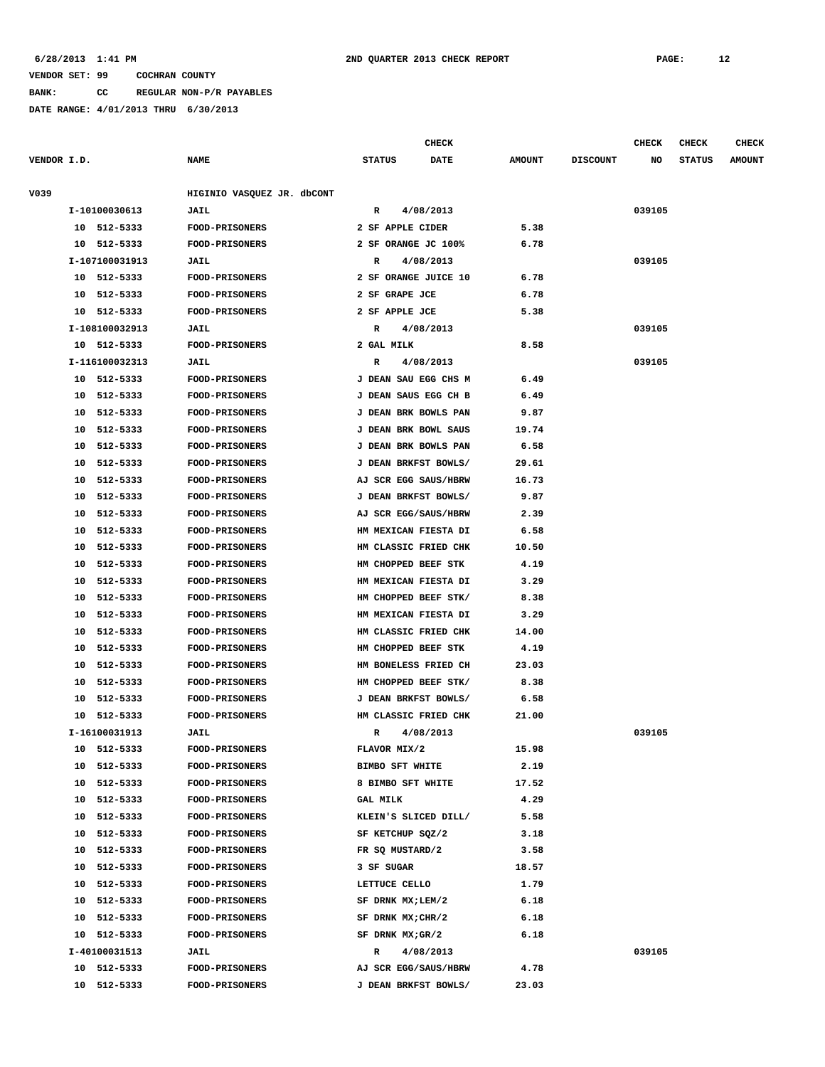**BANK: CC REGULAR NON-P/R PAYABLES**

|             |    |                |                            |                        |           | CHECK       |               |                 | <b>CHECK</b> | <b>CHECK</b>  | <b>CHECK</b>  |
|-------------|----|----------------|----------------------------|------------------------|-----------|-------------|---------------|-----------------|--------------|---------------|---------------|
| VENDOR I.D. |    |                | <b>NAME</b>                | <b>STATUS</b>          |           | <b>DATE</b> | <b>AMOUNT</b> | <b>DISCOUNT</b> | NO           | <b>STATUS</b> | <b>AMOUNT</b> |
| V039        |    |                | HIGINIO VASQUEZ JR. dbCONT |                        |           |             |               |                 |              |               |               |
|             |    | I-10100030613  | <b>JAIL</b>                | R                      | 4/08/2013 |             |               |                 | 039105       |               |               |
|             |    | 10 512-5333    | <b>FOOD-PRISONERS</b>      | 2 SF APPLE CIDER       |           |             | 5.38          |                 |              |               |               |
|             |    | 10 512-5333    | FOOD-PRISONERS             | 2 SF ORANGE JC 100%    |           |             | 6.78          |                 |              |               |               |
|             |    | I-107100031913 | JAIL                       | R                      | 4/08/2013 |             |               |                 | 039105       |               |               |
|             |    | 10 512-5333    | <b>FOOD-PRISONERS</b>      | 2 SF ORANGE JUICE 10   |           |             | 6.78          |                 |              |               |               |
|             |    | 10 512-5333    | FOOD-PRISONERS             | 2 SF GRAPE JCE         |           |             | 6.78          |                 |              |               |               |
|             |    | 10 512-5333    | <b>FOOD-PRISONERS</b>      | 2 SF APPLE JCE         |           |             | 5.38          |                 |              |               |               |
|             |    | I-108100032913 | JAIL                       | R                      | 4/08/2013 |             |               |                 | 039105       |               |               |
|             |    | 10 512-5333    | <b>FOOD-PRISONERS</b>      | 2 GAL MILK             |           |             | 8.58          |                 |              |               |               |
|             |    | I-116100032313 | JAIL                       | R                      | 4/08/2013 |             |               |                 | 039105       |               |               |
|             |    | 10 512-5333    | <b>FOOD-PRISONERS</b>      | J DEAN SAU EGG CHS M   |           |             | 6.49          |                 |              |               |               |
|             |    | 10 512-5333    | FOOD-PRISONERS             | J DEAN SAUS EGG CH B   |           |             | 6.49          |                 |              |               |               |
|             | 10 | 512-5333       | FOOD-PRISONERS             | J DEAN BRK BOWLS PAN   |           |             | 9.87          |                 |              |               |               |
|             |    | 10 512-5333    | <b>FOOD-PRISONERS</b>      | J DEAN BRK BOWL SAUS   |           |             | 19.74         |                 |              |               |               |
|             |    | 10 512-5333    | <b>FOOD-PRISONERS</b>      | J DEAN BRK BOWLS PAN   |           |             | 6.58          |                 |              |               |               |
|             | 10 | 512-5333       | FOOD-PRISONERS             | J DEAN BRKFST BOWLS/   |           |             | 29.61         |                 |              |               |               |
|             | 10 | 512-5333       | <b>FOOD-PRISONERS</b>      | AJ SCR EGG SAUS/HBRW   |           |             | 16.73         |                 |              |               |               |
|             | 10 | 512-5333       | <b>FOOD-PRISONERS</b>      | J DEAN BRKFST BOWLS/   |           |             | 9.87          |                 |              |               |               |
|             | 10 | 512-5333       | FOOD-PRISONERS             | AJ SCR EGG/SAUS/HBRW   |           |             | 2.39          |                 |              |               |               |
|             | 10 | 512-5333       | <b>FOOD-PRISONERS</b>      | HM MEXICAN FIESTA DI   |           |             | 6.58          |                 |              |               |               |
|             | 10 | 512-5333       | <b>FOOD-PRISONERS</b>      | HM CLASSIC FRIED CHK   |           |             | 10.50         |                 |              |               |               |
|             | 10 | 512-5333       | <b>FOOD-PRISONERS</b>      | HM CHOPPED BEEF STK    |           |             | 4.19          |                 |              |               |               |
|             | 10 | 512-5333       | <b>FOOD-PRISONERS</b>      | HM MEXICAN FIESTA DI   |           |             | 3.29          |                 |              |               |               |
|             | 10 | 512-5333       | <b>FOOD-PRISONERS</b>      | HM CHOPPED BEEF STK/   |           |             | 8.38          |                 |              |               |               |
|             | 10 | 512-5333       | <b>FOOD-PRISONERS</b>      | HM MEXICAN FIESTA DI   |           |             | 3.29          |                 |              |               |               |
|             |    | 10 512-5333    | <b>FOOD-PRISONERS</b>      | HM CLASSIC FRIED CHK   |           |             | 14.00         |                 |              |               |               |
|             | 10 | 512-5333       | <b>FOOD-PRISONERS</b>      | HM CHOPPED BEEF STK    |           |             | 4.19          |                 |              |               |               |
|             | 10 | 512-5333       | FOOD-PRISONERS             | HM BONELESS FRIED CH   |           |             | 23.03         |                 |              |               |               |
|             | 10 | 512-5333       | FOOD-PRISONERS             | HM CHOPPED BEEF STK/   |           |             | 8.38          |                 |              |               |               |
|             | 10 | 512-5333       | <b>FOOD-PRISONERS</b>      | J DEAN BRKFST BOWLS/   |           |             | 6.58          |                 |              |               |               |
|             |    | 10 512-5333    | <b>FOOD-PRISONERS</b>      | HM CLASSIC FRIED CHK   |           |             | 21.00         |                 |              |               |               |
|             |    | I-16100031913  | JAIL                       | R                      | 4/08/2013 |             |               |                 | 039105       |               |               |
|             |    | 10 512-5333    | <b>FOOD-PRISONERS</b>      | FLAVOR MIX/2           |           |             | 15.98         |                 |              |               |               |
|             |    | 10 512-5333    | <b>FOOD-PRISONERS</b>      | <b>BIMBO SFT WHITE</b> |           |             | 2.19          |                 |              |               |               |
|             |    | 10 512-5333    | <b>FOOD-PRISONERS</b>      | 8 BIMBO SFT WHITE      |           |             | 17.52         |                 |              |               |               |
|             |    | 10 512-5333    | <b>FOOD-PRISONERS</b>      | <b>GAL MILK</b>        |           |             | 4.29          |                 |              |               |               |
|             |    | 10 512-5333    | <b>FOOD-PRISONERS</b>      | KLEIN'S SLICED DILL/   |           |             | 5.58          |                 |              |               |               |
|             |    | 10 512-5333    | <b>FOOD-PRISONERS</b>      | SF KETCHUP SQZ/2       |           |             | 3.18          |                 |              |               |               |
|             |    | 10 512-5333    | <b>FOOD-PRISONERS</b>      | FR SQ MUSTARD/2        |           |             | 3.58          |                 |              |               |               |
|             |    | 10 512-5333    | <b>FOOD-PRISONERS</b>      | 3 SF SUGAR             |           |             | 18.57         |                 |              |               |               |
|             |    | 10 512-5333    | <b>FOOD-PRISONERS</b>      | LETTUCE CELLO          |           |             | 1.79          |                 |              |               |               |
|             |    | 10 512-5333    | <b>FOOD-PRISONERS</b>      | SF DRNK MX;LEM/2       |           |             | 6.18          |                 |              |               |               |
|             |    | 10 512-5333    | <b>FOOD-PRISONERS</b>      | SF DRNK $MX;CHR/2$     |           |             | 6.18          |                 |              |               |               |
|             |    | 10 512-5333    | <b>FOOD-PRISONERS</b>      | SF DRNK $MX; GR/2$     |           |             | 6.18          |                 |              |               |               |
|             |    | I-40100031513  | <b>JAIL</b>                | $\mathbb{R}$           | 4/08/2013 |             |               |                 | 039105       |               |               |
|             |    | 10 512-5333    | <b>FOOD-PRISONERS</b>      | AJ SCR EGG/SAUS/HBRW   |           |             | 4.78          |                 |              |               |               |
|             |    | 10 512-5333    | <b>FOOD-PRISONERS</b>      | J DEAN BRKFST BOWLS/   |           |             | 23.03         |                 |              |               |               |
|             |    |                |                            |                        |           |             |               |                 |              |               |               |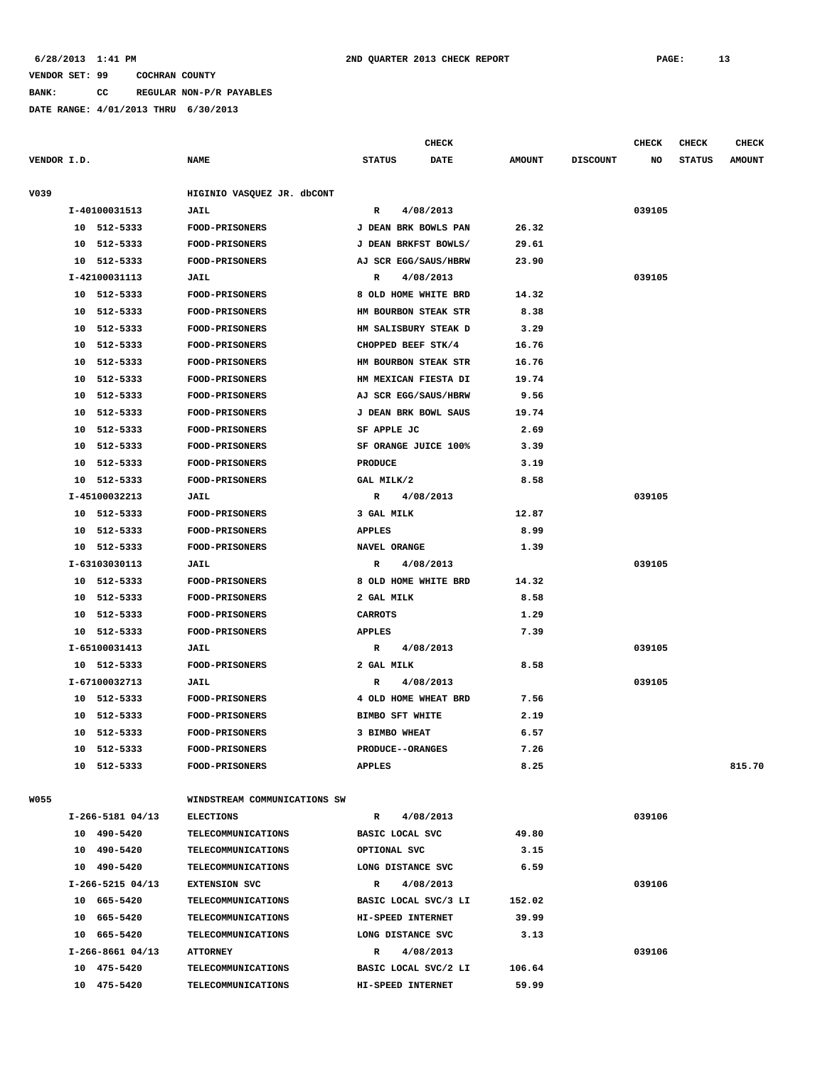**BANK: CC REGULAR NON-P/R PAYABLES**

|             |    |                    |                              |                | CHECK                   |               |                 | CHECK  | CHECK         | <b>CHECK</b>  |
|-------------|----|--------------------|------------------------------|----------------|-------------------------|---------------|-----------------|--------|---------------|---------------|
| VENDOR I.D. |    |                    | <b>NAME</b>                  | <b>STATUS</b>  | DATE                    | <b>AMOUNT</b> | <b>DISCOUNT</b> | NO     | <b>STATUS</b> | <b>AMOUNT</b> |
| V039        |    |                    | HIGINIO VASQUEZ JR. dbCONT   |                |                         |               |                 |        |               |               |
|             |    | I-40100031513      | <b>JAIL</b>                  | R              | 4/08/2013               |               |                 | 039105 |               |               |
|             |    | 10 512-5333        | FOOD-PRISONERS               |                | J DEAN BRK BOWLS PAN    | 26.32         |                 |        |               |               |
|             | 10 | 512-5333           | <b>FOOD-PRISONERS</b>        |                | J DEAN BRKFST BOWLS/    | 29.61         |                 |        |               |               |
|             | 10 | 512-5333           | <b>FOOD-PRISONERS</b>        |                | AJ SCR EGG/SAUS/HBRW    | 23.90         |                 |        |               |               |
|             |    | I-42100031113      | JAIL                         | R              | 4/08/2013               |               |                 | 039105 |               |               |
|             | 10 | 512-5333           | FOOD-PRISONERS               |                | 8 OLD HOME WHITE BRD    | 14.32         |                 |        |               |               |
|             | 10 | 512-5333           | <b>FOOD-PRISONERS</b>        |                | HM BOURBON STEAK STR    | 8.38          |                 |        |               |               |
|             | 10 | 512-5333           | <b>FOOD-PRISONERS</b>        |                | HM SALISBURY STEAK D    | 3.29          |                 |        |               |               |
|             | 10 | 512-5333           | <b>FOOD-PRISONERS</b>        |                | CHOPPED BEEF STK/4      | 16.76         |                 |        |               |               |
|             | 10 | 512-5333           | <b>FOOD-PRISONERS</b>        |                | HM BOURBON STEAK STR    | 16.76         |                 |        |               |               |
|             | 10 | 512-5333           | <b>FOOD-PRISONERS</b>        |                | HM MEXICAN FIESTA DI    | 19.74         |                 |        |               |               |
|             | 10 | 512-5333           | FOOD-PRISONERS               |                | AJ SCR EGG/SAUS/HBRW    | 9.56          |                 |        |               |               |
|             | 10 | 512-5333           | FOOD-PRISONERS               |                | J DEAN BRK BOWL SAUS    | 19.74         |                 |        |               |               |
|             | 10 | 512-5333           | FOOD-PRISONERS               | SF APPLE JC    |                         | 2.69          |                 |        |               |               |
|             | 10 | 512-5333           | <b>FOOD-PRISONERS</b>        |                | SF ORANGE JUICE 100%    | 3.39          |                 |        |               |               |
|             | 10 | 512-5333           | FOOD-PRISONERS               | <b>PRODUCE</b> |                         | 3.19          |                 |        |               |               |
|             | 10 | 512-5333           | FOOD-PRISONERS               | GAL MILK/2     |                         | 8.58          |                 |        |               |               |
|             |    | I-45100032213      | <b>JAIL</b>                  | R              | 4/08/2013               |               |                 | 039105 |               |               |
|             | 10 | 512-5333           | FOOD-PRISONERS               | 3 GAL MILK     |                         | 12.87         |                 |        |               |               |
|             | 10 | 512-5333           | FOOD-PRISONERS               | <b>APPLES</b>  |                         | 8.99          |                 |        |               |               |
|             | 10 | 512-5333           | <b>FOOD-PRISONERS</b>        | NAVEL ORANGE   |                         | 1.39          |                 |        |               |               |
|             |    | I-63103030113      | <b>JAIL</b>                  | R              | 4/08/2013               |               |                 | 039105 |               |               |
|             |    | 10 512-5333        | FOOD-PRISONERS               |                | 8 OLD HOME WHITE BRD    | 14.32         |                 |        |               |               |
|             |    | 10 512-5333        | <b>FOOD-PRISONERS</b>        | 2 GAL MILK     |                         | 8.58          |                 |        |               |               |
|             | 10 | 512-5333           | FOOD-PRISONERS               | <b>CARROTS</b> |                         | 1.29          |                 |        |               |               |
|             |    | 10 512-5333        | FOOD-PRISONERS               | <b>APPLES</b>  |                         | 7.39          |                 |        |               |               |
|             |    | I-65100031413      | <b>JAIL</b>                  | R              | 4/08/2013               |               |                 | 039105 |               |               |
|             |    | 10 512-5333        | FOOD-PRISONERS               | 2 GAL MILK     |                         | 8.58          |                 |        |               |               |
|             |    | I-67100032713      | <b>JAIL</b>                  | R              | 4/08/2013               |               |                 | 039105 |               |               |
|             |    | 10 512-5333        | <b>FOOD-PRISONERS</b>        |                | 4 OLD HOME WHEAT BRD    | 7.56          |                 |        |               |               |
|             | 10 | 512-5333           | <b>FOOD-PRISONERS</b>        |                | <b>BIMBO SFT WHITE</b>  | 2.19          |                 |        |               |               |
|             | 10 | 512-5333           | <b>FOOD-PRISONERS</b>        |                | 3 BIMBO WHEAT           | 6.57          |                 |        |               |               |
|             |    | 10 512-5333        | <b>FOOD-PRISONERS</b>        |                | <b>PRODUCE--ORANGES</b> | 7.26          |                 |        |               |               |
|             |    | 10 512-5333        | <b>FOOD-PRISONERS</b>        | <b>APPLES</b>  |                         | 8.25          |                 |        |               | 815.70        |
|             |    |                    |                              |                |                         |               |                 |        |               |               |
| <b>W055</b> |    |                    | WINDSTREAM COMMUNICATIONS SW |                |                         |               |                 |        |               |               |
|             |    | $I-266-5181$ 04/13 | <b>ELECTIONS</b>             | R              | 4/08/2013               |               |                 | 039106 |               |               |
|             |    | 10 490-5420        | <b>TELECOMMUNICATIONS</b>    |                | BASIC LOCAL SVC         | 49.80         |                 |        |               |               |
|             |    | 10 490-5420        | <b>TELECOMMUNICATIONS</b>    | OPTIONAL SVC   |                         | 3.15          |                 |        |               |               |
|             |    | 10 490-5420        | <b>TELECOMMUNICATIONS</b>    |                | LONG DISTANCE SVC       | 6.59          |                 |        |               |               |
|             |    | I-266-5215 04/13   | <b>EXTENSION SVC</b>         | R              | 4/08/2013               |               |                 | 039106 |               |               |
|             |    | 10 665-5420        | <b>TELECOMMUNICATIONS</b>    |                | BASIC LOCAL SVC/3 LI    | 152.02        |                 |        |               |               |
|             |    | 10 665-5420        | <b>TELECOMMUNICATIONS</b>    |                | HI-SPEED INTERNET       | 39.99         |                 |        |               |               |
|             |    | 10 665-5420        | <b>TELECOMMUNICATIONS</b>    |                | LONG DISTANCE SVC       | 3.13          |                 |        |               |               |
|             |    | $I-266-8661$ 04/13 | <b>ATTORNEY</b>              | R              | 4/08/2013               |               |                 | 039106 |               |               |
|             |    | 10 475-5420        | <b>TELECOMMUNICATIONS</b>    |                | BASIC LOCAL SVC/2 LI    | 106.64        |                 |        |               |               |
|             |    | 10 475-5420        | TELECOMMUNICATIONS           |                | HI-SPEED INTERNET       | 59.99         |                 |        |               |               |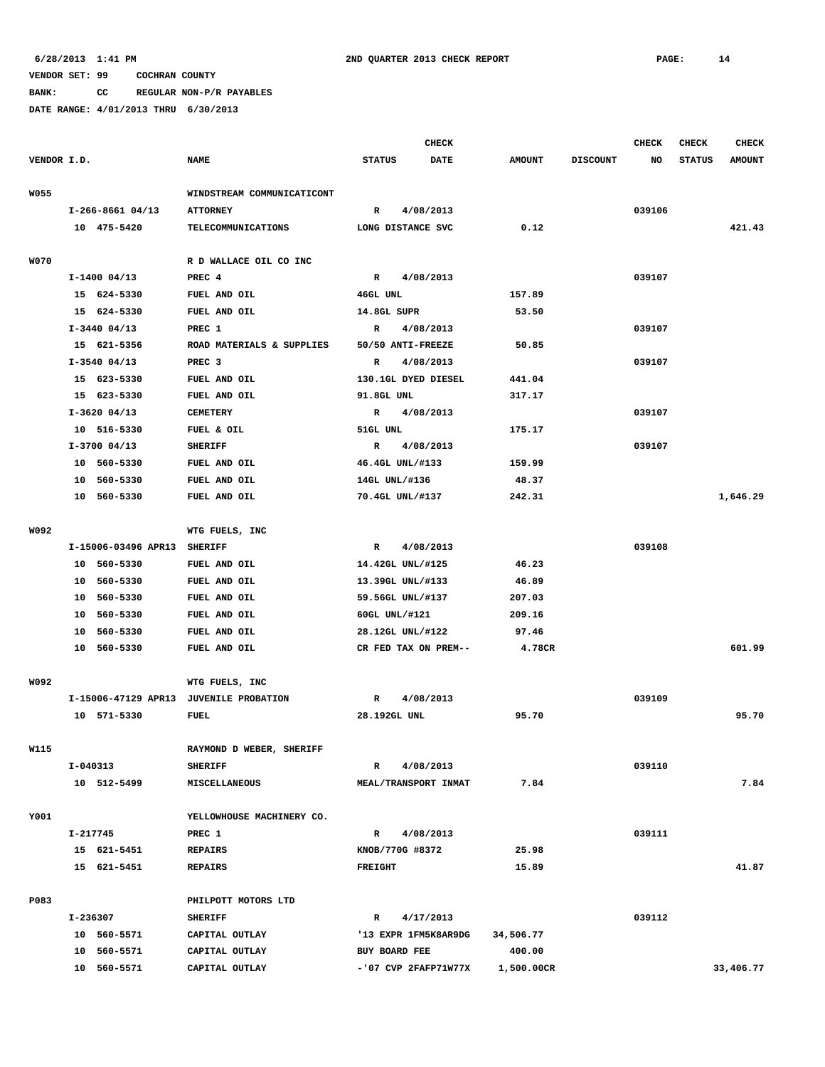**BANK: CC REGULAR NON-P/R PAYABLES**

|             |          |                     |                                        |                      | <b>CHECK</b>           |               |                 | <b>CHECK</b> | <b>CHECK</b>  | <b>CHECK</b>  |
|-------------|----------|---------------------|----------------------------------------|----------------------|------------------------|---------------|-----------------|--------------|---------------|---------------|
| VENDOR I.D. |          |                     | <b>NAME</b>                            | <b>STATUS</b>        | <b>DATE</b>            | <b>AMOUNT</b> | <b>DISCOUNT</b> | NO           | <b>STATUS</b> | <b>AMOUNT</b> |
| <b>W055</b> |          |                     | WINDSTREAM COMMUNICATICONT             |                      |                        |               |                 |              |               |               |
|             |          | $I-266-8661$ 04/13  | <b>ATTORNEY</b>                        | R                    | 4/08/2013              |               |                 | 039106       |               |               |
|             |          | 10 475-5420         | <b>TELECOMMUNICATIONS</b>              | LONG DISTANCE SVC    |                        | 0.12          |                 |              |               | 421.43        |
|             |          |                     |                                        |                      |                        |               |                 |              |               |               |
| <b>W070</b> |          |                     | R D WALLACE OIL CO INC                 |                      |                        |               |                 |              |               |               |
|             |          | $I-1400$ 04/13      | PREC 4                                 | $\mathbb{R}$         | 4/08/2013              |               |                 | 039107       |               |               |
|             |          | 15 624-5330         | FUEL AND OIL                           | 46GL UNL             |                        | 157.89        |                 |              |               |               |
|             |          | 15 624-5330         | FUEL AND OIL                           | 14.8GL SUPR          |                        | 53.50         |                 |              |               |               |
|             |          | $I-3440$ 04/13      | PREC 1                                 | $\mathbb{R}$         | 4/08/2013              |               |                 | 039107       |               |               |
|             |          | 15 621-5356         | ROAD MATERIALS & SUPPLIES              | 50/50 ANTI-FREEZE    |                        | 50.85         |                 |              |               |               |
|             |          | $I-3540$ 04/13      | PREC <sub>3</sub>                      | $\mathbb{R}$         | 4/08/2013              |               |                 | 039107       |               |               |
|             |          | 15 623-5330         | FUEL AND OIL                           | 130.1GL DYED DIESEL  |                        | 441.04        |                 |              |               |               |
|             |          | 15 623-5330         | FUEL AND OIL                           | 91.8GL UNL           |                        | 317.17        |                 |              |               |               |
|             |          | $I-3620$ 04/13      | <b>CEMETERY</b>                        | R                    | 4/08/2013              |               |                 | 039107       |               |               |
|             |          | 10 516-5330         | FUEL & OIL                             | 51GL UNL             |                        | 175.17        |                 |              |               |               |
|             |          | $I-3700$ 04/13      | <b>SHERIFF</b>                         | R                    | 4/08/2013              |               |                 | 039107       |               |               |
|             |          | 10 560-5330         | FUEL AND OIL                           | 46.4GL UNL/#133      |                        | 159.99        |                 |              |               |               |
|             | 10       | 560-5330            | FUEL AND OIL                           | 14GL UNL/#136        |                        | 48.37         |                 |              |               |               |
|             |          | 10 560-5330         | FUEL AND OIL                           | 70.4GL UNL/#137      |                        | 242.31        |                 |              |               | 1,646.29      |
| W092        |          |                     | WTG FUELS, INC                         |                      |                        |               |                 |              |               |               |
|             |          | I-15006-03496 APR13 | <b>SHERIFF</b>                         | $\mathbb{R}$         | 4/08/2013              |               |                 | 039108       |               |               |
|             |          | 10 560-5330         | FUEL AND OIL                           | 14.42GL UNL/#125     |                        | 46.23         |                 |              |               |               |
|             |          | 10 560-5330         | FUEL AND OIL                           | 13.39GL UNL/#133     |                        | 46.89         |                 |              |               |               |
|             |          | 10 560-5330         | FUEL AND OIL                           | 59.56GL UNL/#137     |                        | 207.03        |                 |              |               |               |
|             |          | 10 560-5330         | FUEL AND OIL                           | 60GL UNL/#121        |                        | 209.16        |                 |              |               |               |
|             |          | 10 560-5330         | FUEL AND OIL                           | 28.12GL UNL/#122     |                        | 97.46         |                 |              |               |               |
|             |          | 10 560-5330         | FUEL AND OIL                           | CR FED TAX ON PREM-- |                        | 4.78CR        |                 |              |               | 601.99        |
| W092        |          |                     | WTG FUELS, INC                         |                      |                        |               |                 |              |               |               |
|             |          |                     | I-15006-47129 APR13 JUVENILE PROBATION | $\mathbb{R}$         | 4/08/2013              |               |                 | 039109       |               |               |
|             |          | 10 571-5330         | <b>FUEL</b>                            | 28.192GL UNL         |                        | 95.70         |                 |              |               | 95.70         |
|             |          |                     |                                        |                      |                        |               |                 |              |               |               |
| W115        |          |                     | RAYMOND D WEBER, SHERIFF               |                      |                        |               |                 |              |               |               |
|             | I-040313 |                     | <b>SHERIFF</b>                         | R                    | 4/08/2013              |               |                 | 039110       |               |               |
|             |          | 10 512-5499         | <b>MISCELLANEOUS</b>                   | MEAL/TRANSPORT INMAT |                        | 7.84          |                 |              |               | 7.84          |
| Y001        |          |                     | YELLOWHOUSE MACHINERY CO.              |                      |                        |               |                 |              |               |               |
|             | I-217745 |                     | PREC 1                                 | R                    | 4/08/2013              |               |                 | 039111       |               |               |
|             |          | 15 621-5451         | <b>REPAIRS</b>                         | KNOB/770G #8372      |                        | 25.98         |                 |              |               |               |
|             |          | 15 621-5451         | <b>REPAIRS</b>                         | <b>FREIGHT</b>       |                        | 15.89         |                 |              |               | 41.87         |
| P083        |          |                     | PHILPOTT MOTORS LTD                    |                      |                        |               |                 |              |               |               |
|             | I-236307 |                     | <b>SHERIFF</b>                         | R                    | 4/17/2013              |               |                 | 039112       |               |               |
|             |          | 10 560-5571         | CAPITAL OUTLAY                         |                      | '13 EXPR 1FM5K8AR9DG   | 34,506.77     |                 |              |               |               |
|             |          | 10 560-5571         | CAPITAL OUTLAY                         | BUY BOARD FEE        |                        | 400.00        |                 |              |               |               |
|             |          | 10 560-5571         | CAPITAL OUTLAY                         |                      | $-107$ CVP 2FAFP71W77X | 1,500.00CR    |                 |              |               | 33,406.77     |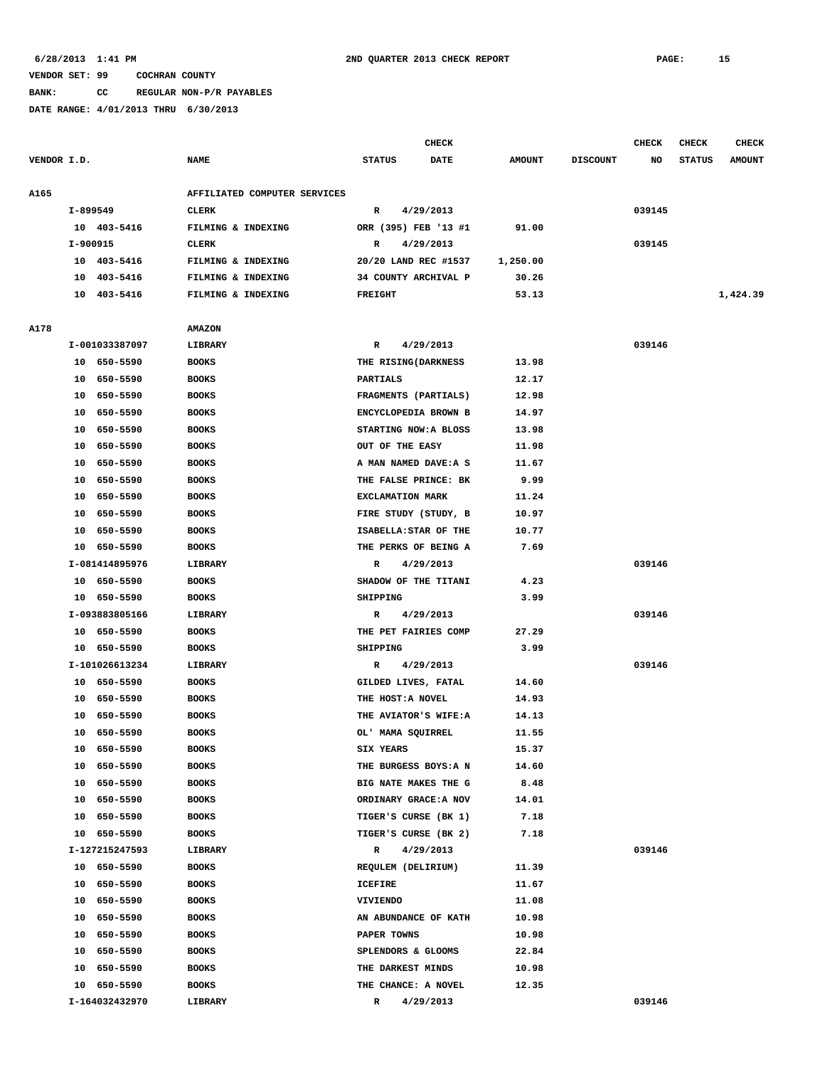**BANK: CC REGULAR NON-P/R PAYABLES**

|             |          |                |                              |                       | <b>CHECK</b> |               |                 | <b>CHECK</b> | <b>CHECK</b>  | <b>CHECK</b>  |
|-------------|----------|----------------|------------------------------|-----------------------|--------------|---------------|-----------------|--------------|---------------|---------------|
| VENDOR I.D. |          |                | <b>NAME</b>                  | <b>STATUS</b>         | <b>DATE</b>  | <b>AMOUNT</b> | <b>DISCOUNT</b> | NO           | <b>STATUS</b> | <b>AMOUNT</b> |
|             |          |                |                              |                       |              |               |                 |              |               |               |
| A165        |          |                | AFFILIATED COMPUTER SERVICES |                       |              |               |                 |              |               |               |
|             | I-899549 |                | <b>CLERK</b>                 | R                     | 4/29/2013    |               |                 | 039145       |               |               |
|             |          | 10 403-5416    | FILMING & INDEXING           | ORR (395) FEB '13 #1  |              | 91.00         |                 |              |               |               |
|             | I-900915 |                | CLERK                        | R                     | 4/29/2013    |               |                 | 039145       |               |               |
|             |          | 10 403-5416    | FILMING & INDEXING           | 20/20 LAND REC #1537  |              | 1,250.00      |                 |              |               |               |
|             |          | 10 403-5416    | FILMING & INDEXING           | 34 COUNTY ARCHIVAL P  |              | 30.26         |                 |              |               |               |
|             |          | 10 403-5416    | FILMING & INDEXING           | <b>FREIGHT</b>        |              | 53.13         |                 |              |               | 1,424.39      |
|             |          |                |                              |                       |              |               |                 |              |               |               |
| A178        |          |                | <b>AMAZON</b>                |                       |              |               |                 |              |               |               |
|             |          | I-001033387097 | LIBRARY                      | R                     | 4/29/2013    |               |                 | 039146       |               |               |
|             |          | 10 650-5590    | <b>BOOKS</b>                 | THE RISING (DARKNESS  |              | 13.98         |                 |              |               |               |
|             |          | 10 650-5590    | <b>BOOKS</b>                 | <b>PARTIALS</b>       |              | 12.17         |                 |              |               |               |
|             |          | 10 650-5590    | <b>BOOKS</b>                 | FRAGMENTS (PARTIALS)  |              | 12.98         |                 |              |               |               |
|             | 10       | 650-5590       | <b>BOOKS</b>                 | ENCYCLOPEDIA BROWN B  |              | 14.97         |                 |              |               |               |
|             |          | 10 650-5590    | <b>BOOKS</b>                 | STARTING NOW: A BLOSS |              | 13.98         |                 |              |               |               |
|             |          | 10 650-5590    | <b>BOOKS</b>                 | OUT OF THE EASY       |              | 11.98         |                 |              |               |               |
|             |          | 10 650-5590    | <b>BOOKS</b>                 | A MAN NAMED DAVE: A S |              | 11.67         |                 |              |               |               |
|             |          | 10 650-5590    | <b>BOOKS</b>                 | THE FALSE PRINCE: BK  |              | 9.99          |                 |              |               |               |
|             |          | 10 650-5590    | <b>BOOKS</b>                 | EXCLAMATION MARK      |              | 11.24         |                 |              |               |               |
|             | 10       | 650-5590       | <b>BOOKS</b>                 | FIRE STUDY (STUDY, B  |              | 10.97         |                 |              |               |               |
|             | 10       | 650-5590       | <b>BOOKS</b>                 | ISABELLA: STAR OF THE |              | 10.77         |                 |              |               |               |
|             |          | 10 650-5590    | <b>BOOKS</b>                 | THE PERKS OF BEING A  |              | 7.69          |                 |              |               |               |
|             |          | I-081414895976 | LIBRARY                      | R                     | 4/29/2013    |               |                 | 039146       |               |               |
|             |          | 10 650-5590    | <b>BOOKS</b>                 | SHADOW OF THE TITANI  |              | 4.23          |                 |              |               |               |
|             |          | 10 650-5590    | <b>BOOKS</b>                 | SHIPPING              |              | 3.99          |                 |              |               |               |
|             |          | I-093883805166 | LIBRARY                      | R                     | 4/29/2013    |               |                 | 039146       |               |               |
|             |          | 10 650-5590    | <b>BOOKS</b>                 | THE PET FAIRIES COMP  |              | 27.29         |                 |              |               |               |
|             |          | 10 650-5590    | <b>BOOKS</b>                 | SHIPPING              |              | 3.99          |                 |              |               |               |
|             |          | I-101026613234 | LIBRARY                      | R                     | 4/29/2013    |               |                 | 039146       |               |               |
|             |          | 10 650-5590    | <b>BOOKS</b>                 | GILDED LIVES, FATAL   |              | 14.60         |                 |              |               |               |
|             |          | 10 650-5590    | <b>BOOKS</b>                 | THE HOST:A NOVEL      |              | 14.93         |                 |              |               |               |
|             | 10       | 650-5590       | <b>BOOKS</b>                 | THE AVIATOR'S WIFE: A |              | 14.13         |                 |              |               |               |
|             |          | 10 650-5590    | <b>BOOKS</b>                 | OL' MAMA SQUIRREL     |              | 11.55         |                 |              |               |               |
|             |          | 10 650-5590    | <b>BOOKS</b>                 | SIX YEARS             |              | 15.37         |                 |              |               |               |
|             | 10       | 650-5590       | <b>BOOKS</b>                 | THE BURGESS BOYS: AN  |              | 14.60         |                 |              |               |               |
|             | 10       | 650-5590       | <b>BOOKS</b>                 | BIG NATE MAKES THE G  |              | 8.48          |                 |              |               |               |
|             |          | 10 650-5590    | <b>BOOKS</b>                 | ORDINARY GRACE: A NOV |              | 14.01         |                 |              |               |               |
|             |          | 10 650-5590    | <b>BOOKS</b>                 | TIGER'S CURSE (BK 1)  |              | 7.18          |                 |              |               |               |
|             |          | 10 650-5590    | <b>BOOKS</b>                 | TIGER'S CURSE (BK 2)  |              | 7.18          |                 |              |               |               |
|             |          | I-127215247593 | LIBRARY                      | $\mathbb{R}$          | 4/29/2013    |               |                 | 039146       |               |               |
|             |          | 10 650-5590    | <b>BOOKS</b>                 | REQULEM (DELIRIUM)    |              | 11.39         |                 |              |               |               |
|             |          | 10 650-5590    | <b>BOOKS</b>                 | <b>ICEFIRE</b>        |              | 11.67         |                 |              |               |               |
|             |          | 10 650-5590    | <b>BOOKS</b>                 | <b>VIVIENDO</b>       |              | 11.08         |                 |              |               |               |
|             |          | 10 650-5590    | <b>BOOKS</b>                 | AN ABUNDANCE OF KATH  |              | 10.98         |                 |              |               |               |
|             |          | 10 650-5590    | <b>BOOKS</b>                 | PAPER TOWNS           |              | 10.98         |                 |              |               |               |
|             |          | 10 650-5590    | <b>BOOKS</b>                 | SPLENDORS & GLOOMS    |              | 22.84         |                 |              |               |               |
|             | 10       | 650-5590       | <b>BOOKS</b>                 | THE DARKEST MINDS     |              | 10.98         |                 |              |               |               |
|             |          | 10 650-5590    | <b>BOOKS</b>                 | THE CHANCE: A NOVEL   |              | 12.35         |                 |              |               |               |
|             |          | I-164032432970 | LIBRARY                      | R                     | 4/29/2013    |               |                 | 039146       |               |               |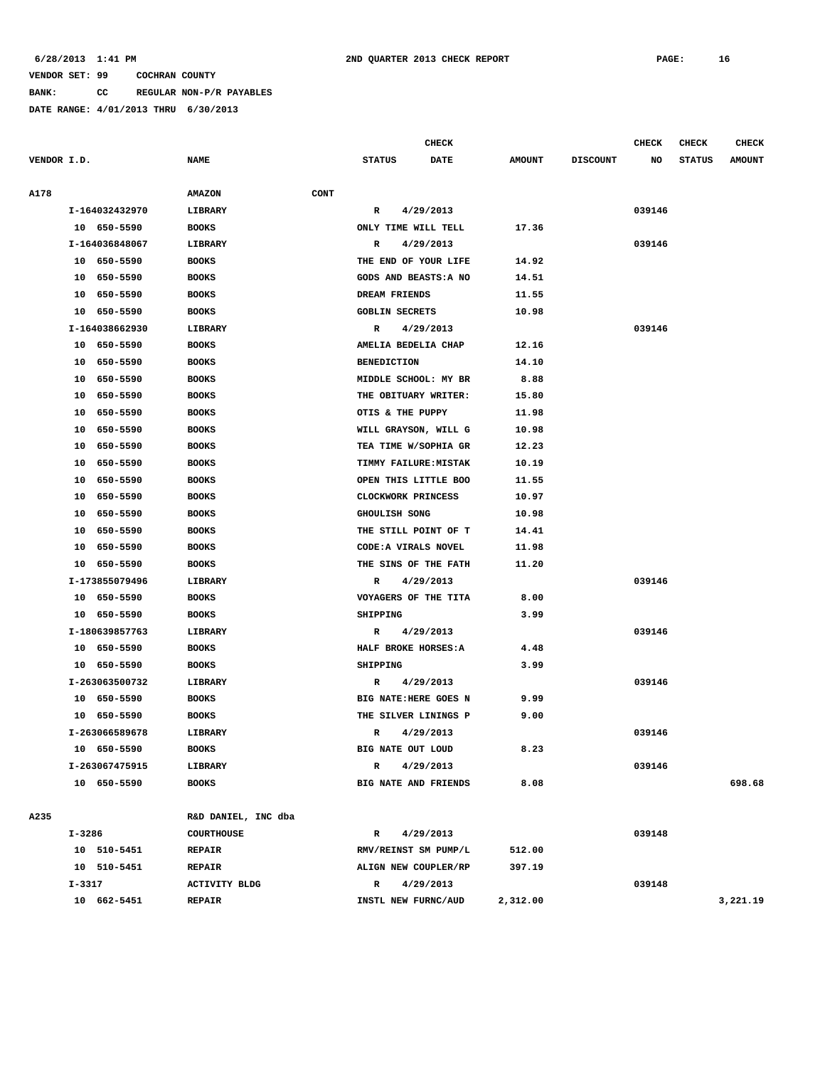**BANK: CC REGULAR NON-P/R PAYABLES**

|             |                |                      |      |                       | <b>CHECK</b>          |               |                 | <b>CHECK</b> | CHECK         | <b>CHECK</b>  |
|-------------|----------------|----------------------|------|-----------------------|-----------------------|---------------|-----------------|--------------|---------------|---------------|
| VENDOR I.D. |                | <b>NAME</b>          |      | <b>STATUS</b>         | <b>DATE</b>           | <b>AMOUNT</b> | <b>DISCOUNT</b> | NO           | <b>STATUS</b> | <b>AMOUNT</b> |
|             |                |                      |      |                       |                       |               |                 |              |               |               |
| A178        |                | <b>AMAZON</b>        | CONT |                       |                       |               |                 |              |               |               |
|             | I-164032432970 | LIBRARY              |      | R                     | 4/29/2013             |               |                 | 039146       |               |               |
|             | 10 650-5590    | <b>BOOKS</b>         |      |                       | ONLY TIME WILL TELL   | 17.36         |                 |              |               |               |
|             | I-164036848067 | LIBRARY              |      | R                     | 4/29/2013             |               |                 | 039146       |               |               |
|             | 10 650-5590    | <b>BOOKS</b>         |      |                       | THE END OF YOUR LIFE  | 14.92         |                 |              |               |               |
|             | 10 650-5590    | <b>BOOKS</b>         |      |                       | GODS AND BEASTS: A NO | 14.51         |                 |              |               |               |
|             | 650-5590<br>10 | <b>BOOKS</b>         |      | DREAM FRIENDS         |                       | 11.55         |                 |              |               |               |
|             | 10 650-5590    | <b>BOOKS</b>         |      | <b>GOBLIN SECRETS</b> |                       | 10.98         |                 |              |               |               |
|             | I-164038662930 | LIBRARY              |      | R                     | 4/29/2013             |               |                 | 039146       |               |               |
|             | 10 650-5590    | <b>BOOKS</b>         |      | AMELIA BEDELIA CHAP   |                       | 12.16         |                 |              |               |               |
|             | 10<br>650-5590 | <b>BOOKS</b>         |      | <b>BENEDICTION</b>    |                       | 14.10         |                 |              |               |               |
|             | 650-5590<br>10 | <b>BOOKS</b>         |      |                       | MIDDLE SCHOOL: MY BR  | 8.88          |                 |              |               |               |
|             | 650-5590<br>10 | <b>BOOKS</b>         |      |                       | THE OBITUARY WRITER:  | 15.80         |                 |              |               |               |
|             | 10<br>650-5590 | <b>BOOKS</b>         |      | OTIS & THE PUPPY      |                       | 11.98         |                 |              |               |               |
|             | 650-5590<br>10 | <b>BOOKS</b>         |      |                       | WILL GRAYSON, WILL G  | 10.98         |                 |              |               |               |
|             | 650-5590<br>10 | <b>BOOKS</b>         |      |                       | TEA TIME W/SOPHIA GR  | 12.23         |                 |              |               |               |
|             | 10<br>650-5590 | <b>BOOKS</b>         |      |                       | TIMMY FAILURE: MISTAK | 10.19         |                 |              |               |               |
|             | 650-5590<br>10 | <b>BOOKS</b>         |      |                       | OPEN THIS LITTLE BOO  | 11.55         |                 |              |               |               |
|             | 650-5590<br>10 | <b>BOOKS</b>         |      | CLOCKWORK PRINCESS    |                       | 10.97         |                 |              |               |               |
|             | 10<br>650-5590 | <b>BOOKS</b>         |      | GHOULISH SONG         |                       | 10.98         |                 |              |               |               |
|             | 650-5590<br>10 | <b>BOOKS</b>         |      |                       | THE STILL POINT OF T  | 14.41         |                 |              |               |               |
|             | 10<br>650-5590 | <b>BOOKS</b>         |      |                       | CODE: A VIRALS NOVEL  | 11.98         |                 |              |               |               |
|             | 10<br>650-5590 | <b>BOOKS</b>         |      |                       | THE SINS OF THE FATH  | 11.20         |                 |              |               |               |
|             | I-173855079496 | LIBRARY              |      | R                     | 4/29/2013             |               |                 | 039146       |               |               |
|             | 10 650-5590    | <b>BOOKS</b>         |      |                       | VOYAGERS OF THE TITA  | 8.00          |                 |              |               |               |
|             | 10 650-5590    | <b>BOOKS</b>         |      | SHIPPING              |                       | 3.99          |                 |              |               |               |
|             | I-180639857763 | LIBRARY              |      | R                     | 4/29/2013             |               |                 | 039146       |               |               |
|             | 10 650-5590    | <b>BOOKS</b>         |      | HALF BROKE HORSES: A  |                       | 4.48          |                 |              |               |               |
|             | 10 650-5590    | <b>BOOKS</b>         |      | SHIPPING              |                       | 3.99          |                 |              |               |               |
|             | I-263063500732 | <b>LIBRARY</b>       |      | R                     | 4/29/2013             |               |                 | 039146       |               |               |
|             | 10 650-5590    | <b>BOOKS</b>         |      |                       | BIG NATE: HERE GOES N | 9.99          |                 |              |               |               |
|             | 10 650-5590    | <b>BOOKS</b>         |      |                       | THE SILVER LININGS P  | 9.00          |                 |              |               |               |
|             | I-263066589678 | LIBRARY              |      | R                     | 4/29/2013             |               |                 | 039146       |               |               |
|             | 10 650-5590    | <b>BOOKS</b>         |      | BIG NATE OUT LOUD     |                       | 8.23          |                 |              |               |               |
|             | I-263067475915 | LIBRARY              |      | R                     | 4/29/2013             |               |                 | 039146       |               |               |
|             | 10 650-5590    | <b>BOOKS</b>         |      |                       | BIG NATE AND FRIENDS  | 8.08          |                 |              |               | 698.68        |
| A235        |                | R&D DANIEL, INC dba  |      |                       |                       |               |                 |              |               |               |
|             | I-3286         | <b>COURTHOUSE</b>    |      | R                     | 4/29/2013             |               |                 | 039148       |               |               |
|             | 10 510-5451    | <b>REPAIR</b>        |      |                       | RMV/REINST SM PUMP/L  | 512.00        |                 |              |               |               |
|             | 10 510-5451    | <b>REPAIR</b>        |      |                       | ALIGN NEW COUPLER/RP  | 397.19        |                 |              |               |               |
|             | I-3317         | <b>ACTIVITY BLDG</b> |      | R                     | 4/29/2013             |               |                 | 039148       |               |               |
|             | 10 662-5451    | <b>REPAIR</b>        |      |                       | INSTL NEW FURNC/AUD   | 2,312.00      |                 |              |               | 3,221.19      |
|             |                |                      |      |                       |                       |               |                 |              |               |               |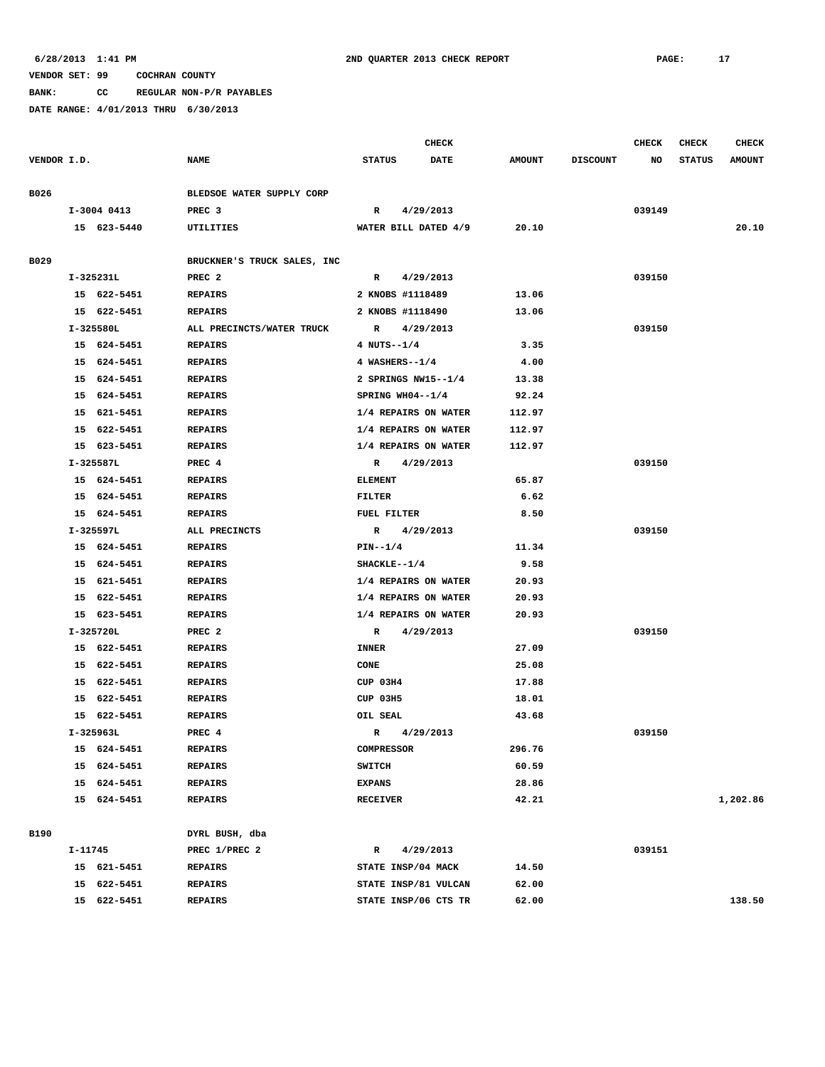**BANK: CC REGULAR NON-P/R PAYABLES**

|             |         |             |                             |                   |                    | <b>CHECK</b>         |               |                 | <b>CHECK</b> | <b>CHECK</b>  | <b>CHECK</b>  |
|-------------|---------|-------------|-----------------------------|-------------------|--------------------|----------------------|---------------|-----------------|--------------|---------------|---------------|
| VENDOR I.D. |         |             | <b>NAME</b>                 | <b>STATUS</b>     |                    | <b>DATE</b>          | <b>AMOUNT</b> | <b>DISCOUNT</b> | NO           | <b>STATUS</b> | <b>AMOUNT</b> |
| B026        |         |             | BLEDSOE WATER SUPPLY CORP   |                   |                    |                      |               |                 |              |               |               |
|             |         | I-3004 0413 | PREC <sub>3</sub>           | R                 |                    | 4/29/2013            |               |                 | 039149       |               |               |
|             |         | 15 623-5440 | UTILITIES                   |                   |                    | WATER BILL DATED 4/9 | 20.10         |                 |              |               | 20.10         |
|             |         |             |                             |                   |                    |                      |               |                 |              |               |               |
| B029        |         |             | BRUCKNER'S TRUCK SALES, INC |                   |                    |                      |               |                 |              |               |               |
|             |         | $I-325231L$ | PREC <sub>2</sub>           | R                 |                    | 4/29/2013            |               |                 | 039150       |               |               |
|             |         | 15 622-5451 | <b>REPAIRS</b>              |                   | 2 KNOBS #1118489   |                      | 13.06         |                 |              |               |               |
|             |         | 15 622-5451 | <b>REPAIRS</b>              |                   | 2 KNOBS #1118490   |                      | 13.06         |                 |              |               |               |
|             |         | I-325580L   | ALL PRECINCTS/WATER TRUCK   | $\mathbf{R}$      |                    | 4/29/2013            |               |                 | 039150       |               |               |
|             |         | 15 624-5451 | <b>REPAIRS</b>              |                   | 4 NUTS--1/4        |                      | 3.35          |                 |              |               |               |
|             |         | 15 624-5451 | <b>REPAIRS</b>              |                   | 4 WASHERS--1/4     |                      | 4.00          |                 |              |               |               |
|             |         | 15 624-5451 | <b>REPAIRS</b>              |                   |                    | 2 SPRINGS NW15--1/4  | 13.38         |                 |              |               |               |
|             |         | 15 624-5451 | <b>REPAIRS</b>              |                   | SPRING WH04--1/4   |                      | 92.24         |                 |              |               |               |
|             |         | 15 621-5451 | <b>REPAIRS</b>              |                   |                    | 1/4 REPAIRS ON WATER | 112.97        |                 |              |               |               |
|             |         | 15 622-5451 | <b>REPAIRS</b>              |                   |                    | 1/4 REPAIRS ON WATER | 112.97        |                 |              |               |               |
|             |         | 15 623-5451 | <b>REPAIRS</b>              |                   |                    | 1/4 REPAIRS ON WATER | 112.97        |                 |              |               |               |
|             |         | I-325587L   | PREC 4                      |                   | R 4/29/2013        |                      |               |                 | 039150       |               |               |
|             |         | 15 624-5451 | <b>REPAIRS</b>              | <b>ELEMENT</b>    |                    |                      | 65.87         |                 |              |               |               |
|             |         | 15 624-5451 | REPAIRS                     | FILTER            |                    |                      | 6.62          |                 |              |               |               |
|             |         | 15 624-5451 | <b>REPAIRS</b>              |                   | <b>FUEL FILTER</b> |                      | 8.50          |                 |              |               |               |
|             |         | I-325597L   | ALL PRECINCTS               | $\mathbb{R}$      |                    | 4/29/2013            |               |                 | 039150       |               |               |
|             |         | 15 624-5451 | <b>REPAIRS</b>              | $PIN--1/4$        |                    |                      | 11.34         |                 |              |               |               |
|             |         | 15 624-5451 | <b>REPAIRS</b>              |                   | $SHACKLE--1/4$     |                      | 9.58          |                 |              |               |               |
|             |         | 15 621-5451 | <b>REPAIRS</b>              |                   |                    | 1/4 REPAIRS ON WATER | 20.93         |                 |              |               |               |
|             |         | 15 622-5451 | <b>REPAIRS</b>              |                   |                    | 1/4 REPAIRS ON WATER | 20.93         |                 |              |               |               |
|             |         | 15 623-5451 | <b>REPAIRS</b>              |                   |                    | 1/4 REPAIRS ON WATER | 20.93         |                 |              |               |               |
|             |         | I-325720L   | PREC <sub>2</sub>           | R                 |                    | 4/29/2013            |               |                 | 039150       |               |               |
|             |         | 15 622-5451 | <b>REPAIRS</b>              | <b>INNER</b>      |                    |                      | 27.09         |                 |              |               |               |
|             |         | 15 622-5451 | <b>REPAIRS</b>              | CONE              |                    |                      | 25.08         |                 |              |               |               |
|             |         | 15 622-5451 | <b>REPAIRS</b>              | CUP 03H4          |                    |                      | 17.88         |                 |              |               |               |
|             |         | 15 622-5451 | <b>REPAIRS</b>              | CUP 03H5          |                    |                      | 18.01         |                 |              |               |               |
|             |         | 15 622-5451 | <b>REPAIRS</b>              | OIL SEAL          |                    |                      | 43.68         |                 |              |               |               |
|             |         | I-325963L   | PREC 4                      | $\mathbb{R}$      |                    | 4/29/2013            |               |                 | 039150       |               |               |
|             |         | 15 624-5451 | REPAIRS                     | <b>COMPRESSOR</b> |                    |                      | 296.76        |                 |              |               |               |
|             |         | 15 624-5451 | <b>REPAIRS</b>              | <b>SWITCH</b>     |                    |                      | 60.59         |                 |              |               |               |
|             |         | 15 624-5451 | <b>REPAIRS</b>              | <b>EXPANS</b>     |                    |                      | 28.86         |                 |              |               |               |
|             |         | 15 624-5451 | <b>REPAIRS</b>              | <b>RECEIVER</b>   |                    |                      | 42.21         |                 |              |               | 1,202.86      |
|             |         |             |                             |                   |                    |                      |               |                 |              |               |               |
| <b>B190</b> |         |             | DYRL BUSH, dba              |                   |                    |                      |               |                 |              |               |               |
|             | I-11745 |             | PREC 1/PREC 2               | R                 |                    | 4/29/2013            |               |                 | 039151       |               |               |
|             |         | 15 621-5451 | <b>REPAIRS</b>              |                   |                    | STATE INSP/04 MACK   | 14.50         |                 |              |               |               |
|             |         | 15 622-5451 | <b>REPAIRS</b>              |                   |                    | STATE INSP/81 VULCAN | 62.00         |                 |              |               |               |
|             |         | 15 622-5451 | <b>REPAIRS</b>              |                   |                    | STATE INSP/06 CTS TR | 62.00         |                 |              |               | 138.50        |
|             |         |             |                             |                   |                    |                      |               |                 |              |               |               |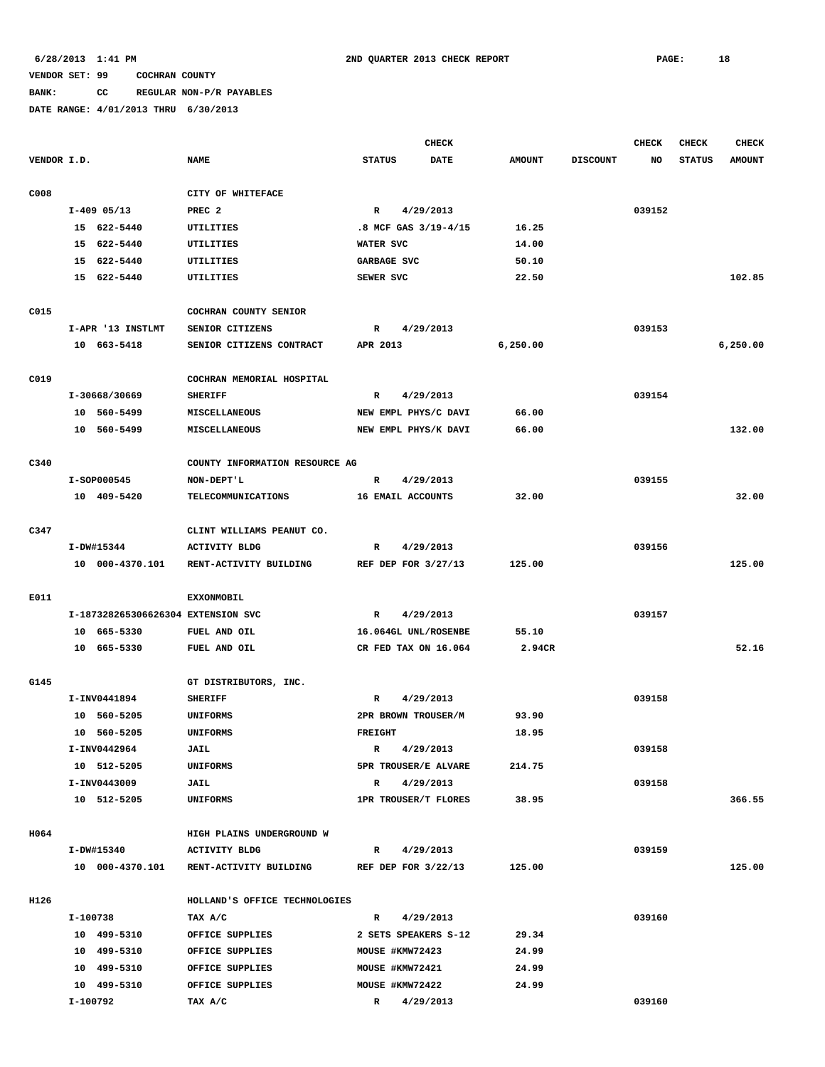# **BANK: CC REGULAR NON-P/R PAYABLES**

|             |          |                                    |                                |                | <b>CHECK</b>         |               |                 | <b>CHECK</b> | <b>CHECK</b>  | <b>CHECK</b>  |
|-------------|----------|------------------------------------|--------------------------------|----------------|----------------------|---------------|-----------------|--------------|---------------|---------------|
| VENDOR I.D. |          |                                    | <b>NAME</b>                    | <b>STATUS</b>  | <b>DATE</b>          | <b>AMOUNT</b> | <b>DISCOUNT</b> | NO           | <b>STATUS</b> | <b>AMOUNT</b> |
| C008        |          |                                    | CITY OF WHITEFACE              |                |                      |               |                 |              |               |               |
|             |          | $I-409$ 05/13                      | PREC <sub>2</sub>              | $\mathbb{R}$   | 4/29/2013            |               |                 | 039152       |               |               |
|             |          | 15 622-5440                        | <b>UTILITIES</b>               |                | .8 MCF GAS 3/19-4/15 | 16.25         |                 |              |               |               |
|             |          | 15 622-5440                        | UTILITIES                      | WATER SVC      |                      | 14.00         |                 |              |               |               |
|             |          | 15 622-5440                        | UTILITIES                      |                | GARBAGE SVC          | 50.10         |                 |              |               |               |
|             |          | 15 622-5440                        | UTILITIES                      | SEWER SVC      |                      | 22.50         |                 |              |               | 102.85        |
| C015        |          |                                    | COCHRAN COUNTY SENIOR          |                |                      |               |                 |              |               |               |
|             |          | I-APR '13 INSTLMT                  | SENIOR CITIZENS                | R              | 4/29/2013            |               |                 | 039153       |               |               |
|             |          | 10 663-5418                        | SENIOR CITIZENS CONTRACT       | APR 2013       |                      | 6, 250.00     |                 |              |               | 6,250.00      |
| C019        |          |                                    | COCHRAN MEMORIAL HOSPITAL      |                |                      |               |                 |              |               |               |
|             |          | I-30668/30669                      | <b>SHERIFF</b>                 | R              | 4/29/2013            |               |                 | 039154       |               |               |
|             |          | 10 560-5499                        | <b>MISCELLANEOUS</b>           |                | NEW EMPL PHYS/C DAVI | 66.00         |                 |              |               |               |
|             |          | 10 560-5499                        | MISCELLANEOUS                  |                | NEW EMPL PHYS/K DAVI | 66.00         |                 |              |               | 132.00        |
| C340        |          |                                    | COUNTY INFORMATION RESOURCE AG |                |                      |               |                 |              |               |               |
|             |          | I-SOP000545                        | NON-DEPT'L                     | $\mathbb{R}$   | 4/29/2013            |               |                 | 039155       |               |               |
|             |          | 10 409-5420                        | TELECOMMUNICATIONS             |                | 16 EMAIL ACCOUNTS    | 32.00         |                 |              |               | 32.00         |
| C347        |          |                                    | CLINT WILLIAMS PEANUT CO.      |                |                      |               |                 |              |               |               |
|             |          | I-DW#15344                         | <b>ACTIVITY BLDG</b>           | R              | 4/29/2013            |               |                 | 039156       |               |               |
|             |          | 10 000-4370.101                    | RENT-ACTIVITY BUILDING         |                | REF DEP FOR 3/27/13  | 125.00        |                 |              |               | 125.00        |
| E011        |          |                                    | <b>EXXONMOBIL</b>              |                |                      |               |                 |              |               |               |
|             |          | I-187328265306626304 EXTENSION SVC |                                | $\mathbb{R}$   | 4/29/2013            |               |                 | 039157       |               |               |
|             |          | 10 665-5330                        | FUEL AND OIL                   |                | 16.064GL UNL/ROSENBE | 55.10         |                 |              |               |               |
|             |          | 10 665-5330                        | FUEL AND OIL                   |                | CR FED TAX ON 16.064 | 2.94CR        |                 |              |               | 52.16         |
| G145        |          |                                    | GT DISTRIBUTORS, INC.          |                |                      |               |                 |              |               |               |
|             |          | I-INV0441894                       | <b>SHERIFF</b>                 | R              | 4/29/2013            |               |                 | 039158       |               |               |
|             |          | 10 560-5205                        | <b>UNIFORMS</b>                |                | 2PR BROWN TROUSER/M  | 93.90         |                 |              |               |               |
|             |          | 10 560-5205                        | <b>UNIFORMS</b>                | <b>FREIGHT</b> |                      | 18.95         |                 |              |               |               |
|             |          | I-INV0442964                       | JAIL                           | $\mathbb{R}$   | 4/29/2013            |               |                 | 039158       |               |               |
|             |          | 10 512-5205                        | UNIFORMS                       |                | 5PR TROUSER/E ALVARE | 214.75        |                 |              |               |               |
|             |          | I-INV0443009                       | JAIL                           | $\mathbb{R}$   | 4/29/2013            |               |                 | 039158       |               |               |
|             |          | 10 512-5205                        | UNIFORMS                       |                | 1PR TROUSER/T FLORES | 38.95         |                 |              |               | 366.55        |
| H064        |          |                                    | HIGH PLAINS UNDERGROUND W      |                |                      |               |                 |              |               |               |
|             |          | I-DW#15340                         | <b>ACTIVITY BLDG</b>           | R              | 4/29/2013            |               |                 | 039159       |               |               |
|             |          | 10 000-4370.101                    | RENT-ACTIVITY BUILDING         |                | REF DEP FOR 3/22/13  | 125.00        |                 |              |               | 125.00        |
| H126        |          |                                    | HOLLAND'S OFFICE TECHNOLOGIES  |                |                      |               |                 |              |               |               |
|             | I-100738 |                                    | TAX A/C                        | $\mathbb{R}$   | 4/29/2013            |               |                 | 039160       |               |               |
|             |          | 10 499-5310                        | OFFICE SUPPLIES                |                | 2 SETS SPEAKERS S-12 | 29.34         |                 |              |               |               |
|             |          | 10 499-5310                        | OFFICE SUPPLIES                |                | MOUSE #KMW72423      | 24.99         |                 |              |               |               |
|             |          | 10 499-5310                        | OFFICE SUPPLIES                |                | MOUSE #KMW72421      | 24.99         |                 |              |               |               |
|             |          | 10 499-5310                        | OFFICE SUPPLIES                |                | MOUSE #KMW72422      | 24.99         |                 |              |               |               |
|             | I-100792 |                                    | TAX A/C                        | $\mathbb{R}$   | 4/29/2013            |               |                 | 039160       |               |               |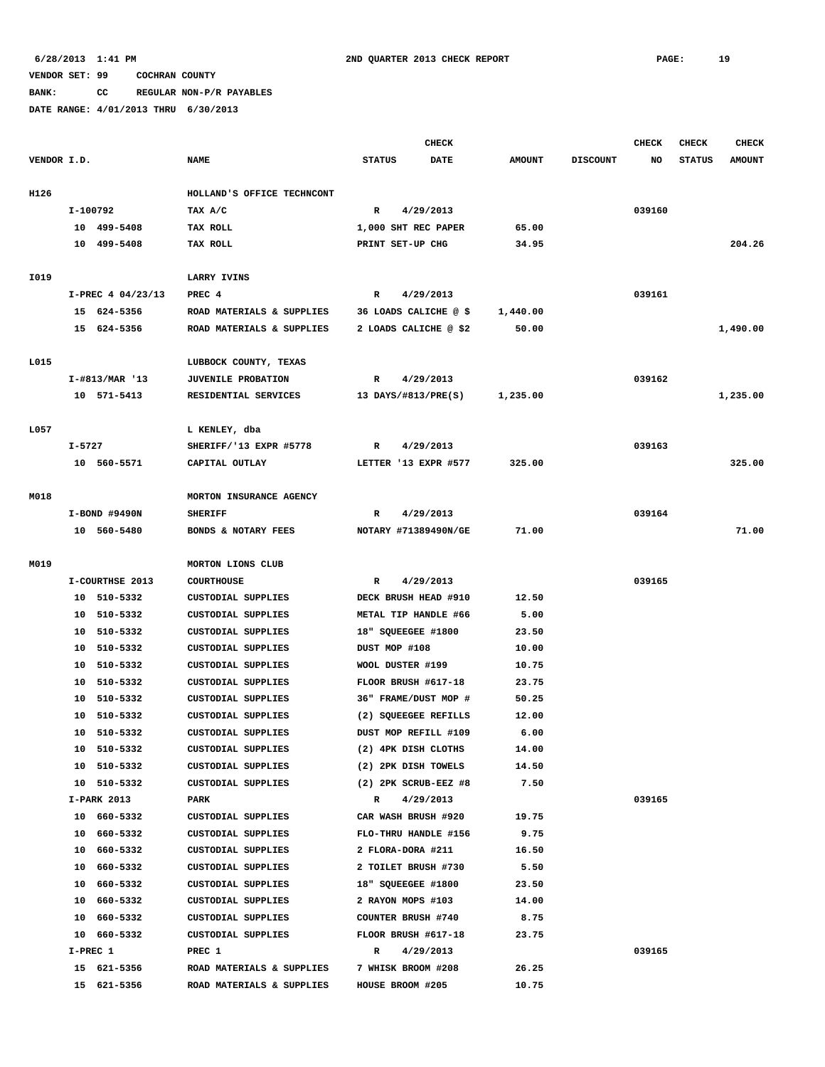**BANK: CC REGULAR NON-P/R PAYABLES**

|             |          |                    |                            |                           | <b>CHECK</b> |               |                 | CHECK  | <b>CHECK</b>  | <b>CHECK</b>  |
|-------------|----------|--------------------|----------------------------|---------------------------|--------------|---------------|-----------------|--------|---------------|---------------|
| VENDOR I.D. |          |                    | <b>NAME</b>                | <b>STATUS</b>             | <b>DATE</b>  | <b>AMOUNT</b> | <b>DISCOUNT</b> | NO     | <b>STATUS</b> | <b>AMOUNT</b> |
|             |          |                    |                            |                           |              |               |                 |        |               |               |
| H126        |          |                    | HOLLAND'S OFFICE TECHNCONT |                           |              |               |                 |        |               |               |
|             | I-100792 |                    | TAX A/C                    | R                         | 4/29/2013    |               |                 | 039160 |               |               |
|             |          | 10 499-5408        | TAX ROLL                   | 1,000 SHT REC PAPER       |              | 65.00         |                 |        |               |               |
|             |          | 10 499-5408        | TAX ROLL                   | PRINT SET-UP CHG          |              | 34.95         |                 |        |               | 204.26        |
|             |          |                    |                            |                           |              |               |                 |        |               |               |
| I019        |          |                    | LARRY IVINS                |                           |              |               |                 |        |               |               |
|             |          | I-PREC 4 04/23/13  | PREC 4                     | $\mathbb{R}$              | 4/29/2013    |               |                 | 039161 |               |               |
|             |          | 15 624-5356        | ROAD MATERIALS & SUPPLIES  | 36 LOADS CALICHE @ \$     |              | 1,440.00      |                 |        |               |               |
|             |          | 15 624-5356        | ROAD MATERIALS & SUPPLIES  | 2 LOADS CALICHE @ \$2     |              | 50.00         |                 |        |               | 1,490.00      |
|             |          |                    |                            |                           |              |               |                 |        |               |               |
| L015        |          |                    | LUBBOCK COUNTY, TEXAS      |                           |              |               |                 |        |               |               |
|             |          | $I - #813/MAR$ '13 | <b>JUVENILE PROBATION</b>  | R                         | 4/29/2013    |               |                 | 039162 |               |               |
|             |          | 10 571-5413        | RESIDENTIAL SERVICES       | 13 DAYS/#813/PRE(S)       |              | 1,235.00      |                 |        |               | 1,235.00      |
|             |          |                    |                            |                           |              |               |                 |        |               |               |
| L057        |          |                    | L KENLEY, dba              |                           |              |               |                 |        |               |               |
|             | I-5727   |                    | SHERIFF/'13 EXPR #5778     | R                         | 4/29/2013    |               |                 | 039163 |               |               |
|             |          | 10 560-5571        | CAPITAL OUTLAY             | LETTER '13 EXPR #577      |              | 325.00        |                 |        |               | 325.00        |
|             |          |                    |                            |                           |              |               |                 |        |               |               |
| M018        |          |                    | MORTON INSURANCE AGENCY    |                           |              |               |                 |        |               |               |
|             |          | I-BOND #9490N      | <b>SHERIFF</b>             | R                         | 4/29/2013    |               |                 | 039164 |               |               |
|             |          | 10 560-5480        | BONDS & NOTARY FEES        | NOTARY #71389490N/GE      |              | 71.00         |                 |        |               | 71.00         |
|             |          |                    |                            |                           |              |               |                 |        |               |               |
| M019        |          |                    | MORTON LIONS CLUB          |                           |              |               |                 |        |               |               |
|             |          | I-COURTHSE 2013    | <b>COURTHOUSE</b>          | R                         | 4/29/2013    |               |                 | 039165 |               |               |
|             |          | 10 510-5332        | <b>CUSTODIAL SUPPLIES</b>  | DECK BRUSH HEAD #910      |              | 12.50         |                 |        |               |               |
|             |          | 10 510-5332        | <b>CUSTODIAL SUPPLIES</b>  | METAL TIP HANDLE #66      |              | 5.00          |                 |        |               |               |
|             |          | 10 510-5332        | <b>CUSTODIAL SUPPLIES</b>  | 18" SQUEEGEE #1800        |              | 23.50         |                 |        |               |               |
|             |          | 10 510-5332        | CUSTODIAL SUPPLIES         | DUST MOP #108             |              | 10.00         |                 |        |               |               |
|             |          | 10 510-5332        | <b>CUSTODIAL SUPPLIES</b>  | WOOL DUSTER #199          |              | 10.75         |                 |        |               |               |
|             |          | 10 510-5332        | <b>CUSTODIAL SUPPLIES</b>  | FLOOR BRUSH #617-18       |              | 23.75         |                 |        |               |               |
|             |          | 10 510-5332        | <b>CUSTODIAL SUPPLIES</b>  | 36" FRAME/DUST MOP #      |              | 50.25         |                 |        |               |               |
|             | 10       | 510-5332           | <b>CUSTODIAL SUPPLIES</b>  | (2) SQUEEGEE REFILLS      |              | 12.00         |                 |        |               |               |
|             |          | 10 510-5332        | CUSTODIAL SUPPLIES         | DUST MOP REFILL #109      |              | 6.00          |                 |        |               |               |
|             |          | 10 510-5332        | CUSTODIAL SUPPLIES         | (2) 4PK DISH CLOTHS       |              | 14.00         |                 |        |               |               |
|             |          | 10 510-5332        | CUSTODIAL SUPPLIES         | (2) 2PK DISH TOWELS       |              | 14.50         |                 |        |               |               |
|             |          | 10 510-5332        | CUSTODIAL SUPPLIES         | $(2)$ 2PK SCRUB-EEZ #8    |              | 7.50          |                 |        |               |               |
|             |          | I-PARK 2013        | PARK                       | R 4/29/2013               |              |               |                 | 039165 |               |               |
|             |          | 10 660-5332        | CUSTODIAL SUPPLIES         | CAR WASH BRUSH #920       |              | 19.75         |                 |        |               |               |
|             |          | 10 660-5332        | CUSTODIAL SUPPLIES         | FLO-THRU HANDLE #156      |              | 9.75          |                 |        |               |               |
|             |          | 10 660-5332        | CUSTODIAL SUPPLIES         | 2 FLORA-DORA #211         |              | 16.50         |                 |        |               |               |
|             |          | 10 660-5332        | CUSTODIAL SUPPLIES         | 2 TOILET BRUSH #730       |              | 5.50          |                 |        |               |               |
|             |          | 10 660-5332        | CUSTODIAL SUPPLIES         | 18" SQUEEGEE #1800        |              | 23.50         |                 |        |               |               |
|             |          | 10 660-5332        | CUSTODIAL SUPPLIES         | 2 RAYON MOPS #103         |              | 14.00         |                 |        |               |               |
|             |          | 10 660-5332        | CUSTODIAL SUPPLIES         | <b>COUNTER BRUSH #740</b> |              | 8.75          |                 |        |               |               |
|             |          | 10 660-5332        | CUSTODIAL SUPPLIES         | FLOOR BRUSH #617-18       |              | 23.75         |                 |        |               |               |
|             | I-PREC 1 |                    | PREC 1                     | $\mathbb{R}$              | 4/29/2013    |               |                 | 039165 |               |               |
|             |          | 15 621-5356        | ROAD MATERIALS & SUPPLIES  | 7 WHISK BROOM #208        |              | 26.25         |                 |        |               |               |
|             |          | 15 621-5356        | ROAD MATERIALS & SUPPLIES  | HOUSE BROOM #205          |              | 10.75         |                 |        |               |               |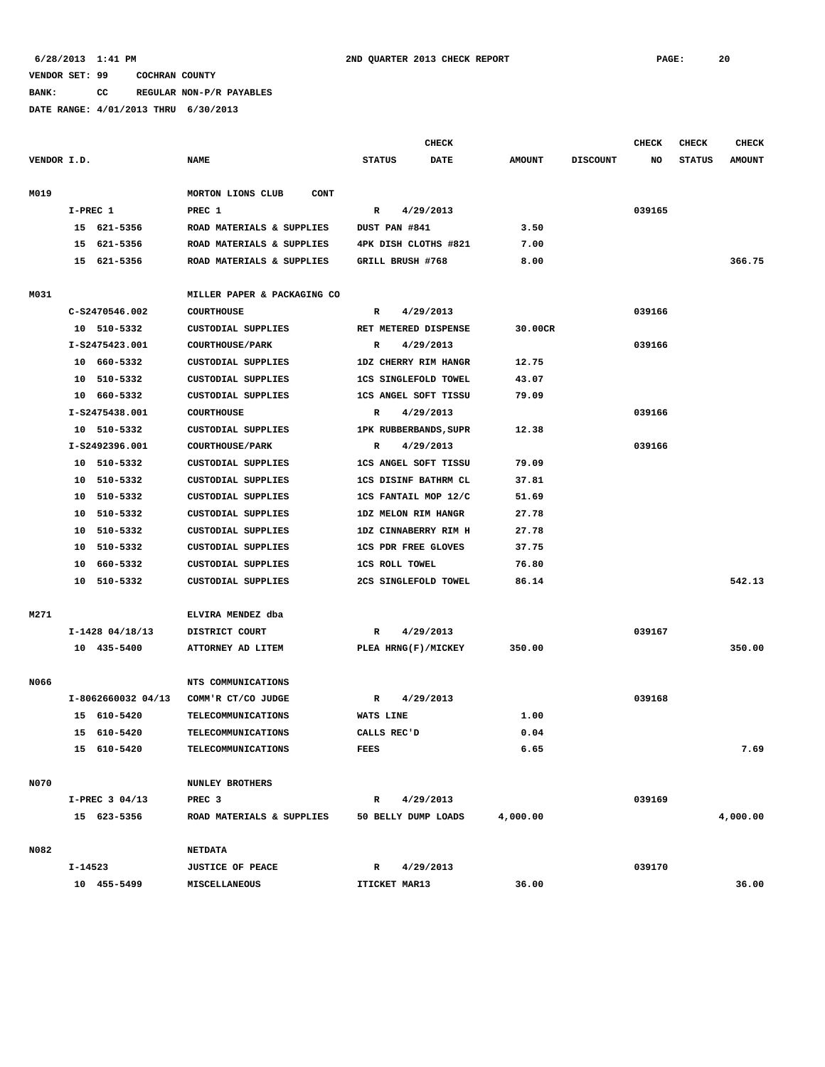**BANK: CC REGULAR NON-P/R PAYABLES**

|             |          |                    |                                  |                             | CHECK     |               |                 | <b>CHECK</b> | <b>CHECK</b>  | CHECK         |
|-------------|----------|--------------------|----------------------------------|-----------------------------|-----------|---------------|-----------------|--------------|---------------|---------------|
| VENDOR I.D. |          |                    | <b>NAME</b>                      | <b>STATUS</b>               | DATE      | <b>AMOUNT</b> | <b>DISCOUNT</b> | NO           | <b>STATUS</b> | <b>AMOUNT</b> |
| M019        |          |                    | MORTON LIONS CLUB<br><b>CONT</b> |                             |           |               |                 |              |               |               |
|             | I-PREC 1 |                    | PREC 1                           | R                           | 4/29/2013 |               |                 | 039165       |               |               |
|             |          | 15 621-5356        | ROAD MATERIALS & SUPPLIES        | DUST PAN #841               |           | 3.50          |                 |              |               |               |
|             | 15       | 621-5356           | ROAD MATERIALS & SUPPLIES        | 4PK DISH CLOTHS #821        |           | 7.00          |                 |              |               |               |
|             |          | 15 621-5356        | ROAD MATERIALS & SUPPLIES        | GRILL BRUSH #768            |           | 8.00          |                 |              |               | 366.75        |
| M031        |          |                    | MILLER PAPER & PACKAGING CO      |                             |           |               |                 |              |               |               |
|             |          | C-S2470546.002     | <b>COURTHOUSE</b>                | R                           | 4/29/2013 |               |                 | 039166       |               |               |
|             |          | 10 510-5332        | CUSTODIAL SUPPLIES               | RET METERED DISPENSE        |           | 30.00CR       |                 |              |               |               |
|             |          | I-S2475423.001     | <b>COURTHOUSE/PARK</b>           | R                           | 4/29/2013 |               |                 | 039166       |               |               |
|             |          | 10 660-5332        | CUSTODIAL SUPPLIES               | 1DZ CHERRY RIM HANGR        |           | 12.75         |                 |              |               |               |
|             |          | 10 510-5332        | CUSTODIAL SUPPLIES               | <b>1CS SINGLEFOLD TOWEL</b> |           | 43.07         |                 |              |               |               |
|             |          | 10 660-5332        | CUSTODIAL SUPPLIES               | 1CS ANGEL SOFT TISSU        |           | 79.09         |                 |              |               |               |
|             |          | I-S2475438.001     | <b>COURTHOUSE</b>                | R                           | 4/29/2013 |               |                 | 039166       |               |               |
|             |          | 10 510-5332        | CUSTODIAL SUPPLIES               | 1PK RUBBERBANDS, SUPR       |           | 12.38         |                 |              |               |               |
|             |          | I-S2492396.001     | <b>COURTHOUSE/PARK</b>           | R                           | 4/29/2013 |               |                 | 039166       |               |               |
|             |          | 10 510-5332        | CUSTODIAL SUPPLIES               | 1CS ANGEL SOFT TISSU        |           | 79.09         |                 |              |               |               |
|             | 10       | 510-5332           | CUSTODIAL SUPPLIES               | 1CS DISINF BATHRM CL        |           | 37.81         |                 |              |               |               |
|             | 10       | 510-5332           | <b>CUSTODIAL SUPPLIES</b>        | 1CS FANTAIL MOP 12/C        |           | 51.69         |                 |              |               |               |
|             | 10       | 510-5332           | CUSTODIAL SUPPLIES               | 1DZ MELON RIM HANGR         |           | 27.78         |                 |              |               |               |
|             | 10       | 510-5332           | CUSTODIAL SUPPLIES               | 1DZ CINNABERRY RIM H        |           | 27.78         |                 |              |               |               |
|             | 10       | 510-5332           | <b>CUSTODIAL SUPPLIES</b>        | <b>1CS PDR FREE GLOVES</b>  |           | 37.75         |                 |              |               |               |
|             | 10       | 660-5332           | CUSTODIAL SUPPLIES               | <b>1CS ROLL TOWEL</b>       |           | 76.80         |                 |              |               |               |
|             | 10       | 510-5332           | CUSTODIAL SUPPLIES               | 2CS SINGLEFOLD TOWEL        |           | 86.14         |                 |              |               | 542.13        |
| M271        |          |                    | ELVIRA MENDEZ dba                |                             |           |               |                 |              |               |               |
|             |          | $I-1428$ 04/18/13  | DISTRICT COURT                   | R                           | 4/29/2013 |               |                 | 039167       |               |               |
|             |          | 10 435-5400        | ATTORNEY AD LITEM                | PLEA HRNG(F)/MICKEY         |           | 350.00        |                 |              |               | 350.00        |
|             |          |                    |                                  |                             |           |               |                 |              |               |               |
| N066        |          |                    | NTS COMMUNICATIONS               |                             |           |               |                 |              |               |               |
|             |          | I-8062660032 04/13 | COMM'R CT/CO JUDGE               | R                           | 4/29/2013 |               |                 | 039168       |               |               |
|             |          | 15 610-5420        | <b>TELECOMMUNICATIONS</b>        | WATS LINE                   |           | 1.00          |                 |              |               |               |
|             |          | 15 610-5420        | <b>TELECOMMUNICATIONS</b>        | CALLS REC'D                 |           | 0.04          |                 |              |               |               |
|             |          | 15 610-5420        | TELECOMMUNICATIONS               | FEES                        |           | 6.65          |                 |              |               | 7.69          |
| N070        |          |                    | <b>NUNLEY BROTHERS</b>           |                             |           |               |                 |              |               |               |
|             |          | $I-PREC$ 3 04/13   | PREC <sub>3</sub>                | $\mathbb{R}$                | 4/29/2013 |               |                 | 039169       |               |               |
|             |          | 15 623-5356        | ROAD MATERIALS & SUPPLIES        | 50 BELLY DUMP LOADS         |           | 4,000.00      |                 |              |               | 4,000.00      |
| N082        |          |                    | <b>NETDATA</b>                   |                             |           |               |                 |              |               |               |
|             | I-14523  |                    | <b>JUSTICE OF PEACE</b>          | $\mathbb{R}$                | 4/29/2013 |               |                 | 039170       |               |               |
|             |          | 10 455-5499        | MISCELLANEOUS                    | ITICKET MAR13               |           | 36.00         |                 |              |               | 36.00         |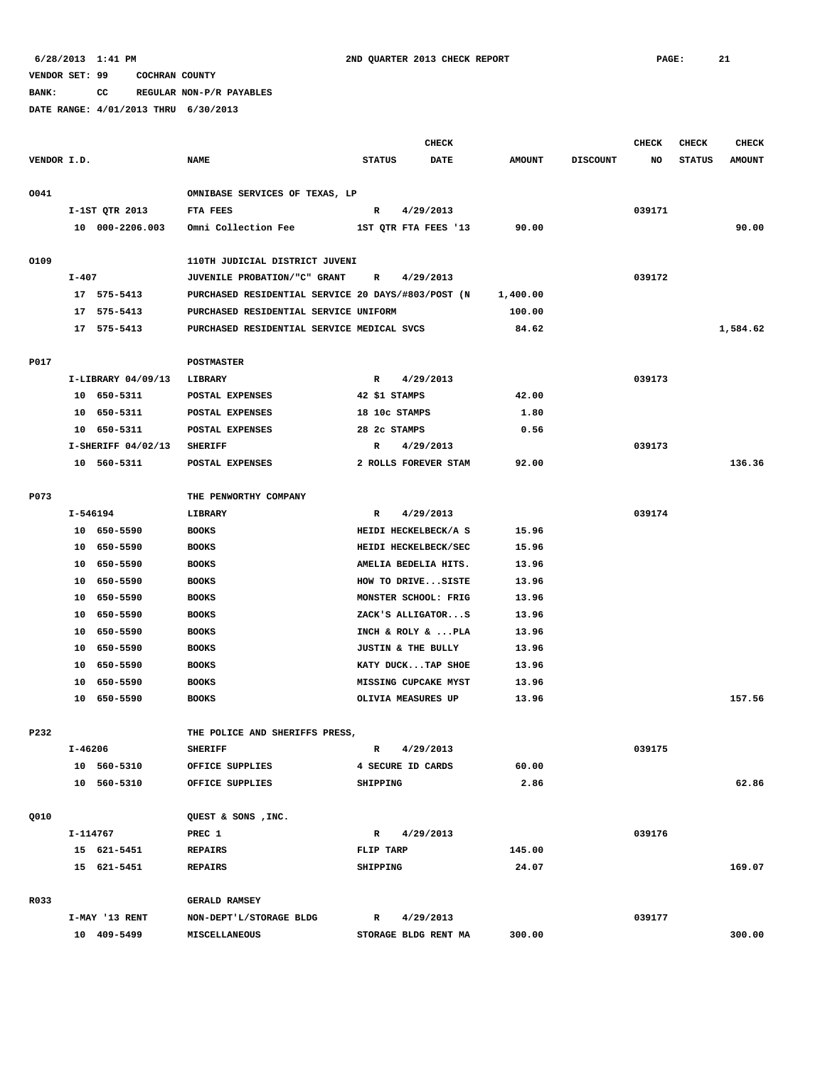**BANK: CC REGULAR NON-P/R PAYABLES**

|             |           |                    |                                                    |           |               | <b>CHECK</b>         |               |                 | <b>CHECK</b> | <b>CHECK</b>  | <b>CHECK</b>  |
|-------------|-----------|--------------------|----------------------------------------------------|-----------|---------------|----------------------|---------------|-----------------|--------------|---------------|---------------|
| VENDOR I.D. |           |                    | <b>NAME</b>                                        |           | <b>STATUS</b> | <b>DATE</b>          | <b>AMOUNT</b> | <b>DISCOUNT</b> | NO           | <b>STATUS</b> | <b>AMOUNT</b> |
| 0041        |           |                    | OMNIBASE SERVICES OF TEXAS, LP                     |           |               |                      |               |                 |              |               |               |
|             |           | I-1ST QTR 2013     | FTA FEES                                           | R         |               | 4/29/2013            |               |                 | 039171       |               |               |
|             |           | 10 000-2206.003    | Omni Collection Fee                                |           |               | 1ST QTR FTA FEES '13 | 90.00         |                 |              |               | 90.00         |
| 0109        |           |                    | 110TH JUDICIAL DISTRICT JUVENI                     |           |               |                      |               |                 |              |               |               |
|             | $I - 407$ |                    | JUVENILE PROBATION/"C" GRANT                       | R         |               | 4/29/2013            |               |                 | 039172       |               |               |
|             |           | 17 575-5413        | PURCHASED RESIDENTIAL SERVICE 20 DAYS/#803/POST (N |           |               |                      | 1,400.00      |                 |              |               |               |
|             | 17        | 575-5413           | PURCHASED RESIDENTIAL SERVICE UNIFORM              |           |               |                      | 100.00        |                 |              |               |               |
|             |           | 17 575-5413        | PURCHASED RESIDENTIAL SERVICE MEDICAL SVCS         |           |               |                      | 84.62         |                 |              |               | 1,584.62      |
| P017        |           |                    | <b>POSTMASTER</b>                                  |           |               |                      |               |                 |              |               |               |
|             |           | I-LIBRARY 04/09/13 | LIBRARY                                            | R         |               | 4/29/2013            |               |                 | 039173       |               |               |
|             |           | 10 650-5311        | POSTAL EXPENSES                                    |           |               | 42 \$1 STAMPS        | 42.00         |                 |              |               |               |
|             | 10        | 650-5311           | POSTAL EXPENSES                                    |           |               | 18 10c STAMPS        | 1.80          |                 |              |               |               |
|             | 10        | 650-5311           | POSTAL EXPENSES                                    |           |               | 28 2c STAMPS         | 0.56          |                 |              |               |               |
|             |           | I-SHERIFF 04/02/13 | <b>SHERIFF</b>                                     | R         |               | 4/29/2013            |               |                 | 039173       |               |               |
|             |           | 10 560-5311        | POSTAL EXPENSES                                    |           |               | 2 ROLLS FOREVER STAM | 92.00         |                 |              |               | 136.36        |
|             |           |                    |                                                    |           |               |                      |               |                 |              |               |               |
| P073        |           |                    | THE PENWORTHY COMPANY                              |           |               |                      |               |                 |              |               |               |
|             | I-546194  |                    | LIBRARY                                            | R         |               | 4/29/2013            |               |                 | 039174       |               |               |
|             |           | 10 650-5590        | <b>BOOKS</b>                                       |           |               | HEIDI HECKELBECK/A S | 15.96         |                 |              |               |               |
|             |           | 10 650-5590        | <b>BOOKS</b>                                       |           |               | HEIDI HECKELBECK/SEC | 15.96         |                 |              |               |               |
|             | 10        | 650-5590           | <b>BOOKS</b>                                       |           |               | AMELIA BEDELIA HITS. | 13.96         |                 |              |               |               |
|             |           | 10 650-5590        | <b>BOOKS</b>                                       |           |               | HOW TO DRIVESISTE    | 13.96         |                 |              |               |               |
|             | 10        | 650-5590           | <b>BOOKS</b>                                       |           |               | MONSTER SCHOOL: FRIG | 13.96         |                 |              |               |               |
|             | 10        | 650-5590           | <b>BOOKS</b>                                       |           |               | ZACK'S ALLIGATORS    | 13.96         |                 |              |               |               |
|             | 10        | 650-5590           | <b>BOOKS</b>                                       |           |               | INCH & ROLY &  PLA   | 13.96         |                 |              |               |               |
|             | 10        | 650-5590           | <b>BOOKS</b>                                       |           |               | JUSTIN & THE BULLY   | 13.96         |                 |              |               |               |
|             | 10        | 650-5590           | <b>BOOKS</b>                                       |           |               | KATY DUCKTAP SHOE    | 13.96         |                 |              |               |               |
|             | 10        | 650-5590           | <b>BOOKS</b>                                       |           |               | MISSING CUPCAKE MYST | 13.96         |                 |              |               |               |
|             |           |                    |                                                    |           |               |                      |               |                 |              |               | 157.56        |
|             |           | 10 650-5590        | <b>BOOKS</b>                                       |           |               | OLIVIA MEASURES UP   | 13.96         |                 |              |               |               |
| P232        |           |                    | THE POLICE AND SHERIFFS PRESS,                     |           |               |                      |               |                 |              |               |               |
|             | I-46206   |                    | <b>SHERIFF</b>                                     | R         |               | 4/29/2013            |               |                 | 039175       |               |               |
|             |           | 10 560-5310        | OFFICE SUPPLIES                                    |           |               | 4 SECURE ID CARDS    | 60.00         |                 |              |               |               |
|             |           | 10 560-5310        | OFFICE SUPPLIES                                    | SHIPPING  |               |                      | 2.86          |                 |              |               | 62.86         |
| Q010        |           |                    | QUEST & SONS , INC.                                |           |               |                      |               |                 |              |               |               |
|             | I-114767  |                    | PREC 1                                             |           | R             | 4/29/2013            |               |                 | 039176       |               |               |
|             |           | 15 621-5451        | <b>REPAIRS</b>                                     | FLIP TARP |               |                      | 145.00        |                 |              |               |               |
|             |           | 15 621-5451        | <b>REPAIRS</b>                                     | SHIPPING  |               |                      | 24.07         |                 |              |               | 169.07        |
| R033        |           |                    | <b>GERALD RAMSEY</b>                               |           |               |                      |               |                 |              |               |               |
|             |           | I-MAY '13 RENT     | NON-DEPT'L/STORAGE BLDG                            |           | $\mathbb{R}$  | 4/29/2013            |               |                 | 039177       |               |               |
|             |           | 10 409-5499        | MISCELLANEOUS                                      |           |               | STORAGE BLDG RENT MA | 300.00        |                 |              |               | 300.00        |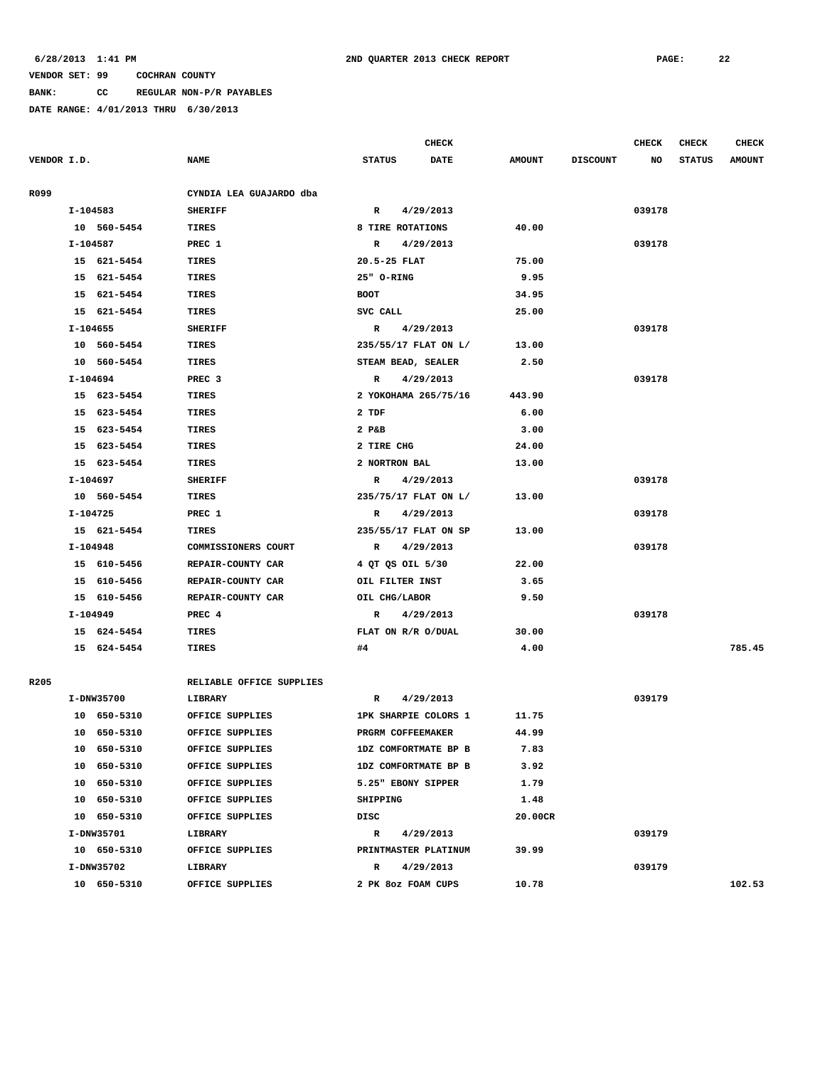**BANK: CC REGULAR NON-P/R PAYABLES**

|             |             |                          |               |                      | <b>CHECK</b> |               |                 | <b>CHECK</b> | <b>CHECK</b>  | <b>CHECK</b>  |
|-------------|-------------|--------------------------|---------------|----------------------|--------------|---------------|-----------------|--------------|---------------|---------------|
| VENDOR I.D. |             | <b>NAME</b>              | <b>STATUS</b> |                      | <b>DATE</b>  | <b>AMOUNT</b> | <b>DISCOUNT</b> | NO           | <b>STATUS</b> | <b>AMOUNT</b> |
| R099        |             | CYNDIA LEA GUAJARDO dba  |               |                      |              |               |                 |              |               |               |
|             | I-104583    | <b>SHERIFF</b>           | $\mathbb{R}$  | 4/29/2013            |              |               |                 | 039178       |               |               |
|             | 10 560-5454 | TIRES                    |               | 8 TIRE ROTATIONS     |              | 40.00         |                 |              |               |               |
|             | I-104587    | PREC 1                   | R             | 4/29/2013            |              |               |                 | 039178       |               |               |
|             | 15 621-5454 | TIRES                    | 20.5-25 FLAT  |                      |              | 75.00         |                 |              |               |               |
|             | 15 621-5454 | TIRES                    | 25" O-RING    |                      |              | 9.95          |                 |              |               |               |
|             | 15 621-5454 | TIRES                    | <b>BOOT</b>   |                      |              | 34.95         |                 |              |               |               |
|             | 15 621-5454 | <b>TIRES</b>             | SVC CALL      |                      |              | 25.00         |                 |              |               |               |
|             | $I-104655$  | <b>SHERIFF</b>           | $\mathbb{R}$  | 4/29/2013            |              |               |                 | 039178       |               |               |
|             | 10 560-5454 | TIRES                    |               | 235/55/17 FLAT ON L/ |              | 13.00         |                 |              |               |               |
|             | 10 560-5454 | <b>TIRES</b>             |               | STEAM BEAD, SEALER   |              | 2.50          |                 |              |               |               |
|             | I-104694    | PREC <sub>3</sub>        | R             | 4/29/2013            |              |               |                 | 039178       |               |               |
|             | 15 623-5454 | TIRES                    |               | 2 YOKOHAMA 265/75/16 |              | 443.90        |                 |              |               |               |
|             | 15 623-5454 | TIRES                    | 2 TDF         |                      |              | 6.00          |                 |              |               |               |
|             | 15 623-5454 | TIRES                    | 2 P&B         |                      |              | 3.00          |                 |              |               |               |
|             | 15 623-5454 | <b>TIRES</b>             | 2 TIRE CHG    |                      |              | 24.00         |                 |              |               |               |
|             | 15 623-5454 | <b>TIRES</b>             | 2 NORTRON BAL |                      |              | 13.00         |                 |              |               |               |
|             | I-104697    | <b>SHERIFF</b>           | $\mathbb{R}$  | 4/29/2013            |              |               |                 | 039178       |               |               |
|             | 10 560-5454 | TIRES                    |               | 235/75/17 FLAT ON L/ |              | 13.00         |                 |              |               |               |
|             | I-104725    | PREC 1                   | R             | 4/29/2013            |              |               |                 | 039178       |               |               |
|             | 15 621-5454 | <b>TIRES</b>             |               | 235/55/17 FLAT ON SP |              | 13.00         |                 |              |               |               |
|             | I-104948    | COMMISSIONERS COURT      | R             | 4/29/2013            |              |               |                 | 039178       |               |               |
|             | 15 610-5456 | REPAIR-COUNTY CAR        |               | 4 QT QS OIL 5/30     |              | 22.00         |                 |              |               |               |
|             | 15 610-5456 | REPAIR-COUNTY CAR        |               | OIL FILTER INST      |              | 3.65          |                 |              |               |               |
|             | 15 610-5456 | REPAIR-COUNTY CAR        | OIL CHG/LABOR |                      |              | 9.50          |                 |              |               |               |
|             | I-104949    | PREC 4                   | R             | 4/29/2013            |              |               |                 | 039178       |               |               |
|             | 15 624-5454 | TIRES                    |               | FLAT ON R/R O/DUAL   |              | 30.00         |                 |              |               |               |
|             | 15 624-5454 | <b>TIRES</b>             | #4            |                      |              | 4.00          |                 |              |               | 785.45        |
|             |             |                          |               |                      |              |               |                 |              |               |               |
| R205        |             | RELIABLE OFFICE SUPPLIES |               |                      |              |               |                 |              |               |               |
|             | I-DNW35700  | LIBRARY                  | R             | 4/29/2013            |              |               |                 | 039179       |               |               |
|             | 10 650-5310 | OFFICE SUPPLIES          |               | 1PK SHARPIE COLORS 1 |              | 11.75         |                 |              |               |               |
|             | 10 650-5310 | OFFICE SUPPLIES          |               | PRGRM COFFEEMAKER    |              | 44.99         |                 |              |               |               |
|             | 10 650-5310 | OFFICE SUPPLIES          |               | 1DZ COMFORTMATE BP B |              | 7.83          |                 |              |               |               |
|             | 10 650-5310 | OFFICE SUPPLIES          |               | 1DZ COMFORTMATE BP B |              | 3.92          |                 |              |               |               |
|             | 10 650-5310 | OFFICE SUPPLIES          |               | 5.25" EBONY SIPPER   |              | 1.79          |                 |              |               |               |
|             | 10 650-5310 | OFFICE SUPPLIES          | SHIPPING      |                      |              | 1.48          |                 |              |               |               |
|             | 10 650-5310 | OFFICE SUPPLIES          | DISC          |                      |              | 20.00CR       |                 |              |               |               |
|             | I-DNW35701  | LIBRARY                  | $\mathbb{R}$  | 4/29/2013            |              |               |                 | 039179       |               |               |
|             | 10 650-5310 | OFFICE SUPPLIES          |               | PRINTMASTER PLATINUM |              | 39.99         |                 |              |               |               |
|             | I-DNW35702  | LIBRARY                  | R             | 4/29/2013            |              |               |                 | 039179       |               |               |
|             | 10 650-5310 | OFFICE SUPPLIES          |               | 2 PK 80z FOAM CUPS   |              | 10.78         |                 |              |               | 102.53        |
|             |             |                          |               |                      |              |               |                 |              |               |               |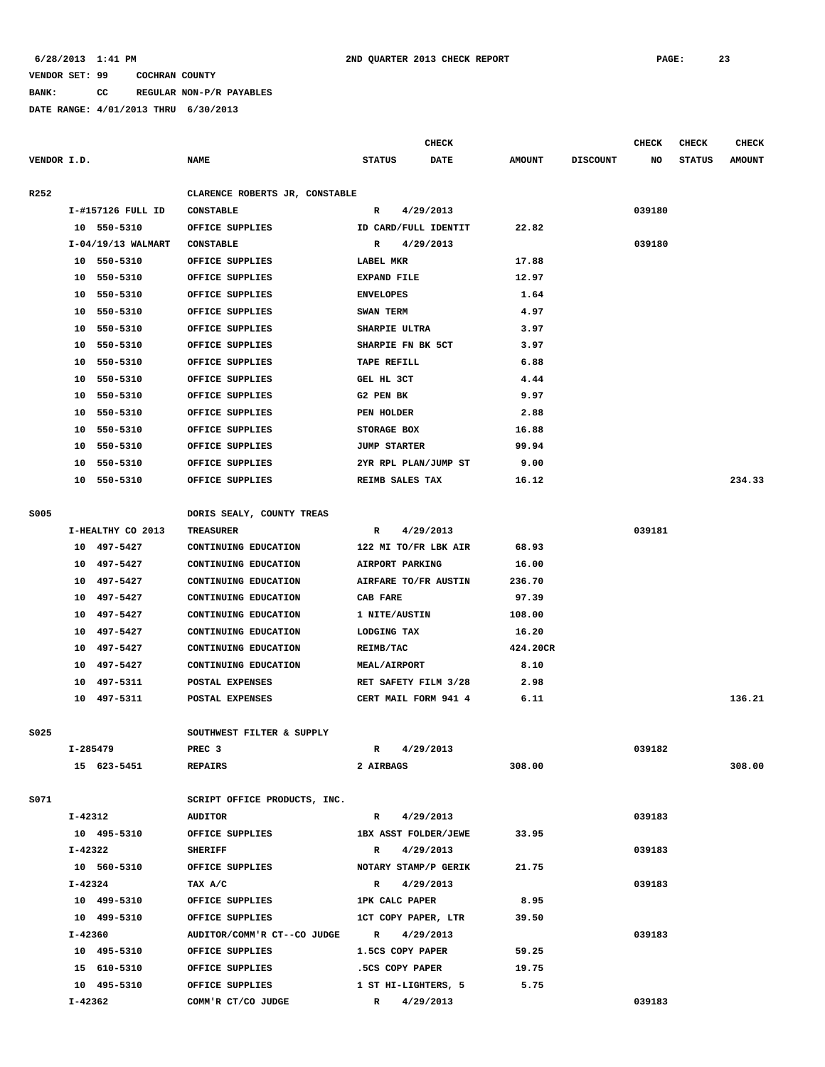**BANK: CC REGULAR NON-P/R PAYABLES**

|             |           |                      |                                |                              | <b>CHECK</b> |               |                 | <b>CHECK</b> | <b>CHECK</b>  | <b>CHECK</b>  |
|-------------|-----------|----------------------|--------------------------------|------------------------------|--------------|---------------|-----------------|--------------|---------------|---------------|
| VENDOR I.D. |           |                      | <b>NAME</b>                    | <b>STATUS</b><br><b>DATE</b> |              | <b>AMOUNT</b> | <b>DISCOUNT</b> | NO           | <b>STATUS</b> | <b>AMOUNT</b> |
| R252        |           |                      | CLARENCE ROBERTS JR, CONSTABLE |                              |              |               |                 |              |               |               |
|             |           | I-#157126 FULL ID    | <b>CONSTABLE</b>               | R                            | 4/29/2013    |               |                 | 039180       |               |               |
|             |           | 10 550-5310          | OFFICE SUPPLIES                | ID CARD/FULL IDENTIT         |              | 22.82         |                 |              |               |               |
|             |           | $I-04/19/13$ WALMART | <b>CONSTABLE</b>               | R                            | 4/29/2013    |               |                 | 039180       |               |               |
|             |           | 10 550-5310          | OFFICE SUPPLIES                | LABEL MKR                    |              | 17.88         |                 |              |               |               |
|             | 10        | 550-5310             | OFFICE SUPPLIES                | <b>EXPAND FILE</b>           |              | 12.97         |                 |              |               |               |
|             | 10        | 550-5310             | OFFICE SUPPLIES                | <b>ENVELOPES</b>             |              | 1.64          |                 |              |               |               |
|             | 10        | 550-5310             | OFFICE SUPPLIES                | SWAN TERM                    |              | 4.97          |                 |              |               |               |
|             | 10        | 550-5310             | OFFICE SUPPLIES                | SHARPIE ULTRA                |              | 3.97          |                 |              |               |               |
|             | 10        | 550-5310             | OFFICE SUPPLIES                | SHARPIE FN BK 5CT            |              | 3.97          |                 |              |               |               |
|             | 10        | 550-5310             | OFFICE SUPPLIES                | TAPE REFILL                  |              | 6.88          |                 |              |               |               |
|             | 10        | 550-5310             | OFFICE SUPPLIES                | GEL HL 3CT                   |              | 4.44          |                 |              |               |               |
|             | 10        | 550-5310             | OFFICE SUPPLIES                | G2 PEN BK                    |              | 9.97          |                 |              |               |               |
|             | 10        | 550-5310             | OFFICE SUPPLIES                | PEN HOLDER                   |              | 2.88          |                 |              |               |               |
|             | 10        | 550-5310             | OFFICE SUPPLIES                | STORAGE BOX                  |              | 16.88         |                 |              |               |               |
|             | 10        | 550-5310             | OFFICE SUPPLIES                | <b>JUMP STARTER</b>          |              | 99.94         |                 |              |               |               |
|             | 10        | 550-5310             | OFFICE SUPPLIES                | 2YR RPL PLAN/JUMP ST         |              | 9.00          |                 |              |               |               |
|             | 10        | 550-5310             | OFFICE SUPPLIES                | REIMB SALES TAX              |              | 16.12         |                 |              |               | 234.33        |
|             |           |                      |                                |                              |              |               |                 |              |               |               |
| <b>S005</b> |           |                      | DORIS SEALY, COUNTY TREAS      |                              |              |               |                 |              |               |               |
|             |           | I-HEALTHY CO 2013    | <b>TREASURER</b>               | R                            | 4/29/2013    |               |                 | 039181       |               |               |
|             | 10        | 497-5427             | CONTINUING EDUCATION           | 122 MI TO/FR LBK AIR         |              | 68.93         |                 |              |               |               |
|             | 10        | 497-5427             | CONTINUING EDUCATION           | AIRPORT PARKING              |              | 16.00         |                 |              |               |               |
|             | 10        | 497–5427             | CONTINUING EDUCATION           | AIRFARE TO/FR AUSTIN         |              | 236.70        |                 |              |               |               |
|             | 10        | 497-5427             | CONTINUING EDUCATION           | CAB FARE                     |              | 97.39         |                 |              |               |               |
|             | 10        | 497-5427             | CONTINUING EDUCATION           | 1 NITE/AUSTIN                |              | 108.00        |                 |              |               |               |
|             | 10        | 497–5427             | CONTINUING EDUCATION           | LODGING TAX                  |              | 16.20         |                 |              |               |               |
|             | 10        | 497-5427             | CONTINUING EDUCATION           | REIMB/TAC                    |              | 424.20CR      |                 |              |               |               |
|             | 10        | 497-5427             | CONTINUING EDUCATION           | <b>MEAL/AIRPORT</b>          |              | 8.10          |                 |              |               |               |
|             | 10        | 497-5311             | POSTAL EXPENSES                | RET SAFETY FILM 3/28         |              | 2.98          |                 |              |               |               |
|             |           | 10 497-5311          | POSTAL EXPENSES                | CERT MAIL FORM 941 4         |              | 6.11          |                 |              |               | 136.21        |
|             |           |                      |                                |                              |              |               |                 |              |               |               |
| S025        |           |                      | SOUTHWEST FILTER & SUPPLY      |                              |              |               |                 |              |               |               |
|             | I-285479  |                      | PREC <sub>3</sub>              | $\mathbb{R}$                 | 4/29/2013    |               |                 | 039182       |               |               |
|             |           | 15 623-5451          | <b>REPAIRS</b>                 | 2 AIRBAGS                    |              | 308.00        |                 |              |               | 308.00        |
|             |           |                      |                                |                              |              |               |                 |              |               |               |
| S071        |           |                      | SCRIPT OFFICE PRODUCTS, INC.   |                              |              |               |                 |              |               |               |
|             | I-42312   |                      | <b>AUDITOR</b>                 | R 4/29/2013                  |              |               |                 | 039183       |               |               |
|             |           | 10 495-5310          | OFFICE SUPPLIES                | 1BX ASST FOLDER/JEWE         |              | 33.95         |                 |              |               |               |
|             | I-42322   |                      | <b>SHERIFF</b>                 | R                            | 4/29/2013    |               |                 | 039183       |               |               |
|             |           | 10 560-5310          | OFFICE SUPPLIES                | NOTARY STAMP/P GERIK         |              | 21.75         |                 |              |               |               |
|             | $I-42324$ |                      | TAX A/C                        | $\mathbb{R}$                 | 4/29/2013    |               |                 | 039183       |               |               |
|             |           | 10 499-5310          | OFFICE SUPPLIES                | 1PK CALC PAPER               |              | 8.95          |                 |              |               |               |
|             |           | 10 499-5310          | OFFICE SUPPLIES                | 1CT COPY PAPER, LTR          |              | 39.50         |                 |              |               |               |
|             | I-42360   |                      | AUDITOR/COMM'R CT--CO JUDGE R  |                              | 4/29/2013    |               |                 | 039183       |               |               |
|             |           | 10 495-5310          | OFFICE SUPPLIES                | 1.5CS COPY PAPER             |              | 59.25         |                 |              |               |               |
|             |           | 15 610-5310          | OFFICE SUPPLIES                | .5CS COPY PAPER              |              | 19.75         |                 |              |               |               |
|             |           | 10 495-5310          | OFFICE SUPPLIES                | 1 ST HI-LIGHTERS, 5          |              | 5.75          |                 |              |               |               |
|             | I-42362   |                      | COMM'R CT/CO JUDGE             | R 4/29/2013                  |              |               |                 | 039183       |               |               |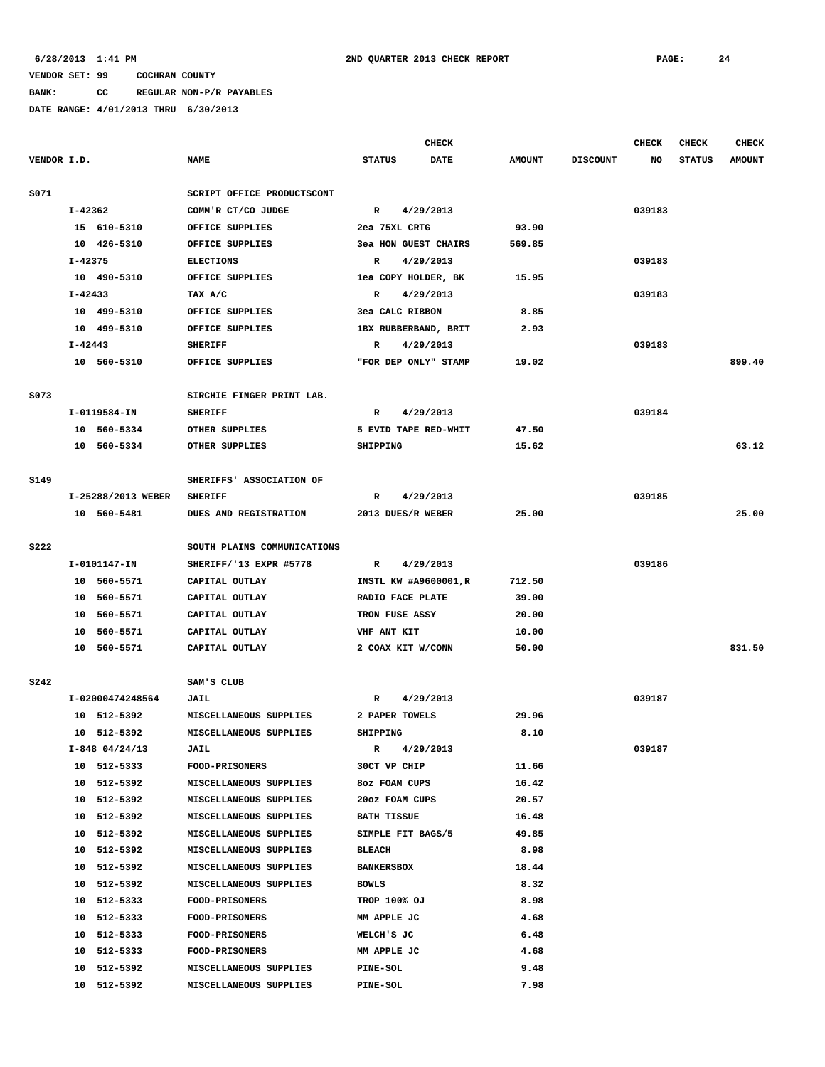# **BANK: CC REGULAR NON-P/R PAYABLES**

|             |             |                    |                             |                       | <b>CHECK</b> |               |                 | CHECK  | <b>CHECK</b>  | <b>CHECK</b>  |
|-------------|-------------|--------------------|-----------------------------|-----------------------|--------------|---------------|-----------------|--------|---------------|---------------|
| VENDOR I.D. |             |                    | <b>NAME</b>                 | <b>STATUS</b>         | <b>DATE</b>  | <b>AMOUNT</b> | <b>DISCOUNT</b> | NO     | <b>STATUS</b> | <b>AMOUNT</b> |
| S071        |             |                    | SCRIPT OFFICE PRODUCTSCONT  |                       |              |               |                 |        |               |               |
|             | $I - 42362$ |                    | COMM'R CT/CO JUDGE          | $\mathbb{R}$          | 4/29/2013    |               |                 | 039183 |               |               |
|             |             | 15 610-5310        | OFFICE SUPPLIES             | 2ea 75XL CRTG         |              | 93.90         |                 |        |               |               |
|             |             | 10 426-5310        | OFFICE SUPPLIES             | 3ea HON GUEST CHAIRS  |              | 569.85        |                 |        |               |               |
|             | $I - 42375$ |                    | <b>ELECTIONS</b>            | $\mathbb{R}$          | 4/29/2013    |               |                 | 039183 |               |               |
|             |             | 10 490-5310        | OFFICE SUPPLIES             | lea COPY HOLDER, BK   |              | 15.95         |                 |        |               |               |
|             | I-42433     |                    | TAX A/C                     | R                     | 4/29/2013    |               |                 | 039183 |               |               |
|             |             | 10 499-5310        | OFFICE SUPPLIES             | 3ea CALC RIBBON       |              | 8.85          |                 |        |               |               |
|             |             | 10 499-5310        | OFFICE SUPPLIES             | 1BX RUBBERBAND, BRIT  |              | 2.93          |                 |        |               |               |
|             | I-42443     |                    | <b>SHERIFF</b>              | R                     | 4/29/2013    |               |                 | 039183 |               |               |
|             |             | 10 560-5310        | OFFICE SUPPLIES             | "FOR DEP ONLY" STAMP  |              | 19.02         |                 |        |               | 899.40        |
| S073        |             |                    | SIRCHIE FINGER PRINT LAB.   |                       |              |               |                 |        |               |               |
|             |             | I-0119584-IN       | <b>SHERIFF</b>              | R                     | 4/29/2013    |               |                 | 039184 |               |               |
|             |             | 10 560-5334        | OTHER SUPPLIES              | 5 EVID TAPE RED-WHIT  |              | 47.50         |                 |        |               |               |
|             |             | 10 560-5334        | OTHER SUPPLIES              | SHIPPING              |              | 15.62         |                 |        |               | 63.12         |
| S149        |             |                    | SHERIFFS' ASSOCIATION OF    |                       |              |               |                 |        |               |               |
|             |             | I-25288/2013 WEBER | <b>SHERIFF</b>              | R                     | 4/29/2013    |               |                 | 039185 |               |               |
|             |             | 10 560-5481        | DUES AND REGISTRATION       | 2013 DUES/R WEBER     |              | 25.00         |                 |        |               | 25.00         |
| <b>S222</b> |             |                    | SOUTH PLAINS COMMUNICATIONS |                       |              |               |                 |        |               |               |
|             |             | I-0101147-IN       | SHERIFF/'13 EXPR #5778      | $\mathbb{R}$          | 4/29/2013    |               |                 | 039186 |               |               |
|             |             | 10 560-5571        | CAPITAL OUTLAY              | INSTL KW #A9600001, R |              | 712.50        |                 |        |               |               |
|             |             | 10 560-5571        | CAPITAL OUTLAY              | RADIO FACE PLATE      |              | 39.00         |                 |        |               |               |
|             |             | 10 560-5571        | CAPITAL OUTLAY              | TRON FUSE ASSY        |              | 20.00         |                 |        |               |               |
|             | 10          | 560-5571           | CAPITAL OUTLAY              | VHF ANT KIT           |              | 10.00         |                 |        |               |               |
|             |             | 10 560-5571        | CAPITAL OUTLAY              | 2 COAX KIT W/CONN     |              | 50.00         |                 |        |               | 831.50        |
| S242        |             |                    | SAM'S CLUB                  |                       |              |               |                 |        |               |               |
|             |             | I-02000474248564   | <b>JAIL</b>                 | R                     | 4/29/2013    |               |                 | 039187 |               |               |
|             |             | 10 512-5392        | MISCELLANEOUS SUPPLIES      | 2 PAPER TOWELS        |              | 29.96         |                 |        |               |               |
|             |             | 10 512-5392        | MISCELLANEOUS SUPPLIES      | SHIPPING              |              | 8.10          |                 |        |               |               |
|             |             | $I-848$ 04/24/13   | <b>JAIL</b>                 | R                     | 4/29/2013    |               |                 | 039187 |               |               |
|             |             | 10 512-5333        | <b>FOOD-PRISONERS</b>       | 30CT VP CHIP          |              | 11.66         |                 |        |               |               |
|             |             | 10 512-5392        | MISCELLANEOUS SUPPLIES      | 8oz FOAM CUPS         |              | 16.42         |                 |        |               |               |
|             |             | 10 512-5392        | MISCELLANEOUS SUPPLIES      | 20oz FOAM CUPS        |              | 20.57         |                 |        |               |               |
|             |             | 10 512-5392        | MISCELLANEOUS SUPPLIES      | <b>BATH TISSUE</b>    |              | 16.48         |                 |        |               |               |
|             |             | 10 512-5392        | MISCELLANEOUS SUPPLIES      | SIMPLE FIT BAGS/5     |              | 49.85         |                 |        |               |               |
|             |             | 10 512-5392        | MISCELLANEOUS SUPPLIES      | <b>BLEACH</b>         |              | 8.98          |                 |        |               |               |
|             |             | 10 512-5392        | MISCELLANEOUS SUPPLIES      | <b>BANKERSBOX</b>     |              | 18.44         |                 |        |               |               |
|             |             | 10 512-5392        | MISCELLANEOUS SUPPLIES      | <b>BOWLS</b>          |              | 8.32          |                 |        |               |               |
|             |             | 10 512-5333        | <b>FOOD-PRISONERS</b>       | TROP 100% OJ          |              | 8.98          |                 |        |               |               |
|             |             | 10 512-5333        | <b>FOOD-PRISONERS</b>       | MM APPLE JC           |              | 4.68          |                 |        |               |               |
|             |             | 10 512-5333        | <b>FOOD-PRISONERS</b>       | WELCH'S JC            |              | 6.48          |                 |        |               |               |
|             |             | 10 512-5333        | <b>FOOD-PRISONERS</b>       | MM APPLE JC           |              | 4.68          |                 |        |               |               |
|             |             | 10 512-5392        | MISCELLANEOUS SUPPLIES      | <b>PINE-SOL</b>       |              | 9.48          |                 |        |               |               |
|             |             | 10 512-5392        | MISCELLANEOUS SUPPLIES      | PINE-SOL              |              | 7.98          |                 |        |               |               |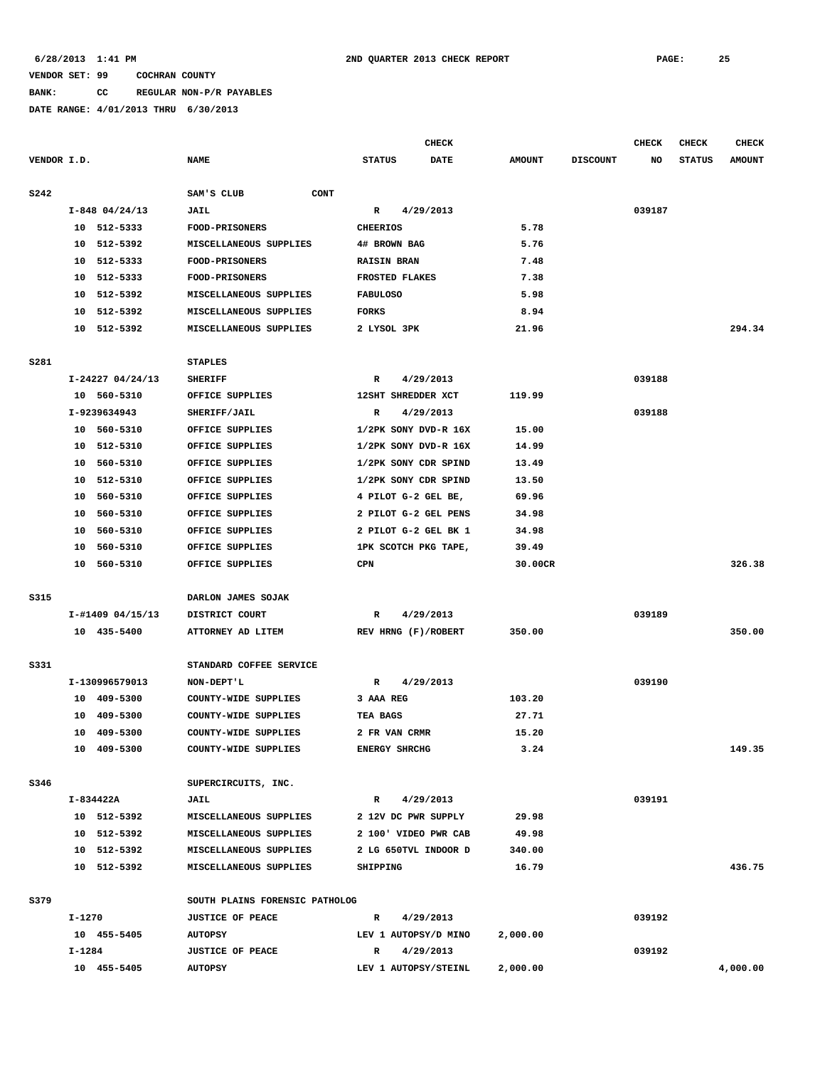#### **BANK: CC REGULAR NON-P/R PAYABLES**

|             |                  |                                | <b>CHECK</b>                 |               |                 | CHECK  | <b>CHECK</b>  | <b>CHECK</b>  |
|-------------|------------------|--------------------------------|------------------------------|---------------|-----------------|--------|---------------|---------------|
| VENDOR I.D. |                  | <b>NAME</b>                    | <b>STATUS</b><br><b>DATE</b> | <b>AMOUNT</b> | <b>DISCOUNT</b> | NO     | <b>STATUS</b> | <b>AMOUNT</b> |
| <b>S242</b> |                  | SAM'S CLUB<br><b>CONT</b>      |                              |               |                 |        |               |               |
|             | $I-848$ 04/24/13 | JAIL                           | 4/29/2013<br>R               |               |                 | 039187 |               |               |
|             | 10 512-5333      | FOOD-PRISONERS                 | <b>CHEERIOS</b>              | 5.78          |                 |        |               |               |
|             | 512-5392<br>10   | MISCELLANEOUS SUPPLIES         | 4# BROWN BAG                 | 5.76          |                 |        |               |               |
|             | 512-5333<br>10   | <b>FOOD-PRISONERS</b>          | <b>RAISIN BRAN</b>           | 7.48          |                 |        |               |               |
|             | 512-5333<br>10   | <b>FOOD-PRISONERS</b>          | FROSTED FLAKES               | 7.38          |                 |        |               |               |
|             | 512-5392<br>10   | MISCELLANEOUS SUPPLIES         | <b>FABULOSO</b>              | 5.98          |                 |        |               |               |
|             | 512-5392<br>10   | MISCELLANEOUS SUPPLIES         | <b>FORKS</b>                 | 8.94          |                 |        |               |               |
|             | 512-5392<br>10   | MISCELLANEOUS SUPPLIES         | 2 LYSOL 3PK                  | 21.96         |                 |        |               | 294.34        |
|             |                  |                                |                              |               |                 |        |               |               |
| S281        |                  | <b>STAPLES</b>                 |                              |               |                 |        |               |               |
|             | I-24227 04/24/13 | <b>SHERIFF</b>                 | $\mathbb{R}$<br>4/29/2013    |               |                 | 039188 |               |               |
|             | 10 560-5310      | OFFICE SUPPLIES                | 12SHT SHREDDER XCT           | 119.99        |                 |        |               |               |
|             | I-9239634943     | SHERIFF/JAIL                   | 4/29/2013<br>R               |               |                 | 039188 |               |               |
|             | 10 560-5310      | OFFICE SUPPLIES                | 1/2PK SONY DVD-R 16X         | 15.00         |                 |        |               |               |
|             | 512-5310<br>10   | OFFICE SUPPLIES                | 1/2PK SONY DVD-R 16X         | 14.99         |                 |        |               |               |
|             | 560-5310<br>10   | OFFICE SUPPLIES                | 1/2PK SONY CDR SPIND         | 13.49         |                 |        |               |               |
|             | 512-5310<br>10   | OFFICE SUPPLIES                | 1/2PK SONY CDR SPIND         | 13.50         |                 |        |               |               |
|             | 560-5310<br>10   | OFFICE SUPPLIES                | 4 PILOT G-2 GEL BE,          | 69.96         |                 |        |               |               |
|             | 560-5310<br>10   | OFFICE SUPPLIES                | 2 PILOT G-2 GEL PENS         | 34.98         |                 |        |               |               |
|             | 560-5310<br>10   | OFFICE SUPPLIES                | 2 PILOT G-2 GEL BK 1         | 34.98         |                 |        |               |               |
|             | 560-5310<br>10   | OFFICE SUPPLIES                | 1PK SCOTCH PKG TAPE,         | 39.49         |                 |        |               |               |
|             | 560-5310<br>10   | OFFICE SUPPLIES                | <b>CPN</b>                   | 30.00CR       |                 |        |               | 326.38        |
|             |                  |                                |                              |               |                 |        |               |               |
| <b>S315</b> |                  | DARLON JAMES SOJAK             |                              |               |                 |        |               |               |
|             | I-#1409 04/15/13 | DISTRICT COURT                 | 4/29/2013<br>R               |               |                 | 039189 |               |               |
|             | 10 435-5400      | ATTORNEY AD LITEM              | REV HRNG (F)/ROBERT          | 350.00        |                 |        |               | 350.00        |
| S331        |                  | STANDARD COFFEE SERVICE        |                              |               |                 |        |               |               |
|             | I-130996579013   | NON-DEPT'L                     | $\mathbb{R}$<br>4/29/2013    |               |                 | 039190 |               |               |
|             | 10 409-5300      | COUNTY-WIDE SUPPLIES           | 3 AAA REG                    | 103.20        |                 |        |               |               |
|             | 409-5300<br>10   | COUNTY-WIDE SUPPLIES           | TEA BAGS                     | 27.71         |                 |        |               |               |
|             | 10<br>409-5300   | COUNTY-WIDE SUPPLIES           | 2 FR VAN CRMR                | 15.20         |                 |        |               |               |
|             | 10 409-5300      | COUNTY-WIDE SUPPLIES           | <b>ENERGY SHRCHG</b>         | 3.24          |                 |        |               | 149.35        |
|             |                  |                                |                              |               |                 |        |               |               |
| S346        |                  | SUPERCIRCUITS, INC.            |                              |               |                 |        |               |               |
|             | I-834422A        | <b>JAIL</b>                    | 4/29/2013<br>$\mathbb{R}$    |               |                 | 039191 |               |               |
|             | 10 512-5392      | MISCELLANEOUS SUPPLIES         | 2 12V DC PWR SUPPLY          | 29.98         |                 |        |               |               |
|             | 10 512-5392      | MISCELLANEOUS SUPPLIES         | 2 100' VIDEO PWR CAB         | 49.98         |                 |        |               |               |
|             | 10 512-5392      | MISCELLANEOUS SUPPLIES         | 2 LG 650TVL INDOOR D         | 340.00        |                 |        |               |               |
|             | 10 512-5392      | MISCELLANEOUS SUPPLIES         | <b>SHIPPING</b>              | 16.79         |                 |        |               | 436.75        |
| S379        |                  | SOUTH PLAINS FORENSIC PATHOLOG |                              |               |                 |        |               |               |
|             | I-1270           | <b>JUSTICE OF PEACE</b>        | 4/29/2013<br>$\mathbb{R}$    |               |                 | 039192 |               |               |
|             | 10 455-5405      | <b>AUTOPSY</b>                 | LEV 1 AUTOPSY/D MINO         | 2,000.00      |                 |        |               |               |
|             | I-1284           | <b>JUSTICE OF PEACE</b>        | 4/29/2013<br>R               |               |                 | 039192 |               |               |
|             | 10 455-5405      | <b>AUTOPSY</b>                 | LEV 1 AUTOPSY/STEINL         | 2,000.00      |                 |        |               | 4,000.00      |
|             |                  |                                |                              |               |                 |        |               |               |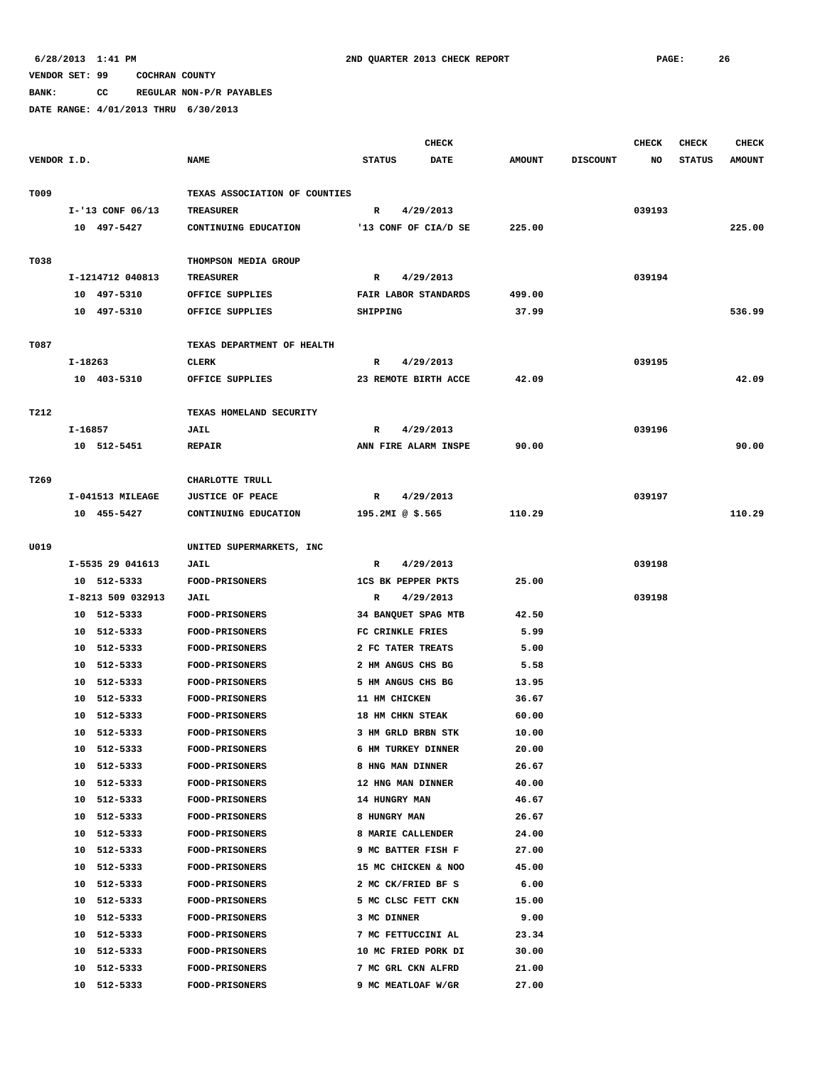**BANK: CC REGULAR NON-P/R PAYABLES**

|             |                   |                               |                           | CHECK                |               |                 | <b>CHECK</b> | <b>CHECK</b>  | <b>CHECK</b>  |
|-------------|-------------------|-------------------------------|---------------------------|----------------------|---------------|-----------------|--------------|---------------|---------------|
| VENDOR I.D. |                   | <b>NAME</b>                   | <b>STATUS</b>             | <b>DATE</b>          | <b>AMOUNT</b> | <b>DISCOUNT</b> | NO           | <b>STATUS</b> | <b>AMOUNT</b> |
| T009        |                   | TEXAS ASSOCIATION OF COUNTIES |                           |                      |               |                 |              |               |               |
|             | I-'13 CONF 06/13  | <b>TREASURER</b>              | R                         | 4/29/2013            |               |                 | 039193       |               |               |
|             | 10 497-5427       | CONTINUING EDUCATION          |                           | '13 CONF OF CIA/D SE | 225.00        |                 |              |               | 225.00        |
|             |                   |                               |                           |                      |               |                 |              |               |               |
| T038        |                   | THOMPSON MEDIA GROUP          |                           |                      |               |                 |              |               |               |
|             | I-1214712 040813  | <b>TREASURER</b>              | R                         | 4/29/2013            |               |                 | 039194       |               |               |
|             | 10 497-5310       | OFFICE SUPPLIES               | FAIR LABOR STANDARDS      |                      | 499.00        |                 |              |               |               |
|             | 10 497-5310       | OFFICE SUPPLIES               | SHIPPING                  |                      | 37.99         |                 |              |               | 536.99        |
|             |                   |                               |                           |                      |               |                 |              |               |               |
| T087        |                   | TEXAS DEPARTMENT OF HEALTH    |                           |                      |               |                 |              |               |               |
|             | I-18263           | <b>CLERK</b>                  | R                         | 4/29/2013            |               |                 | 039195       |               |               |
|             | 10 403-5310       | OFFICE SUPPLIES               |                           | 23 REMOTE BIRTH ACCE | 42.09         |                 |              |               | 42.09         |
| T212        |                   | TEXAS HOMELAND SECURITY       |                           |                      |               |                 |              |               |               |
|             | I-16857           | JAIL                          | R                         | 4/29/2013            |               |                 | 039196       |               |               |
|             | 10 512-5451       | <b>REPAIR</b>                 |                           | ANN FIRE ALARM INSPE | 90.00         |                 |              |               | 90.00         |
|             |                   |                               |                           |                      |               |                 |              |               |               |
| T269        |                   | CHARLOTTE TRULL               |                           |                      |               |                 |              |               |               |
|             | I-041513 MILEAGE  | <b>JUSTICE OF PEACE</b>       | R                         | 4/29/2013            |               |                 | 039197       |               |               |
|             | 10 455-5427       | CONTINUING EDUCATION          | 195.2MI @ \$.565          |                      | 110.29        |                 |              |               | 110.29        |
| U019        |                   | UNITED SUPERMARKETS, INC      |                           |                      |               |                 |              |               |               |
|             | I-5535 29 041613  | JAIL                          | R                         | 4/29/2013            |               |                 | 039198       |               |               |
|             | 10 512-5333       | <b>FOOD-PRISONERS</b>         | <b>1CS BK PEPPER PKTS</b> |                      | 25.00         |                 |              |               |               |
|             | I-8213 509 032913 | JAIL                          | R                         | 4/29/2013            |               |                 | 039198       |               |               |
|             | 10 512-5333       | <b>FOOD-PRISONERS</b>         | 34 BANQUET SPAG MTB       |                      | 42.50         |                 |              |               |               |
|             | 10 512-5333       | <b>FOOD-PRISONERS</b>         | FC CRINKLE FRIES          |                      | 5.99          |                 |              |               |               |
|             | 10 512-5333       | <b>FOOD-PRISONERS</b>         | 2 FC TATER TREATS         |                      | 5.00          |                 |              |               |               |
|             | 10 512-5333       | FOOD-PRISONERS                | 2 HM ANGUS CHS BG         |                      | 5.58          |                 |              |               |               |
|             | 10 512-5333       | <b>FOOD-PRISONERS</b>         | 5 HM ANGUS CHS BG         |                      | 13.95         |                 |              |               |               |
|             | 10 512-5333       | FOOD-PRISONERS                | 11 HM CHICKEN             |                      | 36.67         |                 |              |               |               |
|             | 512-5333<br>10    | <b>FOOD-PRISONERS</b>         | 18 HM CHKN STEAK          |                      | 60.00         |                 |              |               |               |
|             | 10 512-5333       | <b>FOOD-PRISONERS</b>         | 3 HM GRLD BRBN STK        |                      | 10.00         |                 |              |               |               |
|             | 10 512-5333       | <b>FOOD-PRISONERS</b>         | 6 HM TURKEY DINNER        |                      | 20.00         |                 |              |               |               |
|             | 512-5333<br>10    | <b>FOOD-PRISONERS</b>         | 8 HNG MAN DINNER          |                      | 26.67         |                 |              |               |               |
|             | 10 512-5333       | <b>FOOD-PRISONERS</b>         | 12 HNG MAN DINNER         |                      | 40.00         |                 |              |               |               |
|             | 10 512-5333       | <b>FOOD-PRISONERS</b>         | 14 HUNGRY MAN             |                      | 46.67         |                 |              |               |               |
|             | 10 512-5333       | <b>FOOD-PRISONERS</b>         | 8 HUNGRY MAN              |                      | 26.67         |                 |              |               |               |
|             | 10 512-5333       | FOOD-PRISONERS                | 8 MARIE CALLENDER         |                      | 24.00         |                 |              |               |               |
|             | 10 512-5333       | FOOD-PRISONERS                | 9 MC BATTER FISH F        |                      | 27.00         |                 |              |               |               |
|             | 512-5333<br>10    | <b>FOOD-PRISONERS</b>         | 15 MC CHICKEN & NOO       |                      | 45.00         |                 |              |               |               |
|             | 10 512-5333       | <b>FOOD-PRISONERS</b>         | 2 MC CK/FRIED BF S        |                      | 6.00          |                 |              |               |               |
|             | 10 512-5333       | <b>FOOD-PRISONERS</b>         | 5 MC CLSC FETT CKN        |                      | 15.00         |                 |              |               |               |
|             | 10 512-5333       | <b>FOOD-PRISONERS</b>         | 3 MC DINNER               |                      | 9.00          |                 |              |               |               |
|             | 10 512-5333       | <b>FOOD-PRISONERS</b>         | 7 MC FETTUCCINI AL        |                      | 23.34         |                 |              |               |               |
|             | 10 512-5333       | <b>FOOD-PRISONERS</b>         | 10 MC FRIED PORK DI       |                      | 30.00         |                 |              |               |               |
|             | 512-5333<br>10    | <b>FOOD-PRISONERS</b>         | 7 MC GRL CKN ALFRD        |                      | 21.00         |                 |              |               |               |
|             | 10 512-5333       | <b>FOOD-PRISONERS</b>         | 9 MC MEATLOAF W/GR        |                      | 27.00         |                 |              |               |               |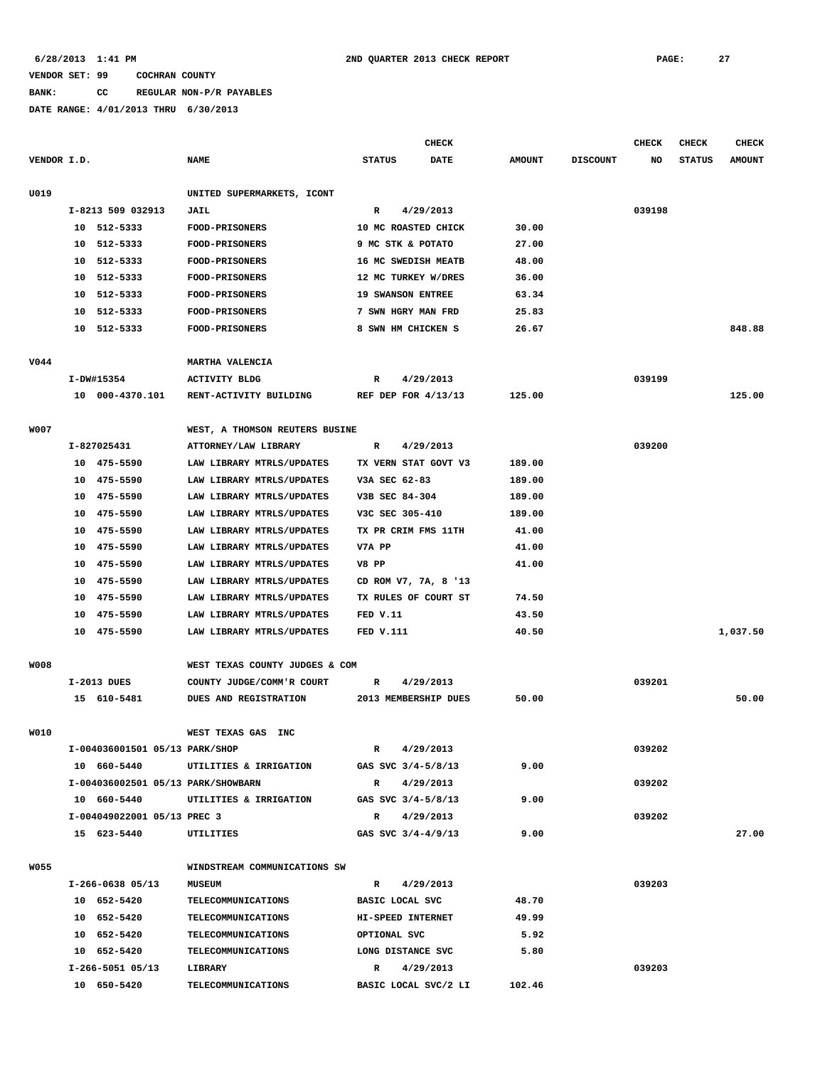## **BANK: CC REGULAR NON-P/R PAYABLES**

|             |    |                                    |                                    |                          | CHECK       |               |                 | <b>CHECK</b> | <b>CHECK</b>  | <b>CHECK</b>  |
|-------------|----|------------------------------------|------------------------------------|--------------------------|-------------|---------------|-----------------|--------------|---------------|---------------|
| VENDOR I.D. |    |                                    | <b>NAME</b>                        | <b>STATUS</b>            | <b>DATE</b> | <b>AMOUNT</b> | <b>DISCOUNT</b> | NO           | <b>STATUS</b> | <b>AMOUNT</b> |
| U019        |    |                                    | UNITED SUPERMARKETS, ICONT         |                          |             |               |                 |              |               |               |
|             |    | I-8213 509 032913                  | <b>JAIL</b>                        | R                        | 4/29/2013   |               |                 | 039198       |               |               |
|             |    | 10 512-5333                        | FOOD-PRISONERS                     | 10 MC ROASTED CHICK      |             | 30.00         |                 |              |               |               |
|             | 10 | 512-5333                           | FOOD-PRISONERS                     | 9 MC STK & POTATO        |             | 27.00         |                 |              |               |               |
|             | 10 | 512-5333                           | <b>FOOD-PRISONERS</b>              | 16 MC SWEDISH MEATB      |             | 48.00         |                 |              |               |               |
|             | 10 | 512-5333                           | <b>FOOD-PRISONERS</b>              | 12 MC TURKEY W/DRES      |             | 36.00         |                 |              |               |               |
|             | 10 | 512-5333                           | <b>FOOD-PRISONERS</b>              | <b>19 SWANSON ENTREE</b> |             | 63.34         |                 |              |               |               |
|             | 10 | 512-5333                           | <b>FOOD-PRISONERS</b>              | 7 SWN HGRY MAN FRD       |             | 25.83         |                 |              |               |               |
|             | 10 | 512-5333                           | <b>FOOD-PRISONERS</b>              | 8 SWN HM CHICKEN S       |             | 26.67         |                 |              |               | 848.88        |
| V044        |    |                                    | MARTHA VALENCIA                    |                          |             |               |                 |              |               |               |
|             |    | I-DW#15354                         | <b>ACTIVITY BLDG</b>               | R                        | 4/29/2013   |               |                 | 039199       |               |               |
|             |    | 10 000-4370.101                    | RENT-ACTIVITY BUILDING             | REF DEP FOR 4/13/13      |             | 125.00        |                 |              |               | 125.00        |
|             |    |                                    |                                    |                          |             |               |                 |              |               |               |
| W007        |    |                                    | WEST, A THOMSON REUTERS BUSINE     |                          |             |               |                 |              |               |               |
|             |    | I-827025431                        | ATTORNEY/LAW LIBRARY               | R                        | 4/29/2013   |               |                 | 039200       |               |               |
|             |    | 10 475-5590                        | LAW LIBRARY MTRLS/UPDATES          | TX VERN STAT GOVT V3     |             | 189.00        |                 |              |               |               |
|             |    | 10 475-5590                        | LAW LIBRARY MTRLS/UPDATES          | V3A SEC 62-83            |             | 189.00        |                 |              |               |               |
|             | 10 | 475-5590                           | LAW LIBRARY MTRLS/UPDATES          | V3B SEC 84-304           |             | 189.00        |                 |              |               |               |
|             | 10 | 475-5590                           | LAW LIBRARY MTRLS/UPDATES          | V3C SEC 305-410          |             | 189.00        |                 |              |               |               |
|             | 10 | 475-5590                           | LAW LIBRARY MTRLS/UPDATES          | TX PR CRIM FMS 11TH      |             | 41.00         |                 |              |               |               |
|             | 10 | 475-5590                           | LAW LIBRARY MTRLS/UPDATES          | V7A PP                   |             | 41.00         |                 |              |               |               |
|             | 10 | 475-5590                           | LAW LIBRARY MTRLS/UPDATES          | V8 PP                    |             | 41.00         |                 |              |               |               |
|             | 10 | 475-5590                           | LAW LIBRARY MTRLS/UPDATES          | CD ROM V7, 7A, 8 '13     |             |               |                 |              |               |               |
|             | 10 | 475-5590                           | LAW LIBRARY MTRLS/UPDATES          | TX RULES OF COURT ST     |             | 74.50         |                 |              |               |               |
|             | 10 | 475-5590                           | LAW LIBRARY MTRLS/UPDATES          | FED V.11                 |             | 43.50         |                 |              |               |               |
|             |    | 10 475-5590                        | LAW LIBRARY MTRLS/UPDATES          | <b>FED V.111</b>         |             | 40.50         |                 |              |               | 1,037.50      |
| <b>WO08</b> |    |                                    | WEST TEXAS COUNTY JUDGES & COM     |                          |             |               |                 |              |               |               |
|             |    | $I-2013$ DUES                      | COUNTY JUDGE/COMM'R COURT          | R                        | 4/29/2013   |               |                 | 039201       |               |               |
|             |    | 15 610-5481                        | DUES AND REGISTRATION              | 2013 MEMBERSHIP DUES     |             | 50.00         |                 |              |               | 50.00         |
|             |    |                                    |                                    |                          |             |               |                 |              |               |               |
| W010        |    |                                    | WEST TEXAS GAS INC                 |                          |             |               |                 |              |               |               |
|             |    | I-004036001501 05/13 PARK/SHOP     |                                    | R                        | 4/29/2013   |               |                 | 039202       |               |               |
|             |    | 10 660-5440                        | UTILITIES & IRRIGATION             | GAS SVC 3/4-5/8/13       |             | 9.00          |                 |              |               |               |
|             |    | I-004036002501 05/13 PARK/SHOWBARN |                                    | R 4/29/2013              |             |               |                 | 039202       |               |               |
|             |    |                                    | 10 660-5440 UTILITIES & IRRIGATION | GAS SVC 3/4-5/8/13       |             | 9.00          |                 |              |               |               |
|             |    | I-004049022001 05/13 PREC 3        |                                    | R 4/29/2013              |             |               |                 | 039202       |               |               |
|             |    | 15 623-5440                        | UTILITIES                          | GAS SVC 3/4-4/9/13       |             | 9.00          |                 |              |               | 27.00         |
| W055        |    |                                    | WINDSTREAM COMMUNICATIONS SW       |                          |             |               |                 |              |               |               |
|             |    | I-266-0638 05/13                   | <b>MUSEUM</b>                      | R 4/29/2013              |             |               |                 | 039203       |               |               |
|             |    | 10 652-5420                        | <b>TELECOMMUNICATIONS</b>          | BASIC LOCAL SVC          |             | 48.70         |                 |              |               |               |
|             |    | 10 652-5420                        | <b>TELECOMMUNICATIONS</b>          | HI-SPEED INTERNET        |             | 49.99         |                 |              |               |               |
|             |    | 10 652-5420                        | <b>TELECOMMUNICATIONS</b>          | OPTIONAL SVC             |             | 5.92          |                 |              |               |               |
|             |    | 10 652-5420                        | TELECOMMUNICATIONS                 | LONG DISTANCE SVC        |             | 5.80          |                 |              |               |               |
|             |    | I-266-5051 05/13                   | LIBRARY                            | $\mathbf{R}$             | 4/29/2013   |               |                 | 039203       |               |               |
|             |    | 10 650-5420                        | TELECOMMUNICATIONS                 | BASIC LOCAL SVC/2 LI     |             | 102.46        |                 |              |               |               |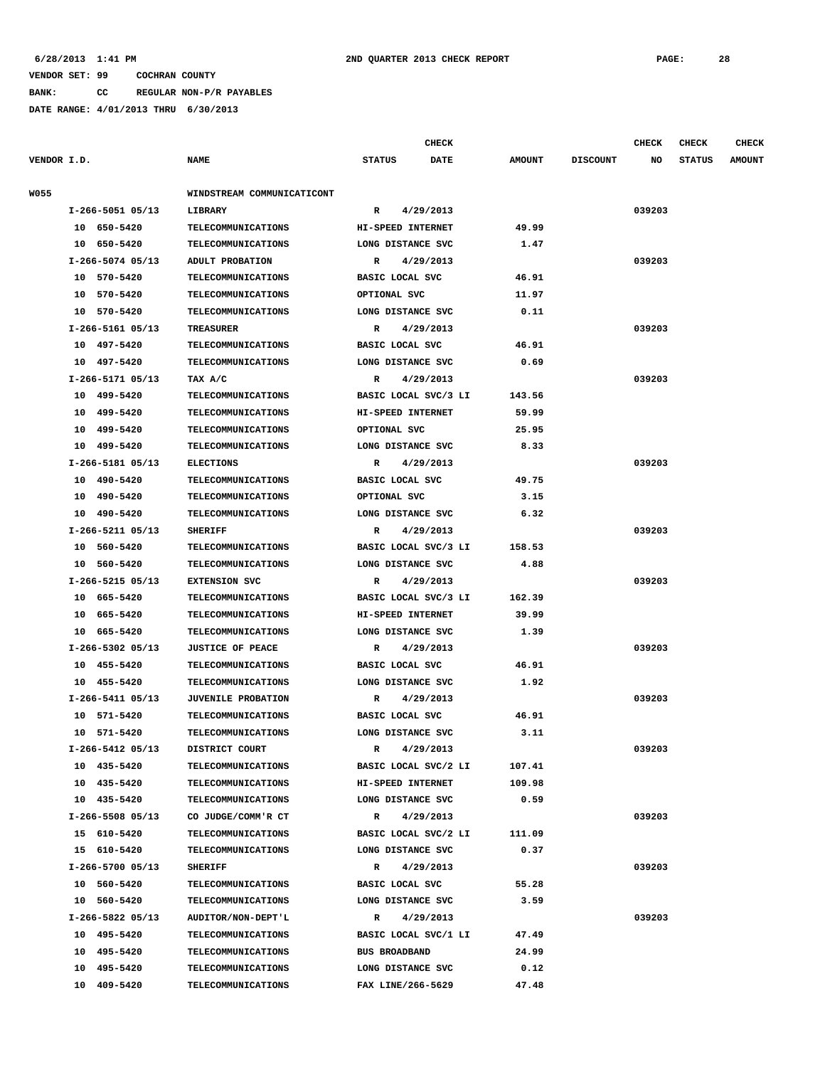**BANK: CC REGULAR NON-P/R PAYABLES**

|             |                  |                            |                        | <b>CHECK</b>         |               |                 | <b>CHECK</b> | CHECK         | <b>CHECK</b>  |
|-------------|------------------|----------------------------|------------------------|----------------------|---------------|-----------------|--------------|---------------|---------------|
| VENDOR I.D. |                  | <b>NAME</b>                | <b>STATUS</b>          | <b>DATE</b>          | <b>AMOUNT</b> | <b>DISCOUNT</b> | NO           | <b>STATUS</b> | <b>AMOUNT</b> |
| W055        |                  | WINDSTREAM COMMUNICATICONT |                        |                      |               |                 |              |               |               |
|             | I-266-5051 05/13 | LIBRARY                    | R                      | 4/29/2013            |               |                 | 039203       |               |               |
|             | 10 650-5420      | <b>TELECOMMUNICATIONS</b>  | HI-SPEED INTERNET      |                      | 49.99         |                 |              |               |               |
|             | 10 650-5420      | <b>TELECOMMUNICATIONS</b>  | LONG DISTANCE SVC      |                      | 1.47          |                 |              |               |               |
|             | I-266-5074 05/13 | ADULT PROBATION            | R                      | 4/29/2013            |               |                 | 039203       |               |               |
|             | 10 570-5420      | <b>TELECOMMUNICATIONS</b>  | BASIC LOCAL SVC        |                      | 46.91         |                 |              |               |               |
|             | 10 570-5420      | TELECOMMUNICATIONS         | OPTIONAL SVC           |                      | 11.97         |                 |              |               |               |
|             | 10 570-5420      | <b>TELECOMMUNICATIONS</b>  | LONG DISTANCE SVC      |                      | 0.11          |                 |              |               |               |
|             | I-266-5161 05/13 | <b>TREASURER</b>           | R                      | 4/29/2013            |               |                 | 039203       |               |               |
|             | 10 497-5420      | <b>TELECOMMUNICATIONS</b>  | BASIC LOCAL SVC        |                      | 46.91         |                 |              |               |               |
|             | 10 497-5420      | <b>TELECOMMUNICATIONS</b>  | LONG DISTANCE SVC      |                      | 0.69          |                 |              |               |               |
|             | I-266-5171 05/13 | TAX A/C                    | R                      | 4/29/2013            |               |                 | 039203       |               |               |
|             | 10 499-5420      | <b>TELECOMMUNICATIONS</b>  |                        | BASIC LOCAL SVC/3 LI | 143.56        |                 |              |               |               |
|             | 10 499-5420      | <b>TELECOMMUNICATIONS</b>  | HI-SPEED INTERNET      |                      | 59.99         |                 |              |               |               |
|             | 10 499-5420      | <b>TELECOMMUNICATIONS</b>  | OPTIONAL SVC           |                      | 25.95         |                 |              |               |               |
|             | 10 499-5420      | TELECOMMUNICATIONS         | LONG DISTANCE SVC      |                      | 8.33          |                 |              |               |               |
|             | I-266-5181 05/13 | <b>ELECTIONS</b>           | R                      | 4/29/2013            |               |                 | 039203       |               |               |
|             | 10 490-5420      | <b>TELECOMMUNICATIONS</b>  | <b>BASIC LOCAL SVC</b> |                      | 49.75         |                 |              |               |               |
|             | 10 490-5420      | <b>TELECOMMUNICATIONS</b>  | OPTIONAL SVC           |                      | 3.15          |                 |              |               |               |
|             | 10 490-5420      | <b>TELECOMMUNICATIONS</b>  | LONG DISTANCE SVC      |                      | 6.32          |                 |              |               |               |
|             | I-266-5211 05/13 | <b>SHERIFF</b>             | R                      | 4/29/2013            |               |                 | 039203       |               |               |
|             | 10 560-5420      | <b>TELECOMMUNICATIONS</b>  |                        | BASIC LOCAL SVC/3 LI | 158.53        |                 |              |               |               |
|             | 10 560-5420      | <b>TELECOMMUNICATIONS</b>  | LONG DISTANCE SVC      |                      | 4.88          |                 |              |               |               |
|             | I-266-5215 05/13 | <b>EXTENSION SVC</b>       | R                      | 4/29/2013            |               |                 | 039203       |               |               |
|             | 10 665-5420      | <b>TELECOMMUNICATIONS</b>  |                        | BASIC LOCAL SVC/3 LI | 162.39        |                 |              |               |               |
|             | 10 665-5420      | <b>TELECOMMUNICATIONS</b>  | HI-SPEED INTERNET      |                      | 39.99         |                 |              |               |               |
|             | 10 665-5420      | <b>TELECOMMUNICATIONS</b>  | LONG DISTANCE SVC      |                      | 1.39          |                 |              |               |               |
|             | I-266-5302 05/13 | <b>JUSTICE OF PEACE</b>    | R                      | 4/29/2013            |               |                 | 039203       |               |               |
|             | 10 455-5420      | <b>TELECOMMUNICATIONS</b>  | BASIC LOCAL SVC        |                      | 46.91         |                 |              |               |               |
|             | 10 455-5420      | <b>TELECOMMUNICATIONS</b>  | LONG DISTANCE SVC      |                      | 1.92          |                 |              |               |               |
|             | I-266-5411 05/13 | <b>JUVENILE PROBATION</b>  | R                      | 4/29/2013            |               |                 | 039203       |               |               |
|             | 10 571-5420      | <b>TELECOMMUNICATIONS</b>  | BASIC LOCAL SVC        |                      | 46.91         |                 |              |               |               |
|             | 10 571-5420      | <b>TELECOMMUNICATIONS</b>  | LONG DISTANCE SVC      |                      | 3.11          |                 |              |               |               |
|             | I-266-5412 05/13 | DISTRICT COURT             | R                      | 4/29/2013            |               |                 | 039203       |               |               |
|             | 10 435-5420      | <b>TELECOMMUNICATIONS</b>  |                        | BASIC LOCAL SVC/2 LI | 107.41        |                 |              |               |               |
|             | 10 435-5420      | <b>TELECOMMUNICATIONS</b>  | HI-SPEED INTERNET      |                      | 109.98        |                 |              |               |               |
|             | 10 435-5420      | TELECOMMUNICATIONS         | LONG DISTANCE SVC      |                      | 0.59          |                 |              |               |               |
|             | I-266-5508 05/13 | CO JUDGE/COMM'R CT         | $\mathbf{R}$           | 4/29/2013            |               |                 | 039203       |               |               |
|             | 15 610-5420      | TELECOMMUNICATIONS         |                        | BASIC LOCAL SVC/2 LI | 111.09        |                 |              |               |               |
|             | 15 610-5420      | TELECOMMUNICATIONS         | LONG DISTANCE SVC      |                      | 0.37          |                 |              |               |               |
|             | I-266-5700 05/13 | <b>SHERIFF</b>             |                        | R 4/29/2013          |               |                 | 039203       |               |               |
|             | 10 560-5420      | TELECOMMUNICATIONS         | BASIC LOCAL SVC        |                      | 55.28         |                 |              |               |               |
|             | 10 560-5420      | <b>TELECOMMUNICATIONS</b>  | LONG DISTANCE SVC      |                      | 3.59          |                 |              |               |               |
|             | I-266-5822 05/13 | AUDITOR/NON-DEPT'L         |                        | R 4/29/2013          |               |                 | 039203       |               |               |
|             | 10 495-5420      | TELECOMMUNICATIONS         |                        | BASIC LOCAL SVC/1 LI | 47.49         |                 |              |               |               |
|             | 10 495-5420      | <b>TELECOMMUNICATIONS</b>  | <b>BUS BROADBAND</b>   |                      | 24.99         |                 |              |               |               |
|             | 10 495-5420      | <b>TELECOMMUNICATIONS</b>  | LONG DISTANCE SVC      |                      | 0.12          |                 |              |               |               |
|             | 10 409-5420      | <b>TELECOMMUNICATIONS</b>  | FAX LINE/266-5629      |                      | 47.48         |                 |              |               |               |
|             |                  |                            |                        |                      |               |                 |              |               |               |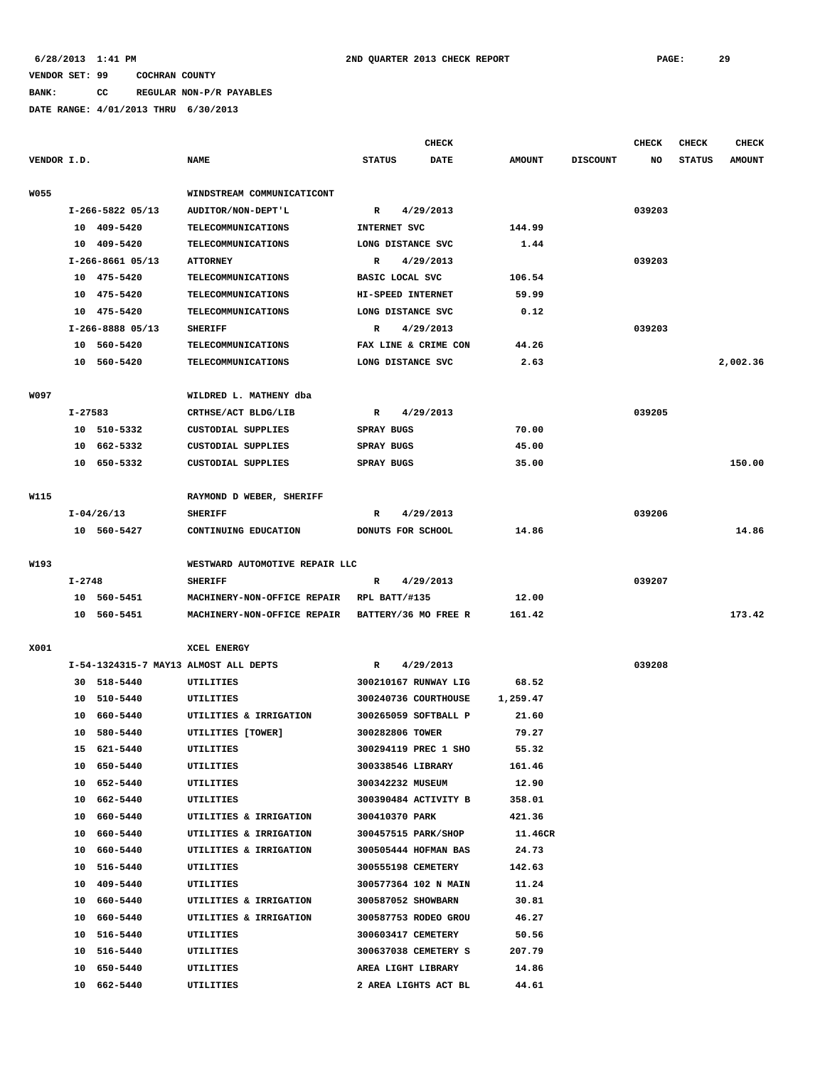# **BANK: CC REGULAR NON-P/R PAYABLES**

|             |         |                  |                                       |                      | CHECK     |               |                 | <b>CHECK</b> | <b>CHECK</b>  | <b>CHECK</b>  |
|-------------|---------|------------------|---------------------------------------|----------------------|-----------|---------------|-----------------|--------------|---------------|---------------|
| VENDOR I.D. |         |                  | <b>NAME</b>                           | <b>STATUS</b>        | DATE      | <b>AMOUNT</b> | <b>DISCOUNT</b> | NO           | <b>STATUS</b> | <b>AMOUNT</b> |
| <b>W055</b> |         |                  | WINDSTREAM COMMUNICATICONT            |                      |           |               |                 |              |               |               |
|             |         | I-266-5822 05/13 | AUDITOR/NON-DEPT'L                    | $\mathbb{R}$         | 4/29/2013 |               |                 | 039203       |               |               |
|             |         | 10 409-5420      | <b>TELECOMMUNICATIONS</b>             | INTERNET SVC         |           | 144.99        |                 |              |               |               |
|             |         | 10 409-5420      | TELECOMMUNICATIONS                    | LONG DISTANCE SVC    |           | 1.44          |                 |              |               |               |
|             |         | I-266-8661 05/13 | <b>ATTORNEY</b>                       | R<br>4/29/2013       |           |               |                 | 039203       |               |               |
|             |         | 10 475-5420      | <b>TELECOMMUNICATIONS</b>             | BASIC LOCAL SVC      |           | 106.54        |                 |              |               |               |
|             |         | 10 475-5420      | <b>TELECOMMUNICATIONS</b>             | HI-SPEED INTERNET    |           | 59.99         |                 |              |               |               |
|             |         | 10 475-5420      | <b>TELECOMMUNICATIONS</b>             | LONG DISTANCE SVC    |           | 0.12          |                 |              |               |               |
|             |         | I-266-8888 05/13 | <b>SHERIFF</b>                        | R                    | 4/29/2013 |               |                 | 039203       |               |               |
|             |         | 10 560-5420      | TELECOMMUNICATIONS                    | FAX LINE & CRIME CON |           | 44.26         |                 |              |               |               |
|             |         | 10 560-5420      | TELECOMMUNICATIONS                    | LONG DISTANCE SVC    |           | 2.63          |                 |              |               | 2,002.36      |
| W097        |         |                  | WILDRED L. MATHENY dba                |                      |           |               |                 |              |               |               |
|             |         |                  |                                       |                      |           |               |                 | 039205       |               |               |
|             | I-27583 | 10 510-5332      | CRTHSE/ACT BLDG/LIB                   | R                    | 4/29/2013 |               |                 |              |               |               |
|             |         |                  | CUSTODIAL SUPPLIES                    | SPRAY BUGS           |           | 70.00         |                 |              |               |               |
|             | 10      | 662-5332         | CUSTODIAL SUPPLIES                    | SPRAY BUGS           |           | 45.00         |                 |              |               |               |
|             | 10      | 650-5332         | CUSTODIAL SUPPLIES                    | SPRAY BUGS           |           | 35.00         |                 |              |               | 150.00        |
| W115        |         |                  | RAYMOND D WEBER, SHERIFF              |                      |           |               |                 |              |               |               |
|             |         | $I-04/26/13$     | <b>SHERIFF</b>                        | R                    | 4/29/2013 |               |                 | 039206       |               |               |
|             |         | 10 560-5427      | CONTINUING EDUCATION                  | DONUTS FOR SCHOOL    |           | 14.86         |                 |              |               | 14.86         |
| W193        |         |                  | WESTWARD AUTOMOTIVE REPAIR LLC        |                      |           |               |                 |              |               |               |
|             | I-2748  |                  | <b>SHERIFF</b>                        | R                    | 4/29/2013 |               |                 | 039207       |               |               |
|             |         | 10 560-5451      | MACHINERY-NON-OFFICE REPAIR           | RPL BATT/#135        |           | 12.00         |                 |              |               |               |
|             |         | 10 560-5451      | MACHINERY-NON-OFFICE REPAIR           | BATTERY/36 MO FREE R |           | 161.42        |                 |              |               | 173.42        |
|             |         |                  |                                       |                      |           |               |                 |              |               |               |
| X001        |         |                  | XCEL ENERGY                           |                      |           |               |                 |              |               |               |
|             |         |                  | I-54-1324315-7 MAY13 ALMOST ALL DEPTS | R                    | 4/29/2013 |               |                 | 039208       |               |               |
|             | 30      | 518-5440         | UTILITIES                             | 300210167 RUNWAY LIG |           | 68.52         |                 |              |               |               |
|             | 10      | 510-5440         | UTILITIES                             | 300240736 COURTHOUSE |           | 1,259.47      |                 |              |               |               |
|             | 10      | 660-5440         | UTILITIES & IRRIGATION                | 300265059 SOFTBALL P |           | 21.60         |                 |              |               |               |
|             | 10      | 580-5440         | UTILITIES [TOWER]                     | 300282806 TOWER      |           | 79.27         |                 |              |               |               |
|             |         | 15 621-5440      | UTILITIES                             | 300294119 PREC 1 SHO |           | 55.32         |                 |              |               |               |
|             |         | 10 650-5440      | UTILITIES                             | 300338546 LIBRARY    |           | 161.46        |                 |              |               |               |
|             |         | 10 652-5440      | UTILITIES                             | 300342232 MUSEUM     |           | 12.90         |                 |              |               |               |
|             |         | 10 662-5440      | UTILITIES                             | 300390484 ACTIVITY B |           | 358.01        |                 |              |               |               |
|             |         | 10 660-5440      | UTILITIES & IRRIGATION                | 300410370 PARK       |           | 421.36        |                 |              |               |               |
|             |         | 10 660-5440      | UTILITIES & IRRIGATION                | 300457515 PARK/SHOP  |           | 11.46CR       |                 |              |               |               |
|             |         | 10 660-5440      | UTILITIES & IRRIGATION                | 300505444 HOFMAN BAS |           | 24.73         |                 |              |               |               |
|             |         | 10 516-5440      | UTILITIES                             | 300555198 CEMETERY   |           | 142.63        |                 |              |               |               |
|             |         | 10 409-5440      | UTILITIES                             | 300577364 102 N MAIN |           | 11.24         |                 |              |               |               |
|             |         | 10 660-5440      | UTILITIES & IRRIGATION                | 300587052 SHOWBARN   |           | 30.81         |                 |              |               |               |
|             |         | 10 660-5440      | UTILITIES & IRRIGATION                | 300587753 RODEO GROU |           | 46.27         |                 |              |               |               |
|             |         | 10 516-5440      | UTILITIES                             | 300603417 CEMETERY   |           | 50.56         |                 |              |               |               |
|             |         | 10 516-5440      | UTILITIES                             | 300637038 CEMETERY S |           | 207.79        |                 |              |               |               |
|             |         | 10 650-5440      | UTILITIES                             | AREA LIGHT LIBRARY   |           | 14.86         |                 |              |               |               |
|             |         | 10 662-5440      | UTILITIES                             | 2 AREA LIGHTS ACT BL |           | 44.61         |                 |              |               |               |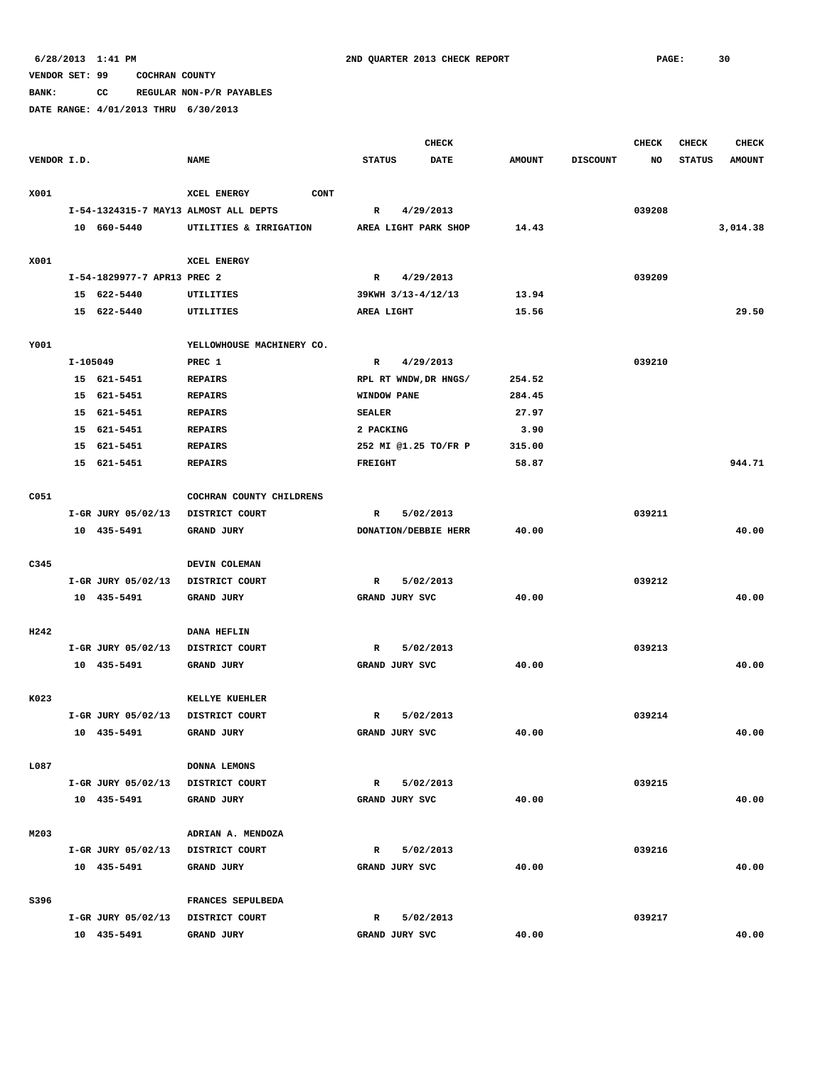**BANK: CC REGULAR NON-P/R PAYABLES**

|             |          |                                   |                                       |                |                    | <b>CHECK</b>                |               |                 | <b>CHECK</b> | <b>CHECK</b>  | <b>CHECK</b>  |
|-------------|----------|-----------------------------------|---------------------------------------|----------------|--------------------|-----------------------------|---------------|-----------------|--------------|---------------|---------------|
| VENDOR I.D. |          |                                   | <b>NAME</b>                           | <b>STATUS</b>  |                    | <b>DATE</b>                 | <b>AMOUNT</b> | <b>DISCOUNT</b> | NO           | <b>STATUS</b> | <b>AMOUNT</b> |
| X001        |          |                                   | CONT<br>XCEL ENERGY                   |                |                    |                             |               |                 |              |               |               |
|             |          |                                   | I-54-1324315-7 MAY13 ALMOST ALL DEPTS | R              |                    | 4/29/2013                   |               |                 | 039208       |               |               |
|             |          | 10 660-5440                       | UTILITIES & IRRIGATION                |                |                    | AREA LIGHT PARK SHOP        | 14.43         |                 |              |               | 3,014.38      |
|             |          |                                   |                                       |                |                    |                             |               |                 |              |               |               |
| X001        |          |                                   | XCEL ENERGY                           |                |                    |                             |               |                 |              |               |               |
|             |          | I-54-1829977-7 APR13 PREC 2       |                                       | $\mathbb{R}$   |                    | 4/29/2013                   |               |                 | 039209       |               |               |
|             |          | 15 622-5440                       | UTILITIES                             |                | 39KWH 3/13-4/12/13 |                             | 13.94         |                 |              |               |               |
|             |          | 15 622-5440                       | UTILITIES                             | AREA LIGHT     |                    |                             | 15.56         |                 |              |               | 29.50         |
|             |          |                                   |                                       |                |                    |                             |               |                 |              |               |               |
| Y001        |          |                                   | YELLOWHOUSE MACHINERY CO.             |                |                    |                             |               |                 |              |               |               |
|             | I-105049 |                                   | PREC 1                                | $\mathbb{R}$   |                    | 4/29/2013                   |               |                 | 039210       |               |               |
|             |          | 15 621-5451                       | <b>REPAIRS</b>                        |                |                    | RPL RT WNDW, DR HNGS/       | 254.52        |                 |              |               |               |
|             |          | 15 621-5451                       | <b>REPAIRS</b>                        |                | <b>WINDOW PANE</b> |                             | 284.45        |                 |              |               |               |
|             |          | 15 621-5451                       | <b>REPAIRS</b>                        | <b>SEALER</b>  |                    |                             | 27.97         |                 |              |               |               |
|             |          | 15 621-5451                       | <b>REPAIRS</b>                        | 2 PACKING      |                    |                             | 3.90          |                 |              |               |               |
|             |          | 15 621-5451                       | <b>REPAIRS</b>                        |                |                    | 252 MI @1.25 TO/FR P        | 315.00        |                 |              |               |               |
|             |          | 15 621-5451                       | <b>REPAIRS</b>                        | <b>FREIGHT</b> |                    |                             | 58.87         |                 |              |               | 944.71        |
|             |          |                                   |                                       |                |                    |                             |               |                 |              |               |               |
| C051        |          |                                   | COCHRAN COUNTY CHILDRENS              |                |                    |                             |               |                 |              |               |               |
|             |          | I-GR JURY 05/02/13                | DISTRICT COURT                        | R              |                    | 5/02/2013                   |               |                 | 039211       |               |               |
|             |          | 10 435-5491                       | GRAND JURY                            |                |                    | <b>DONATION/DEBBIE HERR</b> | 40.00         |                 |              |               | 40.00         |
|             |          |                                   |                                       |                |                    |                             |               |                 |              |               |               |
| C345        |          |                                   | DEVIN COLEMAN                         |                |                    |                             |               |                 |              |               |               |
|             |          | I-GR JURY 05/02/13                | DISTRICT COURT                        | $\mathbb{R}$   |                    | 5/02/2013                   |               |                 | 039212       |               |               |
|             |          | 10 435-5491                       | GRAND JURY                            |                | GRAND JURY SVC     |                             | 40.00         |                 |              |               | 40.00         |
|             |          |                                   |                                       |                |                    |                             |               |                 |              |               |               |
| H242        |          |                                   | <b>DANA HEFLIN</b>                    |                |                    |                             |               |                 |              |               |               |
|             |          | I-GR JURY 05/02/13                | DISTRICT COURT                        | R              |                    | 5/02/2013                   |               |                 | 039213       |               |               |
|             |          | 10 435-5491                       | <b>GRAND JURY</b>                     |                | GRAND JURY SVC     |                             | 40.00         |                 |              |               | 40.00         |
|             |          |                                   |                                       |                |                    |                             |               |                 |              |               |               |
| K023        |          |                                   | KELLYE KUEHLER                        |                |                    |                             |               |                 |              |               |               |
|             |          | I-GR JURY 05/02/13                | DISTRICT COURT                        | R              |                    | 5/02/2013                   |               |                 | 039214       |               |               |
|             |          | 10 435-5491                       | GRAND JURY                            |                | GRAND JURY SVC     |                             | 40.00         |                 |              |               | 40.00         |
|             |          |                                   |                                       |                |                    |                             |               |                 |              |               |               |
| L087        |          |                                   | DONNA LEMONS                          |                |                    |                             |               |                 |              |               |               |
|             |          | I-GR JURY 05/02/13                | DISTRICT COURT                        | $\mathbb{R}$   |                    | 5/02/2013                   |               |                 | 039215       |               |               |
|             |          | 10 435-5491                       | <b>GRAND JURY</b>                     |                | GRAND JURY SVC     |                             | 40.00         |                 |              |               | 40.00         |
|             |          |                                   |                                       |                |                    |                             |               |                 |              |               |               |
| M203        |          |                                   | ADRIAN A. MENDOZA                     |                |                    |                             |               |                 |              |               |               |
|             |          | I-GR JURY 05/02/13 DISTRICT COURT |                                       | R              |                    | 5/02/2013                   |               |                 | 039216       |               |               |
|             |          | 10 435-5491                       | GRAND JURY                            |                | GRAND JURY SVC     |                             | 40.00         |                 |              |               | 40.00         |
|             |          |                                   |                                       |                |                    |                             |               |                 |              |               |               |
| S396        |          |                                   | FRANCES SEPULBEDA                     |                |                    |                             |               |                 |              |               |               |
|             |          | I-GR JURY 05/02/13 DISTRICT COURT |                                       | R              |                    | 5/02/2013                   |               |                 | 039217       |               |               |
|             |          | 10 435-5491                       | GRAND JURY                            |                | GRAND JURY SVC     |                             | 40.00         |                 |              |               | 40.00         |
|             |          |                                   |                                       |                |                    |                             |               |                 |              |               |               |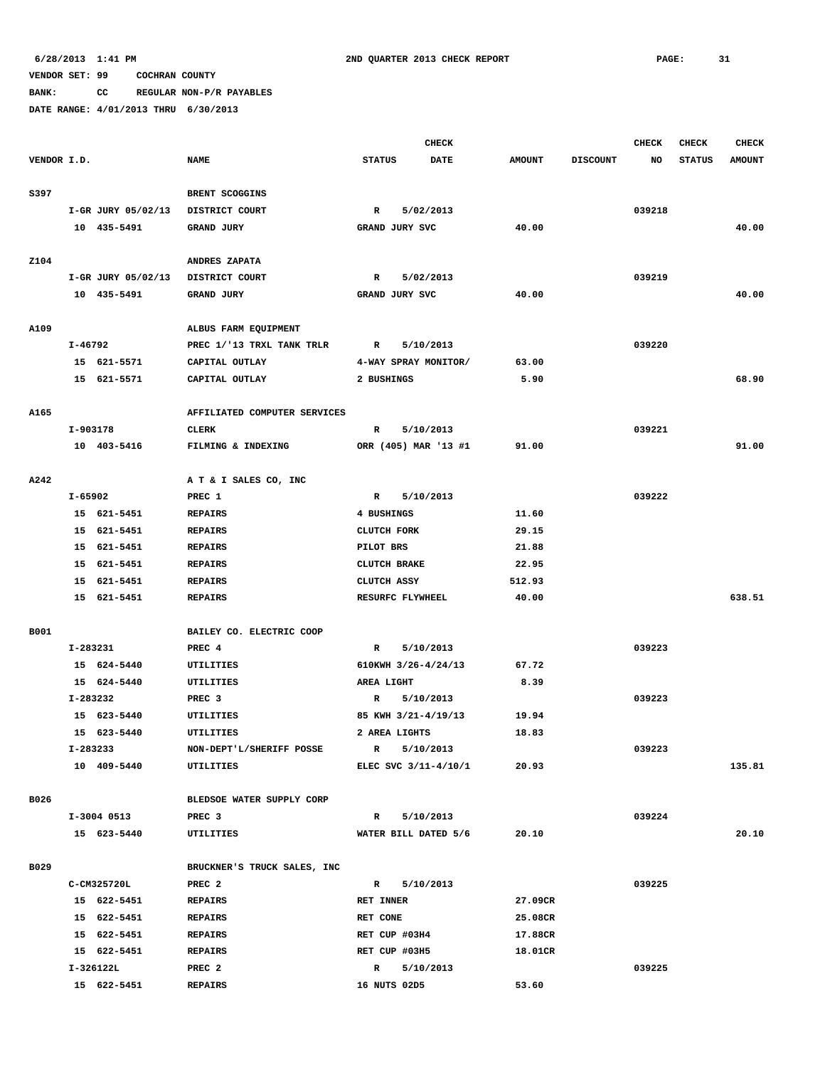**BANK: CC REGULAR NON-P/R PAYABLES**

|             |          |                            |                              |                     | <b>CHECK</b>                     |               |                 | <b>CHECK</b> | <b>CHECK</b>  | <b>CHECK</b>  |
|-------------|----------|----------------------------|------------------------------|---------------------|----------------------------------|---------------|-----------------|--------------|---------------|---------------|
| VENDOR I.D. |          |                            | <b>NAME</b>                  | <b>STATUS</b>       | <b>DATE</b>                      | <b>AMOUNT</b> | <b>DISCOUNT</b> | NO           | <b>STATUS</b> | <b>AMOUNT</b> |
|             |          |                            |                              |                     |                                  |               |                 |              |               |               |
| S397        |          |                            | BRENT SCOGGINS               |                     |                                  |               |                 |              |               |               |
|             |          | I-GR JURY 05/02/13         | DISTRICT COURT               | R                   | 5/02/2013                        |               |                 | 039218       |               |               |
|             |          | 10 435-5491                | GRAND JURY                   | GRAND JURY SVC      |                                  | 40.00         |                 |              |               | 40.00         |
|             |          |                            |                              |                     |                                  |               |                 |              |               |               |
| Z104        |          |                            | ANDRES ZAPATA                |                     |                                  |               |                 |              |               |               |
|             |          | I-GR JURY 05/02/13         | DISTRICT COURT               | R                   | 5/02/2013                        |               |                 | 039219       |               |               |
|             |          | 10 435-5491                | GRAND JURY                   | GRAND JURY SVC      |                                  | 40.00         |                 |              |               | 40.00         |
| A109        |          |                            | ALBUS FARM EQUIPMENT         |                     |                                  |               |                 |              |               |               |
|             | I-46792  |                            | PREC 1/'13 TRXL TANK TRLR    | R                   | 5/10/2013                        |               |                 | 039220       |               |               |
|             |          | 15 621-5571                | CAPITAL OUTLAY               |                     | 4-WAY SPRAY MONITOR/             | 63.00         |                 |              |               |               |
|             |          | 15 621-5571                | CAPITAL OUTLAY               | 2 BUSHINGS          |                                  | 5.90          |                 |              |               | 68.90         |
|             |          |                            |                              |                     |                                  |               |                 |              |               |               |
| A165        |          |                            | AFFILIATED COMPUTER SERVICES |                     |                                  |               |                 |              |               |               |
|             | I-903178 |                            | CLERK                        | R                   | 5/10/2013                        |               |                 | 039221       |               |               |
|             |          | 10 403-5416                | FILMING & INDEXING           |                     | ORR (405) MAR '13 #1             | 91.00         |                 |              |               | 91.00         |
|             |          |                            |                              |                     |                                  |               |                 |              |               |               |
| A242        |          |                            | A T & I SALES CO, INC        |                     |                                  |               |                 |              |               |               |
|             | I-65902  |                            | PREC 1                       | R                   | 5/10/2013                        |               |                 | 039222       |               |               |
|             |          | 15 621-5451                | <b>REPAIRS</b>               | 4 BUSHINGS          |                                  | 11.60         |                 |              |               |               |
|             |          | 15 621-5451                | <b>REPAIRS</b>               | CLUTCH FORK         |                                  | 29.15         |                 |              |               |               |
|             |          | 15 621-5451                | <b>REPAIRS</b>               | PILOT BRS           |                                  | 21.88         |                 |              |               |               |
|             |          | 15 621-5451                | <b>REPAIRS</b>               | <b>CLUTCH BRAKE</b> |                                  | 22.95         |                 |              |               |               |
|             |          | 15 621-5451                | <b>REPAIRS</b>               | CLUTCH ASSY         |                                  | 512.93        |                 |              |               |               |
|             |          | 15 621-5451                | <b>REPAIRS</b>               | RESURFC FLYWHEEL    |                                  | 40.00         |                 |              |               | 638.51        |
|             |          |                            |                              |                     |                                  |               |                 |              |               |               |
| B001        |          |                            | BAILEY CO. ELECTRIC COOP     |                     |                                  |               |                 |              |               |               |
|             | I-283231 |                            | PREC 4                       | R                   | 5/10/2013<br>610KWH 3/26-4/24/13 |               |                 | 039223       |               |               |
|             |          | 15 624-5440<br>15 624-5440 | UTILITIES<br>UTILITIES       | AREA LIGHT          |                                  | 67.72<br>8.39 |                 |              |               |               |
|             | I-283232 |                            | PREC 3                       | R                   | 5/10/2013                        |               |                 | 039223       |               |               |
|             |          | 15 623-5440                | UTILITIES                    |                     | 85 KWH 3/21-4/19/13              | 19.94         |                 |              |               |               |
|             |          | 15 623-5440                | <b>UTILITIES</b>             | 2 AREA LIGHTS       |                                  | 18.83         |                 |              |               |               |
|             |          | I-283233                   | NON-DEPT'L/SHERIFF POSSE     | R                   | 5/10/2013                        |               |                 | 039223       |               |               |
|             |          | 10 409-5440                | UTILITIES                    |                     | ELEC SVC 3/11-4/10/1             | 20.93         |                 |              |               | 135.81        |
|             |          |                            |                              |                     |                                  |               |                 |              |               |               |
| B026        |          |                            | BLEDSOE WATER SUPPLY CORP    |                     |                                  |               |                 |              |               |               |
|             |          | I-3004 0513                | PREC <sub>3</sub>            | $\mathbf R$         | 5/10/2013                        |               |                 | 039224       |               |               |
|             |          | 15 623-5440                | UTILITIES                    |                     | WATER BILL DATED 5/6             | 20.10         |                 |              |               | 20.10         |
|             |          |                            |                              |                     |                                  |               |                 |              |               |               |
| B029        |          |                            | BRUCKNER'S TRUCK SALES, INC  |                     |                                  |               |                 |              |               |               |
|             |          | C-CM325720L                | PREC <sub>2</sub>            |                     | R 5/10/2013                      |               |                 | 039225       |               |               |
|             |          | 15 622-5451                | REPAIRS                      | <b>RET INNER</b>    |                                  | 27.09CR       |                 |              |               |               |
|             |          | 15 622-5451                | <b>REPAIRS</b>               | RET CONE            |                                  | 25.08CR       |                 |              |               |               |
|             |          | 15 622-5451                | <b>REPAIRS</b>               | RET CUP #03H4       |                                  | 17.88CR       |                 |              |               |               |
|             |          | 15 622-5451                | <b>REPAIRS</b>               | RET CUP #03H5       |                                  | 18.01CR       |                 |              |               |               |
|             |          | I-326122L                  | PREC <sub>2</sub>            | $\mathbb{R}$        | 5/10/2013                        |               |                 | 039225       |               |               |
|             |          | 15 622-5451                | <b>REPAIRS</b>               | 16 NUTS 02D5        |                                  | 53.60         |                 |              |               |               |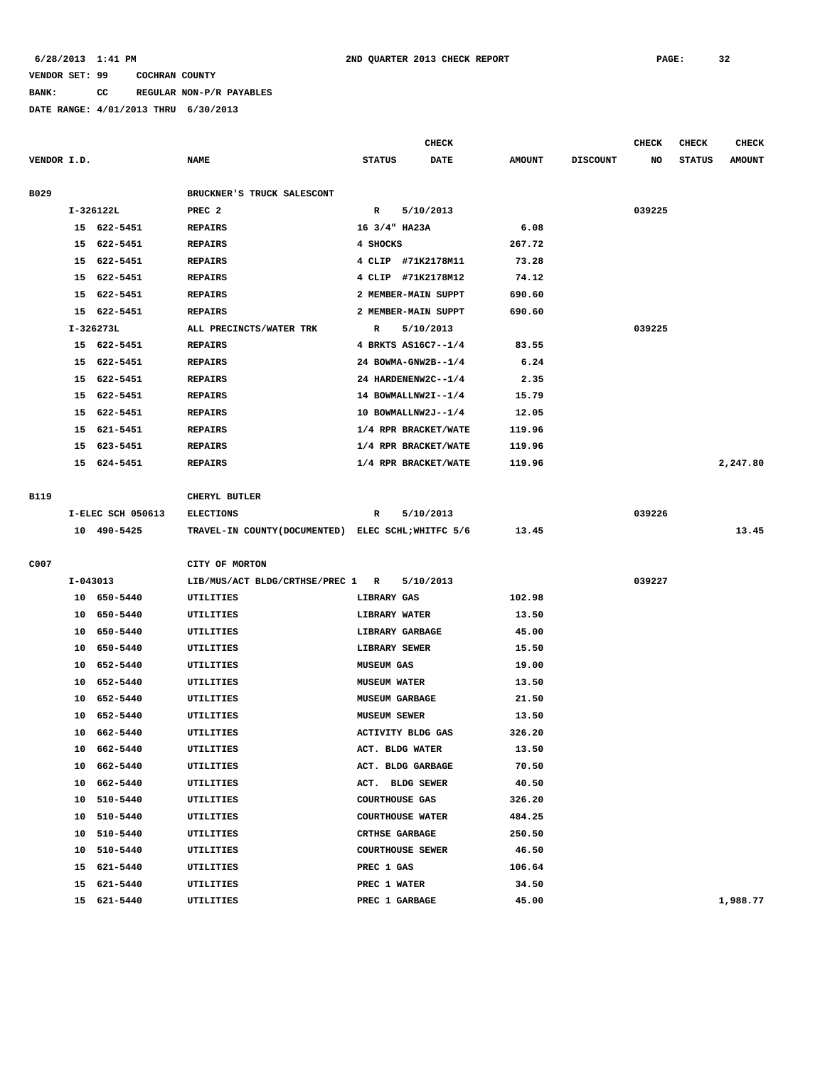**BANK: CC REGULAR NON-P/R PAYABLES**

|             |          |                   |                                                     |                       | <b>CHECK</b>            |               |                 | <b>CHECK</b> | <b>CHECK</b>  | <b>CHECK</b>  |
|-------------|----------|-------------------|-----------------------------------------------------|-----------------------|-------------------------|---------------|-----------------|--------------|---------------|---------------|
| VENDOR I.D. |          |                   | <b>NAME</b>                                         | <b>STATUS</b>         | <b>DATE</b>             | <b>AMOUNT</b> | <b>DISCOUNT</b> | NO           | <b>STATUS</b> | <b>AMOUNT</b> |
| B029        |          |                   | BRUCKNER'S TRUCK SALESCONT                          |                       |                         |               |                 |              |               |               |
|             |          | I-326122L         | PREC <sub>2</sub>                                   | $\mathbb{R}$          | 5/10/2013               |               |                 | 039225       |               |               |
|             |          | 15 622-5451       | <b>REPAIRS</b>                                      | 16 3/4" HA23A         |                         | 6.08          |                 |              |               |               |
|             | 15       | 622-5451          | <b>REPAIRS</b>                                      | 4 SHOCKS              |                         | 267.72        |                 |              |               |               |
|             | 15       | 622-5451          | <b>REPAIRS</b>                                      |                       | 4 CLIP #71K2178M11      | 73.28         |                 |              |               |               |
|             | 15       | 622-5451          | <b>REPAIRS</b>                                      | 4 CLIP                | #71K2178M12             | 74.12         |                 |              |               |               |
|             | 15       | 622-5451          | <b>REPAIRS</b>                                      |                       | 2 MEMBER-MAIN SUPPT     | 690.60        |                 |              |               |               |
|             |          | 15 622-5451       | <b>REPAIRS</b>                                      |                       | 2 MEMBER-MAIN SUPPT     | 690.60        |                 |              |               |               |
|             |          | $I-326273L$       | ALL PRECINCTS/WATER TRK                             | R                     | 5/10/2013               |               |                 | 039225       |               |               |
|             |          | 15 622-5451       | <b>REPAIRS</b>                                      |                       | 4 BRKTS AS16C7--1/4     | 83.55         |                 |              |               |               |
|             | 15       | 622-5451          | <b>REPAIRS</b>                                      |                       | 24 BOWMA-GNW2B--1/4     | 6.24          |                 |              |               |               |
|             | 15       | 622-5451          | <b>REPAIRS</b>                                      |                       | 24 HARDENENW2C--1/4     | 2.35          |                 |              |               |               |
|             | 15       | 622-5451          | <b>REPAIRS</b>                                      |                       | 14 BOWMALLNW2I--1/4     | 15.79         |                 |              |               |               |
|             | 15       | 622-5451          | <b>REPAIRS</b>                                      |                       | 10 BOWMALLNW2J--1/4     | 12.05         |                 |              |               |               |
|             | 15       | 621-5451          | <b>REPAIRS</b>                                      |                       | 1/4 RPR BRACKET/WATE    | 119.96        |                 |              |               |               |
|             | 15       | 623-5451          | <b>REPAIRS</b>                                      |                       | 1/4 RPR BRACKET/WATE    | 119.96        |                 |              |               |               |
|             | 15       | 624-5451          | <b>REPAIRS</b>                                      |                       | 1/4 RPR BRACKET/WATE    | 119.96        |                 |              |               | 2,247.80      |
|             |          |                   |                                                     |                       |                         |               |                 |              |               |               |
| B119        |          |                   | CHERYL BUTLER                                       |                       |                         |               |                 |              |               |               |
|             |          | I-ELEC SCH 050613 | <b>ELECTIONS</b>                                    | R                     | 5/10/2013               |               |                 | 039226       |               |               |
|             |          | 10 490-5425       | TRAVEL-IN COUNTY (DOCUMENTED) ELEC SCHL; WHITFC 5/6 |                       |                         | 13.45         |                 |              |               | 13.45         |
|             |          |                   |                                                     |                       |                         |               |                 |              |               |               |
| C007        |          |                   | CITY OF MORTON                                      |                       |                         |               |                 |              |               |               |
|             | I-043013 |                   | LIB/MUS/ACT BLDG/CRTHSE/PREC 1 R                    |                       | 5/10/2013               |               |                 | 039227       |               |               |
|             |          | 10 650-5440       | UTILITIES                                           | LIBRARY GAS           |                         | 102.98        |                 |              |               |               |
|             | 10       | 650-5440          | UTILITIES                                           | LIBRARY WATER         |                         | 13.50         |                 |              |               |               |
|             | 10       | 650-5440          | UTILITIES                                           |                       | LIBRARY GARBAGE         | 45.00         |                 |              |               |               |
|             | 10       | 650-5440          | UTILITIES                                           | LIBRARY SEWER         |                         | 15.50         |                 |              |               |               |
|             | 10       | 652-5440          | UTILITIES                                           | <b>MUSEUM GAS</b>     |                         | 19.00         |                 |              |               |               |
|             | 10       | 652-5440          | UTILITIES                                           | <b>MUSEUM WATER</b>   |                         | 13.50         |                 |              |               |               |
|             | 10       | 652-5440          | UTILITIES                                           | <b>MUSEUM GARBAGE</b> |                         | 21.50         |                 |              |               |               |
|             | 10       | 652-5440          | <b>UTILITIES</b>                                    | <b>MUSEUM SEWER</b>   |                         | 13.50         |                 |              |               |               |
|             | 10       | 662-5440          | UTILITIES                                           |                       | ACTIVITY BLDG GAS       | 326.20        |                 |              |               |               |
|             |          | 10 662-5440       | UTILITIES                                           |                       | ACT. BLDG WATER         | 13.50         |                 |              |               |               |
|             |          | 10 662-5440       | UTILITIES                                           |                       | ACT. BLDG GARBAGE       | 70.50         |                 |              |               |               |
|             | 10       | 662-5440          | UTILITIES                                           |                       | ACT. BLDG SEWER         | 40.50         |                 |              |               |               |
|             | 10       | 510-5440          | UTILITIES                                           | <b>COURTHOUSE GAS</b> |                         | 326.20        |                 |              |               |               |
|             | 10       | 510-5440          | UTILITIES                                           |                       | <b>COURTHOUSE WATER</b> | 484.25        |                 |              |               |               |
|             | 10       | 510-5440          | UTILITIES                                           | <b>CRTHSE GARBAGE</b> |                         | 250.50        |                 |              |               |               |
|             | 10       | 510-5440          | UTILITIES                                           |                       | <b>COURTHOUSE SEWER</b> | 46.50         |                 |              |               |               |
|             | 15       | 621-5440          | UTILITIES                                           | PREC 1 GAS            |                         | 106.64        |                 |              |               |               |
|             | 15       | 621-5440          | UTILITIES                                           | PREC 1 WATER          |                         | 34.50         |                 |              |               |               |
|             | 15       | 621-5440          | UTILITIES                                           | PREC 1 GARBAGE        |                         | 45.00         |                 |              |               | 1,988.77      |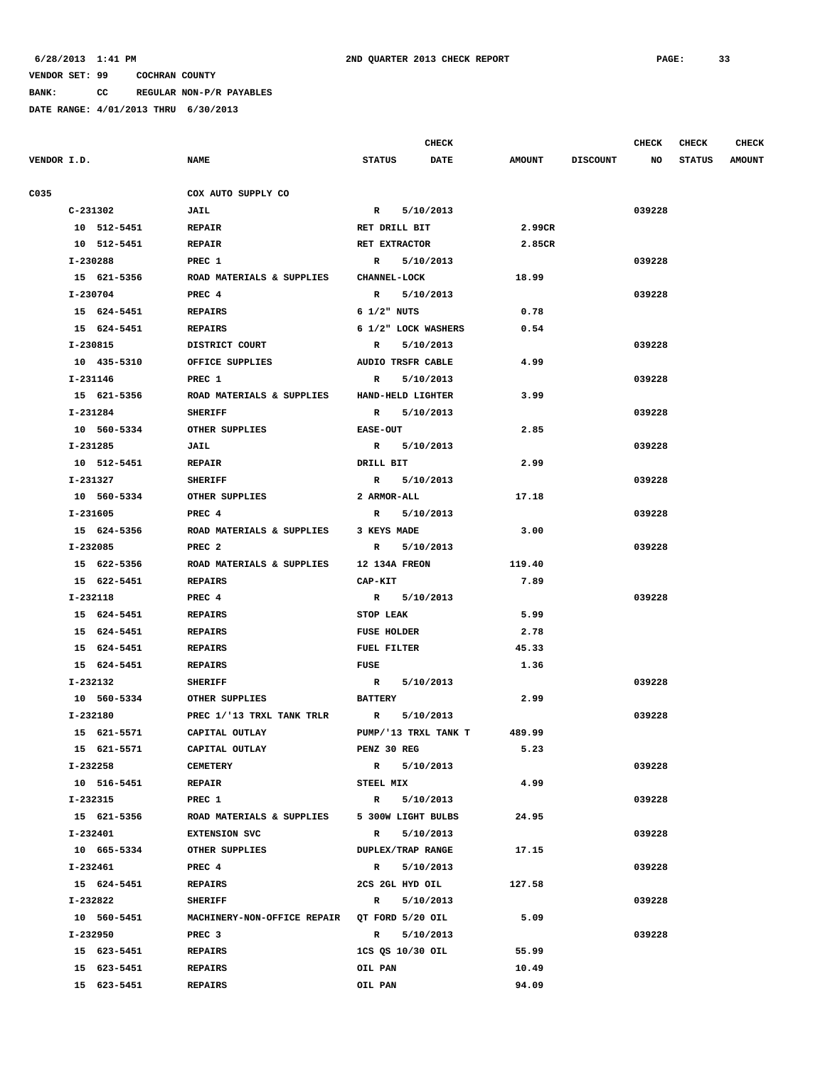**BANK: CC REGULAR NON-P/R PAYABLES**

|             |             |                                              |                      | <b>CHECK</b> |               |                 | <b>CHECK</b> | <b>CHECK</b>  | <b>CHECK</b>  |
|-------------|-------------|----------------------------------------------|----------------------|--------------|---------------|-----------------|--------------|---------------|---------------|
| VENDOR I.D. |             | <b>NAME</b>                                  | <b>STATUS</b>        | <b>DATE</b>  | <b>AMOUNT</b> | <b>DISCOUNT</b> | NO           | <b>STATUS</b> | <b>AMOUNT</b> |
| C035        |             | COX AUTO SUPPLY CO                           |                      |              |               |                 |              |               |               |
|             | C-231302    | <b>JAIL</b>                                  | R 5/10/2013          |              |               |                 | 039228       |               |               |
|             | 10 512-5451 | <b>REPAIR</b>                                | RET DRILL BIT        |              | 2.99CR        |                 |              |               |               |
|             | 10 512-5451 | <b>REPAIR</b>                                | RET EXTRACTOR        |              | 2.85CR        |                 |              |               |               |
|             | I-230288    | PREC 1                                       | $\mathbf{R}$         | 5/10/2013    |               |                 | 039228       |               |               |
|             | 15 621-5356 | ROAD MATERIALS & SUPPLIES                    | <b>CHANNEL-LOCK</b>  |              | 18.99         |                 |              |               |               |
|             | I-230704    | PREC 4                                       | $\mathbb{R}$         | 5/10/2013    |               |                 | 039228       |               |               |
|             | 15 624-5451 | <b>REPAIRS</b>                               | $6$ $1/2$ " NUTS     |              | 0.78          |                 |              |               |               |
|             | 15 624-5451 | <b>REPAIRS</b>                               | 6 1/2" LOCK WASHERS  |              | 0.54          |                 |              |               |               |
|             | I-230815    | DISTRICT COURT                               | R                    | 5/10/2013    |               |                 | 039228       |               |               |
|             | 10 435-5310 | OFFICE SUPPLIES                              | AUDIO TRSFR CABLE    |              | 4.99          |                 |              |               |               |
|             | I-231146    | PREC 1                                       | R                    | 5/10/2013    |               |                 | 039228       |               |               |
|             | 15 621-5356 | ROAD MATERIALS & SUPPLIES                    | HAND-HELD LIGHTER    |              | 3.99          |                 |              |               |               |
|             | I-231284    | <b>SHERIFF</b>                               | $\mathbf{R}$         | 5/10/2013    |               |                 | 039228       |               |               |
|             | 10 560-5334 | OTHER SUPPLIES                               | <b>EASE-OUT</b>      |              | 2.85          |                 |              |               |               |
|             | I-231285    | JAIL                                         | R 5/10/2013          |              |               |                 | 039228       |               |               |
|             | 10 512-5451 | <b>REPAIR</b>                                | DRILL BIT            |              | 2.99          |                 |              |               |               |
|             | I-231327    | <b>SHERIFF</b>                               | R 5/10/2013          |              |               |                 | 039228       |               |               |
|             | 10 560-5334 | OTHER SUPPLIES                               | 2 ARMOR-ALL          |              | 17.18         |                 |              |               |               |
|             | I-231605    | PREC 4                                       | R 5/10/2013          |              |               |                 | 039228       |               |               |
|             | 15 624-5356 | ROAD MATERIALS & SUPPLIES                    | 3 KEYS MADE          |              | 3.00          |                 |              |               |               |
|             | I-232085    | PREC <sub>2</sub>                            | R 5/10/2013          |              |               |                 | 039228       |               |               |
|             | 15 622-5356 | ROAD MATERIALS & SUPPLIES                    | <b>12 134A FREON</b> |              | 119.40        |                 |              |               |               |
|             | 15 622-5451 | <b>REPAIRS</b>                               | CAP-KIT              |              | 7.89          |                 |              |               |               |
|             | I-232118    | PREC 4                                       | R 5/10/2013          |              |               |                 | 039228       |               |               |
|             | 15 624-5451 | <b>REPAIRS</b>                               | STOP LEAK            |              | 5.99          |                 |              |               |               |
|             | 15 624-5451 | <b>REPAIRS</b>                               | <b>FUSE HOLDER</b>   |              | 2.78          |                 |              |               |               |
|             | 15 624-5451 | <b>REPAIRS</b>                               | FUEL FILTER          |              | 45.33         |                 |              |               |               |
|             | 15 624-5451 | <b>REPAIRS</b>                               | <b>FUSE</b>          |              | 1.36          |                 |              |               |               |
|             | I-232132    | <b>SHERIFF</b>                               | R 5/10/2013          |              |               |                 | 039228       |               |               |
|             | 10 560-5334 | OTHER SUPPLIES                               | <b>BATTERY</b>       |              | 2.99          |                 |              |               |               |
|             | I-232180    | PREC 1/'13 TRXL TANK TRLR                    | R                    | 5/10/2013    |               |                 | 039228       |               |               |
|             | 15 621-5571 | CAPITAL OUTLAY                               | PUMP/'13 TRXL TANK T |              | 489.99        |                 |              |               |               |
|             | 15 621-5571 | CAPITAL OUTLAY                               | PENZ 30 REG          |              | 5.23          |                 |              |               |               |
|             | I-232258    | <b>CEMETERY</b>                              | R 5/10/2013          |              |               |                 | 039228       |               |               |
|             | 10 516-5451 | <b>REPAIR</b>                                | STEEL MIX            |              | 4.99          |                 |              |               |               |
|             | I-232315    | PREC 1                                       | $\mathbb{R}$         | 5/10/2013    |               |                 | 039228       |               |               |
|             | 15 621-5356 | ROAD MATERIALS & SUPPLIES                    | 5 300W LIGHT BULBS   |              | 24.95         |                 |              |               |               |
|             | I-232401    | <b>EXTENSION SVC</b>                         | R 5/10/2013          |              |               |                 | 039228       |               |               |
|             | 10 665-5334 | OTHER SUPPLIES                               | DUPLEX/TRAP RANGE    |              | 17.15         |                 |              |               |               |
|             | I-232461    | PREC 4                                       | $\mathbf{R}$         | 5/10/2013    |               |                 | 039228       |               |               |
|             | 15 624-5451 | <b>REPAIRS</b>                               | 2CS 2GL HYD OIL      |              | 127.58        |                 |              |               |               |
|             | I-232822    | <b>SHERIFF</b>                               | R 5/10/2013          |              |               |                 | 039228       |               |               |
|             | 10 560-5451 | MACHINERY-NON-OFFICE REPAIR QT FORD 5/20 OIL |                      |              | 5.09          |                 |              |               |               |
|             | I-232950    | PREC 3                                       | $\mathbf{R}$         | 5/10/2013    |               |                 | 039228       |               |               |
|             | 15 623-5451 | <b>REPAIRS</b>                               | 1CS QS 10/30 OIL     |              | 55.99         |                 |              |               |               |
|             | 15 623-5451 | <b>REPAIRS</b>                               | OIL PAN              |              | 10.49         |                 |              |               |               |
|             | 15 623-5451 | <b>REPAIRS</b>                               | OIL PAN              |              | 94.09         |                 |              |               |               |
|             |             |                                              |                      |              |               |                 |              |               |               |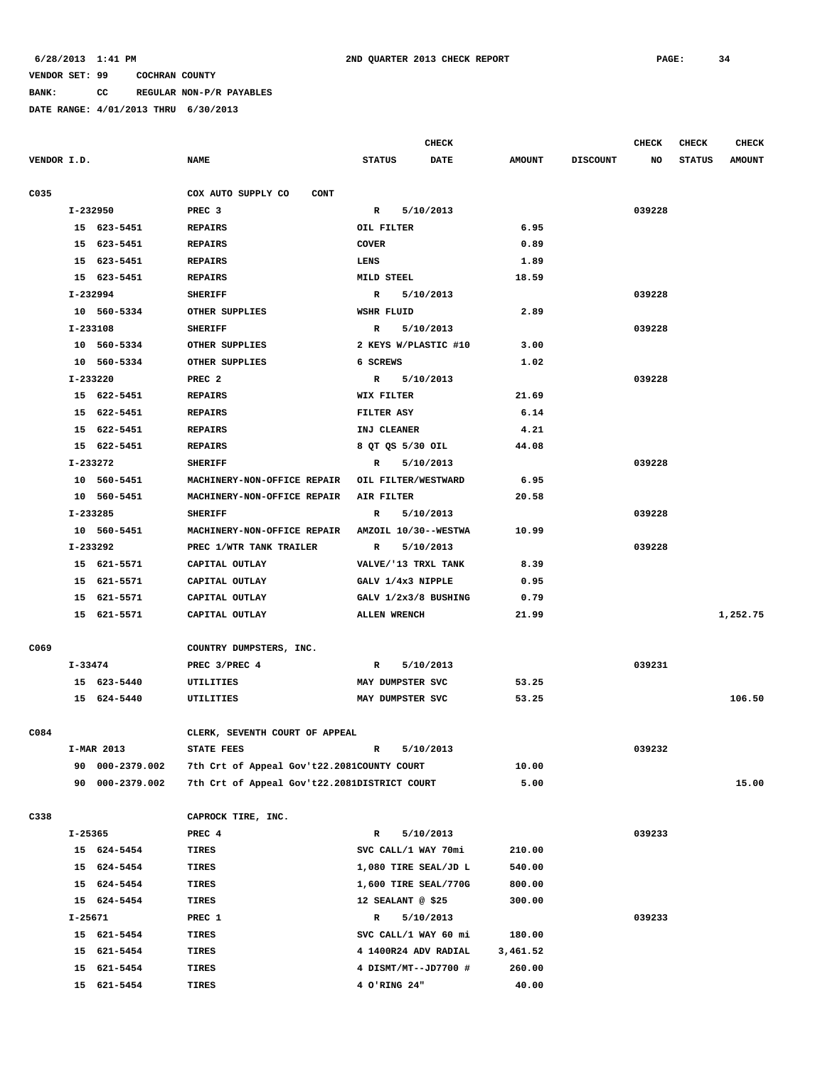**BANK: CC REGULAR NON-P/R PAYABLES**

|             |          |                 |                                              |                      | <b>CHECK</b> |               |                 | <b>CHECK</b> | <b>CHECK</b>  | <b>CHECK</b>  |
|-------------|----------|-----------------|----------------------------------------------|----------------------|--------------|---------------|-----------------|--------------|---------------|---------------|
| VENDOR I.D. |          |                 | <b>NAME</b>                                  | <b>STATUS</b>        | <b>DATE</b>  | <b>AMOUNT</b> | <b>DISCOUNT</b> | NO           | <b>STATUS</b> | <b>AMOUNT</b> |
|             |          |                 |                                              |                      |              |               |                 |              |               |               |
| C035        |          |                 | COX AUTO SUPPLY CO<br><b>CONT</b>            |                      |              |               |                 |              |               |               |
|             | I-232950 |                 | PREC <sub>3</sub>                            | $\mathbb{R}$         | 5/10/2013    |               |                 | 039228       |               |               |
|             |          | 15 623-5451     | <b>REPAIRS</b>                               | OIL FILTER           |              | 6.95          |                 |              |               |               |
|             |          | 15 623-5451     | <b>REPAIRS</b>                               | <b>COVER</b>         |              | 0.89          |                 |              |               |               |
|             |          | 15 623-5451     | <b>REPAIRS</b>                               | LENS                 |              | 1.89          |                 |              |               |               |
|             |          | 15 623-5451     | <b>REPAIRS</b>                               | MILD STEEL           |              | 18.59         |                 |              |               |               |
|             |          | I-232994        | <b>SHERIFF</b>                               | R                    | 5/10/2013    |               |                 | 039228       |               |               |
|             |          | 10 560-5334     | OTHER SUPPLIES                               | WSHR FLUID           |              | 2.89          |                 |              |               |               |
|             |          | I-233108        | <b>SHERIFF</b>                               | R                    | 5/10/2013    |               |                 | 039228       |               |               |
|             |          | 10 560-5334     | OTHER SUPPLIES                               | 2 KEYS W/PLASTIC #10 |              | 3.00          |                 |              |               |               |
|             |          | 10 560-5334     | OTHER SUPPLIES                               | 6 SCREWS             |              | 1.02          |                 |              |               |               |
|             | I-233220 |                 | PREC <sub>2</sub>                            | $\mathbb{R}$         | 5/10/2013    |               |                 | 039228       |               |               |
|             |          | 15 622-5451     | <b>REPAIRS</b>                               | WIX FILTER           |              | 21.69         |                 |              |               |               |
|             |          | 15 622-5451     | <b>REPAIRS</b>                               | FILTER ASY           |              | 6.14          |                 |              |               |               |
|             |          | 15 622-5451     | <b>REPAIRS</b>                               | INJ CLEANER          |              | 4.21          |                 |              |               |               |
|             |          | 15 622-5451     | <b>REPAIRS</b>                               | 8 QT QS 5/30 OIL     |              | 44.08         |                 |              |               |               |
|             |          | I-233272        | <b>SHERIFF</b>                               | R                    | 5/10/2013    |               |                 | 039228       |               |               |
|             |          | 10 560-5451     | MACHINERY-NON-OFFICE REPAIR                  | OIL FILTER/WESTWARD  |              | 6.95          |                 |              |               |               |
|             |          | 10 560-5451     | MACHINERY-NON-OFFICE REPAIR                  | <b>AIR FILTER</b>    |              | 20.58         |                 |              |               |               |
|             |          | I-233285        | <b>SHERIFF</b>                               | $\mathbb{R}$         | 5/10/2013    |               |                 | 039228       |               |               |
|             |          | 10 560-5451     | MACHINERY-NON-OFFICE REPAIR                  | AMZOIL 10/30--WESTWA |              | 10.99         |                 |              |               |               |
|             |          | I-233292        | PREC 1/WTR TANK TRAILER                      | R                    | 5/10/2013    |               |                 | 039228       |               |               |
|             |          | 15 621-5571     | CAPITAL OUTLAY                               | VALVE/'13 TRXL TANK  |              | 8.39          |                 |              |               |               |
|             |          | 15 621-5571     | CAPITAL OUTLAY                               | GALV 1/4x3 NIPPLE    |              | 0.95          |                 |              |               |               |
|             |          | 15 621-5571     | CAPITAL OUTLAY                               | GALV 1/2x3/8 BUSHING |              | 0.79          |                 |              |               |               |
|             |          | 15 621-5571     | CAPITAL OUTLAY                               | <b>ALLEN WRENCH</b>  |              | 21.99         |                 |              |               | 1,252.75      |
|             |          |                 |                                              |                      |              |               |                 |              |               |               |
| C069        |          |                 | COUNTRY DUMPSTERS, INC.                      |                      |              |               |                 |              |               |               |
|             | I-33474  |                 | PREC 3/PREC 4                                | R                    | 5/10/2013    |               |                 | 039231       |               |               |
|             |          | 15 623-5440     | UTILITIES                                    | MAY DUMPSTER SVC     |              | 53.25         |                 |              |               |               |
|             |          | 15 624-5440     | UTILITIES                                    | MAY DUMPSTER SVC     |              | 53.25         |                 |              |               | 106.50        |
|             |          |                 |                                              |                      |              |               |                 |              |               |               |
| C084        |          |                 | CLERK, SEVENTH COURT OF APPEAL               |                      |              |               |                 |              |               |               |
|             |          | I-MAR 2013      | <b>STATE FEES</b>                            | R                    | 5/10/2013    |               |                 | 039232       |               |               |
|             |          | 90 000-2379.002 | 7th Crt of Appeal Gov't22.2081COUNTY COURT   |                      |              | 10.00         |                 |              |               |               |
|             |          | 90 000-2379.002 | 7th Crt of Appeal Gov't22.2081DISTRICT COURT |                      |              | 5.00          |                 |              |               | 15.00         |
|             |          |                 |                                              |                      |              |               |                 |              |               |               |
| C338        |          |                 | CAPROCK TIRE, INC.                           |                      |              |               |                 |              |               |               |
|             | I-25365  |                 | PREC 4                                       | R                    | 5/10/2013    |               |                 | 039233       |               |               |
|             |          | 15 624-5454     | TIRES                                        | SVC CALL/1 WAY 70mi  |              | 210.00        |                 |              |               |               |
|             |          | 15 624-5454     | TIRES                                        | 1,080 TIRE SEAL/JD L |              | 540.00        |                 |              |               |               |
|             |          | 15 624-5454     | TIRES                                        | 1,600 TIRE SEAL/770G |              | 800.00        |                 |              |               |               |
|             |          | 15 624-5454     | TIRES                                        | 12 SEALANT @ \$25    |              | 300.00        |                 |              |               |               |
|             | I-25671  |                 | PREC 1                                       | R                    | 5/10/2013    |               |                 | 039233       |               |               |
|             |          | 15 621-5454     | TIRES                                        | SVC CALL/1 WAY 60 mi |              | 180.00        |                 |              |               |               |
|             |          | 15 621-5454     | TIRES                                        | 4 1400R24 ADV RADIAL |              | 3,461.52      |                 |              |               |               |
|             |          | 15 621-5454     | TIRES                                        | 4 DISMT/MT--JD7700 # |              | 260.00        |                 |              |               |               |
|             |          | 15 621-5454     | TIRES                                        | 4 O'RING 24"         |              | 40.00         |                 |              |               |               |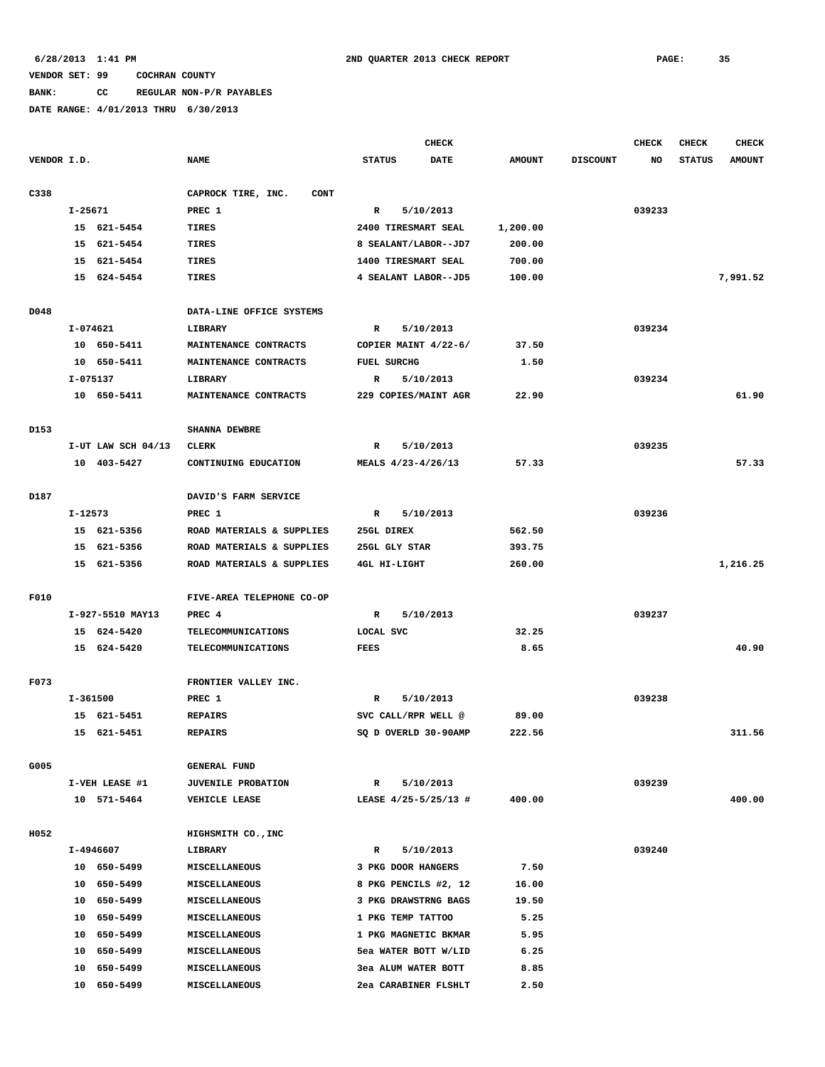# **BANK: CC REGULAR NON-P/R PAYABLES**

|             |                          |                    |                                              | <b>CHECK</b>              |             |               |                 | <b>CHECK</b> | <b>CHECK</b>  | <b>CHECK</b>  |
|-------------|--------------------------|--------------------|----------------------------------------------|---------------------------|-------------|---------------|-----------------|--------------|---------------|---------------|
| VENDOR I.D. |                          |                    | <b>NAME</b>                                  | <b>STATUS</b>             | <b>DATE</b> | <b>AMOUNT</b> | <b>DISCOUNT</b> | NO           | <b>STATUS</b> | <b>AMOUNT</b> |
| C338        |                          |                    | CAPROCK TIRE, INC.<br><b>CONT</b>            |                           |             |               |                 |              |               |               |
|             | I-25671                  |                    | PREC 1                                       | R                         | 5/10/2013   |               |                 | 039233       |               |               |
|             |                          | 15 621-5454        | <b>TIRES</b>                                 | 2400 TIRESMART SEAL       |             | 1,200.00      |                 |              |               |               |
|             | 15                       | 621-5454           | TIRES                                        | 8 SEALANT/LABOR--JD7      |             | 200.00        |                 |              |               |               |
|             | 15                       | 621-5454           | TIRES                                        | 1400 TIRESMART SEAL       |             | 700.00        |                 |              |               |               |
|             |                          | 15 624-5454        | <b>TIRES</b>                                 | 4 SEALANT LABOR--JD5      |             | 100.00        |                 |              |               | 7,991.52      |
| D048        |                          |                    | DATA-LINE OFFICE SYSTEMS                     |                           |             |               |                 |              |               |               |
|             |                          | I-074621           | LIBRARY                                      | $\mathbb{R}$<br>5/10/2013 |             |               |                 | 039234       |               |               |
|             |                          | 10 650-5411        | MAINTENANCE CONTRACTS                        | COPIER MAINT 4/22-6/      |             | 37.50         |                 |              |               |               |
|             |                          | 10 650-5411        | MAINTENANCE CONTRACTS                        | <b>FUEL SURCHG</b>        |             | 1.50          |                 |              |               |               |
|             |                          | I-075137           | LIBRARY                                      | R                         | 5/10/2013   |               |                 | 039234       |               |               |
|             |                          | 10 650-5411        | MAINTENANCE CONTRACTS                        | 229 COPIES/MAINT AGR      |             | 22.90         |                 |              |               | 61.90         |
| D153        |                          |                    | SHANNA DEWBRE                                |                           |             |               |                 |              |               |               |
|             |                          | I-UT LAW SCH 04/13 | CLERK                                        | R                         | 5/10/2013   |               |                 | 039235       |               |               |
|             |                          | 10 403-5427        | CONTINUING EDUCATION                         | MEALS 4/23-4/26/13        |             | 57.33         |                 |              |               | 57.33         |
|             |                          |                    |                                              |                           |             |               |                 |              |               |               |
| D187        |                          |                    | DAVID'S FARM SERVICE                         |                           |             |               |                 |              |               |               |
|             | I-12573                  |                    | PREC 1                                       | R                         | 5/10/2013   |               |                 | 039236       |               |               |
|             |                          | 15 621-5356        | ROAD MATERIALS & SUPPLIES                    | 25GL DIREX                |             | 562.50        |                 |              |               |               |
|             |                          | 15 621-5356        | ROAD MATERIALS & SUPPLIES                    | 25GL GLY STAR             |             | 393.75        |                 |              |               |               |
|             |                          | 15 621-5356        | ROAD MATERIALS & SUPPLIES                    | 4GL HI-LIGHT              |             | 260.00        |                 |              |               | 1,216.25      |
| F010        |                          |                    | FIVE-AREA TELEPHONE CO-OP                    |                           |             |               |                 |              |               |               |
|             |                          | I-927-5510 MAY13   | PREC 4                                       | R                         | 5/10/2013   |               |                 | 039237       |               |               |
|             |                          | 15 624-5420        | TELECOMMUNICATIONS                           | LOCAL SVC                 |             | 32.25         |                 |              |               |               |
|             |                          | 15 624-5420        | <b>TELECOMMUNICATIONS</b>                    | <b>FEES</b>               |             | 8.65          |                 |              |               | 40.90         |
| F073        |                          |                    | FRONTIER VALLEY INC.                         |                           |             |               |                 |              |               |               |
|             | I-361500                 |                    | PREC 1                                       | R                         | 5/10/2013   |               |                 | 039238       |               |               |
|             |                          | 15 621-5451        | <b>REPAIRS</b>                               | SVC CALL/RPR WELL @       |             | 89.00         |                 |              |               |               |
|             |                          | 15 621-5451        | <b>REPAIRS</b>                               | SQ D OVERLD 30-90AMP      |             | 222.56        |                 |              |               | 311.56        |
| G005        |                          |                    | <b>GENERAL FUND</b>                          |                           |             |               |                 |              |               |               |
|             | I-VEH LEASE #1           |                    | <b>JUVENILE PROBATION</b>                    | R                         | 5/10/2013   |               |                 | 039239       |               |               |
|             |                          | 10 571-5464        | VEHICLE LEASE                                | LEASE 4/25-5/25/13 #      |             | 400.00        |                 |              |               | 400.00        |
| H052        |                          |                    | HIGHSMITH CO., INC                           |                           |             |               |                 |              |               |               |
|             |                          |                    | LIBRARY                                      | $\mathbb{R}$              | 5/10/2013   |               |                 | 039240       |               |               |
|             | I-4946607<br>10 650-5499 |                    |                                              |                           |             |               |                 |              |               |               |
|             |                          | 10 650-5499        | <b>MISCELLANEOUS</b><br><b>MISCELLANEOUS</b> | 3 PKG DOOR HANGERS        |             | 7.50<br>16.00 |                 |              |               |               |
|             |                          | 10 650-5499        |                                              | 8 PKG PENCILS #2, 12      |             |               |                 |              |               |               |
|             |                          |                    | MISCELLANEOUS                                | 3 PKG DRAWSTRNG BAGS      |             | 19.50         |                 |              |               |               |
|             |                          | 10 650-5499        | <b>MISCELLANEOUS</b>                         | 1 PKG TEMP TATTOO         |             | 5.25          |                 |              |               |               |
|             |                          | 10 650-5499        | MISCELLANEOUS                                | 1 PKG MAGNETIC BKMAR      |             | 5.95          |                 |              |               |               |
|             |                          | 10 650-5499        | MISCELLANEOUS                                | 5ea WATER BOTT W/LID      |             | 6.25          |                 |              |               |               |
|             | 10                       | 650-5499           | <b>MISCELLANEOUS</b>                         | 3ea ALUM WATER BOTT       |             | 8.85          |                 |              |               |               |
|             |                          | 10 650-5499        | <b>MISCELLANEOUS</b>                         | 2ea CARABINER FLSHLT      |             | 2.50          |                 |              |               |               |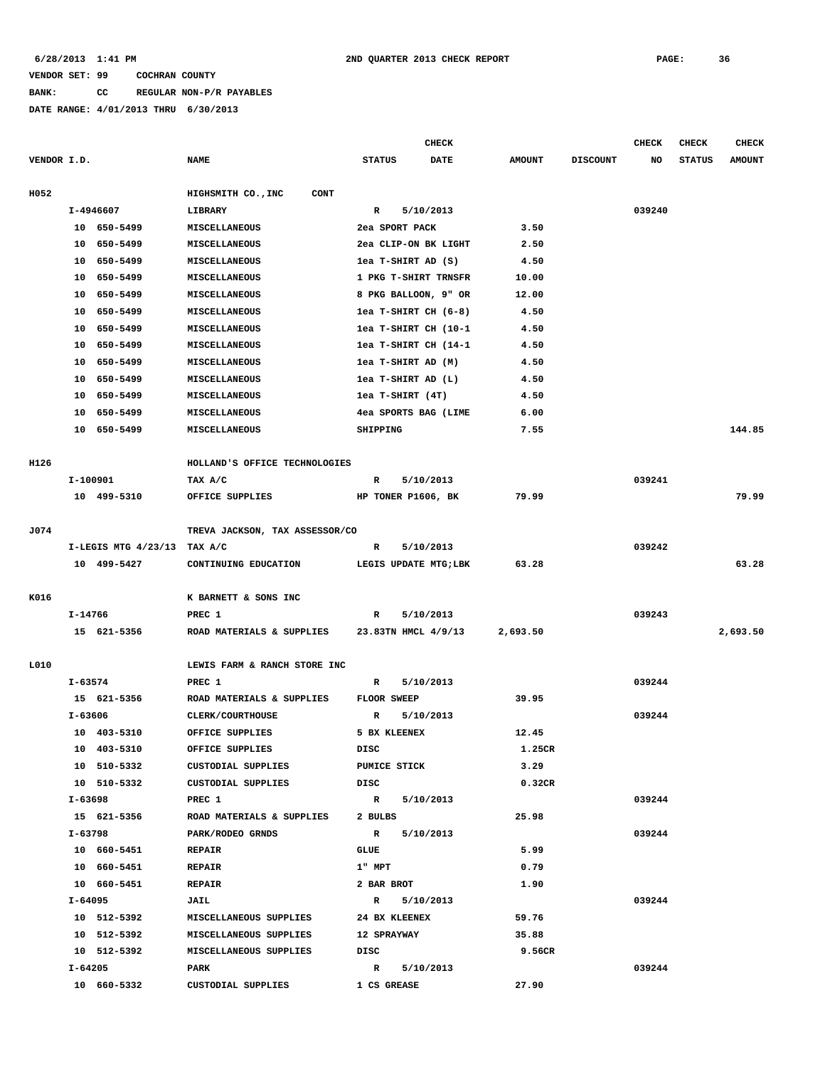# **BANK: CC REGULAR NON-P/R PAYABLES**

|             |                                          |                                                  |                                   |                      | <b>CHECK</b>             |               |                 | <b>CHECK</b> | <b>CHECK</b>  | <b>CHECK</b>  |
|-------------|------------------------------------------|--------------------------------------------------|-----------------------------------|----------------------|--------------------------|---------------|-----------------|--------------|---------------|---------------|
| VENDOR I.D. |                                          |                                                  | <b>NAME</b>                       | <b>STATUS</b>        | DATE                     | <b>AMOUNT</b> | <b>DISCOUNT</b> | NO           | <b>STATUS</b> | <b>AMOUNT</b> |
| H052        |                                          |                                                  | HIGHSMITH CO., INC<br><b>CONT</b> |                      |                          |               |                 |              |               |               |
|             | I-4946607                                |                                                  | LIBRARY                           | R<br>5/10/2013       |                          |               |                 | 039240       |               |               |
|             |                                          | 10 650-5499<br><b>MISCELLANEOUS</b>              |                                   | 2ea SPORT PACK       |                          | 3.50          |                 |              |               |               |
|             |                                          | 10 650-5499                                      | MISCELLANEOUS                     |                      | 2ea CLIP-ON BK LIGHT     | 2.50          |                 |              |               |               |
|             |                                          | 10 650-5499                                      | MISCELLANEOUS                     | lea T-SHIRT AD (S)   |                          | 4.50          |                 |              |               |               |
|             |                                          | 10 650-5499                                      | MISCELLANEOUS                     | 1 PKG T-SHIRT TRNSFR |                          | 10.00         |                 |              |               |               |
|             |                                          | 10 650-5499                                      | MISCELLANEOUS                     |                      | 8 PKG BALLOON, 9" OR     | 12.00         |                 |              |               |               |
|             | 10                                       | 650-5499                                         | MISCELLANEOUS                     |                      | $1ea$ T-SHIRT CH $(6-8)$ | 4.50          |                 |              |               |               |
|             | 10                                       | 650-5499                                         | MISCELLANEOUS                     |                      | lea T-SHIRT CH (10-1     | 4.50          |                 |              |               |               |
|             |                                          |                                                  |                                   |                      |                          |               |                 |              |               |               |
|             |                                          | 10 650-5499                                      | MISCELLANEOUS                     |                      | lea T-SHIRT CH (14-1     | 4.50          |                 |              |               |               |
|             |                                          | 10 650-5499                                      | MISCELLANEOUS                     |                      | lea T-SHIRT AD (M)       | 4.50          |                 |              |               |               |
|             |                                          | 10 650-5499                                      | MISCELLANEOUS                     |                      | lea T-SHIRT AD (L)       | 4.50          |                 |              |               |               |
|             |                                          | 10 650-5499                                      | MISCELLANEOUS                     | lea T-SHIRT (4T)     |                          | 4.50          |                 |              |               |               |
|             | 10                                       | 650-5499                                         | <b>MISCELLANEOUS</b>              |                      | 4ea SPORTS BAG (LIME     | 6.00          |                 |              |               |               |
|             | 10                                       | 650-5499                                         | <b>MISCELLANEOUS</b>              | SHIPPING             |                          | 7.55          |                 |              |               | 144.85        |
| H126        |                                          |                                                  | HOLLAND'S OFFICE TECHNOLOGIES     |                      |                          |               |                 |              |               |               |
|             |                                          | I-100901                                         | TAX A/C                           | R                    | 5/10/2013                |               |                 | 039241       |               |               |
|             |                                          | 10 499-5310                                      | OFFICE SUPPLIES                   |                      | HP TONER P1606, BK       | 79.99         |                 |              |               | 79.99         |
|             |                                          |                                                  |                                   |                      |                          |               |                 |              |               |               |
| J074        |                                          |                                                  | TREVA JACKSON, TAX ASSESSOR/CO    |                      |                          |               |                 |              |               |               |
|             |                                          | I-LEGIS MTG 4/23/13 TAX A/C                      |                                   | R                    | 5/10/2013                |               |                 | 039242       |               |               |
|             |                                          | 10 499-5427                                      | CONTINUING EDUCATION              |                      | LEGIS UPDATE MTG; LBK    | 63.28         |                 |              |               | 63.28         |
| K016        | I-14766                                  |                                                  | K BARNETT & SONS INC              |                      |                          |               |                 |              |               |               |
|             |                                          |                                                  | PREC 1                            | R                    | 5/10/2013                |               |                 | 039243       |               |               |
|             |                                          | 15 621-5356                                      | ROAD MATERIALS & SUPPLIES         |                      | 23.83TN HMCL 4/9/13      | 2,693.50      |                 |              |               | 2,693.50      |
|             |                                          |                                                  |                                   |                      |                          |               |                 |              |               |               |
| L010        |                                          |                                                  | LEWIS FARM & RANCH STORE INC      |                      |                          |               |                 |              |               |               |
|             | $I - 63574$                              |                                                  | PREC 1                            | R                    | 5/10/2013                |               |                 | 039244       |               |               |
|             | 15 621-5356<br>ROAD MATERIALS & SUPPLIES |                                                  | FLOOR SWEEP                       |                      | 39.95                    |               |                 |              |               |               |
|             | I-63606                                  |                                                  | <b>CLERK/COURTHOUSE</b>           | R                    | 5/10/2013                |               |                 | 039244       |               |               |
|             |                                          | 10 403-5310                                      | OFFICE SUPPLIES                   | 5 BX KLEENEX         |                          | 12.45         |                 |              |               |               |
|             |                                          | 10 403-5310                                      | OFFICE SUPPLIES                   | DISC                 |                          | 1.25CR        |                 |              |               |               |
|             |                                          | 10 510-5332                                      | CUSTODIAL SUPPLIES                | <b>PUMICE STICK</b>  |                          | 3.29          |                 |              |               |               |
|             |                                          | 10 510-5332                                      | CUSTODIAL SUPPLIES                | DISC                 |                          | 0.32CR        |                 |              |               |               |
|             |                                          | I-63698                                          | PREC 1                            |                      | R 5/10/2013              |               |                 | 039244       |               |               |
|             |                                          | 15 621-5356                                      | ROAD MATERIALS & SUPPLIES         | 2 BULBS              |                          | 25.98         |                 |              |               |               |
|             | I-63798                                  |                                                  | PARK/RODEO GRNDS                  |                      | R 5/10/2013              |               |                 | 039244       |               |               |
|             |                                          | 10 660-5451                                      | <b>REPAIR</b>                     | GLUE                 |                          | 5.99          |                 |              |               |               |
|             |                                          | 10 660-5451                                      | <b>REPAIR</b>                     | $1"$ MPT             |                          | 0.79          |                 |              |               |               |
|             |                                          | 10 660-5451                                      | <b>REPAIR</b>                     | 2 BAR BROT           |                          | 1.90          |                 |              |               |               |
|             |                                          | I-64095                                          | JAIL                              |                      | R 5/10/2013              |               |                 | 039244       |               |               |
|             |                                          | 10 512-5392                                      | MISCELLANEOUS SUPPLIES            | 24 BX KLEENEX        |                          | 59.76         |                 |              |               |               |
|             |                                          |                                                  |                                   |                      |                          |               |                 |              |               |               |
|             |                                          | 10 512-5392                                      | MISCELLANEOUS SUPPLIES            | <b>12 SPRAYWAY</b>   |                          | 35.88         |                 |              |               |               |
|             |                                          | 10 512-5392<br>MISCELLANEOUS SUPPLIES<br>I-64205 |                                   | DISC                 |                          | 9.56CR        |                 |              |               |               |
|             |                                          |                                                  | PARK                              | $\mathbb{R}$         | 5/10/2013                |               |                 | 039244       |               |               |
|             |                                          | 10 660-5332                                      | CUSTODIAL SUPPLIES                | 1 CS GREASE          |                          | 27.90         |                 |              |               |               |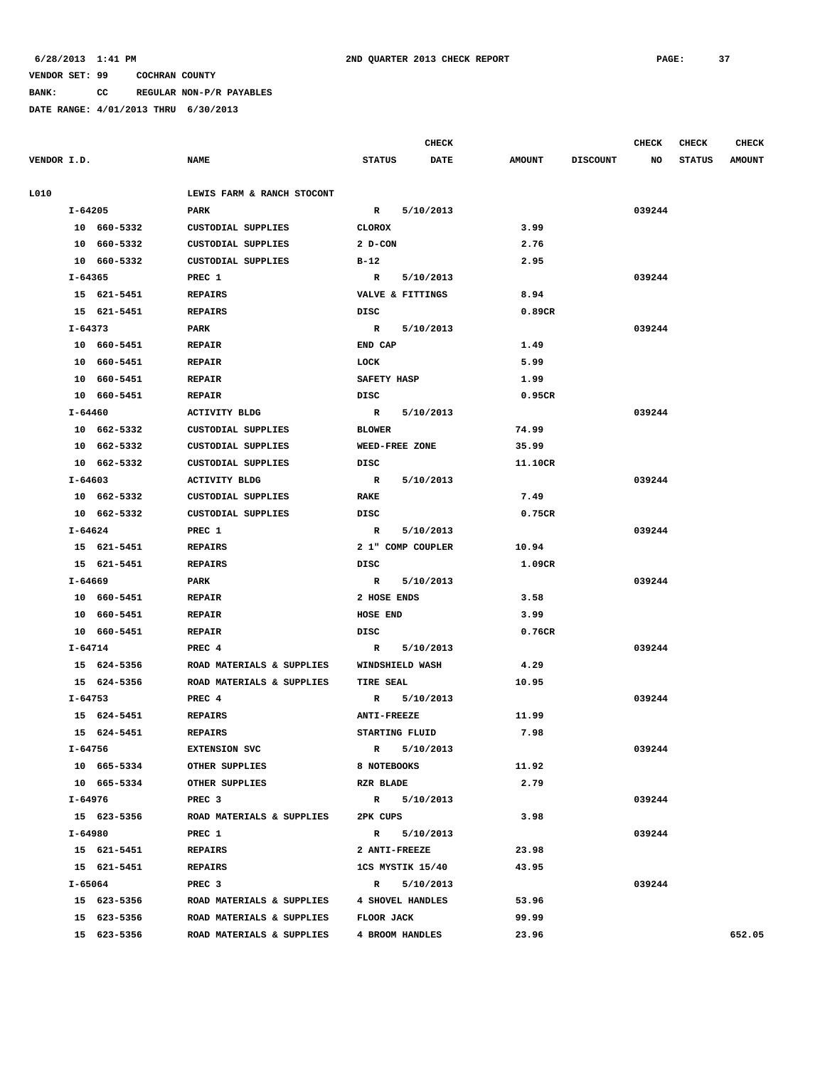**BANK: CC REGULAR NON-P/R PAYABLES**

| VENDOR I.D. |             | <b>NAME</b>                          | <b>STATUS</b>             | <b>DATE</b> | <b>AMOUNT</b> | <b>DISCOUNT</b> | NO     | <b>STATUS</b> | <b>AMOUNT</b> |
|-------------|-------------|--------------------------------------|---------------------------|-------------|---------------|-----------------|--------|---------------|---------------|
|             |             |                                      |                           |             |               |                 |        |               |               |
| L010        |             | LEWIS FARM & RANCH STOCONT           |                           |             |               |                 |        |               |               |
|             | I-64205     | PARK                                 | $\mathbb{R}$<br>5/10/2013 |             |               |                 | 039244 |               |               |
|             | 10 660-5332 | CUSTODIAL SUPPLIES                   | <b>CLOROX</b>             |             | 3.99          |                 |        |               |               |
|             | 10 660-5332 | CUSTODIAL SUPPLIES                   | 2 D-CON                   |             | 2.76          |                 |        |               |               |
|             | 10 660-5332 | CUSTODIAL SUPPLIES                   | B-12                      |             | 2.95          |                 |        |               |               |
|             | $I - 64365$ | PREC 1                               | 5/10/2013<br>R            |             |               |                 | 039244 |               |               |
|             | 15 621-5451 | <b>REPAIRS</b>                       | VALVE & FITTINGS          |             | 8.94          |                 |        |               |               |
|             | 15 621-5451 | <b>REPAIRS</b>                       | DISC                      |             | 0.89CR        |                 |        |               |               |
|             | I-64373     | PARK                                 | 5/10/2013<br>R            |             |               |                 | 039244 |               |               |
|             | 10 660-5451 | <b>REPAIR</b>                        | END CAP                   |             | 1.49          |                 |        |               |               |
|             | 10 660-5451 | <b>REPAIR</b>                        | LOCK                      |             | 5.99          |                 |        |               |               |
|             | 10 660-5451 | <b>REPAIR</b>                        | SAFETY HASP               |             | 1.99          |                 |        |               |               |
|             | 10 660-5451 | <b>REPAIR</b>                        | DISC                      |             | 0.95CR        |                 |        |               |               |
|             | I-64460     | <b>ACTIVITY BLDG</b>                 | 5/10/2013<br>R            |             |               |                 | 039244 |               |               |
|             | 10 662-5332 | <b>CUSTODIAL SUPPLIES</b>            | <b>BLOWER</b>             |             | 74.99         |                 |        |               |               |
|             | 10 662-5332 | CUSTODIAL SUPPLIES                   | WEED-FREE ZONE            |             | 35.99         |                 |        |               |               |
|             | 10 662-5332 | CUSTODIAL SUPPLIES                   | DISC                      |             | 11.10CR       |                 |        |               |               |
|             | I-64603     | <b>ACTIVITY BLDG</b>                 | R<br>5/10/2013            |             |               |                 | 039244 |               |               |
|             | 10 662-5332 | CUSTODIAL SUPPLIES                   | RAKE                      |             | 7.49          |                 |        |               |               |
|             | 10 662-5332 | CUSTODIAL SUPPLIES                   | DISC                      |             | 0.75CR        |                 |        |               |               |
|             | I-64624     | PREC 1                               | 5/10/2013<br>R            |             |               |                 | 039244 |               |               |
|             | 15 621-5451 | <b>REPAIRS</b>                       | 2 1" COMP COUPLER         |             | 10.94         |                 |        |               |               |
|             | 15 621-5451 | <b>REPAIRS</b>                       | DISC                      |             | 1.09CR        |                 |        |               |               |
|             | I-64669     | <b>PARK</b>                          | $\mathbb{R}$<br>5/10/2013 |             |               |                 | 039244 |               |               |
|             | 10 660-5451 | <b>REPAIR</b>                        | 2 HOSE ENDS               |             | 3.58          |                 |        |               |               |
|             | 10 660-5451 | <b>REPAIR</b>                        | HOSE END                  |             | 3.99          |                 |        |               |               |
|             | 10 660-5451 | <b>REPAIR</b>                        | DISC                      |             | 0.76CR        |                 |        |               |               |
|             | I-64714     | PREC 4                               | 5/10/2013<br>R            |             |               |                 | 039244 |               |               |
|             | 15 624-5356 | ROAD MATERIALS & SUPPLIES            | WINDSHIELD WASH           |             | 4.29          |                 |        |               |               |
|             | 15 624-5356 | ROAD MATERIALS & SUPPLIES            | <b>TIRE SEAL</b>          |             | 10.95         |                 |        |               |               |
|             | I-64753     | PREC 4                               | 5/10/2013<br>R            |             |               |                 | 039244 |               |               |
|             | 15 624-5451 | <b>REPAIRS</b>                       | <b>ANTI-FREEZE</b>        |             | 11.99         |                 |        |               |               |
|             | 15 624-5451 | <b>REPAIRS</b>                       | STARTING FLUID            |             | 7.98          |                 |        |               |               |
|             | I-64756     | <b>EXTENSION SVC</b>                 | $\mathbf{R}$<br>5/10/2013 |             |               |                 | 039244 |               |               |
|             | 10 665-5334 | OTHER SUPPLIES                       | 8 NOTEBOOKS               |             | 11.92         |                 |        |               |               |
|             | 10 665-5334 | OTHER SUPPLIES                       | RZR BLADE                 |             | 2.79          |                 |        |               |               |
|             | I-64976     | PREC 3                               | R 5/10/2013               |             |               |                 | 039244 |               |               |
|             | 15 623-5356 | ROAD MATERIALS & SUPPLIES            | 2PK CUPS                  |             | 3.98          |                 |        |               |               |
|             | I-64980     | PREC 1                               | R 5/10/2013               |             |               |                 | 039244 |               |               |
|             | 15 621-5451 | REPAIRS                              | 2 ANTI-FREEZE             |             | 23.98         |                 |        |               |               |
|             | 15 621-5451 | REPAIRS                              | 1CS MYSTIK 15/40          |             | 43.95         |                 |        |               |               |
|             | I-65064     | PREC 3                               | R 5/10/2013               |             |               |                 | 039244 |               |               |
|             | 15 623-5356 | ROAD MATERIALS & SUPPLIES            | 4 SHOVEL HANDLES          |             | 53.96         |                 |        |               |               |
|             | 15 623-5356 | ROAD MATERIALS & SUPPLIES FLOOR JACK |                           |             | 99.99         |                 |        |               |               |
|             | 15 623-5356 | ROAD MATERIALS & SUPPLIES            | 4 BROOM HANDLES           |             | 23.96         |                 |        |               | 652.05        |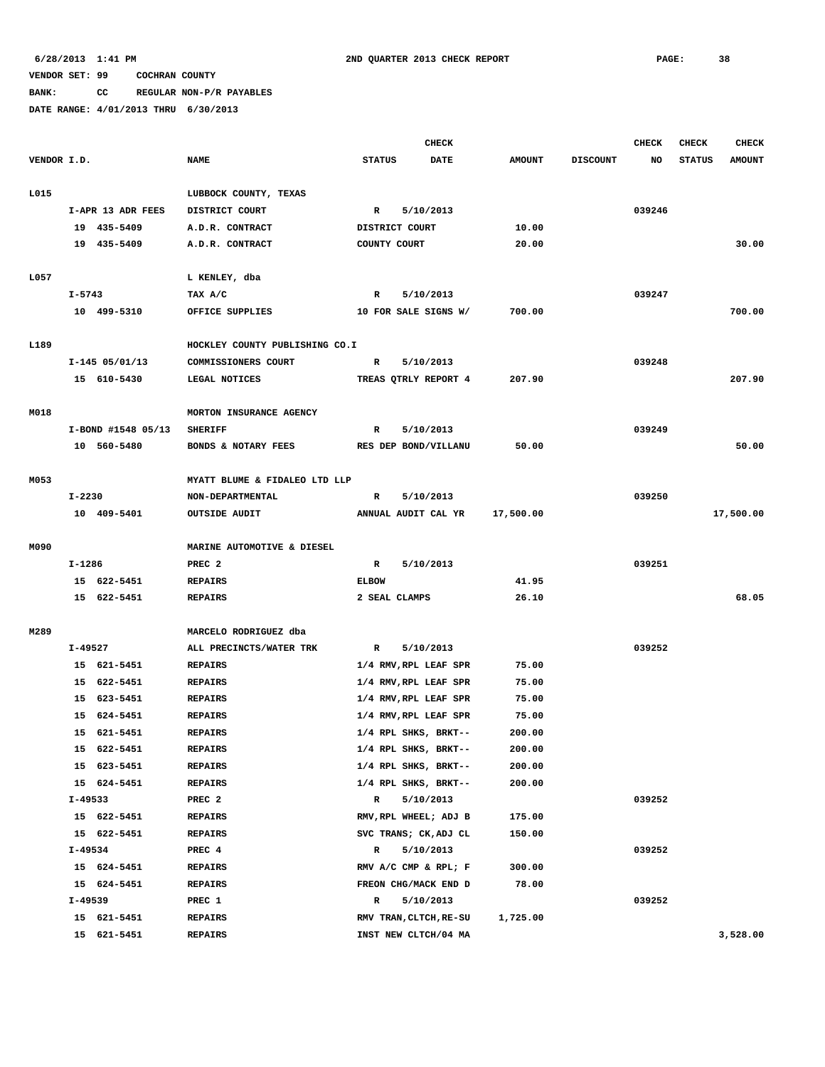**BANK: CC REGULAR NON-P/R PAYABLES**

|             |            |                            |                                  | <b>CHECK</b>   |                                                |                |                 | <b>CHECK</b> | <b>CHECK</b>  | <b>CHECK</b>  |
|-------------|------------|----------------------------|----------------------------------|----------------|------------------------------------------------|----------------|-----------------|--------------|---------------|---------------|
| VENDOR I.D. |            |                            | <b>NAME</b>                      | <b>STATUS</b>  | <b>DATE</b>                                    | <b>AMOUNT</b>  | <b>DISCOUNT</b> | NO           | <b>STATUS</b> | <b>AMOUNT</b> |
|             |            |                            |                                  |                |                                                |                |                 |              |               |               |
| L015        |            |                            | LUBBOCK COUNTY, TEXAS            |                |                                                |                |                 |              |               |               |
|             |            | I-APR 13 ADR FEES          | DISTRICT COURT                   | R              | 5/10/2013                                      |                |                 | 039246       |               |               |
|             |            | 19 435-5409                | A.D.R. CONTRACT                  | DISTRICT COURT |                                                | 10.00          |                 |              |               |               |
|             |            | 19 435-5409                | A.D.R. CONTRACT                  | COUNTY COURT   |                                                | 20.00          |                 |              |               | 30.00         |
|             |            |                            |                                  |                |                                                |                |                 |              |               |               |
| L057        | $I - 5743$ |                            | L KENLEY, dba<br>TAX A/C         | $\mathbf R$    | 5/10/2013                                      |                |                 | 039247       |               |               |
|             |            |                            |                                  |                |                                                |                |                 |              |               |               |
|             |            | 10 499-5310                | OFFICE SUPPLIES                  |                | 10 FOR SALE SIGNS W/                           | 700.00         |                 |              |               | 700.00        |
| L189        |            |                            | HOCKLEY COUNTY PUBLISHING CO.I   |                |                                                |                |                 |              |               |               |
|             |            | $I-145$ 05/01/13           | COMMISSIONERS COURT              | R              | 5/10/2013                                      |                |                 | 039248       |               |               |
|             |            | 15 610-5430                | LEGAL NOTICES                    |                | TREAS QTRLY REPORT 4                           | 207.90         |                 |              |               | 207.90        |
|             |            |                            |                                  |                |                                                |                |                 |              |               |               |
| M018        |            |                            | MORTON INSURANCE AGENCY          |                |                                                |                |                 |              |               |               |
|             |            | I-BOND #1548 05/13         | <b>SHERIFF</b>                   | R              | 5/10/2013                                      |                |                 | 039249       |               |               |
|             |            | 10 560-5480                | BONDS & NOTARY FEES              |                | RES DEP BOND/VILLANU                           | 50.00          |                 |              |               | 50.00         |
|             |            |                            |                                  |                |                                                |                |                 |              |               |               |
| M053        |            |                            | MYATT BLUME & FIDALEO LTD LLP    |                |                                                |                |                 |              |               |               |
|             | I-2230     |                            | NON-DEPARTMENTAL                 | $\mathbb{R}$   | 5/10/2013                                      |                |                 | 039250       |               |               |
|             |            | 10 409-5401                | <b>OUTSIDE AUDIT</b>             |                | ANNUAL AUDIT CAL YR                            | 17,500.00      |                 |              |               | 17,500.00     |
|             |            |                            |                                  |                |                                                |                |                 |              |               |               |
| M090        |            |                            | MARINE AUTOMOTIVE & DIESEL       |                |                                                |                |                 |              |               |               |
|             | I-1286     |                            | PREC <sub>2</sub>                | $\mathbb{R}$   | 5/10/2013                                      |                |                 | 039251       |               |               |
|             |            | 15 622-5451                | <b>REPAIRS</b>                   | <b>ELBOW</b>   |                                                | 41.95          |                 |              |               |               |
|             |            | 15 622-5451                | <b>REPAIRS</b>                   | 2 SEAL CLAMPS  |                                                | 26.10          |                 |              |               | 68.05         |
|             |            |                            |                                  |                |                                                |                |                 |              |               |               |
| M289        |            |                            | MARCELO RODRIGUEZ dba            |                |                                                |                |                 |              |               |               |
|             | I-49527    |                            | ALL PRECINCTS/WATER TRK          | R              | 5/10/2013                                      |                |                 | 039252       |               |               |
|             |            | 15 621-5451                | <b>REPAIRS</b>                   |                | 1/4 RMV, RPL LEAF SPR                          | 75.00          |                 |              |               |               |
|             |            | 15 622-5451<br>15 623-5451 | <b>REPAIRS</b>                   |                | 1/4 RMV, RPL LEAF SPR                          | 75.00          |                 |              |               |               |
|             |            | 15 624-5451                | <b>REPAIRS</b><br><b>REPAIRS</b> |                | 1/4 RMV, RPL LEAF SPR<br>1/4 RMV, RPL LEAF SPR | 75.00<br>75.00 |                 |              |               |               |
|             |            | 15 621-5451                | <b>REPAIRS</b>                   |                | 1/4 RPL SHKS, BRKT--                           | 200.00         |                 |              |               |               |
|             |            | 15 622-5451                | REPAIRS                          |                | 1/4 RPL SHKS, BRKT--                           | 200.00         |                 |              |               |               |
|             |            | 15 623-5451                | <b>REPAIRS</b>                   |                | 1/4 RPL SHKS, BRKT--                           | 200.00         |                 |              |               |               |
|             |            | 15 624-5451                | <b>REPAIRS</b>                   |                | 1/4 RPL SHKS, BRKT--                           | 200.00         |                 |              |               |               |
|             | I-49533    |                            | PREC <sub>2</sub>                | $\mathbb{R}$   | 5/10/2013                                      |                |                 | 039252       |               |               |
|             |            | 15 622-5451                | <b>REPAIRS</b>                   |                | RMV, RPL WHEEL; ADJ B                          | 175.00         |                 |              |               |               |
|             |            | 15 622-5451                | <b>REPAIRS</b>                   |                | SVC TRANS; CK, ADJ CL                          | 150.00         |                 |              |               |               |
|             | I-49534    |                            | PREC 4                           | R              | 5/10/2013                                      |                |                 | 039252       |               |               |
|             |            | 15 624-5451                | <b>REPAIRS</b>                   |                | RMV A/C CMP & RPL; F                           | 300.00         |                 |              |               |               |
|             |            | 15 624-5451                | <b>REPAIRS</b>                   |                | FREON CHG/MACK END D                           | 78.00          |                 |              |               |               |
|             | I-49539    |                            | PREC 1                           | R              | 5/10/2013                                      |                |                 | 039252       |               |               |
|             |            | 15 621-5451                | <b>REPAIRS</b>                   |                | RMV TRAN, CLTCH, RE-SU                         | 1,725.00       |                 |              |               |               |
|             |            | 15 621-5451                | <b>REPAIRS</b>                   |                | INST NEW CLTCH/04 MA                           |                |                 |              |               | 3,528.00      |
|             |            |                            |                                  |                |                                                |                |                 |              |               |               |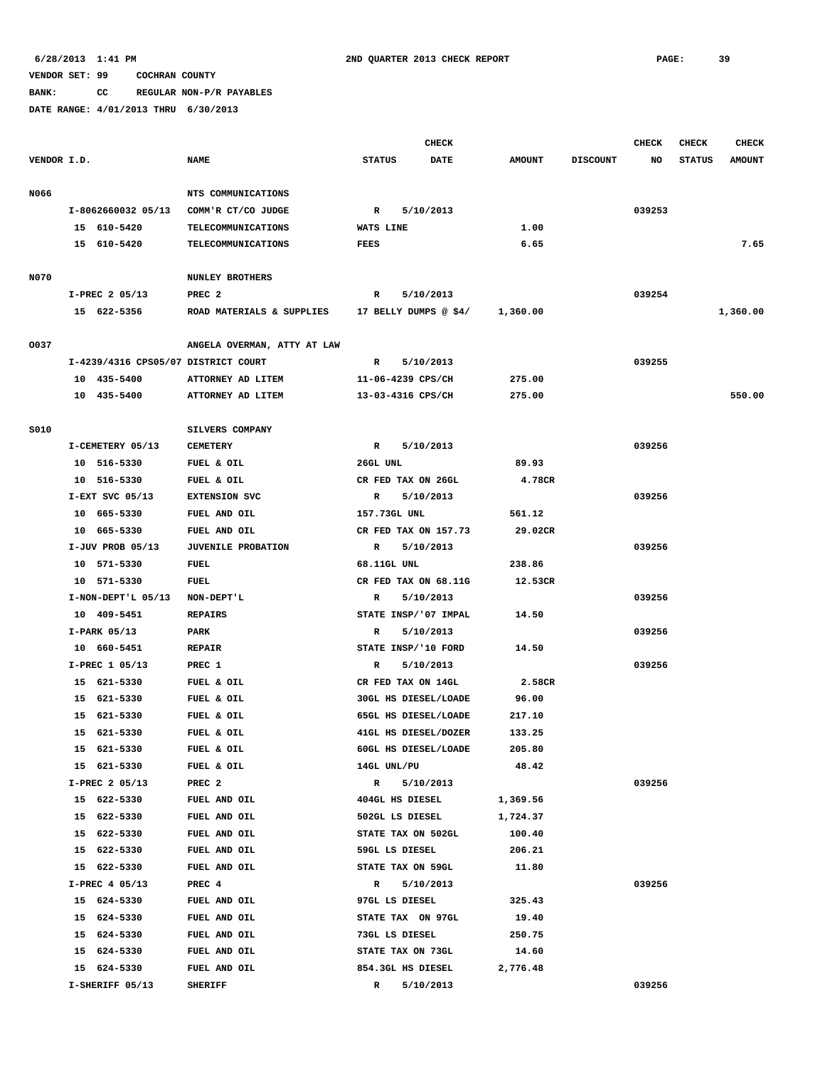**BANK: CC REGULAR NON-P/R PAYABLES**

|             |                                     |                             |               |                   | <b>CHECK</b>          |               |                 | <b>CHECK</b> | <b>CHECK</b>  | <b>CHECK</b>  |
|-------------|-------------------------------------|-----------------------------|---------------|-------------------|-----------------------|---------------|-----------------|--------------|---------------|---------------|
| VENDOR I.D. |                                     | <b>NAME</b>                 | <b>STATUS</b> |                   | <b>DATE</b>           | <b>AMOUNT</b> | <b>DISCOUNT</b> | NO           | <b>STATUS</b> | <b>AMOUNT</b> |
| N066        |                                     | NTS COMMUNICATIONS          |               |                   |                       |               |                 |              |               |               |
|             | I-8062660032 05/13                  | COMM'R CT/CO JUDGE          | R             |                   | 5/10/2013             |               |                 | 039253       |               |               |
|             | 15 610-5420                         | TELECOMMUNICATIONS          | WATS LINE     |                   |                       | 1.00          |                 |              |               |               |
|             | 15 610-5420                         | TELECOMMUNICATIONS          | <b>FEES</b>   |                   |                       | 6.65          |                 |              |               | 7.65          |
|             |                                     |                             |               |                   |                       |               |                 |              |               |               |
| N070        |                                     | <b>NUNLEY BROTHERS</b>      |               |                   |                       |               |                 |              |               |               |
|             | I-PREC 2 05/13                      | PREC <sub>2</sub>           | R             |                   | 5/10/2013             |               |                 | 039254       |               |               |
|             | 15 622-5356                         | ROAD MATERIALS & SUPPLIES   |               |                   | 17 BELLY DUMPS @ \$4/ | 1,360.00      |                 |              |               | 1,360.00      |
| 0037        |                                     | ANGELA OVERMAN, ATTY AT LAW |               |                   |                       |               |                 |              |               |               |
|             | I-4239/4316 CPS05/07 DISTRICT COURT |                             | R             |                   | 5/10/2013             |               |                 | 039255       |               |               |
|             | 10 435-5400                         | ATTORNEY AD LITEM           |               | 11-06-4239 CPS/CH |                       | 275.00        |                 |              |               |               |
|             | 10 435-5400                         | ATTORNEY AD LITEM           |               | 13-03-4316 CPS/CH |                       | 275.00        |                 |              |               | 550.00        |
|             |                                     |                             |               |                   |                       |               |                 |              |               |               |
| S010        |                                     | SILVERS COMPANY             |               |                   |                       |               |                 |              |               |               |
|             | I-CEMETERY 05/13                    | <b>CEMETERY</b>             | R             |                   | 5/10/2013             |               |                 | 039256       |               |               |
|             | 10 516-5330                         | FUEL & OIL                  | 26GL UNL      |                   |                       | 89.93         |                 |              |               |               |
|             | 10 516-5330                         | FUEL & OIL                  |               |                   | CR FED TAX ON 26GL    | 4.78CR        |                 |              |               |               |
|             | $I-EXT$ SVC 05/13                   | EXTENSION SVC               | R             |                   | 5/10/2013             |               |                 | 039256       |               |               |
|             | 10 665-5330                         | FUEL AND OIL                |               | 157.73GL UNL      |                       | 561.12        |                 |              |               |               |
|             | 10 665-5330                         | FUEL AND OIL                |               |                   | CR FED TAX ON 157.73  | 29.02CR       |                 |              |               |               |
|             | I-JUV PROB 05/13                    | <b>JUVENILE PROBATION</b>   | R             |                   | 5/10/2013             |               |                 | 039256       |               |               |
|             | 10 571-5330                         | FUEL                        |               | 68.11GL UNL       |                       | 238.86        |                 |              |               |               |
|             | 10 571-5330                         | FUEL                        |               |                   | CR FED TAX ON 68.11G  | 12.53CR       |                 |              |               |               |
|             | I-NON-DEPT'L 05/13                  | NON-DEPT'L                  | R             |                   | 5/10/2013             |               |                 | 039256       |               |               |
|             | 10 409-5451                         | <b>REPAIRS</b>              |               |                   | STATE INSP/'07 IMPAL  | 14.50         |                 |              |               |               |
|             | $I-PARK$ 05/13                      | PARK                        | R             |                   | 5/10/2013             |               |                 | 039256       |               |               |
|             | 10 660-5451                         | <b>REPAIR</b>               |               |                   | STATE INSP/'10 FORD   | 14.50         |                 |              |               |               |
|             | I-PREC 1 05/13                      | PREC 1                      | R             |                   | 5/10/2013             |               |                 | 039256       |               |               |
|             | 15 621-5330                         | FUEL & OIL                  |               |                   | CR FED TAX ON 14GL    | 2.58CR        |                 |              |               |               |
|             | 15 621-5330                         | FUEL & OIL                  |               |                   | 30GL HS DIESEL/LOADE  | 96.00         |                 |              |               |               |
|             | 15 621-5330                         | FUEL & OIL                  |               |                   | 65GL HS DIESEL/LOADE  | 217.10        |                 |              |               |               |
|             | 15 621-5330                         | FUEL & OIL                  |               |                   | 41GL HS DIESEL/DOZER  | 133.25        |                 |              |               |               |
|             | 15 621-5330                         | FUEL & OIL                  |               |                   | 60GL HS DIESEL/LOADE  | 205.80        |                 |              |               |               |
|             | 15 621-5330                         | FUEL & OIL                  |               | 14GL UNL/PU       |                       | 48.42         |                 |              |               |               |
|             | I-PREC 2 05/13                      | PREC <sub>2</sub>           | $\mathbb{R}$  |                   | 5/10/2013             |               |                 | 039256       |               |               |
|             | 15 622-5330                         | FUEL AND OIL                |               | 404GL HS DIESEL   |                       | 1,369.56      |                 |              |               |               |
|             | 15 622-5330                         | FUEL AND OIL                |               | 502GL LS DIESEL   |                       | 1,724.37      |                 |              |               |               |
|             | 15 622-5330                         | FUEL AND OIL                |               |                   | STATE TAX ON 502GL    | 100.40        |                 |              |               |               |
|             | 15 622-5330                         | FUEL AND OIL                |               | 59GL LS DIESEL    |                       | 206.21        |                 |              |               |               |
|             | 15 622-5330                         | FUEL AND OIL                |               | STATE TAX ON 59GL |                       | 11.80         |                 |              |               |               |
|             | I-PREC 4 05/13                      | PREC 4                      | R             |                   | 5/10/2013             |               |                 | 039256       |               |               |
|             | 15 624-5330                         | FUEL AND OIL                |               | 97GL LS DIESEL    |                       | 325.43        |                 |              |               |               |
|             | 15 624-5330                         | FUEL AND OIL                |               |                   | STATE TAX ON 97GL     | 19.40         |                 |              |               |               |
|             | 15 624-5330                         | FUEL AND OIL                |               | 73GL LS DIESEL    |                       | 250.75        |                 |              |               |               |
|             | 15 624-5330                         | FUEL AND OIL                |               | STATE TAX ON 73GL |                       | 14.60         |                 |              |               |               |
|             | 15 624-5330                         | FUEL AND OIL                |               | 854.3GL HS DIESEL |                       | 2,776.48      |                 |              |               |               |
|             | I-SHERIFF 05/13                     | <b>SHERIFF</b>              | R             |                   | 5/10/2013             |               |                 | 039256       |               |               |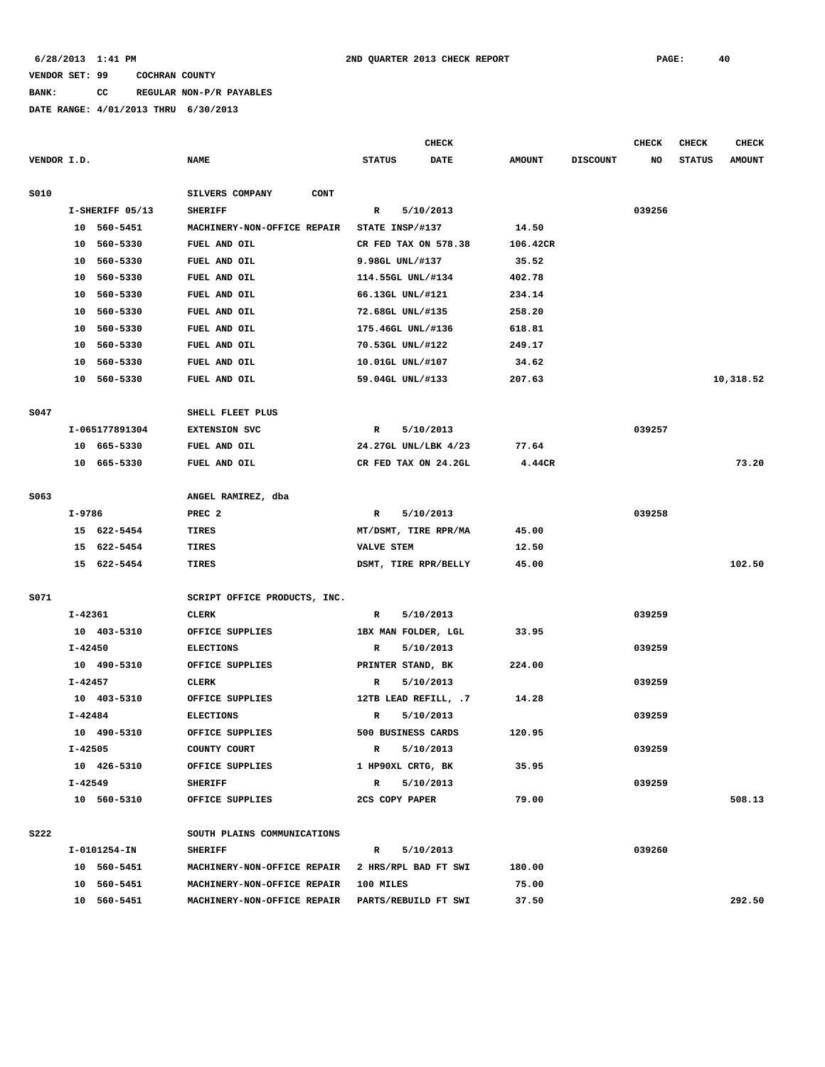# **BANK: CC REGULAR NON-P/R PAYABLES**

|             |         |                 |                                                            |                      | <b>CHECK</b>         |                 |                 | <b>CHECK</b> | CHECK         | <b>CHECK</b>  |
|-------------|---------|-----------------|------------------------------------------------------------|----------------------|----------------------|-----------------|-----------------|--------------|---------------|---------------|
| VENDOR I.D. |         |                 | <b>NAME</b>                                                | <b>STATUS</b>        | <b>DATE</b>          | <b>AMOUNT</b>   | <b>DISCOUNT</b> | NO           | <b>STATUS</b> | <b>AMOUNT</b> |
| <b>S010</b> |         |                 | SILVERS COMPANY<br>CONT                                    |                      |                      |                 |                 |              |               |               |
|             |         | I-SHERIFF 05/13 | <b>SHERIFF</b>                                             | R                    | 5/10/2013            |                 |                 | 039256       |               |               |
|             |         | 10 560-5451     | MACHINERY-NON-OFFICE REPAIR                                | STATE INSP/#137      |                      | 14.50           |                 |              |               |               |
|             |         | 10 560-5330     | FUEL AND OIL                                               | CR FED TAX ON 578.38 |                      | 106.42CR        |                 |              |               |               |
|             | 10      | 560-5330        | FUEL AND OIL                                               | 9.98GL UNL/#137      |                      | 35.52           |                 |              |               |               |
|             | 10      | 560-5330        | FUEL AND OIL                                               | 114.55GL UNL/#134    |                      | 402.78          |                 |              |               |               |
|             | 10      | 560-5330        | FUEL AND OIL                                               | 66.13GL UNL/#121     |                      | 234.14          |                 |              |               |               |
|             | 10      | 560-5330        | FUEL AND OIL                                               | 72.68GL UNL/#135     |                      | 258.20          |                 |              |               |               |
|             | 10      | 560-5330        | FUEL AND OIL                                               | 175.46GL UNL/#136    |                      | 618.81          |                 |              |               |               |
|             | 10      | 560-5330        | FUEL AND OIL                                               | 70.53GL UNL/#122     |                      | 249.17          |                 |              |               |               |
|             | 10      | 560-5330        | FUEL AND OIL                                               | 10.01GL UNL/#107     |                      | 34.62           |                 |              |               |               |
|             |         | 10 560-5330     | FUEL AND OIL                                               | 59.04GL UNL/#133     |                      | 207.63          |                 |              |               | 10,318.52     |
|             |         |                 |                                                            |                      |                      |                 |                 |              |               |               |
| S047        |         |                 | SHELL FLEET PLUS                                           |                      |                      |                 |                 |              |               |               |
|             |         | I-065177891304  | <b>EXTENSION SVC</b>                                       | R                    | 5/10/2013            |                 |                 | 039257       |               |               |
|             |         | 10 665-5330     | FUEL AND OIL                                               | 24.27GL UNL/LBK 4/23 |                      | 77.64           |                 |              |               |               |
|             |         | 10 665-5330     | FUEL AND OIL                                               | CR FED TAX ON 24.2GL |                      | 4.44CR          |                 |              |               | 73.20         |
|             |         |                 |                                                            |                      |                      |                 |                 |              |               |               |
| S063        |         |                 | ANGEL RAMIREZ, dba                                         |                      |                      |                 |                 |              |               |               |
|             | I-9786  |                 | PREC <sub>2</sub>                                          | R                    | 5/10/2013            |                 |                 | 039258       |               |               |
|             |         | 15 622-5454     | TIRES                                                      | MT/DSMT, TIRE RPR/MA |                      | 45.00           |                 |              |               |               |
|             |         | 15 622-5454     | TIRES                                                      | <b>VALVE STEM</b>    |                      | 12.50           |                 |              |               |               |
|             |         | 15 622-5454     | TIRES                                                      |                      | DSMT, TIRE RPR/BELLY | 45.00           |                 |              |               | 102.50        |
|             |         |                 |                                                            |                      |                      |                 |                 |              |               |               |
| S071        |         |                 | SCRIPT OFFICE PRODUCTS, INC.                               |                      |                      |                 |                 |              |               |               |
|             | I-42361 |                 | <b>CLERK</b>                                               | R                    | 5/10/2013            |                 |                 | 039259       |               |               |
|             |         | 10 403-5310     | OFFICE SUPPLIES                                            | 1BX MAN FOLDER, LGL  |                      | 33.95           |                 |              |               |               |
|             | I-42450 |                 | <b>ELECTIONS</b>                                           | R                    | 5/10/2013            |                 |                 | 039259       |               |               |
|             |         | 10 490-5310     | OFFICE SUPPLIES                                            | PRINTER STAND, BK    |                      | 224.00          |                 |              |               |               |
|             | I-42457 |                 | <b>CLERK</b>                                               | R                    | 5/10/2013            |                 |                 | 039259       |               |               |
|             |         | 10 403-5310     | OFFICE SUPPLIES                                            | 12TB LEAD REFILL, .7 |                      | 14.28           |                 |              |               |               |
|             | I-42484 |                 | <b>ELECTIONS</b>                                           | R                    | 5/10/2013            |                 |                 | 039259       |               |               |
|             |         | 10 490-5310     | OFFICE SUPPLIES                                            | 500 BUSINESS CARDS   |                      | 120.95          |                 |              |               |               |
|             | I-42505 |                 | COUNTY COURT                                               | $\mathbb{R}$         | 5/10/2013            |                 |                 | 039259       |               |               |
|             |         | 10 426-5310     | OFFICE SUPPLIES                                            | 1 HP90XL CRTG, BK    |                      | 35.95           |                 |              |               |               |
|             | I-42549 |                 | <b>SHERIFF</b>                                             | $\mathbf{R}$         | 5/10/2013            |                 |                 | 039259       |               |               |
|             |         | 10 560-5310     | OFFICE SUPPLIES                                            | 2CS COPY PAPER       |                      | 79.00           |                 |              |               | 508.13        |
|             |         |                 |                                                            |                      |                      |                 |                 |              |               |               |
| <b>S222</b> |         | I-0101254-IN    | SOUTH PLAINS COMMUNICATIONS<br><b>SHERIFF</b>              |                      |                      |                 |                 | 039260       |               |               |
|             |         |                 |                                                            | $\mathbb{R}$         | 5/10/2013            |                 |                 |              |               |               |
|             |         | 10 560-5451     | MACHINERY-NON-OFFICE REPAIR<br>MACHINERY-NON-OFFICE REPAIR |                      | 2 HRS/RPL BAD FT SWI | 180.00<br>75.00 |                 |              |               |               |
|             |         | 10 560-5451     |                                                            | 100 MILES            |                      |                 |                 |              |               |               |
|             |         | 10 560-5451     | MACHINERY-NON-OFFICE REPAIR                                | PARTS/REBUILD FT SWI |                      | 37.50           |                 |              |               | 292.50        |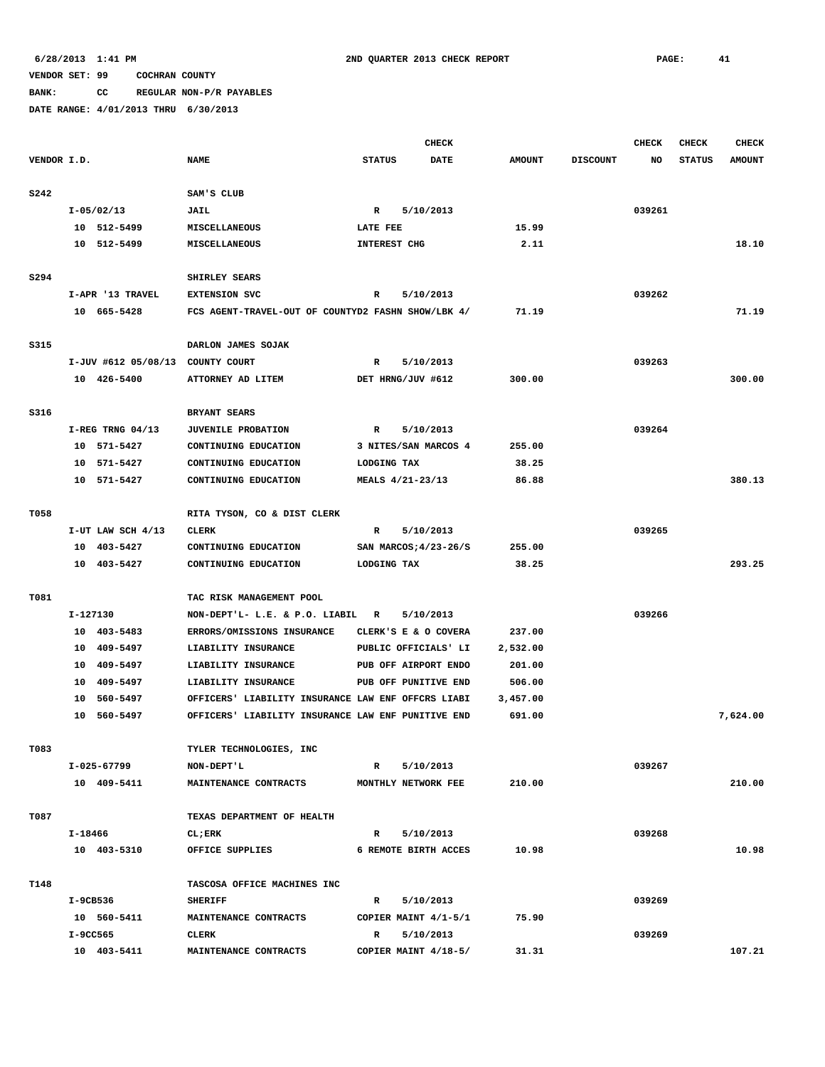# **BANK: CC REGULAR NON-P/R PAYABLES**

|             |          |                                  |                                                    | <b>CHECK</b>        |                       |               |                 | <b>CHECK</b> | <b>CHECK</b>  | <b>CHECK</b>  |
|-------------|----------|----------------------------------|----------------------------------------------------|---------------------|-----------------------|---------------|-----------------|--------------|---------------|---------------|
| VENDOR I.D. |          |                                  | <b>NAME</b>                                        | <b>STATUS</b>       | <b>DATE</b>           | <b>AMOUNT</b> | <b>DISCOUNT</b> | NO           | <b>STATUS</b> | <b>AMOUNT</b> |
|             |          |                                  |                                                    |                     |                       |               |                 |              |               |               |
| <b>S242</b> |          |                                  | SAM'S CLUB                                         |                     |                       |               |                 |              |               |               |
|             |          | $I-05/02/13$                     | <b>JAIL</b>                                        | R                   | 5/10/2013             |               |                 | 039261       |               |               |
|             |          | 10 512-5499                      | <b>MISCELLANEOUS</b>                               | LATE FEE            |                       | 15.99         |                 |              |               |               |
|             |          | 10 512-5499                      | <b>MISCELLANEOUS</b>                               | <b>INTEREST CHG</b> |                       | 2.11          |                 |              |               | 18.10         |
|             |          |                                  |                                                    |                     |                       |               |                 |              |               |               |
| S294        |          |                                  | SHIRLEY SEARS                                      |                     |                       |               |                 |              |               |               |
|             |          | I-APR '13 TRAVEL                 | <b>EXTENSION SVC</b>                               | R                   | 5/10/2013             |               |                 | 039262       |               |               |
|             |          | 10 665-5428                      | FCS AGENT-TRAVEL-OUT OF COUNTYD2 FASHN SHOW/LBK 4/ |                     |                       | 71.19         |                 |              |               | 71.19         |
|             |          |                                  |                                                    |                     |                       |               |                 |              |               |               |
| S315        |          |                                  | DARLON JAMES SOJAK                                 |                     |                       |               |                 |              |               |               |
|             |          | I-JUV #612 05/08/13 COUNTY COURT |                                                    | R                   | 5/10/2013             |               |                 | 039263       |               |               |
|             |          | 10 426-5400                      | ATTORNEY AD LITEM                                  |                     | DET HRNG/JUV #612     | 300.00        |                 |              |               | 300.00        |
|             |          |                                  |                                                    |                     |                       |               |                 |              |               |               |
| S316        |          |                                  | BRYANT SEARS                                       |                     |                       |               |                 |              |               |               |
|             |          | $I-REG$ TRNG 04/13               | <b>JUVENILE PROBATION</b>                          | R                   | 5/10/2013             |               |                 | 039264       |               |               |
|             |          | 10 571-5427                      | CONTINUING EDUCATION                               |                     | 3 NITES/SAN MARCOS 4  | 255.00        |                 |              |               |               |
|             |          | 10 571-5427                      | CONTINUING EDUCATION                               | LODGING TAX         |                       | 38.25         |                 |              |               | 380.13        |
|             |          | 10 571-5427                      | CONTINUING EDUCATION                               |                     | MEALS 4/21-23/13      | 86.88         |                 |              |               |               |
| T058        |          |                                  |                                                    |                     |                       |               |                 |              |               |               |
|             |          | I-UT LAW SCH 4/13                | RITA TYSON, CO & DIST CLERK<br><b>CLERK</b>        | $\mathbb{R}$        | 5/10/2013             |               |                 | 039265       |               |               |
|             |          | 10 403-5427                      | CONTINUING EDUCATION                               |                     | SAN MARCOS; 4/23-26/S | 255.00        |                 |              |               |               |
|             |          | 10 403-5427                      | CONTINUING EDUCATION                               | LODGING TAX         |                       | 38.25         |                 |              |               | 293.25        |
|             |          |                                  |                                                    |                     |                       |               |                 |              |               |               |
| T081        |          |                                  | TAC RISK MANAGEMENT POOL                           |                     |                       |               |                 |              |               |               |
|             | I-127130 |                                  | NON-DEPT'L- L.E. & P.O. LIABIL R                   |                     | 5/10/2013             |               |                 | 039266       |               |               |
|             |          | 10 403-5483                      | ERRORS/OMISSIONS INSURANCE                         |                     | CLERK'S E & O COVERA  | 237.00        |                 |              |               |               |
|             |          | 10 409-5497                      | LIABILITY INSURANCE                                |                     | PUBLIC OFFICIALS' LI  | 2,532.00      |                 |              |               |               |
|             | 10       | 409-5497                         | LIABILITY INSURANCE                                |                     | PUB OFF AIRPORT ENDO  | 201.00        |                 |              |               |               |
|             |          | 10 409-5497                      | LIABILITY INSURANCE                                |                     | PUB OFF PUNITIVE END  | 506.00        |                 |              |               |               |
|             |          | 10 560-5497                      | OFFICERS' LIABILITY INSURANCE LAW ENF OFFCRS LIABI |                     |                       | 3,457.00      |                 |              |               |               |
|             | 10       | 560-5497                         | OFFICERS' LIABILITY INSURANCE LAW ENF PUNITIVE END |                     |                       | 691.00        |                 |              |               | 7,624.00      |
|             |          |                                  |                                                    |                     |                       |               |                 |              |               |               |
| T083        |          |                                  | TYLER TECHNOLOGIES, INC                            |                     |                       |               |                 |              |               |               |
|             |          | I-025-67799                      | NON-DEPT'L                                         | $\mathbb{R}$        | 5/10/2013             |               |                 | 039267       |               |               |
|             |          | 10 409-5411                      | MAINTENANCE CONTRACTS                              |                     | MONTHLY NETWORK FEE   | 210.00        |                 |              |               | 210.00        |
|             |          |                                  |                                                    |                     |                       |               |                 |              |               |               |
| T087        |          |                                  | TEXAS DEPARTMENT OF HEALTH                         |                     |                       |               |                 |              |               |               |
|             | I-18466  |                                  | $CL$ ; $ERK$                                       | $\mathbb{R}$        | 5/10/2013             |               |                 | 039268       |               |               |
|             |          | 10 403-5310                      | OFFICE SUPPLIES                                    |                     | 6 REMOTE BIRTH ACCES  | 10.98         |                 |              |               | 10.98         |
|             |          |                                  |                                                    |                     |                       |               |                 |              |               |               |
| T148        |          |                                  | TASCOSA OFFICE MACHINES INC                        |                     |                       |               |                 |              |               |               |
|             | I-9CB536 |                                  | <b>SHERIFF</b>                                     | R                   | 5/10/2013             |               |                 | 039269       |               |               |
|             |          | 10 560-5411                      | MAINTENANCE CONTRACTS                              |                     | COPIER MAINT 4/1-5/1  | 75.90         |                 |              |               |               |
|             | I-9CC565 |                                  | CLERK                                              | R                   | 5/10/2013             |               |                 | 039269       |               |               |
|             |          | 10 403-5411                      | MAINTENANCE CONTRACTS                              |                     | COPIER MAINT 4/18-5/  | 31.31         |                 |              |               | 107.21        |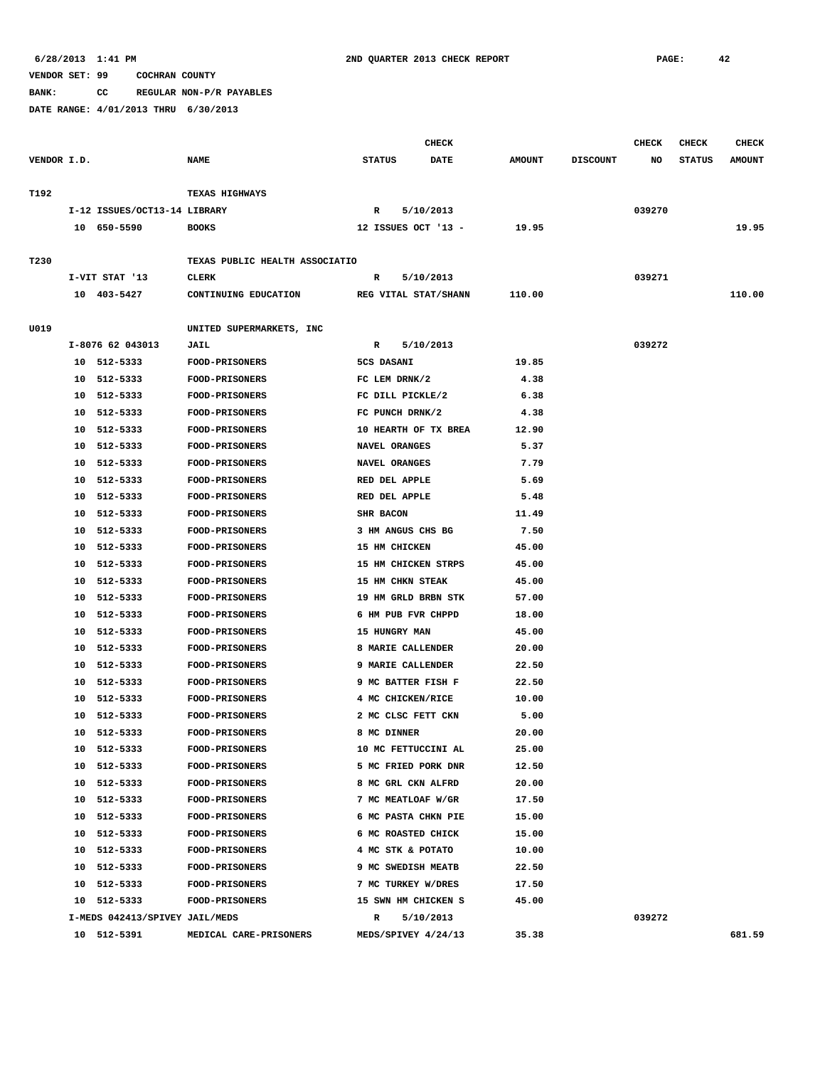**BANK: CC REGULAR NON-P/R PAYABLES**

|             |    |                                |                                |                      | <b>CHECK</b> |               |                 | <b>CHECK</b> | <b>CHECK</b>  | <b>CHECK</b>  |
|-------------|----|--------------------------------|--------------------------------|----------------------|--------------|---------------|-----------------|--------------|---------------|---------------|
| VENDOR I.D. |    |                                | <b>NAME</b>                    | <b>STATUS</b>        | <b>DATE</b>  | <b>AMOUNT</b> | <b>DISCOUNT</b> | NO           | <b>STATUS</b> | <b>AMOUNT</b> |
| T192        |    |                                | TEXAS HIGHWAYS                 |                      |              |               |                 |              |               |               |
|             |    | I-12 ISSUES/OCT13-14 LIBRARY   |                                | R                    | 5/10/2013    |               |                 | 039270       |               |               |
|             |    | 10 650-5590                    | <b>BOOKS</b>                   | 12 ISSUES OCT '13 -  |              | 19.95         |                 |              |               | 19.95         |
|             |    |                                |                                |                      |              |               |                 |              |               |               |
| T230        |    |                                | TEXAS PUBLIC HEALTH ASSOCIATIO |                      |              |               |                 |              |               |               |
|             |    | I-VIT STAT '13                 | <b>CLERK</b>                   | $\mathbb{R}$         | 5/10/2013    |               |                 | 039271       |               |               |
|             |    | 10 403-5427                    | CONTINUING EDUCATION           | REG VITAL STAT/SHANN |              | 110.00        |                 |              |               | 110.00        |
| U019        |    |                                | UNITED SUPERMARKETS, INC       |                      |              |               |                 |              |               |               |
|             |    | I-8076 62 043013               | JAIL                           | R                    | 5/10/2013    |               |                 | 039272       |               |               |
|             |    | 10 512-5333                    | <b>FOOD-PRISONERS</b>          | 5CS DASANI           |              | 19.85         |                 |              |               |               |
|             |    | 10 512-5333                    | FOOD-PRISONERS                 | FC LEM DRNK/2        |              | 4.38          |                 |              |               |               |
|             | 10 | 512-5333                       | <b>FOOD-PRISONERS</b>          | FC DILL PICKLE/2     |              | 6.38          |                 |              |               |               |
|             | 10 | 512-5333                       | <b>FOOD-PRISONERS</b>          | FC PUNCH DRNK/2      |              | 4.38          |                 |              |               |               |
|             | 10 | 512-5333                       | FOOD-PRISONERS                 | 10 HEARTH OF TX BREA |              | 12.90         |                 |              |               |               |
|             | 10 | 512-5333                       | FOOD-PRISONERS                 | NAVEL ORANGES        |              | 5.37          |                 |              |               |               |
|             | 10 | 512-5333                       | <b>FOOD-PRISONERS</b>          | NAVEL ORANGES        |              | 7.79          |                 |              |               |               |
|             | 10 | 512-5333                       | <b>FOOD-PRISONERS</b>          | RED DEL APPLE        |              | 5.69          |                 |              |               |               |
|             | 10 | 512-5333                       | FOOD-PRISONERS                 | RED DEL APPLE        |              | 5.48          |                 |              |               |               |
|             | 10 | 512-5333                       | FOOD-PRISONERS                 | SHR BACON            |              | 11.49         |                 |              |               |               |
|             | 10 | 512-5333                       | FOOD-PRISONERS                 | 3 HM ANGUS CHS BG    |              | 7.50          |                 |              |               |               |
|             | 10 | 512-5333                       | <b>FOOD-PRISONERS</b>          | 15 HM CHICKEN        |              | 45.00         |                 |              |               |               |
|             | 10 | 512-5333                       | <b>FOOD-PRISONERS</b>          | 15 HM CHICKEN STRPS  |              | 45.00         |                 |              |               |               |
|             | 10 | 512-5333                       | <b>FOOD-PRISONERS</b>          | 15 HM CHKN STEAK     |              | 45.00         |                 |              |               |               |
|             | 10 | 512-5333                       | <b>FOOD-PRISONERS</b>          | 19 HM GRLD BRBN STK  |              | 57.00         |                 |              |               |               |
|             | 10 | 512-5333                       | <b>FOOD-PRISONERS</b>          | 6 HM PUB FVR CHPPD   |              | 18.00         |                 |              |               |               |
|             | 10 | 512-5333                       | FOOD-PRISONERS                 | 15 HUNGRY MAN        |              | 45.00         |                 |              |               |               |
|             | 10 | 512-5333                       | <b>FOOD-PRISONERS</b>          | 8 MARIE CALLENDER    |              | 20.00         |                 |              |               |               |
|             | 10 | 512-5333                       | <b>FOOD-PRISONERS</b>          | 9 MARIE CALLENDER    |              | 22.50         |                 |              |               |               |
|             | 10 | 512-5333                       | <b>FOOD-PRISONERS</b>          | 9 MC BATTER FISH F   |              | 22.50         |                 |              |               |               |
|             | 10 | 512-5333                       | <b>FOOD-PRISONERS</b>          | 4 MC CHICKEN/RICE    |              | 10.00         |                 |              |               |               |
|             | 10 | 512-5333                       | <b>FOOD-PRISONERS</b>          | 2 MC CLSC FETT CKN   |              | 5.00          |                 |              |               |               |
|             | 10 | 512-5333                       | FOOD-PRISONERS                 | 8 MC DINNER          |              | 20.00         |                 |              |               |               |
|             |    | 10 512-5333                    | <b>FOOD-PRISONERS</b>          | 10 MC FETTUCCINI AL  |              | 25.00         |                 |              |               |               |
|             |    | 10 512-5333                    | <b>FOOD-PRISONERS</b>          | 5 MC FRIED PORK DNR  |              | 12.50         |                 |              |               |               |
|             |    | 10 512-5333                    | FOOD-PRISONERS                 | 8 MC GRL CKN ALFRD   |              | 20.00         |                 |              |               |               |
|             | 10 | 512-5333                       | FOOD-PRISONERS                 | 7 MC MEATLOAF W/GR   |              | 17.50         |                 |              |               |               |
|             |    | 10 512-5333                    | FOOD-PRISONERS                 | 6 MC PASTA CHKN PIE  |              | 15.00         |                 |              |               |               |
|             |    | 10 512-5333                    | FOOD-PRISONERS                 | 6 MC ROASTED CHICK   |              | 15.00         |                 |              |               |               |
|             |    | 10 512-5333                    | <b>FOOD-PRISONERS</b>          | 4 MC STK & POTATO    |              | 10.00         |                 |              |               |               |
|             |    | 10 512-5333                    | FOOD-PRISONERS                 | 9 MC SWEDISH MEATB   |              | 22.50         |                 |              |               |               |
|             |    | 10 512-5333                    | FOOD-PRISONERS                 | 7 MC TURKEY W/DRES   |              | 17.50         |                 |              |               |               |
|             |    | 10 512-5333                    | <b>FOOD-PRISONERS</b>          | 15 SWN HM CHICKEN S  |              | 45.00         |                 |              |               |               |
|             |    | I-MEDS 042413/SPIVEY JAIL/MEDS |                                | R                    | 5/10/2013    |               |                 | 039272       |               |               |
|             |    | 10 512-5391                    | MEDICAL CARE-PRISONERS         | MEDS/SPIVEY 4/24/13  |              | 35.38         |                 |              |               | 681.59        |
|             |    |                                |                                |                      |              |               |                 |              |               |               |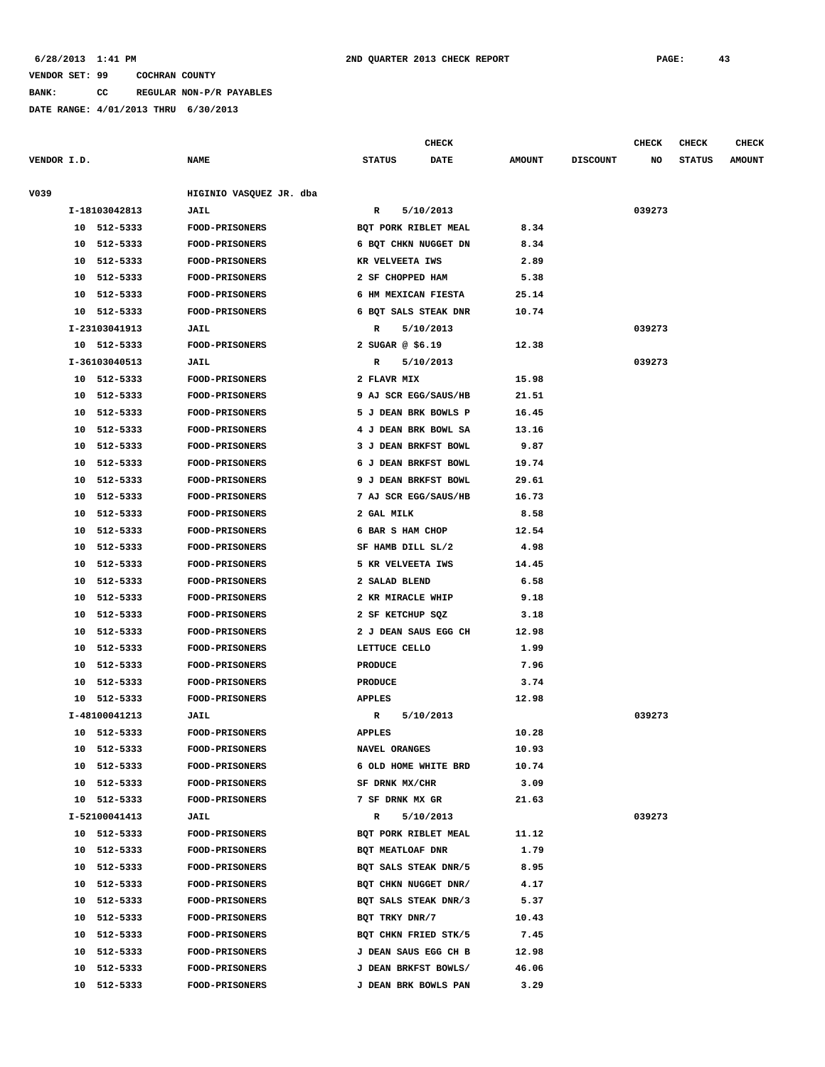**BANK: CC REGULAR NON-P/R PAYABLES**

**DATE RANGE: 4/01/2013 THRU 6/30/2013**

**CHECK CHECK CHECK CHECK** 

| VENDOR I.D. |               | <b>NAME</b>             | <b>STATUS</b><br><b>DATE</b> | <b>AMOUNT</b> | <b>DISCOUNT</b> | NO     | <b>STATUS</b> | <b>AMOUNT</b> |
|-------------|---------------|-------------------------|------------------------------|---------------|-----------------|--------|---------------|---------------|
| V039        |               | HIGINIO VASQUEZ JR. dba |                              |               |                 |        |               |               |
|             | I-18103042813 | JAIL                    | 5/10/2013<br>R               |               |                 | 039273 |               |               |
|             | 10 512-5333   | <b>FOOD-PRISONERS</b>   | BQT PORK RIBLET MEAL         | 8.34          |                 |        |               |               |
|             | 10 512-5333   | <b>FOOD-PRISONERS</b>   | 6 BQT CHKN NUGGET DN         | 8.34          |                 |        |               |               |
|             | 10 512-5333   | FOOD-PRISONERS          | KR VELVEETA IWS              | 2.89          |                 |        |               |               |
|             | 10 512-5333   | <b>FOOD-PRISONERS</b>   | 2 SF CHOPPED HAM             | 5.38          |                 |        |               |               |
| 10          | 512-5333      | <b>FOOD-PRISONERS</b>   | 6 HM MEXICAN FIESTA          | 25.14         |                 |        |               |               |
|             | 10 512-5333   | FOOD-PRISONERS          | 6 BQT SALS STEAK DNR         | 10.74         |                 |        |               |               |
|             | I-23103041913 | <b>JAIL</b>             | 5/10/2013<br>R               |               |                 | 039273 |               |               |
|             | 10 512-5333   | <b>FOOD-PRISONERS</b>   | 2 SUGAR $@$ \$6.19           | 12.38         |                 |        |               |               |
|             | I-36103040513 | JAIL                    | 5/10/2013<br>R               |               |                 | 039273 |               |               |
|             | 10 512-5333   | <b>FOOD-PRISONERS</b>   | 2 FLAVR MIX                  | 15.98         |                 |        |               |               |
|             | 10 512-5333   | <b>FOOD-PRISONERS</b>   | 9 AJ SCR EGG/SAUS/HB         | 21.51         |                 |        |               |               |
|             | 10 512-5333   | FOOD-PRISONERS          | 5 J DEAN BRK BOWLS P         | 16.45         |                 |        |               |               |
|             | 10 512-5333   | <b>FOOD-PRISONERS</b>   | 4 J DEAN BRK BOWL SA         | 13.16         |                 |        |               |               |
|             | 10 512-5333   | <b>FOOD-PRISONERS</b>   | 3 J DEAN BRKFST BOWL         | 9.87          |                 |        |               |               |
|             | 10 512-5333   | FOOD-PRISONERS          | 6 J DEAN BRKFST BOWL         | 19.74         |                 |        |               |               |
| 10          | 512-5333      | <b>FOOD-PRISONERS</b>   | 9 J DEAN BRKFST BOWL         | 29.61         |                 |        |               |               |
| 10          | 512-5333      | <b>FOOD-PRISONERS</b>   | 7 AJ SCR EGG/SAUS/HB         | 16.73         |                 |        |               |               |
|             | 10 512-5333   | FOOD-PRISONERS          | 2 GAL MILK                   | 8.58          |                 |        |               |               |
| 10          | 512-5333      | <b>FOOD-PRISONERS</b>   | 6 BAR S HAM CHOP             | 12.54         |                 |        |               |               |
| 10          | 512-5333      | <b>FOOD-PRISONERS</b>   | SF HAMB DILL SL/2            | 4.98          |                 |        |               |               |
| 10          | 512-5333      | FOOD-PRISONERS          | 5 KR VELVEETA IWS            | 14.45         |                 |        |               |               |
| 10          | 512-5333      | <b>FOOD-PRISONERS</b>   | 2 SALAD BLEND                | 6.58          |                 |        |               |               |
| 10          | 512-5333      | <b>FOOD-PRISONERS</b>   | 2 KR MIRACLE WHIP            | 9.18          |                 |        |               |               |
| 10          | 512-5333      | FOOD-PRISONERS          | 2 SF KETCHUP SQZ             | 3.18          |                 |        |               |               |
| 10          | 512-5333      | FOOD-PRISONERS          | 2 J DEAN SAUS EGG CH         | 12.98         |                 |        |               |               |
| 10          | 512-5333      | <b>FOOD-PRISONERS</b>   | LETTUCE CELLO                | 1.99          |                 |        |               |               |
| 10          | 512-5333      | FOOD-PRISONERS          | PRODUCE                      | 7.96          |                 |        |               |               |
| 10          | 512-5333      | <b>FOOD-PRISONERS</b>   | <b>PRODUCE</b>               | 3.74          |                 |        |               |               |
| 10          | 512-5333      | <b>FOOD-PRISONERS</b>   | <b>APPLES</b>                | 12.98         |                 |        |               |               |
|             | I-48100041213 | <b>JAIL</b>             | 5/10/2013<br>$\mathbb{R}$    |               |                 | 039273 |               |               |
|             | 10 512-5333   | <b>FOOD-PRISONERS</b>   | <b>APPLES</b>                | 10.28         |                 |        |               |               |
|             | 10 512-5333   | FOOD-PRISONERS          | NAVEL ORANGES                | 10.93         |                 |        |               |               |
| 10          | 512-5333      | <b>FOOD-PRISONERS</b>   | 6 OLD HOME WHITE BRD         | 10.74         |                 |        |               |               |
| 10          | 512-5333      | <b>FOOD-PRISONERS</b>   | SF DRNK MX/CHR               | 3.09          |                 |        |               |               |
| 10          | 512-5333      | FOOD-PRISONERS          | 7 SF DRNK MX GR              | 21.63         |                 |        |               |               |
|             | I-52100041413 | JAIL                    | 5/10/2013<br>R               |               |                 | 039273 |               |               |
|             | 10 512-5333   | <b>FOOD-PRISONERS</b>   | BQT PORK RIBLET MEAL         | 11.12         |                 |        |               |               |
| 10          | 512-5333      | <b>FOOD-PRISONERS</b>   | BQT MEATLOAF DNR             | 1.79          |                 |        |               |               |
|             | 10 512-5333   | <b>FOOD-PRISONERS</b>   | BQT SALS STEAK DNR/5         | 8.95          |                 |        |               |               |
| 10          | 512-5333      | <b>FOOD-PRISONERS</b>   | BQT CHKN NUGGET DNR/         | 4.17          |                 |        |               |               |
| 10          | 512-5333      | <b>FOOD-PRISONERS</b>   | BQT SALS STEAK DNR/3         | 5.37          |                 |        |               |               |
| 10          | 512-5333      | FOOD-PRISONERS          | BQT TRKY DNR/7               | 10.43         |                 |        |               |               |
| 10          | 512-5333      | <b>FOOD-PRISONERS</b>   | BQT CHKN FRIED STK/5         | 7.45          |                 |        |               |               |
| 10          | 512-5333      | FOOD-PRISONERS          | J DEAN SAUS EGG CH B         | 12.98         |                 |        |               |               |
| 10          | 512-5333      | FOOD-PRISONERS          | J DEAN BRKFST BOWLS/         | 46.06         |                 |        |               |               |
| 10          | 512-5333      | <b>FOOD-PRISONERS</b>   | <b>J DEAN BRK BOWLS PAN</b>  | 3.29          |                 |        |               |               |
|             |               |                         |                              |               |                 |        |               |               |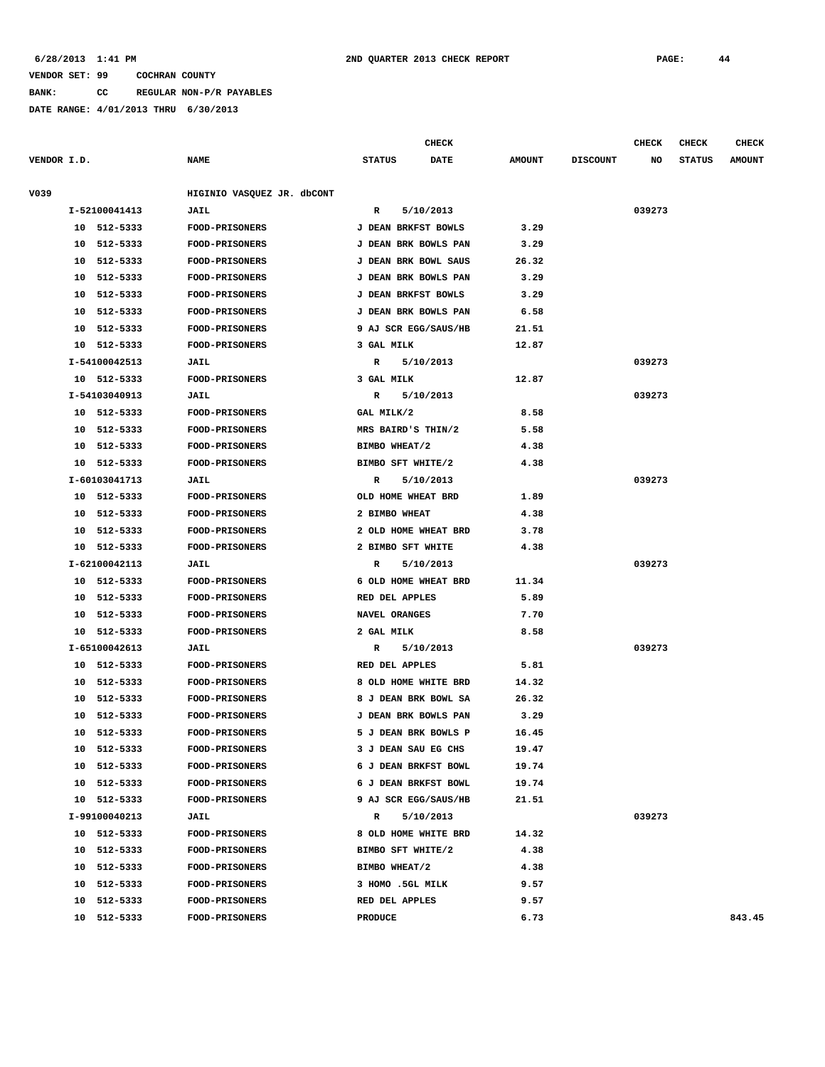**BANK: CC REGULAR NON-P/R PAYABLES**

|             |    |               |                            |                     | <b>CHECK</b>         |               |                 | <b>CHECK</b> | <b>CHECK</b>  | <b>CHECK</b>  |
|-------------|----|---------------|----------------------------|---------------------|----------------------|---------------|-----------------|--------------|---------------|---------------|
| VENDOR I.D. |    |               | <b>NAME</b>                | <b>STATUS</b>       | DATE                 | <b>AMOUNT</b> | <b>DISCOUNT</b> | NO           | <b>STATUS</b> | <b>AMOUNT</b> |
| V039        |    |               | HIGINIO VASQUEZ JR. dbCONT |                     |                      |               |                 |              |               |               |
|             |    | I-52100041413 | JAIL                       | R                   | 5/10/2013            |               |                 | 039273       |               |               |
|             |    | 10 512-5333   | <b>FOOD-PRISONERS</b>      | J DEAN BRKFST BOWLS |                      | 3.29          |                 |              |               |               |
|             |    | 10 512-5333   | FOOD-PRISONERS             |                     | J DEAN BRK BOWLS PAN | 3.29          |                 |              |               |               |
|             | 10 | 512-5333      | <b>FOOD-PRISONERS</b>      |                     | J DEAN BRK BOWL SAUS | 26.32         |                 |              |               |               |
|             | 10 | 512-5333      | <b>FOOD-PRISONERS</b>      |                     | J DEAN BRK BOWLS PAN | 3.29          |                 |              |               |               |
|             |    | 10 512-5333   | FOOD-PRISONERS             | J DEAN BRKFST BOWLS |                      | 3.29          |                 |              |               |               |
|             | 10 | 512-5333      | <b>FOOD-PRISONERS</b>      |                     | J DEAN BRK BOWLS PAN | 6.58          |                 |              |               |               |
|             | 10 | 512-5333      | <b>FOOD-PRISONERS</b>      |                     | 9 AJ SCR EGG/SAUS/HB | 21.51         |                 |              |               |               |
|             |    | 10 512-5333   | <b>FOOD-PRISONERS</b>      | 3 GAL MILK          |                      | 12.87         |                 |              |               |               |
|             |    | I-54100042513 | <b>JAIL</b>                | R                   | 5/10/2013            |               |                 | 039273       |               |               |
|             |    | 10 512-5333   | <b>FOOD-PRISONERS</b>      | 3 GAL MILK          |                      | 12.87         |                 |              |               |               |
|             |    | I-54103040913 | JAIL                       | R                   | 5/10/2013            |               |                 | 039273       |               |               |
|             |    | 10 512-5333   | <b>FOOD-PRISONERS</b>      | GAL MILK/2          |                      | 8.58          |                 |              |               |               |
|             |    | 10 512-5333   | <b>FOOD-PRISONERS</b>      | MRS BAIRD'S THIN/2  |                      | 5.58          |                 |              |               |               |
|             |    | 10 512-5333   | FOOD-PRISONERS             | BIMBO WHEAT/2       |                      | 4.38          |                 |              |               |               |
|             | 10 | 512-5333      | FOOD-PRISONERS             | BIMBO SFT WHITE/2   |                      | 4.38          |                 |              |               |               |
|             |    | I-60103041713 | JAIL                       | R                   | 5/10/2013            |               |                 | 039273       |               |               |
|             |    | 10 512-5333   | <b>FOOD-PRISONERS</b>      | OLD HOME WHEAT BRD  |                      | 1.89          |                 |              |               |               |
|             | 10 | 512-5333      | <b>FOOD-PRISONERS</b>      | 2 BIMBO WHEAT       |                      | 4.38          |                 |              |               |               |
|             | 10 | 512-5333      | <b>FOOD-PRISONERS</b>      |                     | 2 OLD HOME WHEAT BRD | 3.78          |                 |              |               |               |
|             |    | 10 512-5333   | <b>FOOD-PRISONERS</b>      | 2 BIMBO SFT WHITE   |                      | 4.38          |                 |              |               |               |
|             |    | I-62100042113 | JAIL                       | R                   | 5/10/2013            |               |                 | 039273       |               |               |
|             |    | 10 512-5333   | <b>FOOD-PRISONERS</b>      |                     | 6 OLD HOME WHEAT BRD | 11.34         |                 |              |               |               |
|             |    | 10 512-5333   | <b>FOOD-PRISONERS</b>      | RED DEL APPLES      |                      | 5.89          |                 |              |               |               |
|             | 10 | 512-5333      | <b>FOOD-PRISONERS</b>      | NAVEL ORANGES       |                      | 7.70          |                 |              |               |               |
|             |    | 10 512-5333   | <b>FOOD-PRISONERS</b>      | 2 GAL MILK          |                      | 8.58          |                 |              |               |               |
|             |    | I-65100042613 | <b>JAIL</b>                | R                   | 5/10/2013            |               |                 | 039273       |               |               |
|             |    | 10 512-5333   | <b>FOOD-PRISONERS</b>      | RED DEL APPLES      |                      | 5.81          |                 |              |               |               |
|             |    | 10 512-5333   | <b>FOOD-PRISONERS</b>      |                     | 8 OLD HOME WHITE BRD | 14.32         |                 |              |               |               |
|             |    | 10 512-5333   | <b>FOOD-PRISONERS</b>      |                     | 8 J DEAN BRK BOWL SA | 26.32         |                 |              |               |               |
|             | 10 | 512-5333      | <b>FOOD-PRISONERS</b>      |                     | J DEAN BRK BOWLS PAN | 3.29          |                 |              |               |               |
|             |    | 10 512-5333   | FOOD-PRISONERS             |                     | 5 J DEAN BRK BOWLS P | 16.45         |                 |              |               |               |
|             |    | 10 512-5333   | <b>FOOD-PRISONERS</b>      | 3 J DEAN SAU EG CHS |                      | 19.47         |                 |              |               |               |
|             |    | 10 512-5333   | <b>FOOD-PRISONERS</b>      |                     | 6 J DEAN BRKFST BOWL | 19.74         |                 |              |               |               |
|             |    | 10 512-5333   | <b>FOOD-PRISONERS</b>      |                     | 6 J DEAN BRKFST BOWL | 19.74         |                 |              |               |               |
|             |    | 10 512-5333   | <b>FOOD-PRISONERS</b>      |                     | 9 AJ SCR EGG/SAUS/HB | 21.51         |                 |              |               |               |
|             |    | I-99100040213 | <b>JAIL</b>                | R                   | 5/10/2013            |               |                 | 039273       |               |               |
|             |    | 10 512-5333   | <b>FOOD-PRISONERS</b>      |                     | 8 OLD HOME WHITE BRD | 14.32         |                 |              |               |               |
|             |    | 10 512-5333   | <b>FOOD-PRISONERS</b>      | BIMBO SFT WHITE/2   |                      | 4.38          |                 |              |               |               |
|             |    | 10 512-5333   | <b>FOOD-PRISONERS</b>      | BIMBO WHEAT/2       |                      | 4.38          |                 |              |               |               |
|             |    | 10 512-5333   | <b>FOOD-PRISONERS</b>      | 3 HOMO .5GL MILK    |                      | 9.57          |                 |              |               |               |
|             |    | 10 512-5333   | <b>FOOD-PRISONERS</b>      | RED DEL APPLES      |                      | 9.57          |                 |              |               |               |
|             |    | 10 512-5333   | <b>FOOD-PRISONERS</b>      | <b>PRODUCE</b>      |                      | 6.73          |                 |              |               | 843.45        |
|             |    |               |                            |                     |                      |               |                 |              |               |               |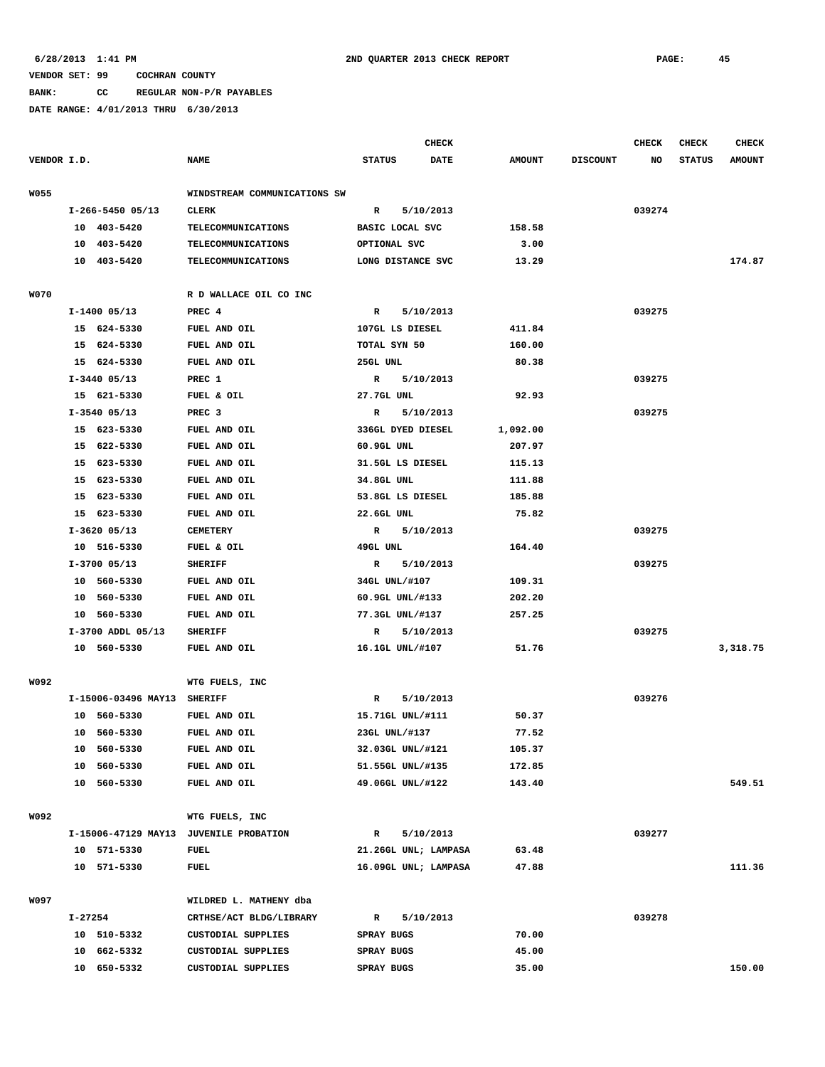## **BANK: CC REGULAR NON-P/R PAYABLES**

|             |         |                             |                                        |               |                          | <b>CHECK</b>         |                |                 | <b>CHECK</b> | <b>CHECK</b>  | <b>CHECK</b>  |
|-------------|---------|-----------------------------|----------------------------------------|---------------|--------------------------|----------------------|----------------|-----------------|--------------|---------------|---------------|
| VENDOR I.D. |         |                             | <b>NAME</b>                            | <b>STATUS</b> |                          | <b>DATE</b>          | <b>AMOUNT</b>  | <b>DISCOUNT</b> | NO           | <b>STATUS</b> | <b>AMOUNT</b> |
|             |         |                             |                                        |               |                          |                      |                |                 |              |               |               |
| <b>W055</b> |         |                             | WINDSTREAM COMMUNICATIONS SW           |               |                          |                      |                |                 |              |               |               |
|             |         | I-266-5450 05/13            | <b>CLERK</b>                           | R             |                          | 5/10/2013            |                |                 | 039274       |               |               |
|             |         | 10 403-5420                 | <b>TELECOMMUNICATIONS</b>              |               | BASIC LOCAL SVC          |                      | 158.58         |                 |              |               |               |
|             |         | 10 403-5420                 | TELECOMMUNICATIONS                     |               | OPTIONAL SVC             |                      | 3.00           |                 |              |               |               |
|             |         | 10 403-5420                 | <b>TELECOMMUNICATIONS</b>              |               |                          | LONG DISTANCE SVC    | 13.29          |                 |              |               | 174.87        |
| <b>W070</b> |         |                             | R D WALLACE OIL CO INC                 |               |                          |                      |                |                 |              |               |               |
|             |         | $I-1400$ 05/13              | PREC 4                                 | R             |                          | 5/10/2013            |                |                 | 039275       |               |               |
|             |         | 15 624-5330                 | FUEL AND OIL                           |               | 107GL LS DIESEL          |                      | 411.84         |                 |              |               |               |
|             |         | 15 624-5330                 | FUEL AND OIL                           |               | TOTAL SYN 50             |                      | 160.00         |                 |              |               |               |
|             |         | 15 624-5330                 | FUEL AND OIL                           | 25GL UNL      |                          |                      | 80.38          |                 |              |               |               |
|             |         | $I-3440$ 05/13              | PREC 1                                 | R             |                          | 5/10/2013            |                |                 | 039275       |               |               |
|             |         | 15 621-5330                 | FUEL & OIL                             |               | 27.7GL UNL               |                      | 92.93          |                 |              |               |               |
|             |         | $I-3540$ 05/13              | PREC <sub>3</sub>                      | R             |                          | 5/10/2013            |                |                 | 039275       |               |               |
|             |         | 15 623-5330                 | FUEL AND OIL                           |               |                          | 336GL DYED DIESEL    | 1,092.00       |                 |              |               |               |
|             |         | 15 622-5330                 | FUEL AND OIL                           |               | $60.9GL$ UNL             |                      | 207.97         |                 |              |               |               |
|             |         | 15 623-5330                 | FUEL AND OIL                           |               |                          | 31.5GL LS DIESEL     | 115.13         |                 |              |               |               |
|             |         | 15 623-5330                 | FUEL AND OIL                           |               | 34.8GL UNL               |                      | 111.88         |                 |              |               |               |
|             |         | 15 623-5330                 | FUEL AND OIL                           |               |                          | 53.8GL LS DIESEL     | 185.88         |                 |              |               |               |
|             |         | 15 623-5330                 | FUEL AND OIL                           |               | 22.6GL UNL               |                      | 75.82          |                 |              |               |               |
|             |         | $I-3620$ 05/13              | <b>CEMETERY</b>                        | $\mathbb{R}$  |                          | 5/10/2013            |                |                 | 039275       |               |               |
|             |         | 10 516-5330                 | FUEL & OIL                             | 49GL UNL      |                          |                      | 164.40         |                 |              |               |               |
|             |         | $I-3700$ 05/13              | <b>SHERIFF</b>                         | R             |                          | 5/10/2013            |                |                 | 039275       |               |               |
|             |         | 10 560-5330                 | FUEL AND OIL                           |               | 34GL UNL/#107            |                      | 109.31         |                 |              |               |               |
|             |         | 10 560-5330                 | FUEL AND OIL                           |               | 60.9GL UNL/#133          |                      | 202.20         |                 |              |               |               |
|             |         | 10 560-5330                 | FUEL AND OIL                           |               | 77.3GL UNL/#137          |                      | 257.25         |                 |              |               |               |
|             |         | I-3700 ADDL 05/13           | <b>SHERIFF</b>                         | $\mathbb{R}$  |                          | 5/10/2013            |                |                 | 039275       |               |               |
|             |         | 10 560-5330                 | FUEL AND OIL                           |               | 16.1GL UNL/#107          |                      | 51.76          |                 |              |               | 3,318.75      |
|             |         |                             |                                        |               |                          |                      |                |                 |              |               |               |
| W092        |         |                             | WTG FUELS, INC                         |               |                          |                      |                |                 |              |               |               |
|             |         | I-15006-03496 MAY13 SHERIFF |                                        | R             |                          | 5/10/2013            |                |                 | 039276       |               |               |
|             |         | 10 560-5330                 | FUEL AND OIL                           |               |                          | 15.71GL UNL/#111     | 50.37          |                 |              |               |               |
|             |         | 10 560-5330                 | FUEL AND OIL                           |               | 23GL UNL/#137            |                      | 77.52          |                 |              |               |               |
|             |         | 10 560-5330                 | FUEL AND OIL                           |               |                          | 32.03GL UNL/#121     | 105.37         |                 |              |               |               |
|             |         | 10 560-5330                 | FUEL AND OIL                           |               |                          | 51.55GL UNL/#135     | 172.85         |                 |              |               |               |
|             |         | 10 560-5330                 | FUEL AND OIL                           |               |                          | 49.06GL UNL/#122     | 143.40         |                 |              |               | 549.51        |
|             |         |                             |                                        |               |                          |                      |                |                 |              |               |               |
| W092        |         |                             | WTG FUELS, INC                         |               |                          |                      |                |                 |              |               |               |
|             |         |                             | I-15006-47129 MAY13 JUVENILE PROBATION | R             |                          | 5/10/2013            |                |                 | 039277       |               |               |
|             |         | 10 571-5330                 | FUEL                                   |               |                          | 21.26GL UNL; LAMPASA | 63.48          |                 |              |               |               |
|             |         | 10 571-5330                 | FUEL                                   |               |                          | 16.09GL UNL; LAMPASA | 47.88          |                 |              |               | 111.36        |
|             |         |                             | WILDRED L. MATHENY dba                 |               |                          |                      |                |                 |              |               |               |
| W097        |         |                             |                                        |               |                          |                      |                |                 |              |               |               |
|             | I-27254 |                             | CRTHSE/ACT BLDG/LIBRARY                | R             |                          | 5/10/2013            |                |                 | 039278       |               |               |
|             |         | 10 510-5332<br>10 662-5332  | CUSTODIAL SUPPLIES                     |               | SPRAY BUGS<br>SPRAY BUGS |                      | 70.00<br>45.00 |                 |              |               |               |
|             |         |                             | CUSTODIAL SUPPLIES                     |               | SPRAY BUGS               |                      | 35.00          |                 |              |               | 150.00        |
|             |         | 10 650-5332                 | CUSTODIAL SUPPLIES                     |               |                          |                      |                |                 |              |               |               |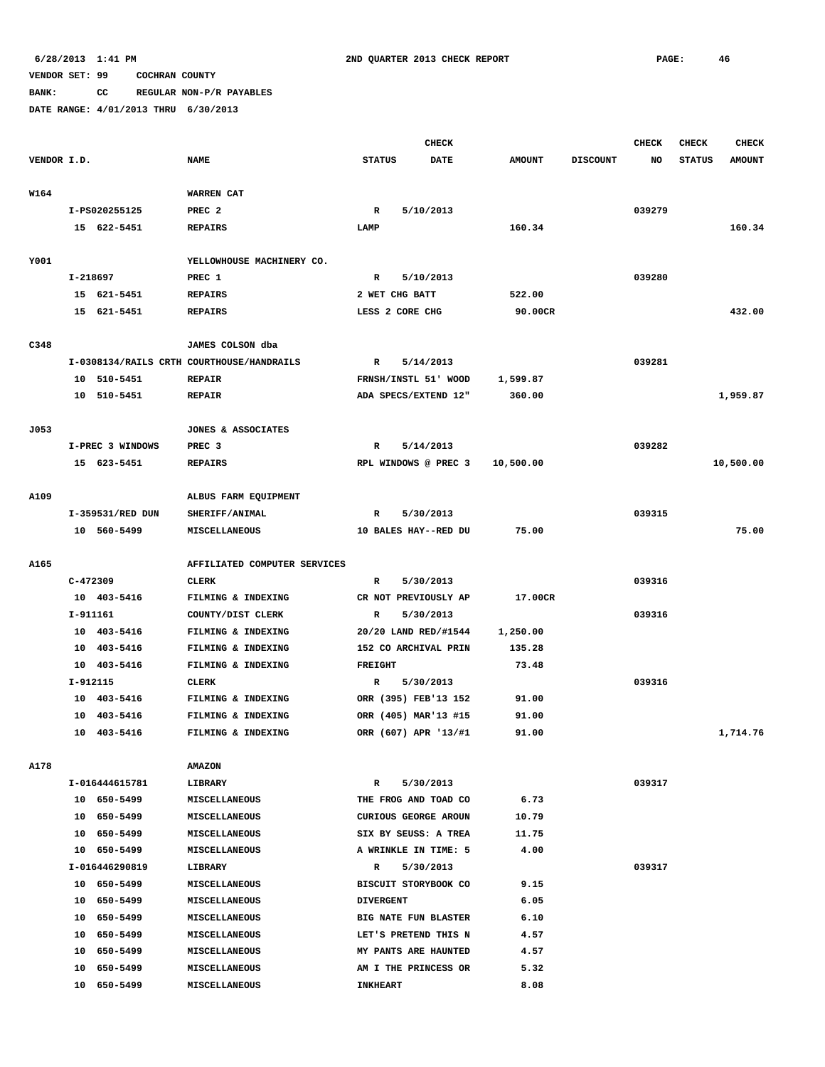# **BANK: CC REGULAR NON-P/R PAYABLES**

|             |            |                  |                                           |                  |                 | <b>CHECK</b>                |               |                 | <b>CHECK</b> | <b>CHECK</b>  | <b>CHECK</b>  |
|-------------|------------|------------------|-------------------------------------------|------------------|-----------------|-----------------------------|---------------|-----------------|--------------|---------------|---------------|
| VENDOR I.D. |            |                  | <b>NAME</b>                               | <b>STATUS</b>    |                 | <b>DATE</b>                 | <b>AMOUNT</b> | <b>DISCOUNT</b> | NO           | <b>STATUS</b> | <b>AMOUNT</b> |
|             |            |                  |                                           |                  |                 |                             |               |                 |              |               |               |
| W164        |            |                  | WARREN CAT                                |                  |                 |                             |               |                 |              |               |               |
|             |            | I-PS020255125    | PREC <sub>2</sub>                         | R                |                 | 5/10/2013                   |               |                 | 039279       |               |               |
|             |            | 15 622-5451      | <b>REPAIRS</b>                            | LAMP             |                 |                             | 160.34        |                 |              |               | 160.34        |
|             |            |                  |                                           |                  |                 |                             |               |                 |              |               |               |
| Y001        |            |                  | YELLOWHOUSE MACHINERY CO.                 |                  |                 |                             |               |                 |              |               |               |
|             | I-218697   |                  | PREC 1                                    | R                |                 | 5/10/2013                   |               |                 | 039280       |               |               |
|             |            | 15 621-5451      | <b>REPAIRS</b>                            |                  | 2 WET CHG BATT  |                             | 522.00        |                 |              |               |               |
|             |            | 15 621-5451      | <b>REPAIRS</b>                            |                  | LESS 2 CORE CHG |                             | 90.00CR       |                 |              |               | 432.00        |
|             |            |                  |                                           |                  |                 |                             |               |                 |              |               |               |
| C348        |            |                  | JAMES COLSON dba                          |                  |                 |                             |               |                 |              |               |               |
|             |            |                  | I-0308134/RAILS CRTH COURTHOUSE/HANDRAILS | R                |                 | 5/14/2013                   |               |                 | 039281       |               |               |
|             |            | 10 510-5451      | <b>REPAIR</b>                             |                  |                 | FRNSH/INSTL 51' WOOD        | 1,599.87      |                 |              |               |               |
|             |            | 10 510-5451      | <b>REPAIR</b>                             |                  |                 | ADA SPECS/EXTEND 12"        | 360.00        |                 |              |               | 1,959.87      |
|             |            |                  |                                           |                  |                 |                             |               |                 |              |               |               |
| J053        |            |                  | JONES & ASSOCIATES                        |                  |                 |                             |               |                 |              |               |               |
|             |            | I-PREC 3 WINDOWS | PREC <sub>3</sub>                         | R                |                 | 5/14/2013                   |               |                 | 039282       |               |               |
|             |            | 15 623-5451      | <b>REPAIRS</b>                            |                  |                 | RPL WINDOWS @ PREC 3        | 10,500.00     |                 |              |               | 10,500.00     |
|             |            |                  |                                           |                  |                 |                             |               |                 |              |               |               |
| A109        |            |                  | ALBUS FARM EQUIPMENT                      |                  |                 |                             |               |                 |              |               |               |
|             |            | I-359531/RED DUN | SHERIFF/ANIMAL                            | R                |                 | 5/30/2013                   |               |                 | 039315       |               |               |
|             |            | 10 560-5499      | MISCELLANEOUS                             |                  |                 | 10 BALES HAY--RED DU        | 75.00         |                 |              |               | 75.00         |
|             |            |                  |                                           |                  |                 |                             |               |                 |              |               |               |
| A165        |            |                  | AFFILIATED COMPUTER SERVICES              |                  |                 |                             |               |                 |              |               |               |
|             | $C-472309$ |                  | <b>CLERK</b>                              | R                |                 | 5/30/2013                   |               |                 | 039316       |               |               |
|             |            | 10 403-5416      | FILMING & INDEXING                        |                  |                 | CR NOT PREVIOUSLY AP        | 17.00CR       |                 |              |               |               |
|             | I-911161   |                  | COUNTY/DIST CLERK                         | R                |                 | 5/30/2013                   |               |                 | 039316       |               |               |
|             |            | 10 403-5416      | FILMING & INDEXING                        |                  |                 | 20/20 LAND RED/#1544        | 1,250.00      |                 |              |               |               |
|             |            | 10 403-5416      | FILMING & INDEXING                        |                  |                 | 152 CO ARCHIVAL PRIN        | 135.28        |                 |              |               |               |
|             |            | 10 403-5416      | FILMING & INDEXING                        | FREIGHT          |                 |                             | 73.48         |                 |              |               |               |
|             | I-912115   |                  | CLERK                                     | R                |                 | 5/30/2013                   |               |                 | 039316       |               |               |
|             |            | 10 403-5416      | FILMING & INDEXING                        |                  |                 | ORR (395) FEB'13 152        | 91.00         |                 |              |               |               |
|             | 10         | 403-5416         | FILMING & INDEXING                        |                  |                 | ORR (405) MAR'13 #15        | 91.00         |                 |              |               |               |
|             |            | 10 403-5416      | FILMING & INDEXING                        |                  |                 | ORR (607) APR '13/#1        | 91.00         |                 |              |               | 1,714.76      |
|             |            |                  |                                           |                  |                 |                             |               |                 |              |               |               |
| A178        |            |                  | <b>AMAZON</b>                             |                  |                 |                             |               |                 |              |               |               |
|             |            | I-016444615781   | LIBRARY                                   | $\mathbb{R}$     |                 | 5/30/2013                   |               |                 | 039317       |               |               |
|             |            | 10 650-5499      | <b>MISCELLANEOUS</b>                      |                  |                 | THE FROG AND TOAD CO        | 6.73          |                 |              |               |               |
|             |            | 10 650-5499      | MISCELLANEOUS                             |                  |                 | CURIOUS GEORGE AROUN        | 10.79         |                 |              |               |               |
|             | 10         | 650-5499         | <b>MISCELLANEOUS</b>                      |                  |                 | SIX BY SEUSS: A TREA        | 11.75         |                 |              |               |               |
|             |            | 10 650-5499      | <b>MISCELLANEOUS</b>                      |                  |                 | A WRINKLE IN TIME: 5        | 4.00          |                 |              |               |               |
|             |            | I-016446290819   | LIBRARY                                   | R                |                 | 5/30/2013                   |               |                 | 039317       |               |               |
|             |            | 10 650-5499      | <b>MISCELLANEOUS</b>                      |                  |                 | BISCUIT STORYBOOK CO        | 9.15          |                 |              |               |               |
|             | 10         | 650-5499         | <b>MISCELLANEOUS</b>                      | <b>DIVERGENT</b> |                 |                             | 6.05          |                 |              |               |               |
|             | 10         | 650–5499         | MISCELLANEOUS                             |                  |                 | <b>BIG NATE FUN BLASTER</b> | 6.10          |                 |              |               |               |
|             | 10         | 650-5499         | <b>MISCELLANEOUS</b>                      |                  |                 | LET'S PRETEND THIS N        | 4.57          |                 |              |               |               |
|             | 10         | 650-5499         | MISCELLANEOUS                             |                  |                 | MY PANTS ARE HAUNTED        | 4.57          |                 |              |               |               |
|             | 10         | 650-5499         | MISCELLANEOUS                             |                  |                 | AM I THE PRINCESS OR        | 5.32          |                 |              |               |               |
|             |            | 10 650-5499      | <b>MISCELLANEOUS</b>                      | <b>INKHEART</b>  |                 |                             | 8.08          |                 |              |               |               |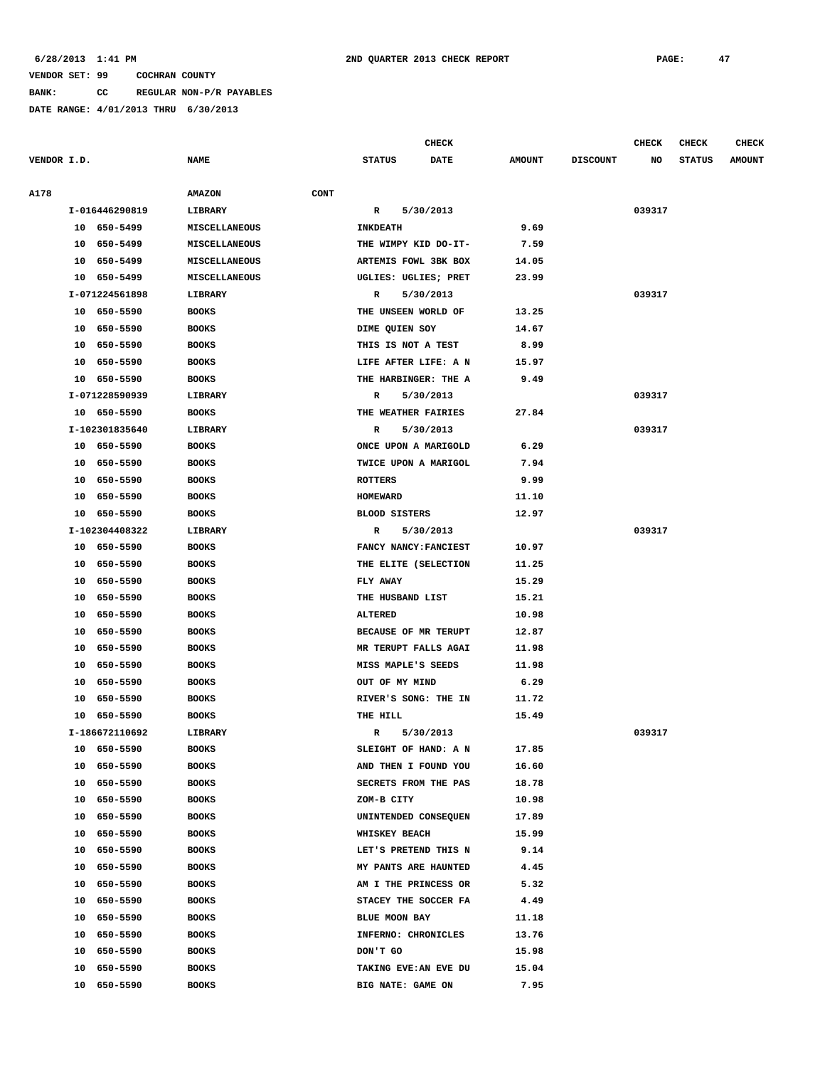**BANK: CC REGULAR NON-P/R PAYABLES**

**DATE RANGE: 4/01/2013 THRU 6/30/2013**

**CHECK CHECK CHECK CHECK** 

| VENDOR I.D. |    |                | <b>NAME</b>                  | <b>STATUS</b>        | <b>DATE</b>           | <b>AMOUNT</b> | <b>DISCOUNT</b> | NO     | <b>STATUS</b> | <b>AMOUNT</b> |
|-------------|----|----------------|------------------------------|----------------------|-----------------------|---------------|-----------------|--------|---------------|---------------|
| <b>A178</b> |    |                | <b>CONT</b><br><b>AMAZON</b> |                      |                       |               |                 |        |               |               |
|             |    | I-016446290819 | LIBRARY                      | $\mathbb{R}$         | 5/30/2013             |               |                 | 039317 |               |               |
|             |    | 10 650-5499    | MISCELLANEOUS                | <b>INKDEATH</b>      |                       | 9.69          |                 |        |               |               |
|             |    | 10 650-5499    | MISCELLANEOUS                |                      | THE WIMPY KID DO-IT-  | 7.59          |                 |        |               |               |
|             |    | 10 650-5499    | <b>MISCELLANEOUS</b>         |                      | ARTEMIS FOWL 3BK BOX  | 14.05         |                 |        |               |               |
|             |    | 10 650-5499    | MISCELLANEOUS                |                      | UGLIES: UGLIES; PRET  | 23.99         |                 |        |               |               |
|             |    | I-071224561898 | LIBRARY                      | $\mathbb{R}$         | 5/30/2013             |               |                 | 039317 |               |               |
|             |    | 10 650-5590    | <b>BOOKS</b>                 | THE UNSEEN WORLD OF  |                       | 13.25         |                 |        |               |               |
|             |    | 10 650-5590    | <b>BOOKS</b>                 | DIME QUIEN SOY       |                       | 14.67         |                 |        |               |               |
|             |    | 10 650-5590    | <b>BOOKS</b>                 | THIS IS NOT A TEST   |                       | 8.99          |                 |        |               |               |
|             |    | 10 650-5590    | <b>BOOKS</b>                 |                      | LIFE AFTER LIFE: A N  | 15.97         |                 |        |               |               |
|             |    | 10 650-5590    | <b>BOOKS</b>                 |                      | THE HARBINGER: THE A  | 9.49          |                 |        |               |               |
|             |    | I-071228590939 | LIBRARY                      | R                    | 5/30/2013             |               |                 | 039317 |               |               |
|             |    | 10 650-5590    | <b>BOOKS</b>                 | THE WEATHER FAIRIES  |                       | 27.84         |                 |        |               |               |
|             |    | I-102301835640 | <b>LIBRARY</b>               | R                    | 5/30/2013             |               |                 | 039317 |               |               |
|             |    | 10 650-5590    | <b>BOOKS</b>                 |                      | ONCE UPON A MARIGOLD  | 6.29          |                 |        |               |               |
|             |    | 10 650-5590    | <b>BOOKS</b>                 |                      | TWICE UPON A MARIGOL  | 7.94          |                 |        |               |               |
|             |    | 10 650-5590    | <b>BOOKS</b>                 | <b>ROTTERS</b>       |                       | 9.99          |                 |        |               |               |
|             |    | 10 650-5590    | <b>BOOKS</b>                 | HOMEWARD             |                       | 11.10         |                 |        |               |               |
|             |    | 10 650-5590    | <b>BOOKS</b>                 | <b>BLOOD SISTERS</b> |                       | 12.97         |                 |        |               |               |
|             |    | I-102304408322 | LIBRARY                      | $\mathbb{R}$         | 5/30/2013             |               |                 | 039317 |               |               |
|             |    | 10 650-5590    | <b>BOOKS</b>                 |                      | FANCY NANCY: FANCIEST | 10.97         |                 |        |               |               |
|             |    | 10 650-5590    | <b>BOOKS</b>                 |                      | THE ELITE (SELECTION  | 11.25         |                 |        |               |               |
|             |    | 10 650-5590    | <b>BOOKS</b>                 | FLY AWAY             |                       | 15.29         |                 |        |               |               |
|             |    | 10 650-5590    | <b>BOOKS</b>                 | THE HUSBAND LIST     |                       | 15.21         |                 |        |               |               |
|             | 10 | 650-5590       | <b>BOOKS</b>                 | <b>ALTERED</b>       |                       | 10.98         |                 |        |               |               |
|             |    | 10 650-5590    | <b>BOOKS</b>                 |                      | BECAUSE OF MR TERUPT  | 12.87         |                 |        |               |               |
|             |    | 10 650-5590    | <b>BOOKS</b>                 |                      | MR TERUPT FALLS AGAI  | 11.98         |                 |        |               |               |
|             | 10 | 650-5590       | <b>BOOKS</b>                 | MISS MAPLE'S SEEDS   |                       | 11.98         |                 |        |               |               |
|             |    | 10 650-5590    | <b>BOOKS</b>                 | OUT OF MY MIND       |                       | 6.29          |                 |        |               |               |
|             |    | 10 650-5590    | <b>BOOKS</b>                 |                      | RIVER'S SONG: THE IN  | 11.72         |                 |        |               |               |
|             |    | 10 650-5590    | <b>BOOKS</b>                 | THE HILL             |                       | 15.49         |                 |        |               |               |
|             |    | I-186672110692 | LIBRARY                      | R                    | 5/30/2013             |               |                 | 039317 |               |               |
|             |    | 10 650-5590    | <b>BOOKS</b>                 |                      | SLEIGHT OF HAND: A N  | 17.85         |                 |        |               |               |
|             | 10 | 650-5590       | <b>BOOKS</b>                 |                      | AND THEN I FOUND YOU  | 16.60         |                 |        |               |               |
|             | 10 | 650-5590       | <b>BOOKS</b>                 |                      | SECRETS FROM THE PAS  | 18.78         |                 |        |               |               |
|             | 10 | 650-5590       | <b>BOOKS</b>                 | ZOM-B CITY           |                       | 10.98         |                 |        |               |               |
|             | 10 | 650-5590       | <b>BOOKS</b>                 |                      | UNINTENDED CONSEQUEN  | 17.89         |                 |        |               |               |
|             | 10 | 650-5590       | <b>BOOKS</b>                 | WHISKEY BEACH        |                       | 15.99         |                 |        |               |               |
|             | 10 | 650-5590       | <b>BOOKS</b>                 |                      | LET'S PRETEND THIS N  | 9.14          |                 |        |               |               |
|             | 10 | 650-5590       | <b>BOOKS</b>                 |                      | MY PANTS ARE HAUNTED  | 4.45          |                 |        |               |               |
|             | 10 | 650-5590       | <b>BOOKS</b>                 |                      | AM I THE PRINCESS OR  | 5.32          |                 |        |               |               |
|             | 10 | 650-5590       | <b>BOOKS</b>                 |                      | STACEY THE SOCCER FA  | 4.49          |                 |        |               |               |
|             | 10 | 650-5590       | <b>BOOKS</b>                 | BLUE MOON BAY        |                       | 11.18         |                 |        |               |               |
|             | 10 | 650-5590       | <b>BOOKS</b>                 | INFERNO: CHRONICLES  |                       | 13.76         |                 |        |               |               |
|             | 10 | 650-5590       | <b>BOOKS</b>                 | DON'T GO             |                       | 15.98         |                 |        |               |               |
|             | 10 | 650-5590       | <b>BOOKS</b>                 |                      | TAKING EVE: AN EVE DU | 15.04         |                 |        |               |               |
|             | 10 | 650-5590       | <b>BOOKS</b>                 | BIG NATE: GAME ON    |                       | 7.95          |                 |        |               |               |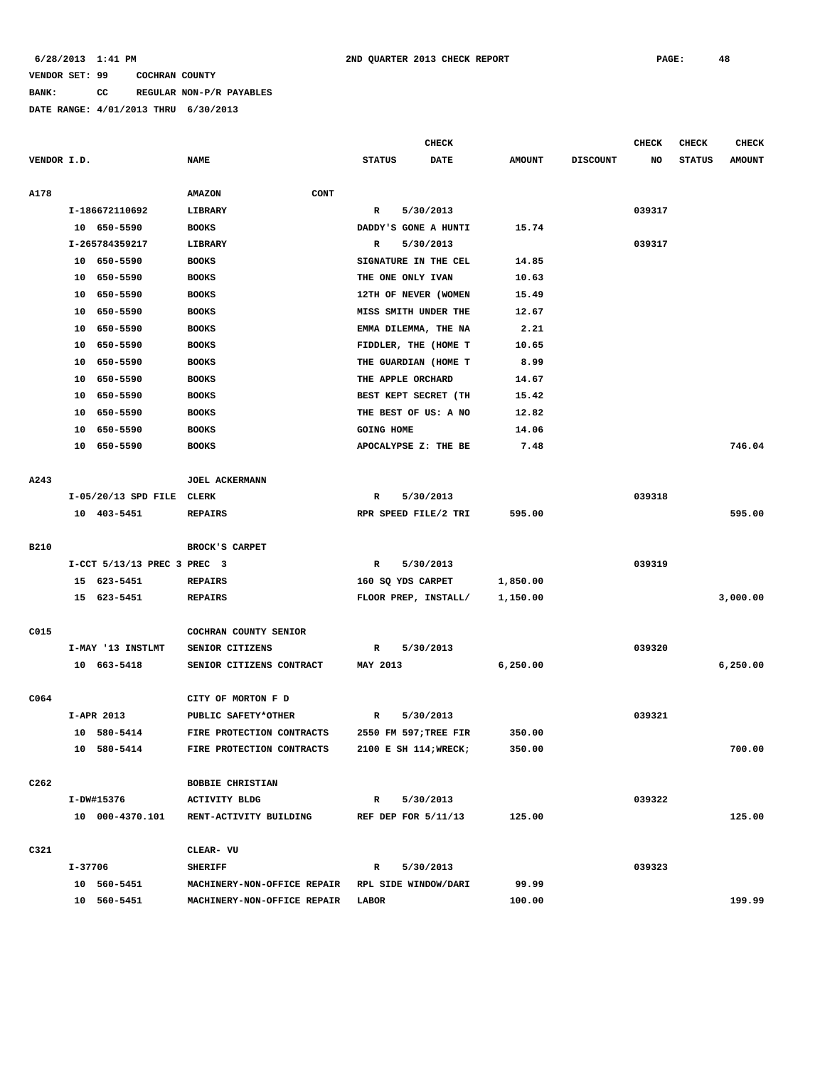**BANK: CC REGULAR NON-P/R PAYABLES**

|                  |         |                             |                             |                     | <b>CHECK</b>          |               |                 | <b>CHECK</b> | <b>CHECK</b>  | <b>CHECK</b>  |
|------------------|---------|-----------------------------|-----------------------------|---------------------|-----------------------|---------------|-----------------|--------------|---------------|---------------|
| VENDOR I.D.      |         |                             | <b>NAME</b>                 | <b>STATUS</b>       | <b>DATE</b>           | <b>AMOUNT</b> | <b>DISCOUNT</b> | NO           | <b>STATUS</b> | <b>AMOUNT</b> |
|                  |         |                             |                             |                     |                       |               |                 |              |               |               |
| A178             |         |                             | CONT<br><b>AMAZON</b>       |                     |                       |               |                 |              |               |               |
|                  |         | I-186672110692              | LIBRARY                     | R                   | 5/30/2013             |               |                 | 039317       |               |               |
|                  |         | 10 650-5590                 | <b>BOOKS</b>                |                     | DADDY'S GONE A HUNTI  | 15.74         |                 |              |               |               |
|                  |         | I-265784359217              | LIBRARY                     | R                   | 5/30/2013             |               |                 | 039317       |               |               |
|                  |         | 10 650-5590                 | <b>BOOKS</b>                |                     | SIGNATURE IN THE CEL  | 14.85         |                 |              |               |               |
|                  |         | 10 650-5590                 | <b>BOOKS</b>                | THE ONE ONLY IVAN   |                       | 10.63         |                 |              |               |               |
|                  |         | 10 650-5590                 | <b>BOOKS</b>                |                     | 12TH OF NEVER (WOMEN  | 15.49         |                 |              |               |               |
|                  | 10      | 650-5590                    | <b>BOOKS</b>                |                     | MISS SMITH UNDER THE  | 12.67         |                 |              |               |               |
|                  | 10      | 650-5590                    | <b>BOOKS</b>                |                     | EMMA DILEMMA, THE NA  | 2.21          |                 |              |               |               |
|                  | 10      | 650-5590                    | <b>BOOKS</b>                |                     | FIDDLER, THE (HOME T  | 10.65         |                 |              |               |               |
|                  | 10      | 650-5590                    | <b>BOOKS</b>                |                     | THE GUARDIAN (HOME T  | 8.99          |                 |              |               |               |
|                  | 10      | 650-5590                    | <b>BOOKS</b>                | THE APPLE ORCHARD   |                       | 14.67         |                 |              |               |               |
|                  | 10      | 650-5590                    | <b>BOOKS</b>                |                     | BEST KEPT SECRET (TH  | 15.42         |                 |              |               |               |
|                  | 10      | 650-5590                    | <b>BOOKS</b>                |                     | THE BEST OF US: A NO  | 12.82         |                 |              |               |               |
|                  | 10      | 650-5590                    | <b>BOOKS</b>                | <b>GOING HOME</b>   |                       | 14.06         |                 |              |               |               |
|                  |         | 10 650-5590                 | <b>BOOKS</b>                |                     | APOCALYPSE Z: THE BE  | 7.48          |                 |              |               | 746.04        |
|                  |         |                             |                             |                     |                       |               |                 |              |               |               |
| A243             |         |                             | JOEL ACKERMANN              |                     |                       |               |                 |              |               |               |
|                  |         | I-05/20/13 SPD FILE CLERK   |                             | R                   | 5/30/2013             |               |                 | 039318       |               |               |
|                  |         | 10 403-5451                 | <b>REPAIRS</b>              |                     | RPR SPEED FILE/2 TRI  | 595.00        |                 |              |               | 595.00        |
|                  |         |                             |                             |                     |                       |               |                 |              |               |               |
| <b>B210</b>      |         |                             | BROCK'S CARPET              |                     |                       |               |                 |              |               |               |
|                  |         | I-CCT 5/13/13 PREC 3 PREC 3 |                             | R                   | 5/30/2013             |               |                 | 039319       |               |               |
|                  |         | 15 623-5451                 | <b>REPAIRS</b>              | 160 SQ YDS CARPET   |                       | 1,850.00      |                 |              |               |               |
|                  |         | 15 623-5451                 | <b>REPAIRS</b>              |                     | FLOOR PREP, INSTALL/  | 1,150.00      |                 |              |               | 3,000.00      |
|                  |         |                             |                             |                     |                       |               |                 |              |               |               |
| C015             |         |                             | COCHRAN COUNTY SENIOR       |                     |                       |               |                 |              |               |               |
|                  |         | I-MAY '13 INSTLMT           | SENIOR CITIZENS             | R                   | 5/30/2013             |               |                 | 039320       |               |               |
|                  |         | 10 663-5418                 | SENIOR CITIZENS CONTRACT    | MAY 2013            |                       | 6,250.00      |                 |              |               | 6,250.00      |
|                  |         |                             |                             |                     |                       |               |                 |              |               |               |
| C064             |         |                             | CITY OF MORTON F D          |                     |                       |               |                 |              |               |               |
|                  |         | I-APR 2013                  | PUBLIC SAFETY*OTHER         | R                   | 5/30/2013             |               |                 | 039321       |               |               |
|                  |         | 10 580-5414                 | FIRE PROTECTION CONTRACTS   |                     | 2550 FM 597; TREE FIR | 350.00        |                 |              |               |               |
|                  |         | 10 580-5414                 | FIRE PROTECTION CONTRACTS   |                     | 2100 E SH 114; WRECK; | 350.00        |                 |              |               | 700.00        |
|                  |         |                             |                             |                     |                       |               |                 |              |               |               |
| C <sub>262</sub> |         |                             | <b>BOBBIE CHRISTIAN</b>     |                     |                       |               |                 |              |               |               |
|                  |         | I-DW#15376                  | <b>ACTIVITY BLDG</b>        | R                   | 5/30/2013             |               |                 | 039322       |               |               |
|                  |         | 10 000-4370.101             | RENT-ACTIVITY BUILDING      | REF DEP FOR 5/11/13 |                       | 125.00        |                 |              |               | 125.00        |
|                  |         |                             |                             |                     |                       |               |                 |              |               |               |
| C321             |         |                             | CLEAR- VU                   |                     |                       |               |                 |              |               |               |
|                  | I-37706 |                             | <b>SHERIFF</b>              | R                   | 5/30/2013             |               |                 | 039323       |               |               |
|                  |         | 10 560-5451                 | MACHINERY-NON-OFFICE REPAIR |                     | RPL SIDE WINDOW/DARI  | 99.99         |                 |              |               |               |
|                  |         | 10 560-5451                 | MACHINERY-NON-OFFICE REPAIR | LABOR               |                       | 100.00        |                 |              |               | 199.99        |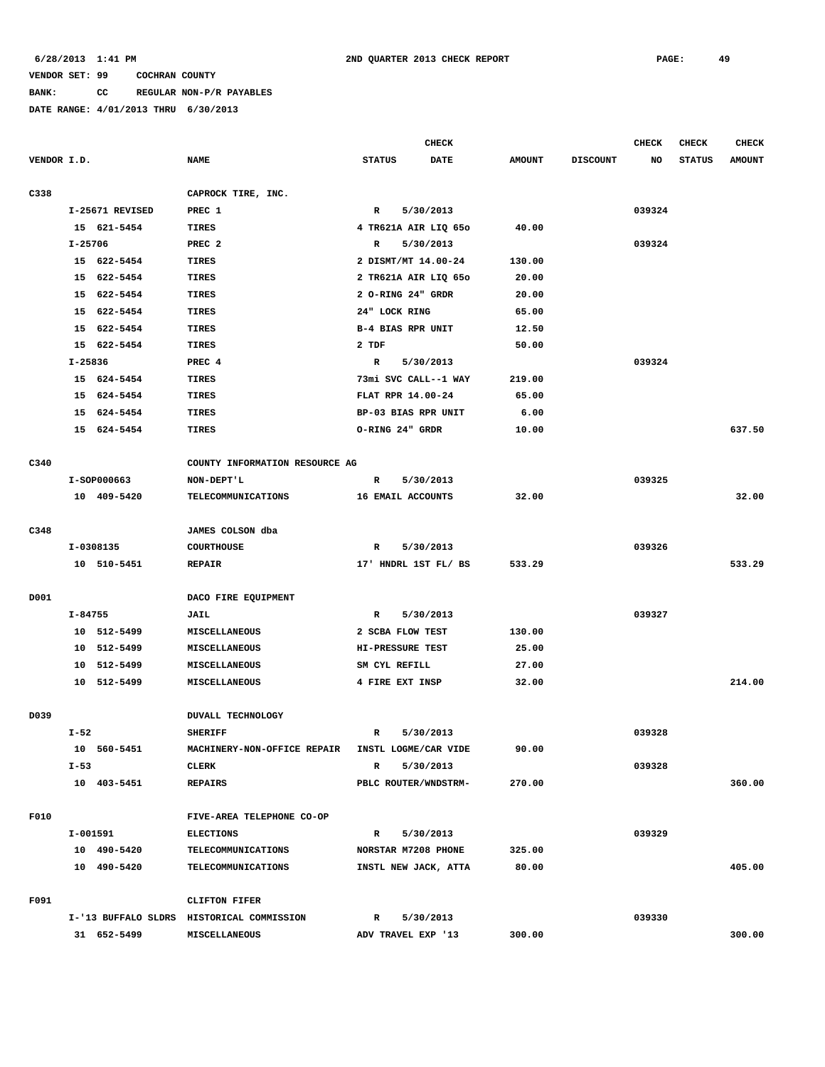**BANK: CC REGULAR NON-P/R PAYABLES**

|             |             |                 |                                           |                          | CHECK                |               |                 | <b>CHECK</b> | <b>CHECK</b>  | <b>CHECK</b>  |
|-------------|-------------|-----------------|-------------------------------------------|--------------------------|----------------------|---------------|-----------------|--------------|---------------|---------------|
| VENDOR I.D. |             |                 | <b>NAME</b>                               | <b>STATUS</b>            | DATE                 | <b>AMOUNT</b> | <b>DISCOUNT</b> | NO           | <b>STATUS</b> | <b>AMOUNT</b> |
| C338        |             |                 | CAPROCK TIRE, INC.                        |                          |                      |               |                 |              |               |               |
|             |             | I-25671 REVISED | PREC 1                                    | R                        | 5/30/2013            |               |                 | 039324       |               |               |
|             |             | 15 621-5454     | TIRES                                     |                          | 4 TR621A AIR LIQ 650 | 40.00         |                 |              |               |               |
|             | $I - 25706$ |                 | PREC <sub>2</sub>                         | R                        | 5/30/2013            |               |                 | 039324       |               |               |
|             |             | 15 622-5454     | TIRES                                     | 2 DISMT/MT 14.00-24      |                      | 130.00        |                 |              |               |               |
|             |             | 15 622-5454     | <b>TIRES</b>                              |                          | 2 TR621A AIR LIQ 650 | 20.00         |                 |              |               |               |
|             |             | 15 622-5454     | TIRES                                     | 2 O-RING 24" GRDR        |                      | 20.00         |                 |              |               |               |
|             |             | 15 622-5454     | TIRES                                     | 24" LOCK RING            |                      | 65.00         |                 |              |               |               |
|             |             | 15 622-5454     | TIRES                                     | <b>B-4 BIAS RPR UNIT</b> |                      | 12.50         |                 |              |               |               |
|             |             | 15 622-5454     | TIRES                                     | 2 TDF                    |                      | 50.00         |                 |              |               |               |
|             | I-25836     |                 | PREC <sub>4</sub>                         | R                        | 5/30/2013            |               |                 | 039324       |               |               |
|             |             | 15 624-5454     | TIRES                                     |                          | 73mi SVC CALL--1 WAY | 219.00        |                 |              |               |               |
|             |             | 15 624-5454     | TIRES                                     | FLAT RPR 14.00-24        |                      | 65.00         |                 |              |               |               |
|             |             | 15 624-5454     | TIRES                                     | BP-03 BIAS RPR UNIT      |                      | 6.00          |                 |              |               |               |
|             |             | 15 624-5454     | TIRES                                     | O-RING 24" GRDR          |                      | 10.00         |                 |              |               | 637.50        |
|             |             |                 |                                           |                          |                      |               |                 |              |               |               |
| C340        |             |                 | COUNTY INFORMATION RESOURCE AG            |                          |                      |               |                 |              |               |               |
|             |             | I-SOP000663     | NON-DEPT'L                                | R                        | 5/30/2013            |               |                 | 039325       |               |               |
|             |             | 10 409-5420     | TELECOMMUNICATIONS                        | 16 EMAIL ACCOUNTS        |                      | 32.00         |                 |              |               | 32.00         |
| C348        |             |                 | JAMES COLSON dba                          |                          |                      |               |                 |              |               |               |
|             |             | I-0308135       | <b>COURTHOUSE</b>                         | R                        | 5/30/2013            |               |                 | 039326       |               |               |
|             |             | 10 510-5451     | <b>REPAIR</b>                             |                          | 17' HNDRL 1ST FL/ BS | 533.29        |                 |              |               | 533.29        |
| D001        |             |                 | DACO FIRE EQUIPMENT                       |                          |                      |               |                 |              |               |               |
|             | I-84755     |                 | <b>JAIL</b>                               | $\mathbb{R}$             | 5/30/2013            |               |                 | 039327       |               |               |
|             |             | 10 512-5499     | <b>MISCELLANEOUS</b>                      | 2 SCBA FLOW TEST         |                      | 130.00        |                 |              |               |               |
|             |             | 10 512-5499     | MISCELLANEOUS                             | HI-PRESSURE TEST         |                      | 25.00         |                 |              |               |               |
|             |             | 10 512-5499     | <b>MISCELLANEOUS</b>                      | SM CYL REFILL            |                      | 27.00         |                 |              |               |               |
|             |             | 10 512-5499     | <b>MISCELLANEOUS</b>                      | 4 FIRE EXT INSP          |                      | 32.00         |                 |              |               | 214.00        |
|             |             |                 |                                           |                          |                      |               |                 |              |               |               |
| D039        |             |                 | <b>DUVALL TECHNOLOGY</b>                  |                          |                      |               |                 |              |               |               |
|             | $I-52$      |                 | <b>SHERIFF</b>                            | R                        | 5/30/2013            |               |                 | 039328       |               |               |
|             |             | 10 560-5451     | MACHINERY-NON-OFFICE REPAIR               |                          | INSTL LOGME/CAR VIDE | 90.00         |                 |              |               |               |
|             | $I-53$      |                 | CLERK                                     | R                        | 5/30/2013            |               |                 | 039328       |               |               |
|             |             | 10 403-5451     | <b>REPAIRS</b>                            |                          | PBLC ROUTER/WNDSTRM- | 270.00        |                 |              |               | 360.00        |
| F010        |             |                 | FIVE-AREA TELEPHONE CO-OP                 |                          |                      |               |                 |              |               |               |
|             |             | I-001591        | <b>ELECTIONS</b>                          | 5/30/2013<br>R           |                      |               |                 | 039329       |               |               |
|             |             | 10 490-5420     | <b>TELECOMMUNICATIONS</b>                 | NORSTAR M7208 PHONE      |                      | 325.00        |                 |              |               |               |
|             |             | 10 490-5420     | <b>TELECOMMUNICATIONS</b>                 |                          | INSTL NEW JACK, ATTA | 80.00         |                 |              |               | 405.00        |
| F091        |             |                 | CLIFTON FIFER                             |                          |                      |               |                 |              |               |               |
|             |             |                 | I-'13 BUFFALO SLDRS HISTORICAL COMMISSION | R                        | 5/30/2013            |               |                 | 039330       |               |               |
|             |             | 31 652-5499     | MISCELLANEOUS                             | ADV TRAVEL EXP '13       |                      | 300.00        |                 |              |               | 300.00        |
|             |             |                 |                                           |                          |                      |               |                 |              |               |               |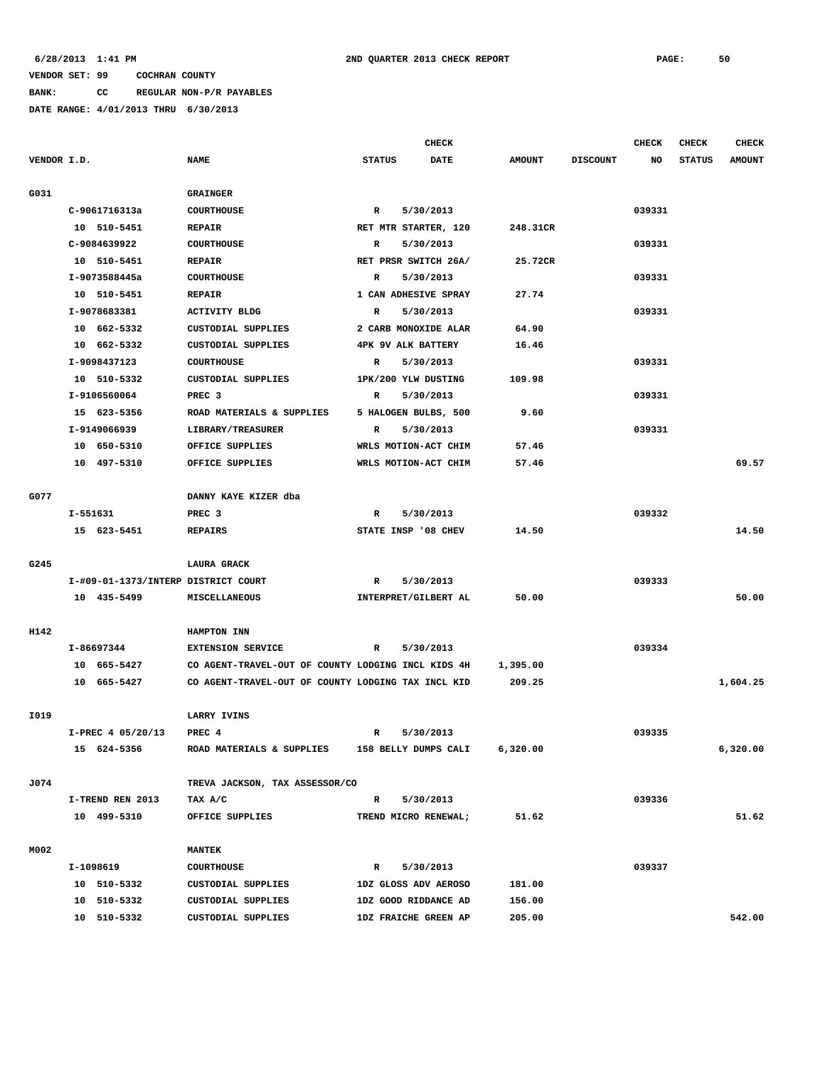**BANK: CC REGULAR NON-P/R PAYABLES**

|             |                   |                                                    | CHECK                        |               |                 | <b>CHECK</b> | <b>CHECK</b>  | <b>CHECK</b>  |
|-------------|-------------------|----------------------------------------------------|------------------------------|---------------|-----------------|--------------|---------------|---------------|
| VENDOR I.D. |                   | <b>NAME</b>                                        | <b>STATUS</b><br><b>DATE</b> | <b>AMOUNT</b> | <b>DISCOUNT</b> | NO           | <b>STATUS</b> | <b>AMOUNT</b> |
|             |                   |                                                    |                              |               |                 |              |               |               |
| G031        |                   | <b>GRAINGER</b>                                    |                              |               |                 |              |               |               |
|             | C-9061716313a     | <b>COURTHOUSE</b>                                  | 5/30/2013<br>R               |               |                 | 039331       |               |               |
|             | 10 510-5451       | <b>REPAIR</b>                                      | RET MTR STARTER, 120         | 248.31CR      |                 |              |               |               |
|             | C-9084639922      | <b>COURTHOUSE</b>                                  | 5/30/2013<br>R               |               |                 | 039331       |               |               |
|             | 10 510-5451       | <b>REPAIR</b>                                      | RET PRSR SWITCH 26A/         | 25.72CR       |                 |              |               |               |
|             | I-9073588445a     | <b>COURTHOUSE</b>                                  | 5/30/2013<br>R               |               |                 | 039331       |               |               |
|             | 10 510-5451       | <b>REPAIR</b>                                      | 1 CAN ADHESIVE SPRAY         | 27.74         |                 |              |               |               |
|             | I-9078683381      | <b>ACTIVITY BLDG</b>                               | R<br>5/30/2013               |               |                 | 039331       |               |               |
|             | 10 662-5332       | CUSTODIAL SUPPLIES                                 | 2 CARB MONOXIDE ALAR         | 64.90         |                 |              |               |               |
|             | 10 662-5332       | CUSTODIAL SUPPLIES                                 | <b>4PK 9V ALK BATTERY</b>    | 16.46         |                 |              |               |               |
|             | I-9098437123      | <b>COURTHOUSE</b>                                  | R<br>5/30/2013               |               |                 | 039331       |               |               |
|             | 10 510-5332       | CUSTODIAL SUPPLIES                                 | 1PK/200 YLW DUSTING          | 109.98        |                 |              |               |               |
|             | I-9106560064      | PREC <sub>3</sub>                                  | 5/30/2013<br>R               |               |                 | 039331       |               |               |
|             | 15 623-5356       | ROAD MATERIALS & SUPPLIES                          | 5 HALOGEN BULBS, 500         | 9.60          |                 |              |               |               |
|             | I-9149066939      | LIBRARY/TREASURER                                  | 5/30/2013<br>R               |               |                 | 039331       |               |               |
|             | 10 650-5310       | OFFICE SUPPLIES                                    | WRLS MOTION-ACT CHIM         | 57.46         |                 |              |               |               |
|             | 10 497-5310       | OFFICE SUPPLIES                                    | WRLS MOTION-ACT CHIM         | 57.46         |                 |              |               | 69.57         |
|             |                   |                                                    |                              |               |                 |              |               |               |
| G077        |                   | DANNY KAYE KIZER dba                               |                              |               |                 |              |               |               |
|             | I-551631          | PREC 3                                             | R<br>5/30/2013               |               |                 | 039332       |               |               |
|             | 15 623-5451       | <b>REPAIRS</b>                                     | STATE INSP '08 CHEV          | 14.50         |                 |              |               | 14.50         |
|             |                   |                                                    |                              |               |                 |              |               |               |
| G245        |                   | LAURA GRACK                                        |                              |               |                 |              |               |               |
|             |                   | I-#09-01-1373/INTERP DISTRICT COURT                | 5/30/2013<br>R               |               |                 | 039333       |               |               |
|             | 10 435-5499       | MISCELLANEOUS                                      | INTERPRET/GILBERT AL         | 50.00         |                 |              |               | 50.00         |
|             |                   |                                                    |                              |               |                 |              |               |               |
| H142        |                   | HAMPTON INN                                        |                              |               |                 |              |               |               |
|             | I-86697344        | <b>EXTENSION SERVICE</b>                           | 5/30/2013<br>R               |               |                 | 039334       |               |               |
|             | 10 665-5427       | CO AGENT-TRAVEL-OUT OF COUNTY LODGING INCL KIDS 4H |                              | 1,395.00      |                 |              |               |               |
|             | 10 665-5427       | CO AGENT-TRAVEL-OUT OF COUNTY LODGING TAX INCL KID |                              | 209.25        |                 |              |               | 1,604.25      |
|             |                   |                                                    |                              |               |                 |              |               |               |
| I019        |                   | LARRY IVINS                                        |                              |               |                 |              |               |               |
|             | I-PREC 4 05/20/13 | PREC 4                                             | $\mathbb{R}$<br>5/30/2013    |               |                 | 039335       |               |               |
|             | 15 624-5356       | ROAD MATERIALS & SUPPLIES                          | 158 BELLY DUMPS CALI         | 6,320.00      |                 |              |               | 6,320.00      |
|             |                   |                                                    |                              |               |                 |              |               |               |
| J074        |                   | TREVA JACKSON, TAX ASSESSOR/CO                     |                              |               |                 |              |               |               |
|             | I-TREND REN 2013  | TAX A/C                                            | $\mathbb{R}$<br>5/30/2013    |               |                 | 039336       |               |               |
|             | 10 499-5310       | OFFICE SUPPLIES                                    | TREND MICRO RENEWAL;         | 51.62         |                 |              |               | 51.62         |
|             |                   |                                                    |                              |               |                 |              |               |               |
| M002        |                   | <b>MANTEK</b>                                      |                              |               |                 |              |               |               |
|             | I-1098619         | <b>COURTHOUSE</b>                                  | 5/30/2013<br>R               |               |                 | 039337       |               |               |
|             | 10 510-5332       | CUSTODIAL SUPPLIES                                 | 1DZ GLOSS ADV AEROSO         | 181.00        |                 |              |               |               |
|             | 10 510-5332       | CUSTODIAL SUPPLIES                                 | 1DZ GOOD RIDDANCE AD         | 156.00        |                 |              |               |               |
|             | 10 510-5332       | CUSTODIAL SUPPLIES                                 | 1DZ FRAICHE GREEN AP         | 205.00        |                 |              |               | 542.00        |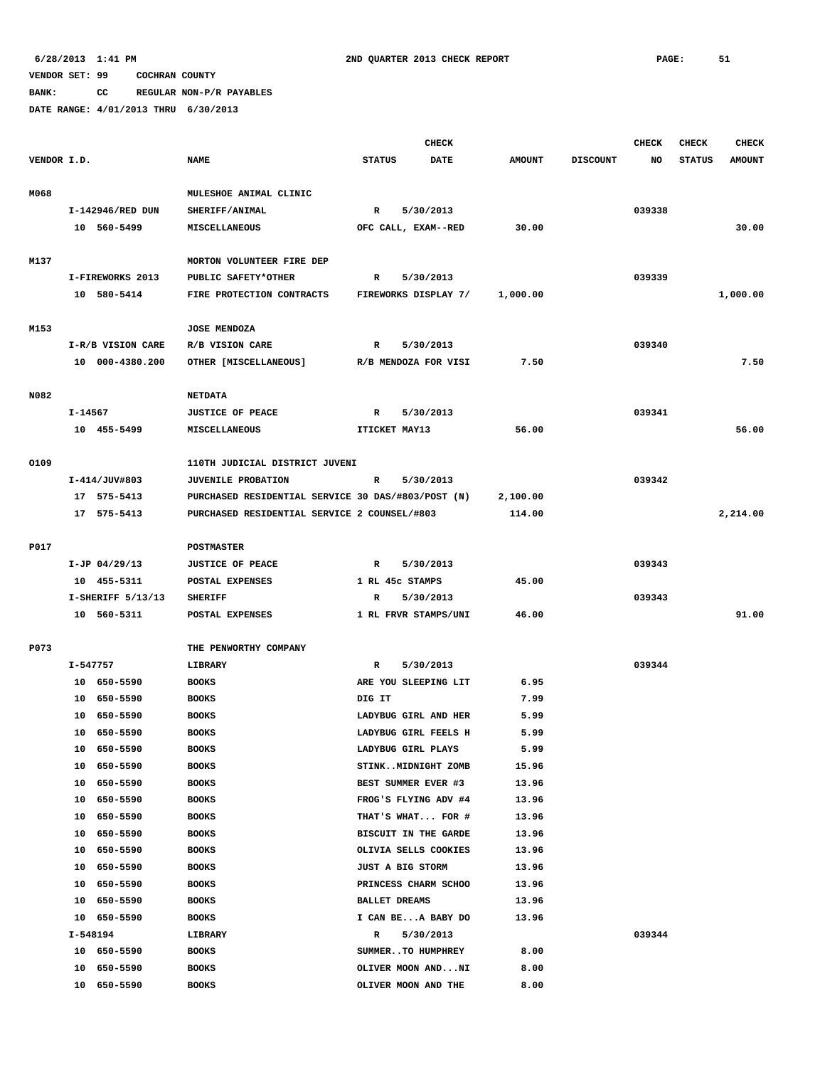**BANK: CC REGULAR NON-P/R PAYABLES**

|             |          |                      |                                                    |                      | <b>CHECK</b>                              |                |                 | CHECK  | <b>CHECK</b>  | <b>CHECK</b>  |
|-------------|----------|----------------------|----------------------------------------------------|----------------------|-------------------------------------------|----------------|-----------------|--------|---------------|---------------|
| VENDOR I.D. |          |                      | <b>NAME</b>                                        | <b>STATUS</b>        | <b>DATE</b>                               | <b>AMOUNT</b>  | <b>DISCOUNT</b> | NO     | <b>STATUS</b> | <b>AMOUNT</b> |
|             |          |                      |                                                    |                      |                                           |                |                 |        |               |               |
| M068        |          |                      | MULESHOE ANIMAL CLINIC                             |                      |                                           |                |                 |        |               |               |
|             |          | I-142946/RED DUN     | SHERIFF/ANIMAL                                     | R                    | 5/30/2013                                 |                |                 | 039338 |               |               |
|             |          | 10 560-5499          | <b>MISCELLANEOUS</b>                               |                      | OFC CALL, EXAM--RED                       | 30.00          |                 |        |               | 30.00         |
| M137        |          |                      | MORTON VOLUNTEER FIRE DEP                          |                      |                                           |                |                 |        |               |               |
|             |          | I-FIREWORKS 2013     | PUBLIC SAFETY*OTHER                                | R                    | 5/30/2013                                 |                |                 | 039339 |               |               |
|             |          | 10 580-5414          | FIRE PROTECTION CONTRACTS                          |                      | FIREWORKS DISPLAY 7/                      | 1,000.00       |                 |        |               | 1,000.00      |
|             |          |                      |                                                    |                      |                                           |                |                 |        |               |               |
| M153        |          |                      | <b>JOSE MENDOZA</b>                                |                      |                                           |                |                 |        |               |               |
|             |          | I-R/B VISION CARE    | R/B VISION CARE                                    | R                    | 5/30/2013                                 |                |                 | 039340 |               |               |
|             |          | 10 000-4380.200      | OTHER [MISCELLANEOUS]                              |                      | R/B MENDOZA FOR VISI                      | 7.50           |                 |        |               | 7.50          |
|             |          |                      |                                                    |                      |                                           |                |                 |        |               |               |
| N082        |          |                      | <b>NETDATA</b>                                     |                      |                                           |                |                 |        |               |               |
|             | I-14567  |                      | <b>JUSTICE OF PEACE</b>                            | R                    | 5/30/2013                                 |                |                 | 039341 |               |               |
|             |          | 10 455-5499          | MISCELLANEOUS                                      | ITICKET MAY13        |                                           | 56.00          |                 |        |               | 56.00         |
|             |          |                      |                                                    |                      |                                           |                |                 |        |               |               |
| 0109        |          |                      | 110TH JUDICIAL DISTRICT JUVENI                     |                      |                                           |                |                 |        |               |               |
|             |          | I-414/JUV#803        | <b>JUVENILE PROBATION</b>                          | R                    | 5/30/2013                                 |                |                 | 039342 |               |               |
|             |          | 17 575-5413          | PURCHASED RESIDENTIAL SERVICE 30 DAS/#803/POST (N) |                      |                                           | 2,100.00       |                 |        |               |               |
|             |          | 17 575-5413          | PURCHASED RESIDENTIAL SERVICE 2 COUNSEL/#803       |                      |                                           | 114.00         |                 |        |               | 2,214.00      |
| P017        |          |                      | POSTMASTER                                         |                      |                                           |                |                 |        |               |               |
|             |          | $I-JP$ 04/29/13      | <b>JUSTICE OF PEACE</b>                            | R                    | 5/30/2013                                 |                |                 | 039343 |               |               |
|             |          | 10 455-5311          | POSTAL EXPENSES                                    | 1 RL 45c STAMPS      |                                           | 45.00          |                 |        |               |               |
|             |          | $I-SHERIFF 5/13/13$  | <b>SHERIFF</b>                                     | R                    | 5/30/2013                                 |                |                 | 039343 |               |               |
|             |          | 10 560-5311          | POSTAL EXPENSES                                    |                      | 1 RL FRVR STAMPS/UNI                      | 46.00          |                 |        |               | 91.00         |
|             |          |                      |                                                    |                      |                                           |                |                 |        |               |               |
| P073        |          |                      | THE PENWORTHY COMPANY                              |                      |                                           |                |                 |        |               |               |
|             | I-547757 |                      | LIBRARY                                            | R                    | 5/30/2013                                 |                |                 | 039344 |               |               |
|             |          | 10 650-5590          | <b>BOOKS</b>                                       |                      | ARE YOU SLEEPING LIT                      | 6.95           |                 |        |               |               |
|             |          | 10 650-5590          | <b>BOOKS</b>                                       | DIG IT               |                                           | 7.99           |                 |        |               |               |
|             |          | 10 650-5590          | <b>BOOKS</b>                                       |                      | LADYBUG GIRL AND HER                      | 5.99           |                 |        |               |               |
|             |          | 10 650-5590          | <b>BOOKS</b>                                       |                      | LADYBUG GIRL FEELS H                      | 5.99           |                 |        |               |               |
|             |          | 10 650-5590          | <b>BOOKS</b>                                       | LADYBUG GIRL PLAYS   |                                           | 5.99           |                 |        |               |               |
|             | 10       | 650-5590             | <b>BOOKS</b>                                       |                      | STINKMIDNIGHT ZOMB                        | 15.96          |                 |        |               |               |
|             | 10       | 650-5590             | <b>BOOKS</b>                                       |                      | BEST SUMMER EVER #3                       | 13.96          |                 |        |               |               |
|             | 10<br>10 | 650-5590<br>650-5590 | <b>BOOKS</b>                                       |                      | FROG'S FLYING ADV #4<br>THAT'S WHAT FOR # | 13.96<br>13.96 |                 |        |               |               |
|             | 10       | 650-5590             | <b>BOOKS</b><br><b>BOOKS</b>                       |                      | BISCUIT IN THE GARDE                      | 13.96          |                 |        |               |               |
|             | 10       | 650-5590             | <b>BOOKS</b>                                       |                      | OLIVIA SELLS COOKIES                      | 13.96          |                 |        |               |               |
|             | 10       | 650-5590             | <b>BOOKS</b>                                       | JUST A BIG STORM     |                                           | 13.96          |                 |        |               |               |
|             | 10       | 650-5590             | <b>BOOKS</b>                                       |                      | PRINCESS CHARM SCHOO                      | 13.96          |                 |        |               |               |
|             | 10       | 650-5590             | <b>BOOKS</b>                                       | <b>BALLET DREAMS</b> |                                           | 13.96          |                 |        |               |               |
|             |          | 10 650-5590          | <b>BOOKS</b>                                       |                      | I CAN BEA BABY DO                         | 13.96          |                 |        |               |               |
|             | I-548194 |                      | LIBRARY                                            | R                    | 5/30/2013                                 |                |                 | 039344 |               |               |
|             |          | 10 650-5590          | <b>BOOKS</b>                                       |                      | SUMMERTO HUMPHREY                         | 8.00           |                 |        |               |               |
|             | 10       | 650-5590             | <b>BOOKS</b>                                       |                      | OLIVER MOON ANDNI                         | 8.00           |                 |        |               |               |
|             |          | 10 650-5590          | <b>BOOKS</b>                                       |                      | OLIVER MOON AND THE                       | 8.00           |                 |        |               |               |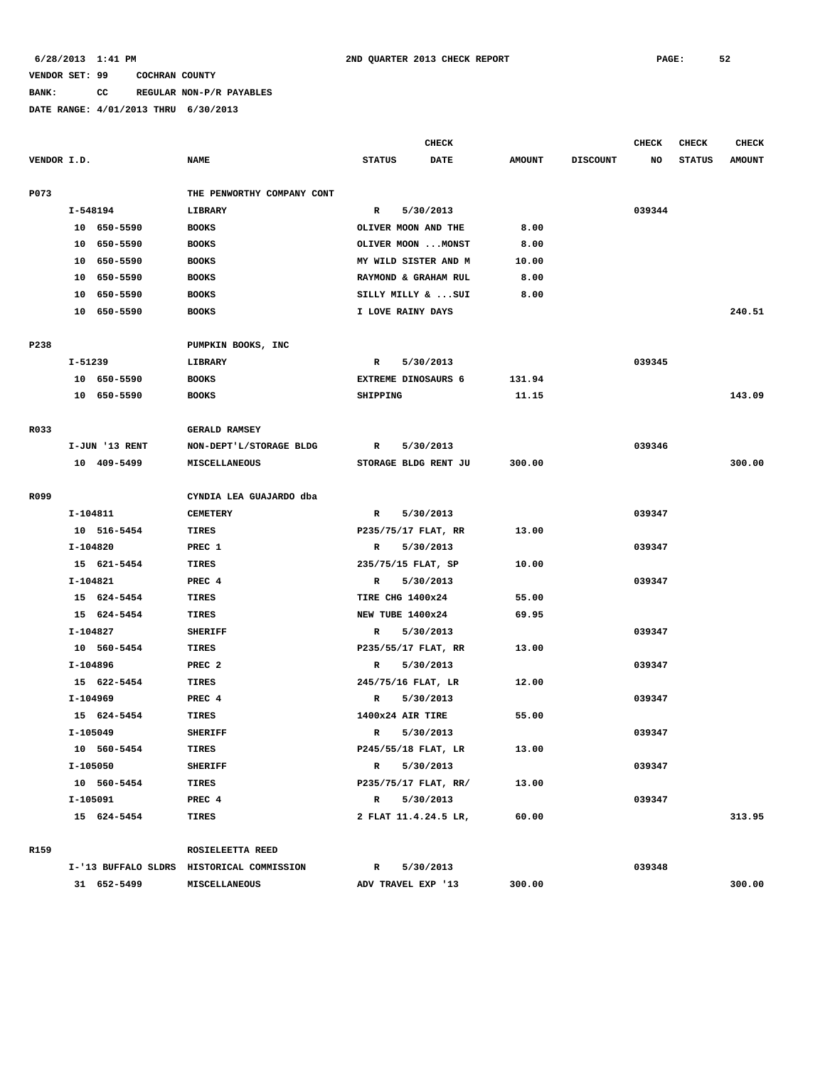## **BANK: CC REGULAR NON-P/R PAYABLES**

|             |          |                |                                           |                            | <b>CHECK</b>         |               |                 | <b>CHECK</b> | <b>CHECK</b>  | <b>CHECK</b>  |
|-------------|----------|----------------|-------------------------------------------|----------------------------|----------------------|---------------|-----------------|--------------|---------------|---------------|
| VENDOR I.D. |          |                | <b>NAME</b>                               | <b>STATUS</b>              | <b>DATE</b>          | <b>AMOUNT</b> | <b>DISCOUNT</b> | NO           | <b>STATUS</b> | <b>AMOUNT</b> |
| P073        |          |                | THE PENWORTHY COMPANY CONT                |                            |                      |               |                 |              |               |               |
|             | I-548194 |                | LIBRARY                                   | $\mathbb{R}$               | 5/30/2013            |               |                 | 039344       |               |               |
|             |          | 10 650-5590    | <b>BOOKS</b>                              | OLIVER MOON AND THE        |                      | 8.00          |                 |              |               |               |
|             |          | 10 650-5590    | <b>BOOKS</b>                              |                            | OLIVER MOON  MONST   | 8.00          |                 |              |               |               |
|             |          | 10 650-5590    | <b>BOOKS</b>                              |                            | MY WILD SISTER AND M | 10.00         |                 |              |               |               |
|             |          | 10 650-5590    | <b>BOOKS</b>                              |                            | RAYMOND & GRAHAM RUL | 8.00          |                 |              |               |               |
|             |          | 10 650-5590    | <b>BOOKS</b>                              |                            | SILLY MILLY &  SUI   | 8.00          |                 |              |               |               |
|             |          | 10 650-5590    | <b>BOOKS</b>                              | I LOVE RAINY DAYS          |                      |               |                 |              |               | 240.51        |
|             |          |                |                                           |                            |                      |               |                 |              |               |               |
| P238        |          |                | PUMPKIN BOOKS, INC                        |                            |                      |               |                 |              |               |               |
|             | I-51239  |                | LIBRARY                                   | R                          | 5/30/2013            |               |                 | 039345       |               |               |
|             |          | 10 650-5590    | <b>BOOKS</b>                              | <b>EXTREME DINOSAURS 6</b> |                      | 131.94        |                 |              |               |               |
|             |          | 10 650-5590    | <b>BOOKS</b>                              | SHIPPING                   |                      | 11.15         |                 |              |               | 143.09        |
| R033        |          |                | <b>GERALD RAMSEY</b>                      |                            |                      |               |                 |              |               |               |
|             |          | I-JUN '13 RENT | NON-DEPT'L/STORAGE BLDG                   | R                          | 5/30/2013            |               |                 | 039346       |               |               |
|             |          | 10 409-5499    | MISCELLANEOUS                             |                            | STORAGE BLDG RENT JU | 300.00        |                 |              |               | 300.00        |
|             |          |                |                                           |                            |                      |               |                 |              |               |               |
| R099        |          |                | CYNDIA LEA GUAJARDO dba                   |                            |                      |               |                 |              |               |               |
|             | I-104811 |                | <b>CEMETERY</b>                           | R                          | 5/30/2013            |               |                 | 039347       |               |               |
|             |          | 10 516-5454    | <b>TIRES</b>                              | P235/75/17 FLAT, RR        |                      | 13.00         |                 |              |               |               |
|             | I-104820 |                | PREC 1                                    | R                          | 5/30/2013            |               |                 | 039347       |               |               |
|             |          | 15 621-5454    | <b>TIRES</b>                              | 235/75/15 FLAT, SP         |                      | 10.00         |                 |              |               |               |
|             | I-104821 |                | PREC 4                                    | $\mathbb{R}$               | 5/30/2013            |               |                 | 039347       |               |               |
|             |          | 15 624-5454    | <b>TIRES</b>                              | TIRE CHG 1400x24           |                      | 55.00         |                 |              |               |               |
|             |          | 15 624-5454    | <b>TIRES</b>                              | NEW TUBE 1400x24           |                      | 69.95         |                 |              |               |               |
|             | I-104827 |                | <b>SHERIFF</b>                            | R                          | 5/30/2013            |               |                 | 039347       |               |               |
|             |          | 10 560-5454    | <b>TIRES</b>                              | P235/55/17 FLAT, RR        |                      | 13.00         |                 |              |               |               |
|             | I-104896 |                | PREC <sub>2</sub>                         | R                          | 5/30/2013            |               |                 | 039347       |               |               |
|             |          | 15 622-5454    | TIRES                                     | 245/75/16 FLAT, LR         |                      | 12.00         |                 |              |               |               |
|             | I-104969 |                | PREC 4                                    | $\mathbb{R}$               | 5/30/2013            |               |                 | 039347       |               |               |
|             |          | 15 624-5454    | TIRES                                     | 1400x24 AIR TIRE           |                      | 55.00         |                 |              |               |               |
|             | I-105049 |                | <b>SHERIFF</b>                            | $\mathbb{R}$               | 5/30/2013            |               |                 | 039347       |               |               |
|             |          | 10 560-5454    | TIRES                                     | P245/55/18 FLAT, LR        |                      | 13.00         |                 |              |               |               |
|             | I-105050 |                | <b>SHERIFF</b>                            | $\mathbb{R}$               | 5/30/2013            |               |                 | 039347       |               |               |
|             |          | 10 560-5454    | TIRES                                     |                            | P235/75/17 FLAT, RR/ | 13.00         |                 |              |               |               |
|             | I-105091 |                | PREC 4                                    |                            | R 5/30/2013          |               |                 | 039347       |               |               |
|             |          | 15 624-5454    | TIRES                                     |                            | 2 FLAT 11.4.24.5 LR, | 60.00         |                 |              |               | 313.95        |
| R159        |          |                |                                           |                            |                      |               |                 |              |               |               |
|             |          |                | ROSIELEETTA REED                          |                            |                      |               |                 |              |               |               |
|             |          |                | I-'13 BUFFALO SLDRS HISTORICAL COMMISSION | $\mathbb{R}$               | 5/30/2013            |               |                 | 039348       |               |               |
|             |          | 31 652-5499    | MISCELLANEOUS                             | ADV TRAVEL EXP '13         |                      | 300.00        |                 |              |               | 300.00        |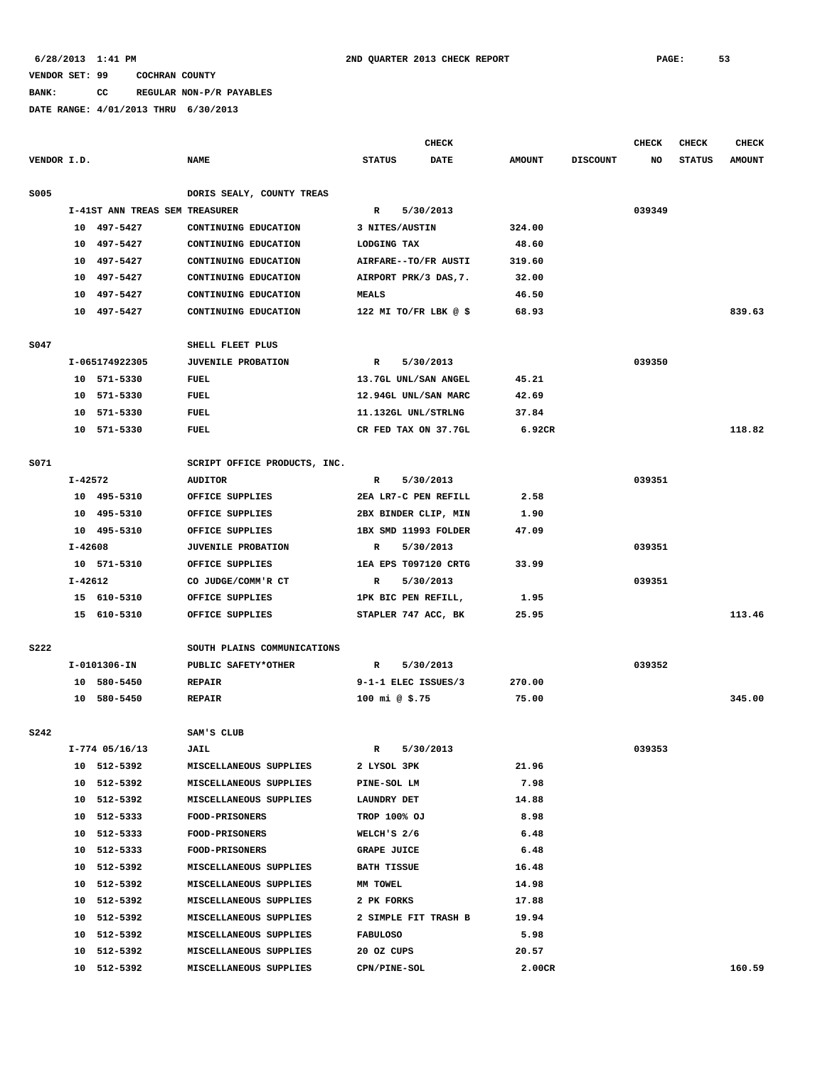# **BANK: CC REGULAR NON-P/R PAYABLES**

|             |             |                                |                                              |                    | CHECK                                        |                 |     | CHECK         | <b>CHECK</b>  | <b>CHECK</b> |
|-------------|-------------|--------------------------------|----------------------------------------------|--------------------|----------------------------------------------|-----------------|-----|---------------|---------------|--------------|
| VENDOR I.D. | <b>NAME</b> |                                | <b>STATUS</b>                                | <b>DATE</b>        | <b>AMOUNT</b>                                | <b>DISCOUNT</b> | NO. | <b>STATUS</b> | <b>AMOUNT</b> |              |
| <b>S005</b> |             |                                | DORIS SEALY, COUNTY TREAS                    |                    |                                              |                 |     |               |               |              |
|             |             | I-41ST ANN TREAS SEM TREASURER |                                              | R                  | 5/30/2013                                    |                 |     | 039349        |               |              |
|             |             | 10 497-5427                    | CONTINUING EDUCATION                         |                    | 3 NITES/AUSTIN                               | 324.00          |     |               |               |              |
|             |             | 10 497-5427                    | CONTINUING EDUCATION                         | LODGING TAX        |                                              | 48.60           |     |               |               |              |
|             |             | 10 497-5427                    | CONTINUING EDUCATION                         |                    | AIRFARE--TO/FR AUSTI                         | 319.60          |     |               |               |              |
|             |             | 10 497-5427                    | CONTINUING EDUCATION                         |                    | AIRPORT PRK/3 DAS, 7.                        | 32.00           |     |               |               |              |
|             |             | 10 497-5427                    | CONTINUING EDUCATION                         | <b>MEALS</b>       |                                              | 46.50           |     |               |               |              |
|             |             | 10 497-5427                    | CONTINUING EDUCATION                         |                    | 122 MI TO/FR LBK $@$ \$                      | 68.93           |     |               |               | 839.63       |
|             |             |                                |                                              |                    |                                              |                 |     |               |               |              |
| S047        |             |                                | SHELL FLEET PLUS                             |                    |                                              |                 |     |               |               |              |
|             |             | I-065174922305                 | <b>JUVENILE PROBATION</b>                    | $\mathbb{R}$       | 5/30/2013                                    |                 |     | 039350        |               |              |
|             |             | 10 571-5330                    | FUEL                                         |                    | 13.7GL UNL/SAN ANGEL                         | 45.21           |     |               |               |              |
|             |             | 10 571-5330                    | FUEL                                         |                    | 12.94GL UNL/SAN MARC                         | 42.69           |     |               |               |              |
|             |             | 10 571-5330                    | FUEL                                         |                    | 11.132GL UNL/STRLNG                          | 37.84           |     |               |               |              |
|             |             | 10 571-5330                    | <b>FUEL</b>                                  |                    | CR FED TAX ON 37.7GL                         | 6.92CR          |     |               |               | 118.82       |
|             |             |                                |                                              |                    |                                              |                 |     |               |               |              |
| S071        | I-42572     |                                | SCRIPT OFFICE PRODUCTS, INC.                 |                    |                                              |                 |     | 039351        |               |              |
|             |             | 10 495-5310                    | <b>AUDITOR</b><br>OFFICE SUPPLIES            | R                  | 5/30/2013<br>2EA LR7-C PEN REFILL            | 2.58            |     |               |               |              |
|             |             | 10 495-5310                    |                                              |                    |                                              | 1.90            |     |               |               |              |
|             |             | 10 495-5310                    | OFFICE SUPPLIES<br>OFFICE SUPPLIES           |                    | 2BX BINDER CLIP, MIN<br>1BX SMD 11993 FOLDER | 47.09           |     |               |               |              |
|             | I-42608     |                                |                                              |                    |                                              |                 |     | 039351        |               |              |
|             |             | 10 571-5310                    | <b>JUVENILE PROBATION</b><br>OFFICE SUPPLIES | R                  | 5/30/2013<br>1EA EPS T097120 CRTG            | 33.99           |     |               |               |              |
|             | I-42612     |                                | CO JUDGE/COMM'R CT                           | R                  | 5/30/2013                                    |                 |     | 039351        |               |              |
|             |             | 15 610-5310                    | OFFICE SUPPLIES                              |                    | 1PK BIC PEN REFILL,                          | 1.95            |     |               |               |              |
|             |             | 15 610-5310                    | OFFICE SUPPLIES                              |                    | STAPLER 747 ACC, BK                          | 25.95           |     |               |               | 113.46       |
|             |             |                                |                                              |                    |                                              |                 |     |               |               |              |
| <b>S222</b> |             |                                | SOUTH PLAINS COMMUNICATIONS                  |                    |                                              |                 |     |               |               |              |
|             |             | I-0101306-IN                   | PUBLIC SAFETY*OTHER                          | R                  | 5/30/2013                                    |                 |     | 039352        |               |              |
|             |             | 10 580-5450                    | <b>REPAIR</b>                                |                    | 9-1-1 ELEC ISSUES/3                          | 270.00          |     |               |               |              |
|             |             | 10 580-5450                    | <b>REPAIR</b>                                | 100 mi @ \$.75     |                                              | 75.00           |     |               |               | 345.00       |
| <b>S242</b> |             |                                | SAM'S CLUB                                   |                    |                                              |                 |     |               |               |              |
|             |             | $I-774$ 05/16/13               | <b>JAIL</b>                                  | R                  | 5/30/2013                                    |                 |     | 039353        |               |              |
|             |             | 10 512-5392                    | MISCELLANEOUS SUPPLIES                       | 2 LYSOL 3PK        |                                              | 21.96           |     |               |               |              |
|             |             | 10 512-5392                    | MISCELLANEOUS SUPPLIES                       | PINE-SOL LM        |                                              | 7.98            |     |               |               |              |
|             |             | 10 512-5392                    | MISCELLANEOUS SUPPLIES                       | LAUNDRY DET        |                                              | 14.88           |     |               |               |              |
|             |             | 10 512-5333                    | <b>FOOD-PRISONERS</b>                        | TROP 100% OJ       |                                              | 8.98            |     |               |               |              |
|             |             | 10 512-5333                    | FOOD-PRISONERS                               | WELCH'S 2/6        |                                              | 6.48            |     |               |               |              |
|             |             | 10 512-5333                    | <b>FOOD-PRISONERS</b>                        | <b>GRAPE JUICE</b> |                                              | 6.48            |     |               |               |              |
|             |             | 10 512-5392                    | MISCELLANEOUS SUPPLIES                       | <b>BATH TISSUE</b> |                                              | 16.48           |     |               |               |              |
|             |             | 10 512-5392                    | MISCELLANEOUS SUPPLIES                       | MM TOWEL           |                                              | 14.98           |     |               |               |              |
|             |             | 10 512-5392                    | MISCELLANEOUS SUPPLIES                       | 2 PK FORKS         |                                              | 17.88           |     |               |               |              |
|             |             | 10 512-5392                    | MISCELLANEOUS SUPPLIES                       |                    | 2 SIMPLE FIT TRASH B                         | 19.94           |     |               |               |              |
|             |             | 10 512-5392                    | MISCELLANEOUS SUPPLIES                       | <b>FABULOSO</b>    |                                              | 5.98            |     |               |               |              |
|             |             | 10 512-5392                    | MISCELLANEOUS SUPPLIES                       | 20 OZ CUPS         |                                              | 20.57           |     |               |               |              |
|             |             | 10 512-5392                    | MISCELLANEOUS SUPPLIES                       | CPN/PINE-SOL       |                                              | 2.00CR          |     |               |               | 160.59       |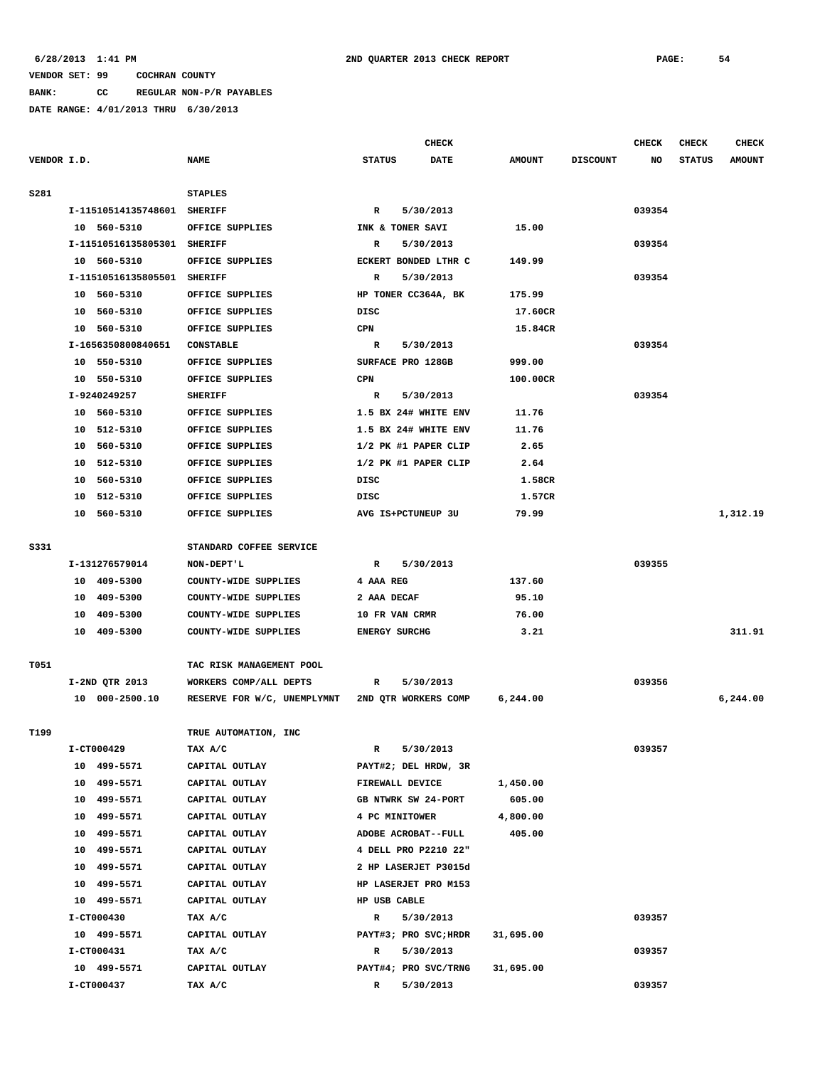# **VENDOR SET: 99 COCHRAN COUNTY BANK: CC REGULAR NON-P/R PAYABLES**

|             |    |                                |                                            |               | <b>CHECK</b>          |               |                 | <b>CHECK</b> | <b>CHECK</b>  | <b>CHECK</b>  |
|-------------|----|--------------------------------|--------------------------------------------|---------------|-----------------------|---------------|-----------------|--------------|---------------|---------------|
| VENDOR I.D. |    |                                | <b>NAME</b>                                | <b>STATUS</b> | <b>DATE</b>           | <b>AMOUNT</b> | <b>DISCOUNT</b> | NO           | <b>STATUS</b> | <b>AMOUNT</b> |
| S281        |    |                                | <b>STAPLES</b>                             |               |                       |               |                 |              |               |               |
|             |    | I-11510514135748601 SHERIFF    |                                            | R             | 5/30/2013             |               |                 | 039354       |               |               |
|             |    | 10 560-5310                    | OFFICE SUPPLIES                            |               | INK & TONER SAVI      | 15.00         |                 |              |               |               |
|             |    | I-11510516135805301 SHERIFF    |                                            | R             | 5/30/2013             |               |                 | 039354       |               |               |
|             |    | 10 560-5310                    | OFFICE SUPPLIES                            |               | ECKERT BONDED LTHR C  | 149.99        |                 |              |               |               |
|             |    | I-11510516135805501 SHERIFF    |                                            | R             | 5/30/2013             |               |                 | 039354       |               |               |
|             |    | 10 560-5310                    | OFFICE SUPPLIES                            |               | HP TONER CC364A, BK   | 175.99        |                 |              |               |               |
|             |    | 10 560-5310                    | OFFICE SUPPLIES                            | DISC          |                       | 17.60CR       |                 |              |               |               |
|             |    | 10 560-5310                    | OFFICE SUPPLIES<br>CPN<br><b>CONSTABLE</b> |               |                       | 15.84CR       |                 |              |               |               |
|             |    | I-1656350800840651             |                                            |               | 5/30/2013             |               |                 | 039354       |               |               |
|             |    | 10 550-5310<br>OFFICE SUPPLIES |                                            |               | SURFACE PRO 128GB     | 999.00        |                 |              |               |               |
|             |    | 10 550-5310                    | OFFICE SUPPLIES                            | CPN           |                       | 100.00CR      |                 |              |               |               |
|             |    | I-9240249257                   | <b>SHERIFF</b>                             | R             | 5/30/2013             |               |                 | 039354       |               |               |
|             |    | 10 560-5310                    | OFFICE SUPPLIES                            |               | 1.5 BX 24# WHITE ENV  | 11.76         |                 |              |               |               |
|             |    | 10 512-5310                    | OFFICE SUPPLIES                            |               | 1.5 BX 24# WHITE ENV  | 11.76         |                 |              |               |               |
|             |    | 10 560-5310                    | OFFICE SUPPLIES                            |               | 1/2 PK #1 PAPER CLIP  | 2.65          |                 |              |               |               |
|             | 10 | 512-5310                       | OFFICE SUPPLIES                            |               | 1/2 PK #1 PAPER CLIP  | 2.64          |                 |              |               |               |
|             | 10 | 560-5310                       | OFFICE SUPPLIES                            | DISC          |                       | 1.58CR        |                 |              |               |               |
|             | 10 | 512-5310                       | OFFICE SUPPLIES                            | DISC          |                       | 1.57CR        |                 |              |               |               |
|             |    | 10 560-5310                    | OFFICE SUPPLIES                            |               | AVG IS+PCTUNEUP 3U    | 79.99         |                 |              |               | 1,312.19      |
|             |    |                                |                                            |               |                       |               |                 |              |               |               |
| S331        |    |                                | STANDARD COFFEE SERVICE                    |               |                       |               |                 |              |               |               |
|             |    | I-131276579014                 | NON-DEPT'L                                 | R             | 5/30/2013             |               |                 | 039355       |               |               |
|             |    | 10 409-5300                    | COUNTY-WIDE SUPPLIES                       | 4 AAA REG     |                       | 137.60        |                 |              |               |               |
|             |    | 10 409-5300                    | COUNTY-WIDE SUPPLIES                       | 2 AAA DECAF   |                       | 95.10         |                 |              |               |               |
|             |    | 10 409-5300                    | COUNTY-WIDE SUPPLIES                       |               | 10 FR VAN CRMR        | 76.00         |                 |              |               |               |
|             |    | 10 409-5300                    | COUNTY-WIDE SUPPLIES                       |               | <b>ENERGY SURCHG</b>  | 3.21          |                 |              |               | 311.91        |
| T051        |    |                                | TAC RISK MANAGEMENT POOL                   |               |                       |               |                 |              |               |               |
|             |    | I-2ND QTR 2013                 | WORKERS COMP/ALL DEPTS                     | R             | 5/30/2013             |               |                 | 039356       |               |               |
|             |    | 10 000-2500.10                 | RESERVE FOR W/C, UNEMPLYMNT                |               | 2ND QTR WORKERS COMP  | 6, 244.00     |                 |              |               | 6,244.00      |
|             |    |                                |                                            |               |                       |               |                 |              |               |               |
| T199        |    |                                | TRUE AUTOMATION, INC                       |               |                       |               |                 |              |               |               |
|             |    | I-CT000429                     | TAX A/C                                    | R             | 5/30/2013             |               |                 | 039357       |               |               |
|             |    | 10 499-5571                    | CAPITAL OUTLAY                             |               | PAYT#2; DEL HRDW, 3R  |               |                 |              |               |               |
|             |    | 10 499-5571                    | CAPITAL OUTLAY                             |               | FIREWALL DEVICE       | 1,450.00      |                 |              |               |               |
|             |    | 10 499-5571                    | CAPITAL OUTLAY                             |               | GB NTWRK SW 24-PORT   | 605.00        |                 |              |               |               |
|             |    | 10 499-5571                    | CAPITAL OUTLAY                             |               | 4 PC MINITOWER        | 4,800.00      |                 |              |               |               |
|             |    | 10 499-5571                    | CAPITAL OUTLAY                             |               | ADOBE ACROBAT--FULL   | 405.00        |                 |              |               |               |
|             |    | 10 499-5571                    | CAPITAL OUTLAY                             |               | 4 DELL PRO P2210 22"  |               |                 |              |               |               |
|             |    | 10 499-5571                    | CAPITAL OUTLAY                             |               | 2 HP LASERJET P3015d  |               |                 |              |               |               |
|             |    | 10 499-5571                    | CAPITAL OUTLAY                             |               | HP LASERJET PRO M153  |               |                 |              |               |               |
|             |    | 10 499-5571                    | CAPITAL OUTLAY                             |               | HP USB CABLE          |               |                 |              |               |               |
|             |    | I-CT000430                     | TAX A/C                                    | R             | 5/30/2013             |               |                 | 039357       |               |               |
|             |    | 10 499-5571                    | CAPITAL OUTLAY                             |               | PAYT#3; PRO SVC; HRDR | 31,695.00     |                 |              |               |               |
|             |    | I-CT000431                     | TAX A/C                                    | R             | 5/30/2013             |               |                 | 039357       |               |               |
|             |    | 10 499-5571                    | CAPITAL OUTLAY                             |               | PAYT#4; PRO SVC/TRNG  | 31,695.00     |                 |              |               |               |
|             |    | I-CT000437                     | TAX A/C                                    | R             | 5/30/2013             |               |                 | 039357       |               |               |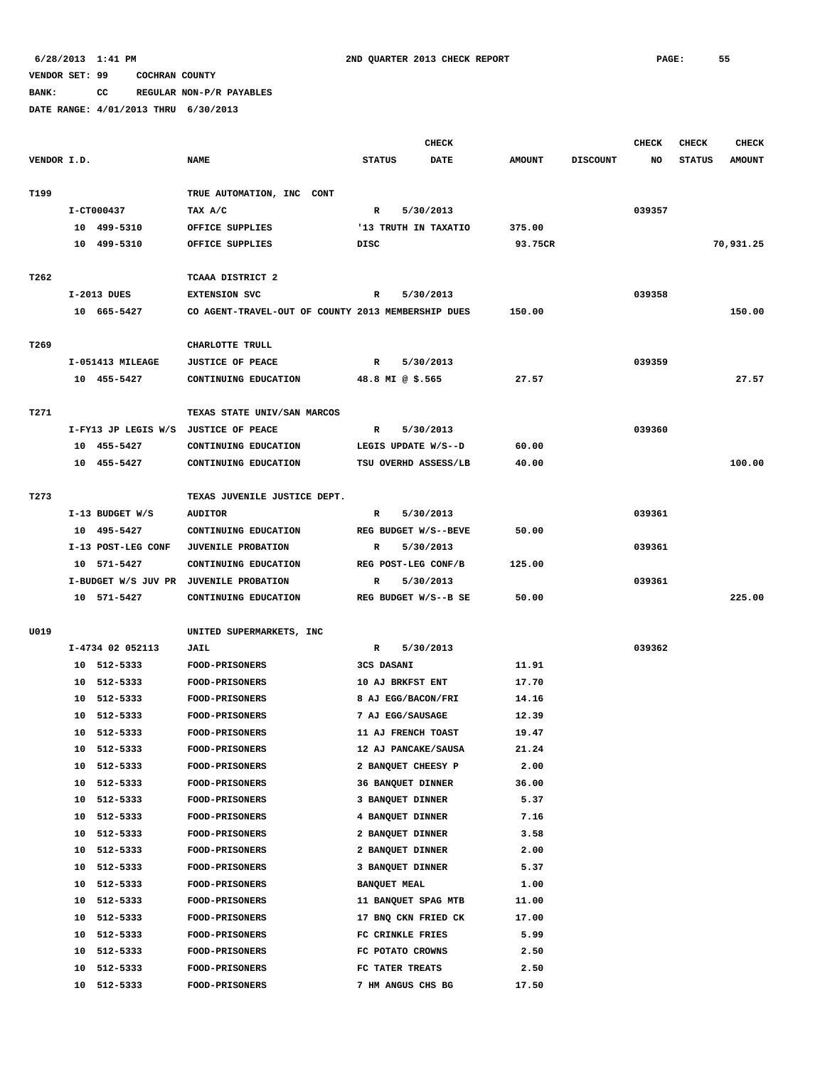**BANK: CC REGULAR NON-P/R PAYABLES**

|             |             |                    |                                                    | <b>CHECK</b>         |             |               |                 | <b>CHECK</b> | <b>CHECK</b>  | <b>CHECK</b>  |
|-------------|-------------|--------------------|----------------------------------------------------|----------------------|-------------|---------------|-----------------|--------------|---------------|---------------|
| VENDOR I.D. |             |                    | <b>NAME</b>                                        | <b>STATUS</b>        | <b>DATE</b> | <b>AMOUNT</b> | <b>DISCOUNT</b> | NO           | <b>STATUS</b> | <b>AMOUNT</b> |
|             |             |                    |                                                    |                      |             |               |                 |              |               |               |
| T199        |             |                    | TRUE AUTOMATION, INC CONT                          |                      |             |               |                 |              |               |               |
|             | I-CT000437  |                    | TAX A/C                                            | R                    | 5/30/2013   |               |                 | 039357       |               |               |
|             |             | 10 499-5310        | OFFICE SUPPLIES                                    | '13 TRUTH IN TAXATIO |             | 375.00        |                 |              |               |               |
|             |             | 10 499-5310        | OFFICE SUPPLIES                                    | DISC                 |             | 93.75CR       |                 |              |               | 70,931.25     |
|             |             |                    |                                                    |                      |             |               |                 |              |               |               |
| T262        |             |                    | TCAAA DISTRICT 2                                   |                      |             |               |                 |              |               |               |
|             | I-2013 DUES |                    | <b>EXTENSION SVC</b>                               | R                    | 5/30/2013   |               |                 | 039358       |               |               |
|             |             | 10 665-5427        | CO AGENT-TRAVEL-OUT OF COUNTY 2013 MEMBERSHIP DUES |                      |             | 150.00        |                 |              |               | 150.00        |
|             |             |                    |                                                    |                      |             |               |                 |              |               |               |
| T269        |             |                    | CHARLOTTE TRULL                                    |                      |             |               |                 |              |               |               |
|             |             | I-051413 MILEAGE   | <b>JUSTICE OF PEACE</b>                            | R                    | 5/30/2013   |               |                 | 039359       |               |               |
|             |             | 10 455-5427        | CONTINUING EDUCATION                               | 48.8 MI @ \$.565     |             | 27.57         |                 |              |               | 27.57         |
|             |             |                    |                                                    |                      |             |               |                 |              |               |               |
| T271        |             |                    | TEXAS STATE UNIV/SAN MARCOS                        |                      |             |               |                 |              |               |               |
|             |             |                    | I-FY13 JP LEGIS W/S JUSTICE OF PEACE               | R                    | 5/30/2013   |               |                 | 039360       |               |               |
|             |             | 10 455-5427        | CONTINUING EDUCATION                               | LEGIS UPDATE W/S--D  |             | 60.00         |                 |              |               |               |
|             |             | 10 455-5427        | CONTINUING EDUCATION                               | TSU OVERHD ASSESS/LB |             | 40.00         |                 |              |               | 100.00        |
|             |             |                    |                                                    |                      |             |               |                 |              |               |               |
| T273        |             |                    | TEXAS JUVENILE JUSTICE DEPT.                       |                      |             |               |                 |              |               |               |
|             |             | I-13 BUDGET W/S    | <b>AUDITOR</b>                                     | $\mathbb{R}$         | 5/30/2013   |               |                 | 039361       |               |               |
|             |             | 10 495-5427        | CONTINUING EDUCATION                               | REG BUDGET W/S--BEVE |             | 50.00         |                 |              |               |               |
|             |             | I-13 POST-LEG CONF | <b>JUVENILE PROBATION</b>                          | R                    | 5/30/2013   |               |                 | 039361       |               |               |
|             | 10 571-5427 |                    | CONTINUING EDUCATION                               | REG POST-LEG CONF/B  |             | 125.00        |                 |              |               |               |
|             |             |                    | I-BUDGET W/S JUV PR JUVENILE PROBATION             | R                    | 5/30/2013   |               |                 | 039361       |               |               |
|             |             | 10 571-5427        | CONTINUING EDUCATION                               | REG BUDGET W/S--B SE |             | 50.00         |                 |              |               | 225.00        |
|             |             |                    |                                                    |                      |             |               |                 |              |               |               |
| U019        |             |                    | UNITED SUPERMARKETS, INC                           |                      |             |               |                 |              |               |               |
|             |             | I-4734 02 052113   | JAIL                                               | R                    | 5/30/2013   |               |                 | 039362       |               |               |
|             |             | 10 512-5333        | FOOD-PRISONERS                                     | 3CS DASANI           |             | 11.91         |                 |              |               |               |
|             |             | 10 512-5333        | <b>FOOD-PRISONERS</b>                              | 10 AJ BRKFST ENT     |             | 17.70         |                 |              |               |               |
|             |             | 10 512-5333        | FOOD-PRISONERS                                     | 8 AJ EGG/BACON/FRI   |             | 14.16         |                 |              |               |               |
|             |             | 10 512-5333        | <b>FOOD-PRISONERS</b>                              | 7 AJ EGG/SAUSAGE     |             | 12.39         |                 |              |               |               |
|             |             | 10 512-5333        | FOOD-PRISONERS                                     | 11 AJ FRENCH TOAST   |             | 19.47         |                 |              |               |               |
|             |             | 10 512-5333        | <b>FOOD-PRISONERS</b>                              | 12 AJ PANCAKE/SAUSA  |             | 21.24         |                 |              |               |               |
|             | 10          | 512-5333           | FOOD-PRISONERS                                     | 2 BANQUET CHEESY P   |             | 2.00          |                 |              |               |               |
|             | 10          | 512-5333           | FOOD-PRISONERS                                     | 36 BANQUET DINNER    |             | 36.00         |                 |              |               |               |
|             | 10          | 512-5333           | <b>FOOD-PRISONERS</b>                              | 3 BANQUET DINNER     |             | 5.37          |                 |              |               |               |
|             | 10          | 512-5333           | FOOD-PRISONERS                                     | 4 BANQUET DINNER     |             | 7.16          |                 |              |               |               |
|             |             | 10 512-5333        | <b>FOOD-PRISONERS</b>                              | 2 BANQUET DINNER     |             | 3.58          |                 |              |               |               |
|             |             | 10 512-5333        | <b>FOOD-PRISONERS</b>                              | 2 BANQUET DINNER     |             | 2.00          |                 |              |               |               |
|             |             | 10 512-5333        | FOOD-PRISONERS                                     | 3 BANQUET DINNER     |             | 5.37          |                 |              |               |               |
|             | 10          | 512-5333           | <b>FOOD-PRISONERS</b>                              | <b>BANQUET MEAL</b>  |             | 1.00          |                 |              |               |               |
|             | 10          | 512-5333           | <b>FOOD-PRISONERS</b>                              | 11 BANQUET SPAG MTB  |             | 11.00         |                 |              |               |               |
|             | 10          | 512-5333           | FOOD-PRISONERS                                     | 17 BNQ CKN FRIED CK  |             | 17.00         |                 |              |               |               |
|             | 10          | 512-5333           | <b>FOOD-PRISONERS</b>                              | FC CRINKLE FRIES     |             | 5.99          |                 |              |               |               |
|             | 10          | 512-5333           | <b>FOOD-PRISONERS</b>                              | FC POTATO CROWNS     |             | 2.50          |                 |              |               |               |
|             | 10          | 512-5333           | FOOD-PRISONERS                                     | FC TATER TREATS      |             | 2.50          |                 |              |               |               |
|             | 10          | 512-5333           | <b>FOOD-PRISONERS</b>                              | 7 HM ANGUS CHS BG    |             | 17.50         |                 |              |               |               |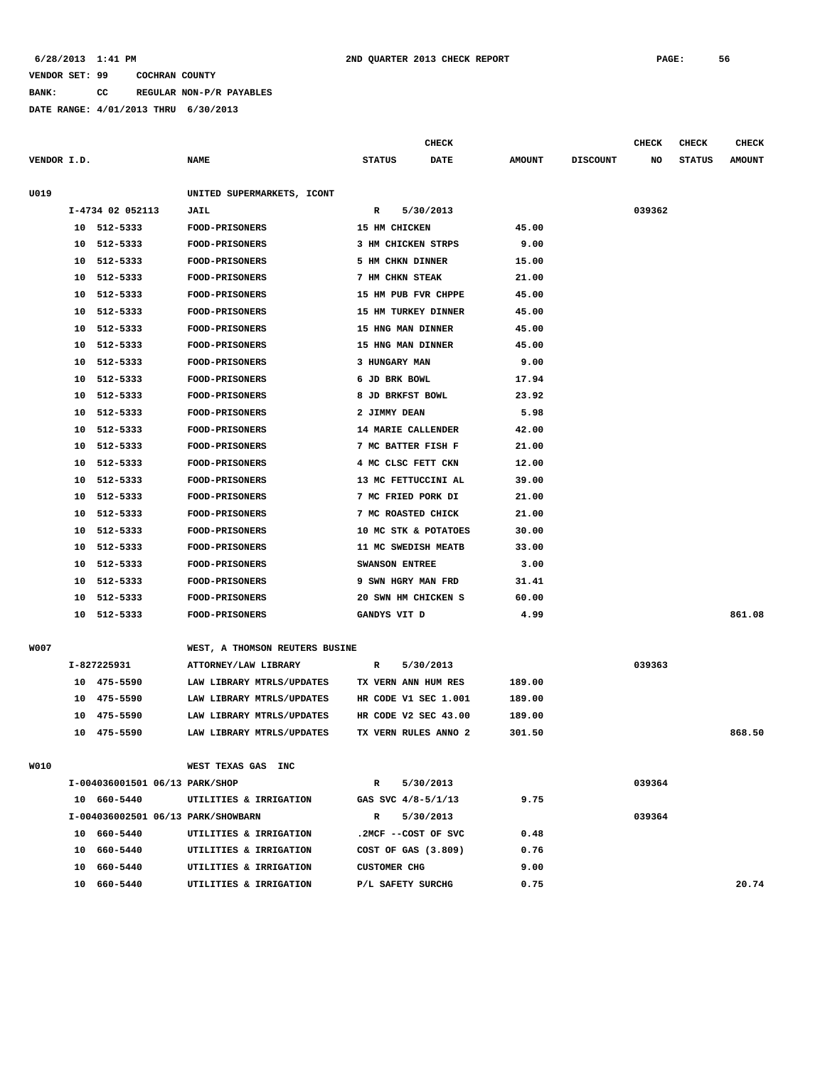**BANK: CC REGULAR NON-P/R PAYABLES**

**DATE RANGE: 4/01/2013 THRU 6/30/2013**

**CHECK CHECK CHECK CHECK** 

| VENDOR I.D. |    |                                    | <b>NAME</b>                    | <b>STATUS</b>       | <b>DATE</b>           | <b>AMOUNT</b> | <b>DISCOUNT</b> | NO     | <b>STATUS</b> | <b>AMOUNT</b> |
|-------------|----|------------------------------------|--------------------------------|---------------------|-----------------------|---------------|-----------------|--------|---------------|---------------|
| U019        |    |                                    | UNITED SUPERMARKETS, ICONT     |                     |                       |               |                 |        |               |               |
|             |    | I-4734 02 052113                   | <b>JAIL</b>                    | R                   | 5/30/2013             |               |                 | 039362 |               |               |
|             |    | 10 512-5333                        | FOOD-PRISONERS                 | 15 HM CHICKEN       |                       | 45.00         |                 |        |               |               |
|             |    | 10 512-5333                        | FOOD-PRISONERS                 |                     | 3 HM CHICKEN STRPS    | 9.00          |                 |        |               |               |
|             |    | 10 512-5333                        | <b>FOOD-PRISONERS</b>          |                     | 5 HM CHKN DINNER      | 15.00         |                 |        |               |               |
|             |    | 10 512-5333                        | <b>FOOD-PRISONERS</b>          | 7 HM CHKN STEAK     |                       | 21.00         |                 |        |               |               |
|             |    | 10 512-5333                        | <b>FOOD-PRISONERS</b>          |                     | 15 HM PUB FVR CHPPE   | 45.00         |                 |        |               |               |
|             | 10 | 512-5333                           | <b>FOOD-PRISONERS</b>          |                     | 15 HM TURKEY DINNER   | 45.00         |                 |        |               |               |
|             | 10 | 512-5333                           | <b>FOOD-PRISONERS</b>          |                     | 15 HNG MAN DINNER     | 45.00         |                 |        |               |               |
|             | 10 | 512-5333                           | <b>FOOD-PRISONERS</b>          |                     | 15 HNG MAN DINNER     | 45.00         |                 |        |               |               |
|             | 10 | 512-5333                           | <b>FOOD-PRISONERS</b>          | 3 HUNGARY MAN       |                       | 9.00          |                 |        |               |               |
|             | 10 | 512-5333                           | <b>FOOD-PRISONERS</b>          | 6 JD BRK BOWL       |                       | 17.94         |                 |        |               |               |
|             | 10 | 512-5333                           | <b>FOOD-PRISONERS</b>          |                     | 8 JD BRKFST BOWL      | 23.92         |                 |        |               |               |
|             | 10 | 512-5333                           | <b>FOOD-PRISONERS</b>          | 2 JIMMY DEAN        |                       | 5.98          |                 |        |               |               |
|             | 10 | 512-5333                           | <b>FOOD-PRISONERS</b>          |                     | 14 MARIE CALLENDER    | 42.00         |                 |        |               |               |
|             | 10 | 512-5333                           | <b>FOOD-PRISONERS</b>          |                     | 7 MC BATTER FISH F    | 21.00         |                 |        |               |               |
|             | 10 | 512-5333                           | <b>FOOD-PRISONERS</b>          |                     | 4 MC CLSC FETT CKN    | 12.00         |                 |        |               |               |
|             | 10 | 512-5333                           | FOOD-PRISONERS                 |                     | 13 MC FETTUCCINI AL   | 39.00         |                 |        |               |               |
|             | 10 | 512-5333                           | FOOD-PRISONERS                 |                     | 7 MC FRIED PORK DI    | 21.00         |                 |        |               |               |
|             | 10 | 512-5333                           | <b>FOOD-PRISONERS</b>          |                     | 7 MC ROASTED CHICK    | 21.00         |                 |        |               |               |
|             | 10 | 512-5333                           | FOOD-PRISONERS                 |                     | 10 MC STK & POTATOES  | 30.00         |                 |        |               |               |
|             | 10 | 512-5333                           | FOOD-PRISONERS                 |                     | 11 MC SWEDISH MEATB   | 33.00         |                 |        |               |               |
|             | 10 | 512-5333                           | <b>FOOD-PRISONERS</b>          | SWANSON ENTREE      |                       | 3.00          |                 |        |               |               |
|             | 10 | 512-5333                           | FOOD-PRISONERS                 |                     | 9 SWN HGRY MAN FRD    | 31.41         |                 |        |               |               |
|             | 10 | 512-5333                           | FOOD-PRISONERS                 |                     | 20 SWN HM CHICKEN S   | 60.00         |                 |        |               |               |
|             |    | 10 512-5333                        | <b>FOOD-PRISONERS</b>          | GANDYS VIT D        |                       | 4.99          |                 |        |               | 861.08        |
|             |    |                                    |                                |                     |                       |               |                 |        |               |               |
| W007        |    |                                    | WEST, A THOMSON REUTERS BUSINE |                     |                       |               |                 |        |               |               |
|             |    | I-827225931                        | ATTORNEY/LAW LIBRARY           | R                   | 5/30/2013             |               |                 | 039363 |               |               |
|             |    | 10 475-5590                        | LAW LIBRARY MTRLS/UPDATES      |                     | TX VERN ANN HUM RES   | 189.00        |                 |        |               |               |
|             |    | 10 475-5590                        | LAW LIBRARY MTRLS/UPDATES      |                     | HR CODE V1 SEC 1.001  | 189.00        |                 |        |               |               |
|             | 10 | 475-5590                           | LAW LIBRARY MTRLS/UPDATES      |                     | HR CODE V2 SEC 43.00  | 189.00        |                 |        |               |               |
|             |    | 10 475-5590                        | LAW LIBRARY MTRLS/UPDATES      |                     | TX VERN RULES ANNO 2  | 301.50        |                 |        |               | 868.50        |
|             |    |                                    |                                |                     |                       |               |                 |        |               |               |
| W010        |    |                                    | WEST TEXAS GAS INC             |                     |                       |               |                 |        |               |               |
|             |    | I-004036001501 06/13 PARK/SHOP     |                                | R                   | 5/30/2013             |               |                 | 039364 |               |               |
|             |    | 10 660-5440                        | UTILITIES & IRRIGATION         |                     | GAS SVC 4/8-5/1/13    | 9.75          |                 |        |               |               |
|             |    | I-004036002501 06/13 PARK/SHOWBARN |                                | R                   | 5/30/2013             |               |                 | 039364 |               |               |
|             |    | 10 660-5440                        | UTILITIES & IRRIGATION         |                     | .2MCF --COST OF SVC   | 0.48          |                 |        |               |               |
|             |    | 10 660-5440                        | UTILITIES & IRRIGATION         |                     | COST OF GAS $(3.809)$ | 0.76          |                 |        |               |               |
|             |    | 10 660-5440                        | UTILITIES & IRRIGATION         | <b>CUSTOMER CHG</b> |                       | 9.00          |                 |        |               |               |
|             |    | 10 660-5440                        | UTILITIES & IRRIGATION         |                     | P/L SAFETY SURCHG     | 0.75          |                 |        |               | 20.74         |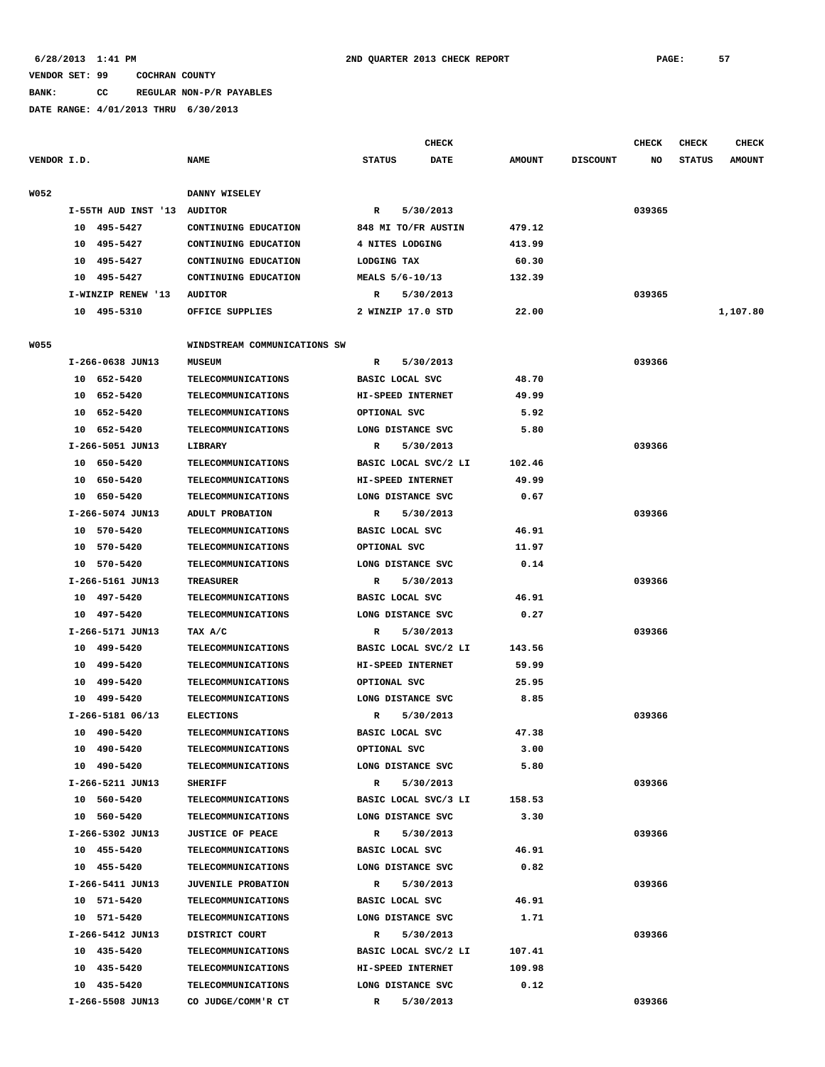**BANK: CC REGULAR NON-P/R PAYABLES**

**DATE RANGE: 4/01/2013 THRU 6/30/2013**

**CHECK CHECK CHECK CHECK CHECK CHECK CHECK VENDOR I.D. NAME STATUS DATE AMOUNT DISCOUNT NO STATUS AMOUNT W052 DANNY WISELEY I-55TH AUD INST '13 AUDITOR R 5/30/2013 039365 10 495-5427 CONTINUING EDUCATION 848 MI TO/FR AUSTIN 479.12 10 495-5427 CONTINUING EDUCATION 4 NITES LODGING 413.99 10 495-5427 CONTINUING EDUCATION LODGING TAX 60.30 10 495-5427 CONTINUING EDUCATION MEALS 5/6-10/13 132.39 I-WINZIP RENEW '13 AUDITOR R 5/30/2013 039365 10 495-5310 OFFICE SUPPLIES 2 WINZIP 17.0 STD 22.00 1,107.80**

|      | 10 495-5310        | OFFICE SUPPLIES              | 2 WINZIP 17.0 STD         | 22.00  |        |
|------|--------------------|------------------------------|---------------------------|--------|--------|
| W055 |                    | WINDSTREAM COMMUNICATIONS SW |                           |        |        |
|      | I-266-0638 JUN13   | <b>MUSEUM</b>                | $\mathbb{R}$<br>5/30/2013 |        | 039366 |
|      | 10 652-5420        | TELECOMMUNICATIONS           | BASIC LOCAL SVC           | 48.70  |        |
|      | 10 652-5420        | <b>TELECOMMUNICATIONS</b>    | HI-SPEED INTERNET         | 49.99  |        |
|      | 10 652-5420        | <b>TELECOMMUNICATIONS</b>    | OPTIONAL SVC              | 5.92   |        |
|      | 10 652-5420        | <b>TELECOMMUNICATIONS</b>    | LONG DISTANCE SVC         | 5.80   |        |
|      | I-266-5051 JUN13   | LIBRARY                      | 5/30/2013<br>R            |        | 039366 |
|      | 10 650-5420        | <b>TELECOMMUNICATIONS</b>    | BASIC LOCAL SVC/2 LI      | 102.46 |        |
|      | 10 650-5420        | <b>TELECOMMUNICATIONS</b>    | HI-SPEED INTERNET         | 49.99  |        |
|      | 10 650-5420        | <b>TELECOMMUNICATIONS</b>    | LONG DISTANCE SVC         | 0.67   |        |
|      | I-266-5074 JUN13   | ADULT PROBATION              | 5/30/2013<br>R            |        | 039366 |
|      | 10 570-5420        | <b>TELECOMMUNICATIONS</b>    | BASIC LOCAL SVC           | 46.91  |        |
|      | 10 570-5420        | <b>TELECOMMUNICATIONS</b>    | OPTIONAL SVC              | 11.97  |        |
|      | 10 570-5420        | <b>TELECOMMUNICATIONS</b>    | LONG DISTANCE SVC         | 0.14   |        |
|      | I-266-5161 JUN13   | <b>TREASURER</b>             | 5/30/2013<br>R            |        | 039366 |
|      | 10 497-5420        | TELECOMMUNICATIONS           | BASIC LOCAL SVC           | 46.91  |        |
|      | 10 497-5420        | <b>TELECOMMUNICATIONS</b>    | LONG DISTANCE SVC         | 0.27   |        |
|      | I-266-5171 JUN13   | TAX A/C                      | 5/30/2013<br>R            |        | 039366 |
|      | 10 499-5420        | <b>TELECOMMUNICATIONS</b>    | BASIC LOCAL SVC/2 LI      | 143.56 |        |
|      | 10 499-5420        | <b>TELECOMMUNICATIONS</b>    | HI-SPEED INTERNET         | 59.99  |        |
|      | 10 499-5420        | <b>TELECOMMUNICATIONS</b>    | OPTIONAL SVC              | 25.95  |        |
|      | 10 499-5420        | <b>TELECOMMUNICATIONS</b>    | LONG DISTANCE SVC         | 8.85   |        |
|      | $I-266-5181$ 06/13 | <b>ELECTIONS</b>             | 5/30/2013<br>$\mathbf{R}$ |        | 039366 |
|      | 10 490-5420        | TELECOMMUNICATIONS           | BASIC LOCAL SVC           | 47.38  |        |
|      | 10 490-5420        | <b>TELECOMMUNICATIONS</b>    | OPTIONAL SVC              | 3.00   |        |
|      | 10 490-5420        | <b>TELECOMMUNICATIONS</b>    | LONG DISTANCE SVC         | 5.80   |        |
|      | I-266-5211 JUN13   | <b>SHERIFF</b>               | R<br>5/30/2013            |        | 039366 |
|      | 10 560-5420        | TELECOMMUNICATIONS           | BASIC LOCAL SVC/3 LI      | 158.53 |        |
|      | 10 560-5420        | <b>TELECOMMUNICATIONS</b>    | LONG DISTANCE SVC         | 3.30   |        |
|      | I-266-5302 JUN13   | <b>JUSTICE OF PEACE</b>      | 5/30/2013<br>R            |        | 039366 |
|      | 10 455-5420        | <b>TELECOMMUNICATIONS</b>    | BASIC LOCAL SVC           | 46.91  |        |
|      | 10 455-5420        | TELECOMMUNICATIONS           | LONG DISTANCE SVC         | 0.82   |        |
|      | I-266-5411 JUN13   | JUVENILE PROBATION           | 5/30/2013<br>$\mathbf{R}$ |        | 039366 |
|      | 10 571-5420        | <b>TELECOMMUNICATIONS</b>    | BASIC LOCAL SVC           | 46.91  |        |
|      | 10 571-5420        | <b>TELECOMMUNICATIONS</b>    | LONG DISTANCE SVC         | 1.71   |        |
|      | I-266-5412 JUN13   | DISTRICT COURT               | 5/30/2013<br>R            |        | 039366 |
|      | 10 435-5420        | TELECOMMUNICATIONS           | BASIC LOCAL SVC/2 LI      | 107.41 |        |
|      | 10 435-5420        | <b>TELECOMMUNICATIONS</b>    | HI-SPEED INTERNET         | 109.98 |        |
|      |                    |                              |                           |        |        |

 **10 435-5420 TELECOMMUNICATIONS LONG DISTANCE SVC 0.12**

 **I-266-5508 JUN13 CO JUDGE/COMM'R CT R 5/30/2013 039366**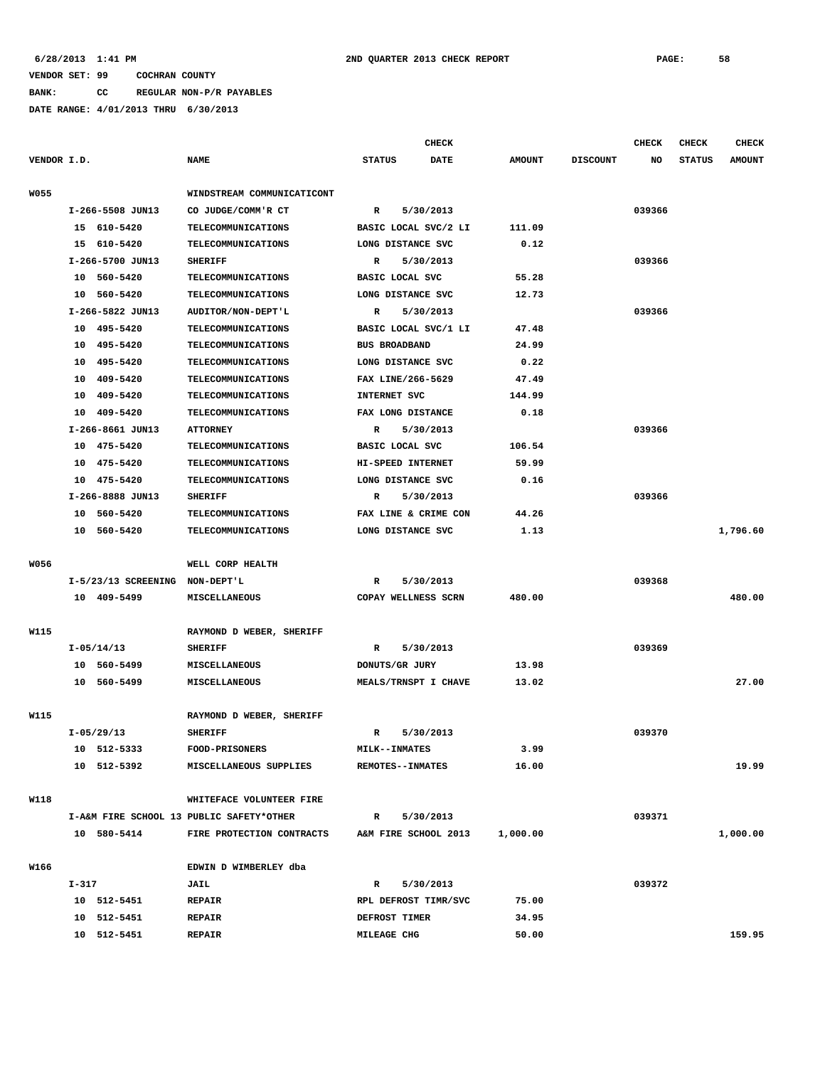**BANK: CC REGULAR NON-P/R PAYABLES**

|             |       |                       |                                          |               |                         | <b>CHECK</b>         |               |                 | <b>CHECK</b> | <b>CHECK</b>  | <b>CHECK</b>  |
|-------------|-------|-----------------------|------------------------------------------|---------------|-------------------------|----------------------|---------------|-----------------|--------------|---------------|---------------|
| VENDOR I.D. |       |                       | <b>NAME</b>                              | <b>STATUS</b> |                         | <b>DATE</b>          | <b>AMOUNT</b> | <b>DISCOUNT</b> | NO           | <b>STATUS</b> | <b>AMOUNT</b> |
| <b>W055</b> |       |                       | WINDSTREAM COMMUNICATICONT               |               |                         |                      |               |                 |              |               |               |
|             |       | I-266-5508 JUN13      | CO JUDGE/COMM'R CT                       | R             |                         | 5/30/2013            |               |                 | 039366       |               |               |
|             |       | 15 610-5420           | <b>TELECOMMUNICATIONS</b>                |               |                         | BASIC LOCAL SVC/2 LI | 111.09        |                 |              |               |               |
|             |       | 15 610-5420           | TELECOMMUNICATIONS                       |               | LONG DISTANCE SVC       |                      | 0.12          |                 |              |               |               |
|             |       | I-266-5700 JUN13      | <b>SHERIFF</b>                           | R             |                         | 5/30/2013            |               |                 | 039366       |               |               |
|             |       | 10 560-5420           | <b>TELECOMMUNICATIONS</b>                |               | BASIC LOCAL SVC         |                      | 55.28         |                 |              |               |               |
|             |       | 10 560-5420           | TELECOMMUNICATIONS                       |               | LONG DISTANCE SVC       |                      | 12.73         |                 |              |               |               |
|             |       | I-266-5822 JUN13      | AUDITOR/NON-DEPT'L                       | R             |                         | 5/30/2013            |               |                 | 039366       |               |               |
|             |       | 10 495-5420           | <b>TELECOMMUNICATIONS</b>                |               |                         | BASIC LOCAL SVC/1 LI | 47.48         |                 |              |               |               |
|             |       | 10 495-5420           | TELECOMMUNICATIONS                       |               | <b>BUS BROADBAND</b>    |                      | 24.99         |                 |              |               |               |
|             |       | 10 495-5420           | <b>TELECOMMUNICATIONS</b>                |               | LONG DISTANCE SVC       |                      | 0.22          |                 |              |               |               |
|             | 10    | 409-5420              | <b>TELECOMMUNICATIONS</b>                |               | FAX LINE/266-5629       |                      | 47.49         |                 |              |               |               |
|             | 10    | 409-5420              | <b>TELECOMMUNICATIONS</b>                |               | INTERNET SVC            |                      | 144.99        |                 |              |               |               |
|             | 10    | 409-5420              | <b>TELECOMMUNICATIONS</b>                |               | FAX LONG DISTANCE       |                      | 0.18          |                 |              |               |               |
|             |       | I-266-8661 JUN13      | <b>ATTORNEY</b>                          | R             |                         | 5/30/2013            |               |                 | 039366       |               |               |
|             |       | 10 475-5420           | TELECOMMUNICATIONS                       |               | BASIC LOCAL SVC         |                      | 106.54        |                 |              |               |               |
|             |       | 10 475-5420           | <b>TELECOMMUNICATIONS</b>                |               | HI-SPEED INTERNET       |                      | 59.99         |                 |              |               |               |
|             |       | 10 475-5420           | <b>TELECOMMUNICATIONS</b>                |               | LONG DISTANCE SVC       |                      | 0.16          |                 |              |               |               |
|             |       | I-266-8888 JUN13      | <b>SHERIFF</b>                           | R             |                         | 5/30/2013            |               |                 | 039366       |               |               |
|             |       | 10 560-5420           | <b>TELECOMMUNICATIONS</b>                |               |                         | FAX LINE & CRIME CON | 44.26         |                 |              |               |               |
|             |       | 10 560-5420           | <b>TELECOMMUNICATIONS</b>                |               | LONG DISTANCE SVC       |                      | 1.13          |                 |              |               | 1,796.60      |
|             |       |                       |                                          |               |                         |                      |               |                 |              |               |               |
| W056        |       |                       | WELL CORP HEALTH                         |               |                         |                      |               |                 |              |               |               |
|             |       | $I-5/23/13$ SCREENING | NON-DEPT'L                               | R             |                         | 5/30/2013            |               |                 | 039368       |               |               |
|             |       | 10 409-5499           | <b>MISCELLANEOUS</b>                     |               |                         | COPAY WELLNESS SCRN  | 480.00        |                 |              |               | 480.00        |
| W115        |       |                       | RAYMOND D WEBER, SHERIFF                 |               |                         |                      |               |                 |              |               |               |
|             |       | $I-05/14/13$          | <b>SHERIFF</b>                           | R             |                         | 5/30/2013            |               |                 | 039369       |               |               |
|             |       | 10 560-5499           | MISCELLANEOUS                            |               | DONUTS/GR JURY          |                      | 13.98         |                 |              |               |               |
|             |       | 10 560-5499           | MISCELLANEOUS                            |               |                         | MEALS/TRNSPT I CHAVE | 13.02         |                 |              |               | 27.00         |
|             |       |                       |                                          |               |                         |                      |               |                 |              |               |               |
| W115        |       |                       | RAYMOND D WEBER, SHERIFF                 |               |                         |                      |               |                 |              |               |               |
|             |       | $I-05/29/13$          | <b>SHERIFF</b>                           | R             |                         | 5/30/2013            |               |                 | 039370       |               |               |
|             |       | 10 512-5333           | <b>FOOD-PRISONERS</b>                    |               | <b>MILK--INMATES</b>    |                      | 3.99          |                 |              |               |               |
|             |       | 10 512-5392           | MISCELLANEOUS SUPPLIES                   |               | <b>REMOTES--INMATES</b> |                      | 16.00         |                 |              |               | 19.99         |
| W118        |       |                       | WHITEFACE VOLUNTEER FIRE                 |               |                         |                      |               |                 |              |               |               |
|             |       |                       | I-A&M FIRE SCHOOL 13 PUBLIC SAFETY*OTHER | R             |                         | 5/30/2013            |               |                 | 039371       |               |               |
|             |       | 10 580-5414           | FIRE PROTECTION CONTRACTS                |               |                         | A&M FIRE SCHOOL 2013 | 1,000.00      |                 |              |               | 1,000.00      |
|             |       |                       |                                          |               |                         |                      |               |                 |              |               |               |
| W166        |       |                       | EDWIN D WIMBERLEY dba                    |               |                         |                      |               |                 |              |               |               |
|             | I-317 |                       | <b>JAIL</b>                              | R             |                         | 5/30/2013            |               |                 | 039372       |               |               |
|             |       | 10 512-5451           | <b>REPAIR</b>                            |               |                         | RPL DEFROST TIMR/SVC | 75.00         |                 |              |               |               |
|             |       | 10 512-5451           | <b>REPAIR</b>                            |               | DEFROST TIMER           |                      | 34.95         |                 |              |               |               |
|             |       | 10 512-5451           | <b>REPAIR</b>                            |               | MILEAGE CHG             |                      | 50.00         |                 |              |               | 159.95        |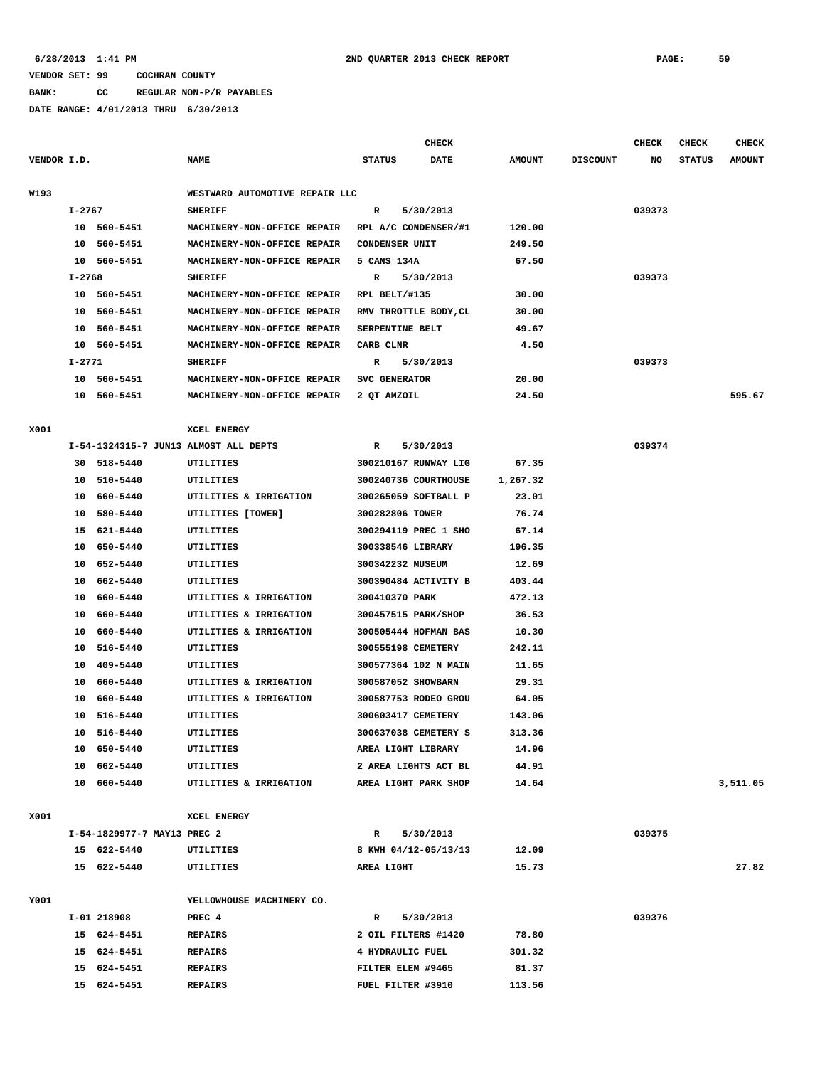# **BANK: CC REGULAR NON-P/R PAYABLES**

|             |        |                             |                                       |                      | <b>CHECK</b>          |               |                 | <b>CHECK</b> | <b>CHECK</b>  | <b>CHECK</b>  |
|-------------|--------|-----------------------------|---------------------------------------|----------------------|-----------------------|---------------|-----------------|--------------|---------------|---------------|
| VENDOR I.D. |        |                             | <b>NAME</b>                           | <b>STATUS</b>        | <b>DATE</b>           | <b>AMOUNT</b> | <b>DISCOUNT</b> | NO           | <b>STATUS</b> | <b>AMOUNT</b> |
| W193        |        |                             | WESTWARD AUTOMOTIVE REPAIR LLC        |                      |                       |               |                 |              |               |               |
|             | I-2767 |                             | <b>SHERIFF</b>                        | R                    | 5/30/2013             |               |                 | 039373       |               |               |
|             |        | 10 560-5451                 | MACHINERY-NON-OFFICE REPAIR           |                      | RPL A/C CONDENSER/#1  | 120.00        |                 |              |               |               |
|             | 10     | 560-5451                    | MACHINERY-NON-OFFICE REPAIR           | CONDENSER UNIT       |                       | 249.50        |                 |              |               |               |
|             |        | 10 560-5451                 | MACHINERY-NON-OFFICE REPAIR           | 5 CANS 134A          |                       | 67.50         |                 |              |               |               |
|             | I-2768 |                             | <b>SHERIFF</b>                        | R                    | 5/30/2013             |               |                 | 039373       |               |               |
|             |        | 10 560-5451                 | MACHINERY-NON-OFFICE REPAIR           | RPL BELT/#135        |                       | 30.00         |                 |              |               |               |
|             |        | 10 560-5451                 | MACHINERY-NON-OFFICE REPAIR           |                      | RMV THROTTLE BODY, CL | 30.00         |                 |              |               |               |
|             |        | 10 560-5451                 | MACHINERY-NON-OFFICE REPAIR           | SERPENTINE BELT      |                       | 49.67         |                 |              |               |               |
|             |        | 10 560-5451                 | MACHINERY-NON-OFFICE REPAIR           | CARB CLNR            |                       | 4.50          |                 |              |               |               |
|             | I-2771 |                             | <b>SHERIFF</b>                        | R                    | 5/30/2013             |               |                 | 039373       |               |               |
|             |        | 10 560-5451                 | MACHINERY-NON-OFFICE REPAIR           | SVC GENERATOR        |                       | 20.00         |                 |              |               |               |
|             |        | 10 560-5451                 | MACHINERY-NON-OFFICE REPAIR           | 2 QT AMZOIL          |                       | 24.50         |                 |              |               | 595.67        |
|             |        |                             |                                       |                      |                       |               |                 |              |               |               |
| X001        |        |                             | XCEL ENERGY                           |                      |                       |               |                 |              |               |               |
|             |        |                             | I-54-1324315-7 JUN13 ALMOST ALL DEPTS | R                    | 5/30/2013             |               |                 | 039374       |               |               |
|             |        | 30 518-5440                 | UTILITIES                             |                      | 300210167 RUNWAY LIG  | 67.35         |                 |              |               |               |
|             |        | 10 510-5440                 | UTILITIES                             |                      | 300240736 COURTHOUSE  | 1,267.32      |                 |              |               |               |
|             | 10     | 660-5440                    | UTILITIES & IRRIGATION                | 300265059 SOFTBALL P |                       | 23.01         |                 |              |               |               |
|             | 10     | 580-5440                    | UTILITIES [TOWER]                     | 300282806 TOWER      |                       | 76.74         |                 |              |               |               |
|             | 15     | 621-5440                    | UTILITIES                             | 300294119 PREC 1 SHO |                       | 67.14         |                 |              |               |               |
|             | 10     | 650-5440                    | UTILITIES                             | 300338546 LIBRARY    |                       | 196.35        |                 |              |               |               |
|             |        | 10 652-5440                 | UTILITIES                             | 300342232 MUSEUM     |                       | 12.69         |                 |              |               |               |
|             | 10     | 662–5440                    | UTILITIES                             |                      | 300390484 ACTIVITY B  | 403.44        |                 |              |               |               |
|             | 10     | 660-5440                    | UTILITIES & IRRIGATION                | 300410370 PARK       |                       | 472.13        |                 |              |               |               |
|             | 10     | 660-5440                    | UTILITIES & IRRIGATION                | 300457515 PARK/SHOP  |                       | 36.53         |                 |              |               |               |
|             | 10     | 660-5440                    | UTILITIES & IRRIGATION                |                      | 300505444 HOFMAN BAS  | 10.30         |                 |              |               |               |
|             | 10     | 516-5440                    | UTILITIES                             | 300555198 CEMETERY   |                       | 242.11        |                 |              |               |               |
|             | 10     | 409-5440                    | UTILITIES                             | 300577364 102 N MAIN |                       | 11.65         |                 |              |               |               |
|             | 10     | 660-5440                    | UTILITIES & IRRIGATION                | 300587052 SHOWBARN   |                       | 29.31         |                 |              |               |               |
|             | 10     | 660-5440                    | UTILITIES & IRRIGATION                | 300587753 RODEO GROU |                       | 64.05         |                 |              |               |               |
|             | 10     | 516-5440                    | UTILITIES                             | 300603417 CEMETERY   |                       | 143.06        |                 |              |               |               |
|             | 10     | 516-5440                    | UTILITIES                             | 300637038 CEMETERY S |                       | 313.36        |                 |              |               |               |
|             |        | 10 650-5440                 | UTILITIES                             | AREA LIGHT LIBRARY   |                       | 14.96         |                 |              |               |               |
|             |        | 10 662-5440                 | UTILITIES                             |                      | 2 AREA LIGHTS ACT BL  | 44.91         |                 |              |               |               |
|             |        | 10 660-5440                 | UTILITIES & IRRIGATION                | AREA LIGHT PARK SHOP |                       | 14.64         |                 |              |               | 3,511.05      |
|             |        |                             |                                       |                      |                       |               |                 |              |               |               |
| X001        |        |                             | XCEL ENERGY                           |                      |                       |               |                 |              |               |               |
|             |        | I-54-1829977-7 MAY13 PREC 2 |                                       | $\mathbf{R}$         | 5/30/2013             |               |                 | 039375       |               |               |
|             |        | 15 622-5440                 | UTILITIES                             |                      | 8 KWH 04/12-05/13/13  | 12.09         |                 |              |               |               |
|             |        | 15 622-5440                 | UTILITIES                             | AREA LIGHT           |                       | 15.73         |                 |              |               | 27.82         |
| Y001        |        |                             | YELLOWHOUSE MACHINERY CO.             |                      |                       |               |                 |              |               |               |
|             |        | I-01 218908                 | PREC 4                                | $\mathbb{R}$         | 5/30/2013             |               |                 | 039376       |               |               |
|             |        | 15 624-5451                 | <b>REPAIRS</b>                        | 2 OIL FILTERS #1420  |                       | 78.80         |                 |              |               |               |
|             |        | 15 624-5451                 | REPAIRS                               | 4 HYDRAULIC FUEL     |                       | 301.32        |                 |              |               |               |
|             |        | 15 624-5451                 | <b>REPAIRS</b>                        | FILTER ELEM #9465    |                       | 81.37         |                 |              |               |               |
|             |        | 15 624-5451                 | <b>REPAIRS</b>                        | FUEL FILTER #3910    |                       | 113.56        |                 |              |               |               |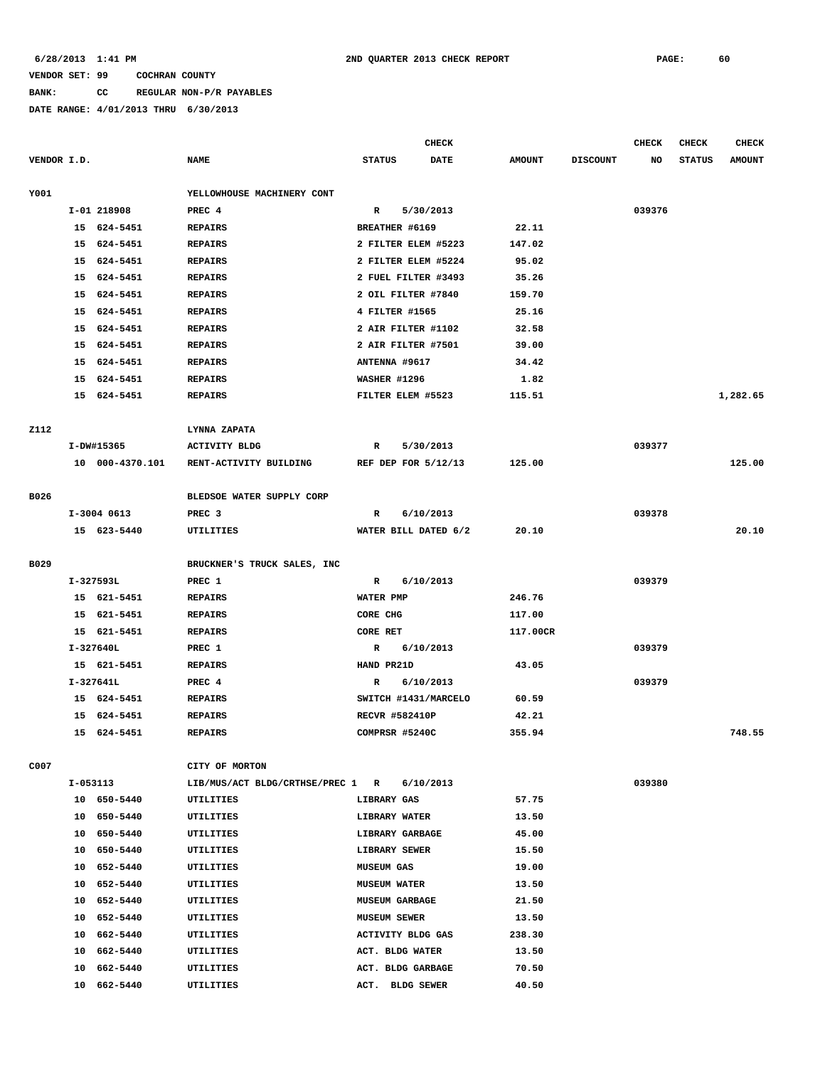# **BANK: CC REGULAR NON-P/R PAYABLES**

|             |          |                 |                                  |                       | <b>CHECK</b> |               |                 | <b>CHECK</b> | <b>CHECK</b>  | <b>CHECK</b>  |
|-------------|----------|-----------------|----------------------------------|-----------------------|--------------|---------------|-----------------|--------------|---------------|---------------|
| VENDOR I.D. |          |                 | <b>NAME</b>                      | <b>STATUS</b>         | <b>DATE</b>  | <b>AMOUNT</b> | <b>DISCOUNT</b> | NO           | <b>STATUS</b> | <b>AMOUNT</b> |
| Y001        |          |                 | YELLOWHOUSE MACHINERY CONT       |                       |              |               |                 |              |               |               |
|             |          | I-01 218908     | PREC 4                           | $\mathbb{R}$          | 5/30/2013    |               |                 | 039376       |               |               |
|             |          | 15 624-5451     | <b>REPAIRS</b>                   | BREATHER #6169        |              | 22.11         |                 |              |               |               |
|             | 15       | 624-5451        | <b>REPAIRS</b>                   | 2 FILTER ELEM #5223   |              | 147.02        |                 |              |               |               |
|             | 15       | 624-5451        | <b>REPAIRS</b>                   | 2 FILTER ELEM #5224   |              | 95.02         |                 |              |               |               |
|             | 15       | 624-5451        | <b>REPAIRS</b>                   | 2 FUEL FILTER #3493   |              | 35.26         |                 |              |               |               |
|             | 15       | 624-5451        | <b>REPAIRS</b>                   | 2 OIL FILTER #7840    |              | 159.70        |                 |              |               |               |
|             | 15       | 624-5451        | <b>REPAIRS</b>                   | 4 FILTER #1565        |              | 25.16         |                 |              |               |               |
|             | 15       | 624-5451        | <b>REPAIRS</b>                   | 2 AIR FILTER #1102    |              | 32.58         |                 |              |               |               |
|             | 15       | 624-5451        | <b>REPAIRS</b>                   | 2 AIR FILTER #7501    |              | 39.00         |                 |              |               |               |
|             | 15       | 624-5451        | <b>REPAIRS</b>                   | ANTENNA #9617         |              | 34.42         |                 |              |               |               |
|             | 15       | 624-5451        | <b>REPAIRS</b>                   | <b>WASHER #1296</b>   |              | 1.82          |                 |              |               |               |
|             |          | 15 624-5451     | <b>REPAIRS</b>                   | FILTER ELEM #5523     |              | 115.51        |                 |              |               | 1,282.65      |
|             |          |                 |                                  |                       |              |               |                 |              |               |               |
| <b>Z112</b> |          |                 | LYNNA ZAPATA                     |                       |              |               |                 |              |               |               |
|             |          | I-DW#15365      | <b>ACTIVITY BLDG</b>             | $\mathbb{R}$          | 5/30/2013    |               |                 | 039377       |               |               |
|             |          | 10 000-4370.101 | RENT-ACTIVITY BUILDING           | REF DEP FOR 5/12/13   |              | 125.00        |                 |              |               | 125.00        |
|             |          |                 |                                  |                       |              |               |                 |              |               |               |
| B026        |          |                 | BLEDSOE WATER SUPPLY CORP        |                       |              |               |                 |              |               |               |
|             |          | $I-3004$ 0613   | PREC <sub>3</sub>                | R                     | 6/10/2013    |               |                 | 039378       |               |               |
|             |          | 15 623-5440     | UTILITIES                        | WATER BILL DATED 6/2  |              | 20.10         |                 |              |               | 20.10         |
|             |          |                 |                                  |                       |              |               |                 |              |               |               |
| B029        |          |                 | BRUCKNER'S TRUCK SALES, INC      |                       |              |               |                 |              |               |               |
|             |          | I-327593L       | PREC 1                           | R                     | 6/10/2013    |               |                 | 039379       |               |               |
|             |          | 15 621-5451     | <b>REPAIRS</b>                   | WATER PMP             |              | 246.76        |                 |              |               |               |
|             |          | 15 621-5451     | <b>REPAIRS</b>                   | CORE CHG              |              | 117.00        |                 |              |               |               |
|             |          | 15 621-5451     | <b>REPAIRS</b>                   | CORE RET              |              | 117.00CR      |                 |              |               |               |
|             |          | I-327640L       | PREC 1                           | R                     | 6/10/2013    |               |                 | 039379       |               |               |
|             |          | 15 621-5451     | <b>REPAIRS</b>                   | HAND PR21D            |              | 43.05         |                 |              |               |               |
|             |          | $I-327641L$     | PREC 4                           | R                     | 6/10/2013    |               |                 | 039379       |               |               |
|             |          | 15 624-5451     | <b>REPAIRS</b>                   | SWITCH #1431/MARCELO  |              | 60.59         |                 |              |               |               |
|             | 15       | 624-5451        | <b>REPAIRS</b>                   | <b>RECVR #582410P</b> |              | 42.21         |                 |              |               |               |
|             |          | 15 624-5451     | <b>REPAIRS</b>                   | COMPRSR #5240C        |              | 355.94        |                 |              |               | 748.55        |
|             |          |                 |                                  |                       |              |               |                 |              |               |               |
| C007        |          |                 | CITY OF MORTON                   |                       |              |               |                 |              |               |               |
|             | I-053113 |                 | LIB/MUS/ACT BLDG/CRTHSE/PREC 1 R |                       | 6/10/2013    |               |                 | 039380       |               |               |
|             |          | 10 650-5440     | UTILITIES                        | LIBRARY GAS           |              | 57.75         |                 |              |               |               |
|             |          | 10 650-5440     | UTILITIES                        | LIBRARY WATER         |              | 13.50         |                 |              |               |               |
|             | 10       | 650-5440        | UTILITIES                        | LIBRARY GARBAGE       |              | 45.00         |                 |              |               |               |
|             | 10       | 650-5440        | UTILITIES                        | LIBRARY SEWER         |              | 15.50         |                 |              |               |               |
|             | 10       | 652-5440        | <b>UTILITIES</b>                 | <b>MUSEUM GAS</b>     |              | 19.00         |                 |              |               |               |
|             | 10       | 652-5440        | UTILITIES                        | <b>MUSEUM WATER</b>   |              | 13.50         |                 |              |               |               |
|             | 10       | 652-5440        | UTILITIES                        | <b>MUSEUM GARBAGE</b> |              | 21.50         |                 |              |               |               |
|             | 10       | 652-5440        | UTILITIES                        | <b>MUSEUM SEWER</b>   |              | 13.50         |                 |              |               |               |
|             | 10       | 662-5440        | UTILITIES                        | ACTIVITY BLDG GAS     |              | 238.30        |                 |              |               |               |
|             | 10       | 662-5440        | UTILITIES                        | ACT. BLDG WATER       |              | 13.50         |                 |              |               |               |
|             | 10       | 662-5440        | UTILITIES                        | ACT. BLDG GARBAGE     |              | 70.50         |                 |              |               |               |
|             | 10       | 662-5440        | UTILITIES                        | ACT. BLDG SEWER       |              | 40.50         |                 |              |               |               |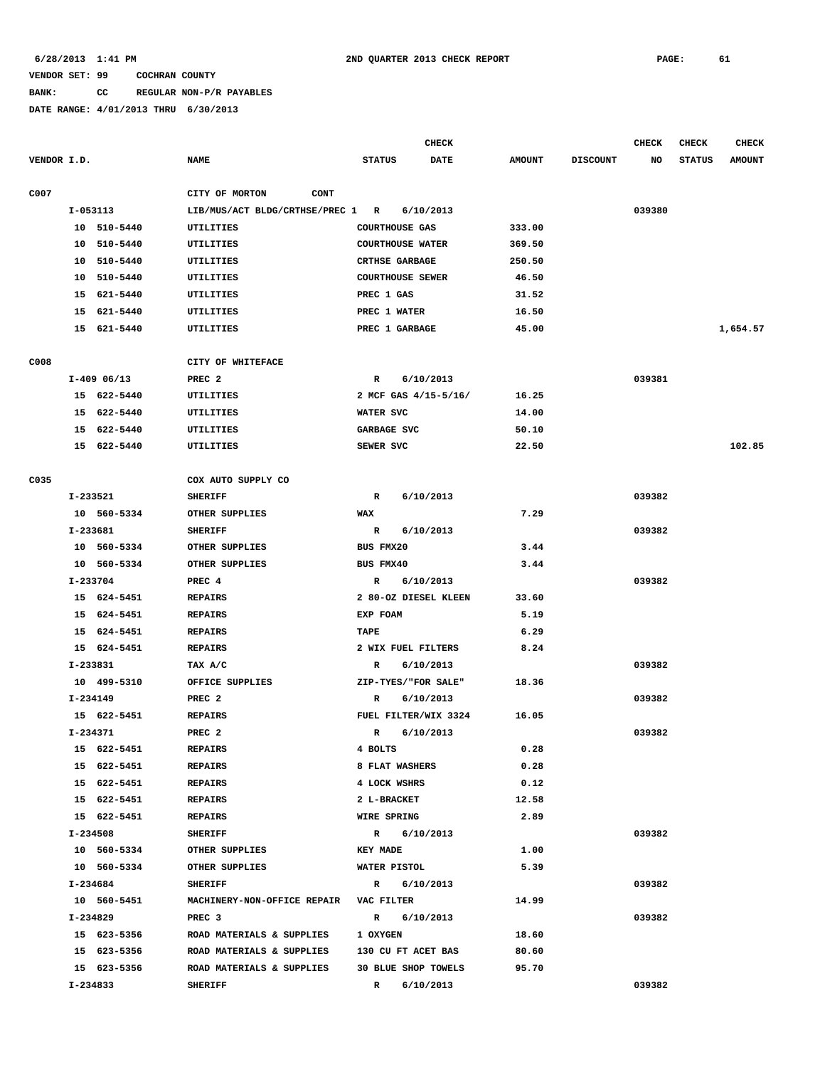## **BANK: CC REGULAR NON-P/R PAYABLES**

|             |          |               |                                        |                       | <b>CHECK</b>            |               |                 | <b>CHECK</b> | <b>CHECK</b>  | <b>CHECK</b>  |
|-------------|----------|---------------|----------------------------------------|-----------------------|-------------------------|---------------|-----------------|--------------|---------------|---------------|
| VENDOR I.D. |          |               | <b>NAME</b>                            | <b>STATUS</b>         | <b>DATE</b>             | <b>AMOUNT</b> | <b>DISCOUNT</b> | NO           | <b>STATUS</b> | <b>AMOUNT</b> |
| C007        |          |               | CITY OF MORTON<br><b>CONT</b>          |                       |                         |               |                 |              |               |               |
|             | I-053113 |               | LIB/MUS/ACT BLDG/CRTHSE/PREC 1 R       |                       | 6/10/2013               |               |                 | 039380       |               |               |
|             |          | 10 510-5440   | UTILITIES                              | <b>COURTHOUSE GAS</b> |                         | 333.00        |                 |              |               |               |
|             |          | 10 510-5440   | UTILITIES                              |                       | <b>COURTHOUSE WATER</b> | 369.50        |                 |              |               |               |
|             |          | 10 510-5440   | UTILITIES                              | <b>CRTHSE GARBAGE</b> |                         | 250.50        |                 |              |               |               |
|             |          | 10 510-5440   | UTILITIES                              |                       | <b>COURTHOUSE SEWER</b> | 46.50         |                 |              |               |               |
|             | 15       | 621-5440      | UTILITIES                              | PREC 1 GAS            |                         | 31.52         |                 |              |               |               |
|             |          | 15 621-5440   | UTILITIES                              | PREC 1 WATER          |                         | 16.50         |                 |              |               |               |
|             |          | 15 621-5440   | UTILITIES                              | PREC 1 GARBAGE        |                         | 45.00         |                 |              |               | 1,654.57      |
|             |          |               |                                        |                       |                         |               |                 |              |               |               |
| C008        |          |               | CITY OF WHITEFACE                      |                       |                         |               |                 |              |               |               |
|             |          | $I-409$ 06/13 | PREC <sub>2</sub>                      | R                     | 6/10/2013               |               |                 | 039381       |               |               |
|             |          | 15 622-5440   | UTILITIES                              |                       | 2 MCF GAS 4/15-5/16/    | 16.25         |                 |              |               |               |
|             |          | 15 622-5440   | UTILITIES                              | WATER SVC             |                         | 14.00         |                 |              |               |               |
|             |          | 15 622-5440   | UTILITIES                              | GARBAGE SVC           |                         | 50.10         |                 |              |               |               |
|             |          | 15 622-5440   | UTILITIES                              | SEWER SVC             |                         | 22.50         |                 |              |               | 102.85        |
| C035        |          |               | COX AUTO SUPPLY CO                     |                       |                         |               |                 |              |               |               |
|             | I-233521 |               | <b>SHERIFF</b>                         | R                     | 6/10/2013               |               |                 | 039382       |               |               |
|             |          | 10 560-5334   | OTHER SUPPLIES                         | WAX                   |                         | 7.29          |                 |              |               |               |
|             | I-233681 |               | <b>SHERIFF</b>                         | R                     | 6/10/2013               |               |                 | 039382       |               |               |
|             |          | 10 560-5334   | OTHER SUPPLIES                         | BUS FMX20             |                         | 3.44          |                 |              |               |               |
|             |          | 10 560-5334   | OTHER SUPPLIES                         | BUS FMX40             |                         | 3.44          |                 |              |               |               |
|             | I-233704 |               | PREC 4                                 | R                     | 6/10/2013               |               |                 | 039382       |               |               |
|             |          | 15 624-5451   | <b>REPAIRS</b>                         |                       | 2 80-OZ DIESEL KLEEN    | 33.60         |                 |              |               |               |
|             |          | 15 624-5451   | <b>REPAIRS</b>                         | EXP FOAM              |                         | 5.19          |                 |              |               |               |
|             |          | 15 624-5451   | <b>REPAIRS</b>                         | TAPE                  |                         | 6.29          |                 |              |               |               |
|             |          | 15 624-5451   | <b>REPAIRS</b>                         |                       | 2 WIX FUEL FILTERS      | 8.24          |                 |              |               |               |
|             | I-233831 |               | TAX A/C                                | R                     | 6/10/2013               |               |                 | 039382       |               |               |
|             |          | 10 499-5310   | OFFICE SUPPLIES                        |                       | ZIP-TYES/"FOR SALE"     | 18.36         |                 |              |               |               |
|             | I-234149 |               | PREC <sub>2</sub>                      | R                     | 6/10/2013               |               |                 | 039382       |               |               |
|             |          | 15 622-5451   | <b>REPAIRS</b>                         |                       | FUEL FILTER/WIX 3324    | 16.05         |                 |              |               |               |
|             | I-234371 |               | PREC <sub>2</sub>                      | R                     | 6/10/2013               |               |                 | 039382       |               |               |
|             |          | 15 622-5451   | REPAIRS                                | 4 BOLTS               |                         | 0.28          |                 |              |               |               |
|             |          | 15 622-5451   | <b>REPAIRS</b>                         | 8 FLAT WASHERS        |                         | 0.28          |                 |              |               |               |
|             |          | 15 622-5451   | <b>REPAIRS</b>                         | 4 LOCK WSHRS          |                         | 0.12          |                 |              |               |               |
|             |          | 15 622-5451   | <b>REPAIRS</b>                         | 2 L-BRACKET           |                         | 12.58         |                 |              |               |               |
|             |          | 15 622-5451   | <b>REPAIRS</b>                         | <b>WIRE SPRING</b>    |                         | 2.89          |                 |              |               |               |
|             |          | I-234508      | <b>SHERIFF</b>                         |                       | R 6/10/2013             |               |                 | 039382       |               |               |
|             |          | 10 560-5334   | OTHER SUPPLIES                         | <b>KEY MADE</b>       |                         | 1.00          |                 |              |               |               |
|             |          | 10 560-5334   | OTHER SUPPLIES                         | WATER PISTOL          |                         | 5.39          |                 |              |               |               |
|             | I-234684 |               | <b>SHERIFF</b>                         | $\mathbb{R}$          | 6/10/2013               |               |                 | 039382       |               |               |
|             |          | 10 560-5451   | MACHINERY-NON-OFFICE REPAIR VAC FILTER |                       |                         | 14.99         |                 |              |               |               |
|             | I-234829 |               | PREC <sub>3</sub>                      | $\mathbb{R}$          | 6/10/2013               |               |                 | 039382       |               |               |
|             |          | 15 623-5356   | ROAD MATERIALS & SUPPLIES              | 1 OXYGEN              |                         | 18.60         |                 |              |               |               |
|             |          | 15 623-5356   | ROAD MATERIALS & SUPPLIES              |                       | 130 CU FT ACET BAS      | 80.60         |                 |              |               |               |
|             |          | 15 623-5356   | ROAD MATERIALS & SUPPLIES              |                       | 30 BLUE SHOP TOWELS     | 95.70         |                 |              |               |               |
|             | I-234833 |               | <b>SHERIFF</b>                         | R                     | 6/10/2013               |               |                 | 039382       |               |               |
|             |          |               |                                        |                       |                         |               |                 |              |               |               |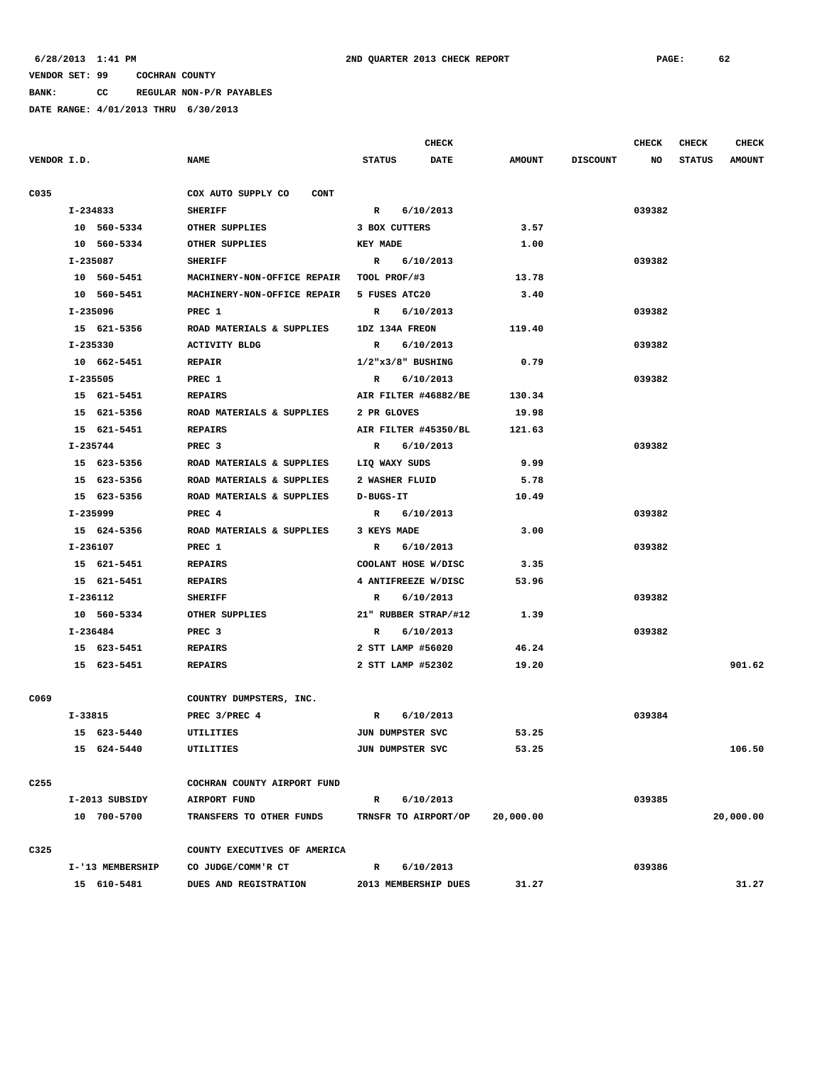**BANK: CC REGULAR NON-P/R PAYABLES**

|                  |                  |                                   | <b>CHECK</b>              |               |                 | <b>CHECK</b> | <b>CHECK</b>  | <b>CHECK</b>  |
|------------------|------------------|-----------------------------------|---------------------------|---------------|-----------------|--------------|---------------|---------------|
| VENDOR I.D.      |                  | <b>NAME</b>                       | <b>STATUS</b><br>DATE     | <b>AMOUNT</b> | <b>DISCOUNT</b> | NO           | <b>STATUS</b> | <b>AMOUNT</b> |
| C035             |                  | COX AUTO SUPPLY CO<br><b>CONT</b> |                           |               |                 |              |               |               |
|                  | I-234833         | <b>SHERIFF</b>                    | $\mathbb{R}$<br>6/10/2013 |               |                 | 039382       |               |               |
|                  | 10 560-5334      | OTHER SUPPLIES                    | 3 BOX CUTTERS             | 3.57          |                 |              |               |               |
|                  | 10 560-5334      | OTHER SUPPLIES                    | <b>KEY MADE</b>           | 1.00          |                 |              |               |               |
|                  | I-235087         | <b>SHERIFF</b>                    | 6/10/2013<br>R            |               |                 | 039382       |               |               |
|                  | 10 560-5451      | MACHINERY-NON-OFFICE REPAIR       | TOOL PROF/#3              | 13.78         |                 |              |               |               |
|                  | 10 560-5451      | MACHINERY-NON-OFFICE REPAIR       | 5 FUSES ATC20             | 3.40          |                 |              |               |               |
|                  | I-235096         | PREC 1                            | R<br>6/10/2013            |               |                 | 039382       |               |               |
|                  | 15 621-5356      | ROAD MATERIALS & SUPPLIES         | 1DZ 134A FREON            | 119.40        |                 |              |               |               |
|                  | I-235330         | <b>ACTIVITY BLDG</b>              | R<br>6/10/2013            |               |                 | 039382       |               |               |
|                  | 10 662-5451      | <b>REPAIR</b>                     | $1/2$ "x $3/8$ " BUSHING  | 0.79          |                 |              |               |               |
|                  | I-235505         | PREC 1                            | 6/10/2013<br>R            |               |                 | 039382       |               |               |
|                  | 15 621-5451      | <b>REPAIRS</b>                    | AIR FILTER #46882/BE      | 130.34        |                 |              |               |               |
|                  | 15 621-5356      | ROAD MATERIALS & SUPPLIES         | 2 PR GLOVES               | 19.98         |                 |              |               |               |
|                  | 15 621-5451      | <b>REPAIRS</b>                    | AIR FILTER #45350/BL      | 121.63        |                 |              |               |               |
|                  | I-235744         | PREC <sub>3</sub>                 | 6/10/2013<br>R            |               |                 | 039382       |               |               |
|                  | 15 623-5356      | ROAD MATERIALS & SUPPLIES         | LIQ WAXY SUDS             | 9.99          |                 |              |               |               |
|                  | 15 623-5356      | ROAD MATERIALS & SUPPLIES         | 2 WASHER FLUID            | 5.78          |                 |              |               |               |
|                  | 15 623-5356      | ROAD MATERIALS & SUPPLIES         | D-BUGS-IT                 | 10.49         |                 |              |               |               |
|                  | I-235999         | PREC 4                            | R<br>6/10/2013            |               |                 | 039382       |               |               |
|                  | 15 624-5356      | ROAD MATERIALS & SUPPLIES         | 3 KEYS MADE               | 3.00          |                 |              |               |               |
|                  | I-236107         | PREC 1                            | 6/10/2013<br>R            |               |                 | 039382       |               |               |
|                  | 15 621-5451      | <b>REPAIRS</b>                    | COOLANT HOSE W/DISC       | 3.35          |                 |              |               |               |
|                  | 15 621-5451      | <b>REPAIRS</b>                    | 4 ANTIFREEZE W/DISC       | 53.96         |                 |              |               |               |
|                  | I-236112         | <b>SHERIFF</b>                    | 6/10/2013<br>R            |               |                 | 039382       |               |               |
|                  | 10 560-5334      | OTHER SUPPLIES                    | 21" RUBBER STRAP/#12      | 1.39          |                 |              |               |               |
|                  | I-236484         | PREC <sub>3</sub>                 | 6/10/2013<br>R            |               |                 | 039382       |               |               |
|                  | 15 623-5451      | <b>REPAIRS</b>                    | 2 STT LAMP #56020         | 46.24         |                 |              |               |               |
|                  | 15 623-5451      | <b>REPAIRS</b>                    | 2 STT LAMP #52302         | 19.20         |                 |              |               | 901.62        |
| C069             |                  | COUNTRY DUMPSTERS, INC.           |                           |               |                 |              |               |               |
|                  | I-33815          | PREC 3/PREC 4                     | R<br>6/10/2013            |               |                 | 039384       |               |               |
|                  | 15 623-5440      | UTILITIES                         | JUN DUMPSTER SVC          | 53.25         |                 |              |               |               |
|                  | 15 624-5440      | UTILITIES                         | JUN DUMPSTER SVC          | 53.25         |                 |              |               | 106.50        |
| C <sub>255</sub> |                  | COCHRAN COUNTY AIRPORT FUND       |                           |               |                 |              |               |               |
|                  | I-2013 SUBSIDY   | AIRPORT FUND                      | R 6/10/2013               |               |                 | 039385       |               |               |
|                  | 10 700-5700      | TRANSFERS TO OTHER FUNDS          | TRNSFR TO AIRPORT/OP      | 20,000.00     |                 |              |               | 20,000.00     |
| C325             |                  | COUNTY EXECUTIVES OF AMERICA      |                           |               |                 |              |               |               |
|                  | I-'13 MEMBERSHIP | CO JUDGE/COMM'R CT                | R 6/10/2013               |               |                 | 039386       |               |               |
|                  | 15 610-5481      | DUES AND REGISTRATION             | 2013 MEMBERSHIP DUES      | 31.27         |                 |              |               | 31.27         |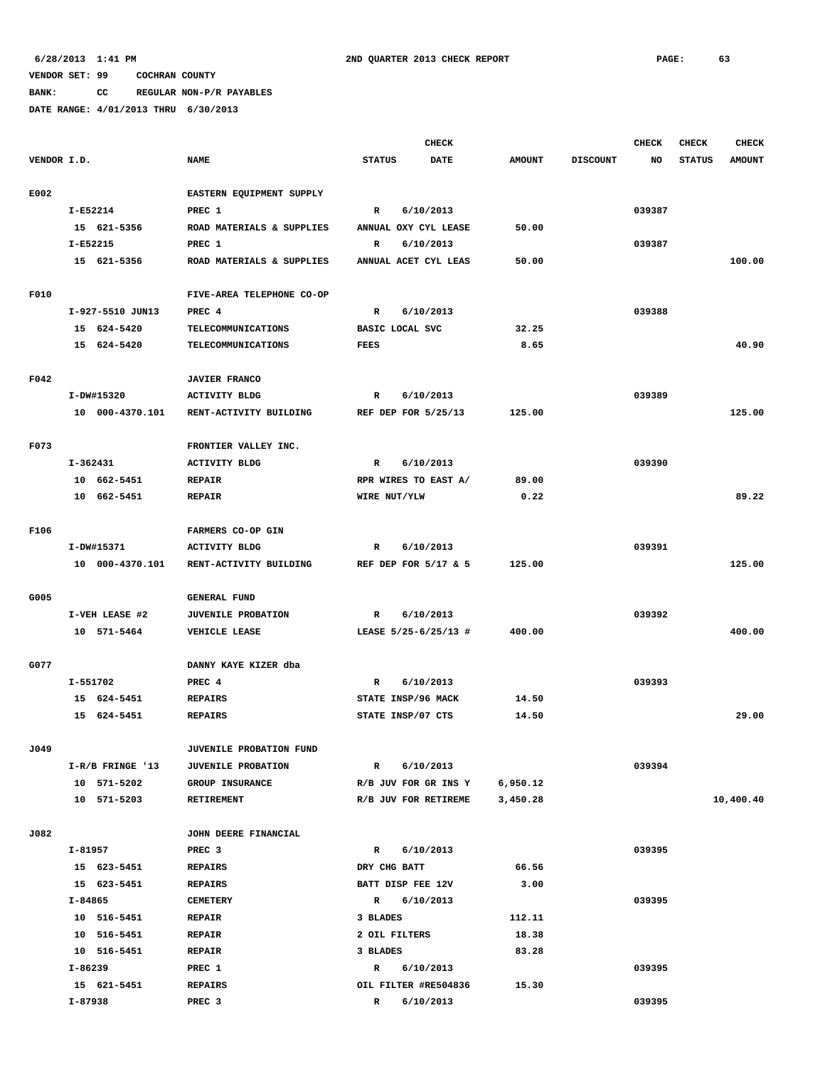**BANK: CC REGULAR NON-P/R PAYABLES**

|             |                  |                           |                      | <b>CHECK</b> |               |                 | <b>CHECK</b> | <b>CHECK</b>  | <b>CHECK</b>  |
|-------------|------------------|---------------------------|----------------------|--------------|---------------|-----------------|--------------|---------------|---------------|
| VENDOR I.D. |                  | <b>NAME</b>               | <b>STATUS</b>        | <b>DATE</b>  | <b>AMOUNT</b> | <b>DISCOUNT</b> | NO           | <b>STATUS</b> | <b>AMOUNT</b> |
| E002        |                  | EASTERN EQUIPMENT SUPPLY  |                      |              |               |                 |              |               |               |
|             | I-E52214         | PREC 1                    | $\mathbb{R}$         | 6/10/2013    |               |                 | 039387       |               |               |
|             | 15 621-5356      | ROAD MATERIALS & SUPPLIES | ANNUAL OXY CYL LEASE |              | 50.00         |                 |              |               |               |
|             | I-E52215         | PREC 1                    | $\mathbb R$          | 6/10/2013    |               |                 | 039387       |               |               |
|             | 15 621-5356      | ROAD MATERIALS & SUPPLIES | ANNUAL ACET CYL LEAS |              | 50.00         |                 |              |               | 100.00        |
|             |                  |                           |                      |              |               |                 |              |               |               |
| F010        |                  | FIVE-AREA TELEPHONE CO-OP |                      |              |               |                 |              |               |               |
|             | I-927-5510 JUN13 | PREC 4                    | $\mathbb{R}$         | 6/10/2013    |               |                 | 039388       |               |               |
|             | 15 624-5420      | TELECOMMUNICATIONS        | BASIC LOCAL SVC      |              | 32.25         |                 |              |               |               |
|             | 15 624-5420      | <b>TELECOMMUNICATIONS</b> | <b>FEES</b>          |              | 8.65          |                 |              |               | 40.90         |
|             |                  |                           |                      |              |               |                 |              |               |               |
| F042        |                  | <b>JAVIER FRANCO</b>      |                      |              |               |                 |              |               |               |
|             | I-DW#15320       | <b>ACTIVITY BLDG</b>      | R                    | 6/10/2013    |               |                 | 039389       |               |               |
|             | 10 000-4370.101  | RENT-ACTIVITY BUILDING    | REF DEP FOR 5/25/13  |              | 125.00        |                 |              |               | 125.00        |
|             |                  |                           |                      |              |               |                 |              |               |               |
| F073        |                  | FRONTIER VALLEY INC.      |                      |              |               |                 |              |               |               |
|             | $I-362431$       | <b>ACTIVITY BLDG</b>      | $\mathbb{R}$         | 6/10/2013    |               |                 | 039390       |               |               |
|             | 10 662-5451      | <b>REPAIR</b>             | RPR WIRES TO EAST A/ |              | 89.00         |                 |              |               |               |
|             | 10 662-5451      | <b>REPAIR</b>             | WIRE NUT/YLW         |              | 0.22          |                 |              |               | 89.22         |
| F106        |                  | FARMERS CO-OP GIN         |                      |              |               |                 |              |               |               |
|             | I-DW#15371       | <b>ACTIVITY BLDG</b>      | $\mathbb{R}$         | 6/10/2013    |               |                 | 039391       |               |               |
|             | 10 000-4370.101  | RENT-ACTIVITY BUILDING    | REF DEP FOR 5/17 & 5 |              | 125.00        |                 |              |               | 125.00        |
|             |                  |                           |                      |              |               |                 |              |               |               |
| G005        |                  | <b>GENERAL FUND</b>       |                      |              |               |                 |              |               |               |
|             | I-VEH LEASE #2   | <b>JUVENILE PROBATION</b> | $\mathbb{R}$         | 6/10/2013    |               |                 | 039392       |               |               |
|             | 10 571-5464      | VEHICLE LEASE             | LEASE 5/25-6/25/13 # |              | 400.00        |                 |              |               | 400.00        |
| G077        |                  | DANNY KAYE KIZER dba      |                      |              |               |                 |              |               |               |
|             | I-551702         | PREC 4                    | R                    | 6/10/2013    |               |                 | 039393       |               |               |
|             | 15 624-5451      | <b>REPAIRS</b>            | STATE INSP/96 MACK   |              | 14.50         |                 |              |               |               |
|             | 15 624-5451      | <b>REPAIRS</b>            | STATE INSP/07 CTS    |              | 14.50         |                 |              |               | 29.00         |
|             |                  |                           |                      |              |               |                 |              |               |               |
| J049        |                  | JUVENILE PROBATION FUND   |                      |              |               |                 |              |               |               |
|             | I-R/B FRINGE '13 | <b>JUVENILE PROBATION</b> | $\mathbf R$          | 6/10/2013    |               |                 | 039394       |               |               |
|             | 10 571-5202      | GROUP INSURANCE           | R/B JUV FOR GR INS Y |              | 6,950.12      |                 |              |               |               |
|             | 10 571-5203      | <b>RETIREMENT</b>         | R/B JUV FOR RETIREME |              | 3,450.28      |                 |              |               | 10,400.40     |
|             |                  |                           |                      |              |               |                 |              |               |               |
| J082        |                  | JOHN DEERE FINANCIAL      |                      |              |               |                 |              |               |               |
|             | I-81957          | PREC <sub>3</sub>         | $\mathbb{R}$         | 6/10/2013    |               |                 | 039395       |               |               |
|             | 15 623-5451      | <b>REPAIRS</b>            | DRY CHG BATT         |              | 66.56         |                 |              |               |               |
|             | 15 623-5451      | <b>REPAIRS</b>            | BATT DISP FEE 12V    |              | 3.00          |                 |              |               |               |
|             | I-84865          | <b>CEMETERY</b>           | $\mathbb{R}$         | 6/10/2013    |               |                 | 039395       |               |               |
|             | 10 516-5451      | <b>REPAIR</b>             | 3 BLADES             |              | 112.11        |                 |              |               |               |
|             | 10 516-5451      | <b>REPAIR</b>             | 2 OIL FILTERS        |              | 18.38         |                 |              |               |               |
|             | 10 516-5451      | <b>REPAIR</b>             | 3 BLADES             |              | 83.28         |                 |              |               |               |
|             | I-86239          | PREC 1                    | R                    | 6/10/2013    |               |                 | 039395       |               |               |
|             | 15 621-5451      | <b>REPAIRS</b>            | OIL FILTER #RE504836 |              | 15.30         |                 |              |               |               |
|             | I-87938          | PREC <sub>3</sub>         | $\mathbb{R}$         | 6/10/2013    |               |                 | 039395       |               |               |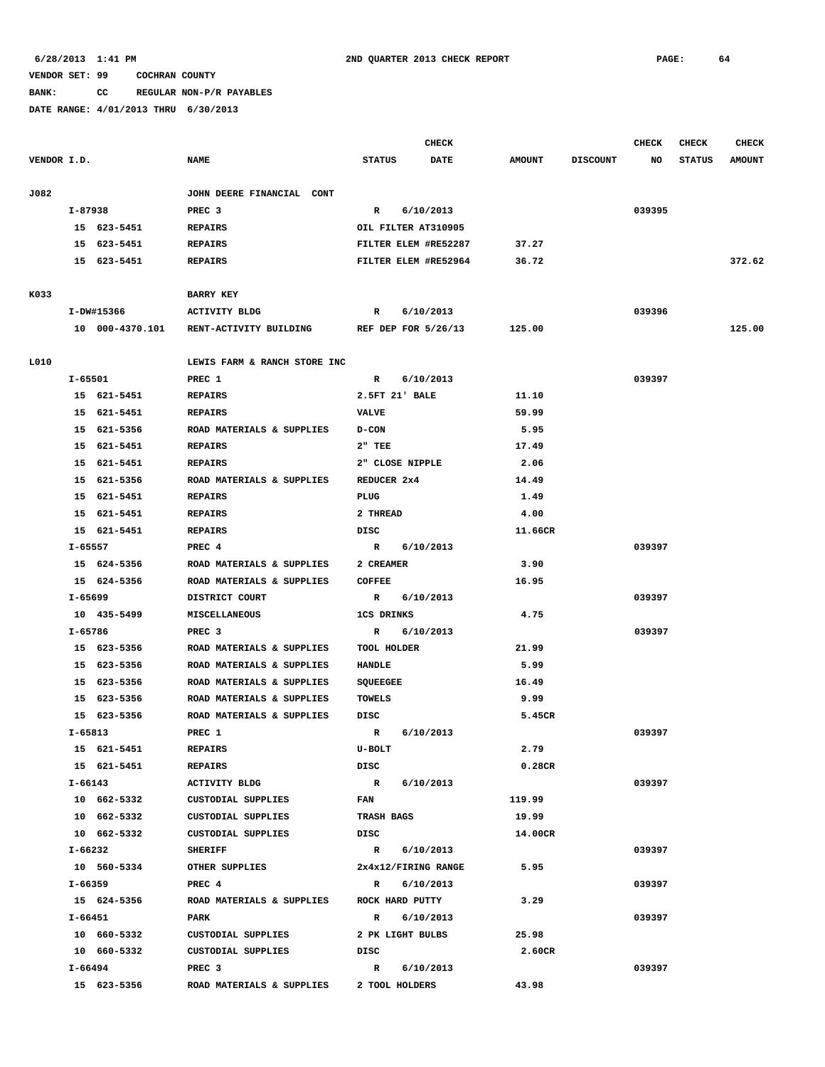**BANK: CC REGULAR NON-P/R PAYABLES**

|             |             |                 |                              |                     | <b>CHECK</b>         |               |                 | <b>CHECK</b> | <b>CHECK</b>  | <b>CHECK</b>  |
|-------------|-------------|-----------------|------------------------------|---------------------|----------------------|---------------|-----------------|--------------|---------------|---------------|
| VENDOR I.D. |             |                 | <b>NAME</b>                  | <b>STATUS</b>       | DATE                 | <b>AMOUNT</b> | <b>DISCOUNT</b> | NO           | <b>STATUS</b> | <b>AMOUNT</b> |
| J082        |             |                 | JOHN DEERE FINANCIAL CONT    |                     |                      |               |                 |              |               |               |
|             | I-87938     |                 | PREC <sub>3</sub>            | R                   | 6/10/2013            |               |                 | 039395       |               |               |
|             |             | 15 623-5451     | <b>REPAIRS</b>               | OIL FILTER AT310905 |                      |               |                 |              |               |               |
|             |             | 15 623-5451     | <b>REPAIRS</b>               |                     | FILTER ELEM #RE52287 | 37.27         |                 |              |               |               |
|             |             | 15 623-5451     | <b>REPAIRS</b>               |                     | FILTER ELEM #RE52964 | 36.72         |                 |              |               | 372.62        |
|             |             |                 |                              |                     |                      |               |                 |              |               |               |
| K033        |             |                 | <b>BARRY KEY</b>             |                     |                      |               |                 |              |               |               |
|             |             | I-DW#15366      | <b>ACTIVITY BLDG</b>         | R                   | 6/10/2013            |               |                 | 039396       |               |               |
|             |             | 10 000-4370.101 | RENT-ACTIVITY BUILDING       |                     | REF DEP FOR 5/26/13  | 125.00        |                 |              |               | 125.00        |
| L010        |             |                 | LEWIS FARM & RANCH STORE INC |                     |                      |               |                 |              |               |               |
|             | $I - 65501$ |                 | PREC 1                       | R                   | 6/10/2013            |               |                 | 039397       |               |               |
|             |             | 15 621-5451     | <b>REPAIRS</b>               | 2.5FT 21' BALE      |                      | 11.10         |                 |              |               |               |
|             |             | 15 621-5451     | <b>REPAIRS</b>               | <b>VALVE</b>        |                      | 59.99         |                 |              |               |               |
|             |             |                 | ROAD MATERIALS & SUPPLIES    |                     |                      |               |                 |              |               |               |
|             |             | 15 621-5356     |                              | <b>D-CON</b>        |                      | 5.95          |                 |              |               |               |
|             |             | 15 621-5451     | <b>REPAIRS</b>               | $2"$ TEE            |                      | 17.49         |                 |              |               |               |
|             |             | 15 621-5451     | <b>REPAIRS</b>               | 2" CLOSE NIPPLE     |                      | 2.06          |                 |              |               |               |
|             |             | 15 621-5356     | ROAD MATERIALS & SUPPLIES    | REDUCER 2x4         |                      | 14.49         |                 |              |               |               |
|             |             | 15 621-5451     | <b>REPAIRS</b>               | PLUG                |                      | 1.49          |                 |              |               |               |
|             |             | 15 621-5451     | <b>REPAIRS</b>               | 2 THREAD            |                      | 4.00          |                 |              |               |               |
|             |             | 15 621-5451     | <b>REPAIRS</b>               | DISC                |                      | 11.66CR       |                 |              |               |               |
|             | I-65557     |                 | PREC 4                       | $\mathbb{R}$        | 6/10/2013            |               |                 | 039397       |               |               |
|             |             | 15 624-5356     | ROAD MATERIALS & SUPPLIES    | 2 CREAMER           |                      | 3.90          |                 |              |               |               |
|             |             | 15 624-5356     | ROAD MATERIALS & SUPPLIES    | <b>COFFEE</b>       |                      | 16.95         |                 |              |               |               |
|             | I-65699     |                 | DISTRICT COURT               | $\mathbf R$         | 6/10/2013            |               |                 | 039397       |               |               |
|             |             | 10 435-5499     | MISCELLANEOUS                | <b>1CS DRINKS</b>   |                      | 4.75          |                 |              |               |               |
|             | I-65786     |                 | PREC <sub>3</sub>            | R                   | 6/10/2013            |               |                 | 039397       |               |               |
|             |             | 15 623-5356     | ROAD MATERIALS & SUPPLIES    | TOOL HOLDER         |                      | 21.99         |                 |              |               |               |
|             |             | 15 623-5356     | ROAD MATERIALS & SUPPLIES    | HANDLE              |                      | 5.99          |                 |              |               |               |
|             |             | 15 623-5356     | ROAD MATERIALS & SUPPLIES    | SQUEEGEE            |                      | 16.49         |                 |              |               |               |
|             |             | 15 623-5356     | ROAD MATERIALS & SUPPLIES    | TOWELS              |                      | 9.99          |                 |              |               |               |
|             |             | 15 623-5356     | ROAD MATERIALS & SUPPLIES    | DISC                |                      | 5.45CR        |                 |              |               |               |
|             | $I - 65813$ |                 | PREC 1                       | R                   | 6/10/2013            |               |                 | 039397       |               |               |
|             |             | 15 621-5451     | <b>REPAIRS</b>               | U-BOLT              |                      | 2.79          |                 |              |               |               |
|             |             | 15 621-5451     | <b>REPAIRS</b>               | DISC                |                      | 0.28CR        |                 |              |               |               |
|             |             | I-66143         | ACTIVITY BLDG                | R 6/10/2013         |                      |               |                 | 039397       |               |               |
|             |             | 10 662-5332     | CUSTODIAL SUPPLIES           | <b>FAN</b>          |                      | 119.99        |                 |              |               |               |
|             |             | 10 662-5332     | CUSTODIAL SUPPLIES           | <b>TRASH BAGS</b>   |                      | 19.99         |                 |              |               |               |
|             |             | 10 662-5332     | CUSTODIAL SUPPLIES           | DISC                |                      | 14.00CR       |                 |              |               |               |
|             | I-66232     |                 | <b>SHERIFF</b>               | R 6/10/2013         |                      |               |                 | 039397       |               |               |
|             |             | 10 560-5334     | OTHER SUPPLIES               |                     | 2x4x12/FIRING RANGE  | 5.95          |                 |              |               |               |
|             | I-66359     |                 | PREC 4                       | $\mathbb{R}$        | 6/10/2013            |               |                 | 039397       |               |               |
|             |             | 15 624-5356     | ROAD MATERIALS & SUPPLIES    | ROCK HARD PUTTY     |                      | 3.29          |                 |              |               |               |
|             | I-66451     |                 | PARK                         | $\mathbb{R}$        | 6/10/2013            |               |                 | 039397       |               |               |
|             |             | 10 660-5332     | CUSTODIAL SUPPLIES           | 2 PK LIGHT BULBS    |                      | 25.98         |                 |              |               |               |
|             |             | 10 660-5332     | CUSTODIAL SUPPLIES           | DISC                |                      | 2.60CR        |                 |              |               |               |
|             | I-66494     |                 | PREC <sub>3</sub>            | $\mathbf{R}$        | 6/10/2013            |               |                 | 039397       |               |               |
|             |             | 15 623-5356     | ROAD MATERIALS & SUPPLIES    | 2 TOOL HOLDERS      |                      | 43.98         |                 |              |               |               |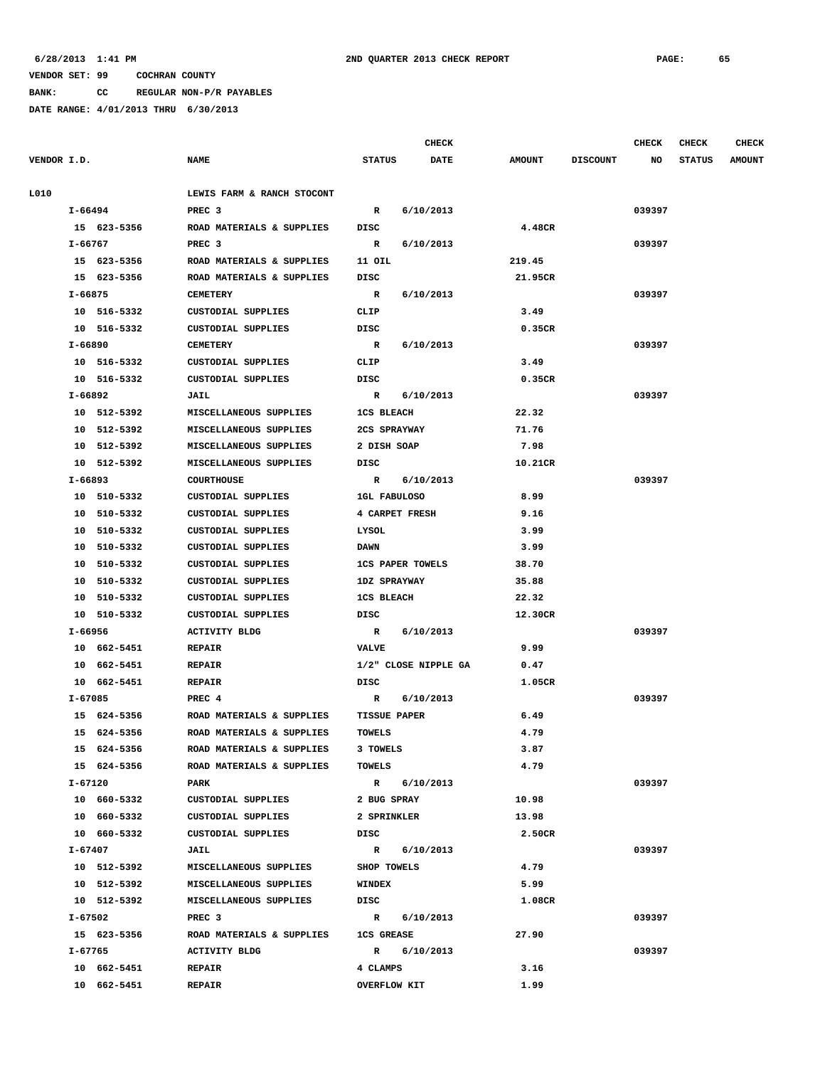**BANK: CC REGULAR NON-P/R PAYABLES**

|             |         |             |                            |                     | <b>CHECK</b>            |               |                 | <b>CHECK</b> | <b>CHECK</b>  | <b>CHECK</b>  |
|-------------|---------|-------------|----------------------------|---------------------|-------------------------|---------------|-----------------|--------------|---------------|---------------|
| VENDOR I.D. |         |             | <b>NAME</b>                | <b>STATUS</b>       | <b>DATE</b>             | <b>AMOUNT</b> | <b>DISCOUNT</b> | NO           | <b>STATUS</b> | <b>AMOUNT</b> |
| L010        |         |             | LEWIS FARM & RANCH STOCONT |                     |                         |               |                 |              |               |               |
|             | I-66494 |             | PREC <sub>3</sub>          | R                   | 6/10/2013               |               |                 | 039397       |               |               |
|             |         | 15 623-5356 | ROAD MATERIALS & SUPPLIES  | DISC                |                         | 4.48CR        |                 |              |               |               |
|             | I-66767 |             | PREC <sub>3</sub>          | R                   | 6/10/2013               |               |                 | 039397       |               |               |
|             |         | 15 623-5356 | ROAD MATERIALS & SUPPLIES  | 11 OIL              |                         | 219.45        |                 |              |               |               |
|             |         | 15 623-5356 | ROAD MATERIALS & SUPPLIES  | DISC                |                         | 21.95CR       |                 |              |               |               |
|             | I-66875 |             | <b>CEMETERY</b>            | $\mathbb{R}$        | 6/10/2013               |               |                 | 039397       |               |               |
|             |         | 10 516-5332 | CUSTODIAL SUPPLIES         | CLIP                |                         | 3.49          |                 |              |               |               |
|             |         | 10 516-5332 | CUSTODIAL SUPPLIES         | DISC                |                         | 0.35CR        |                 |              |               |               |
|             | I-66890 |             | <b>CEMETERY</b>            | $\mathbb{R}$        | 6/10/2013               |               |                 | 039397       |               |               |
|             |         | 10 516-5332 | CUSTODIAL SUPPLIES         | CLIP                |                         | 3.49          |                 |              |               |               |
|             |         | 10 516-5332 | CUSTODIAL SUPPLIES         | DISC                |                         | 0.35CR        |                 |              |               |               |
|             | I-66892 |             | JAIL                       | $\mathbb{R}$        | 6/10/2013               |               |                 | 039397       |               |               |
|             |         | 10 512-5392 | MISCELLANEOUS SUPPLIES     | <b>1CS BLEACH</b>   |                         | 22.32         |                 |              |               |               |
|             |         | 10 512-5392 | MISCELLANEOUS SUPPLIES     | 2CS SPRAYWAY        |                         | 71.76         |                 |              |               |               |
|             |         | 10 512-5392 | MISCELLANEOUS SUPPLIES     | 2 DISH SOAP         |                         | 7.98          |                 |              |               |               |
|             |         | 10 512-5392 | MISCELLANEOUS SUPPLIES     | DISC                |                         | 10.21CR       |                 |              |               |               |
|             | I-66893 |             | COURTHOUSE                 |                     | R 6/10/2013             |               |                 | 039397       |               |               |
|             |         | 10 510-5332 | CUSTODIAL SUPPLIES         | 1GL FABULOSO        |                         | 8.99          |                 |              |               |               |
|             |         | 10 510-5332 | CUSTODIAL SUPPLIES         |                     | 4 CARPET FRESH          | 9.16          |                 |              |               |               |
|             |         | 10 510-5332 | CUSTODIAL SUPPLIES         | LYSOL               |                         | 3.99          |                 |              |               |               |
|             |         | 10 510-5332 | CUSTODIAL SUPPLIES         | <b>DAWN</b>         |                         | 3.99          |                 |              |               |               |
|             |         | 10 510-5332 | CUSTODIAL SUPPLIES         |                     | <b>1CS PAPER TOWELS</b> | 38.70         |                 |              |               |               |
|             |         | 10 510-5332 | CUSTODIAL SUPPLIES         | <b>1DZ SPRAYWAY</b> |                         | 35.88         |                 |              |               |               |
|             |         | 10 510-5332 | CUSTODIAL SUPPLIES         | <b>1CS BLEACH</b>   |                         | 22.32         |                 |              |               |               |
|             |         | 10 510-5332 | CUSTODIAL SUPPLIES         | DISC                |                         | 12.30CR       |                 |              |               |               |
|             | I-66956 |             | <b>ACTIVITY BLDG</b>       | $\mathbb{R}$        | 6/10/2013               |               |                 | 039397       |               |               |
|             |         | 10 662-5451 | <b>REPAIR</b>              | <b>VALVE</b>        |                         | 9.99          |                 |              |               |               |
|             |         | 10 662-5451 | <b>REPAIR</b>              |                     | 1/2" CLOSE NIPPLE GA    | 0.47          |                 |              |               |               |
|             |         | 10 662-5451 | <b>REPAIR</b>              | DISC                |                         | 1.05CR        |                 |              |               |               |
|             | I-67085 |             | PREC 4                     | R                   | 6/10/2013               |               |                 | 039397       |               |               |
|             |         | 15 624-5356 | ROAD MATERIALS & SUPPLIES  | <b>TISSUE PAPER</b> |                         | 6.49          |                 |              |               |               |
|             |         | 15 624-5356 | ROAD MATERIALS & SUPPLIES  | <b>TOWELS</b>       |                         | 4.79          |                 |              |               |               |
|             |         | 15 624-5356 | ROAD MATERIALS & SUPPLIES  | 3 TOWELS            |                         | 3.87          |                 |              |               |               |
|             |         | 15 624-5356 | ROAD MATERIALS & SUPPLIES  | <b>TOWELS</b>       |                         | 4.79          |                 |              |               |               |
|             | I-67120 |             | PARK                       |                     | R 6/10/2013             |               |                 | 039397       |               |               |
|             |         | 10 660-5332 | CUSTODIAL SUPPLIES         | 2 BUG SPRAY         |                         | 10.98         |                 |              |               |               |
|             |         | 10 660-5332 | CUSTODIAL SUPPLIES         | 2 SPRINKLER         |                         | 13.98         |                 |              |               |               |
|             |         | 10 660-5332 | CUSTODIAL SUPPLIES         | DISC                |                         | 2.50CR        |                 |              |               |               |
|             | I-67407 |             | JAIL                       |                     | R 6/10/2013             |               |                 | 039397       |               |               |
|             |         | 10 512-5392 | MISCELLANEOUS SUPPLIES     | SHOP TOWELS         |                         | 4.79          |                 |              |               |               |
|             |         | 10 512-5392 | MISCELLANEOUS SUPPLIES     | WINDEX              |                         | 5.99          |                 |              |               |               |
|             |         | 10 512-5392 | MISCELLANEOUS SUPPLIES     | DISC                |                         | 1.08CR        |                 |              |               |               |
|             | I-67502 |             | PREC 3                     |                     | R 6/10/2013             |               |                 | 039397       |               |               |
|             |         | 15 623-5356 | ROAD MATERIALS & SUPPLIES  | <b>1CS GREASE</b>   |                         | 27.90         |                 |              |               |               |
|             | I-67765 |             | <b>ACTIVITY BLDG</b>       |                     | R 6/10/2013             |               |                 | 039397       |               |               |
|             |         | 10 662-5451 | <b>REPAIR</b>              | 4 CLAMPS            |                         | 3.16          |                 |              |               |               |
|             |         | 10 662-5451 | <b>REPAIR</b>              | <b>OVERFLOW KIT</b> |                         | 1.99          |                 |              |               |               |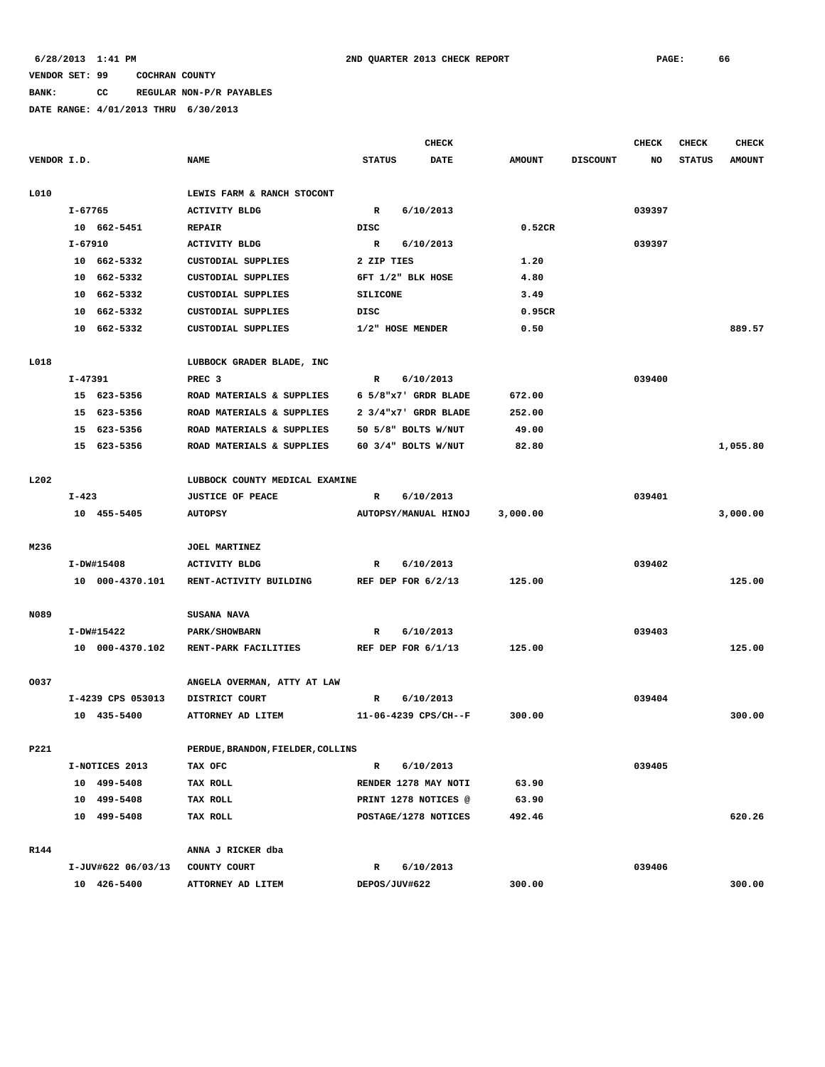# **BANK: CC REGULAR NON-P/R PAYABLES**

|             |             |                    |                                   |                  | <b>CHECK</b>         |               |                 | CHECK  | <b>CHECK</b>  | <b>CHECK</b>  |
|-------------|-------------|--------------------|-----------------------------------|------------------|----------------------|---------------|-----------------|--------|---------------|---------------|
| VENDOR I.D. |             |                    | <b>NAME</b>                       | <b>STATUS</b>    | <b>DATE</b>          | <b>AMOUNT</b> | <b>DISCOUNT</b> | NO     | <b>STATUS</b> | <b>AMOUNT</b> |
| L010        |             |                    | LEWIS FARM & RANCH STOCONT        |                  |                      |               |                 |        |               |               |
|             | I-67765     |                    | <b>ACTIVITY BLDG</b>              | $\mathbb{R}$     | 6/10/2013            |               |                 | 039397 |               |               |
|             |             | 10 662-5451        | <b>REPAIR</b>                     | DISC             |                      | 0.52CR        |                 |        |               |               |
|             | $I - 67910$ |                    | <b>ACTIVITY BLDG</b>              | R                | 6/10/2013            |               |                 | 039397 |               |               |
|             |             | 10 662-5332        | CUSTODIAL SUPPLIES                | 2 ZIP TIES       |                      | 1.20          |                 |        |               |               |
|             |             | 10 662-5332        | CUSTODIAL SUPPLIES                |                  | 6FT 1/2" BLK HOSE    | 4.80          |                 |        |               |               |
|             |             | 10 662-5332        | CUSTODIAL SUPPLIES                | <b>SILICONE</b>  |                      | 3.49          |                 |        |               |               |
|             | 10          | 662-5332           | CUSTODIAL SUPPLIES                | DISC             |                      | 0.95CR        |                 |        |               |               |
|             |             | 10 662-5332        | CUSTODIAL SUPPLIES                | 1/2" HOSE MENDER |                      | 0.50          |                 |        |               | 889.57        |
| L018        |             |                    | LUBBOCK GRADER BLADE, INC         |                  |                      |               |                 |        |               |               |
|             | I-47391     |                    | PREC <sub>3</sub>                 | R                | 6/10/2013            |               |                 | 039400 |               |               |
|             |             | 15 623-5356        | ROAD MATERIALS & SUPPLIES         |                  | 6 5/8"x7' GRDR BLADE | 672.00        |                 |        |               |               |
|             |             | 15 623-5356        | ROAD MATERIALS & SUPPLIES         |                  | 2 3/4"x7' GRDR BLADE | 252.00        |                 |        |               |               |
|             |             | 15 623-5356        | ROAD MATERIALS & SUPPLIES         |                  | 50 5/8" BOLTS W/NUT  | 49.00         |                 |        |               |               |
|             |             | 15 623-5356        | ROAD MATERIALS & SUPPLIES         |                  | 60 3/4" BOLTS W/NUT  | 82.80         |                 |        |               | 1,055.80      |
| L202        |             |                    | LUBBOCK COUNTY MEDICAL EXAMINE    |                  |                      |               |                 |        |               |               |
|             | $I - 423$   |                    | <b>JUSTICE OF PEACE</b>           | R                | 6/10/2013            |               |                 | 039401 |               |               |
|             |             | 10 455-5405        | <b>AUTOPSY</b>                    |                  | AUTOPSY/MANUAL HINOJ | 3,000.00      |                 |        |               | 3,000.00      |
| M236        |             |                    | JOEL MARTINEZ                     |                  |                      |               |                 |        |               |               |
|             |             | I-DW#15408         | <b>ACTIVITY BLDG</b>              | R                | 6/10/2013            |               |                 | 039402 |               |               |
|             |             | 10 000-4370.101    | RENT-ACTIVITY BUILDING            |                  | REF DEP FOR $6/2/13$ | 125.00        |                 |        |               | 125.00        |
| N089        |             |                    | <b>SUSANA NAVA</b>                |                  |                      |               |                 |        |               |               |
|             |             | I-DW#15422         | <b>PARK/SHOWBARN</b>              | R                | 6/10/2013            |               |                 | 039403 |               |               |
|             |             | 10 000-4370.102    | RENT-PARK FACILITIES              |                  | REF DEP FOR 6/1/13   | 125.00        |                 |        |               | 125.00        |
| 0037        |             |                    | ANGELA OVERMAN, ATTY AT LAW       |                  |                      |               |                 |        |               |               |
|             |             | I-4239 CPS 053013  | DISTRICT COURT                    | R                | 6/10/2013            |               |                 | 039404 |               |               |
|             |             | 10 435-5400        | ATTORNEY AD LITEM                 |                  | 11-06-4239 CPS/CH--F | 300.00        |                 |        |               | 300.00        |
| P221        |             |                    | PERDUE, BRANDON, FIELDER, COLLINS |                  |                      |               |                 |        |               |               |
|             |             | I-NOTICES 2013     | TAX OFC                           | R                | 6/10/2013            |               |                 | 039405 |               |               |
|             |             | 10 499-5408        | TAX ROLL                          |                  | RENDER 1278 MAY NOTI | 63.90         |                 |        |               |               |
|             |             | 10 499-5408        | TAX ROLL                          |                  | PRINT 1278 NOTICES @ | 63.90         |                 |        |               |               |
|             |             | 10 499-5408        | TAX ROLL                          |                  | POSTAGE/1278 NOTICES | 492.46        |                 |        |               | 620.26        |
|             |             |                    |                                   |                  |                      |               |                 |        |               |               |
| R144        |             |                    | ANNA J RICKER dba                 |                  |                      |               |                 |        |               |               |
|             |             | I-JUV#622 06/03/13 | COUNTY COURT                      | R                | 6/10/2013            |               |                 | 039406 |               |               |
|             |             | 10 426-5400        | ATTORNEY AD LITEM                 | DEPOS/JUV#622    |                      | 300.00        |                 |        |               | 300.00        |
|             |             |                    |                                   |                  |                      |               |                 |        |               |               |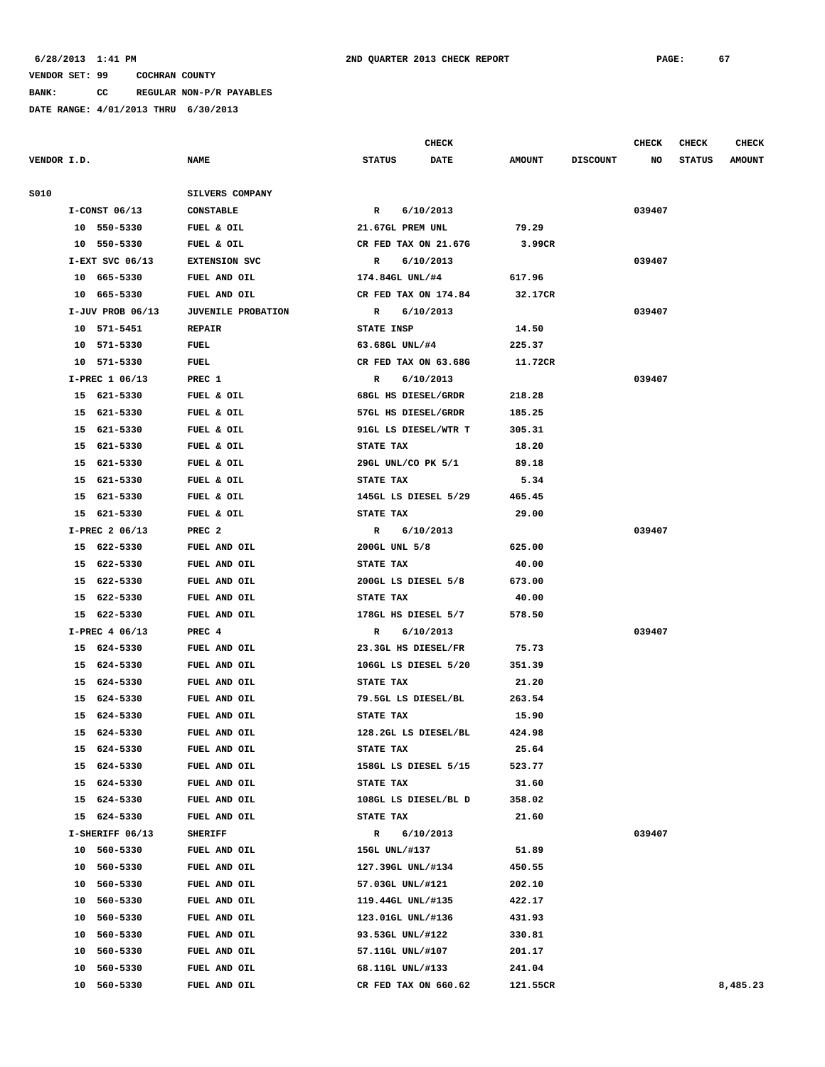**BANK: CC REGULAR NON-P/R PAYABLES**

**DATE RANGE: 4/01/2013 THRU 6/30/2013**

**CHECK CHECK CHECK CHECK** 

| VENDOR I.D. |                    | <b>NAME</b>               | <b>STATUS</b><br><b>DATE</b> | <b>AMOUNT</b> | <b>DISCOUNT</b> | NO     | <b>STATUS</b><br><b>AMOUNT</b> |
|-------------|--------------------|---------------------------|------------------------------|---------------|-----------------|--------|--------------------------------|
| S010        |                    | SILVERS COMPANY           |                              |               |                 |        |                                |
|             | $I-CONST$ 06/13    | <b>CONSTABLE</b>          | $\mathbb{R}$<br>6/10/2013    |               |                 | 039407 |                                |
|             | 10 550-5330        | FUEL & OIL                | 21.67GL PREM UNL             | 79.29         |                 |        |                                |
|             | 10 550-5330        | FUEL & OIL                | CR FED TAX ON 21.67G         | 3.99CR        |                 |        |                                |
|             | $I-EXT$ SVC 06/13  | EXTENSION SVC             | R 6/10/2013                  |               |                 | 039407 |                                |
|             | 10 665-5330        | FUEL AND OIL              | 174.84GL UNL/#4              | 617.96        |                 |        |                                |
|             | 10 665-5330        | FUEL AND OIL              | CR FED TAX ON 174.84         | 32.17CR       |                 |        |                                |
|             | $I-JUV$ PROB 06/13 | <b>JUVENILE PROBATION</b> | R 6/10/2013                  |               |                 | 039407 |                                |
|             | 10 571-5451        | <b>REPAIR</b>             | <b>STATE INSP</b>            | 14.50         |                 |        |                                |
|             | 10 571-5330        | FUEL                      | 63.68GL UNL/#4               | 225.37        |                 |        |                                |
|             | 10 571-5330        | FUEL                      | CR FED TAX ON 63.68G 11.72CR |               |                 |        |                                |
|             | I-PREC 1 06/13     | PREC 1                    | 6/10/2013<br>$\mathbf R$     |               |                 | 039407 |                                |
|             | 15 621-5330        | FUEL & OIL                | 68GL HS DIESEL/GRDR          | 218.28        |                 |        |                                |
|             | 15 621-5330        | FUEL & OIL                | 57GL HS DIESEL/GRDR          | 185.25        |                 |        |                                |
|             | 15 621-5330        | FUEL & OIL                | 91GL LS DIESEL/WTR T         | 305.31        |                 |        |                                |
|             | 15 621-5330        | FUEL & OIL                | <b>STATE TAX</b>             | 18.20         |                 |        |                                |
|             | 15 621-5330        | FUEL & OIL                | 29GL UNL/CO PK 5/1           | 89.18         |                 |        |                                |
|             | 15 621-5330        | FUEL & OIL                | <b>STATE TAX</b>             | 5.34          |                 |        |                                |
|             | 15 621-5330        | FUEL & OIL                | 145GL LS DIESEL 5/29         | 465.45        |                 |        |                                |
|             | 15 621-5330        | FUEL & OIL                | <b>STATE TAX</b>             | 29.00         |                 |        |                                |
|             | I-PREC 2 06/13     | PREC <sub>2</sub>         | R 6/10/2013                  |               |                 | 039407 |                                |
|             | 15 622-5330        | FUEL AND OIL              | 200GL UNL 5/8                | 625.00        |                 |        |                                |
|             | 15 622-5330        | FUEL AND OIL              | <b>STATE TAX</b>             | 40.00         |                 |        |                                |
|             | 15 622-5330        | FUEL AND OIL              | 200GL LS DIESEL 5/8          | 673.00        |                 |        |                                |
|             | 15 622-5330        | FUEL AND OIL              | <b>STATE TAX</b>             | 40.00         |                 |        |                                |
|             | 15 622-5330        | FUEL AND OIL              | 178GL HS DIESEL 5/7          | 578.50        |                 |        |                                |
|             | I-PREC 4 06/13     | PREC 4                    | R 6/10/2013                  |               |                 | 039407 |                                |
|             | 15 624-5330        | FUEL AND OIL              | 23.3GL HS DIESEL/FR          | 75.73         |                 |        |                                |
|             | 15 624-5330        | FUEL AND OIL              | 106GL LS DIESEL 5/20         | 351.39        |                 |        |                                |
|             | 15 624-5330        | FUEL AND OIL              | <b>STATE TAX</b>             | 21.20         |                 |        |                                |
|             | 15 624-5330        | FUEL AND OIL              | 79.5GL LS DIESEL/BL          | 263.54        |                 |        |                                |
|             | 15 624-5330        | FUEL AND OIL              | <b>STATE TAX</b>             | 15.90         |                 |        |                                |
|             | 15 624-5330        | FUEL AND OIL              | 128.2GL LS DIESEL/BL         | 424.98        |                 |        |                                |
|             | 15 624-5330        | FUEL AND OIL              | STATE TAX                    | 25.64         |                 |        |                                |
|             | 624-5330<br>15     | FUEL AND OIL              | 158GL LS DIESEL 5/15         | 523.77        |                 |        |                                |
|             | 624-5330<br>15     | FUEL AND OIL              | STATE TAX                    | 31.60         |                 |        |                                |
|             | 624-5330<br>15     | FUEL AND OIL              | 108GL LS DIESEL/BL D         | 358.02        |                 |        |                                |
|             | 15<br>624-5330     | FUEL AND OIL              | STATE TAX                    | 21.60         |                 |        |                                |
|             | I-SHERIFF 06/13    | <b>SHERIFF</b>            | 6/10/2013<br>R               |               |                 | 039407 |                                |
|             | 560-5330<br>10     | FUEL AND OIL              | 15GL UNL/#137                | 51.89         |                 |        |                                |
|             | 10<br>560-5330     | FUEL AND OIL              | 127.39GL UNL/#134            | 450.55        |                 |        |                                |
|             | 10<br>560-5330     | FUEL AND OIL              | 57.03GL UNL/#121             | 202.10        |                 |        |                                |
|             | 10 560-5330        | FUEL AND OIL              | 119.44GL UNL/#135            | 422.17        |                 |        |                                |
|             | 10<br>560-5330     | FUEL AND OIL              | 123.01GL UNL/#136            | 431.93        |                 |        |                                |
|             | 560-5330<br>10     | FUEL AND OIL              | 93.53GL UNL/#122             | 330.81        |                 |        |                                |
|             | 560-5330<br>10     | FUEL AND OIL              | 57.11GL UNL/#107             | 201.17        |                 |        |                                |
|             | 10<br>560-5330     | FUEL AND OIL              | 68.11GL UNL/#133             | 241.04        |                 |        |                                |
|             | 560-5330<br>10     | FUEL AND OIL              | CR FED TAX ON 660.62         | 121.55CR      |                 |        | 8,485.23                       |
|             |                    |                           |                              |               |                 |        |                                |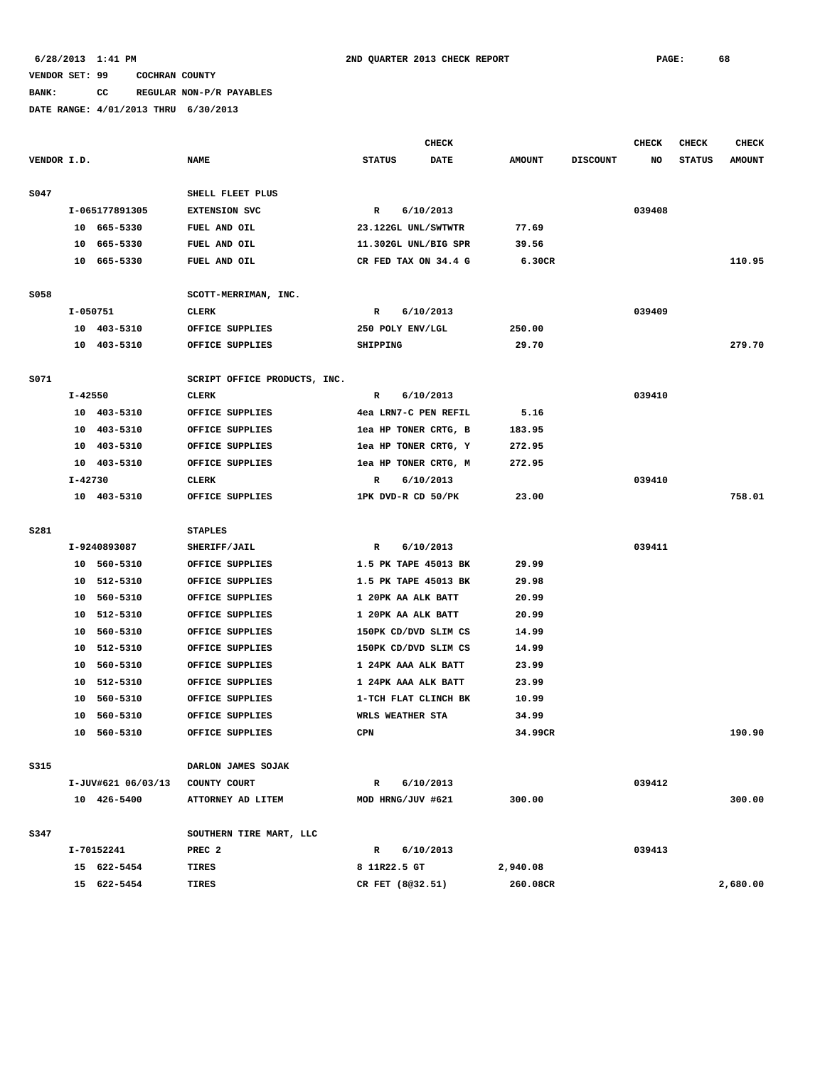# **BANK: CC REGULAR NON-P/R PAYABLES**

|             |          |                    | <b>CHECK</b>                 |                      |             |               |                 | <b>CHECK</b> | <b>CHECK</b>  | <b>CHECK</b>  |
|-------------|----------|--------------------|------------------------------|----------------------|-------------|---------------|-----------------|--------------|---------------|---------------|
| VENDOR I.D. |          |                    | <b>NAME</b>                  | <b>STATUS</b>        | <b>DATE</b> | <b>AMOUNT</b> | <b>DISCOUNT</b> | NO           | <b>STATUS</b> | <b>AMOUNT</b> |
| S047        |          |                    | SHELL FLEET PLUS             |                      |             |               |                 |              |               |               |
|             |          | I-065177891305     | <b>EXTENSION SVC</b>         | $\mathbb{R}$         | 6/10/2013   |               |                 | 039408       |               |               |
|             |          | 10 665-5330        | FUEL AND OIL                 | 23.122GL UNL/SWTWTR  |             | 77.69         |                 |              |               |               |
|             | 10       | 665-5330           | FUEL AND OIL                 | 11.302GL UNL/BIG SPR |             | 39.56         |                 |              |               |               |
|             | 10       | 665-5330           | FUEL AND OIL                 | CR FED TAX ON 34.4 G |             | 6.30CR        |                 |              |               | 110.95        |
| S058        |          |                    | SCOTT-MERRIMAN, INC.         |                      |             |               |                 |              |               |               |
|             | I-050751 |                    | <b>CLERK</b>                 | R                    | 6/10/2013   |               |                 | 039409       |               |               |
|             |          | 10 403-5310        | OFFICE SUPPLIES              | 250 POLY ENV/LGL     |             | 250.00        |                 |              |               |               |
|             |          | 10 403-5310        | OFFICE SUPPLIES              | SHIPPING             |             | 29.70         |                 |              |               | 279.70        |
| S071        |          |                    | SCRIPT OFFICE PRODUCTS, INC. |                      |             |               |                 |              |               |               |
|             | I-42550  |                    | CLERK                        | R                    | 6/10/2013   |               |                 | 039410       |               |               |
|             |          | 10 403-5310        | OFFICE SUPPLIES              | 4ea LRN7-C PEN REFIL |             | 5.16          |                 |              |               |               |
|             |          | 10 403-5310        | OFFICE SUPPLIES              | lea HP TONER CRTG, B |             | 183.95        |                 |              |               |               |
|             | 10       | 403-5310           | OFFICE SUPPLIES              | lea HP TONER CRTG, Y |             | 272.95        |                 |              |               |               |
|             | 10       | 403-5310           | OFFICE SUPPLIES              | lea HP TONER CRTG, M |             | 272.95        |                 |              |               |               |
|             | I-42730  |                    | <b>CLERK</b>                 | R                    | 6/10/2013   |               |                 | 039410       |               |               |
|             |          | 10 403-5310        | OFFICE SUPPLIES              | 1PK DVD-R CD 50/PK   |             | 23.00         |                 |              |               | 758.01        |
| <b>S281</b> |          |                    | <b>STAPLES</b>               |                      |             |               |                 |              |               |               |
|             |          | I-9240893087       | SHERIFF/JAIL                 | R                    | 6/10/2013   |               |                 | 039411       |               |               |
|             |          | 10 560-5310        | OFFICE SUPPLIES              | 1.5 PK TAPE 45013 BK |             | 29.99         |                 |              |               |               |
|             |          | 10 512-5310        | OFFICE SUPPLIES              | 1.5 PK TAPE 45013 BK |             | 29.98         |                 |              |               |               |
|             |          | 10 560-5310        | OFFICE SUPPLIES              | 1 20PK AA ALK BATT   |             | 20.99         |                 |              |               |               |
|             | 10       | 512-5310           | OFFICE SUPPLIES              | 1 20PK AA ALK BATT   |             | 20.99         |                 |              |               |               |
|             | 10       | 560-5310           | OFFICE SUPPLIES              | 150PK CD/DVD SLIM CS |             | 14.99         |                 |              |               |               |
|             | 10       | 512-5310           | OFFICE SUPPLIES              | 150PK CD/DVD SLIM CS |             | 14.99         |                 |              |               |               |
|             | 10       | 560-5310           | OFFICE SUPPLIES              | 1 24PK AAA ALK BATT  |             | 23.99         |                 |              |               |               |
|             | 10       | 512-5310           | OFFICE SUPPLIES              | 1 24PK AAA ALK BATT  |             | 23.99         |                 |              |               |               |
|             | 10       | 560-5310           | OFFICE SUPPLIES              | 1-TCH FLAT CLINCH BK |             | 10.99         |                 |              |               |               |
|             | 10       | 560-5310           | OFFICE SUPPLIES              | WRLS WEATHER STA     |             | 34.99         |                 |              |               |               |
|             |          | 10 560-5310        | OFFICE SUPPLIES              | CPN                  |             | 34.99CR       |                 |              |               | 190.90        |
| S315        |          |                    | DARLON JAMES SOJAK           |                      |             |               |                 |              |               |               |
|             |          | I-JUV#621 06/03/13 | COUNTY COURT                 | $\mathbb{R}$         | 6/10/2013   |               |                 | 039412       |               |               |
|             |          | 10 426-5400        | ATTORNEY AD LITEM            | MOD HRNG/JUV #621    |             | 300.00        |                 |              |               | 300.00        |
| S347        |          |                    | SOUTHERN TIRE MART, LLC      |                      |             |               |                 |              |               |               |
|             |          | I-70152241         | PREC <sub>2</sub>            | R                    | 6/10/2013   |               |                 | 039413       |               |               |
|             |          | 15 622-5454        | <b>TIRES</b>                 | 8 11R22.5 GT         |             | 2,940.08      |                 |              |               |               |
|             |          | 15 622-5454        | <b>TIRES</b>                 | CR FET (8032.51)     |             | 260.08CR      |                 |              |               | 2,680.00      |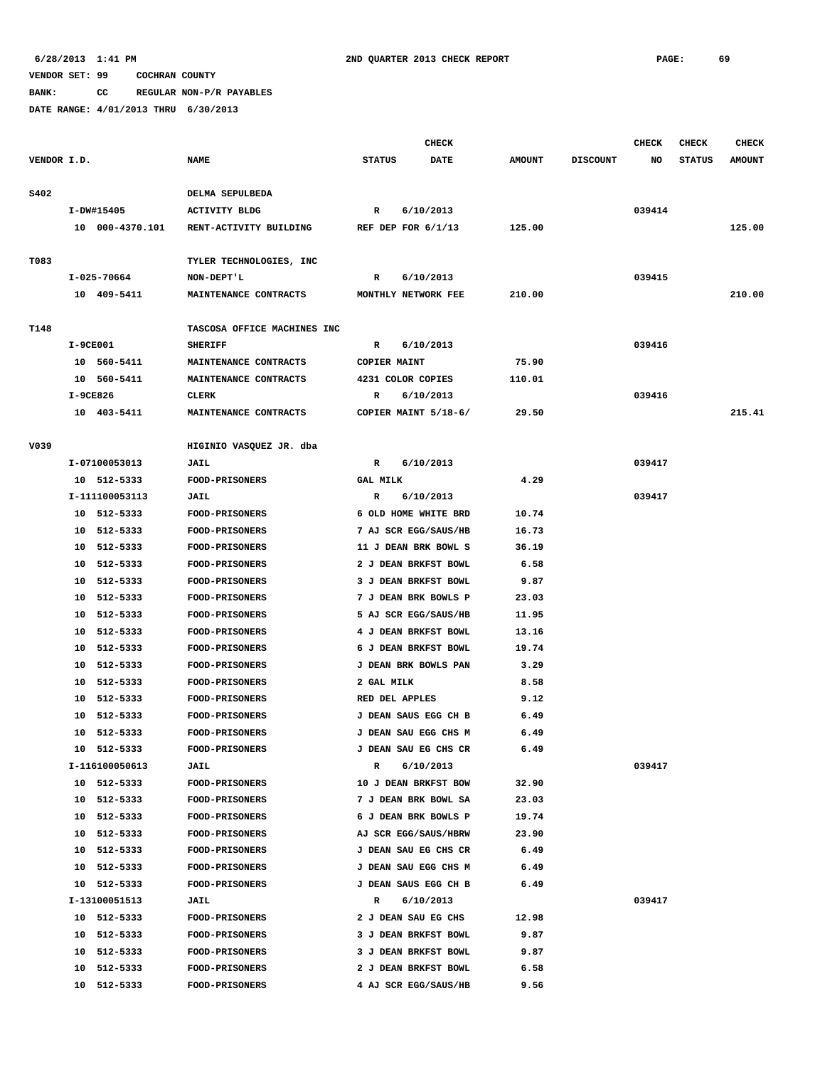**BANK: CC REGULAR NON-P/R PAYABLES**

|             |            |                 |                             |                 | <b>CHECK</b>         |               |                 | <b>CHECK</b> | <b>CHECK</b>  | <b>CHECK</b>  |
|-------------|------------|-----------------|-----------------------------|-----------------|----------------------|---------------|-----------------|--------------|---------------|---------------|
| VENDOR I.D. |            |                 | <b>NAME</b>                 | <b>STATUS</b>   | <b>DATE</b>          | <b>AMOUNT</b> | <b>DISCOUNT</b> | NO           | <b>STATUS</b> | <b>AMOUNT</b> |
| S402        |            |                 | DELMA SEPULBEDA             |                 |                      |               |                 |              |               |               |
|             | I-DW#15405 |                 | <b>ACTIVITY BLDG</b>        | $\mathbf{R}$    | 6/10/2013            |               |                 | 039414       |               |               |
|             |            | 10 000-4370.101 | RENT-ACTIVITY BUILDING      |                 | REF DEP FOR $6/1/13$ | 125.00        |                 |              |               | 125.00        |
|             |            |                 |                             |                 |                      |               |                 |              |               |               |
| T083        |            |                 | TYLER TECHNOLOGIES, INC     |                 |                      |               |                 |              |               |               |
|             |            | I-025-70664     | NON-DEPT'L                  | R               | 6/10/2013            |               |                 | 039415       |               |               |
|             |            | 10 409-5411     | MAINTENANCE CONTRACTS       |                 | MONTHLY NETWORK FEE  | 210.00        |                 |              |               | 210.00        |
| T148        |            |                 | TASCOSA OFFICE MACHINES INC |                 |                      |               |                 |              |               |               |
|             | I-9CE001   |                 | <b>SHERIFF</b>              | $\mathbb{R}$    | 6/10/2013            |               |                 | 039416       |               |               |
|             |            | 10 560-5411     | MAINTENANCE CONTRACTS       | COPIER MAINT    |                      | 75.90         |                 |              |               |               |
|             |            | 10 560-5411     | MAINTENANCE CONTRACTS       |                 | 4231 COLOR COPIES    | 110.01        |                 |              |               |               |
|             | I-9CE826   |                 | CLERK                       | R               | 6/10/2013            |               |                 | 039416       |               |               |
|             |            | 10 403-5411     | MAINTENANCE CONTRACTS       |                 | COPIER MAINT 5/18-6/ | 29.50         |                 |              |               | 215.41        |
|             |            |                 |                             |                 |                      |               |                 |              |               |               |
| V039        |            |                 | HIGINIO VASQUEZ JR. dba     |                 |                      |               |                 |              |               |               |
|             |            | I-07100053013   | <b>JAIL</b>                 | R               | 6/10/2013            |               |                 | 039417       |               |               |
|             |            | 10 512-5333     | <b>FOOD-PRISONERS</b>       | <b>GAL MILK</b> |                      | 4.29          |                 |              |               |               |
|             |            | I-111100053113  | JAIL                        | R               | 6/10/2013            |               |                 | 039417       |               |               |
|             |            | 10 512-5333     | FOOD-PRISONERS              |                 | 6 OLD HOME WHITE BRD | 10.74         |                 |              |               |               |
|             |            | 10 512-5333     | <b>FOOD-PRISONERS</b>       |                 | 7 AJ SCR EGG/SAUS/HB | 16.73         |                 |              |               |               |
|             |            | 10 512-5333     | <b>FOOD-PRISONERS</b>       |                 | 11 J DEAN BRK BOWL S | 36.19         |                 |              |               |               |
|             |            | 10 512-5333     | <b>FOOD-PRISONERS</b>       |                 | 2 J DEAN BRKFST BOWL | 6.58          |                 |              |               |               |
|             |            | 10 512-5333     | <b>FOOD-PRISONERS</b>       |                 | 3 J DEAN BRKFST BOWL | 9.87          |                 |              |               |               |
|             |            | 10 512-5333     | FOOD-PRISONERS              |                 | 7 J DEAN BRK BOWLS P | 23.03         |                 |              |               |               |
|             |            | 10 512-5333     | FOOD-PRISONERS              |                 | 5 AJ SCR EGG/SAUS/HB | 11.95         |                 |              |               |               |
|             | 10         | 512-5333        | <b>FOOD-PRISONERS</b>       |                 | 4 J DEAN BRKFST BOWL | 13.16         |                 |              |               |               |
|             | 10         | 512-5333        | <b>FOOD-PRISONERS</b>       |                 | 6 J DEAN BRKFST BOWL | 19.74         |                 |              |               |               |
|             | 10         | 512-5333        | <b>FOOD-PRISONERS</b>       |                 | J DEAN BRK BOWLS PAN | 3.29          |                 |              |               |               |
|             | 10         | 512-5333        | <b>FOOD-PRISONERS</b>       | 2 GAL MILK      |                      | 8.58          |                 |              |               |               |
|             | 10         | 512-5333        | <b>FOOD-PRISONERS</b>       | RED DEL APPLES  |                      | 9.12          |                 |              |               |               |
|             | 10         | 512-5333        | <b>FOOD-PRISONERS</b>       |                 | J DEAN SAUS EGG CH B | 6.49          |                 |              |               |               |
|             |            | 10 512-5333     | <b>FOOD-PRISONERS</b>       |                 | J DEAN SAU EGG CHS M | 6.49          |                 |              |               |               |
|             |            | 10 512-5333     | <b>FOOD-PRISONERS</b>       |                 | J DEAN SAU EG CHS CR | 6.49          |                 |              |               |               |
|             |            | I-116100050613  | <b>JAIL</b>                 | R               | 6/10/2013            |               |                 | 039417       |               |               |
|             |            | 10 512-5333     | <b>FOOD-PRISONERS</b>       |                 | 10 J DEAN BRKFST BOW | 32.90         |                 |              |               |               |
|             |            | 10 512-5333     | <b>FOOD-PRISONERS</b>       |                 | 7 J DEAN BRK BOWL SA | 23.03         |                 |              |               |               |
|             |            | 10 512-5333     | <b>FOOD-PRISONERS</b>       |                 | 6 J DEAN BRK BOWLS P | 19.74         |                 |              |               |               |
|             |            | 10 512-5333     | <b>FOOD-PRISONERS</b>       |                 | AJ SCR EGG/SAUS/HBRW | 23.90         |                 |              |               |               |
|             |            | 10 512-5333     | <b>FOOD-PRISONERS</b>       |                 | J DEAN SAU EG CHS CR | 6.49          |                 |              |               |               |
|             |            | 10 512-5333     | FOOD-PRISONERS              |                 | J DEAN SAU EGG CHS M | 6.49          |                 |              |               |               |
|             |            | 10 512-5333     | <b>FOOD-PRISONERS</b>       |                 | J DEAN SAUS EGG CH B | 6.49          |                 |              |               |               |
|             |            | I-13100051513   | JAIL                        | R               | 6/10/2013            |               |                 | 039417       |               |               |
|             |            | 10 512-5333     | <b>FOOD-PRISONERS</b>       |                 | 2 J DEAN SAU EG CHS  | 12.98         |                 |              |               |               |
|             |            | 10 512-5333     | <b>FOOD-PRISONERS</b>       |                 | 3 J DEAN BRKFST BOWL | 9.87          |                 |              |               |               |
|             |            | 10 512-5333     | FOOD-PRISONERS              |                 | 3 J DEAN BRKFST BOWL | 9.87          |                 |              |               |               |
|             | 10         | 512-5333        | <b>FOOD-PRISONERS</b>       |                 | 2 J DEAN BRKFST BOWL | 6.58          |                 |              |               |               |
|             | 10         | 512-5333        | <b>FOOD-PRISONERS</b>       |                 | 4 AJ SCR EGG/SAUS/HB | 9.56          |                 |              |               |               |
|             |            |                 |                             |                 |                      |               |                 |              |               |               |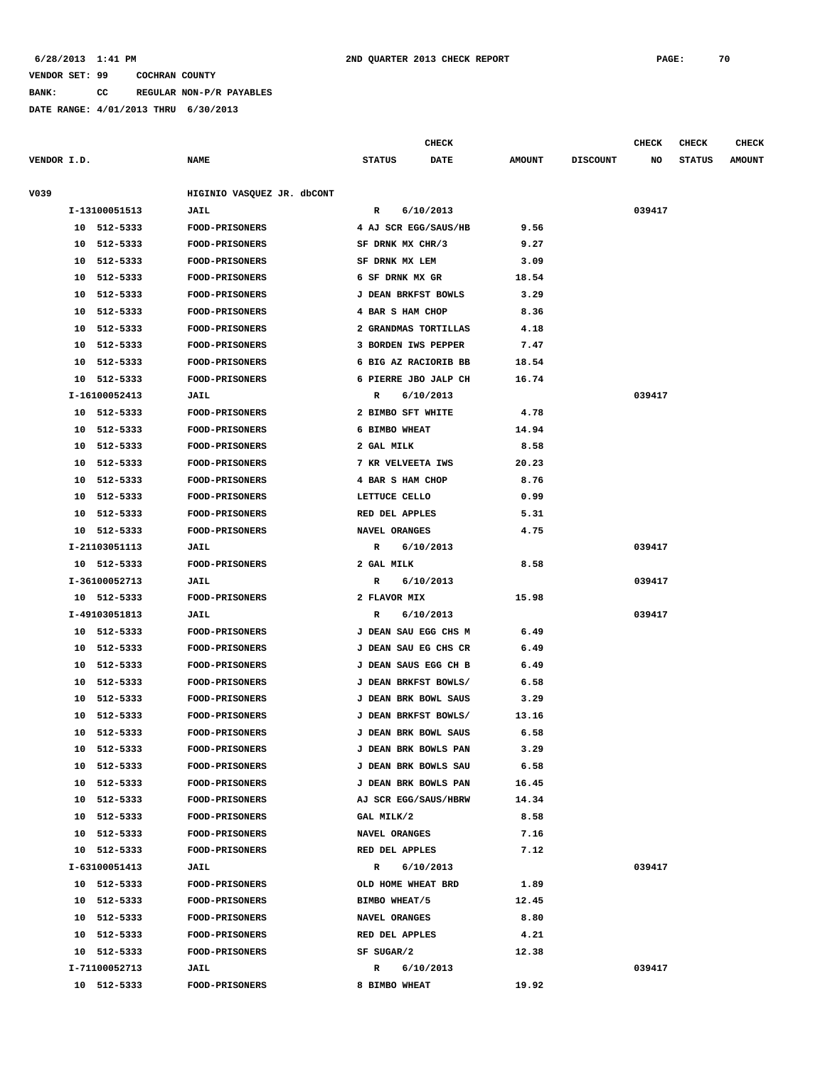**BANK: CC REGULAR NON-P/R PAYABLES**

|             |                |                            |                      | <b>CHECK</b> |               |                 | <b>CHECK</b> | <b>CHECK</b>  | <b>CHECK</b>  |
|-------------|----------------|----------------------------|----------------------|--------------|---------------|-----------------|--------------|---------------|---------------|
| VENDOR I.D. |                | <b>NAME</b>                | <b>STATUS</b>        | <b>DATE</b>  | <b>AMOUNT</b> | <b>DISCOUNT</b> | NO           | <b>STATUS</b> | <b>AMOUNT</b> |
|             |                |                            |                      |              |               |                 |              |               |               |
| V039        |                | HIGINIO VASQUEZ JR. dbCONT |                      |              |               |                 |              |               |               |
|             | I-13100051513  | JAIL                       | R                    | 6/10/2013    |               |                 | 039417       |               |               |
|             | 10 512-5333    | FOOD-PRISONERS             | 4 AJ SCR EGG/SAUS/HB |              | 9.56          |                 |              |               |               |
|             | 512-5333<br>10 | <b>FOOD-PRISONERS</b>      | SF DRNK MX CHR/3     |              | 9.27          |                 |              |               |               |
|             | 512-5333<br>10 | <b>FOOD-PRISONERS</b>      | SF DRNK MX LEM       |              | 3.09          |                 |              |               |               |
|             | 512-5333<br>10 | <b>FOOD-PRISONERS</b>      | 6 SF DRNK MX GR      |              | 18.54         |                 |              |               |               |
|             | 10<br>512-5333 | <b>FOOD-PRISONERS</b>      | J DEAN BRKFST BOWLS  |              | 3.29          |                 |              |               |               |
|             | 512-5333<br>10 | <b>FOOD-PRISONERS</b>      | 4 BAR S HAM CHOP     |              | 8.36          |                 |              |               |               |
|             | 512-5333<br>10 | <b>FOOD-PRISONERS</b>      | 2 GRANDMAS TORTILLAS |              | 4.18          |                 |              |               |               |
|             | 512-5333<br>10 | <b>FOOD-PRISONERS</b>      | 3 BORDEN IWS PEPPER  |              | 7.47          |                 |              |               |               |
|             | 512-5333<br>10 | FOOD-PRISONERS             | 6 BIG AZ RACIORIB BB |              | 18.54         |                 |              |               |               |
|             | 512-5333<br>10 | <b>FOOD-PRISONERS</b>      | 6 PIERRE JBO JALP CH |              | 16.74         |                 |              |               |               |
|             | I-16100052413  | <b>JAIL</b>                | R                    | 6/10/2013    |               |                 | 039417       |               |               |
|             | 512-5333<br>10 | FOOD-PRISONERS             | 2 BIMBO SFT WHITE    |              | 4.78          |                 |              |               |               |
|             | 512-5333<br>10 | <b>FOOD-PRISONERS</b>      | 6 BIMBO WHEAT        |              | 14.94         |                 |              |               |               |
|             | 512-5333<br>10 | <b>FOOD-PRISONERS</b>      | 2 GAL MILK           |              | 8.58          |                 |              |               |               |
|             | 512-5333<br>10 | FOOD-PRISONERS             | 7 KR VELVEETA IWS    |              | 20.23         |                 |              |               |               |
|             | 512-5333<br>10 | <b>FOOD-PRISONERS</b>      | 4 BAR S HAM CHOP     |              | 8.76          |                 |              |               |               |
|             | 10<br>512-5333 | <b>FOOD-PRISONERS</b>      | LETTUCE CELLO        |              | 0.99          |                 |              |               |               |
|             | 512-5333<br>10 | <b>FOOD-PRISONERS</b>      | RED DEL APPLES       |              | 5.31          |                 |              |               |               |
|             | 512-5333<br>10 | <b>FOOD-PRISONERS</b>      | NAVEL ORANGES        |              | 4.75          |                 |              |               |               |
|             | I-21103051113  | JAIL                       | R                    | 6/10/2013    |               |                 | 039417       |               |               |
|             | 10 512-5333    | <b>FOOD-PRISONERS</b>      | 2 GAL MILK           |              | 8.58          |                 |              |               |               |
|             | I-36100052713  | <b>JAIL</b>                | R                    | 6/10/2013    |               |                 | 039417       |               |               |
|             | 10 512-5333    | <b>FOOD-PRISONERS</b>      | 2 FLAVOR MIX         |              | 15.98         |                 |              |               |               |
|             | I-49103051813  | JAIL                       | R                    | 6/10/2013    |               |                 | 039417       |               |               |
|             | 10 512-5333    | <b>FOOD-PRISONERS</b>      | J DEAN SAU EGG CHS M |              | 6.49          |                 |              |               |               |
|             | 512-5333<br>10 | <b>FOOD-PRISONERS</b>      | J DEAN SAU EG CHS CR |              | 6.49          |                 |              |               |               |
|             | 512-5333<br>10 | <b>FOOD-PRISONERS</b>      | J DEAN SAUS EGG CH B |              | 6.49          |                 |              |               |               |
|             | 512-5333<br>10 | <b>FOOD-PRISONERS</b>      | J DEAN BRKFST BOWLS/ |              | 6.58          |                 |              |               |               |
|             | 10<br>512-5333 | <b>FOOD-PRISONERS</b>      | J DEAN BRK BOWL SAUS |              | 3.29          |                 |              |               |               |
|             | 512-5333<br>10 | FOOD-PRISONERS             | J DEAN BRKFST BOWLS/ |              | 13.16         |                 |              |               |               |
|             | 10<br>512-5333 | FOOD-PRISONERS             | J DEAN BRK BOWL SAUS |              | 6.58          |                 |              |               |               |
|             | 10 512-5333    | <b>FOOD-PRISONERS</b>      | J DEAN BRK BOWLS PAN |              | 3.29          |                 |              |               |               |
|             | 10 512-5333    | <b>FOOD-PRISONERS</b>      | J DEAN BRK BOWLS SAU |              | 6.58          |                 |              |               |               |
|             | 10 512-5333    | <b>FOOD-PRISONERS</b>      | J DEAN BRK BOWLS PAN |              | 16.45         |                 |              |               |               |
|             | 10 512-5333    | <b>FOOD-PRISONERS</b>      | AJ SCR EGG/SAUS/HBRW |              | 14.34         |                 |              |               |               |
|             | 10 512-5333    | FOOD-PRISONERS             | GAL MILK/2           |              | 8.58          |                 |              |               |               |
|             | 10 512-5333    | <b>FOOD-PRISONERS</b>      | <b>NAVEL ORANGES</b> |              | 7.16          |                 |              |               |               |
|             | 10 512-5333    | <b>FOOD-PRISONERS</b>      | RED DEL APPLES       |              | 7.12          |                 |              |               |               |
|             | I-63100051413  | <b>JAIL</b>                | $\mathbb{R}$         | 6/10/2013    |               |                 | 039417       |               |               |
|             | 10 512-5333    | <b>FOOD-PRISONERS</b>      | OLD HOME WHEAT BRD   |              | 1.89          |                 |              |               |               |
|             | 10 512-5333    | <b>FOOD-PRISONERS</b>      | BIMBO WHEAT/5        |              | 12.45         |                 |              |               |               |
|             | 10 512-5333    | <b>FOOD-PRISONERS</b>      | NAVEL ORANGES        |              | 8.80          |                 |              |               |               |
|             | 10 512-5333    | <b>FOOD-PRISONERS</b>      | RED DEL APPLES       |              | 4.21          |                 |              |               |               |
|             | 10 512-5333    | <b>FOOD-PRISONERS</b>      | SF SUGAR/2           |              | 12.38         |                 |              |               |               |
|             | I-71100052713  | JAIL                       | R 6/10/2013          |              |               |                 | 039417       |               |               |
|             | 10 512-5333    | <b>FOOD-PRISONERS</b>      | 8 BIMBO WHEAT        |              | 19.92         |                 |              |               |               |
|             |                |                            |                      |              |               |                 |              |               |               |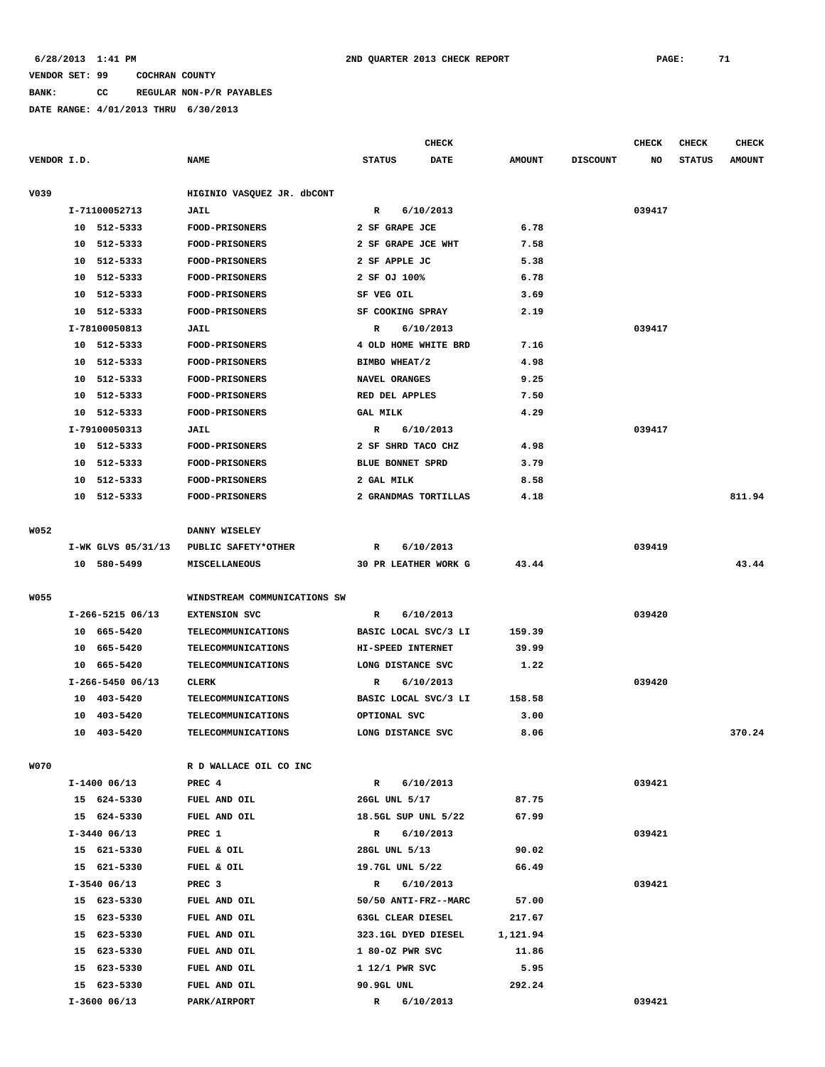# **BANK: CC REGULAR NON-P/R PAYABLES**

**DATE RANGE: 4/01/2013 THRU 6/30/2013**

|             |    |                    |                              |                      | CHECK     |               |                 | <b>CHECK</b> | CHECK         | <b>CHECK</b>  |
|-------------|----|--------------------|------------------------------|----------------------|-----------|---------------|-----------------|--------------|---------------|---------------|
| VENDOR I.D. |    |                    | <b>NAME</b>                  | <b>STATUS</b>        | DATE      | <b>AMOUNT</b> | <b>DISCOUNT</b> | NO           | <b>STATUS</b> | <b>AMOUNT</b> |
| V039        |    |                    | HIGINIO VASQUEZ JR. dbCONT   |                      |           |               |                 |              |               |               |
|             |    | I-71100052713      | <b>JAIL</b>                  | R                    | 6/10/2013 |               |                 | 039417       |               |               |
|             |    | 10 512-5333        | <b>FOOD-PRISONERS</b>        | 2 SF GRAPE JCE       |           | 6.78          |                 |              |               |               |
|             |    | 10 512-5333        | FOOD-PRISONERS               | 2 SF GRAPE JCE WHT   |           | 7.58          |                 |              |               |               |
|             | 10 | 512-5333           | <b>FOOD-PRISONERS</b>        | 2 SF APPLE JC        |           | 5.38          |                 |              |               |               |
|             | 10 | 512-5333           | <b>FOOD-PRISONERS</b>        | 2 SF OJ 100%         |           | 6.78          |                 |              |               |               |
|             | 10 | 512-5333           | <b>FOOD-PRISONERS</b>        | SF VEG OIL           |           | 3.69          |                 |              |               |               |
|             | 10 | 512-5333           | FOOD-PRISONERS               | SF COOKING SPRAY     |           | 2.19          |                 |              |               |               |
|             |    | I-78100050813      | <b>JAIL</b>                  | R                    | 6/10/2013 |               |                 | 039417       |               |               |
|             |    | 10 512-5333        | FOOD-PRISONERS               | 4 OLD HOME WHITE BRD |           | 7.16          |                 |              |               |               |
|             | 10 | 512-5333           | <b>FOOD-PRISONERS</b>        | BIMBO WHEAT/2        |           | 4.98          |                 |              |               |               |
|             |    | 10 512-5333        | <b>FOOD-PRISONERS</b>        | NAVEL ORANGES        |           | 9.25          |                 |              |               |               |
|             |    | 10 512-5333        | <b>FOOD-PRISONERS</b>        | RED DEL APPLES       |           | 7.50          |                 |              |               |               |
|             |    | 10 512-5333        | FOOD-PRISONERS               | <b>GAL MILK</b>      |           | 4.29          |                 |              |               |               |
|             |    | I-79100050313      | JAIL                         | R                    | 6/10/2013 |               |                 | 039417       |               |               |
|             |    | 10 512-5333        | <b>FOOD-PRISONERS</b>        | 2 SF SHRD TACO CHZ   |           | 4.98          |                 |              |               |               |
|             |    | 10 512-5333        | FOOD-PRISONERS               | BLUE BONNET SPRD     |           | 3.79          |                 |              |               |               |
|             | 10 | 512-5333           | <b>FOOD-PRISONERS</b>        | 2 GAL MILK           |           | 8.58          |                 |              |               |               |
|             | 10 | 512-5333           | <b>FOOD-PRISONERS</b>        | 2 GRANDMAS TORTILLAS |           | 4.18          |                 |              |               | 811.94        |
|             |    |                    |                              |                      |           |               |                 |              |               |               |
| W052        |    |                    | DANNY WISELEY                |                      |           |               |                 |              |               |               |
|             |    | I-WK GLVS 05/31/13 | PUBLIC SAFETY*OTHER          | R                    | 6/10/2013 |               |                 | 039419       |               |               |
|             |    | 10 580-5499        | <b>MISCELLANEOUS</b>         | 30 PR LEATHER WORK G |           | 43.44         |                 |              |               | 43.44         |
|             |    |                    |                              |                      |           |               |                 |              |               |               |
| <b>W055</b> |    |                    | WINDSTREAM COMMUNICATIONS SW |                      |           |               |                 |              |               |               |
|             |    | $I-266-5215$ 06/13 | <b>EXTENSION SVC</b>         | R                    | 6/10/2013 |               |                 | 039420       |               |               |
|             |    | 10 665-5420        | <b>TELECOMMUNICATIONS</b>    | BASIC LOCAL SVC/3 LI |           | 159.39        |                 |              |               |               |
|             |    | 10 665-5420        | TELECOMMUNICATIONS           | HI-SPEED INTERNET    |           | 39.99         |                 |              |               |               |
|             |    | 10 665-5420        | <b>TELECOMMUNICATIONS</b>    | LONG DISTANCE SVC    |           | 1.22          |                 |              |               |               |
|             |    | $I-266-5450$ 06/13 | CLERK                        | R                    | 6/10/2013 |               |                 | 039420       |               |               |
|             |    | 10 403-5420        | <b>TELECOMMUNICATIONS</b>    | BASIC LOCAL SVC/3 LI |           | 158.58        |                 |              |               |               |
|             | 10 | 403-5420           | TELECOMMUNICATIONS           | OPTIONAL SVC         |           | 3.00          |                 |              |               |               |
|             | 10 | 403-5420           | TELECOMMUNICATIONS           | LONG DISTANCE SVC    |           | 8.06          |                 |              |               | 370.24        |
|             |    |                    |                              |                      |           |               |                 |              |               |               |
| W070        |    |                    | R D WALLACE OIL CO INC       |                      |           |               |                 |              |               |               |
|             |    | $I-1400$ 06/13     | PREC 4                       | $\mathbb{R}$         | 6/10/2013 |               |                 | 039421       |               |               |
|             |    | 15 624-5330        | FUEL AND OIL                 | 26GL UNL 5/17        |           | 87.75         |                 |              |               |               |
|             |    | 15 624-5330        | FUEL AND OIL                 | 18.5GL SUP UNL 5/22  |           | 67.99         |                 |              |               |               |
|             |    | $I-3440$ 06/13     | PREC 1                       | $\mathbf{R}$         | 6/10/2013 |               |                 | 039421       |               |               |
|             |    | 15 621-5330        | FUEL & OIL                   | 28GL UNL 5/13        |           | 90.02         |                 |              |               |               |
|             |    | 15 621-5330        | FUEL & OIL                   | 19.7GL UNL 5/22      |           | 66.49         |                 |              |               |               |
|             |    | $I-3540$ 06/13     | PREC <sub>3</sub>            | $\mathbb{R}$         | 6/10/2013 |               |                 | 039421       |               |               |
|             |    | 15 623-5330        | FUEL AND OIL                 | 50/50 ANTI-FRZ--MARC |           | 57.00         |                 |              |               |               |
|             |    | 15 623-5330        | FUEL AND OIL                 | 63GL CLEAR DIESEL    |           | 217.67        |                 |              |               |               |
|             |    | 15 623-5330        | FUEL AND OIL                 | 323.1GL DYED DIESEL  |           | 1,121.94      |                 |              |               |               |
|             |    | 15 623-5330        | FUEL AND OIL                 | 1 80-OZ PWR SVC      |           | 11.86         |                 |              |               |               |
|             |    | 15 623-5330        | FUEL AND OIL                 | 1 12/1 PWR SVC       |           | 5.95          |                 |              |               |               |
|             |    | 15 623-5330        | FUEL AND OIL                 | 90.9GL UNL           |           | 292.24        |                 |              |               |               |

 **I-3600 06/13 PARK/AIRPORT R 6/10/2013 039421**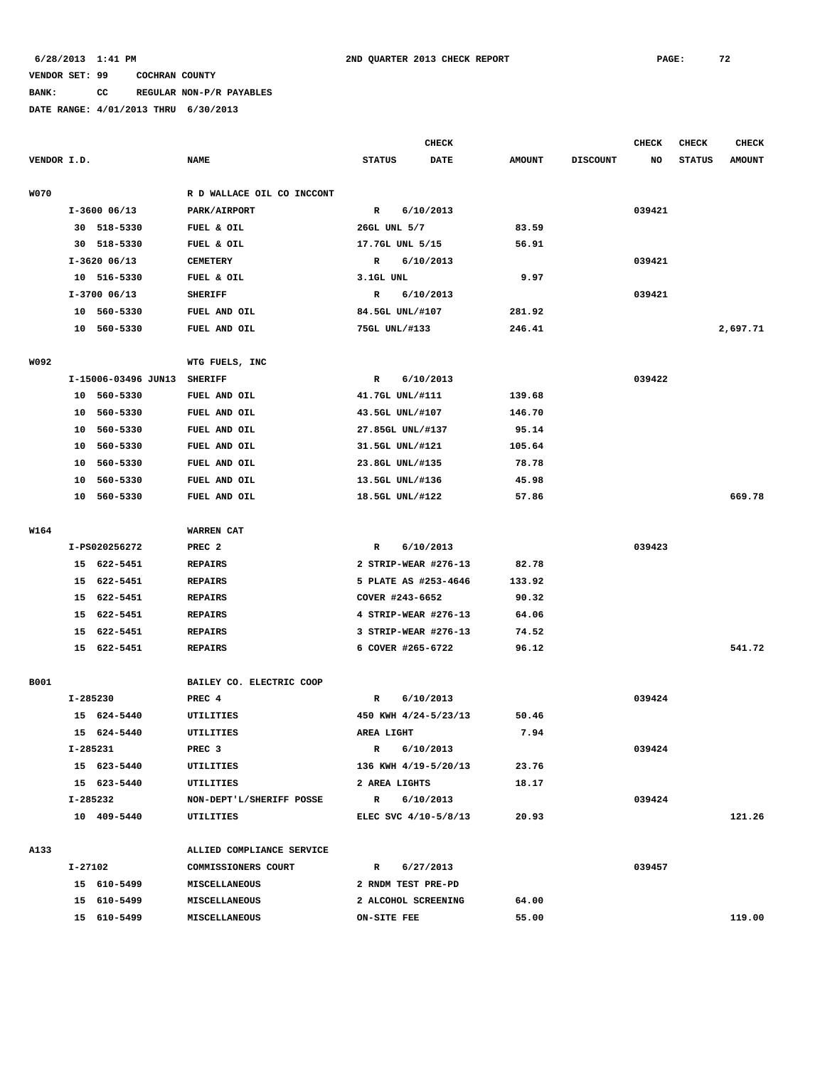# **BANK: CC REGULAR NON-P/R PAYABLES**

|             |          |                     |                            | <b>CHECK</b>     |  |                      |               |                 | <b>CHECK</b> | <b>CHECK</b>  | <b>CHECK</b>  |
|-------------|----------|---------------------|----------------------------|------------------|--|----------------------|---------------|-----------------|--------------|---------------|---------------|
| VENDOR I.D. |          |                     | <b>NAME</b>                | <b>STATUS</b>    |  | <b>DATE</b>          | <b>AMOUNT</b> | <b>DISCOUNT</b> | NO           | <b>STATUS</b> | <b>AMOUNT</b> |
|             |          |                     |                            |                  |  |                      |               |                 |              |               |               |
| <b>W070</b> |          |                     | R D WALLACE OIL CO INCCONT |                  |  |                      |               |                 |              |               |               |
|             |          | $I-3600$ 06/13      | PARK/AIRPORT               | R                |  | 6/10/2013            |               |                 | 039421       |               |               |
|             |          | 30 518-5330         | FUEL & OIL                 | 26GL UNL 5/7     |  |                      | 83.59         |                 |              |               |               |
|             |          | 30 518-5330         | FUEL & OIL                 | 17.7GL UNL 5/15  |  |                      | 56.91         |                 |              |               |               |
|             |          | $I-3620$ 06/13      | <b>CEMETERY</b>            | $\mathbb{R}$     |  | 6/10/2013            |               |                 | 039421       |               |               |
|             |          | 10 516-5330         | FUEL & OIL                 | 3.1GL UNL        |  |                      | 9.97          |                 |              |               |               |
|             |          | I-3700 06/13        | <b>SHERIFF</b>             | R                |  | 6/10/2013            |               |                 | 039421       |               |               |
|             |          | 10 560-5330         | FUEL AND OIL               | 84.5GL UNL/#107  |  |                      | 281.92        |                 |              |               |               |
|             |          | 10 560-5330         | FUEL AND OIL               | 75GL UNL/#133    |  |                      | 246.41        |                 |              |               | 2,697.71      |
| W092        |          |                     | WTG FUELS, INC             |                  |  |                      |               |                 |              |               |               |
|             |          | I-15006-03496 JUN13 | <b>SHERIFF</b>             | $\mathbb{R}$     |  | 6/10/2013            |               |                 | 039422       |               |               |
|             |          | 10 560-5330         | FUEL AND OIL               | 41.7GL UNL/#111  |  |                      | 139.68        |                 |              |               |               |
|             | 10       | 560-5330            | FUEL AND OIL               | 43.5GL UNL/#107  |  |                      | 146.70        |                 |              |               |               |
|             | 10       | 560-5330            | FUEL AND OIL               | 27.85GL UNL/#137 |  |                      | 95.14         |                 |              |               |               |
|             | 10       | 560-5330            | FUEL AND OIL               | 31.5GL UNL/#121  |  |                      | 105.64        |                 |              |               |               |
|             | 10       | 560-5330            | FUEL AND OIL               | 23.8GL UNL/#135  |  |                      | 78.78         |                 |              |               |               |
|             | 10       | 560-5330            | FUEL AND OIL               | 13.5GL UNL/#136  |  |                      | 45.98         |                 |              |               |               |
|             |          | 10 560-5330         | FUEL AND OIL               | 18.5GL UNL/#122  |  |                      | 57.86         |                 |              |               | 669.78        |
|             |          |                     |                            |                  |  |                      |               |                 |              |               |               |
| W164        |          |                     | WARREN CAT                 |                  |  |                      |               |                 |              |               |               |
|             |          | I-PS020256272       | PREC <sub>2</sub>          | R                |  | 6/10/2013            |               |                 | 039423       |               |               |
|             |          | 15 622-5451         | <b>REPAIRS</b>             |                  |  | 2 STRIP-WEAR #276-13 | 82.78         |                 |              |               |               |
|             |          | 15 622-5451         | <b>REPAIRS</b>             |                  |  | 5 PLATE AS #253-4646 | 133.92        |                 |              |               |               |
|             |          | 15 622-5451         | <b>REPAIRS</b>             | COVER #243-6652  |  |                      | 90.32         |                 |              |               |               |
|             | 15       | 622-5451            | <b>REPAIRS</b>             |                  |  | 4 STRIP-WEAR #276-13 | 64.06         |                 |              |               |               |
|             |          | 15 622-5451         | <b>REPAIRS</b>             |                  |  | 3 STRIP-WEAR #276-13 | 74.52         |                 |              |               |               |
|             |          | 15 622-5451         | <b>REPAIRS</b>             |                  |  | 6 COVER #265-6722    | 96.12         |                 |              |               | 541.72        |
|             |          |                     |                            |                  |  |                      |               |                 |              |               |               |
| <b>B001</b> |          |                     | BAILEY CO. ELECTRIC COOP   |                  |  |                      |               |                 |              |               |               |
|             | I-285230 |                     | PREC 4                     | R                |  | 6/10/2013            |               |                 | 039424       |               |               |
|             |          | 15 624-5440         | <b>UTILITIES</b>           |                  |  | 450 KWH 4/24-5/23/13 | 50.46         |                 |              |               |               |
|             |          | 15 624-5440         | UTILITIES                  | AREA LIGHT       |  |                      | 7.94          |                 |              |               |               |
|             |          | I-285231            | PREC <sub>3</sub>          | R                |  | 6/10/2013            |               |                 | 039424       |               |               |
|             |          | 15 623-5440         | UTILITIES                  |                  |  | 136 KWH 4/19-5/20/13 | 23.76         |                 |              |               |               |
|             |          | 15 623-5440         | UTILITIES                  | 2 AREA LIGHTS    |  |                      | 18.17         |                 |              |               |               |
|             |          | I-285232            | NON-DEPT'L/SHERIFF POSSE   |                  |  | R 6/10/2013          |               |                 | 039424       |               |               |
|             |          | 10 409-5440         | UTILITIES                  |                  |  | ELEC SVC 4/10-5/8/13 | 20.93         |                 |              |               | 121.26        |
| A133        |          |                     | ALLIED COMPLIANCE SERVICE  |                  |  |                      |               |                 |              |               |               |
|             | I-27102  |                     | COMMISSIONERS COURT        |                  |  | R 6/27/2013          |               |                 | 039457       |               |               |
|             |          | 15 610-5499         | MISCELLANEOUS              |                  |  | 2 RNDM TEST PRE-PD   |               |                 |              |               |               |
|             |          | 15 610-5499         | <b>MISCELLANEOUS</b>       |                  |  | 2 ALCOHOL SCREENING  | 64.00         |                 |              |               |               |
|             |          | 15 610-5499         | MISCELLANEOUS              | ON-SITE FEE      |  |                      | 55.00         |                 |              |               | 119.00        |
|             |          |                     |                            |                  |  |                      |               |                 |              |               |               |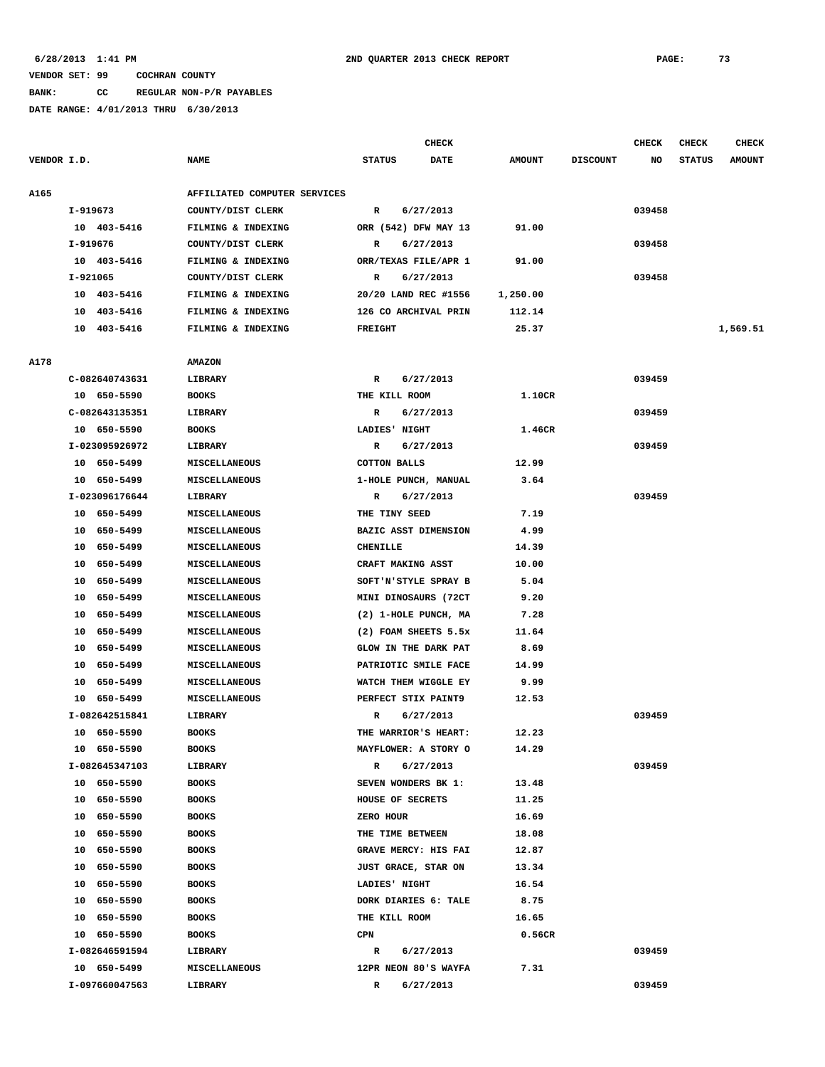# **BANK: CC REGULAR NON-P/R PAYABLES**

|             |                |                              |                      | <b>CHECK</b>         |               |                 | CHECK  | CHECK         | <b>CHECK</b>  |
|-------------|----------------|------------------------------|----------------------|----------------------|---------------|-----------------|--------|---------------|---------------|
| VENDOR I.D. |                | <b>NAME</b>                  | <b>STATUS</b>        | <b>DATE</b>          | <b>AMOUNT</b> | <b>DISCOUNT</b> | NO     | <b>STATUS</b> | <b>AMOUNT</b> |
| A165        |                | AFFILIATED COMPUTER SERVICES |                      |                      |               |                 |        |               |               |
|             | I-919673       | COUNTY/DIST CLERK            | R                    | 6/27/2013            |               |                 | 039458 |               |               |
|             | 10 403-5416    | FILMING & INDEXING           |                      | ORR (542) DFW MAY 13 | 91.00         |                 |        |               |               |
|             | I-919676       | COUNTY/DIST CLERK            | R                    | 6/27/2013            |               |                 | 039458 |               |               |
|             | 10 403-5416    | FILMING & INDEXING           | ORR/TEXAS FILE/APR 1 |                      | 91.00         |                 |        |               |               |
|             | I-921065       | COUNTY/DIST CLERK            | R                    | 6/27/2013            |               |                 | 039458 |               |               |
|             | 10 403-5416    | FILMING & INDEXING           |                      | 20/20 LAND REC #1556 | 1,250.00      |                 |        |               |               |
|             | 10 403-5416    | FILMING & INDEXING           | 126 CO ARCHIVAL PRIN |                      | 112.14        |                 |        |               |               |
|             | 10 403-5416    | FILMING & INDEXING           | <b>FREIGHT</b>       |                      | 25.37         |                 |        |               | 1,569.51      |
|             |                |                              |                      |                      |               |                 |        |               |               |
| A178        |                | <b>AMAZON</b>                |                      |                      |               |                 |        |               |               |
|             | C-082640743631 | LIBRARY                      | R                    | 6/27/2013            |               |                 | 039459 |               |               |
|             | 10 650-5590    | <b>BOOKS</b>                 | THE KILL ROOM        |                      | 1.10CR        |                 |        |               |               |
|             | C-082643135351 | <b>LIBRARY</b>               | R                    | 6/27/2013            |               |                 | 039459 |               |               |
|             | 10 650-5590    | <b>BOOKS</b>                 | LADIES' NIGHT        |                      | 1.46CR        |                 |        |               |               |
|             | I-023095926972 | LIBRARY                      | R                    | 6/27/2013            |               |                 | 039459 |               |               |
|             | 10 650-5499    | <b>MISCELLANEOUS</b>         | <b>COTTON BALLS</b>  |                      | 12.99         |                 |        |               |               |
|             | 10 650-5499    | MISCELLANEOUS                | 1-HOLE PUNCH, MANUAL |                      | 3.64          |                 |        |               |               |
|             | I-023096176644 | LIBRARY                      | R                    | 6/27/2013            |               |                 | 039459 |               |               |
|             | 10 650-5499    | <b>MISCELLANEOUS</b>         | THE TINY SEED        |                      | 7.19          |                 |        |               |               |
|             | 10 650-5499    | MISCELLANEOUS                | BAZIC ASST DIMENSION |                      | 4.99          |                 |        |               |               |
|             | 650–5499<br>10 | MISCELLANEOUS                | <b>CHENILLE</b>      |                      | 14.39         |                 |        |               |               |
|             | 650-5499<br>10 | MISCELLANEOUS                | CRAFT MAKING ASST    |                      | 10.00         |                 |        |               |               |
|             | 650–5499<br>10 | <b>MISCELLANEOUS</b>         |                      | SOFT'N'STYLE SPRAY B | 5.04          |                 |        |               |               |
|             | 650-5499<br>10 | MISCELLANEOUS                | MINI DINOSAURS (72CT |                      | 9.20          |                 |        |               |               |
|             | 650-5499<br>10 | MISCELLANEOUS                |                      | (2) 1-HOLE PUNCH, MA | 7.28          |                 |        |               |               |
|             | 650–5499<br>10 | MISCELLANEOUS                |                      | (2) FOAM SHEETS 5.5x | 11.64         |                 |        |               |               |
|             | 650-5499<br>10 | MISCELLANEOUS                | GLOW IN THE DARK PAT |                      | 8.69          |                 |        |               |               |
|             | 10<br>650–5499 | <b>MISCELLANEOUS</b>         | PATRIOTIC SMILE FACE |                      | 14.99         |                 |        |               |               |
|             | 650-5499<br>10 | <b>MISCELLANEOUS</b>         | WATCH THEM WIGGLE EY |                      | 9.99          |                 |        |               |               |
|             | 10 650-5499    | MISCELLANEOUS                | PERFECT STIX PAINT9  |                      | 12.53         |                 |        |               |               |
|             | I-082642515841 | LIBRARY                      | R                    | 6/27/2013            |               |                 | 039459 |               |               |
|             | 10 650-5590    | <b>BOOKS</b>                 |                      | THE WARRIOR'S HEART: | 12.23         |                 |        |               |               |
|             | 10 650-5590    | <b>BOOKS</b>                 | MAYFLOWER: A STORY O |                      | 14.29         |                 |        |               |               |
|             | I-082645347103 | LIBRARY                      | R                    | 6/27/2013            |               |                 | 039459 |               |               |
|             | 10 650-5590    | <b>BOOKS</b>                 | SEVEN WONDERS BK 1:  |                      | 13.48         |                 |        |               |               |
|             | 10 650-5590    | <b>BOOKS</b>                 | HOUSE OF SECRETS     |                      | 11.25         |                 |        |               |               |
|             | 650-5590<br>10 | <b>BOOKS</b>                 | ZERO HOUR            |                      | 16.69         |                 |        |               |               |
|             | 10 650-5590    | <b>BOOKS</b>                 | THE TIME BETWEEN     |                      | 18.08         |                 |        |               |               |
|             | 10 650-5590    | <b>BOOKS</b>                 |                      | GRAVE MERCY: HIS FAI | 12.87         |                 |        |               |               |
|             | 10<br>650–5590 | <b>BOOKS</b>                 | JUST GRACE, STAR ON  |                      | 13.34         |                 |        |               |               |
|             | 10 650-5590    | <b>BOOKS</b>                 | LADIES' NIGHT        |                      | 16.54         |                 |        |               |               |
|             | 10 650-5590    | <b>BOOKS</b>                 |                      | DORK DIARIES 6: TALE | 8.75          |                 |        |               |               |
|             | 10<br>650–5590 | <b>BOOKS</b>                 | THE KILL ROOM        |                      | 16.65         |                 |        |               |               |
|             | 10 650-5590    | <b>BOOKS</b>                 | CPN                  |                      | 0.56CR        |                 |        |               |               |
|             | I-082646591594 | LIBRARY                      | R                    | 6/27/2013            |               |                 | 039459 |               |               |
|             | 10 650-5499    | <b>MISCELLANEOUS</b>         |                      | 12PR NEON 80'S WAYFA | 7.31          |                 |        |               |               |
|             | I-097660047563 | LIBRARY                      | R                    | 6/27/2013            |               |                 | 039459 |               |               |
|             |                |                              |                      |                      |               |                 |        |               |               |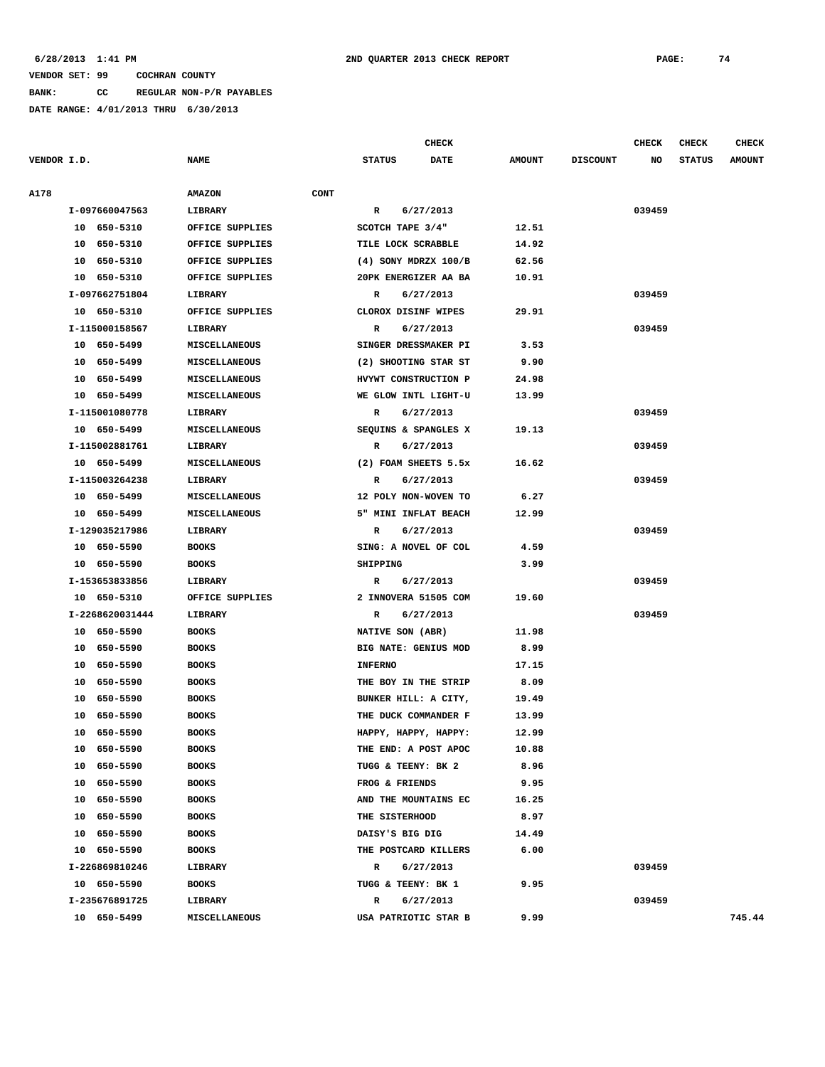**BANK: CC REGULAR NON-P/R PAYABLES**

**DATE RANGE: 4/01/2013 THRU 6/30/2013**

**CHECK CHECK CHECK CHECK CHECK CHECK CHECK** 

**VENDOR I.D. NAME STATUS DATE AMOUNT DISCOUNT NO STATUS AMOUNT A178 AMAZON CONT I-097660047563 LIBRARY R 6/27/2013 039459 10 650-5310 OFFICE SUPPLIES SCOTCH TAPE 3/4" 12.51 10 650-5310 OFFICE SUPPLIES TILE LOCK SCRABBLE 14.92 10 650-5310 OFFICE SUPPLIES (4) SONY MDRZX 100/B 62.56 10 650-5310 OFFICE SUPPLIES 20PK ENERGIZER AA BA 10.91 I-097662751804 LIBRARY R 6/27/2013 039459 10 650-5310 OFFICE SUPPLIES CLOROX DISINF WIPES 29.91 I-115000158567 LIBRARY R 6/27/2013 039459 10 650-5499 MISCELLANEOUS SINGER DRESSMAKER PI 3.53 10 650-5499 MISCELLANEOUS (2) SHOOTING STAR ST 9.90 10 650-5499 MISCELLANEOUS HVYWT CONSTRUCTION P 24.98 10 650-5499 MISCELLANEOUS WE GLOW INTL LIGHT-U 13.99 I-115001080778 LIBRARY R 6/27/2013 039459 10 650-5499 MISCELLANEOUS SEQUINS & SPANGLES X 19.13 I-115002881761 LIBRARY R 6/27/2013 039459 10 650-5499 MISCELLANEOUS (2) FOAM SHEETS 5.5x 16.62 I-115003264238 LIBRARY R 6/27/2013 039459 10 650-5499 MISCELLANEOUS 12 POLY NON-WOVEN TO 6.27 10 650-5499 MISCELLANEOUS 5" MINI INFLAT BEACH 12.99 I-129035217986 LIBRARY R 6/27/2013 039459 10 650-5590 BOOKS SING: A NOVEL OF COL 4.59 10 650-5590 BOOKS SHIPPING 3.99 I-153653833856 LIBRARY R 6/27/2013 039459 10 650-5310 OFFICE SUPPLIES 2 INNOVERA 51505 COM 19.60 I-2268620031444 LIBRARY R 6/27/2013 039459 10 650-5590 BOOKS NATIVE SON (ABR) 11.98 10 650-5590 BOOKS BIG NATE: GENIUS MOD 8.99 10 650-5590 BOOKS INFERNO 17.15 10 650-5590 BOOKS THE BOY IN THE STRIP 8.09 10 650-5590 BOOKS BUNKER HILL: A CITY, 19.49 10 650-5590 BOOKS THE DUCK COMMANDER F 13.99 10 650-5590 BOOKS HAPPY, HAPPY, HAPPY: 12.99 10 650-5590 BOOKS THE END: A POST APOC 10.88 10 650-5590 BOOKS TUGG & TEENY: BK 2 8.96 10 650-5590 BOOKS FROG & FRIENDS 9.95 10 650-5590 BOOKS AND THE MOUNTAINS EC 16.25 10 650-5590 BOOKS THE SISTERHOOD 8.97 10 650-5590 BOOKS DAISY'S BIG DIG 14.49 10 650-5590 BOOKS THE POSTCARD KILLERS 6.00 I-226869810246 LIBRARY R 6/27/2013 039459 10 650-5590 BOOKS TUGG & TEENY: BK 1 9.95 I-235676891725 LIBRARY R 6/27/2013 039459 10 650-5499 MISCELLANEOUS USA PATRIOTIC STAR B 9.99 745.44**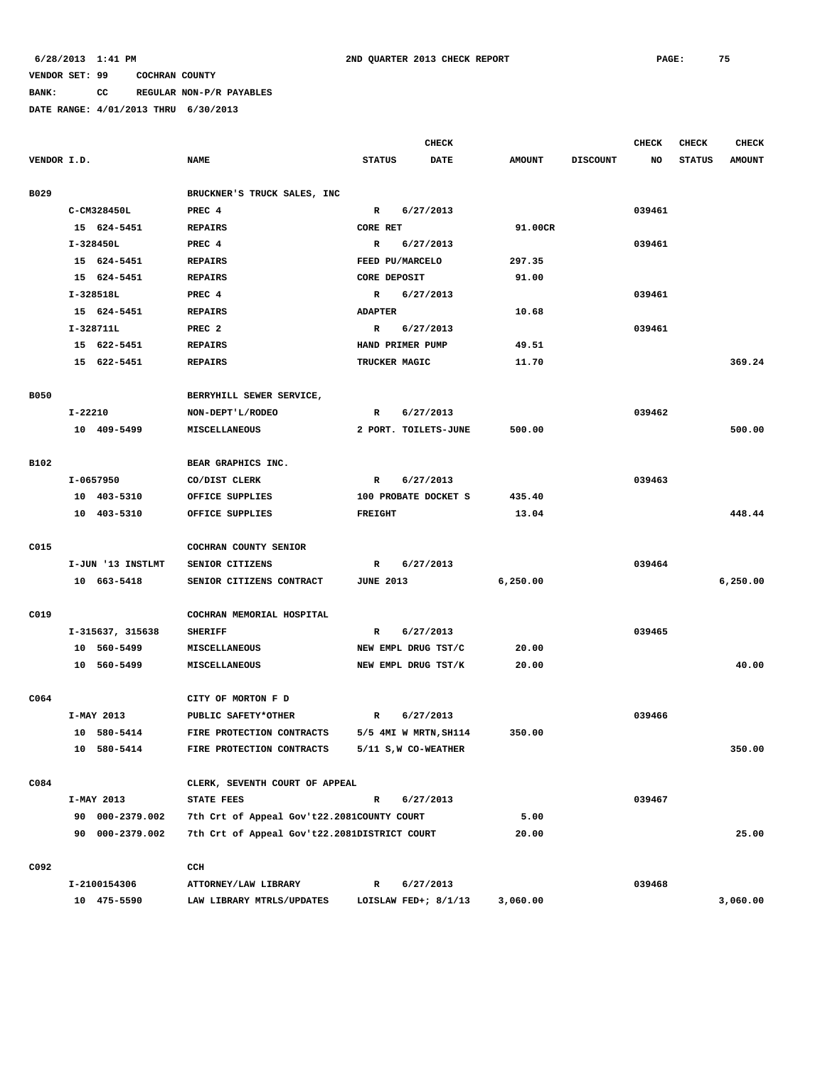# **BANK: CC REGULAR NON-P/R PAYABLES**

|             |             |                   |                                              |                  |                  | CHECK                  |               |                 | <b>CHECK</b> | <b>CHECK</b>  | <b>CHECK</b>  |
|-------------|-------------|-------------------|----------------------------------------------|------------------|------------------|------------------------|---------------|-----------------|--------------|---------------|---------------|
| VENDOR I.D. |             |                   | <b>NAME</b>                                  | <b>STATUS</b>    |                  | <b>DATE</b>            | <b>AMOUNT</b> | <b>DISCOUNT</b> | <b>NO</b>    | <b>STATUS</b> | <b>AMOUNT</b> |
| B029        |             |                   | BRUCKNER'S TRUCK SALES, INC                  |                  |                  |                        |               |                 |              |               |               |
|             | C-CM328450L |                   | PREC 4                                       | R                |                  | 6/27/2013              |               |                 | 039461       |               |               |
|             |             | 15 624-5451       | <b>REPAIRS</b>                               | <b>CORE RET</b>  |                  |                        | 91.00CR       |                 |              |               |               |
|             | I-328450L   |                   | PREC 4                                       | R                |                  | 6/27/2013              |               |                 | 039461       |               |               |
|             |             | 15 624-5451       | <b>REPAIRS</b>                               |                  | FEED PU/MARCELO  |                        | 297.35        |                 |              |               |               |
|             |             | 15 624-5451       | <b>REPAIRS</b>                               |                  | CORE DEPOSIT     |                        | 91.00         |                 |              |               |               |
|             | I-328518L   |                   | PREC 4                                       | $\mathbb{R}$     |                  | 6/27/2013              |               |                 | 039461       |               |               |
|             |             | 15 624-5451       | <b>REPAIRS</b>                               | <b>ADAPTER</b>   |                  |                        | 10.68         |                 |              |               |               |
|             | I-328711L   |                   | PREC <sub>2</sub>                            | R                |                  | 6/27/2013              |               |                 | 039461       |               |               |
|             |             | 15 622-5451       | <b>REPAIRS</b>                               |                  | HAND PRIMER PUMP |                        | 49.51         |                 |              |               |               |
|             |             | 15 622-5451       | <b>REPAIRS</b>                               |                  | TRUCKER MAGIC    |                        | 11.70         |                 |              |               | 369.24        |
|             |             |                   |                                              |                  |                  |                        |               |                 |              |               |               |
| <b>B050</b> |             |                   | BERRYHILL SEWER SERVICE,                     |                  |                  |                        |               |                 |              |               |               |
|             | $I - 22210$ |                   | NON-DEPT'L/RODEO                             | R                |                  | 6/27/2013              |               |                 | 039462       |               |               |
|             |             | 10 409-5499       | MISCELLANEOUS                                |                  |                  | 2 PORT. TOILETS-JUNE   | 500.00        |                 |              |               | 500.00        |
|             |             |                   |                                              |                  |                  |                        |               |                 |              |               |               |
| B102        |             |                   | BEAR GRAPHICS INC.                           |                  |                  |                        |               |                 |              |               |               |
|             | I-0657950   |                   | CO/DIST CLERK                                | $\mathbb{R}$     |                  | 6/27/2013              |               |                 | 039463       |               |               |
|             |             | 10 403-5310       | OFFICE SUPPLIES                              |                  |                  | 100 PROBATE DOCKET S   | 435.40        |                 |              |               |               |
|             |             | 10 403-5310       | OFFICE SUPPLIES                              | <b>FREIGHT</b>   |                  |                        | 13.04         |                 |              |               | 448.44        |
| C015        |             |                   | COCHRAN COUNTY SENIOR                        |                  |                  |                        |               |                 |              |               |               |
|             |             | I-JUN '13 INSTLMT | SENIOR CITIZENS                              | R                |                  | 6/27/2013              |               |                 | 039464       |               |               |
|             |             | 10 663-5418       | SENIOR CITIZENS CONTRACT                     | <b>JUNE 2013</b> |                  |                        | 6,250.00      |                 |              |               | 6,250.00      |
|             |             |                   |                                              |                  |                  |                        |               |                 |              |               |               |
| C019        |             |                   | COCHRAN MEMORIAL HOSPITAL                    |                  |                  |                        |               |                 |              |               |               |
|             |             | I-315637, 315638  | <b>SHERIFF</b>                               | $\mathbb{R}$     |                  | 6/27/2013              |               |                 | 039465       |               |               |
|             |             | 10 560-5499       | MISCELLANEOUS                                |                  |                  | NEW EMPL DRUG TST/C    | 20.00         |                 |              |               |               |
|             |             | 10 560-5499       | <b>MISCELLANEOUS</b>                         |                  |                  | NEW EMPL DRUG TST/K    | 20.00         |                 |              |               | 40.00         |
|             |             |                   |                                              |                  |                  |                        |               |                 |              |               |               |
| C064        |             |                   | CITY OF MORTON F D                           |                  |                  |                        |               |                 |              |               |               |
|             | I-MAY 2013  |                   | PUBLIC SAFETY*OTHER                          | R                |                  | 6/27/2013              |               |                 | 039466       |               |               |
|             |             | 10 580-5414       | FIRE PROTECTION CONTRACTS                    |                  |                  | 5/5 4MI W MRTN, SH114  | 350.00        |                 |              |               |               |
|             |             | 10 580-5414       | FIRE PROTECTION CONTRACTS                    |                  |                  | 5/11 S, W CO-WEATHER   |               |                 |              |               | 350.00        |
| C084        |             |                   | CLERK, SEVENTH COURT OF APPEAL               |                  |                  |                        |               |                 |              |               |               |
|             | I-MAY 2013  |                   | <b>STATE FEES</b>                            | $\mathbb{R}$     |                  | 6/27/2013              |               |                 | 039467       |               |               |
|             |             | 90 000-2379.002   | 7th Crt of Appeal Gov't22.2081COUNTY COURT   |                  |                  |                        | 5.00          |                 |              |               |               |
|             |             | 90 000-2379.002   | 7th Crt of Appeal Gov't22.2081DISTRICT COURT |                  |                  |                        | 20.00         |                 |              |               | 25.00         |
|             |             |                   |                                              |                  |                  |                        |               |                 |              |               |               |
| C092        |             |                   | CCH                                          |                  |                  |                        |               |                 |              |               |               |
|             |             | I-2100154306      | ATTORNEY/LAW LIBRARY                         | $\mathbb{R}$     |                  | 6/27/2013              |               |                 | 039468       |               |               |
|             |             | 10 475-5590       | LAW LIBRARY MTRLS/UPDATES                    |                  |                  | LOISLAW FED+; $8/1/13$ | 3,060.00      |                 |              |               | 3,060.00      |
|             |             |                   |                                              |                  |                  |                        |               |                 |              |               |               |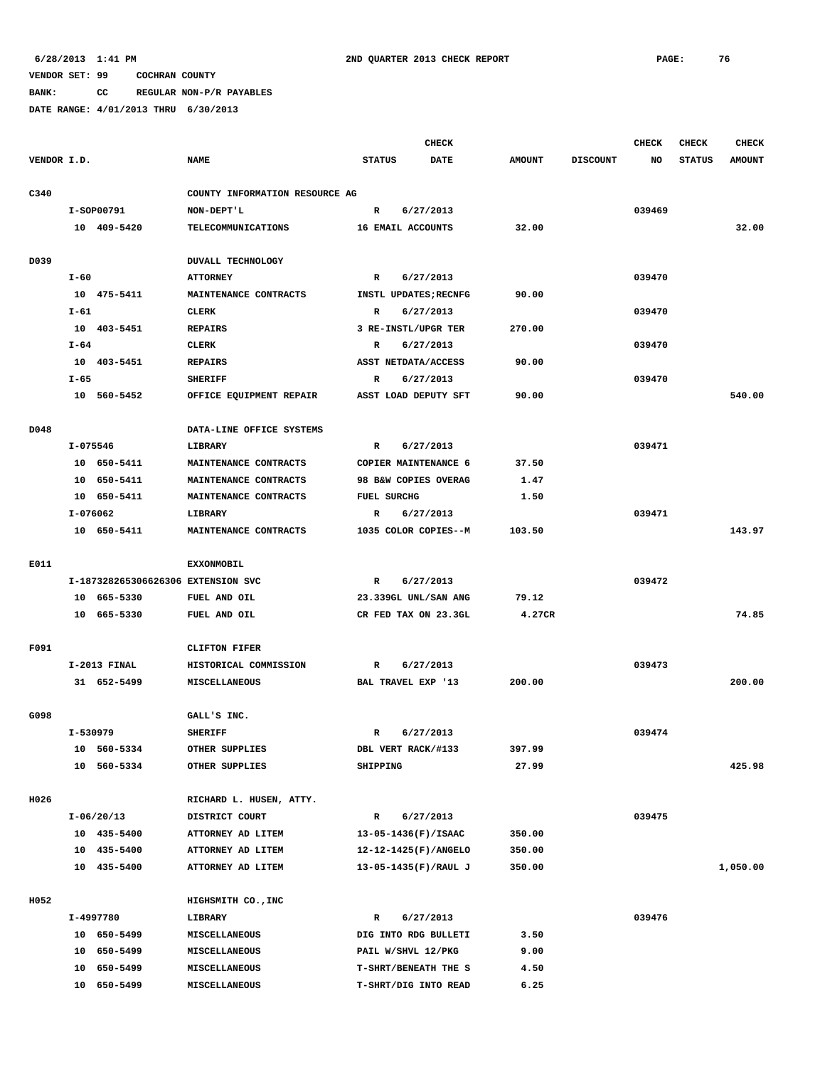**BANK: CC REGULAR NON-P/R PAYABLES**

|             |              |                                    |                                |                    | <b>CHECK</b>          |               |                 | CHECK  | <b>CHECK</b>  | <b>CHECK</b>  |
|-------------|--------------|------------------------------------|--------------------------------|--------------------|-----------------------|---------------|-----------------|--------|---------------|---------------|
| VENDOR I.D. |              |                                    | <b>NAME</b>                    | <b>STATUS</b>      | <b>DATE</b>           | <b>AMOUNT</b> | <b>DISCOUNT</b> | NO     | <b>STATUS</b> | <b>AMOUNT</b> |
|             |              |                                    |                                |                    |                       |               |                 |        |               |               |
| C340        |              |                                    | COUNTY INFORMATION RESOURCE AG |                    |                       |               |                 |        |               |               |
|             |              | I-SOP00791                         | NON-DEPT'L                     | $\mathbb{R}$       | 6/27/2013             |               |                 | 039469 |               |               |
|             |              | 10 409-5420                        | TELECOMMUNICATIONS             |                    | 16 EMAIL ACCOUNTS     | 32.00         |                 |        |               | 32.00         |
|             |              |                                    |                                |                    |                       |               |                 |        |               |               |
| D039        |              |                                    | <b>DUVALL TECHNOLOGY</b>       |                    |                       |               |                 |        |               |               |
|             | $I-60$       |                                    | <b>ATTORNEY</b>                | R                  | 6/27/2013             |               |                 | 039470 |               |               |
|             |              | 10 475-5411                        | MAINTENANCE CONTRACTS          |                    | INSTL UPDATES; RECNFG | 90.00         |                 |        |               |               |
|             | $I-61$       |                                    | CLERK                          | R                  | 6/27/2013             |               |                 | 039470 |               |               |
|             |              | 10 403-5451                        | <b>REPAIRS</b>                 |                    | 3 RE-INSTL/UPGR TER   | 270.00        |                 |        |               |               |
|             | I-64         |                                    | CLERK                          | R                  | 6/27/2013             |               |                 | 039470 |               |               |
|             |              | 10 403-5451                        | <b>REPAIRS</b>                 |                    | ASST NETDATA/ACCESS   | 90.00         |                 |        |               |               |
|             | $I - 65$     |                                    | <b>SHERIFF</b>                 | R                  | 6/27/2013             |               |                 | 039470 |               |               |
|             |              | 10 560-5452                        | OFFICE EQUIPMENT REPAIR        |                    | ASST LOAD DEPUTY SFT  | 90.00         |                 |        |               | 540.00        |
|             |              |                                    |                                |                    |                       |               |                 |        |               |               |
| D048        |              |                                    | DATA-LINE OFFICE SYSTEMS       |                    |                       |               |                 |        |               |               |
|             | $I - 075546$ |                                    | LIBRARY                        | R                  | 6/27/2013             |               |                 | 039471 |               |               |
|             |              | 10 650-5411                        | MAINTENANCE CONTRACTS          |                    | COPIER MAINTENANCE 6  | 37.50         |                 |        |               |               |
|             |              | 10 650-5411                        | MAINTENANCE CONTRACTS          |                    | 98 B&W COPIES OVERAG  | 1.47          |                 |        |               |               |
|             |              | 10 650-5411                        | MAINTENANCE CONTRACTS          | <b>FUEL SURCHG</b> |                       | 1.50          |                 |        |               |               |
|             | I-076062     |                                    | LIBRARY                        | R                  | 6/27/2013             |               |                 | 039471 |               |               |
|             |              | 10 650-5411                        | MAINTENANCE CONTRACTS          |                    | 1035 COLOR COPIES--M  | 103.50        |                 |        |               | 143.97        |
|             |              |                                    |                                |                    |                       |               |                 |        |               |               |
| E011        |              |                                    | <b>EXXONMOBIL</b>              |                    |                       |               |                 |        |               |               |
|             |              | I-187328265306626306 EXTENSION SVC |                                | R                  | 6/27/2013             |               |                 | 039472 |               |               |
|             |              | 10 665-5330                        | FUEL AND OIL                   |                    | 23.339GL UNL/SAN ANG  | 79.12         |                 |        |               | 74.85         |
|             |              | 10 665-5330                        | FUEL AND OIL                   |                    | CR FED TAX ON 23.3GL  | 4.27CR        |                 |        |               |               |
| F091        |              |                                    | <b>CLIFTON FIFER</b>           |                    |                       |               |                 |        |               |               |
|             |              | $I-2013$ FINAL                     | HISTORICAL COMMISSION          | R                  | 6/27/2013             |               |                 | 039473 |               |               |
|             |              | 31 652-5499                        | MISCELLANEOUS                  |                    | BAL TRAVEL EXP '13    | 200.00        |                 |        |               | 200.00        |
|             |              |                                    |                                |                    |                       |               |                 |        |               |               |
| G098        |              |                                    | GALL'S INC.                    |                    |                       |               |                 |        |               |               |
|             | I-530979     |                                    | <b>SHERIFF</b>                 | R                  | 6/27/2013             |               |                 | 039474 |               |               |
|             |              | 10 560-5334                        | OTHER SUPPLIES                 |                    | DBL VERT RACK/#133    | 397.99        |                 |        |               |               |
|             |              | 10 560-5334                        | OTHER SUPPLIES                 | SHIPPING           |                       | 27.99         |                 |        |               | 425.98        |
|             |              |                                    |                                |                    |                       |               |                 |        |               |               |
| H026        |              |                                    | RICHARD L. HUSEN, ATTY.        |                    |                       |               |                 |        |               |               |
|             |              | $I-06/20/13$                       | DISTRICT COURT                 | $\mathbb{R}$       | 6/27/2013             |               |                 | 039475 |               |               |
|             |              | 10 435-5400                        | ATTORNEY AD LITEM              |                    | 13-05-1436(F)/ISAAC   | 350.00        |                 |        |               |               |
|             |              | 10 435-5400                        | ATTORNEY AD LITEM              |                    | 12-12-1425(F)/ANGELO  | 350.00        |                 |        |               |               |
|             |              | 10 435-5400                        | ATTORNEY AD LITEM              |                    | 13-05-1435(F)/RAUL J  | 350.00        |                 |        |               | 1,050.00      |
|             |              |                                    |                                |                    |                       |               |                 |        |               |               |
| H052        |              |                                    | HIGHSMITH CO., INC             |                    |                       |               |                 |        |               |               |
|             |              | I-4997780                          | LIBRARY                        | R                  | 6/27/2013             |               |                 | 039476 |               |               |
|             |              | 10 650-5499                        | MISCELLANEOUS                  |                    | DIG INTO RDG BULLETI  | 3.50          |                 |        |               |               |
|             |              | 10 650-5499                        | MISCELLANEOUS                  |                    | PAIL W/SHVL 12/PKG    | 9.00          |                 |        |               |               |
|             |              | 10 650-5499                        | MISCELLANEOUS                  |                    | T-SHRT/BENEATH THE S  | 4.50          |                 |        |               |               |
|             |              | 10 650-5499                        | MISCELLANEOUS                  |                    | T-SHRT/DIG INTO READ  | 6.25          |                 |        |               |               |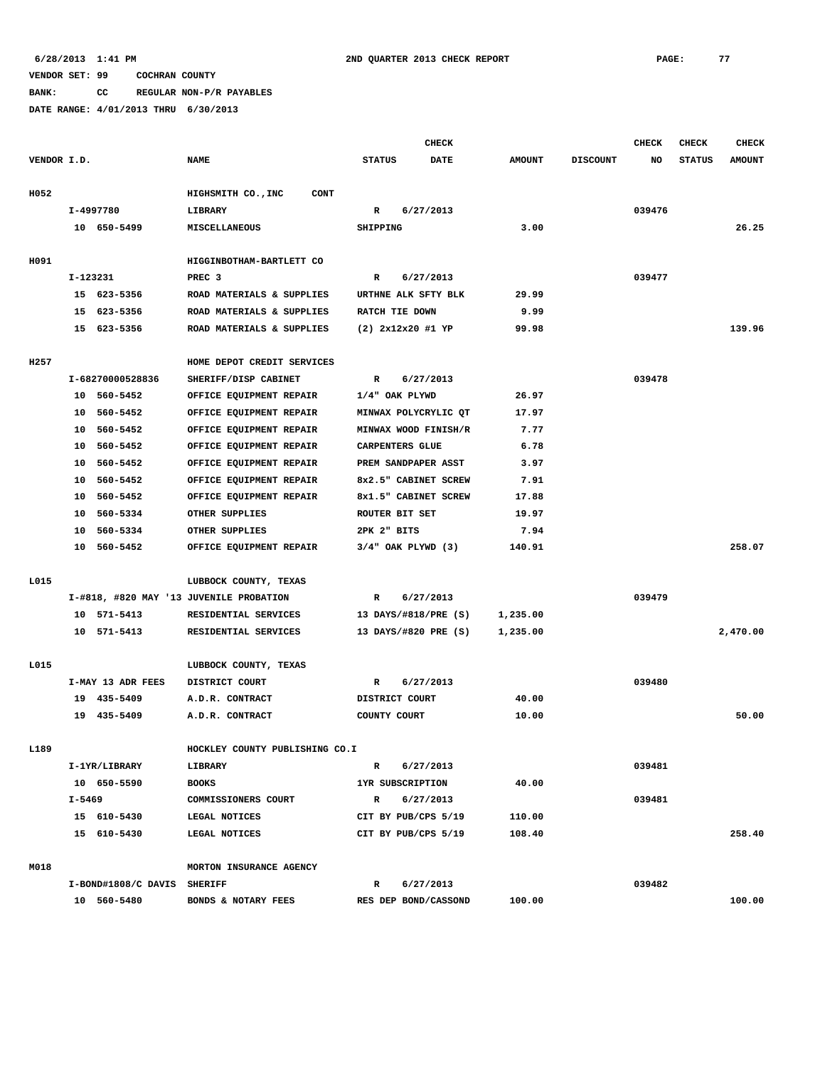**BANK: CC REGULAR NON-P/R PAYABLES**

|             |          |                             |                                         | <b>CHECK</b>  |                        |               |                 | <b>CHECK</b> | <b>CHECK</b>  | <b>CHECK</b>  |
|-------------|----------|-----------------------------|-----------------------------------------|---------------|------------------------|---------------|-----------------|--------------|---------------|---------------|
| VENDOR I.D. |          |                             | <b>NAME</b>                             | <b>STATUS</b> | DATE                   | <b>AMOUNT</b> | <b>DISCOUNT</b> | NO           | <b>STATUS</b> | <b>AMOUNT</b> |
| H052        |          |                             | HIGHSMITH CO., INC<br><b>CONT</b>       |               |                        |               |                 |              |               |               |
|             |          | I-4997780                   | LIBRARY                                 | R             | 6/27/2013              |               |                 | 039476       |               |               |
|             |          | 10 650-5499                 | MISCELLANEOUS                           | SHIPPING      |                        | 3.00          |                 |              |               | 26.25         |
| H091        |          |                             | HIGGINBOTHAM-BARTLETT CO                |               |                        |               |                 |              |               |               |
|             | I-123231 |                             | PREC <sub>3</sub>                       | R             | 6/27/2013              |               |                 | 039477       |               |               |
|             |          | 15 623-5356                 | ROAD MATERIALS & SUPPLIES               |               | URTHNE ALK SFTY BLK    | 29.99         |                 |              |               |               |
|             |          | 15 623-5356                 | ROAD MATERIALS & SUPPLIES               |               | RATCH TIE DOWN         | 9.99          |                 |              |               |               |
|             |          | 15 623-5356                 | ROAD MATERIALS & SUPPLIES               |               | $(2)$ 2x12x20 #1 YP    | 99.98         |                 |              |               | 139.96        |
| H257        |          |                             | HOME DEPOT CREDIT SERVICES              |               |                        |               |                 |              |               |               |
|             |          | I-68270000528836            | SHERIFF/DISP CABINET                    | R             | 6/27/2013              |               |                 | 039478       |               |               |
|             |          | 10 560-5452                 | OFFICE EQUIPMENT REPAIR                 |               | 1/4" OAK PLYWD         | 26.97         |                 |              |               |               |
|             |          | 10 560-5452                 | OFFICE EQUIPMENT REPAIR                 |               | MINWAX POLYCRYLIC OT   | 17.97         |                 |              |               |               |
|             | 10       | 560-5452                    | OFFICE EQUIPMENT REPAIR                 |               | MINWAX WOOD FINISH/R   | 7.77          |                 |              |               |               |
|             | 10       | 560-5452                    | OFFICE EQUIPMENT REPAIR                 |               | CARPENTERS GLUE        | 6.78          |                 |              |               |               |
|             | 10       | 560-5452                    | OFFICE EQUIPMENT REPAIR                 |               | PREM SANDPAPER ASST    | 3.97          |                 |              |               |               |
|             |          | 10 560-5452                 | OFFICE EQUIPMENT REPAIR                 |               | 8x2.5" CABINET SCREW   | 7.91          |                 |              |               |               |
|             | 10       | 560-5452                    | OFFICE EQUIPMENT REPAIR                 |               | 8x1.5" CABINET SCREW   | 17.88         |                 |              |               |               |
|             | 10       | 560-5334                    | OTHER SUPPLIES                          |               | ROUTER BIT SET         | 19.97         |                 |              |               |               |
|             | 10       | 560-5334                    | OTHER SUPPLIES                          | 2PK 2" BITS   |                        | 7.94          |                 |              |               |               |
|             |          | 10 560-5452                 | OFFICE EQUIPMENT REPAIR                 |               | $3/4"$ OAK PLYWD $(3)$ | 140.91        |                 |              |               | 258.07        |
| L015        |          |                             | LUBBOCK COUNTY, TEXAS                   |               |                        |               |                 |              |               |               |
|             |          |                             | I-#818, #820 MAY '13 JUVENILE PROBATION | R             | 6/27/2013              |               |                 | 039479       |               |               |
|             |          | 10 571-5413                 | RESIDENTIAL SERVICES                    |               | 13 DAYS/#818/PRE (S)   | 1,235.00      |                 |              |               |               |
|             |          | 10 571-5413                 | RESIDENTIAL SERVICES                    |               | 13 DAYS/#820 PRE (S)   | 1,235.00      |                 |              |               | 2,470.00      |
| L015        |          |                             | LUBBOCK COUNTY, TEXAS                   |               |                        |               |                 |              |               |               |
|             |          | I-MAY 13 ADR FEES           | DISTRICT COURT                          | R             | 6/27/2013              |               |                 | 039480       |               |               |
|             |          | 19 435-5409                 | A.D.R. CONTRACT                         |               | DISTRICT COURT         | 40.00         |                 |              |               |               |
|             |          | 19 435-5409                 | A.D.R. CONTRACT                         | COUNTY COURT  |                        | 10.00         |                 |              |               | 50.00         |
| L189        |          |                             | HOCKLEY COUNTY PUBLISHING CO.I          |               |                        |               |                 |              |               |               |
|             |          | I-1YR/LIBRARY               | LIBRARY                                 | R             | 6/27/2013              |               |                 | 039481       |               |               |
|             |          | 10 650-5590                 | <b>BOOKS</b>                            |               | 1YR SUBSCRIPTION       | 40.00         |                 |              |               |               |
|             | I-5469   |                             | COMMISSIONERS COURT                     | R             | 6/27/2013              |               |                 | 039481       |               |               |
|             |          | 15 610-5430                 | LEGAL NOTICES                           |               | CIT BY PUB/CPS 5/19    | 110.00        |                 |              |               |               |
|             |          | 15 610-5430                 | LEGAL NOTICES                           |               | CIT BY PUB/CPS 5/19    | 108.40        |                 |              |               | 258.40        |
| M018        |          |                             | MORTON INSURANCE AGENCY                 |               |                        |               |                 |              |               |               |
|             |          | I-BOND#1808/C DAVIS SHERIFF |                                         | R             | 6/27/2013              |               |                 | 039482       |               |               |
|             |          | 10 560-5480                 | BONDS & NOTARY FEES                     |               | RES DEP BOND/CASSOND   | 100.00        |                 |              |               | 100.00        |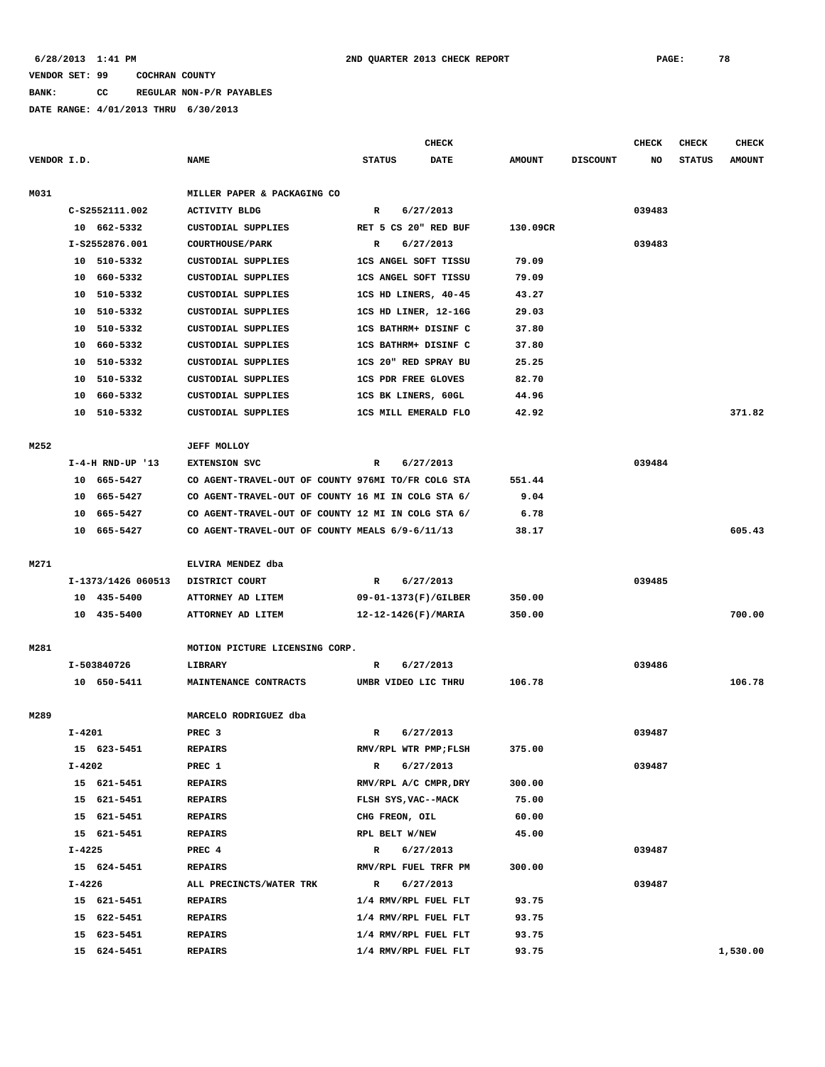# **BANK: CC REGULAR NON-P/R PAYABLES**

|             |            |                    |                                                    |                               |                | <b>CHECK</b>                |               |                 | <b>CHECK</b> | CHECK         | <b>CHECK</b>  |
|-------------|------------|--------------------|----------------------------------------------------|-------------------------------|----------------|-----------------------------|---------------|-----------------|--------------|---------------|---------------|
| VENDOR I.D. |            |                    | <b>NAME</b>                                        |                               | <b>STATUS</b>  | DATE                        | <b>AMOUNT</b> | <b>DISCOUNT</b> | NO           | <b>STATUS</b> | <b>AMOUNT</b> |
| M031        |            |                    | MILLER PAPER & PACKAGING CO                        |                               |                |                             |               |                 |              |               |               |
|             |            | C-S2552111.002     | <b>ACTIVITY BLDG</b>                               |                               | R              | 6/27/2013                   |               |                 | 039483       |               |               |
|             |            | 10 662-5332        | CUSTODIAL SUPPLIES                                 |                               |                | RET 5 CS 20" RED BUF        | 130.09CR      |                 |              |               |               |
|             |            | I-S2552876.001     | COURTHOUSE/PARK                                    | R                             |                | 6/27/2013                   |               |                 | 039483       |               |               |
|             | 10         | 510-5332           | <b>CUSTODIAL SUPPLIES</b>                          | 1CS ANGEL SOFT TISSU<br>79.09 |                |                             |               |                 |              |               |               |
|             | 10         | 660-5332           | <b>CUSTODIAL SUPPLIES</b>                          |                               |                | 1CS ANGEL SOFT TISSU        | 79.09         |                 |              |               |               |
|             | 10         | 510-5332           | CUSTODIAL SUPPLIES                                 |                               |                | 1CS HD LINERS, 40-45        | 43.27         |                 |              |               |               |
|             | 10         | 510-5332           | <b>CUSTODIAL SUPPLIES</b>                          |                               |                | 1CS HD LINER, 12-16G        | 29.03         |                 |              |               |               |
|             | 10         | 510-5332           | <b>CUSTODIAL SUPPLIES</b>                          |                               |                | 1CS BATHRM+ DISINF C        | 37.80         |                 |              |               |               |
|             | 10         | 660-5332           | <b>CUSTODIAL SUPPLIES</b>                          |                               |                | 1CS BATHRM+ DISINF C        | 37.80         |                 |              |               |               |
|             | 10         | 510-5332           | <b>CUSTODIAL SUPPLIES</b>                          |                               |                | 1CS 20" RED SPRAY BU        | 25.25         |                 |              |               |               |
|             | 10         | 510-5332           | <b>CUSTODIAL SUPPLIES</b>                          |                               |                | <b>1CS PDR FREE GLOVES</b>  | 82.70         |                 |              |               |               |
|             | 10         | 660-5332           | CUSTODIAL SUPPLIES                                 |                               |                | 1CS BK LINERS, 60GL         | 44.96         |                 |              |               |               |
|             | 10         | 510-5332           | CUSTODIAL SUPPLIES                                 |                               |                | <b>1CS MILL EMERALD FLO</b> | 42.92         |                 |              |               | 371.82        |
|             |            |                    |                                                    |                               |                |                             |               |                 |              |               |               |
| M252        |            |                    | <b>JEFF MOLLOY</b>                                 |                               |                |                             |               |                 |              |               |               |
|             |            | $I-4-H$ RND-UP '13 | <b>EXTENSION SVC</b>                               | R                             |                | 6/27/2013                   |               |                 | 039484       |               |               |
|             | 10         | 665–5427           | CO AGENT-TRAVEL-OUT OF COUNTY 976MI TO/FR COLG STA |                               |                |                             | 551.44        |                 |              |               |               |
|             | 10         | 665–5427           | CO AGENT-TRAVEL-OUT OF COUNTY 16 MI IN COLG STA 6/ |                               |                |                             | 9.04          |                 |              |               |               |
|             | 10         | 665-5427           | CO AGENT-TRAVEL-OUT OF COUNTY 12 MI IN COLG STA 6/ |                               |                |                             | 6.78          |                 |              |               |               |
|             |            | 10 665-5427        | CO AGENT-TRAVEL-OUT OF COUNTY MEALS 6/9-6/11/13    |                               |                |                             | 38.17         |                 |              |               | 605.43        |
|             |            |                    |                                                    |                               |                |                             |               |                 |              |               |               |
| M271        |            |                    | ELVIRA MENDEZ dba                                  |                               |                |                             |               |                 |              |               |               |
|             |            | I-1373/1426 060513 | DISTRICT COURT                                     |                               | $\mathbb{R}$   | 6/27/2013                   |               |                 | 039485       |               |               |
|             |            | 10 435-5400        | ATTORNEY AD LITEM                                  |                               |                | 09-01-1373(F)/GILBER        | 350.00        |                 |              |               |               |
|             |            | 10 435-5400        | ATTORNEY AD LITEM                                  |                               |                | $12 - 12 - 1426(F)/MARIA$   | 350.00        |                 |              |               | 700.00        |
|             |            |                    |                                                    |                               |                |                             |               |                 |              |               |               |
| M281        |            |                    | MOTION PICTURE LICENSING CORP.                     |                               |                |                             |               |                 |              |               |               |
|             |            | I-503840726        | <b>LIBRARY</b>                                     | R                             |                | 6/27/2013                   |               |                 | 039486       |               |               |
|             |            | 10 650-5411        | MAINTENANCE CONTRACTS                              |                               |                | UMBR VIDEO LIC THRU         | 106.78        |                 |              |               | 106.78        |
|             |            |                    |                                                    |                               |                |                             |               |                 |              |               |               |
| M289        |            |                    | MARCELO RODRIGUEZ dba                              |                               |                |                             |               |                 |              |               |               |
|             | $I - 4201$ |                    | PREC <sub>3</sub>                                  | R                             |                | 6/27/2013                   |               |                 | 039487       |               |               |
|             |            | 15 623-5451        | <b>REPAIRS</b>                                     |                               |                | RMV/RPL WTR PMP;FLSH        | 375.00        |                 |              |               |               |
|             | $I - 4202$ |                    | PREC 1                                             |                               | $\mathbb{R}$   | 6/27/2013                   |               |                 | 039487       |               |               |
|             |            | 15 621-5451        | <b>REPAIRS</b>                                     |                               |                | RMV/RPL A/C CMPR, DRY       | 300.00        |                 |              |               |               |
|             |            | 15 621-5451        | <b>REPAIRS</b>                                     |                               |                | FLSH SYS, VAC--MACK         | 75.00         |                 |              |               |               |
|             |            | 15 621-5451        | <b>REPAIRS</b>                                     |                               | CHG FREON, OIL |                             | 60.00         |                 |              |               |               |
|             |            | 15 621-5451        | <b>REPAIRS</b>                                     |                               | RPL BELT W/NEW |                             | 45.00         |                 |              |               |               |
|             | $I - 4225$ |                    | PREC 4                                             |                               | R              | 6/27/2013                   |               |                 | 039487       |               |               |
|             |            | 15 624-5451        | <b>REPAIRS</b>                                     |                               |                | RMV/RPL FUEL TRFR PM        | 300.00        |                 |              |               |               |
|             | I-4226     |                    | ALL PRECINCTS/WATER TRK                            |                               | R              | 6/27/2013                   |               |                 | 039487       |               |               |
|             |            | 15 621-5451        | <b>REPAIRS</b>                                     |                               |                | 1/4 RMV/RPL FUEL FLT        | 93.75         |                 |              |               |               |
|             |            | 15 622-5451        | <b>REPAIRS</b>                                     |                               |                | 1/4 RMV/RPL FUEL FLT        | 93.75         |                 |              |               |               |
|             |            | 15 623-5451        | <b>REPAIRS</b>                                     |                               |                | 1/4 RMV/RPL FUEL FLT        | 93.75         |                 |              |               |               |
|             |            | 15 624-5451        | <b>REPAIRS</b>                                     |                               |                | 1/4 RMV/RPL FUEL FLT        | 93.75         |                 |              |               | 1,530.00      |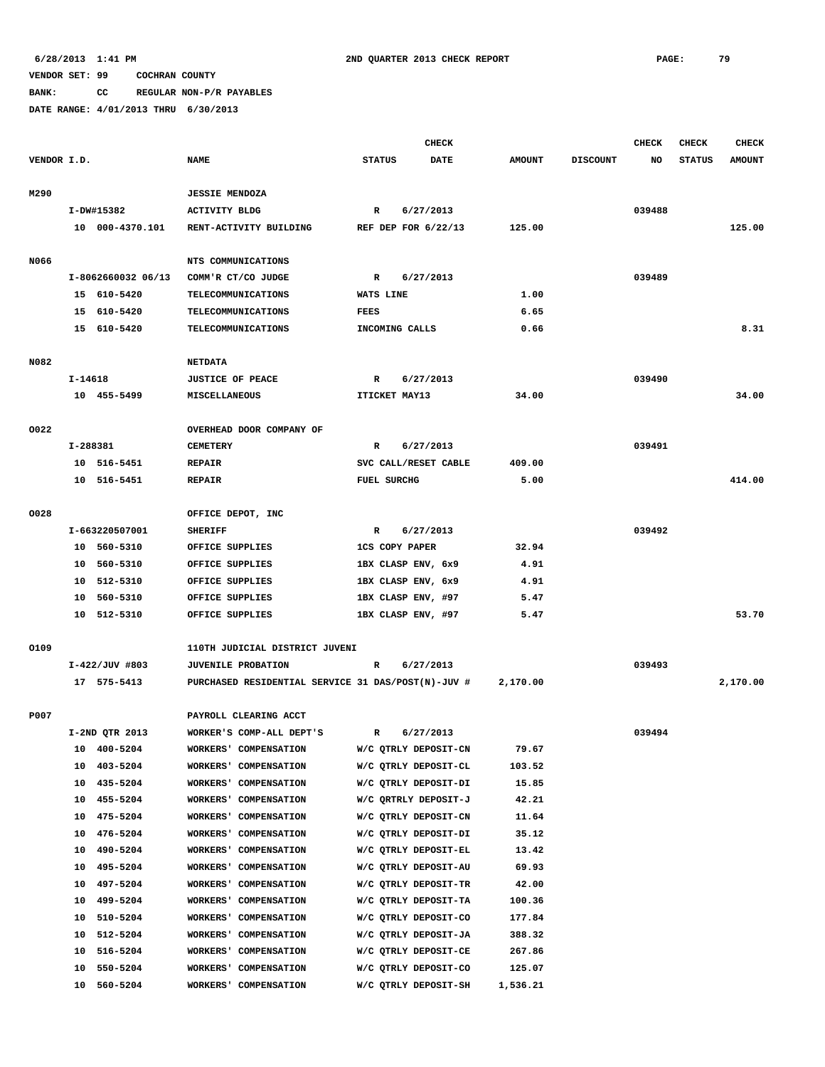**BANK: CC REGULAR NON-P/R PAYABLES**

|             |          |                         |                                                    |                       | <b>CHECK</b>                                 |                 |                 | <b>CHECK</b> | <b>CHECK</b>  | <b>CHECK</b>  |
|-------------|----------|-------------------------|----------------------------------------------------|-----------------------|----------------------------------------------|-----------------|-----------------|--------------|---------------|---------------|
| VENDOR I.D. |          |                         | <b>NAME</b>                                        | <b>STATUS</b>         | <b>DATE</b>                                  | <b>AMOUNT</b>   | <b>DISCOUNT</b> | NO           | <b>STATUS</b> | <b>AMOUNT</b> |
|             |          |                         |                                                    |                       |                                              |                 |                 |              |               |               |
| M290        |          |                         | <b>JESSIE MENDOZA</b>                              |                       |                                              |                 |                 |              |               |               |
|             |          | I-DW#15382              | <b>ACTIVITY BLDG</b>                               | R                     | 6/27/2013                                    |                 |                 | 039488       |               |               |
|             |          | 10 000-4370.101         | RENT-ACTIVITY BUILDING                             |                       | REF DEP FOR $6/22/13$                        | 125.00          |                 |              |               | 125.00        |
|             |          |                         |                                                    |                       |                                              |                 |                 |              |               |               |
| N066        |          | I-8062660032 06/13      | NTS COMMUNICATIONS                                 |                       |                                              |                 |                 | 039489       |               |               |
|             |          | 15 610-5420             | COMM'R CT/CO JUDGE<br><b>TELECOMMUNICATIONS</b>    | R<br>WATS LINE        | 6/27/2013                                    | 1.00            |                 |              |               |               |
|             |          | 15 610-5420             | <b>TELECOMMUNICATIONS</b>                          | FEES                  |                                              | 6.65            |                 |              |               |               |
|             |          | 15 610-5420             | <b>TELECOMMUNICATIONS</b>                          | INCOMING CALLS        |                                              | 0.66            |                 |              |               | 8.31          |
|             |          |                         |                                                    |                       |                                              |                 |                 |              |               |               |
| N082        |          |                         | <b>NETDATA</b>                                     |                       |                                              |                 |                 |              |               |               |
|             | I-14618  |                         | <b>JUSTICE OF PEACE</b>                            | R                     | 6/27/2013                                    |                 |                 | 039490       |               |               |
|             |          | 10 455-5499             | MISCELLANEOUS                                      | ITICKET MAY13         |                                              | 34.00           |                 |              |               | 34.00         |
|             |          |                         |                                                    |                       |                                              |                 |                 |              |               |               |
| 0022        |          |                         | OVERHEAD DOOR COMPANY OF                           |                       |                                              |                 |                 |              |               |               |
|             |          | I-288381                | <b>CEMETERY</b>                                    | R                     | 6/27/2013                                    |                 |                 | 039491       |               |               |
|             |          | 10 516-5451             | <b>REPAIR</b>                                      |                       | SVC CALL/RESET CABLE                         | 409.00          |                 |              |               |               |
|             |          | 10 516-5451             | <b>REPAIR</b>                                      | <b>FUEL SURCHG</b>    |                                              | 5.00            |                 |              |               | 414.00        |
|             |          |                         |                                                    |                       |                                              |                 |                 |              |               |               |
| 0028        |          |                         | OFFICE DEPOT, INC                                  |                       |                                              |                 |                 |              |               |               |
|             |          | I-663220507001          | <b>SHERIFF</b>                                     | R                     | 6/27/2013                                    |                 |                 | 039492       |               |               |
|             |          | 10 560-5310             | OFFICE SUPPLIES                                    | <b>1CS COPY PAPER</b> |                                              | 32.94           |                 |              |               |               |
|             | 10       | 560-5310                | OFFICE SUPPLIES                                    |                       | 1BX CLASP ENV, 6x9                           | 4.91            |                 |              |               |               |
|             | 10       | 10 512-5310<br>560-5310 | OFFICE SUPPLIES<br>OFFICE SUPPLIES                 |                       | 1BX CLASP ENV, 6x9<br>1BX CLASP ENV, #97     | 4.91<br>5.47    |                 |              |               |               |
|             |          | 10 512-5310             | OFFICE SUPPLIES                                    |                       | 1BX CLASP ENV, #97                           | 5.47            |                 |              |               | 53.70         |
|             |          |                         |                                                    |                       |                                              |                 |                 |              |               |               |
| 0109        |          |                         | 110TH JUDICIAL DISTRICT JUVENI                     |                       |                                              |                 |                 |              |               |               |
|             |          | $I-422/JUV$ #803        | <b>JUVENILE PROBATION</b>                          | R                     | 6/27/2013                                    |                 |                 | 039493       |               |               |
|             |          | 17 575-5413             | PURCHASED RESIDENTIAL SERVICE 31 DAS/POST(N)-JUV # |                       |                                              | 2,170.00        |                 |              |               | 2,170.00      |
|             |          |                         |                                                    |                       |                                              |                 |                 |              |               |               |
| P007        |          |                         | PAYROLL CLEARING ACCT                              |                       |                                              |                 |                 |              |               |               |
|             |          | I-2ND QTR 2013          | WORKER'S COMP-ALL DEPT'S                           | $\mathbb{R}$          | 6/27/2013                                    |                 |                 | 039494       |               |               |
|             | 10       | 400-5204                | WORKERS' COMPENSATION                              |                       | W/C QTRLY DEPOSIT-CN                         | 79.67           |                 |              |               |               |
|             | 10       | 403-5204                | WORKERS' COMPENSATION                              |                       | W/C QTRLY DEPOSIT-CL                         | 103.52          |                 |              |               |               |
|             | 10       | 435-5204                | WORKERS' COMPENSATION                              |                       | W/C QTRLY DEPOSIT-DI                         | 15.85           |                 |              |               |               |
|             | 10       | 455-5204                | WORKERS' COMPENSATION                              |                       | W/C QRTRLY DEPOSIT-J                         | 42.21           |                 |              |               |               |
|             | 10       | 475-5204                | WORKERS' COMPENSATION                              |                       | W/C QTRLY DEPOSIT-CN                         | 11.64           |                 |              |               |               |
|             | 10       | 476-5204                | WORKERS' COMPENSATION                              |                       | W/C QTRLY DEPOSIT-DI                         | 35.12           |                 |              |               |               |
|             | 10       | 490-5204                | WORKERS' COMPENSATION                              |                       | W/C QTRLY DEPOSIT-EL                         | 13.42           |                 |              |               |               |
|             | 10       | 495-5204                | WORKERS' COMPENSATION                              |                       | W/C QTRLY DEPOSIT-AU                         | 69.93           |                 |              |               |               |
|             | 10<br>10 | 497-5204<br>499-5204    | WORKERS' COMPENSATION<br>WORKERS' COMPENSATION     |                       | W/C QTRLY DEPOSIT-TR<br>W/C QTRLY DEPOSIT-TA | 42.00<br>100.36 |                 |              |               |               |
|             | 10       | 510-5204                | WORKERS' COMPENSATION                              |                       | W/C QTRLY DEPOSIT-CO                         | 177.84          |                 |              |               |               |
|             | 10       | 512-5204                | WORKERS' COMPENSATION                              |                       | W/C QTRLY DEPOSIT-JA                         | 388.32          |                 |              |               |               |
|             | 10       | 516-5204                | WORKERS' COMPENSATION                              |                       | W/C QTRLY DEPOSIT-CE                         | 267.86          |                 |              |               |               |
|             | 10       | 550-5204                | WORKERS' COMPENSATION                              |                       | W/C QTRLY DEPOSIT-CO                         | 125.07          |                 |              |               |               |
|             | 10       | 560-5204                | WORKERS' COMPENSATION                              |                       | W/C QTRLY DEPOSIT-SH                         | 1,536.21        |                 |              |               |               |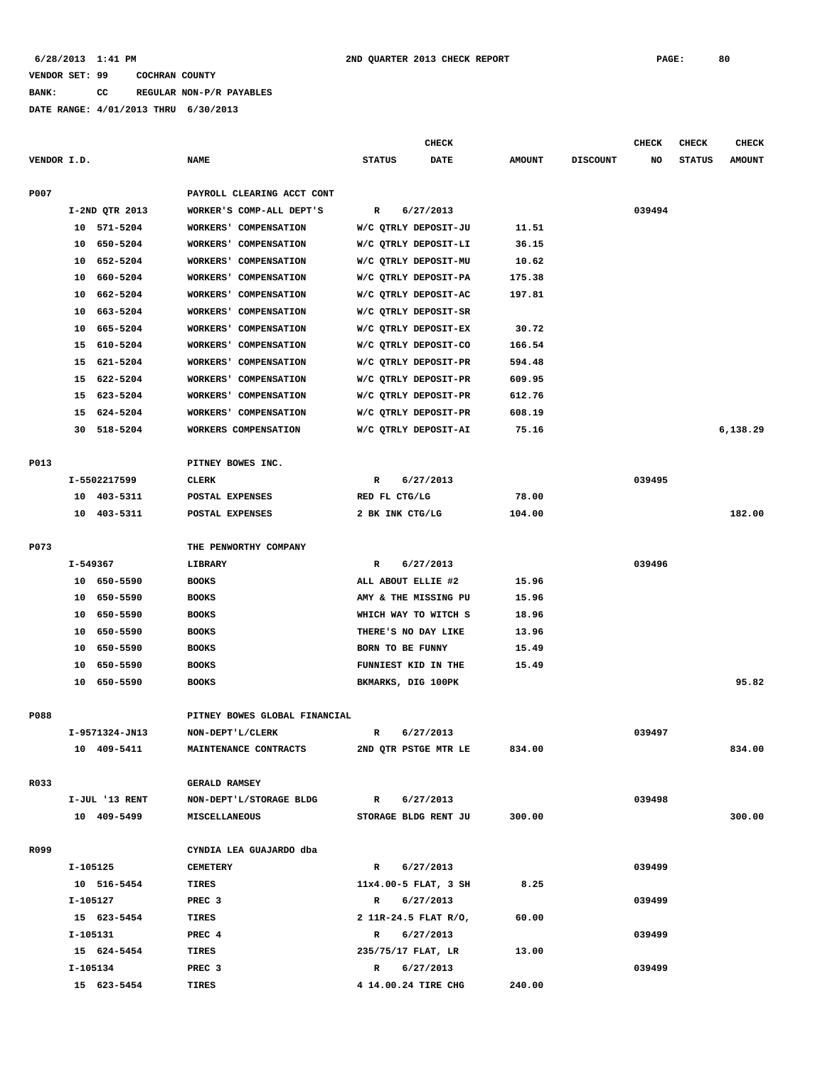**BANK: CC REGULAR NON-P/R PAYABLES**

|             |                |                               | CHECK                        |               |                 | <b>CHECK</b> | <b>CHECK</b>  | <b>CHECK</b>  |
|-------------|----------------|-------------------------------|------------------------------|---------------|-----------------|--------------|---------------|---------------|
| VENDOR I.D. |                | <b>NAME</b>                   | <b>STATUS</b><br><b>DATE</b> | <b>AMOUNT</b> | <b>DISCOUNT</b> | NO           | <b>STATUS</b> | <b>AMOUNT</b> |
| P007        |                | PAYROLL CLEARING ACCT CONT    |                              |               |                 |              |               |               |
|             | I-2ND QTR 2013 | WORKER'S COMP-ALL DEPT'S      | R<br>6/27/2013               |               |                 | 039494       |               |               |
|             | 10 571-5204    | <b>WORKERS' COMPENSATION</b>  | W/C QTRLY DEPOSIT-JU         | 11.51         |                 |              |               |               |
|             | 10 650-5204    | WORKERS' COMPENSATION         | W/C QTRLY DEPOSIT-LI         | 36.15         |                 |              |               |               |
|             | 652-5204<br>10 | WORKERS' COMPENSATION         | W/C QTRLY DEPOSIT-MU         | 10.62         |                 |              |               |               |
|             | 10<br>660-5204 | WORKERS' COMPENSATION         | W/C QTRLY DEPOSIT-PA         | 175.38        |                 |              |               |               |
|             | 10<br>662-5204 | WORKERS' COMPENSATION         | W/C QTRLY DEPOSIT-AC         | 197.81        |                 |              |               |               |
|             | 663-5204<br>10 | WORKERS' COMPENSATION         | W/C QTRLY DEPOSIT-SR         |               |                 |              |               |               |
|             | 665-5204<br>10 | WORKERS' COMPENSATION         | W/C QTRLY DEPOSIT-EX         | 30.72         |                 |              |               |               |
|             | 610-5204<br>15 | WORKERS' COMPENSATION         | W/C QTRLY DEPOSIT-CO         | 166.54        |                 |              |               |               |
|             | 621-5204<br>15 | WORKERS' COMPENSATION         | W/C QTRLY DEPOSIT-PR         | 594.48        |                 |              |               |               |
|             | 622-5204<br>15 | WORKERS' COMPENSATION         | W/C QTRLY DEPOSIT-PR         | 609.95        |                 |              |               |               |
|             | 15 623-5204    | WORKERS' COMPENSATION         | W/C QTRLY DEPOSIT-PR         | 612.76        |                 |              |               |               |
|             | 624-5204<br>15 | WORKERS' COMPENSATION         | W/C QTRLY DEPOSIT-PR         | 608.19        |                 |              |               |               |
|             | 30<br>518-5204 | WORKERS COMPENSATION          | W/C QTRLY DEPOSIT-AI         | 75.16         |                 |              |               | 6,138.29      |
|             |                |                               |                              |               |                 |              |               |               |
| P013        |                | PITNEY BOWES INC.             |                              |               |                 |              |               |               |
|             | I-5502217599   | CLERK                         | 6/27/2013<br>R               |               |                 | 039495       |               |               |
|             | 10 403-5311    | POSTAL EXPENSES               | RED FL CTG/LG                | 78.00         |                 |              |               |               |
|             | 403-5311<br>10 | POSTAL EXPENSES               | 2 BK INK CTG/LG              | 104.00        |                 |              |               | 182.00        |
|             |                |                               |                              |               |                 |              |               |               |
| P073        |                | THE PENWORTHY COMPANY         |                              |               |                 |              |               |               |
|             | I-549367       | LIBRARY                       | 6/27/2013<br>R               |               |                 | 039496       |               |               |
|             | 10 650-5590    | <b>BOOKS</b>                  | ALL ABOUT ELLIE #2           | 15.96         |                 |              |               |               |
|             | 10 650-5590    | <b>BOOKS</b>                  | AMY & THE MISSING PU         | 15.96         |                 |              |               |               |
|             | 650-5590<br>10 | <b>BOOKS</b>                  | WHICH WAY TO WITCH S         | 18.96         |                 |              |               |               |
|             | 10<br>650-5590 | <b>BOOKS</b>                  | THERE'S NO DAY LIKE          | 13.96         |                 |              |               |               |
|             | 10<br>650-5590 | <b>BOOKS</b>                  | BORN TO BE FUNNY             | 15.49         |                 |              |               |               |
|             | 10<br>650-5590 | <b>BOOKS</b>                  | FUNNIEST KID IN THE          | 15.49         |                 |              |               |               |
|             | 10 650-5590    | <b>BOOKS</b>                  | BKMARKS, DIG 100PK           |               |                 |              |               | 95.82         |
|             |                |                               |                              |               |                 |              |               |               |
| P088        |                | PITNEY BOWES GLOBAL FINANCIAL |                              |               |                 |              |               |               |
|             | I-9571324-JN13 | NON-DEPT'L/CLERK              | 6/27/2013<br>R               |               |                 | 039497       |               |               |
|             | 10 409-5411    | MAINTENANCE CONTRACTS         | 2ND QTR PSTGE MTR LE         | 834.00        |                 |              |               | 834.00        |
|             |                |                               |                              |               |                 |              |               |               |
| R033        |                | <b>GERALD RAMSEY</b>          |                              |               |                 |              |               |               |
|             | I-JUL '13 RENT | NON-DEPT'L/STORAGE BLDG       | $\mathbb{R}$<br>6/27/2013    |               |                 | 039498       |               |               |
|             | 10 409-5499    | <b>MISCELLANEOUS</b>          | STORAGE BLDG RENT JU         | 300.00        |                 |              |               | 300.00        |
| R099        |                | CYNDIA LEA GUAJARDO dba       |                              |               |                 |              |               |               |
|             | I-105125       | <b>CEMETERY</b>               | 6/27/2013<br>$\mathbb{R}$    |               |                 | 039499       |               |               |
|             | 10 516-5454    | <b>TIRES</b>                  | 11x4.00-5 FLAT, 3 SH         | 8.25          |                 |              |               |               |
|             | I-105127       | PREC <sub>3</sub>             | $\mathbb{R}$<br>6/27/2013    |               |                 | 039499       |               |               |
|             | 15 623-5454    | TIRES                         | 2 11R-24.5 FLAT R/O,         | 60.00         |                 |              |               |               |
|             | I-105131       | PREC 4                        | 6/27/2013<br>R               |               |                 | 039499       |               |               |
|             | 15 624-5454    | TIRES                         | 235/75/17 FLAT, LR           | 13.00         |                 |              |               |               |
|             | I-105134       | PREC 3                        | 6/27/2013<br>R               |               |                 | 039499       |               |               |
|             | 15 623-5454    | TIRES                         | 4 14.00.24 TIRE CHG          | 240.00        |                 |              |               |               |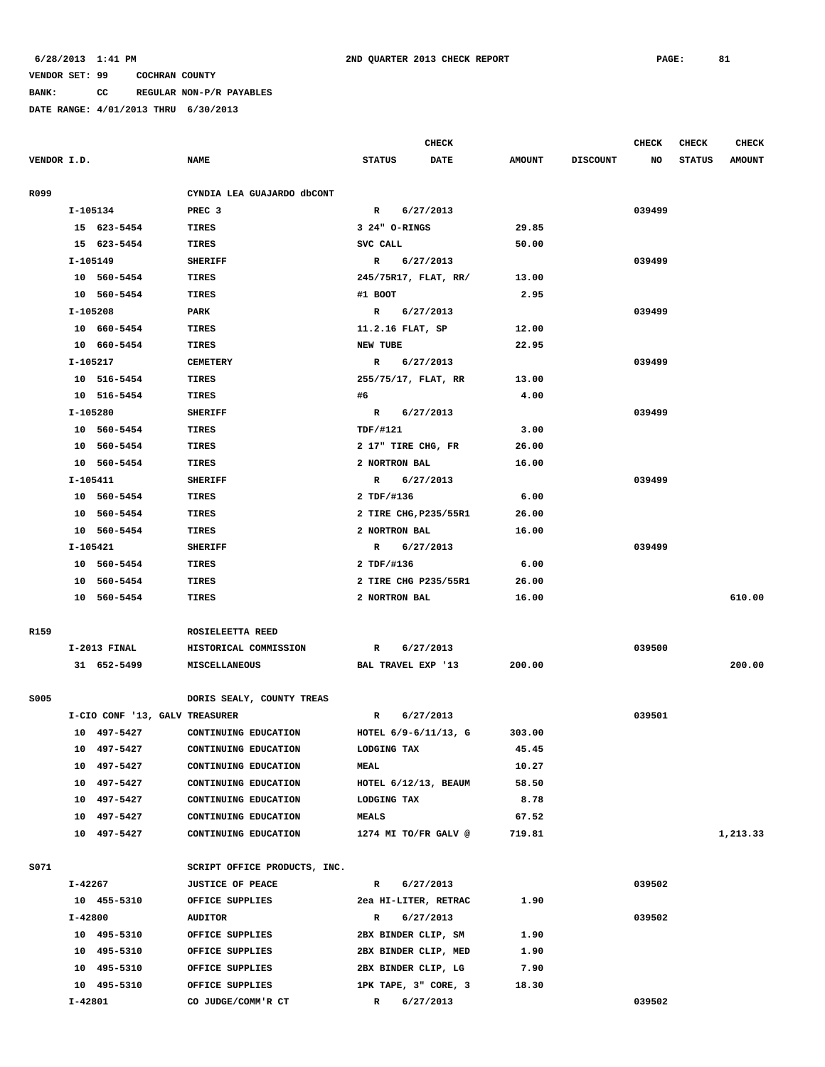**BANK: CC REGULAR NON-P/R PAYABLES**

|             |         |                                |                              |                                 | <b>CHECK</b> |               |                 | <b>CHECK</b> | <b>CHECK</b>  | <b>CHECK</b>  |
|-------------|---------|--------------------------------|------------------------------|---------------------------------|--------------|---------------|-----------------|--------------|---------------|---------------|
| VENDOR I.D. |         |                                | <b>NAME</b>                  | <b>STATUS</b>                   | <b>DATE</b>  | <b>AMOUNT</b> | <b>DISCOUNT</b> | NO           | <b>STATUS</b> | <b>AMOUNT</b> |
|             |         |                                |                              |                                 |              |               |                 |              |               |               |
| R099        |         |                                | CYNDIA LEA GUAJARDO dbCONT   |                                 |              |               |                 |              |               |               |
|             |         | I-105134                       | PREC <sub>3</sub>            | R 6/27/2013<br>3 24" O-RINGS    |              | 29.85         |                 | 039499       |               |               |
|             |         | 15 623-5454                    | TIRES                        |                                 |              |               |                 |              |               |               |
|             |         | 15 623-5454                    | TIRES                        | SVC CALL                        |              | 50.00         |                 |              |               |               |
|             |         | I-105149                       | <b>SHERIFF</b>               | R 6/27/2013                     |              |               |                 | 039499       |               |               |
|             |         | 10 560-5454<br>10 560-5454     | TIRES<br>TIRES               | 245/75R17, FLAT, RR/<br>#1 BOOT |              | 13.00<br>2.95 |                 |              |               |               |
|             |         |                                |                              |                                 |              |               |                 |              |               |               |
|             |         | I-105208                       | PARK                         | R 6/27/2013                     |              |               |                 | 039499       |               |               |
|             |         | 10 660-5454                    | TIRES                        | 11.2.16 FLAT, SP                |              | 12.00         |                 |              |               |               |
|             |         | 10 660-5454                    | TIRES                        | NEW TUBE                        |              | 22.95         |                 |              |               |               |
|             |         | I-105217                       | <b>CEMETERY</b>              | R                               | 6/27/2013    |               |                 | 039499       |               |               |
|             |         | 10 516-5454                    | TIRES                        | 255/75/17, FLAT, RR             |              | 13.00         |                 |              |               |               |
|             |         | 10 516-5454                    | TIRES                        | #6                              |              | 4.00          |                 |              |               |               |
|             |         | I-105280                       | <b>SHERIFF</b>               | R 6/27/2013                     |              |               |                 | 039499       |               |               |
|             |         | 10 560-5454                    | <b>TIRES</b>                 | <b>TDF/#121</b>                 |              | 3.00          |                 |              |               |               |
|             |         | 10 560-5454                    | <b>TIRES</b>                 | 2 17" TIRE CHG, FR              |              | 26.00         |                 |              |               |               |
|             |         | 10 560-5454                    | TIRES                        | 2 NORTRON BAL                   |              | 16.00         |                 |              |               |               |
|             |         | I-105411                       | <b>SHERIFF</b>               | R 6/27/2013                     |              |               |                 | 039499       |               |               |
|             |         | 10 560-5454                    | TIRES                        | 2 TDF/#136                      |              | 6.00          |                 |              |               |               |
|             |         | 10 560-5454                    | TIRES                        | 2 TIRE CHG, P235/55R1           |              | 26.00         |                 |              |               |               |
|             |         | 10 560-5454                    | TIRES                        | 2 NORTRON BAL                   |              | 16.00         |                 |              |               |               |
|             |         | I-105421                       | <b>SHERIFF</b>               | R 6/27/2013                     |              |               |                 | 039499       |               |               |
|             |         | 10 560-5454                    | TIRES                        | 2 TDF/#136                      |              | 6.00          |                 |              |               |               |
|             |         | 10 560-5454                    | <b>TIRES</b>                 | 2 TIRE CHG P235/55R1            |              | 26.00         |                 |              |               |               |
|             |         | 10 560-5454                    | TIRES                        | 2 NORTRON BAL                   |              | 16.00         |                 |              |               | 610.00        |
| R159        |         |                                | ROSIELEETTA REED             |                                 |              |               |                 |              |               |               |
|             |         | I-2013 FINAL                   | HISTORICAL COMMISSION        | R                               | 6/27/2013    |               |                 | 039500       |               |               |
|             |         | 31 652-5499                    | MISCELLANEOUS                | BAL TRAVEL EXP '13              |              | 200.00        |                 |              |               | 200.00        |
|             |         |                                |                              |                                 |              |               |                 |              |               |               |
| S005        |         |                                | DORIS SEALY, COUNTY TREAS    |                                 |              |               |                 |              |               |               |
|             |         | I-CIO CONF '13, GALV TREASURER |                              | R                               | 6/27/2013    |               |                 | 039501       |               |               |
|             |         | 10 497-5427                    | CONTINUING EDUCATION         | HOTEL 6/9-6/11/13, G            |              | 303.00        |                 |              |               |               |
|             |         | 10 497-5427                    | CONTINUING EDUCATION         | LODGING TAX                     |              | 45.45         |                 |              |               |               |
|             |         | 10 497-5427                    | CONTINUING EDUCATION         | MEAL                            |              | 10.27         |                 |              |               |               |
|             |         | 10 497-5427                    | CONTINUING EDUCATION         | HOTEL 6/12/13, BEAUM            |              | 58.50         |                 |              |               |               |
|             |         | 10 497-5427                    | CONTINUING EDUCATION         | <b>LODGING TAX</b>              |              | 8.78          |                 |              |               |               |
|             |         | 10 497-5427                    | CONTINUING EDUCATION         | <b>MEALS</b>                    |              | 67.52         |                 |              |               |               |
|             |         | 10 497-5427                    | CONTINUING EDUCATION         | 1274 MI TO/FR GALV @            |              | 719.81        |                 |              |               | 1,213.33      |
| S071        |         |                                | SCRIPT OFFICE PRODUCTS, INC. |                                 |              |               |                 |              |               |               |
|             | I-42267 |                                | <b>JUSTICE OF PEACE</b>      | $\mathbb{R}$                    | 6/27/2013    |               |                 | 039502       |               |               |
|             |         | 10 455-5310                    | OFFICE SUPPLIES              | 2ea HI-LITER, RETRAC            |              | 1.90          |                 |              |               |               |
|             | I-42800 |                                | <b>AUDITOR</b>               | R                               | 6/27/2013    |               |                 | 039502       |               |               |
|             |         | 10 495-5310                    | OFFICE SUPPLIES              | 2BX BINDER CLIP, SM             |              | 1.90          |                 |              |               |               |
|             |         | 10 495-5310                    | OFFICE SUPPLIES              | 2BX BINDER CLIP, MED            |              | 1.90          |                 |              |               |               |
|             |         | 10 495-5310                    | OFFICE SUPPLIES              | 2BX BINDER CLIP, LG             |              | 7.90          |                 |              |               |               |
|             |         | 10 495-5310                    | OFFICE SUPPLIES              | 1PK TAPE, 3" CORE, 3            |              | 18.30         |                 |              |               |               |
|             | I-42801 |                                | CO JUDGE/COMM'R CT           | $\mathbb{R}$                    | 6/27/2013    |               |                 | 039502       |               |               |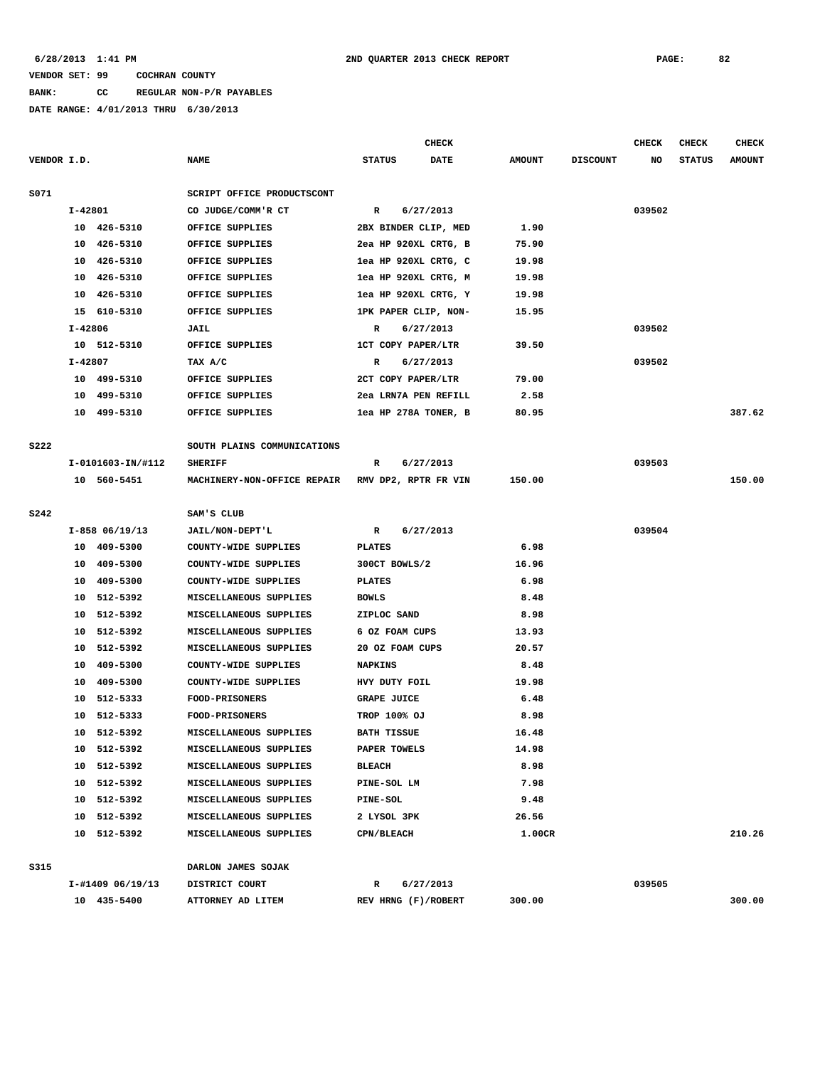# **BANK: CC REGULAR NON-P/R PAYABLES**

|             |         |                     |                             |                      | <b>CHECK</b>         |               |                 | <b>CHECK</b> | CHECK         | <b>CHECK</b>  |
|-------------|---------|---------------------|-----------------------------|----------------------|----------------------|---------------|-----------------|--------------|---------------|---------------|
| VENDOR I.D. |         |                     | <b>NAME</b>                 | <b>STATUS</b>        | DATE                 | <b>AMOUNT</b> | <b>DISCOUNT</b> | NO           | <b>STATUS</b> | <b>AMOUNT</b> |
| S071        |         |                     | SCRIPT OFFICE PRODUCTSCONT  |                      |                      |               |                 |              |               |               |
|             | I-42801 |                     | CO JUDGE/COMM'R CT          | $\mathbb{R}$         | 6/27/2013            |               |                 | 039502       |               |               |
|             |         | 10 426-5310         | OFFICE SUPPLIES             |                      | 2BX BINDER CLIP, MED | 1.90          |                 |              |               |               |
|             |         | 10 426-5310         | OFFICE SUPPLIES             |                      | 2ea HP 920XL CRTG, B | 75.90         |                 |              |               |               |
|             |         | 10 426-5310         | OFFICE SUPPLIES             |                      | lea HP 920XL CRTG, C | 19.98         |                 |              |               |               |
|             |         | 10 426-5310         | OFFICE SUPPLIES             |                      | lea HP 920XL CRTG, M | 19.98         |                 |              |               |               |
|             |         | 10 426-5310         | OFFICE SUPPLIES             |                      | lea HP 920XL CRTG, Y | 19.98         |                 |              |               |               |
|             |         | 15 610-5310         | OFFICE SUPPLIES             | 1PK PAPER CLIP, NON- |                      | 15.95         |                 |              |               |               |
|             | I-42806 |                     | JAIL                        | R                    | 6/27/2013            |               |                 | 039502       |               |               |
|             |         | 10 512-5310         | OFFICE SUPPLIES             | 1CT COPY PAPER/LTR   |                      | 39.50         |                 |              |               |               |
|             | I-42807 |                     | TAX A/C                     | R                    | 6/27/2013            |               |                 | 039502       |               |               |
|             |         | 10 499-5310         | OFFICE SUPPLIES             | 2CT COPY PAPER/LTR   |                      | 79.00         |                 |              |               |               |
|             |         | 10 499-5310         | OFFICE SUPPLIES             |                      | 2ea LRN7A PEN REFILL | 2.58          |                 |              |               |               |
|             |         | 10 499-5310         | OFFICE SUPPLIES             |                      | lea HP 278A TONER, B | 80.95         |                 |              |               | 387.62        |
|             |         |                     |                             |                      |                      |               |                 |              |               |               |
| <b>S222</b> |         |                     | SOUTH PLAINS COMMUNICATIONS |                      |                      |               |                 |              |               |               |
|             |         | I-0101603-IN/#112   | <b>SHERIFF</b>              | R                    | 6/27/2013            |               |                 | 039503       |               |               |
|             |         | 10 560-5451         | MACHINERY-NON-OFFICE REPAIR |                      | RMV DP2, RPTR FR VIN | 150.00        |                 |              |               | 150.00        |
| <b>S242</b> |         |                     | SAM'S CLUB                  |                      |                      |               |                 |              |               |               |
|             |         | $I-858$ 06/19/13    | JAIL/NON-DEPT'L             | R                    | 6/27/2013            |               |                 | 039504       |               |               |
|             |         | 10 409-5300         | COUNTY-WIDE SUPPLIES        | <b>PLATES</b>        |                      | 6.98          |                 |              |               |               |
|             |         | 10 409-5300         | COUNTY-WIDE SUPPLIES        | 300CT BOWLS/2        |                      | 16.96         |                 |              |               |               |
|             |         | 10 409-5300         | COUNTY-WIDE SUPPLIES        | <b>PLATES</b>        |                      | 6.98          |                 |              |               |               |
|             |         | 10 512-5392         | MISCELLANEOUS SUPPLIES      | <b>BOWLS</b>         |                      | 8.48          |                 |              |               |               |
|             |         | 10 512-5392         | MISCELLANEOUS SUPPLIES      | ZIPLOC SAND          |                      | 8.98          |                 |              |               |               |
|             |         | 10 512-5392         | MISCELLANEOUS SUPPLIES      | 6 OZ FOAM CUPS       |                      | 13.93         |                 |              |               |               |
|             |         | 10 512-5392         | MISCELLANEOUS SUPPLIES      | 20 OZ FOAM CUPS      |                      | 20.57         |                 |              |               |               |
|             |         | 10 409-5300         | COUNTY-WIDE SUPPLIES        | <b>NAPKINS</b>       |                      | 8.48          |                 |              |               |               |
|             |         | 10 409-5300         | COUNTY-WIDE SUPPLIES        | HVY DUTY FOIL        |                      | 19.98         |                 |              |               |               |
|             | 10      | 512-5333            | <b>FOOD-PRISONERS</b>       | <b>GRAPE JUICE</b>   |                      | 6.48          |                 |              |               |               |
|             | 10      | 512-5333            | FOOD-PRISONERS              | TROP 100% OJ         |                      | 8.98          |                 |              |               |               |
|             |         | 10 512-5392         | MISCELLANEOUS SUPPLIES      | <b>BATH TISSUE</b>   |                      | 16.48         |                 |              |               |               |
|             |         | 10 512-5392         | MISCELLANEOUS SUPPLIES      | PAPER TOWELS         |                      | 14.98         |                 |              |               |               |
|             |         | 10 512-5392         | MISCELLANEOUS SUPPLIES      | <b>BLEACH</b>        |                      | 8.98          |                 |              |               |               |
|             |         | 10 512-5392         | MISCELLANEOUS SUPPLIES      | PINE-SOL LM          |                      | 7.98          |                 |              |               |               |
|             |         | 10 512-5392         | MISCELLANEOUS SUPPLIES      | <b>PINE-SOL</b>      |                      | 9.48          |                 |              |               |               |
|             |         | 10 512-5392         | MISCELLANEOUS SUPPLIES      | 2 LYSOL 3PK          |                      | 26.56         |                 |              |               |               |
|             |         | 10 512-5392         | MISCELLANEOUS SUPPLIES      | <b>CPN/BLEACH</b>    |                      | 1.00CR        |                 |              |               | 210.26        |
|             |         |                     |                             |                      |                      |               |                 |              |               |               |
| <b>S315</b> |         |                     | DARLON JAMES SOJAK          |                      |                      |               |                 |              |               |               |
|             |         | $I-\#1409$ 06/19/13 | DISTRICT COURT              | R                    | 6/27/2013            |               |                 | 039505       |               |               |
|             |         | 10 435-5400         | ATTORNEY AD LITEM           | REV HRNG (F)/ROBERT  |                      | 300.00        |                 |              |               | 300.00        |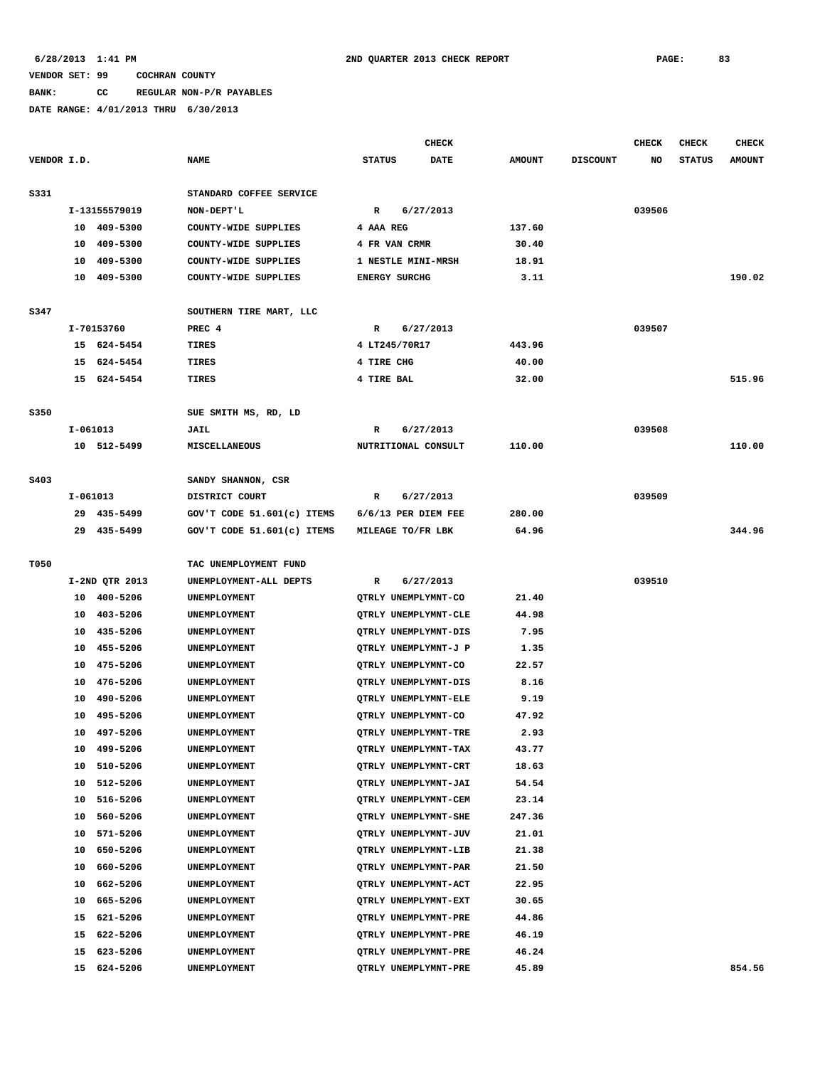## **BANK: CC REGULAR NON-P/R PAYABLES**

|             |            |                |                              |                             | <b>CHECK</b> |               |                 | <b>CHECK</b> | <b>CHECK</b>  | <b>CHECK</b>  |
|-------------|------------|----------------|------------------------------|-----------------------------|--------------|---------------|-----------------|--------------|---------------|---------------|
| VENDOR I.D. |            |                | <b>NAME</b>                  | <b>STATUS</b>               | DATE         | <b>AMOUNT</b> | <b>DISCOUNT</b> | NO           | <b>STATUS</b> | <b>AMOUNT</b> |
| S331        |            |                | STANDARD COFFEE SERVICE      |                             |              |               |                 |              |               |               |
|             |            | I-13155579019  | NON-DEPT'L                   | $\mathbb{R}$                | 6/27/2013    |               |                 | 039506       |               |               |
|             |            | 10 409-5300    | COUNTY-WIDE SUPPLIES         | 4 AAA REG                   |              | 137.60        |                 |              |               |               |
|             | 10         | 409-5300       | COUNTY-WIDE SUPPLIES         | 4 FR VAN CRMR               |              | 30.40         |                 |              |               |               |
|             | 10         | 409-5300       | COUNTY-WIDE SUPPLIES         | 1 NESTLE MINI-MRSH          |              | 18.91         |                 |              |               |               |
|             |            | 10 409-5300    | COUNTY-WIDE SUPPLIES         | <b>ENERGY SURCHG</b>        |              | 3.11          |                 |              |               | 190.02        |
|             |            |                |                              |                             |              |               |                 |              |               |               |
| S347        |            |                | SOUTHERN TIRE MART, LLC      |                             |              |               |                 |              |               |               |
|             |            | I-70153760     | PREC 4                       | R                           | 6/27/2013    |               |                 | 039507       |               |               |
|             |            | 15 624-5454    | TIRES                        | 4 LT245/70R17               |              | 443.96        |                 |              |               |               |
|             |            | 15 624-5454    | TIRES                        | 4 TIRE CHG                  |              | 40.00         |                 |              |               |               |
|             |            | 15 624-5454    | TIRES                        | 4 TIRE BAL                  |              | 32.00         |                 |              |               | 515.96        |
|             |            |                |                              |                             |              |               |                 |              |               |               |
| S350        |            |                | SUE SMITH MS, RD, LD         |                             |              |               |                 |              |               |               |
|             | I-061013   |                | JAIL                         | R                           | 6/27/2013    |               |                 | 039508       |               |               |
|             |            | 10 512-5499    | <b>MISCELLANEOUS</b>         | NUTRITIONAL CONSULT         |              | 110.00        |                 |              |               | 110.00        |
|             |            |                |                              |                             |              |               |                 |              |               |               |
| S403        |            |                | SANDY SHANNON, CSR           |                             |              |               |                 |              |               |               |
|             | $I-061013$ |                | DISTRICT COURT               | R                           | 6/27/2013    |               |                 | 039509       |               |               |
|             |            | 29 435-5499    | GOV'T CODE $51.601(c)$ ITEMS | $6/6/13$ PER DIEM FEE       |              | 280.00        |                 |              |               |               |
|             |            | 29 435-5499    | GOV'T CODE 51.601(c) ITEMS   | MILEAGE TO/FR LBK           |              | 64.96         |                 |              |               | 344.96        |
| T050        |            |                | TAC UNEMPLOYMENT FUND        |                             |              |               |                 |              |               |               |
|             |            | I-2ND QTR 2013 | UNEMPLOYMENT-ALL DEPTS       | R                           | 6/27/2013    |               |                 | 039510       |               |               |
|             |            | 10 400-5206    | UNEMPLOYMENT                 | QTRLY UNEMPLYMNT-CO         |              | 21.40         |                 |              |               |               |
|             | 10         | 403-5206       | UNEMPLOYMENT                 | QTRLY UNEMPLYMNT-CLE        |              | 44.98         |                 |              |               |               |
|             | 10         | 435-5206       | UNEMPLOYMENT                 | QTRLY UNEMPLYMNT-DIS        |              | 7.95          |                 |              |               |               |
|             | 10         | 455-5206       | UNEMPLOYMENT                 | QTRLY UNEMPLYMNT-J P        |              | 1.35          |                 |              |               |               |
|             | 10         | 475-5206       | UNEMPLOYMENT                 | QTRLY UNEMPLYMNT-CO         |              | 22.57         |                 |              |               |               |
|             | 10         | 476-5206       | UNEMPLOYMENT                 | QTRLY UNEMPLYMNT-DIS        |              | 8.16          |                 |              |               |               |
|             | 10         | 490-5206       | UNEMPLOYMENT                 | QTRLY UNEMPLYMNT-ELE        |              | 9.19          |                 |              |               |               |
|             | 10         | 495-5206       | UNEMPLOYMENT                 | QTRLY UNEMPLYMNT-CO         |              | 47.92         |                 |              |               |               |
|             | 10         | 497-5206       | UNEMPLOYMENT                 | QTRLY UNEMPLYMNT-TRE        |              | 2.93          |                 |              |               |               |
|             | 10         | 499-5206       | UNEMPLOYMENT                 | QTRLY UNEMPLYMNT-TAX        |              | 43.77         |                 |              |               |               |
|             | 10         | 510-5206       | UNEMPLOYMENT                 | QTRLY UNEMPLYMNT-CRT        |              | 18.63         |                 |              |               |               |
|             | 10         | 512-5206       | UNEMPLOYMENT                 | QTRLY UNEMPLYMNT-JAI        |              | 54.54         |                 |              |               |               |
|             | 10         | 516-5206       | UNEMPLOYMENT                 | QTRLY UNEMPLYMNT-CEM        |              | 23.14         |                 |              |               |               |
|             | 10         | 560-5206       | UNEMPLOYMENT                 | <b>OTRLY UNEMPLYMNT-SHE</b> |              | 247.36        |                 |              |               |               |
|             | 10         | 571-5206       | UNEMPLOYMENT                 | QTRLY UNEMPLYMNT-JUV        |              | 21.01         |                 |              |               |               |
|             | 10         | 650-5206       | UNEMPLOYMENT                 | QTRLY UNEMPLYMNT-LIB        |              | 21.38         |                 |              |               |               |
|             | 10         | 660-5206       | UNEMPLOYMENT                 | QTRLY UNEMPLYMNT-PAR        |              | 21.50         |                 |              |               |               |
|             | 10         | 662-5206       | UNEMPLOYMENT                 | QTRLY UNEMPLYMNT-ACT        |              | 22.95         |                 |              |               |               |
|             | 10         | 665-5206       | UNEMPLOYMENT                 | QTRLY UNEMPLYMNT-EXT        |              | 30.65         |                 |              |               |               |
|             | 15         | 621-5206       | UNEMPLOYMENT                 | QTRLY UNEMPLYMNT-PRE        |              | 44.86         |                 |              |               |               |
|             | 15         | 622-5206       | UNEMPLOYMENT                 | QTRLY UNEMPLYMNT-PRE        |              | 46.19         |                 |              |               |               |
|             | 15         | 623-5206       | UNEMPLOYMENT                 | QTRLY UNEMPLYMNT-PRE        |              | 46.24         |                 |              |               |               |
|             | 15         | 624-5206       | UNEMPLOYMENT                 | QTRLY UNEMPLYMNT-PRE        |              | 45.89         |                 |              |               | 854.56        |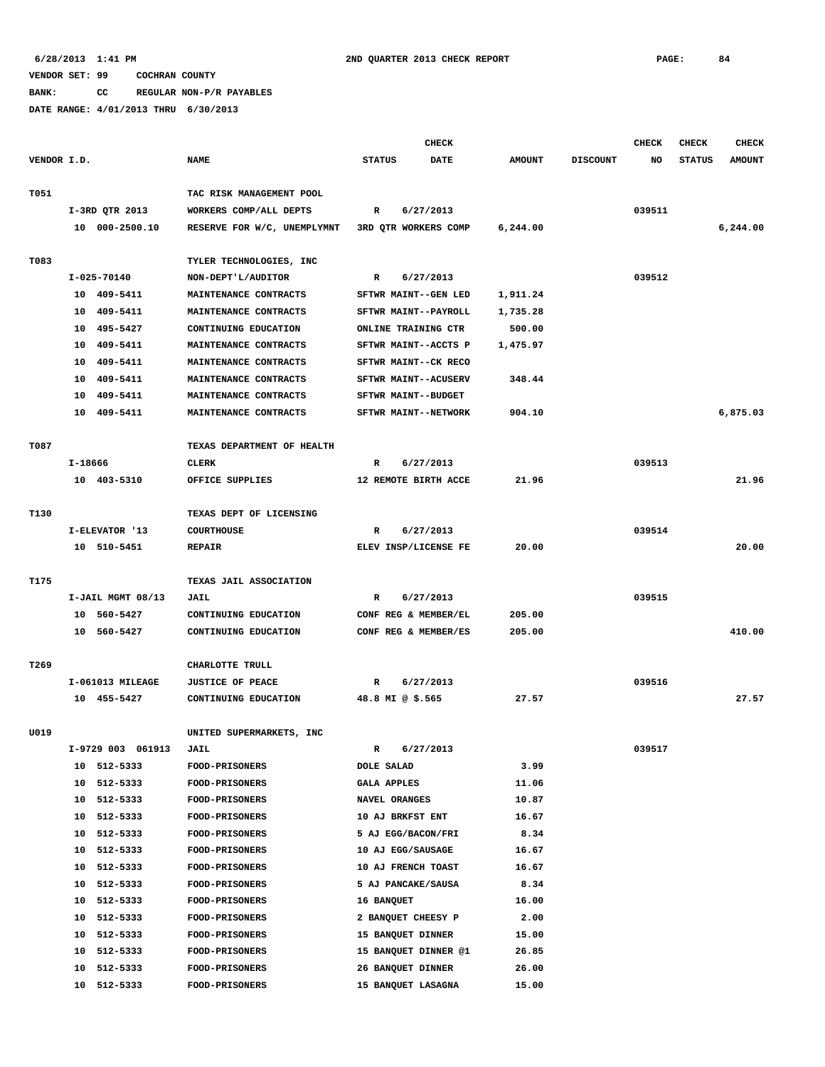**BANK: CC REGULAR NON-P/R PAYABLES**

|             |                   |                             |                      | <b>CHECK</b> |               |                 | <b>CHECK</b> | CHECK         | <b>CHECK</b>  |
|-------------|-------------------|-----------------------------|----------------------|--------------|---------------|-----------------|--------------|---------------|---------------|
| VENDOR I.D. |                   | <b>NAME</b>                 | <b>STATUS</b>        | DATE         | <b>AMOUNT</b> | <b>DISCOUNT</b> | NO           | <b>STATUS</b> | <b>AMOUNT</b> |
| T051        |                   | TAC RISK MANAGEMENT POOL    |                      |              |               |                 |              |               |               |
|             | I-3RD QTR 2013    | WORKERS COMP/ALL DEPTS      | R                    | 6/27/2013    |               |                 | 039511       |               |               |
|             | 10 000-2500.10    | RESERVE FOR W/C, UNEMPLYMNT | 3RD QTR WORKERS COMP |              | 6, 244.00     |                 |              |               | 6,244.00      |
|             |                   |                             |                      |              |               |                 |              |               |               |
| T083        |                   | TYLER TECHNOLOGIES, INC     |                      |              |               |                 |              |               |               |
|             | I-025-70140       | NON-DEPT'L/AUDITOR          | R                    | 6/27/2013    |               |                 | 039512       |               |               |
|             | 10 409-5411       | MAINTENANCE CONTRACTS       | SFTWR MAINT--GEN LED |              | 1,911.24      |                 |              |               |               |
|             | 10 409-5411       | MAINTENANCE CONTRACTS       | SFTWR MAINT--PAYROLL |              | 1,735.28      |                 |              |               |               |
|             | 10 495-5427       | CONTINUING EDUCATION        | ONLINE TRAINING CTR  |              | 500.00        |                 |              |               |               |
|             | 10 409-5411       | MAINTENANCE CONTRACTS       | SFTWR MAINT--ACCTS P |              | 1,475.97      |                 |              |               |               |
|             | 10 409-5411       | MAINTENANCE CONTRACTS       | SFTWR MAINT--CK RECO |              |               |                 |              |               |               |
|             | 10 409-5411       | MAINTENANCE CONTRACTS       | SFTWR MAINT--ACUSERV |              | 348.44        |                 |              |               |               |
|             | 10 409-5411       | MAINTENANCE CONTRACTS       | SFTWR MAINT--BUDGET  |              |               |                 |              |               |               |
|             | 10 409-5411       | MAINTENANCE CONTRACTS       | SFTWR MAINT--NETWORK |              | 904.10        |                 |              |               | 6,875.03      |
| T087        |                   | TEXAS DEPARTMENT OF HEALTH  |                      |              |               |                 |              |               |               |
|             | I-18666           | CLERK                       | R                    | 6/27/2013    |               |                 | 039513       |               |               |
|             | 10 403-5310       | OFFICE SUPPLIES             | 12 REMOTE BIRTH ACCE |              | 21.96         |                 |              |               | 21.96         |
|             |                   |                             |                      |              |               |                 |              |               |               |
| T130        |                   | TEXAS DEPT OF LICENSING     |                      |              |               |                 |              |               |               |
|             | I-ELEVATOR '13    | <b>COURTHOUSE</b>           | $\mathbb{R}$         | 6/27/2013    |               |                 | 039514       |               |               |
|             | 10 510-5451       | <b>REPAIR</b>               | ELEV INSP/LICENSE FE |              | 20.00         |                 |              |               | 20.00         |
| T175        |                   | TEXAS JAIL ASSOCIATION      |                      |              |               |                 |              |               |               |
|             | I-JAIL MGMT 08/13 | <b>JAIL</b>                 | R                    | 6/27/2013    |               |                 | 039515       |               |               |
|             | 10 560-5427       | CONTINUING EDUCATION        | CONF REG & MEMBER/EL |              | 205.00        |                 |              |               |               |
|             | 10 560-5427       | CONTINUING EDUCATION        | CONF REG & MEMBER/ES |              | 205.00        |                 |              |               | 410.00        |
|             |                   |                             |                      |              |               |                 |              |               |               |
| T269        |                   | CHARLOTTE TRULL             |                      |              |               |                 |              |               |               |
|             | I-061013 MILEAGE  | <b>JUSTICE OF PEACE</b>     | R                    | 6/27/2013    |               |                 | 039516       |               |               |
|             | 10 455-5427       | CONTINUING EDUCATION        | 48.8 MI @ \$.565     |              | 27.57         |                 |              |               | 27.57         |
| U019        |                   | UNITED SUPERMARKETS, INC    |                      |              |               |                 |              |               |               |
|             | I-9729 003 061913 | <b>JAIL</b>                 | R                    | 6/27/2013    |               |                 | 039517       |               |               |
|             | 10 512-5333       | FOOD-PRISONERS              | DOLE SALAD           |              | 3.99          |                 |              |               |               |
|             | 10 512-5333       | FOOD-PRISONERS              | <b>GALA APPLES</b>   |              | 11.06         |                 |              |               |               |
|             | 10 512-5333       | FOOD-PRISONERS              | NAVEL ORANGES        |              | 10.87         |                 |              |               |               |
|             | 512-5333<br>10    | <b>FOOD-PRISONERS</b>       | 10 AJ BRKFST ENT     |              | 16.67         |                 |              |               |               |
|             | 512-5333<br>10    | <b>FOOD-PRISONERS</b>       | 5 AJ EGG/BACON/FRI   |              | 8.34          |                 |              |               |               |
|             | 10 512-5333       | FOOD-PRISONERS              | 10 AJ EGG/SAUSAGE    |              | 16.67         |                 |              |               |               |
|             | 512-5333<br>10    | FOOD-PRISONERS              | 10 AJ FRENCH TOAST   |              | 16.67         |                 |              |               |               |
|             | 512-5333<br>10    | FOOD-PRISONERS              | 5 AJ PANCAKE/SAUSA   |              | 8.34          |                 |              |               |               |
|             | 10 512-5333       | <b>FOOD-PRISONERS</b>       | 16 BANQUET           |              | 16.00         |                 |              |               |               |
|             | 10 512-5333       | <b>FOOD-PRISONERS</b>       | 2 BANQUET CHEESY P   |              | 2.00          |                 |              |               |               |
|             | 10 512-5333       | <b>FOOD-PRISONERS</b>       | 15 BANQUET DINNER    |              | 15.00         |                 |              |               |               |
|             | 10 512-5333       | <b>FOOD-PRISONERS</b>       | 15 BANQUET DINNER @1 |              | 26.85         |                 |              |               |               |
|             | 512-5333<br>10    | <b>FOOD-PRISONERS</b>       | 26 BANQUET DINNER    |              | 26.00         |                 |              |               |               |
|             | 10 512-5333       | <b>FOOD-PRISONERS</b>       | 15 BANQUET LASAGNA   |              | 15.00         |                 |              |               |               |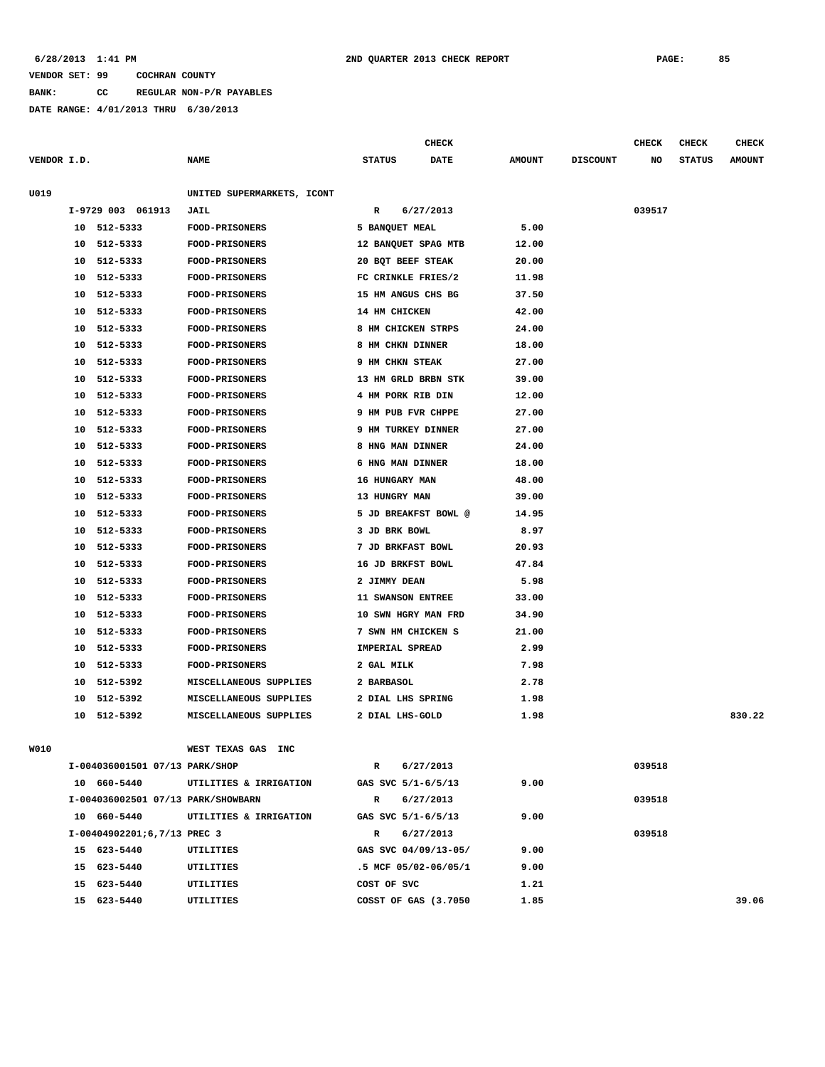### **6/28/2013 1:41 PM 2ND QUARTER 2013 CHECK REPORT PAGE: 85**

## **VENDOR SET: 99 COCHRAN COUNTY**

**BANK: CC REGULAR NON-P/R PAYABLES**

**DATE RANGE: 4/01/2013 THRU 6/30/2013**

|                                |                                    | <b>CHECK</b>                 |               |                 | CHECK  | <b>CHECK</b>  | <b>CHECK</b>  |
|--------------------------------|------------------------------------|------------------------------|---------------|-----------------|--------|---------------|---------------|
| VENDOR I.D.                    | NAME                               | <b>STATUS</b><br><b>DATE</b> | <b>AMOUNT</b> | <b>DISCOUNT</b> | NO     | <b>STATUS</b> | <b>AMOUNT</b> |
|                                |                                    |                              |               |                 |        |               |               |
| U019                           | UNITED SUPERMARKETS, ICONT         |                              |               |                 |        |               |               |
| I-9729 003 061913              | <b>JAIL</b>                        | 6/27/2013<br>R               |               |                 | 039517 |               |               |
| 512-5333<br>10                 | FOOD-PRISONERS                     | 5 BANQUET MEAL               | 5.00          |                 |        |               |               |
| 512-5333<br>10                 | FOOD-PRISONERS                     | 12 BANQUET SPAG MTB          | 12.00         |                 |        |               |               |
| 512-5333<br>10                 | <b>FOOD-PRISONERS</b>              | 20 BQT BEEF STEAK            | 20.00         |                 |        |               |               |
| 512-5333<br>10                 | <b>FOOD-PRISONERS</b>              | FC CRINKLE FRIES/2           | 11.98         |                 |        |               |               |
| 512-5333<br>10                 | FOOD-PRISONERS                     | 15 HM ANGUS CHS BG           | 37.50         |                 |        |               |               |
| 512-5333<br>10                 | <b>FOOD-PRISONERS</b>              | 14 HM CHICKEN                | 42.00         |                 |        |               |               |
| 512-5333<br>10                 | <b>FOOD-PRISONERS</b>              | 8 HM CHICKEN STRPS           | 24.00         |                 |        |               |               |
| 10<br>512-5333                 | FOOD-PRISONERS                     | 8 HM CHKN DINNER             | 18.00         |                 |        |               |               |
| 512-5333<br>10                 | <b>FOOD-PRISONERS</b>              | 9 HM CHKN STEAK              | 27.00         |                 |        |               |               |
| 10<br>512-5333                 | <b>FOOD-PRISONERS</b>              | 13 HM GRLD BRBN STK          | 39.00         |                 |        |               |               |
| 512-5333<br>10                 | FOOD-PRISONERS                     | 4 HM PORK RIB DIN            | 12.00         |                 |        |               |               |
| 10<br>512-5333                 | <b>FOOD-PRISONERS</b>              | 9 HM PUB FVR CHPPE           | 27.00         |                 |        |               |               |
| 10<br>512-5333                 | FOOD-PRISONERS                     | 9 HM TURKEY DINNER           | 27.00         |                 |        |               |               |
| 512-5333<br>10                 | FOOD-PRISONERS                     | 8 HNG MAN DINNER             | 24.00         |                 |        |               |               |
| 512-5333<br>10                 | FOOD-PRISONERS                     | 6 HNG MAN DINNER             | 18.00         |                 |        |               |               |
| 512-5333<br>10                 | <b>FOOD-PRISONERS</b>              | 16 HUNGARY MAN               | 48.00         |                 |        |               |               |
| 512-5333<br>10                 | FOOD-PRISONERS                     | 13 HUNGRY MAN                | 39.00         |                 |        |               |               |
| 512-5333<br>10                 | FOOD-PRISONERS                     | 5 JD BREAKFST BOWL @         | 14.95         |                 |        |               |               |
| 10<br>512-5333                 | <b>FOOD-PRISONERS</b>              | 3 JD BRK BOWL                | 8.97          |                 |        |               |               |
| 10<br>512-5333                 | FOOD-PRISONERS                     | 7 JD BRKFAST BOWL            | 20.93         |                 |        |               |               |
| 512-5333<br>10                 | FOOD-PRISONERS                     | 16 JD BRKFST BOWL            | 47.84         |                 |        |               |               |
| 10<br>512-5333                 | <b>FOOD-PRISONERS</b>              | 2 JIMMY DEAN                 | 5.98          |                 |        |               |               |
| 512-5333<br>10                 | FOOD-PRISONERS                     | 11 SWANSON ENTREE            | 33.00         |                 |        |               |               |
| 10<br>512-5333                 | <b>FOOD-PRISONERS</b>              | 10 SWN HGRY MAN FRD          | 34.90         |                 |        |               |               |
| 10<br>512-5333                 | <b>FOOD-PRISONERS</b>              | 7 SWN HM CHICKEN S           | 21.00         |                 |        |               |               |
| 512-5333<br>10                 | FOOD-PRISONERS                     | IMPERIAL SPREAD              | 2.99          |                 |        |               |               |
| 512-5333<br>10                 | <b>FOOD-PRISONERS</b>              | 2 GAL MILK                   | 7.98          |                 |        |               |               |
| 512-5392<br>10                 | MISCELLANEOUS SUPPLIES             | 2 BARBASOL                   | 2.78          |                 |        |               |               |
| 512-5392<br>10                 | MISCELLANEOUS SUPPLIES             | 2 DIAL LHS SPRING            | 1.98          |                 |        |               |               |
| 10<br>512-5392                 | MISCELLANEOUS SUPPLIES             | 2 DIAL LHS-GOLD              | 1.98          |                 |        |               | 830.22        |
|                                |                                    |                              |               |                 |        |               |               |
| W010                           | WEST TEXAS GAS INC                 |                              |               |                 |        |               |               |
| I-004036001501 07/13 PARK/SHOP |                                    | 6/27/2013<br>R               |               |                 | 039518 |               |               |
| 10 660-5440                    | UTILITIES & IRRIGATION             | GAS SVC 5/1-6/5/13           | 9.00          |                 |        |               |               |
|                                | I-004036002501 07/13 PARK/SHOWBARN | 6/27/2013<br>R               |               |                 | 039518 |               |               |
| 10 660-5440                    | UTILITIES & IRRIGATION             | GAS SVC 5/1-6/5/13           | 9.00          |                 |        |               |               |
| I-00404902201;6,7/13 PREC 3    |                                    | R<br>6/27/2013               |               |                 | 039518 |               |               |
| 15 623-5440                    | UTILITIES                          | GAS SVC 04/09/13-05/         | 9.00          |                 |        |               |               |
| 15 623-5440                    | UTILITIES                          | .5 MCF 05/02-06/05/1         | 9.00          |                 |        |               |               |
| 15 623-5440                    | UTILITIES                          | COST OF SVC                  | 1.21          |                 |        |               |               |

 **15 623-5440 UTILITIES COSST OF GAS (3.7050 1.85 39.06**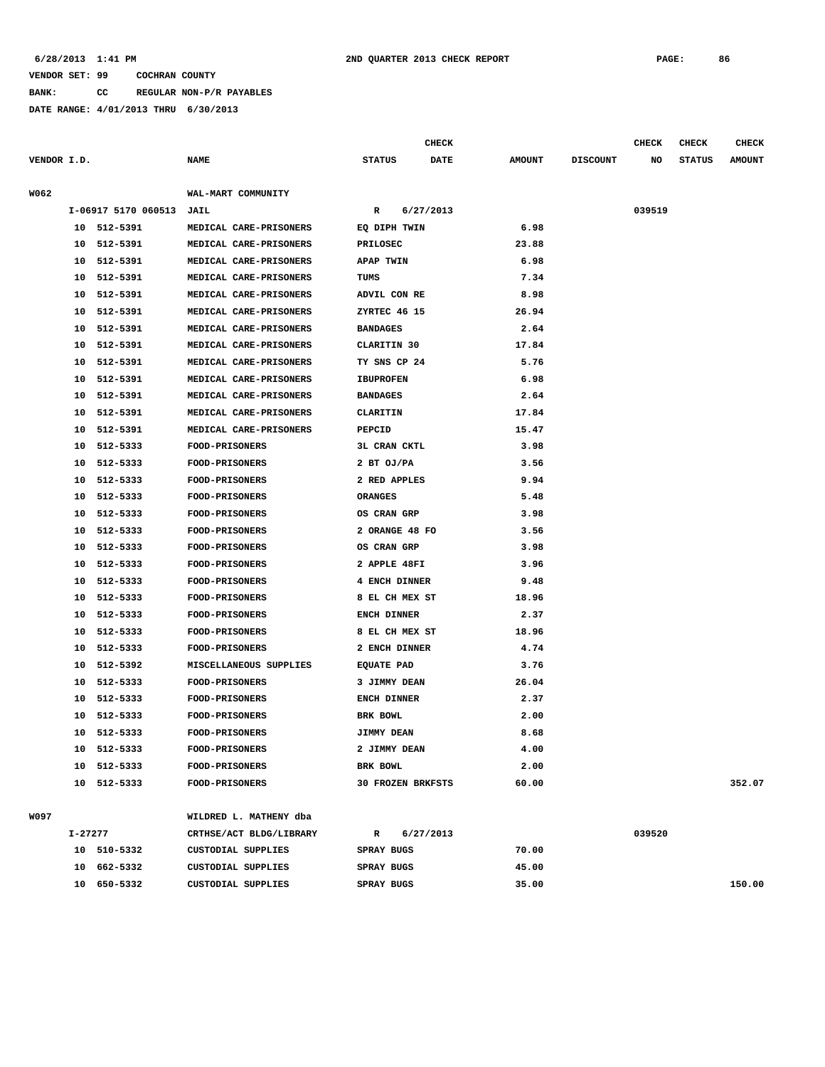### **6/28/2013 1:41 PM 2ND QUARTER 2013 CHECK REPORT PAGE: 86**

### **VENDOR SET: 99 COCHRAN COUNTY**

**BANK: CC REGULAR NON-P/R PAYABLES**

|             |                 | DATE RANGE: 4/01/2013 THRU 6/30/2013 |                        |                 |           |              |               |                 |              |               |               |
|-------------|-----------------|--------------------------------------|------------------------|-----------------|-----------|--------------|---------------|-----------------|--------------|---------------|---------------|
|             |                 |                                      |                        |                 |           | <b>CHECK</b> |               |                 | <b>CHECK</b> | <b>CHECK</b>  | <b>CHECK</b>  |
| VENDOR I.D. |                 |                                      | <b>NAME</b>            | <b>STATUS</b>   |           | <b>DATE</b>  | <b>AMOUNT</b> | <b>DISCOUNT</b> | NO           | <b>STATUS</b> | <b>AMOUNT</b> |
| W062        |                 |                                      | WAL-MART COMMUNITY     |                 |           |              |               |                 |              |               |               |
|             |                 | I-06917 5170 060513                  | JAIL                   | $\mathbb{R}$    | 6/27/2013 |              |               |                 | 039519       |               |               |
|             |                 | 10 512-5391                          | MEDICAL CARE-PRISONERS | EQ DIPH TWIN    |           |              | 6.98          |                 |              |               |               |
|             |                 | 10 512-5391                          | MEDICAL CARE-PRISONERS | <b>PRILOSEC</b> |           |              | 23.88         |                 |              |               |               |
|             | 10 <sup>1</sup> | 512-5391                             | MEDICAL CARE-PRISONERS | APAP TWIN       |           |              | 6.98          |                 |              |               |               |
|             | 1 O             | 512-5391                             | MEDICAL CARE-PRISONERS | TUMS            |           |              | 7.34          |                 |              |               |               |
|             |                 |                                      |                        |                 |           |              |               |                 |              |               |               |

| 10 | 512-5391    | MEDICAL CARE-PRISONERS | TUMS                     | 7.34  |        |
|----|-------------|------------------------|--------------------------|-------|--------|
|    | 10 512-5391 | MEDICAL CARE-PRISONERS | ADVIL CON RE             | 8.98  |        |
|    | 10 512-5391 | MEDICAL CARE-PRISONERS | ZYRTEC 46 15             | 26.94 |        |
|    | 10 512-5391 | MEDICAL CARE-PRISONERS | <b>BANDAGES</b>          | 2.64  |        |
| 10 | 512-5391    | MEDICAL CARE-PRISONERS | CLARITIN 30              | 17.84 |        |
| 10 | 512-5391    | MEDICAL CARE-PRISONERS | TY SNS CP 24             | 5.76  |        |
| 10 | 512-5391    | MEDICAL CARE-PRISONERS | <b>IBUPROFEN</b>         | 6.98  |        |
| 10 | 512-5391    | MEDICAL CARE-PRISONERS | <b>BANDAGES</b>          | 2.64  |        |
| 10 | 512-5391    | MEDICAL CARE-PRISONERS | CLARITIN                 | 17.84 |        |
| 10 | 512-5391    | MEDICAL CARE-PRISONERS | PEPCID                   | 15.47 |        |
| 10 | 512-5333    | <b>FOOD-PRISONERS</b>  | <b>3L CRAN CKTL</b>      | 3.98  |        |
| 10 | 512-5333    | <b>FOOD-PRISONERS</b>  | 2 BT OJ/PA               | 3.56  |        |
| 10 | 512-5333    | <b>FOOD-PRISONERS</b>  | 2 RED APPLES             | 9.94  |        |
| 10 | 512-5333    | <b>FOOD-PRISONERS</b>  | <b>ORANGES</b>           | 5.48  |        |
| 10 | 512-5333    | <b>FOOD-PRISONERS</b>  | OS CRAN GRP              | 3.98  |        |
|    | 10 512-5333 | <b>FOOD-PRISONERS</b>  | 2 ORANGE 48 FO           | 3.56  |        |
|    | 10 512-5333 | <b>FOOD-PRISONERS</b>  | OS CRAN GRP              | 3.98  |        |
|    | 10 512-5333 | <b>FOOD-PRISONERS</b>  | 2 APPLE 48FI             | 3.96  |        |
|    | 10 512-5333 | <b>FOOD-PRISONERS</b>  | 4 ENCH DINNER            | 9.48  |        |
| 10 | 512-5333    | <b>FOOD-PRISONERS</b>  | 8 EL CH MEX ST           | 18.96 |        |
|    | 10 512-5333 | <b>FOOD-PRISONERS</b>  | <b>ENCH DINNER</b>       | 2.37  |        |
| 10 | 512-5333    | <b>FOOD-PRISONERS</b>  | 8 EL CH MEX ST           | 18.96 |        |
| 10 | 512-5333    | <b>FOOD-PRISONERS</b>  | 2 ENCH DINNER            | 4.74  |        |
| 10 | 512-5392    | MISCELLANEOUS SUPPLIES | <b>EQUATE PAD</b>        | 3.76  |        |
| 10 | 512-5333    | <b>FOOD-PRISONERS</b>  | 3 JIMMY DEAN             | 26.04 |        |
|    | 10 512-5333 | <b>FOOD-PRISONERS</b>  | ENCH DINNER              | 2.37  |        |
|    | 10 512-5333 | <b>FOOD-PRISONERS</b>  | BRK BOWL                 | 2.00  |        |
| 10 | 512-5333    | <b>FOOD-PRISONERS</b>  | <b>JIMMY DEAN</b>        | 8.68  |        |
| 10 | 512-5333    | <b>FOOD-PRISONERS</b>  | 2 JIMMY DEAN             | 4.00  |        |
| 10 | 512-5333    | <b>FOOD-PRISONERS</b>  | BRK BOWL                 | 2.00  |        |
|    | 10 512-5333 | <b>FOOD-PRISONERS</b>  | <b>30 FROZEN BRKFSTS</b> | 60.00 | 352.07 |
|    |             |                        |                          |       |        |

**W097 WILDRED L. MATHENY dba**

| $I - 27277$ |          |                    | CRTHSE/ACT BLDG/LIBRARY |            | 6/27/2013 |       | 039520 |        |
|-------------|----------|--------------------|-------------------------|------------|-----------|-------|--------|--------|
| 10          | 510-5332 | CUSTODIAL SUPPLIES |                         | SPRAY BUGS |           | 70.00 |        |        |
| 10          | 662-5332 | CUSTODIAL SUPPLIES |                         | SPRAY BUGS |           | 45.00 |        |        |
| 10          | 650-5332 | CUSTODIAL SUPPLIES |                         | SPRAY BUGS |           | 35.00 |        | 150.00 |
|             |          |                    |                         |            |           |       |        |        |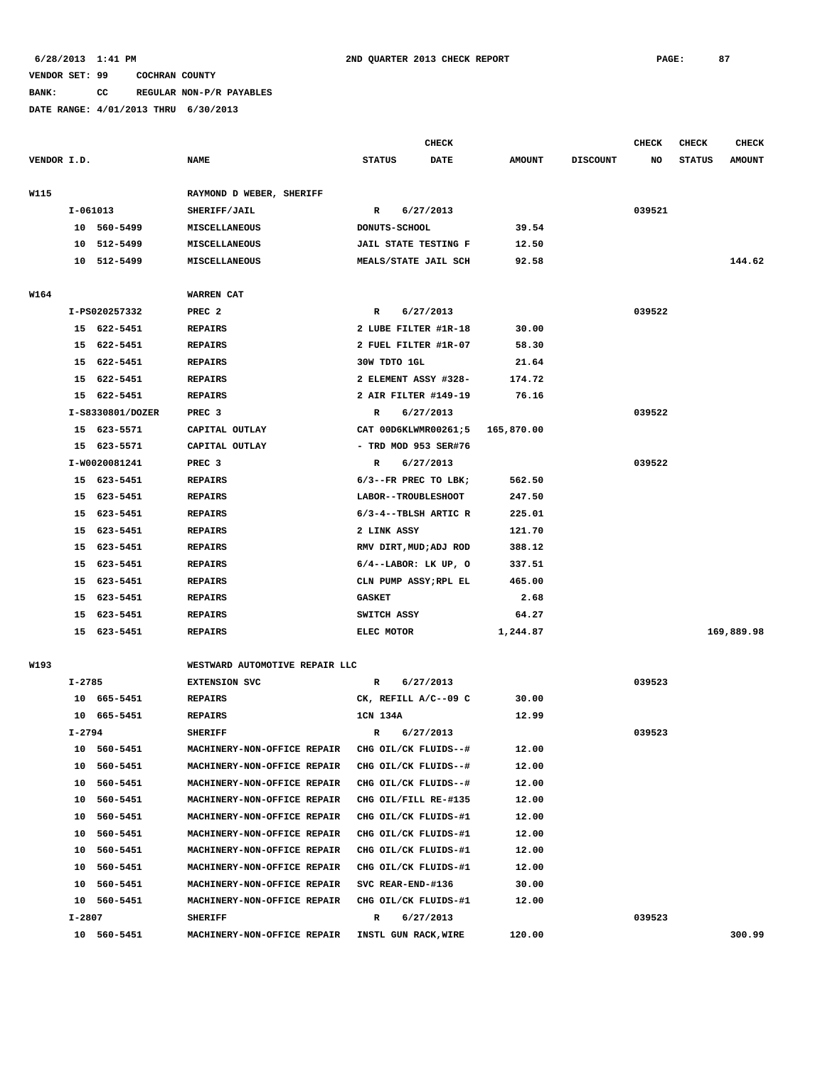# **BANK: CC REGULAR NON-P/R PAYABLES**

|             |            |                  |                                |               |                   | <b>CHECK</b>                |               |                 | CHECK  | <b>CHECK</b>  | <b>CHECK</b>  |
|-------------|------------|------------------|--------------------------------|---------------|-------------------|-----------------------------|---------------|-----------------|--------|---------------|---------------|
| VENDOR I.D. |            |                  | <b>NAME</b>                    | <b>STATUS</b> |                   | <b>DATE</b>                 | <b>AMOUNT</b> | <b>DISCOUNT</b> | NO     | <b>STATUS</b> | <b>AMOUNT</b> |
| W115        |            |                  | RAYMOND D WEBER, SHERIFF       |               |                   |                             |               |                 |        |               |               |
|             | I-061013   |                  | <b>SHERIFF/JAIL</b>            | R             |                   | 6/27/2013                   |               |                 | 039521 |               |               |
|             | 10         | 560-5499         | MISCELLANEOUS                  |               | DONUTS-SCHOOL     |                             | 39.54         |                 |        |               |               |
|             | 10         | 512-5499         | MISCELLANEOUS                  |               |                   | <b>JAIL STATE TESTING F</b> | 12.50         |                 |        |               |               |
|             | 10         | 512-5499         | <b>MISCELLANEOUS</b>           |               |                   | MEALS/STATE JAIL SCH        | 92.58         |                 |        |               | 144.62        |
|             |            |                  |                                |               |                   |                             |               |                 |        |               |               |
| W164        |            |                  | <b>WARREN CAT</b>              |               |                   |                             |               |                 |        |               |               |
|             |            | I-PS020257332    | PREC <sub>2</sub>              | R             |                   | 6/27/2013                   |               |                 | 039522 |               |               |
|             |            | 15 622-5451      | <b>REPAIRS</b>                 |               |                   | 2 LUBE FILTER #1R-18        | 30.00         |                 |        |               |               |
|             |            | 15 622-5451      | <b>REPAIRS</b>                 |               |                   | 2 FUEL FILTER #1R-07        | 58.30         |                 |        |               |               |
|             |            | 15 622-5451      | <b>REPAIRS</b>                 |               | 30W TDTO 1GL      |                             | 21.64         |                 |        |               |               |
|             | 15         | 622-5451         | <b>REPAIRS</b>                 |               |                   | 2 ELEMENT ASSY #328-        | 174.72        |                 |        |               |               |
|             | 15         | 622-5451         | <b>REPAIRS</b>                 |               |                   | 2 AIR FILTER #149-19        | 76.16         |                 |        |               |               |
|             |            | I-S8330801/DOZER | PREC 3                         | R             |                   | 6/27/2013                   |               |                 | 039522 |               |               |
|             | 15         | 623-5571         | CAPITAL OUTLAY                 |               |                   | CAT 00D6KLWMR00261;5        | 165,870.00    |                 |        |               |               |
|             |            | 15 623-5571      | CAPITAL OUTLAY                 |               |                   | $-$ TRD MOD 953 SER#76      |               |                 |        |               |               |
|             |            | I-W0020081241    | PREC <sub>3</sub>              | R             |                   | 6/27/2013                   |               |                 | 039522 |               |               |
|             |            | 15 623-5451      | <b>REPAIRS</b>                 |               |                   | $6/3$ --FR PREC TO LBK;     | 562.50        |                 |        |               |               |
|             |            | 15 623-5451      | <b>REPAIRS</b>                 |               |                   | LABOR--TROUBLESHOOT         | 247.50        |                 |        |               |               |
|             | 15         | 623-5451         | <b>REPAIRS</b>                 |               |                   | $6/3 - 4 - TBLSH$ ARTIC R   | 225.01        |                 |        |               |               |
|             | 15         | 623-5451         | <b>REPAIRS</b>                 |               | 2 LINK ASSY       |                             | 121.70        |                 |        |               |               |
|             | 15         | 623-5451         | <b>REPAIRS</b>                 |               |                   | RMV DIRT, MUD; ADJ ROD      | 388.12        |                 |        |               |               |
|             | 15         | 623-5451         | <b>REPAIRS</b>                 |               |                   | $6/4$ --LABOR: LK UP, O     | 337.51        |                 |        |               |               |
|             | 15         | 623-5451         | <b>REPAIRS</b>                 |               |                   | CLN PUMP ASSY; RPL EL       | 465.00        |                 |        |               |               |
|             | 15         | 623-5451         | <b>REPAIRS</b>                 | <b>GASKET</b> |                   |                             | 2.68          |                 |        |               |               |
|             | 15         | 623-5451         | <b>REPAIRS</b>                 |               | SWITCH ASSY       |                             | 64.27         |                 |        |               |               |
|             |            |                  |                                |               |                   |                             |               |                 |        |               |               |
|             |            | 15 623-5451      | <b>REPAIRS</b>                 |               | ELEC MOTOR        |                             | 1,244.87      |                 |        |               | 169,889.98    |
| W193        |            |                  | WESTWARD AUTOMOTIVE REPAIR LLC |               |                   |                             |               |                 |        |               |               |
|             | $I - 2785$ |                  | <b>EXTENSION SVC</b>           | $\mathbb{R}$  |                   | 6/27/2013                   |               |                 | 039523 |               |               |
|             |            | 10 665-5451      | <b>REPAIRS</b>                 |               |                   | CK, REFILL A/C--09 C        | 30.00         |                 |        |               |               |
|             | 10         | 665-5451         | <b>REPAIRS</b>                 | 1CN 134A      |                   |                             | 12.99         |                 |        |               |               |
|             | $I - 2794$ |                  | <b>SHERIFF</b>                 | R             |                   | 6/27/2013                   |               |                 | 039523 |               |               |
|             |            | 10 560-5451      | MACHINERY-NON-OFFICE REPAIR    |               |                   | CHG OIL/CK FLUIDS--#        | 12.00         |                 |        |               |               |
|             |            | 10 560-5451      | MACHINERY-NON-OFFICE REPAIR    |               |                   | CHG OIL/CK FLUIDS--#        | 12.00         |                 |        |               |               |
|             |            | 10 560-5451      | MACHINERY-NON-OFFICE REPAIR    |               |                   | CHG OIL/CK FLUIDS--#        | 12.00         |                 |        |               |               |
|             |            | 10 560-5451      | MACHINERY-NON-OFFICE REPAIR    |               |                   | CHG OIL/FILL RE-#135        | 12.00         |                 |        |               |               |
|             | 10         | 560-5451         | MACHINERY-NON-OFFICE REPAIR    |               |                   | CHG OIL/CK FLUIDS-#1        | 12.00         |                 |        |               |               |
|             |            | 10 560-5451      | MACHINERY-NON-OFFICE REPAIR    |               |                   | CHG OIL/CK FLUIDS-#1        | 12.00         |                 |        |               |               |
|             |            | 10 560-5451      | MACHINERY-NON-OFFICE REPAIR    |               |                   | CHG OIL/CK FLUIDS-#1        | 12.00         |                 |        |               |               |
|             |            | 10 560-5451      | MACHINERY-NON-OFFICE REPAIR    |               |                   | CHG OIL/CK FLUIDS-#1        | 12.00         |                 |        |               |               |
|             |            | 10 560-5451      | MACHINERY-NON-OFFICE REPAIR    |               | SVC REAR-END-#136 |                             | 30.00         |                 |        |               |               |
|             |            | 10 560-5451      | MACHINERY-NON-OFFICE REPAIR    |               |                   | CHG OIL/CK FLUIDS-#1        | 12.00         |                 |        |               |               |
|             | I-2807     |                  | SHERIFF                        | R             |                   | 6/27/2013                   |               |                 | 039523 |               |               |
|             |            | 10 560-5451      | MACHINERY-NON-OFFICE REPAIR    |               |                   | INSTL GUN RACK, WIRE        | 120.00        |                 |        |               | 300.99        |
|             |            |                  |                                |               |                   |                             |               |                 |        |               |               |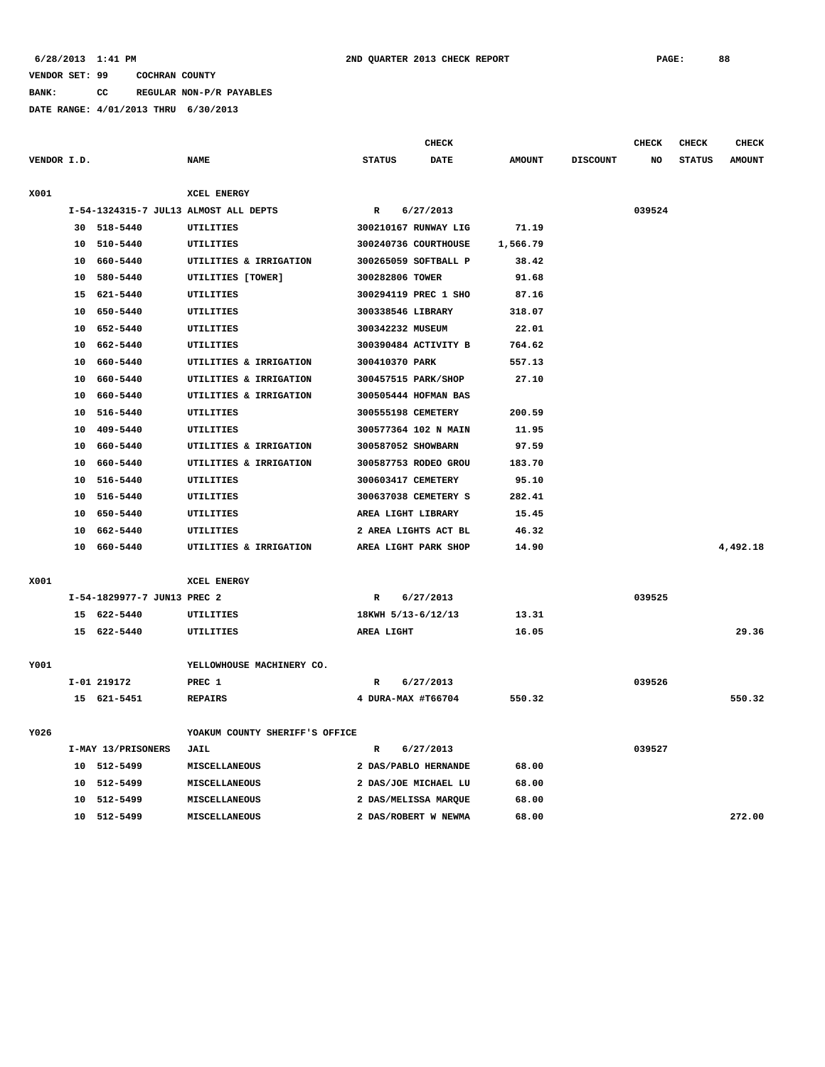**BANK: CC REGULAR NON-P/R PAYABLES**

|             |                             |                                       |                    | CHECK                |               |                 | <b>CHECK</b> | <b>CHECK</b>  | CHECK         |
|-------------|-----------------------------|---------------------------------------|--------------------|----------------------|---------------|-----------------|--------------|---------------|---------------|
| VENDOR I.D. |                             | <b>NAME</b>                           | <b>STATUS</b>      | <b>DATE</b>          | <b>AMOUNT</b> | <b>DISCOUNT</b> | NO           | <b>STATUS</b> | <b>AMOUNT</b> |
| X001        |                             | XCEL ENERGY                           |                    |                      |               |                 |              |               |               |
|             |                             | I-54-1324315-7 JUL13 ALMOST ALL DEPTS | $\mathbb{R}$       | 6/27/2013            |               |                 | 039524       |               |               |
|             | 30 518-5440                 | <b>UTILITIES</b>                      |                    | 300210167 RUNWAY LIG | 71.19         |                 |              |               |               |
|             | 10 510-5440                 | UTILITIES                             |                    | 300240736 COURTHOUSE | 1,566.79      |                 |              |               |               |
|             | 10 660-5440                 | UTILITIES & IRRIGATION                |                    | 300265059 SOFTBALL P | 38.42         |                 |              |               |               |
|             | 10 580-5440                 | UTILITIES [TOWER]                     | 300282806 TOWER    |                      | 91.68         |                 |              |               |               |
|             | 15 621-5440                 | UTILITIES                             |                    | 300294119 PREC 1 SHO | 87.16         |                 |              |               |               |
|             | 10 650-5440                 | UTILITIES                             | 300338546 LIBRARY  |                      | 318.07        |                 |              |               |               |
|             | 10 652-5440                 | UTILITIES                             | 300342232 MUSEUM   |                      | 22.01         |                 |              |               |               |
|             | 10 662-5440                 | <b>UTILITIES</b>                      |                    | 300390484 ACTIVITY B | 764.62        |                 |              |               |               |
|             | 10 660-5440                 | UTILITIES & IRRIGATION                | 300410370 PARK     |                      | 557.13        |                 |              |               |               |
|             | 10 660-5440                 | UTILITIES & IRRIGATION                |                    | 300457515 PARK/SHOP  | 27.10         |                 |              |               |               |
|             | 10 660-5440                 | UTILITIES & IRRIGATION                |                    | 300505444 HOFMAN BAS |               |                 |              |               |               |
|             | 10 516-5440                 | UTILITIES                             | 300555198 CEMETERY |                      | 200.59        |                 |              |               |               |
|             | 10 409-5440                 | <b>UTILITIES</b>                      |                    | 300577364 102 N MAIN | 11.95         |                 |              |               |               |
|             | 10 660-5440                 | UTILITIES & IRRIGATION                | 300587052 SHOWBARN |                      | 97.59         |                 |              |               |               |
|             | 10 660-5440                 | UTILITIES & IRRIGATION                |                    | 300587753 RODEO GROU | 183.70        |                 |              |               |               |
|             | 10 516-5440                 | UTILITIES                             | 300603417 CEMETERY |                      | 95.10         |                 |              |               |               |
|             | 10 516-5440                 | UTILITIES                             |                    | 300637038 CEMETERY S | 282.41        |                 |              |               |               |
|             | 10 650-5440                 | <b>UTILITIES</b>                      | AREA LIGHT LIBRARY |                      | 15.45         |                 |              |               |               |
|             | 10 662-5440                 | UTILITIES                             |                    | 2 AREA LIGHTS ACT BL | 46.32         |                 |              |               |               |
|             | 10 660-5440                 | UTILITIES & IRRIGATION                |                    | AREA LIGHT PARK SHOP | 14.90         |                 |              |               | 4,492.18      |
| X001        |                             | XCEL ENERGY                           |                    |                      |               |                 |              |               |               |
|             | I-54-1829977-7 JUN13 PREC 2 |                                       | R                  | 6/27/2013            |               |                 | 039525       |               |               |
|             | 15 622-5440                 | UTILITIES                             | 18KWH 5/13-6/12/13 |                      | 13.31         |                 |              |               |               |
|             | 15 622-5440                 | <b>UTILITIES</b>                      | AREA LIGHT         |                      | 16.05         |                 |              |               | 29.36         |
|             |                             |                                       |                    |                      |               |                 |              |               |               |
| Y001        |                             | YELLOWHOUSE MACHINERY CO.             |                    |                      |               |                 |              |               |               |
|             | I-01 219172                 | PREC 1                                | R                  | 6/27/2013            |               |                 | 039526       |               |               |
|             | 15 621-5451                 | <b>REPAIRS</b>                        | 4 DURA-MAX #T66704 |                      | 550.32        |                 |              |               | 550.32        |
| Y026        |                             | YOAKUM COUNTY SHERIFF'S OFFICE        |                    |                      |               |                 |              |               |               |
|             | I-MAY 13/PRISONERS          | JAIL                                  | $\mathbb{R}$       | 6/27/2013            |               |                 | 039527       |               |               |
|             | 10 512-5499                 | MISCELLANEOUS                         |                    | 2 DAS/PABLO HERNANDE | 68.00         |                 |              |               |               |
|             | 10 512-5499                 | MISCELLANEOUS                         |                    | 2 DAS/JOE MICHAEL LU | 68.00         |                 |              |               |               |
|             | 10 512-5499                 | <b>MISCELLANEOUS</b>                  |                    | 2 DAS/MELISSA MARQUE | 68.00         |                 |              |               |               |
|             | 10 512-5499                 | MISCELLANEOUS                         |                    | 2 DAS/ROBERT W NEWMA | 68.00         |                 |              |               | 272.00        |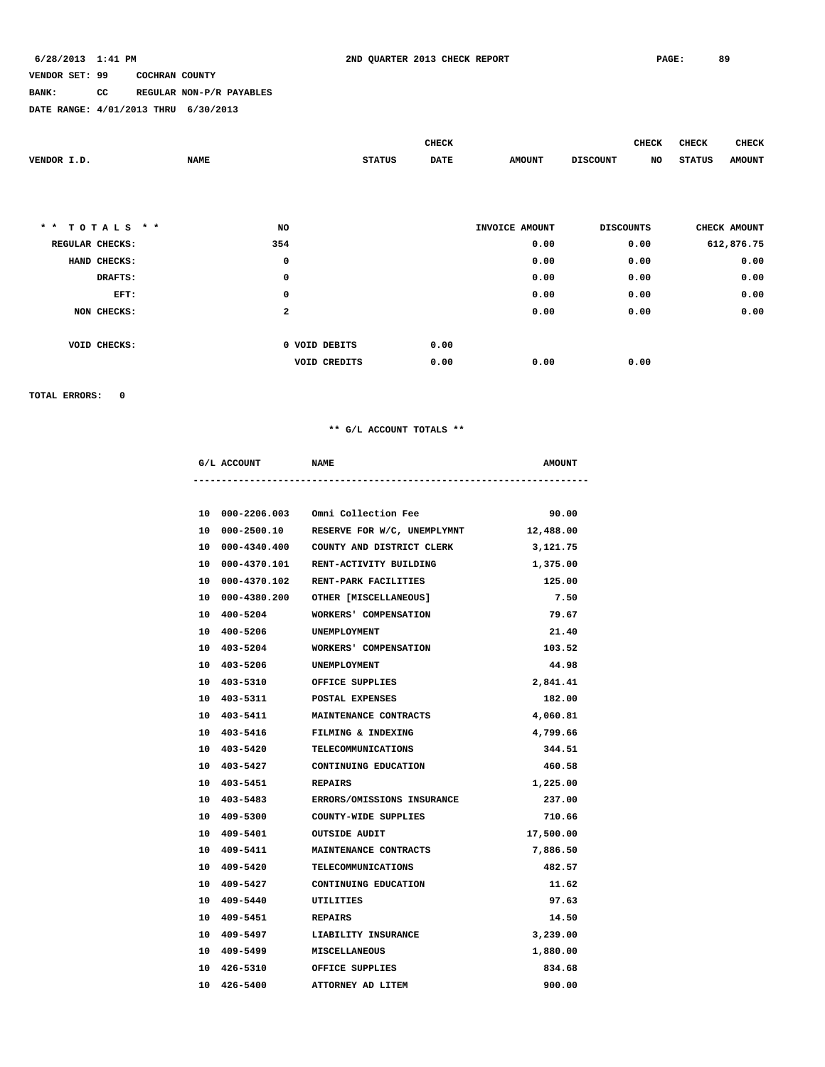### **BANK: CC REGULAR NON-P/R PAYABLES**

**DATE RANGE: 4/01/2013 THRU 6/30/2013**

|                                |              |               | <b>CHECK</b> |                | <b>CHECK</b>          | <b>CHECK</b>  | CHECK         |
|--------------------------------|--------------|---------------|--------------|----------------|-----------------------|---------------|---------------|
| VENDOR I.D.                    | <b>NAME</b>  | <b>STATUS</b> | <b>DATE</b>  | <b>AMOUNT</b>  | <b>DISCOUNT</b><br>NO | <b>STATUS</b> | <b>AMOUNT</b> |
|                                |              |               |              |                |                       |               |               |
|                                |              |               |              |                |                       |               |               |
|                                |              |               |              |                |                       |               |               |
| $TOTALS$ **<br>$\star$ $\star$ | NO           |               |              | INVOICE AMOUNT | <b>DISCOUNTS</b>      | CHECK AMOUNT  |               |
| REGULAR CHECKS:                | 354          |               |              | 0.00           | 0.00                  | 612,876.75    |               |
| HAND CHECKS:                   | 0            |               |              | 0.00           | 0.00                  |               | 0.00          |
| DRAFTS:                        | 0            |               |              | 0.00           | 0.00                  |               | 0.00          |
| EFT:                           | 0            |               |              | 0.00           | 0.00                  |               | 0.00          |
| NON CHECKS:                    | $\mathbf{2}$ |               |              | 0.00           | 0.00                  |               | 0.00          |
|                                |              |               |              |                |                       |               |               |
| VOID CHECKS:                   |              | 0 VOID DEBITS | 0.00         |                |                       |               |               |
|                                |              | VOID CREDITS  | 0.00         | 0.00           | 0.00                  |               |               |

**TOTAL ERRORS: 0**

### **\*\* G/L ACCOUNT TOTALS \*\***

| G/L ACCOUNT NAME          |                                            | <b>AMOUNT</b> |
|---------------------------|--------------------------------------------|---------------|
|                           | 10 000-2206.003 Omni Collection Fee        | 90.00         |
|                           | 10 000-2500.10 RESERVE FOR W/C, UNEMPLYMNT | 12,488.00     |
|                           | 10 000-4340.400 COUNTY AND DISTRICT CLERK  | 3,121.75      |
|                           | 10 000-4370.101 RENT-ACTIVITY BUILDING     | 1,375.00      |
|                           | 10 000-4370.102 RENT-PARK FACILITIES       | 125.00        |
|                           | 10 000-4380.200 OTHER [MISCELLANEOUS]      | 7.50          |
|                           | 10 400-5204 WORKERS' COMPENSATION          | 79.67         |
| 10 400-5206               | <b>UNEMPLOYMENT</b>                        | 21.40         |
|                           | 10 403-5204 WORKERS' COMPENSATION          | 103.52        |
| 10 403-5206               | UNEMPLOYMENT                               | 44.98         |
| 10 403-5310               | OFFICE SUPPLIES                            | 2,841.41      |
|                           | 10 403-5311 POSTAL EXPENSES                | 182.00        |
| 10 403-5411               | <b>MAINTENANCE CONTRACTS</b>               | 4,060.81      |
|                           | 10 403-5416 FILMING & INDEXING             | 4,799.66      |
|                           | 10 403-5420 TELECOMMUNICATIONS             | 344.51        |
| 10 403-5427               | CONTINUING EDUCATION                       | 460.58        |
| 10 403-5451 REPAIRS       |                                            | 1,225.00      |
|                           | 10 403-5483 ERRORS/OMISSIONS INSURANCE     | 237.00        |
| 10 409-5300               | COUNTY-WIDE SUPPLIES                       | 710.66        |
| 10 409-5401 OUTSIDE AUDIT |                                            | 17,500.00     |
|                           | 10 409-5411 MAINTENANCE CONTRACTS          | 7,886.50      |
| 10 409-5420               | TELECOMMUNICATIONS                         | 482.57        |
|                           | 10 409-5427 CONTINUING EDUCATION           | 11.62         |
| 10 409-5440               | UTILITIES                                  | 97.63         |
| 10 409-5451               | <b>REPAIRS</b>                             | 14.50         |
|                           | 10 409-5497 LIABILITY INSURANCE            | 3,239.00      |
| 10 409-5499 MISCELLANEOUS |                                            | 1,880.00      |
| 10 426-5310               | OFFICE SUPPLIES                            | 834.68        |

 **10 426-5400 ATTORNEY AD LITEM 900.00**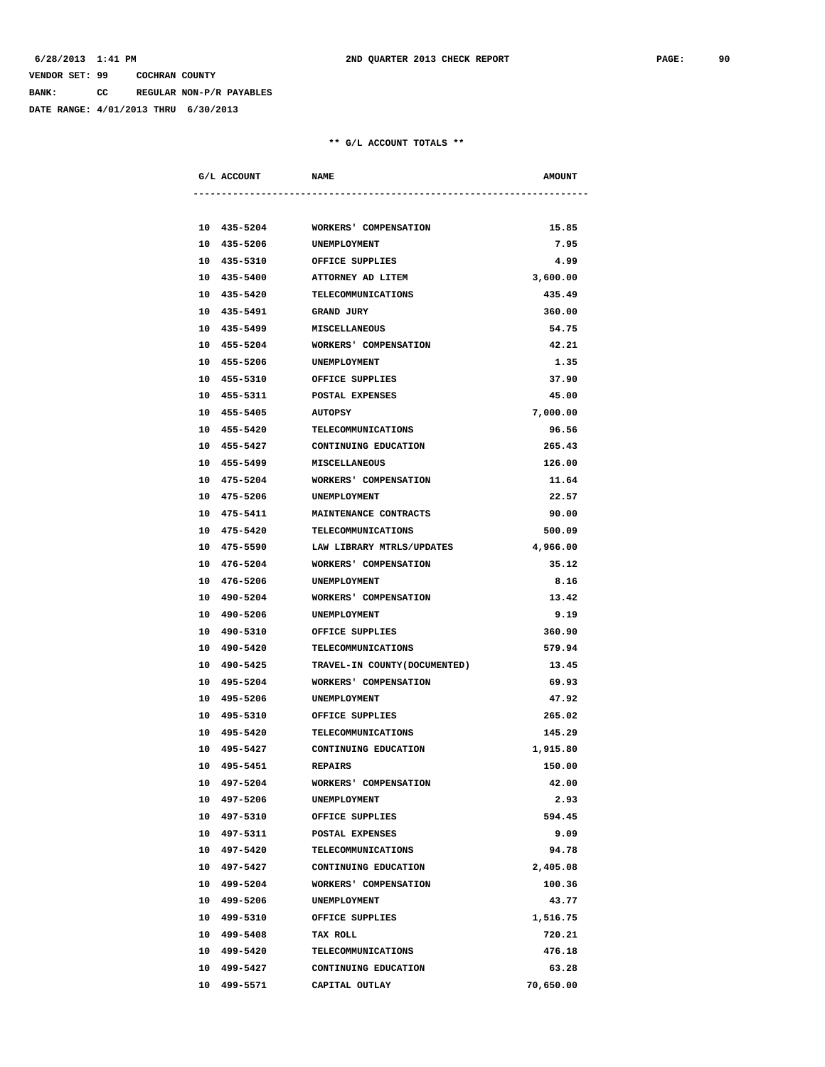**BANK: CC REGULAR NON-P/R PAYABLES**

**DATE RANGE: 4/01/2013 THRU 6/30/2013**

| G/L ACCOUNT<br>----------------------- | <b>NAME</b>                       | <b>AMOUNT</b> |
|----------------------------------------|-----------------------------------|---------------|
|                                        |                                   |               |
|                                        | 10 435-5204 WORKERS' COMPENSATION | 15.85         |
| 10 435-5206                            | <b>UNEMPLOYMENT</b>               | 7.95          |
| 10 435-5310                            | OFFICE SUPPLIES                   | 4.99          |
| 10 435-5400                            | ATTORNEY AD LITEM                 | 3,600.00      |
| 10 435-5420                            | TELECOMMUNICATIONS                | 435.49        |
| 10 435-5491                            | <b>GRAND JURY</b>                 | 360.00        |
| 10 435-5499                            | <b>MISCELLANEOUS</b>              | 54.75         |
| 10 455-5204                            | WORKERS' COMPENSATION             | 42.21         |
| 10 455-5206                            | UNEMPLOYMENT                      | 1.35          |
| 10 455-5310                            | OFFICE SUPPLIES                   | 37.90         |
| 10 455-5311                            | POSTAL EXPENSES                   | 45.00         |
| 10 455-5405                            | <b>AUTOPSY</b>                    | 7,000.00      |
| 10 455-5420                            | TELECOMMUNICATIONS                | 96.56         |
|                                        | 10 455-5427 CONTINUING EDUCATION  | 265.43        |
| 10 455-5499                            | <b>MISCELLANEOUS</b>              | 126.00        |
| 10 475-5204                            | WORKERS' COMPENSATION             | 11.64         |
| 10 475-5206                            | UNEMPLOYMENT                      | 22.57         |
| 10 475-5411                            | <b>MAINTENANCE CONTRACTS</b>      | 90.00         |
| 10 475-5420                            | TELECOMMUNICATIONS                | 500.09        |
| 10 475-5590                            | LAW LIBRARY MTRLS/UPDATES         | 4,966.00      |
| 10 476-5204                            | WORKERS' COMPENSATION             | 35.12         |
| 10 476-5206                            | UNEMPLOYMENT                      | 8.16          |
| 10 490-5204                            | WORKERS' COMPENSATION             | 13.42         |
| 10 490-5206                            | UNEMPLOYMENT                      | 9.19          |
| 10 490-5310                            | OFFICE SUPPLIES                   | 360.90        |
| 10 490-5420                            | <b>TELECOMMUNICATIONS</b>         | 579.94        |
| 10 490-5425                            | TRAVEL-IN COUNTY (DOCUMENTED)     | 13.45         |
| 10 495-5204                            | WORKERS' COMPENSATION             | 69.93         |
| 10 495-5206                            | UNEMPLOYMENT                      | 47.92         |
| 10 495-5310                            | OFFICE SUPPLIES                   | 265.02        |
| 10 495-5420                            | TELECOMMUNICATIONS                | 145.29        |
| 10 495-5427                            | CONTINUING EDUCATION              | 1,915.80      |
| 10 495-5451                            | <b>REPAIRS</b>                    | 150.00        |
| 10 497-5204                            | WORKERS' COMPENSATION             | 42.00         |
| 10 497-5206                            | UNEMPLOYMENT                      | 2.93          |
| 10 497-5310                            | OFFICE SUPPLIES                   | 594.45        |
| 10 497-5311                            | POSTAL EXPENSES                   | 9.09          |
| 10 497-5420                            | <b>TELECOMMUNICATIONS</b>         | 94.78         |
| 10 497-5427                            | CONTINUING EDUCATION              | 2,405.08      |
| 10 499-5204                            | WORKERS' COMPENSATION             | 100.36        |
| 10 499-5206                            | UNEMPLOYMENT                      | 43.77         |
| 10 499-5310                            | OFFICE SUPPLIES                   | 1,516.75      |
| 10 499-5408                            | TAX ROLL                          | 720.21        |
| 10 499-5420                            | <b>TELECOMMUNICATIONS</b>         | 476.18        |
| 10 499-5427                            | CONTINUING EDUCATION              | 63.28         |
| 10 499-5571                            | CAPITAL OUTLAY                    | 70,650.00     |
|                                        |                                   |               |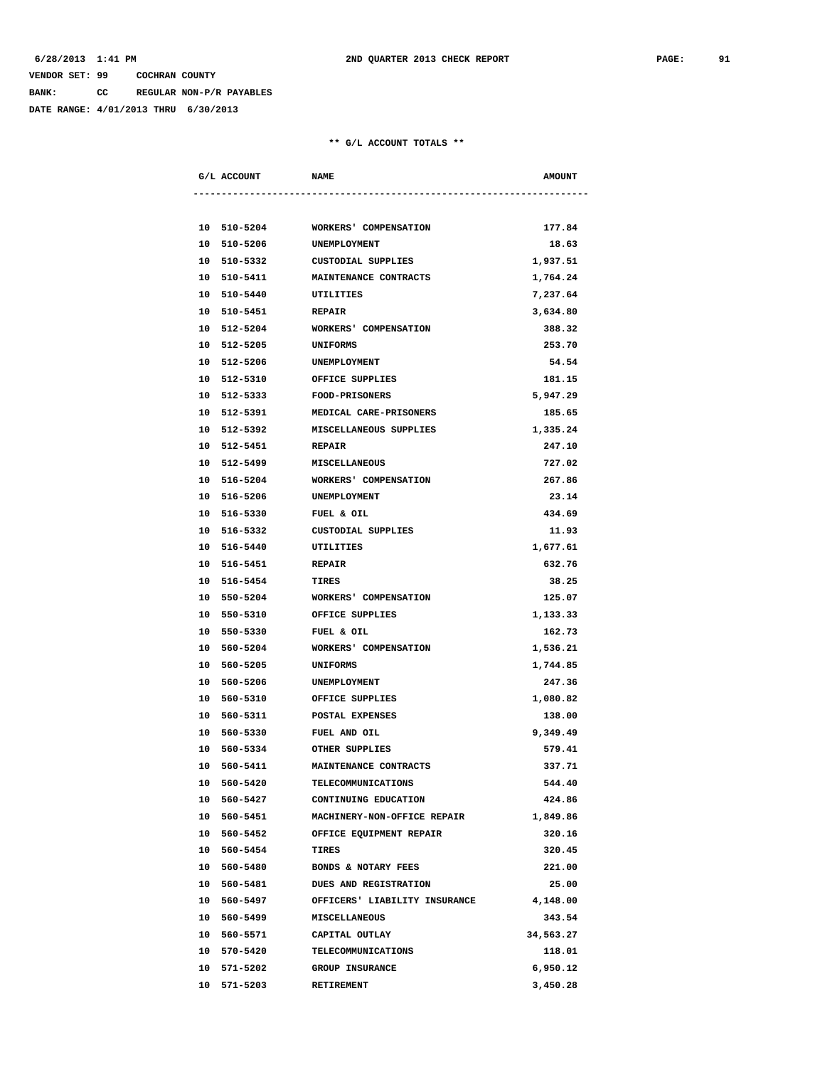**BANK: CC REGULAR NON-P/R PAYABLES**

**DATE RANGE: 4/01/2013 THRU 6/30/2013**

| G/L ACCOUNT               | <b>NAME</b>                       | <b>AMOUNT</b> |
|---------------------------|-----------------------------------|---------------|
|                           |                                   |               |
| 10 510-5204               | WORKERS' COMPENSATION             | 177.84        |
| 10 510-5206               | UNEMPLOYMENT                      | 18.63         |
| 10 510-5332               | <b>CUSTODIAL SUPPLIES</b>         | 1,937.51      |
|                           | 10 510-5411 MAINTENANCE CONTRACTS | 1,764.24      |
| 10 510-5440               | UTILITIES                         | 7,237.64      |
| 10 510-5451               | <b>REPAIR</b>                     | 3,634.80      |
| 10 512-5204               | WORKERS' COMPENSATION             | 388.32        |
| 10 512-5205               | UNIFORMS                          | 253.70        |
| 10 512-5206               | UNEMPLOYMENT                      | 54.54         |
| 10 512-5310               | OFFICE SUPPLIES                   | 181.15        |
| 10 512-5333               | <b>FOOD-PRISONERS</b>             | 5,947.29      |
| 10 512-5391               | <b>MEDICAL CARE-PRISONERS</b>     | 185.65        |
| 10 512-5392               | MISCELLANEOUS SUPPLIES            | 1,335.24      |
| 10 512-5451               | <b>REPAIR</b>                     | 247.10        |
| 10 512-5499 MISCELLANEOUS |                                   | 727.02        |
|                           | 10 516-5204 WORKERS' COMPENSATION | 267.86        |
| 10 516-5206               | UNEMPLOYMENT                      | 23.14         |
| 10 516-5330               | FUEL & OIL                        | 434.69        |
| 10 516-5332               | CUSTODIAL SUPPLIES                | 11.93         |
| 10 516-5440               | UTILITIES                         | 1,677.61      |
| 10 516-5451               | <b>REPAIR</b>                     | 632.76        |
| 10 516-5454               | TIRES                             | 38.25         |
| 10 550-5204               | WORKERS' COMPENSATION             | 125.07        |
| 10 550-5310               | OFFICE SUPPLIES                   | 1,133.33      |
| 10 550-5330               | FUEL & OIL                        | 162.73        |
| 10 560-5204               | WORKERS' COMPENSATION             | 1,536.21      |
| 10 560-5205               | UNIFORMS                          | 1,744.85      |
| 10 560-5206               | UNEMPLOYMENT                      | 247.36        |
| 10 560-5310               | OFFICE SUPPLIES                   | 1,080.82      |
| 10 560-5311               | POSTAL EXPENSES                   | 138.00        |
| 10 560-5330               | FUEL AND OIL                      | 9,349.49      |
| 10 560-5334               | OTHER SUPPLIES                    | 579.41        |
| 10 560-5411               | MAINTENANCE CONTRACTS             | 337.71        |
| 10 560-5420               | <b>TELECOMMUNICATIONS</b>         | 544.40        |
| 10 560-5427               | CONTINUING EDUCATION              | 424.86        |
| 10 560-5451               | MACHINERY-NON-OFFICE REPAIR       | 1,849.86      |
| 10 560-5452               | OFFICE EQUIPMENT REPAIR           | 320.16        |
| 10 560-5454               | <b>TIRES</b>                      | 320.45        |
| 10 560-5480               | BONDS & NOTARY FEES               | 221.00        |
| 10 560-5481               | DUES AND REGISTRATION             | 25.00         |
| 10 560-5497               | OFFICERS' LIABILITY INSURANCE     | 4,148.00      |
| 10 560-5499               | MISCELLANEOUS                     | 343.54        |
| 10 560-5571               | CAPITAL OUTLAY                    | 34,563.27     |
| 10 570-5420               | TELECOMMUNICATIONS                | 118.01        |
| 10 571-5202               | GROUP INSURANCE                   | 6,950.12      |
| 10 571-5203               | RETIREMENT                        | 3,450.28      |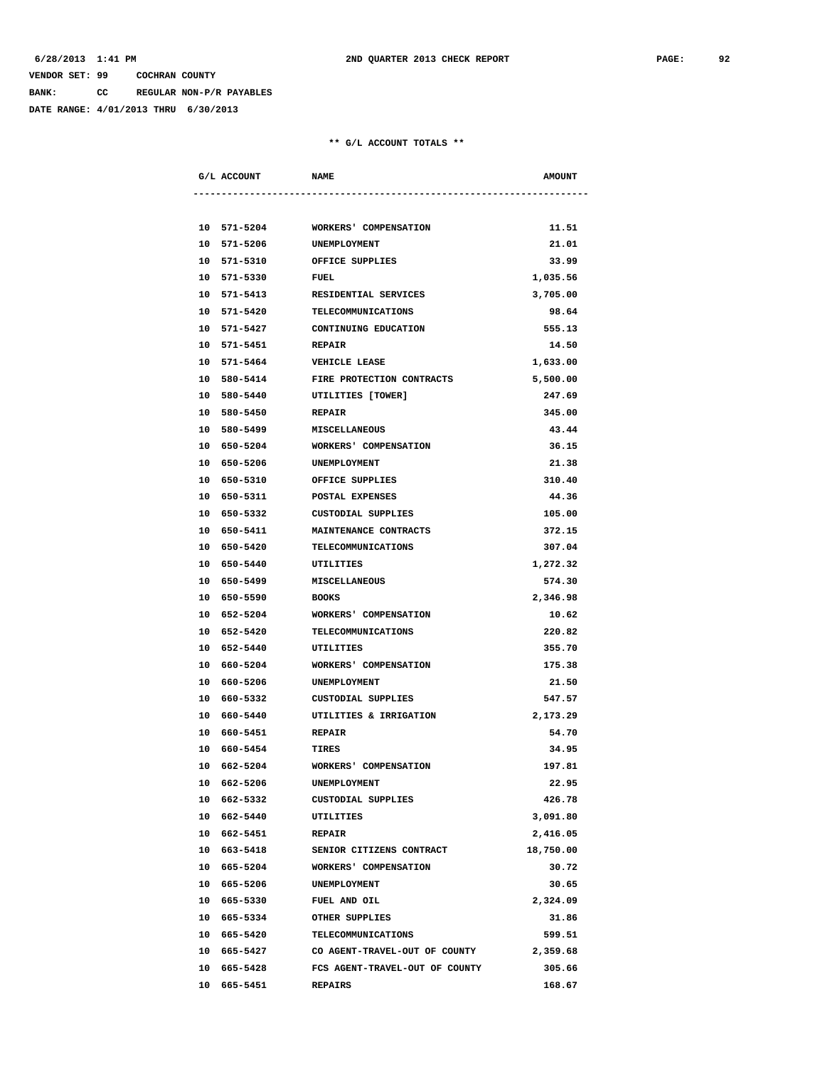**BANK: CC REGULAR NON-P/R PAYABLES**

**DATE RANGE: 4/01/2013 THRU 6/30/2013**

| G/L ACCOUNT | <b>NAME</b>                    | <b>AMOUNT</b> |
|-------------|--------------------------------|---------------|
|             |                                |               |
| 10 571-5204 | WORKERS' COMPENSATION          | 11.51         |
| 10 571-5206 | UNEMPLOYMENT                   | 21.01         |
| 10 571-5310 | OFFICE SUPPLIES                | 33.99         |
| 10 571-5330 | FUEL                           | 1,035.56      |
| 10 571-5413 | RESIDENTIAL SERVICES           | 3,705.00      |
| 10 571-5420 | TELECOMMUNICATIONS             | 98.64         |
| 10 571-5427 | CONTINUING EDUCATION           | 555.13        |
| 10 571-5451 | <b>REPAIR</b>                  | 14.50         |
| 10 571-5464 | <b>VEHICLE LEASE</b>           | 1,633.00      |
| 10 580-5414 | FIRE PROTECTION CONTRACTS      | 5,500.00      |
| 10 580-5440 | UTILITIES [TOWER]              | 247.69        |
| 10 580-5450 | <b>REPAIR</b>                  | 345.00        |
| 10 580-5499 | <b>MISCELLANEOUS</b>           | 43.44         |
| 10 650-5204 | WORKERS' COMPENSATION          | 36.15         |
| 10 650-5206 | UNEMPLOYMENT                   | 21.38         |
| 10 650-5310 | OFFICE SUPPLIES                | 310.40        |
| 10 650-5311 | <b>POSTAL EXPENSES</b>         | 44.36         |
| 10 650-5332 | CUSTODIAL SUPPLIES             | 105.00        |
| 10 650-5411 | MAINTENANCE CONTRACTS          | 372.15        |
| 10 650-5420 | TELECOMMUNICATIONS             | 307.04        |
| 10 650-5440 | UTILITIES                      | 1,272.32      |
| 10 650-5499 | <b>MISCELLANEOUS</b>           | 574.30        |
| 10 650-5590 | BOOKS                          | 2,346.98      |
| 10 652-5204 | WORKERS' COMPENSATION          | 10.62         |
| 10 652-5420 | TELECOMMUNICATIONS             | 220.82        |
| 10 652-5440 | UTILITIES                      | 355.70        |
| 10 660-5204 | WORKERS' COMPENSATION          | 175.38        |
| 10 660-5206 | UNEMPLOYMENT                   | 21.50         |
| 10 660-5332 | CUSTODIAL SUPPLIES             | 547.57        |
| 10 660-5440 | UTILITIES & IRRIGATION         | 2,173.29      |
| 10 660-5451 | <b>REPAIR</b>                  | 54.70         |
| 10 660-5454 | TIRES                          | 34.95         |
| 10 662-5204 | <b>WORKERS' COMPENSATION</b>   | 197.81        |
| 10 662-5206 | UNEMPLOYMENT                   | 22.95         |
| 10 662-5332 | <b>CUSTODIAL SUPPLIES</b>      | 426.78        |
| 10 662-5440 | <b>UTILITIES</b>               | 3,091.80      |
| 10 662-5451 | <b>REPAIR</b>                  | 2,416.05      |
| 10 663-5418 | SENIOR CITIZENS CONTRACT       | 18,750.00     |
| 10 665-5204 | WORKERS' COMPENSATION          | 30.72         |
| 10 665-5206 | UNEMPLOYMENT                   | 30.65         |
| 10 665-5330 | FUEL AND OIL                   | 2,324.09      |
| 10 665-5334 | OTHER SUPPLIES                 | 31.86         |
| 10 665-5420 | <b>TELECOMMUNICATIONS</b>      | 599.51        |
| 10 665-5427 | CO AGENT-TRAVEL-OUT OF COUNTY  | 2,359.68      |
| 10 665-5428 | FCS AGENT-TRAVEL-OUT OF COUNTY | 305.66        |
| 10 665-5451 | REPAIRS                        | 168.67        |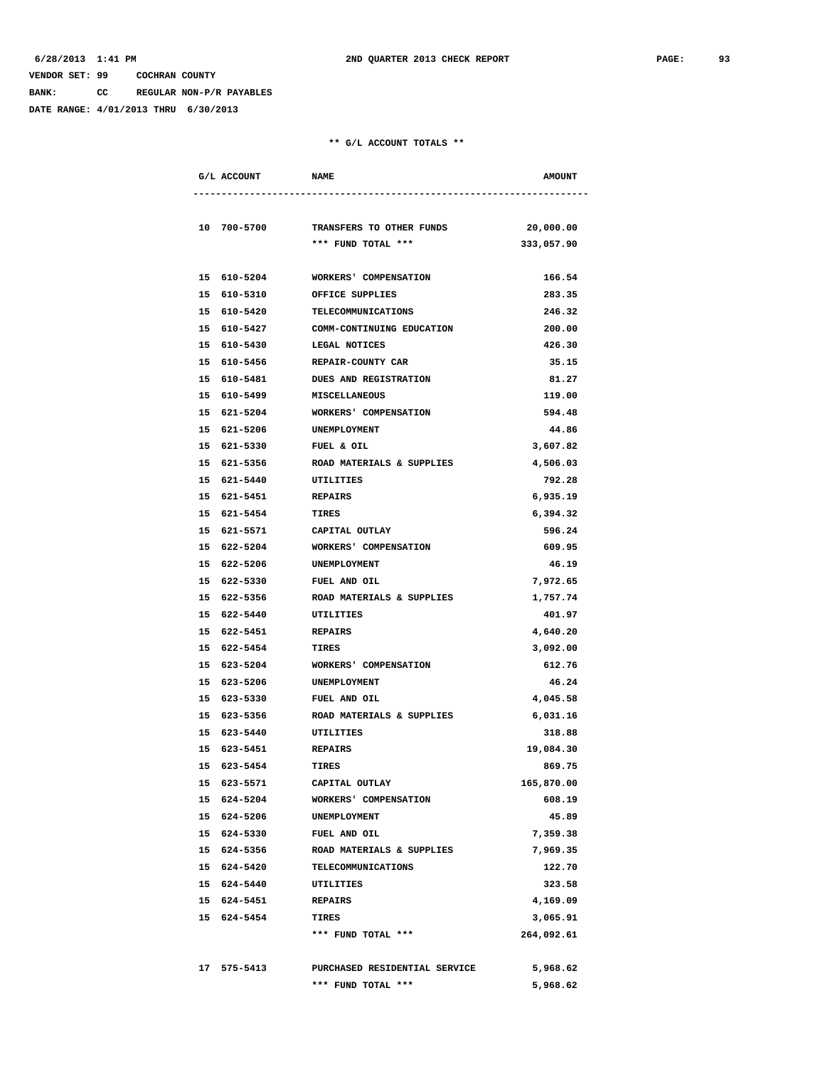**BANK: CC REGULAR NON-P/R PAYABLES**

**DATE RANGE: 4/01/2013 THRU 6/30/2013**

| G/L ACCOUNT                | <b>NAME</b>                             | <b>AMOUNT</b>   |
|----------------------------|-----------------------------------------|-----------------|
|                            |                                         |                 |
| 10 700-5700                | TRANSFERS TO OTHER FUNDS                | 20,000.00       |
|                            | *** FUND TOTAL ***                      | 333,057.90      |
| 15 610-5204                | WORKERS' COMPENSATION                   | 166.54          |
| 15 610-5310                | OFFICE SUPPLIES                         | 283.35          |
| 15 610-5420                | TELECOMMUNICATIONS                      | 246.32          |
| 15 610-5427                | COMM-CONTINUING EDUCATION               | 200.00          |
| 15 610-5430                | LEGAL NOTICES                           | 426.30          |
| 15 610-5456                | REPAIR-COUNTY CAR                       | 35.15           |
| 15 610-5481                | <b>DUES AND REGISTRATION</b>            | 81.27           |
| 15 610-5499                | <b>MISCELLANEOUS</b>                    | 119.00          |
| 15 621-5204                | <b>WORKERS' COMPENSATION</b>            | 594.48          |
| 15 621-5206                | <b>UNEMPLOYMENT</b>                     | 44.86           |
| 15 621-5330                | FUEL & OIL                              | 3,607.82        |
| 15 621-5356                | ROAD MATERIALS & SUPPLIES               | 4,506.03        |
| 15 621-5440                | UTILITIES                               | 792.28          |
| 15 621-5451                | <b>REPAIRS</b>                          | 6,935.19        |
| 15 621-5454                | <b>TIRES</b>                            | 6,394.32        |
| 15 621-5571                | CAPITAL OUTLAY                          | 596.24          |
| 15 622-5204                | WORKERS' COMPENSATION                   | 609.95          |
| 15 622-5206                | UNEMPLOYMENT                            | 46.19           |
| 15 622-5330                | FUEL AND OIL                            | 7,972.65        |
| 15 622-5356                | ROAD MATERIALS & SUPPLIES               | 1,757.74        |
| 15 622-5440                | UTILITIES                               | 401.97          |
| 15 622-5451                | <b>REPAIRS</b>                          | 4,640.20        |
| 15 622-5454                | TIRES                                   | 3,092.00        |
| 15 623-5204                | WORKERS' COMPENSATION                   | 612.76          |
| 15 623-5206                | UNEMPLOYMENT                            | 46.24           |
| 15 623-5330                | FUEL AND OIL                            | 4,045.58        |
| 15 623-5356                | ROAD MATERIALS & SUPPLIES               | 6,031.16        |
| 15 623-5440                | UTILITIES                               | 318.88          |
| 15 623-5451                | <b>REPAIRS</b>                          | 19,084.30       |
| 15 623-5454                | <b>TIRES</b>                            | 869.75          |
| 15 623-5571<br>15 624-5204 | CAPITAL OUTLAY<br>WORKERS' COMPENSATION | 165,870.00      |
| 15 624-5206                | UNEMPLOYMENT                            | 608.19<br>45.89 |
| 15 624-5330                | FUEL AND OIL                            | 7,359.38        |
| 15 624-5356                | ROAD MATERIALS & SUPPLIES               | 7,969.35        |
| 15 624-5420                | TELECOMMUNICATIONS                      | 122.70          |
| 15 624-5440                | UTILITIES                               | 323.58          |
| 15 624-5451                | <b>REPAIRS</b>                          | 4,169.09        |
| 15 624-5454                | TIRES                                   | 3,065.91        |
|                            | *** FUND TOTAL ***                      | 264,092.61      |
|                            |                                         |                 |
| 17 575-5413                | PURCHASED RESIDENTIAL SERVICE           | 5,968.62        |
|                            | *** FUND TOTAL ***                      | 5,968.62        |
|                            |                                         |                 |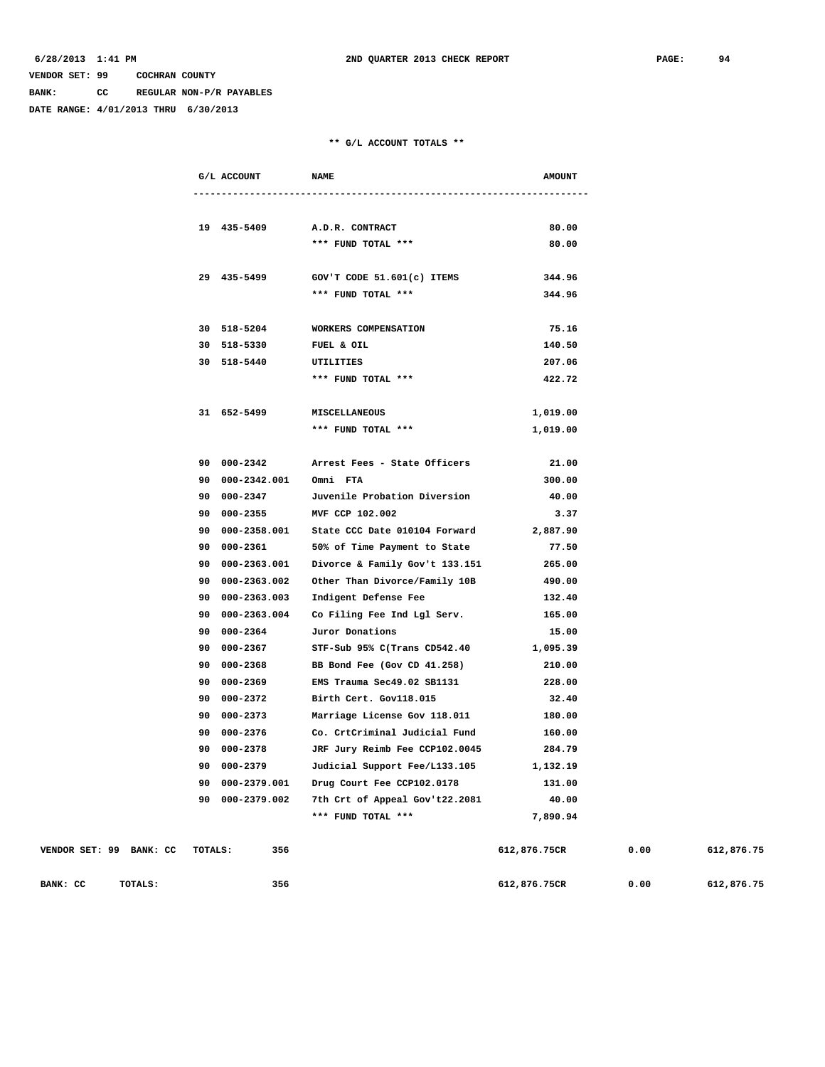**BANK: CC REGULAR NON-P/R PAYABLES**

**DATE RANGE: 4/01/2013 THRU 6/30/2013**

### **\*\* G/L ACCOUNT TOTALS \*\***

|                         |         | G/L ACCOUNT     | <b>NAME</b>                    | <b>AMOUNT</b> |
|-------------------------|---------|-----------------|--------------------------------|---------------|
|                         |         |                 |                                |               |
|                         |         | 19 435-5409     | A.D.R. CONTRACT                | 80.00         |
|                         |         |                 | *** FUND TOTAL ***             | 80.00         |
|                         |         |                 |                                |               |
|                         |         | 29 435-5499     | GOV'T CODE 51.601(c) ITEMS     | 344.96        |
|                         |         |                 | *** FUND TOTAL ***             | 344.96        |
|                         |         | 30 518-5204     | WORKERS COMPENSATION           | 75.16         |
|                         |         | 30 518-5330     | FUEL & OIL                     | 140.50        |
|                         |         | 30 518-5440     | UTILITIES                      | 207.06        |
|                         |         |                 | *** FUND TOTAL ***             | 422.72        |
|                         |         | 31 652-5499     | MISCELLANEOUS                  | 1,019.00      |
|                         |         |                 | *** FUND TOTAL ***             | 1,019.00      |
|                         |         |                 |                                |               |
|                         |         | 90 000-2342     | Arrest Fees - State Officers   | 21.00         |
|                         |         | 90 000-2342.001 | Omni FTA                       | 300.00        |
|                         |         | 90 000-2347     | Juvenile Probation Diversion   | 40.00         |
|                         |         | 90 000-2355     | MVF CCP 102.002                | 3.37          |
|                         |         | 90 000-2358.001 | State CCC Date 010104 Forward  | 2,887.90      |
|                         |         | 90 000-2361     | 50% of Time Payment to State   | 77.50         |
|                         |         | 90 000-2363.001 | Divorce & Family Gov't 133.151 | 265.00        |
|                         |         | 90 000-2363.002 | Other Than Divorce/Family 10B  | 490.00        |
|                         |         | 90 000-2363.003 | Indigent Defense Fee           | 132.40        |
|                         |         | 90 000-2363.004 | Co Filing Fee Ind Lgl Serv.    | 165.00        |
|                         |         | 90 000-2364     | Juror Donations                | 15.00         |
|                         |         | 90 000-2367     | STF-Sub 95% C(Trans CD542.40   | 1,095.39      |
|                         |         | 90 000-2368     | BB Bond Fee (Gov CD 41.258)    | 210.00        |
|                         |         | 90 000-2369     | EMS Trauma Sec49.02 SB1131     | 228.00        |
|                         |         | 90 000-2372     | Birth Cert. Gov118.015         | 32.40         |
|                         |         | 90 000-2373     | Marriage License Gov 118.011   | 180.00        |
|                         |         | 90 000-2376     | Co. CrtCriminal Judicial Fund  | 160.00        |
|                         |         | 90 000-2378     | JRF Jury Reimb Fee CCP102.0045 | 284.79        |
|                         |         | 90 000-2379     | Judicial Support Fee/L133.105  | 1,132.19      |
|                         |         | 90 000-2379.001 | Drug Court Fee CCP102.0178     | 131.00        |
|                         |         | 90 000-2379.002 | 7th Crt of Appeal Gov't22.2081 | 40.00         |
|                         |         |                 | *** FUND TOTAL ***             | 7,890.94      |
| VENDOR SET: 99 BANK: CC | TOTALS: | 356             |                                | 612,876.75CR  |
|                         |         |                 |                                |               |

**BANK: CC** TOTALS: 356 356 612,876.75CR 0.00 612,876.75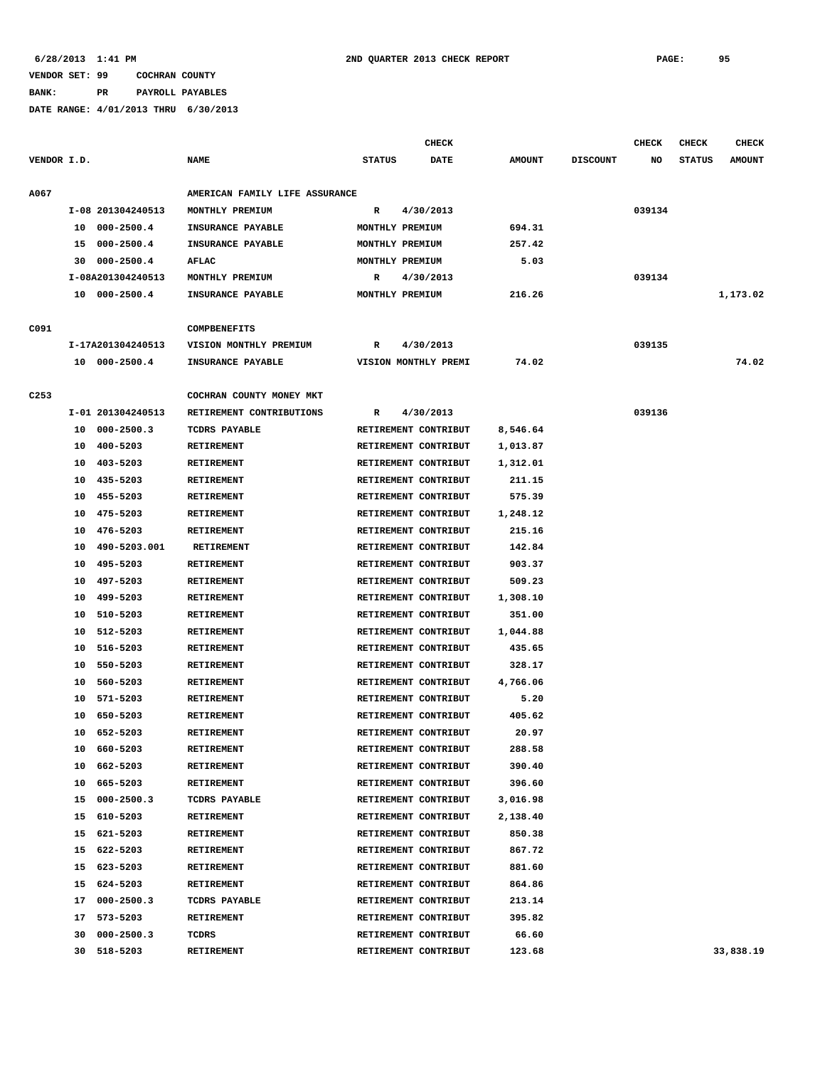**BANK: PR PAYROLL PAYABLES**

|                  |    |                   |                                |                 | <b>CHECK</b>         |               |                 | <b>CHECK</b> | <b>CHECK</b>  | <b>CHECK</b>  |
|------------------|----|-------------------|--------------------------------|-----------------|----------------------|---------------|-----------------|--------------|---------------|---------------|
| VENDOR I.D.      |    |                   | <b>NAME</b>                    | <b>STATUS</b>   | DATE                 | <b>AMOUNT</b> | <b>DISCOUNT</b> | NO           | <b>STATUS</b> | <b>AMOUNT</b> |
| A067             |    |                   | AMERICAN FAMILY LIFE ASSURANCE |                 |                      |               |                 |              |               |               |
|                  |    | I-08 201304240513 | MONTHLY PREMIUM                | R               | 4/30/2013            |               |                 | 039134       |               |               |
|                  | 10 | 000-2500.4        | INSURANCE PAYABLE              | MONTHLY PREMIUM |                      | 694.31        |                 |              |               |               |
|                  | 15 | $000 - 2500.4$    | INSURANCE PAYABLE              | MONTHLY PREMIUM |                      | 257.42        |                 |              |               |               |
|                  | 30 | $000 - 2500.4$    | AFLAC                          | MONTHLY PREMIUM |                      | 5.03          |                 |              |               |               |
|                  |    | I-08A201304240513 | MONTHLY PREMIUM                | R               | 4/30/2013            |               |                 | 039134       |               |               |
|                  |    | 10 000-2500.4     | INSURANCE PAYABLE              | MONTHLY PREMIUM |                      | 216.26        |                 |              |               | 1,173.02      |
| C091             |    |                   | <b>COMPBENEFITS</b>            |                 |                      |               |                 |              |               |               |
|                  |    | I-17A201304240513 | VISION MONTHLY PREMIUM         | R               | 4/30/2013            |               |                 | 039135       |               |               |
|                  |    | 10 000-2500.4     | INSURANCE PAYABLE              |                 | VISION MONTHLY PREMI | 74.02         |                 |              |               | 74.02         |
| C <sub>253</sub> |    |                   | COCHRAN COUNTY MONEY MKT       |                 |                      |               |                 |              |               |               |
|                  |    | I-01 201304240513 | RETIREMENT CONTRIBUTIONS       | R               | 4/30/2013            |               |                 | 039136       |               |               |
|                  | 10 | 000-2500.3        | TCDRS PAYABLE                  |                 | RETIREMENT CONTRIBUT | 8,546.64      |                 |              |               |               |
|                  | 10 | 400-5203          | <b>RETIREMENT</b>              |                 | RETIREMENT CONTRIBUT | 1,013.87      |                 |              |               |               |
|                  | 10 | 403-5203          | RETIREMENT                     |                 | RETIREMENT CONTRIBUT | 1,312.01      |                 |              |               |               |
|                  | 10 | 435-5203          | <b>RETIREMENT</b>              |                 | RETIREMENT CONTRIBUT | 211.15        |                 |              |               |               |
|                  | 10 | 455-5203          | <b>RETIREMENT</b>              |                 | RETIREMENT CONTRIBUT | 575.39        |                 |              |               |               |
|                  |    | 475-5203          |                                |                 |                      |               |                 |              |               |               |
|                  | 10 |                   | <b>RETIREMENT</b>              |                 | RETIREMENT CONTRIBUT | 1,248.12      |                 |              |               |               |
|                  | 10 | 476-5203          | <b>RETIREMENT</b>              |                 | RETIREMENT CONTRIBUT | 215.16        |                 |              |               |               |
|                  | 10 | 490-5203.001      | <b>RETIREMENT</b>              |                 | RETIREMENT CONTRIBUT | 142.84        |                 |              |               |               |
|                  | 10 | 495-5203          | <b>RETIREMENT</b>              |                 | RETIREMENT CONTRIBUT | 903.37        |                 |              |               |               |
|                  | 10 | 497-5203          | <b>RETIREMENT</b>              |                 | RETIREMENT CONTRIBUT | 509.23        |                 |              |               |               |
|                  | 10 | 499-5203          | <b>RETIREMENT</b>              |                 | RETIREMENT CONTRIBUT | 1,308.10      |                 |              |               |               |
|                  | 10 | 510-5203          | <b>RETIREMENT</b>              |                 | RETIREMENT CONTRIBUT | 351.00        |                 |              |               |               |
|                  | 10 | 512-5203          | <b>RETIREMENT</b>              |                 | RETIREMENT CONTRIBUT | 1,044.88      |                 |              |               |               |
|                  | 10 | 516-5203          | <b>RETIREMENT</b>              |                 | RETIREMENT CONTRIBUT | 435.65        |                 |              |               |               |
|                  | 10 | 550-5203          | RETIREMENT                     |                 | RETIREMENT CONTRIBUT | 328.17        |                 |              |               |               |
|                  | 10 | 560-5203          | <b>RETIREMENT</b>              |                 | RETIREMENT CONTRIBUT | 4,766.06      |                 |              |               |               |
|                  | 10 | 571-5203          | <b>RETIREMENT</b>              |                 | RETIREMENT CONTRIBUT | 5.20          |                 |              |               |               |
|                  | 10 | 650-5203          | <b>RETIREMENT</b>              |                 | RETIREMENT CONTRIBUT | 405.62        |                 |              |               |               |
|                  | 10 | 652-5203          | <b>RETIREMENT</b>              |                 | RETIREMENT CONTRIBUT | 20.97         |                 |              |               |               |
|                  | 10 | 660-5203          | RETIREMENT                     |                 | RETIREMENT CONTRIBUT | 288.58        |                 |              |               |               |
|                  | 10 | 662-5203          | RETIREMENT                     |                 | RETIREMENT CONTRIBUT | 390.40        |                 |              |               |               |
|                  | 10 | 665-5203          | RETIREMENT                     |                 | RETIREMENT CONTRIBUT | 396.60        |                 |              |               |               |
|                  | 15 | $000 - 2500.3$    | TCDRS PAYABLE                  |                 | RETIREMENT CONTRIBUT | 3,016.98      |                 |              |               |               |
|                  | 15 | 610-5203          | RETIREMENT                     |                 | RETIREMENT CONTRIBUT | 2,138.40      |                 |              |               |               |
|                  | 15 | 621-5203          | <b>RETIREMENT</b>              |                 | RETIREMENT CONTRIBUT | 850.38        |                 |              |               |               |
|                  | 15 | 622-5203          | RETIREMENT                     |                 | RETIREMENT CONTRIBUT | 867.72        |                 |              |               |               |
|                  | 15 | 623-5203          | RETIREMENT                     |                 | RETIREMENT CONTRIBUT | 881.60        |                 |              |               |               |
|                  | 15 | 624-5203          | <b>RETIREMENT</b>              |                 | RETIREMENT CONTRIBUT | 864.86        |                 |              |               |               |
|                  | 17 | $000 - 2500.3$    | TCDRS PAYABLE                  |                 | RETIREMENT CONTRIBUT | 213.14        |                 |              |               |               |
|                  | 17 | 573-5203          | RETIREMENT                     |                 | RETIREMENT CONTRIBUT | 395.82        |                 |              |               |               |
|                  | 30 | $000 - 2500.3$    | TCDRS                          |                 | RETIREMENT CONTRIBUT | 66.60         |                 |              |               |               |
|                  |    | 30 518-5203       | RETIREMENT                     |                 | RETIREMENT CONTRIBUT | 123.68        |                 |              |               | 33,838.19     |
|                  |    |                   |                                |                 |                      |               |                 |              |               |               |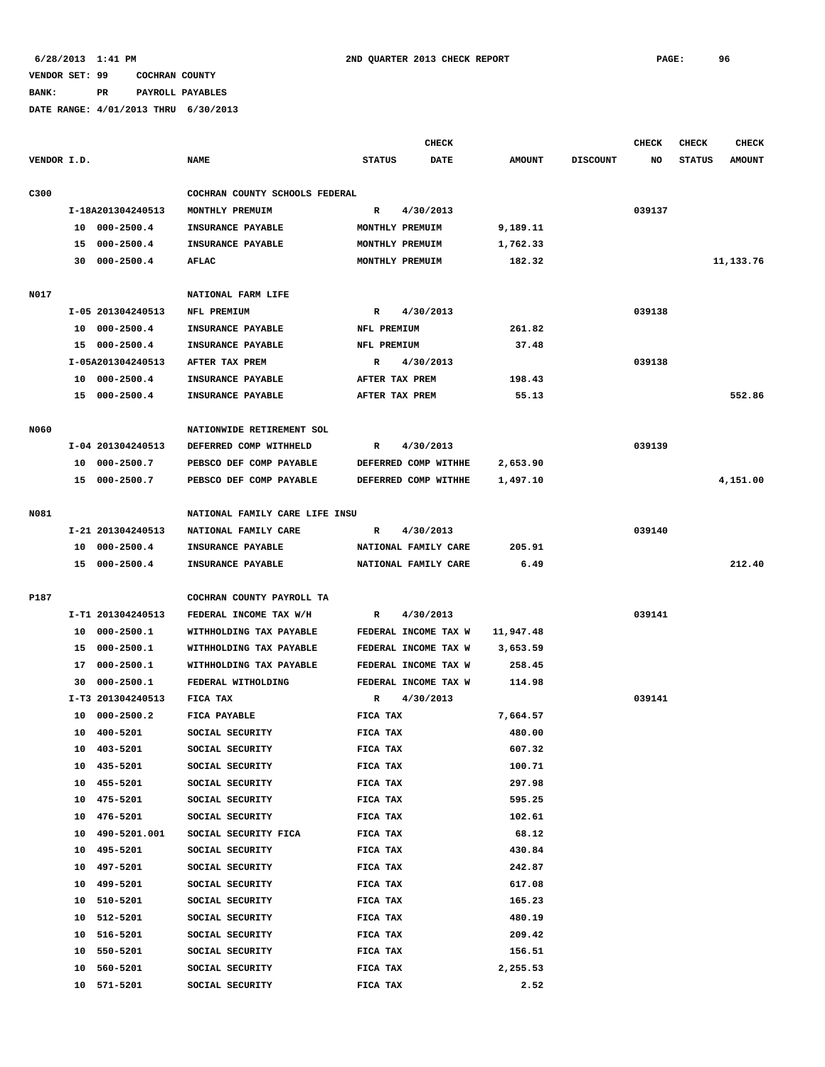**BANK: PR PAYROLL PAYABLES**

|             |             |                   |                                |                | CHECK                |               |                 | <b>CHECK</b> | CHECK         | <b>CHECK</b>  |
|-------------|-------------|-------------------|--------------------------------|----------------|----------------------|---------------|-----------------|--------------|---------------|---------------|
| VENDOR I.D. |             |                   | <b>NAME</b>                    | <b>STATUS</b>  | DATE                 | <b>AMOUNT</b> | <b>DISCOUNT</b> | NO           | <b>STATUS</b> | <b>AMOUNT</b> |
| C300        |             |                   | COCHRAN COUNTY SCHOOLS FEDERAL |                |                      |               |                 |              |               |               |
|             |             | I-18A201304240513 | MONTHLY PREMUIM                | R              | 4/30/2013            |               |                 | 039137       |               |               |
|             |             | 10 000-2500.4     | INSURANCE PAYABLE              |                | MONTHLY PREMUIM      | 9,189.11      |                 |              |               |               |
|             |             | 15 000-2500.4     | INSURANCE PAYABLE              |                | MONTHLY PREMUIM      | 1,762.33      |                 |              |               |               |
|             |             | 30 000-2500.4     | <b>AFLAC</b>                   |                | MONTHLY PREMUIM      | 182.32        |                 |              |               | 11,133.76     |
|             |             |                   |                                |                |                      |               |                 |              |               |               |
| N017        |             |                   | NATIONAL FARM LIFE             |                |                      |               |                 |              |               |               |
|             |             | I-05 201304240513 | NFL PREMIUM                    | R              | 4/30/2013            |               |                 | 039138       |               |               |
|             |             | 10 000-2500.4     | INSURANCE PAYABLE              | NFL PREMIUM    |                      | 261.82        |                 |              |               |               |
|             |             | 15 000-2500.4     | INSURANCE PAYABLE              | NFL PREMIUM    |                      | 37.48         |                 |              |               |               |
|             |             | I-05A201304240513 | AFTER TAX PREM                 | $\mathbb{R}$   | 4/30/2013            |               |                 | 039138       |               |               |
|             |             | 10 000-2500.4     | INSURANCE PAYABLE              | AFTER TAX PREM |                      | 198.43        |                 |              |               |               |
|             |             | 15 000-2500.4     | INSURANCE PAYABLE              | AFTER TAX PREM |                      | 55.13         |                 |              |               | 552.86        |
|             |             |                   |                                |                |                      |               |                 |              |               |               |
| N060        |             |                   | NATIONWIDE RETIREMENT SOL      |                |                      |               |                 |              |               |               |
|             |             | I-04 201304240513 | DEFERRED COMP WITHHELD         | R              | 4/30/2013            |               |                 | 039139       |               |               |
|             |             | 10 000-2500.7     | PEBSCO DEF COMP PAYABLE        |                | DEFERRED COMP WITHHE | 2,653.90      |                 |              |               |               |
|             |             | 15 000-2500.7     | PEBSCO DEF COMP PAYABLE        |                | DEFERRED COMP WITHHE | 1,497.10      |                 |              |               | 4,151.00      |
| N081        |             |                   | NATIONAL FAMILY CARE LIFE INSU |                |                      |               |                 |              |               |               |
|             |             | I-21 201304240513 | NATIONAL FAMILY CARE           | R              | 4/30/2013            |               |                 | 039140       |               |               |
|             |             | 10 000-2500.4     | INSURANCE PAYABLE              |                | NATIONAL FAMILY CARE | 205.91        |                 |              |               |               |
|             |             | 15 000-2500.4     | INSURANCE PAYABLE              |                | NATIONAL FAMILY CARE | 6.49          |                 |              |               | 212.40        |
|             |             |                   |                                |                |                      |               |                 |              |               |               |
| P187        |             |                   | COCHRAN COUNTY PAYROLL TA      |                |                      |               |                 |              |               |               |
|             |             | I-T1 201304240513 | FEDERAL INCOME TAX W/H         | $\mathbb{R}$   | 4/30/2013            |               |                 | 039141       |               |               |
|             |             | 10 000-2500.1     | WITHHOLDING TAX PAYABLE        |                | FEDERAL INCOME TAX W | 11,947.48     |                 |              |               |               |
|             |             | 15 000-2500.1     | WITHHOLDING TAX PAYABLE        |                | FEDERAL INCOME TAX W | 3,653.59      |                 |              |               |               |
|             | 17          | $000 - 2500.1$    | WITHHOLDING TAX PAYABLE        |                | FEDERAL INCOME TAX W | 258.45        |                 |              |               |               |
|             | 30          | $000 - 2500.1$    | FEDERAL WITHOLDING             |                | FEDERAL INCOME TAX W | 114.98        |                 |              |               |               |
|             |             | I-T3 201304240513 | FICA TAX                       | R              | 4/30/2013            |               |                 | 039141       |               |               |
|             | 10          | $000 - 2500.2$    | FICA PAYABLE                   | FICA TAX       |                      | 7,664.57      |                 |              |               |               |
|             | 10 400-5201 |                   | SOCIAL SECURITY                | FICA TAX       |                      | 480.00        |                 |              |               |               |
|             | 10          | 403-5201          | SOCIAL SECURITY                | FICA TAX       |                      | 607.32        |                 |              |               |               |
|             | 10          | 435-5201          | SOCIAL SECURITY                | FICA TAX       |                      | 100.71        |                 |              |               |               |
|             | 10          | 455-5201          | SOCIAL SECURITY                | FICA TAX       |                      | 297.98        |                 |              |               |               |
|             | 10          | 475-5201          | SOCIAL SECURITY                | FICA TAX       |                      | 595.25        |                 |              |               |               |
|             | 10          | 476-5201          | SOCIAL SECURITY                | FICA TAX       |                      | 102.61        |                 |              |               |               |
|             | 10          | 490-5201.001      | SOCIAL SECURITY FICA           | FICA TAX       |                      | 68.12         |                 |              |               |               |
|             | 10          | 495-5201          | SOCIAL SECURITY                | FICA TAX       |                      | 430.84        |                 |              |               |               |
|             | 10          | 497-5201          | SOCIAL SECURITY                | FICA TAX       |                      | 242.87        |                 |              |               |               |
|             | 10          | 499-5201          | SOCIAL SECURITY                | FICA TAX       |                      | 617.08        |                 |              |               |               |
|             | 10          | 510-5201          | SOCIAL SECURITY                | FICA TAX       |                      | 165.23        |                 |              |               |               |
|             | 10          | 512-5201          | SOCIAL SECURITY                | FICA TAX       |                      | 480.19        |                 |              |               |               |
|             | 10          | 516-5201          | SOCIAL SECURITY                | FICA TAX       |                      | 209.42        |                 |              |               |               |
|             | 10          | 550-5201          | SOCIAL SECURITY                | FICA TAX       |                      | 156.51        |                 |              |               |               |
|             | 10          | 560-5201          | SOCIAL SECURITY                | FICA TAX       |                      | 2,255.53      |                 |              |               |               |
|             | 10 571-5201 |                   | SOCIAL SECURITY                | FICA TAX       |                      | 2.52          |                 |              |               |               |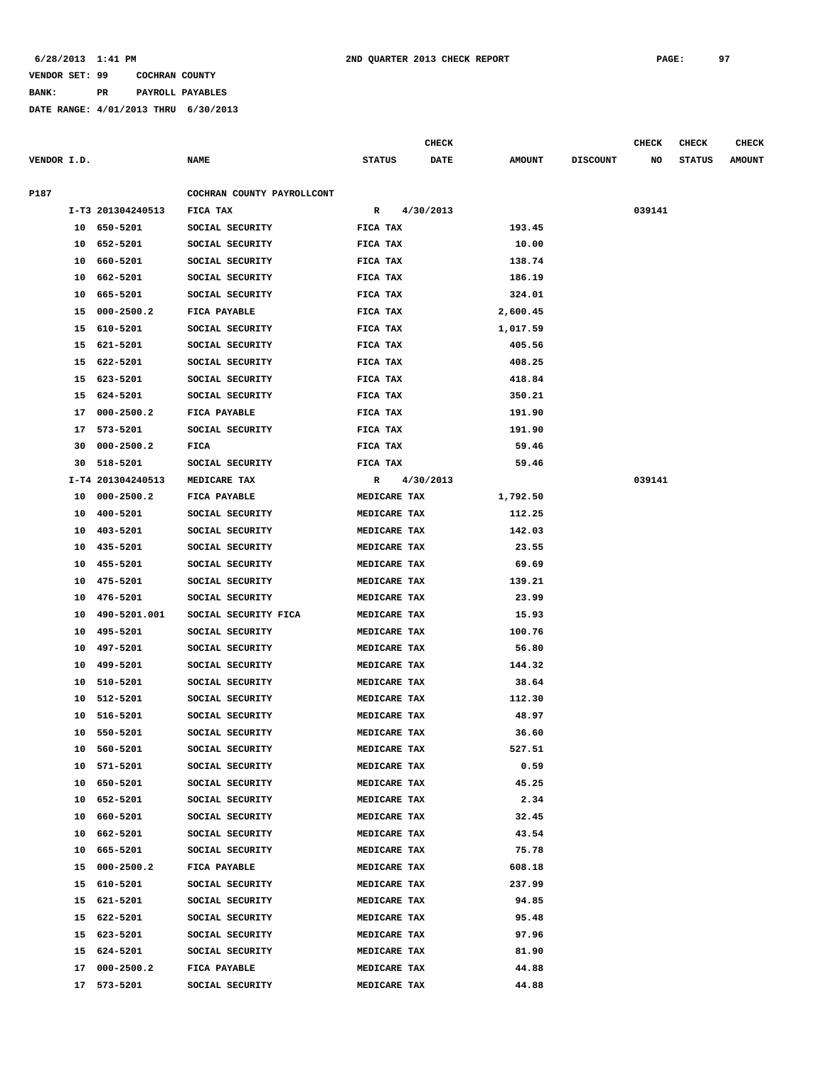**BANK: PR PAYROLL PAYABLES**

|             |    |                   |                            |               |           | <b>CHECK</b> |               |                 | <b>CHECK</b> | <b>CHECK</b>  | <b>CHECK</b>  |
|-------------|----|-------------------|----------------------------|---------------|-----------|--------------|---------------|-----------------|--------------|---------------|---------------|
| VENDOR I.D. |    |                   | <b>NAME</b>                | <b>STATUS</b> |           | <b>DATE</b>  | <b>AMOUNT</b> | <b>DISCOUNT</b> | NO           | <b>STATUS</b> | <b>AMOUNT</b> |
| P187        |    |                   | COCHRAN COUNTY PAYROLLCONT |               |           |              |               |                 |              |               |               |
|             |    | I-T3 201304240513 | FICA TAX                   | R             | 4/30/2013 |              |               |                 | 039141       |               |               |
|             |    | 10 650-5201       | SOCIAL SECURITY            | FICA TAX      |           |              | 193.45        |                 |              |               |               |
|             | 10 | 652-5201          | SOCIAL SECURITY            | FICA TAX      |           |              | 10.00         |                 |              |               |               |
|             | 10 | 660-5201          | SOCIAL SECURITY            | FICA TAX      |           |              | 138.74        |                 |              |               |               |
|             | 10 | 662-5201          | SOCIAL SECURITY            | FICA TAX      |           |              | 186.19        |                 |              |               |               |
|             | 10 | 665-5201          | SOCIAL SECURITY            | FICA TAX      |           |              | 324.01        |                 |              |               |               |
|             | 15 | $000 - 2500.2$    | FICA PAYABLE               | FICA TAX      |           |              | 2,600.45      |                 |              |               |               |
|             | 15 | 610-5201          | SOCIAL SECURITY            | FICA TAX      |           |              | 1,017.59      |                 |              |               |               |
|             | 15 | 621-5201          | SOCIAL SECURITY            | FICA TAX      |           |              | 405.56        |                 |              |               |               |
|             | 15 | 622-5201          | SOCIAL SECURITY            | FICA TAX      |           |              | 408.25        |                 |              |               |               |
|             | 15 | 623-5201          | SOCIAL SECURITY            | FICA TAX      |           |              | 418.84        |                 |              |               |               |
|             | 15 | 624-5201          | SOCIAL SECURITY            | FICA TAX      |           |              | 350.21        |                 |              |               |               |
|             | 17 | $000 - 2500.2$    | FICA PAYABLE               | FICA TAX      |           |              | 191.90        |                 |              |               |               |
|             | 17 | 573-5201          | SOCIAL SECURITY            | FICA TAX      |           |              | 191.90        |                 |              |               |               |
|             | 30 | $000 - 2500.2$    | FICA                       | FICA TAX      |           |              | 59.46         |                 |              |               |               |
|             | 30 | 518-5201          | SOCIAL SECURITY            | FICA TAX      |           |              | 59.46         |                 |              |               |               |
|             |    | I-T4 201304240513 | MEDICARE TAX               | R             | 4/30/2013 |              |               |                 | 039141       |               |               |
|             | 10 | $000 - 2500.2$    | FICA PAYABLE               | MEDICARE TAX  |           |              | 1,792.50      |                 |              |               |               |
|             | 10 | 400-5201          | SOCIAL SECURITY            | MEDICARE TAX  |           |              | 112.25        |                 |              |               |               |
|             | 10 | 403-5201          | SOCIAL SECURITY            | MEDICARE TAX  |           |              | 142.03        |                 |              |               |               |
|             | 10 | 435-5201          | SOCIAL SECURITY            | MEDICARE TAX  |           |              | 23.55         |                 |              |               |               |
|             | 10 | 455-5201          | SOCIAL SECURITY            | MEDICARE TAX  |           |              | 69.69         |                 |              |               |               |
|             | 10 | 475-5201          | SOCIAL SECURITY            | MEDICARE TAX  |           |              | 139.21        |                 |              |               |               |
|             | 10 | 476-5201          | SOCIAL SECURITY            | MEDICARE TAX  |           |              | 23.99         |                 |              |               |               |
|             | 10 | 490-5201.001      | SOCIAL SECURITY FICA       | MEDICARE TAX  |           |              | 15.93         |                 |              |               |               |
|             | 10 | 495-5201          | SOCIAL SECURITY            | MEDICARE TAX  |           |              | 100.76        |                 |              |               |               |
|             | 10 | 497-5201          | SOCIAL SECURITY            | MEDICARE TAX  |           |              | 56.80         |                 |              |               |               |
|             | 10 | 499-5201          | SOCIAL SECURITY            | MEDICARE TAX  |           |              | 144.32        |                 |              |               |               |
|             | 10 | 510-5201          | SOCIAL SECURITY            | MEDICARE TAX  |           |              | 38.64         |                 |              |               |               |
|             | 10 | 512-5201          | SOCIAL SECURITY            | MEDICARE TAX  |           |              | 112.30        |                 |              |               |               |
|             | 10 | 516-5201          | SOCIAL SECURITY            | MEDICARE TAX  |           |              | 48.97         |                 |              |               |               |
|             | 10 | 550-5201          | SOCIAL SECURITY            | MEDICARE TAX  |           |              | 36.60         |                 |              |               |               |
|             | 10 | 560-5201          | SOCIAL SECURITY            | MEDICARE TAX  |           |              | 527.51        |                 |              |               |               |
|             | 10 | 571-5201          | SOCIAL SECURITY            | MEDICARE TAX  |           |              | 0.59          |                 |              |               |               |
|             | 10 | 650-5201          | SOCIAL SECURITY            | MEDICARE TAX  |           |              | 45.25         |                 |              |               |               |
|             | 10 | 652-5201          | SOCIAL SECURITY            | MEDICARE TAX  |           |              | 2.34          |                 |              |               |               |
|             | 10 | 660-5201          | SOCIAL SECURITY            | MEDICARE TAX  |           |              | 32.45         |                 |              |               |               |
|             | 10 | 662-5201          | SOCIAL SECURITY            | MEDICARE TAX  |           |              | 43.54         |                 |              |               |               |
|             | 10 | 665-5201          | SOCIAL SECURITY            | MEDICARE TAX  |           |              | 75.78         |                 |              |               |               |
|             | 15 | $000 - 2500.2$    | FICA PAYABLE               | MEDICARE TAX  |           |              | 608.18        |                 |              |               |               |
|             | 15 | 610-5201          | SOCIAL SECURITY            | MEDICARE TAX  |           |              | 237.99        |                 |              |               |               |
|             | 15 | 621-5201          | SOCIAL SECURITY            | MEDICARE TAX  |           |              | 94.85         |                 |              |               |               |
|             | 15 | 622-5201          | SOCIAL SECURITY            | MEDICARE TAX  |           |              | 95.48         |                 |              |               |               |
|             | 15 | 623-5201          | SOCIAL SECURITY            | MEDICARE TAX  |           |              | 97.96         |                 |              |               |               |
|             | 15 | 624-5201          | SOCIAL SECURITY            | MEDICARE TAX  |           |              | 81.90         |                 |              |               |               |
|             | 17 | $000 - 2500.2$    | FICA PAYABLE               | MEDICARE TAX  |           |              | 44.88         |                 |              |               |               |
|             | 17 | 573-5201          | SOCIAL SECURITY            | MEDICARE TAX  |           |              | 44.88         |                 |              |               |               |
|             |    |                   |                            |               |           |              |               |                 |              |               |               |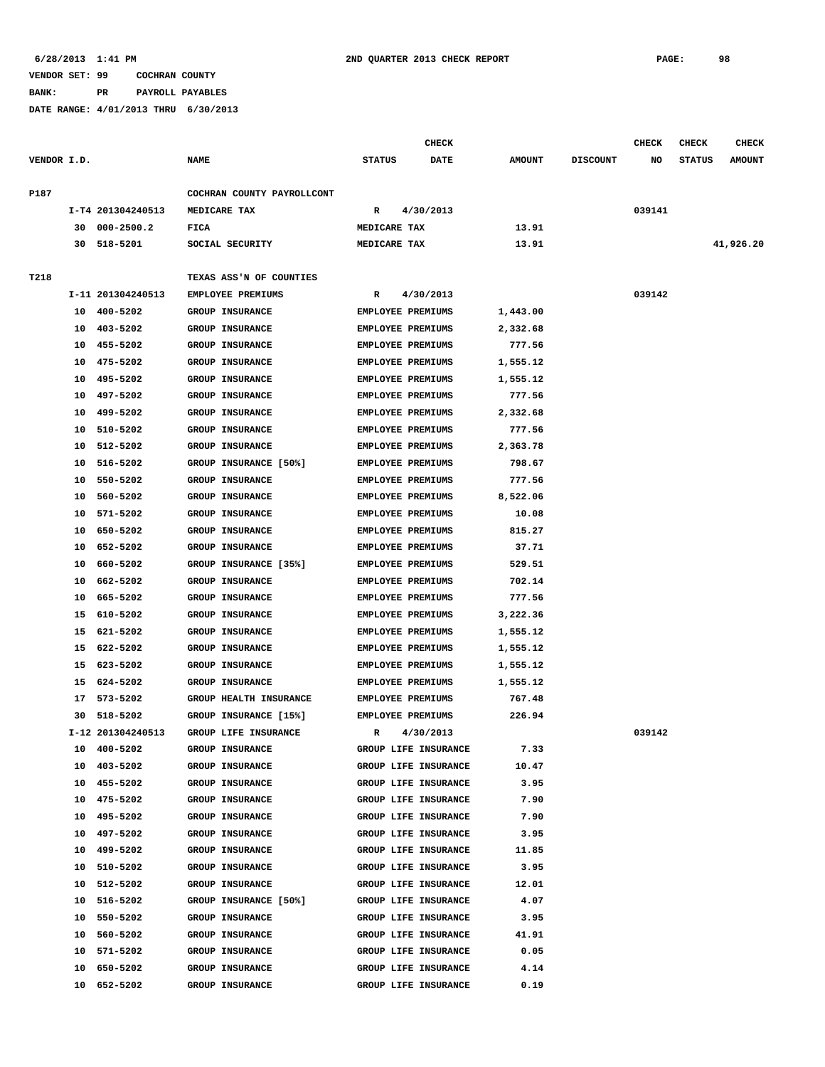**BANK: PR PAYROLL PAYABLES**

|             |    |                   |                            |               | CHECK                    |               |                 | CHECK  | CHECK         | <b>CHECK</b>  |
|-------------|----|-------------------|----------------------------|---------------|--------------------------|---------------|-----------------|--------|---------------|---------------|
| VENDOR I.D. |    |                   | <b>NAME</b>                | <b>STATUS</b> | DATE                     | <b>AMOUNT</b> | <b>DISCOUNT</b> | NO     | <b>STATUS</b> | <b>AMOUNT</b> |
| P187        |    |                   | COCHRAN COUNTY PAYROLLCONT |               |                          |               |                 |        |               |               |
|             |    | I-T4 201304240513 | MEDICARE TAX               | R             | 4/30/2013                |               |                 | 039141 |               |               |
|             | 30 | $000 - 2500.2$    | FICA                       | MEDICARE TAX  |                          | 13.91         |                 |        |               |               |
|             | 30 | 518-5201          | SOCIAL SECURITY            | MEDICARE TAX  |                          | 13.91         |                 |        |               | 41,926.20     |
|             |    |                   |                            |               |                          |               |                 |        |               |               |
| T218        |    |                   | TEXAS ASS'N OF COUNTIES    |               |                          |               |                 |        |               |               |
|             |    | I-11 201304240513 | <b>EMPLOYEE PREMIUMS</b>   | R             | 4/30/2013                |               |                 | 039142 |               |               |
|             | 10 | 400-5202          | <b>GROUP INSURANCE</b>     |               | <b>EMPLOYEE PREMIUMS</b> | 1,443.00      |                 |        |               |               |
|             | 10 | 403-5202          | GROUP INSURANCE            |               | <b>EMPLOYEE PREMIUMS</b> | 2,332.68      |                 |        |               |               |
|             | 10 | 455-5202          | GROUP INSURANCE            |               | <b>EMPLOYEE PREMIUMS</b> | 777.56        |                 |        |               |               |
|             | 10 | 475-5202          | GROUP INSURANCE            |               | <b>EMPLOYEE PREMIUMS</b> | 1,555.12      |                 |        |               |               |
|             | 10 | 495-5202          | GROUP INSURANCE            |               | <b>EMPLOYEE PREMIUMS</b> | 1,555.12      |                 |        |               |               |
|             | 10 | 497-5202          | GROUP INSURANCE            |               | EMPLOYEE PREMIUMS        | 777.56        |                 |        |               |               |
|             | 10 | 499-5202          | GROUP INSURANCE            |               | <b>EMPLOYEE PREMIUMS</b> | 2,332.68      |                 |        |               |               |
|             | 10 | 510-5202          | GROUP INSURANCE            |               | <b>EMPLOYEE PREMIUMS</b> | 777.56        |                 |        |               |               |
|             | 10 | 512-5202          | GROUP INSURANCE            |               | EMPLOYEE PREMIUMS        | 2,363.78      |                 |        |               |               |
|             | 10 | 516-5202          | GROUP INSURANCE [50%]      |               | EMPLOYEE PREMIUMS        | 798.67        |                 |        |               |               |
|             | 10 | 550-5202          | <b>GROUP INSURANCE</b>     |               | EMPLOYEE PREMIUMS        | 777.56        |                 |        |               |               |
|             | 10 | 560-5202          | GROUP INSURANCE            |               | EMPLOYEE PREMIUMS        | 8,522.06      |                 |        |               |               |
|             | 10 | 571-5202          | <b>GROUP INSURANCE</b>     |               | EMPLOYEE PREMIUMS        | 10.08         |                 |        |               |               |
|             | 10 | 650-5202          | GROUP INSURANCE            |               | EMPLOYEE PREMIUMS        | 815.27        |                 |        |               |               |
|             | 10 | 652-5202          | GROUP INSURANCE            |               | <b>EMPLOYEE PREMIUMS</b> | 37.71         |                 |        |               |               |
|             | 10 | 660-5202          | GROUP INSURANCE [35%]      |               | <b>EMPLOYEE PREMIUMS</b> | 529.51        |                 |        |               |               |
|             | 10 | 662-5202          | GROUP INSURANCE            |               | <b>EMPLOYEE PREMIUMS</b> | 702.14        |                 |        |               |               |
|             | 10 | 665-5202          | GROUP INSURANCE            |               | EMPLOYEE PREMIUMS        | 777.56        |                 |        |               |               |
|             | 15 | 610-5202          | GROUP INSURANCE            |               | <b>EMPLOYEE PREMIUMS</b> | 3,222.36      |                 |        |               |               |
|             | 15 | 621-5202          | GROUP INSURANCE            |               | EMPLOYEE PREMIUMS        | 1,555.12      |                 |        |               |               |
|             | 15 | 622-5202          | GROUP INSURANCE            |               | EMPLOYEE PREMIUMS        | 1,555.12      |                 |        |               |               |
|             | 15 | 623-5202          | GROUP INSURANCE            |               | <b>EMPLOYEE PREMIUMS</b> | 1,555.12      |                 |        |               |               |
|             | 15 | 624-5202          | <b>GROUP INSURANCE</b>     |               | <b>EMPLOYEE PREMIUMS</b> | 1,555.12      |                 |        |               |               |
|             | 17 | 573-5202          | GROUP HEALTH INSURANCE     |               | EMPLOYEE PREMIUMS        | 767.48        |                 |        |               |               |
|             | 30 | 518-5202          | GROUP INSURANCE [15%]      |               | <b>EMPLOYEE PREMIUMS</b> | 226.94        |                 |        |               |               |
|             |    | I-12 201304240513 | GROUP LIFE INSURANCE       | R             | 4/30/2013                |               |                 | 039142 |               |               |
|             | 10 | 400-5202          | GROUP INSURANCE            |               | GROUP LIFE INSURANCE     | 7.33          |                 |        |               |               |
|             | 10 | 403-5202          | GROUP INSURANCE            |               | GROUP LIFE INSURANCE     | 10.47         |                 |        |               |               |
|             | 10 | 455-5202          | GROUP INSURANCE            |               | GROUP LIFE INSURANCE     | 3.95          |                 |        |               |               |
|             | 10 | 475-5202          | GROUP INSURANCE            |               | GROUP LIFE INSURANCE     | 7.90          |                 |        |               |               |
|             | 10 | 495-5202          | GROUP INSURANCE            |               | GROUP LIFE INSURANCE     | 7.90          |                 |        |               |               |
|             | 10 | 497-5202          | GROUP INSURANCE            |               | GROUP LIFE INSURANCE     | 3.95          |                 |        |               |               |
|             | 10 | 499-5202          | <b>GROUP INSURANCE</b>     |               | GROUP LIFE INSURANCE     | 11.85         |                 |        |               |               |
|             | 10 | 510-5202          | GROUP INSURANCE            |               | GROUP LIFE INSURANCE     | 3.95          |                 |        |               |               |
|             | 10 | 512-5202          | GROUP INSURANCE            |               | GROUP LIFE INSURANCE     | 12.01         |                 |        |               |               |
|             |    | 10 516-5202       | GROUP INSURANCE [50%]      |               | GROUP LIFE INSURANCE     | 4.07          |                 |        |               |               |
|             |    | 10 550-5202       | <b>GROUP INSURANCE</b>     |               | GROUP LIFE INSURANCE     | 3.95          |                 |        |               |               |
|             |    | 10 560-5202       | GROUP INSURANCE            |               | GROUP LIFE INSURANCE     | 41.91         |                 |        |               |               |
|             |    | 10 571-5202       | GROUP INSURANCE            |               | GROUP LIFE INSURANCE     | 0.05          |                 |        |               |               |
|             | 10 | 650-5202          | GROUP INSURANCE            |               | GROUP LIFE INSURANCE     | 4.14          |                 |        |               |               |
|             | 10 | 652-5202          | GROUP INSURANCE            |               | GROUP LIFE INSURANCE     | 0.19          |                 |        |               |               |
|             |    |                   |                            |               |                          |               |                 |        |               |               |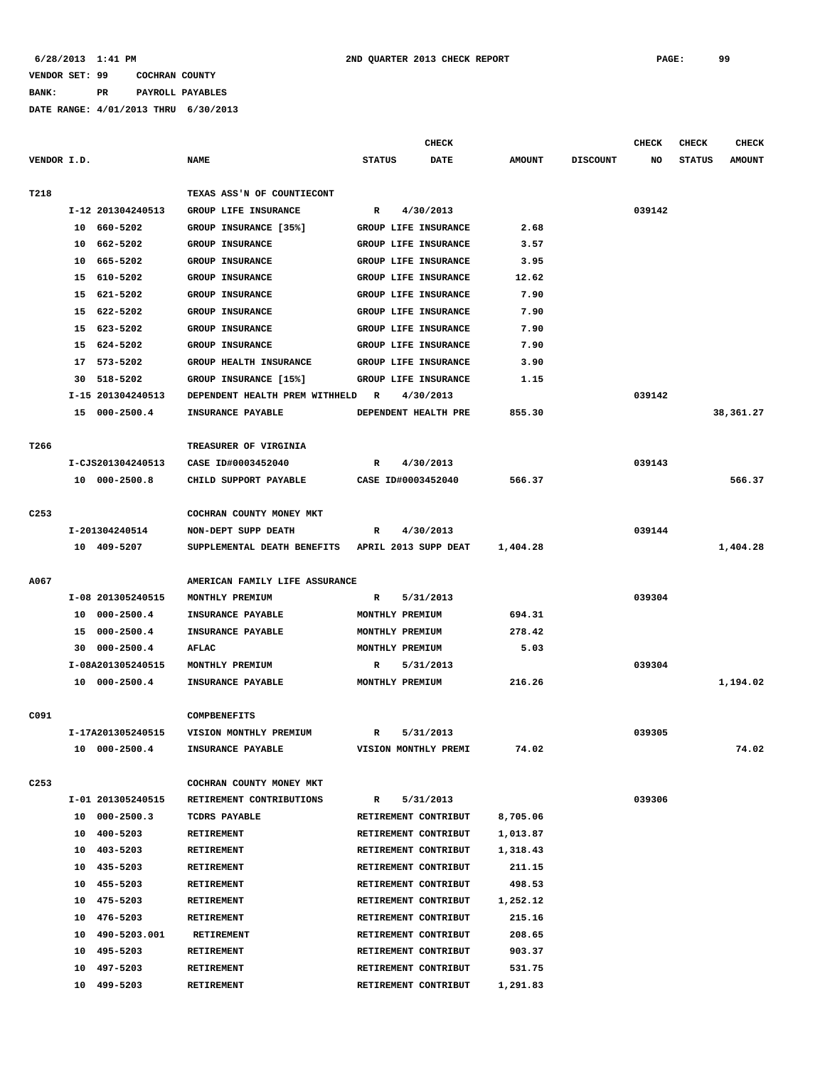**BANK: PR PAYROLL PAYABLES**

|                  |                      |                                | <b>CHECK</b>                |             |               |                 | <b>CHECK</b> | <b>CHECK</b>  | <b>CHECK</b>  |
|------------------|----------------------|--------------------------------|-----------------------------|-------------|---------------|-----------------|--------------|---------------|---------------|
| VENDOR I.D.      |                      | <b>NAME</b>                    | <b>STATUS</b>               | <b>DATE</b> | <b>AMOUNT</b> | <b>DISCOUNT</b> | NO           | <b>STATUS</b> | <b>AMOUNT</b> |
|                  |                      |                                |                             |             |               |                 |              |               |               |
| T218             |                      | TEXAS ASS'N OF COUNTIECONT     |                             |             |               |                 |              |               |               |
|                  | I-12 201304240513    | GROUP LIFE INSURANCE           | R                           | 4/30/2013   |               |                 | 039142       |               |               |
|                  | 10 660-5202          | GROUP INSURANCE [35%]          | GROUP LIFE INSURANCE        |             | 2.68          |                 |              |               |               |
|                  | 10 662-5202          | GROUP INSURANCE                | GROUP LIFE INSURANCE        |             | 3.57          |                 |              |               |               |
|                  | 665-5202<br>10       | <b>GROUP INSURANCE</b>         | GROUP LIFE INSURANCE        |             | 3.95          |                 |              |               |               |
|                  | 15<br>610-5202       | <b>GROUP INSURANCE</b>         | GROUP LIFE INSURANCE        |             | 12.62         |                 |              |               |               |
|                  | 15 621-5202          | GROUP INSURANCE                | <b>GROUP LIFE INSURANCE</b> |             | 7.90          |                 |              |               |               |
|                  | 15<br>622-5202       | GROUP INSURANCE                | GROUP LIFE INSURANCE        |             | 7.90          |                 |              |               |               |
|                  | 623-5202<br>15       | <b>GROUP INSURANCE</b>         | GROUP LIFE INSURANCE        |             | 7.90          |                 |              |               |               |
|                  | 624-5202<br>15       | GROUP INSURANCE                | GROUP LIFE INSURANCE        |             | 7.90          |                 |              |               |               |
|                  | 573-5202<br>17       | GROUP HEALTH INSURANCE         | GROUP LIFE INSURANCE        |             | 3.90          |                 |              |               |               |
|                  | 518-5202<br>30       | GROUP INSURANCE [15%]          | GROUP LIFE INSURANCE        |             | 1.15          |                 |              |               |               |
|                  | I-15 201304240513    | DEPENDENT HEALTH PREM WITHHELD | R                           | 4/30/2013   |               |                 | 039142       |               |               |
|                  | 15 000-2500.4        | INSURANCE PAYABLE              | DEPENDENT HEALTH PRE        |             | 855.30        |                 |              |               | 38,361.27     |
| T266             |                      | TREASURER OF VIRGINIA          |                             |             |               |                 |              |               |               |
|                  | I-CJS201304240513    | CASE ID#0003452040             | R                           | 4/30/2013   |               |                 | 039143       |               |               |
|                  | 10 000-2500.8        | CHILD SUPPORT PAYABLE          | CASE ID#0003452040          |             | 566.37        |                 |              |               | 566.37        |
|                  |                      |                                |                             |             |               |                 |              |               |               |
| C <sub>253</sub> |                      | COCHRAN COUNTY MONEY MKT       |                             |             |               |                 |              |               |               |
|                  | I-201304240514       | NON-DEPT SUPP DEATH            | R                           | 4/30/2013   |               |                 | 039144       |               |               |
|                  | 10 409-5207          | SUPPLEMENTAL DEATH BENEFITS    | APRIL 2013 SUPP DEAT        |             | 1,404.28      |                 |              |               | 1,404.28      |
|                  |                      |                                |                             |             |               |                 |              |               |               |
| A067             |                      | AMERICAN FAMILY LIFE ASSURANCE |                             |             |               |                 |              |               |               |
|                  | I-08 201305240515    | MONTHLY PREMIUM                | R                           | 5/31/2013   |               |                 | 039304       |               |               |
|                  | $000 - 2500.4$<br>10 | INSURANCE PAYABLE              | MONTHLY PREMIUM             |             | 694.31        |                 |              |               |               |
|                  | $000 - 2500.4$<br>15 | INSURANCE PAYABLE              | MONTHLY PREMIUM             |             | 278.42        |                 |              |               |               |
|                  | $000 - 2500.4$<br>30 | AFLAC                          | MONTHLY PREMIUM             |             | 5.03          |                 |              |               |               |
|                  | I-08A201305240515    | MONTHLY PREMIUM                | R                           | 5/31/2013   |               |                 | 039304       |               |               |
|                  | 10 000-2500.4        | INSURANCE PAYABLE              | MONTHLY PREMIUM             |             | 216.26        |                 |              |               | 1,194.02      |
|                  |                      |                                |                             |             |               |                 |              |               |               |
| C091             |                      | <b>COMPBENEFITS</b>            |                             |             |               |                 |              |               |               |
|                  | I-17A201305240515    | VISION MONTHLY PREMIUM         | R                           | 5/31/2013   |               |                 | 039305       |               |               |
|                  | 10 000-2500.4        | INSURANCE PAYABLE              | VISION MONTHLY PREMI        |             | 74.02         |                 |              |               | 74.02         |
|                  |                      |                                |                             |             |               |                 |              |               |               |
| C <sub>253</sub> |                      | COCHRAN COUNTY MONEY MKT       |                             |             |               |                 |              |               |               |
|                  | I-01 201305240515    | RETIREMENT CONTRIBUTIONS       | $\mathbb{R}$                | 5/31/2013   |               |                 | 039306       |               |               |
|                  | 10 000-2500.3        | TCDRS PAYABLE                  | RETIREMENT CONTRIBUT        |             | 8,705.06      |                 |              |               |               |
|                  | 10 400-5203          | RETIREMENT                     | RETIREMENT CONTRIBUT        |             | 1,013.87      |                 |              |               |               |
|                  | 10 403-5203          | RETIREMENT                     | RETIREMENT CONTRIBUT        |             | 1,318.43      |                 |              |               |               |
|                  | 10 435-5203          | <b>RETIREMENT</b>              | RETIREMENT CONTRIBUT        |             | 211.15        |                 |              |               |               |
|                  | 10 455-5203          | RETIREMENT                     | RETIREMENT CONTRIBUT        |             | 498.53        |                 |              |               |               |
|                  | 10 475-5203          | RETIREMENT                     | RETIREMENT CONTRIBUT        |             | 1,252.12      |                 |              |               |               |
|                  | 10 476-5203          | <b>RETIREMENT</b>              | RETIREMENT CONTRIBUT        |             | 215.16        |                 |              |               |               |
|                  | 10 490-5203.001      | RETIREMENT                     | RETIREMENT CONTRIBUT        |             | 208.65        |                 |              |               |               |
|                  | 10 495-5203          | RETIREMENT                     | RETIREMENT CONTRIBUT        |             | 903.37        |                 |              |               |               |
|                  | 497-5203<br>10       | <b>RETIREMENT</b>              | RETIREMENT CONTRIBUT        |             | 531.75        |                 |              |               |               |
|                  | 10 499-5203          | <b>RETIREMENT</b>              | RETIREMENT CONTRIBUT        |             | 1,291.83      |                 |              |               |               |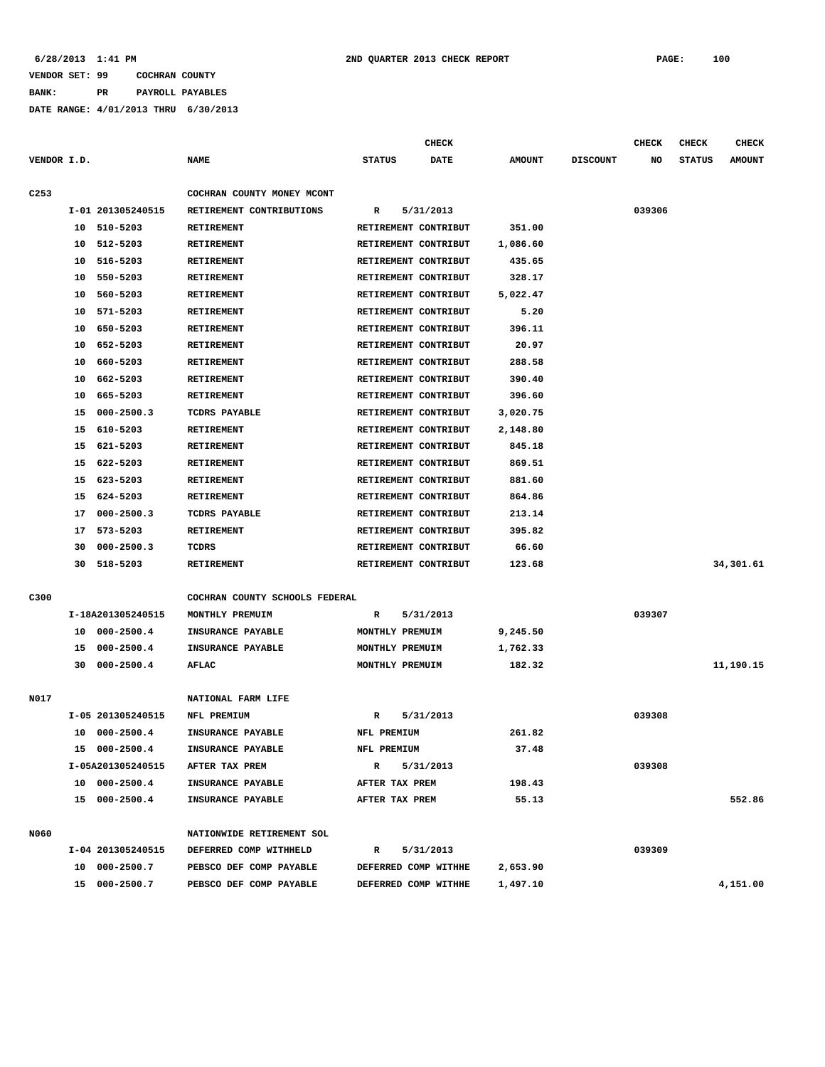**BANK: PR PAYROLL PAYABLES**

|                  |    |                   |                                | <b>CHECK</b>         |           |               |                 | <b>CHECK</b> | <b>CHECK</b>  | <b>CHECK</b>  |
|------------------|----|-------------------|--------------------------------|----------------------|-----------|---------------|-----------------|--------------|---------------|---------------|
| VENDOR I.D.      |    |                   | <b>NAME</b>                    | <b>STATUS</b>        | DATE      | <b>AMOUNT</b> | <b>DISCOUNT</b> | NO           | <b>STATUS</b> | <b>AMOUNT</b> |
|                  |    |                   |                                |                      |           |               |                 |              |               |               |
| C <sub>253</sub> |    |                   | COCHRAN COUNTY MONEY MCONT     |                      |           |               |                 |              |               |               |
|                  |    | I-01 201305240515 | RETIREMENT CONTRIBUTIONS       | R                    | 5/31/2013 |               |                 | 039306       |               |               |
|                  |    | 10 510-5203       | RETIREMENT                     | RETIREMENT CONTRIBUT |           | 351.00        |                 |              |               |               |
|                  | 10 | 512-5203          | RETIREMENT                     | RETIREMENT CONTRIBUT |           | 1,086.60      |                 |              |               |               |
|                  | 10 | 516-5203          | RETIREMENT                     | RETIREMENT CONTRIBUT |           | 435.65        |                 |              |               |               |
|                  | 10 | 550-5203          | RETIREMENT                     | RETIREMENT CONTRIBUT |           | 328.17        |                 |              |               |               |
|                  | 10 | 560-5203          | RETIREMENT                     | RETIREMENT CONTRIBUT |           | 5,022.47      |                 |              |               |               |
|                  | 10 | 571-5203          | <b>RETIREMENT</b>              | RETIREMENT CONTRIBUT |           | 5.20          |                 |              |               |               |
|                  | 10 | 650-5203          | <b>RETIREMENT</b>              | RETIREMENT CONTRIBUT |           | 396.11        |                 |              |               |               |
|                  | 10 | 652-5203          | <b>RETIREMENT</b>              | RETIREMENT CONTRIBUT |           | 20.97         |                 |              |               |               |
|                  | 10 | 660-5203          | RETIREMENT                     | RETIREMENT CONTRIBUT |           | 288.58        |                 |              |               |               |
|                  | 10 | 662-5203          | RETIREMENT                     | RETIREMENT CONTRIBUT |           | 390.40        |                 |              |               |               |
|                  | 10 | 665-5203          | RETIREMENT                     | RETIREMENT CONTRIBUT |           | 396.60        |                 |              |               |               |
|                  | 15 | $000 - 2500.3$    | <b>TCDRS PAYABLE</b>           | RETIREMENT CONTRIBUT |           | 3,020.75      |                 |              |               |               |
|                  | 15 | 610-5203          | RETIREMENT                     | RETIREMENT CONTRIBUT |           | 2,148.80      |                 |              |               |               |
|                  | 15 | 621-5203          | RETIREMENT                     | RETIREMENT CONTRIBUT |           | 845.18        |                 |              |               |               |
|                  | 15 | 622-5203          | <b>RETIREMENT</b>              | RETIREMENT CONTRIBUT |           | 869.51        |                 |              |               |               |
|                  | 15 | 623-5203          | <b>RETIREMENT</b>              | RETIREMENT CONTRIBUT |           | 881.60        |                 |              |               |               |
|                  | 15 | 624-5203          | RETIREMENT                     | RETIREMENT CONTRIBUT |           | 864.86        |                 |              |               |               |
|                  | 17 | $000 - 2500.3$    | TCDRS PAYABLE                  | RETIREMENT CONTRIBUT |           | 213.14        |                 |              |               |               |
|                  | 17 | 573-5203          | <b>RETIREMENT</b>              | RETIREMENT CONTRIBUT |           | 395.82        |                 |              |               |               |
|                  | 30 | $000 - 2500.3$    | TCDRS                          | RETIREMENT CONTRIBUT |           | 66.60         |                 |              |               |               |
|                  | 30 | 518-5203          | RETIREMENT                     | RETIREMENT CONTRIBUT |           | 123.68        |                 |              |               | 34,301.61     |
|                  |    |                   |                                |                      |           |               |                 |              |               |               |
| C300             |    |                   | COCHRAN COUNTY SCHOOLS FEDERAL |                      |           |               |                 |              |               |               |
|                  |    | I-18A201305240515 | MONTHLY PREMUIM                | R                    | 5/31/2013 |               |                 | 039307       |               |               |
|                  |    | 10 000-2500.4     | INSURANCE PAYABLE              | MONTHLY PREMUIM      |           | 9,245.50      |                 |              |               |               |
|                  | 15 | $000 - 2500.4$    | INSURANCE PAYABLE              | MONTHLY PREMUIM      |           | 1,762.33      |                 |              |               |               |
|                  | 30 | $000 - 2500.4$    | AFLAC                          | MONTHLY PREMUIM      |           | 182.32        |                 |              |               | 11,190.15     |
|                  |    |                   |                                |                      |           |               |                 |              |               |               |
| N017             |    |                   | NATIONAL FARM LIFE             |                      |           |               |                 |              |               |               |
|                  |    | I-05 201305240515 | NFL PREMIUM                    | R                    | 5/31/2013 |               |                 | 039308       |               |               |
|                  |    | 10 000-2500.4     | INSURANCE PAYABLE              | NFL PREMIUM          |           | 261.82        |                 |              |               |               |
|                  |    | 15 000-2500.4     | INSURANCE PAYABLE              | NFL PREMIUM          |           | 37.48         |                 |              |               |               |
|                  |    | I-05A201305240515 | AFTER TAX PREM                 | R                    | 5/31/2013 |               |                 | 039308       |               |               |
|                  |    | 10 000-2500.4     | INSURANCE PAYABLE              | AFTER TAX PREM       |           | 198.43        |                 |              |               |               |
|                  |    | 15 000-2500.4     | INSURANCE PAYABLE              | AFTER TAX PREM       |           | 55.13         |                 |              |               | 552.86        |
|                  |    |                   |                                |                      |           |               |                 |              |               |               |
| N060             |    |                   | NATIONWIDE RETIREMENT SOL      |                      |           |               |                 |              |               |               |
|                  |    | I-04 201305240515 | DEFERRED COMP WITHHELD         | R                    | 5/31/2013 |               |                 | 039309       |               |               |
|                  |    | 10 000-2500.7     | PEBSCO DEF COMP PAYABLE        | DEFERRED COMP WITHHE |           | 2,653.90      |                 |              |               |               |
|                  |    | 15 000-2500.7     | PEBSCO DEF COMP PAYABLE        | DEFERRED COMP WITHHE |           | 1,497.10      |                 |              |               | 4,151.00      |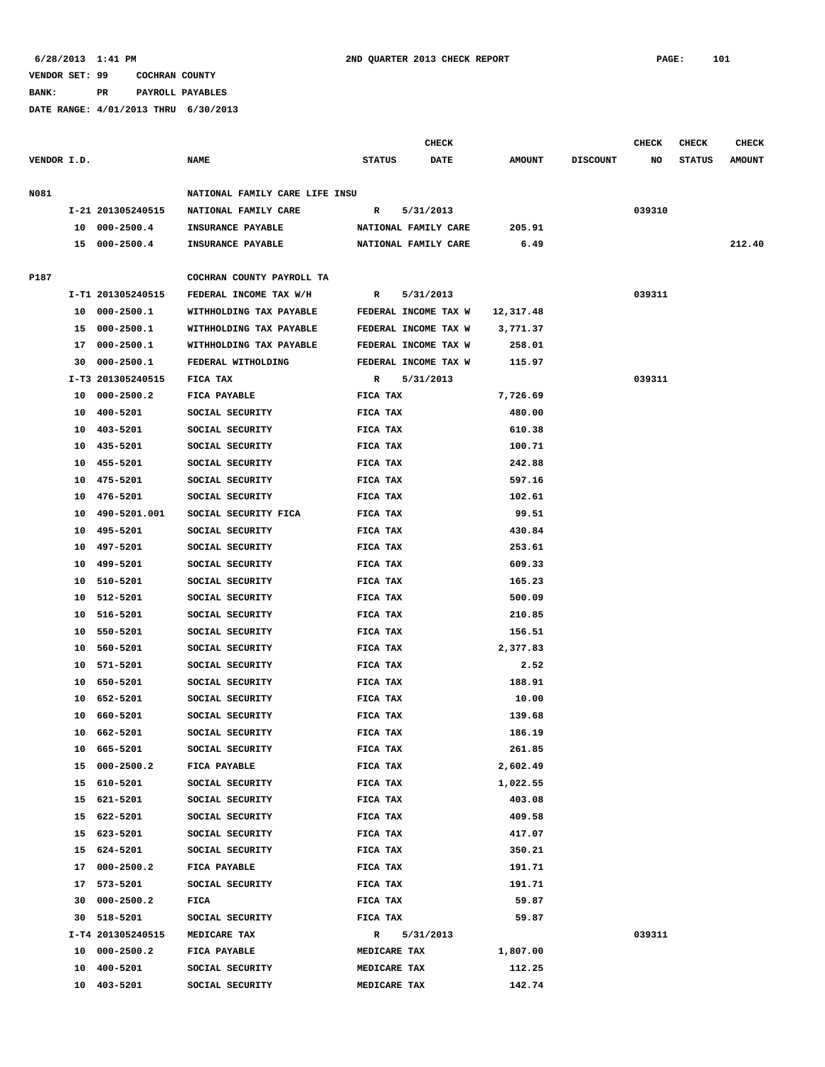**BANK: PR PAYROLL PAYABLES**

|             |    |                   |                                |                      | CHECK                |               |                 | <b>CHECK</b> | <b>CHECK</b>  | <b>CHECK</b>  |
|-------------|----|-------------------|--------------------------------|----------------------|----------------------|---------------|-----------------|--------------|---------------|---------------|
| VENDOR I.D. |    |                   | <b>NAME</b>                    | <b>STATUS</b>        | <b>DATE</b>          | <b>AMOUNT</b> | <b>DISCOUNT</b> | NO           | <b>STATUS</b> | <b>AMOUNT</b> |
| N081        |    |                   | NATIONAL FAMILY CARE LIFE INSU |                      |                      |               |                 |              |               |               |
|             |    | I-21 201305240515 | NATIONAL FAMILY CARE           | R                    | 5/31/2013            |               |                 | 039310       |               |               |
|             |    | 10 000-2500.4     | INSURANCE PAYABLE              |                      | NATIONAL FAMILY CARE | 205.91        |                 |              |               |               |
|             |    | 15 000-2500.4     | <b>INSURANCE PAYABLE</b>       |                      | NATIONAL FAMILY CARE | 6.49          |                 |              |               | 212.40        |
| P187        |    |                   | COCHRAN COUNTY PAYROLL TA      |                      |                      |               |                 |              |               |               |
|             |    | I-T1 201305240515 | FEDERAL INCOME TAX W/H         | R                    | 5/31/2013            |               |                 | 039311       |               |               |
|             |    | 10 000-2500.1     | WITHHOLDING TAX PAYABLE        |                      | FEDERAL INCOME TAX W | 12,317.48     |                 |              |               |               |
|             |    | 15 000-2500.1     | WITHHOLDING TAX PAYABLE        |                      | FEDERAL INCOME TAX W | 3,771.37      |                 |              |               |               |
|             |    | 17 000-2500.1     | WITHHOLDING TAX PAYABLE        | FEDERAL INCOME TAX W |                      | 258.01        |                 |              |               |               |
|             | 30 | 000-2500.1        | FEDERAL WITHOLDING             | FEDERAL INCOME TAX W |                      | 115.97        |                 |              |               |               |
|             |    | I-T3 201305240515 | FICA TAX                       | R                    | 5/31/2013            |               |                 | 039311       |               |               |
|             |    | 10 000-2500.2     | FICA PAYABLE                   | FICA TAX             |                      | 7,726.69      |                 |              |               |               |
|             |    | 10 400-5201       |                                |                      |                      |               |                 |              |               |               |
|             |    |                   | SOCIAL SECURITY                | FICA TAX             |                      | 480.00        |                 |              |               |               |
|             |    | 10 403-5201       | SOCIAL SECURITY                | FICA TAX             |                      | 610.38        |                 |              |               |               |
|             |    | 10 435-5201       | SOCIAL SECURITY                | FICA TAX             |                      | 100.71        |                 |              |               |               |
|             | 10 | 455-5201          | SOCIAL SECURITY                | FICA TAX             |                      | 242.88        |                 |              |               |               |
|             |    | 10 475-5201       | SOCIAL SECURITY                | FICA TAX             |                      | 597.16        |                 |              |               |               |
|             |    | 10 476-5201       | SOCIAL SECURITY                | FICA TAX             |                      | 102.61        |                 |              |               |               |
|             | 10 | 490-5201.001      | SOCIAL SECURITY FICA           | FICA TAX             |                      | 99.51         |                 |              |               |               |
|             | 10 | 495-5201          | SOCIAL SECURITY                | FICA TAX             |                      | 430.84        |                 |              |               |               |
|             | 10 | 497-5201          | SOCIAL SECURITY                | FICA TAX             |                      | 253.61        |                 |              |               |               |
|             | 10 | 499-5201          | SOCIAL SECURITY                | FICA TAX             |                      | 609.33        |                 |              |               |               |
|             |    | 10 510-5201       | SOCIAL SECURITY                | FICA TAX             |                      | 165.23        |                 |              |               |               |
|             |    | 10 512-5201       | SOCIAL SECURITY                | FICA TAX             |                      | 500.09        |                 |              |               |               |
|             | 10 | 516-5201          | SOCIAL SECURITY                | FICA TAX             |                      | 210.85        |                 |              |               |               |
|             |    | 10 550-5201       | SOCIAL SECURITY                | FICA TAX             |                      | 156.51        |                 |              |               |               |
|             |    | 10 560-5201       | SOCIAL SECURITY                | FICA TAX             |                      | 2,377.83      |                 |              |               |               |
|             | 10 | 571-5201          | SOCIAL SECURITY                | FICA TAX             |                      | 2.52          |                 |              |               |               |
|             |    | 10 650-5201       | SOCIAL SECURITY                | FICA TAX             |                      | 188.91        |                 |              |               |               |
|             |    | 10 652-5201       | SOCIAL SECURITY                | FICA TAX             |                      | 10.00         |                 |              |               |               |
|             | 10 | 660-5201          | SOCIAL SECURITY                | FICA TAX             |                      | 139.68        |                 |              |               |               |
|             |    | 10 662-5201       | SOCIAL SECURITY                | FICA TAX             |                      | 186.19        |                 |              |               |               |
|             |    | 10 665-5201       | SOCIAL SECURITY                | FICA TAX             |                      | 261.85        |                 |              |               |               |
|             |    | 15 000-2500.2     | FICA PAYABLE                   | FICA TAX             |                      | 2,602.49      |                 |              |               |               |
|             |    | 15 610-5201       | SOCIAL SECURITY                | FICA TAX             |                      | 1,022.55      |                 |              |               |               |
|             |    | 15 621-5201       | SOCIAL SECURITY                | FICA TAX             |                      | 403.08        |                 |              |               |               |
|             |    | 15 622-5201       | SOCIAL SECURITY                | FICA TAX             |                      | 409.58        |                 |              |               |               |
|             |    | 15 623-5201       | SOCIAL SECURITY                | FICA TAX             |                      | 417.07        |                 |              |               |               |
|             |    | 15 624-5201       | SOCIAL SECURITY                | FICA TAX             |                      | 350.21        |                 |              |               |               |
|             |    | 17 000-2500.2     | FICA PAYABLE                   | FICA TAX             |                      | 191.71        |                 |              |               |               |
|             |    | 17 573-5201       | SOCIAL SECURITY                | FICA TAX             |                      | 191.71        |                 |              |               |               |
|             |    | 30 000-2500.2     | <b>FICA</b>                    | FICA TAX             |                      | 59.87         |                 |              |               |               |
|             |    | 30 518-5201       | SOCIAL SECURITY                | FICA TAX             |                      | 59.87         |                 |              |               |               |
|             |    | I-T4 201305240515 | MEDICARE TAX                   | $\mathbb{R}$         | 5/31/2013            |               |                 | 039311       |               |               |
|             |    | 10 000-2500.2     | FICA PAYABLE                   | <b>MEDICARE TAX</b>  |                      | 1,807.00      |                 |              |               |               |
|             |    | 10 400-5201       | SOCIAL SECURITY                | MEDICARE TAX         |                      | 112.25        |                 |              |               |               |
|             |    | 10 403-5201       | SOCIAL SECURITY                | MEDICARE TAX         |                      | 142.74        |                 |              |               |               |
|             |    |                   |                                |                      |                      |               |                 |              |               |               |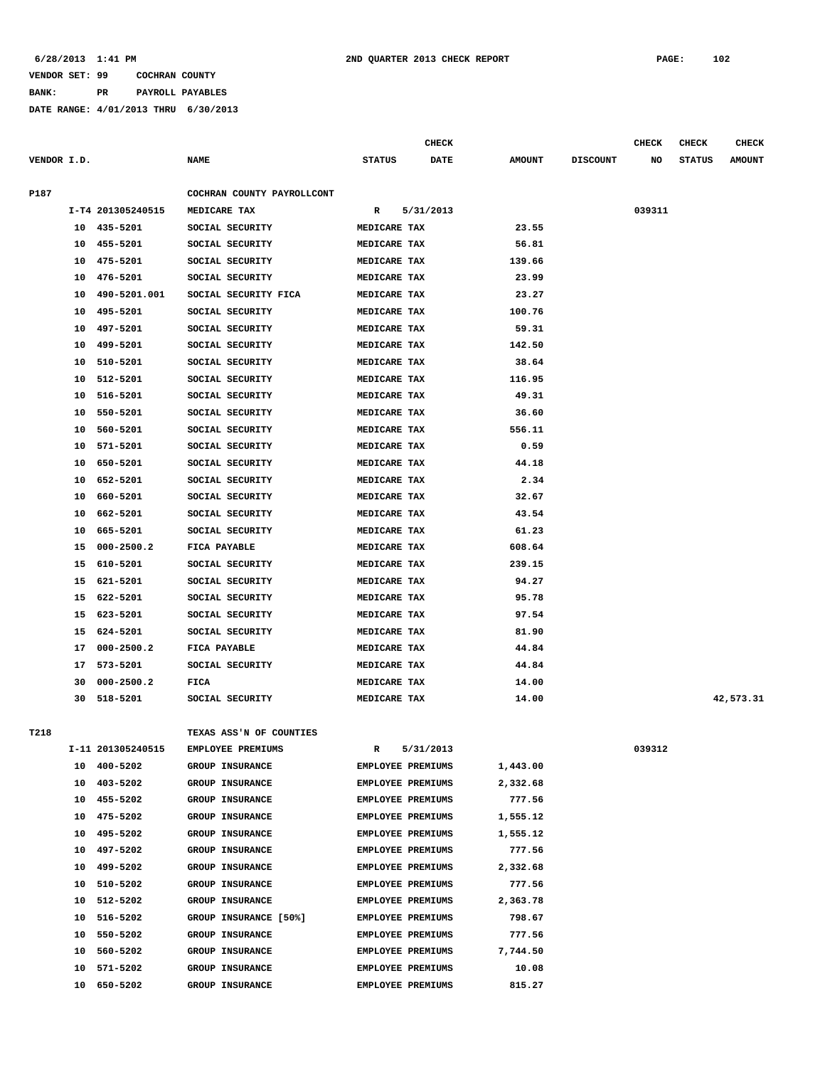**BANK: PR PAYROLL PAYABLES**

|             |    |                   |                            |                          | CHECK       |               |                 | <b>CHECK</b> | CHECK         | <b>CHECK</b>  |
|-------------|----|-------------------|----------------------------|--------------------------|-------------|---------------|-----------------|--------------|---------------|---------------|
| VENDOR I.D. |    |                   | <b>NAME</b>                | <b>STATUS</b>            | <b>DATE</b> | <b>AMOUNT</b> | <b>DISCOUNT</b> | NO           | <b>STATUS</b> | <b>AMOUNT</b> |
| P187        |    |                   | COCHRAN COUNTY PAYROLLCONT |                          |             |               |                 |              |               |               |
|             |    | I-T4 201305240515 | MEDICARE TAX               | R                        | 5/31/2013   |               |                 | 039311       |               |               |
|             | 10 | 435-5201          | SOCIAL SECURITY            | MEDICARE TAX             |             | 23.55         |                 |              |               |               |
|             | 10 | 455-5201          | SOCIAL SECURITY            | MEDICARE TAX             |             | 56.81         |                 |              |               |               |
|             | 10 | 475-5201          | SOCIAL SECURITY            | MEDICARE TAX             |             | 139.66        |                 |              |               |               |
|             | 10 | 476-5201          | SOCIAL SECURITY            | MEDICARE TAX             |             | 23.99         |                 |              |               |               |
|             | 10 | 490-5201.001      | SOCIAL SECURITY FICA       | MEDICARE TAX             |             | 23.27         |                 |              |               |               |
|             | 10 | 495-5201          | SOCIAL SECURITY            | MEDICARE TAX             |             | 100.76        |                 |              |               |               |
|             | 10 | 497-5201          | SOCIAL SECURITY            | MEDICARE TAX             |             | 59.31         |                 |              |               |               |
|             | 10 | 499-5201          | SOCIAL SECURITY            | MEDICARE TAX             |             | 142.50        |                 |              |               |               |
|             | 10 | 510-5201          | SOCIAL SECURITY            | MEDICARE TAX             |             | 38.64         |                 |              |               |               |
|             | 10 | 512-5201          | SOCIAL SECURITY            | MEDICARE TAX             |             | 116.95        |                 |              |               |               |
|             | 10 | 516-5201          | SOCIAL SECURITY            | MEDICARE TAX             |             | 49.31         |                 |              |               |               |
|             | 10 | 550-5201          | SOCIAL SECURITY            | MEDICARE TAX             |             | 36.60         |                 |              |               |               |
|             | 10 | 560-5201          | SOCIAL SECURITY            | MEDICARE TAX             |             | 556.11        |                 |              |               |               |
|             | 10 | 571-5201          | SOCIAL SECURITY            | MEDICARE TAX             |             | 0.59          |                 |              |               |               |
|             | 10 | 650-5201          | SOCIAL SECURITY            | MEDICARE TAX             |             | 44.18         |                 |              |               |               |
|             | 10 | 652-5201          | SOCIAL SECURITY            | MEDICARE TAX             |             | 2.34          |                 |              |               |               |
|             | 10 | 660-5201          | SOCIAL SECURITY            | MEDICARE TAX             |             | 32.67         |                 |              |               |               |
|             | 10 | 662-5201          | SOCIAL SECURITY            | MEDICARE TAX             |             | 43.54         |                 |              |               |               |
|             | 10 | 665-5201          | SOCIAL SECURITY            | MEDICARE TAX             |             | 61.23         |                 |              |               |               |
|             | 15 | $000 - 2500.2$    | FICA PAYABLE               | MEDICARE TAX             |             | 608.64        |                 |              |               |               |
|             | 15 | 610-5201          | SOCIAL SECURITY            | MEDICARE TAX             |             | 239.15        |                 |              |               |               |
|             | 15 | 621-5201          | SOCIAL SECURITY            | MEDICARE TAX             |             | 94.27         |                 |              |               |               |
|             | 15 | 622-5201          | SOCIAL SECURITY            | MEDICARE TAX             |             | 95.78         |                 |              |               |               |
|             | 15 | 623-5201          | SOCIAL SECURITY            | MEDICARE TAX             |             | 97.54         |                 |              |               |               |
|             | 15 | 624-5201          | SOCIAL SECURITY            | MEDICARE TAX             |             | 81.90         |                 |              |               |               |
|             | 17 | $000 - 2500.2$    | FICA PAYABLE               | MEDICARE TAX             |             | 44.84         |                 |              |               |               |
|             | 17 | 573-5201          | SOCIAL SECURITY            | MEDICARE TAX             |             | 44.84         |                 |              |               |               |
|             | 30 | $000 - 2500.2$    | FICA                       | MEDICARE TAX             |             | 14.00         |                 |              |               |               |
|             | 30 | 518-5201          | SOCIAL SECURITY            | MEDICARE TAX             |             | 14.00         |                 |              |               | 42,573.31     |
|             |    |                   |                            |                          |             |               |                 |              |               |               |
| T218        |    |                   | TEXAS ASS'N OF COUNTIES    |                          |             |               |                 |              |               |               |
|             |    | I-11 201305240515 | EMPLOYEE PREMIUMS          | R                        | 5/31/2013   |               |                 | 039312       |               |               |
|             |    | 10 400-5202       | <b>GROUP INSURANCE</b>     | EMPLOYEE PREMIUMS        |             | 1,443.00      |                 |              |               |               |
|             | 10 | 403-5202          | GROUP INSURANCE            | EMPLOYEE PREMIUMS        |             | 2,332.68      |                 |              |               |               |
|             | 10 | 455-5202          | GROUP INSURANCE            | EMPLOYEE PREMIUMS        |             | 777.56        |                 |              |               |               |
|             | 10 | 475-5202          | <b>GROUP INSURANCE</b>     | <b>EMPLOYEE PREMIUMS</b> |             | 1,555.12      |                 |              |               |               |
|             | 10 | 495-5202          | <b>GROUP INSURANCE</b>     | EMPLOYEE PREMIUMS        |             | 1,555.12      |                 |              |               |               |
|             | 10 | 497-5202          | GROUP INSURANCE            | EMPLOYEE PREMIUMS        |             | 777.56        |                 |              |               |               |
|             | 10 | 499-5202          | GROUP INSURANCE            | EMPLOYEE PREMIUMS        |             | 2,332.68      |                 |              |               |               |
|             | 10 | 510-5202          | <b>GROUP INSURANCE</b>     | EMPLOYEE PREMIUMS        |             | 777.56        |                 |              |               |               |
|             | 10 | 512-5202          | <b>GROUP INSURANCE</b>     | <b>EMPLOYEE PREMIUMS</b> |             | 2,363.78      |                 |              |               |               |
|             | 10 | 516-5202          | GROUP INSURANCE [50%]      | EMPLOYEE PREMIUMS        |             | 798.67        |                 |              |               |               |
|             | 10 | 550-5202          | GROUP INSURANCE            | EMPLOYEE PREMIUMS        |             | 777.56        |                 |              |               |               |
|             | 10 | 560-5202          | GROUP INSURANCE            | EMPLOYEE PREMIUMS        |             | 7,744.50      |                 |              |               |               |
|             | 10 | 571-5202          | GROUP INSURANCE            | EMPLOYEE PREMIUMS        |             | 10.08         |                 |              |               |               |
|             | 10 | 650-5202          | GROUP INSURANCE            | EMPLOYEE PREMIUMS        |             | 815.27        |                 |              |               |               |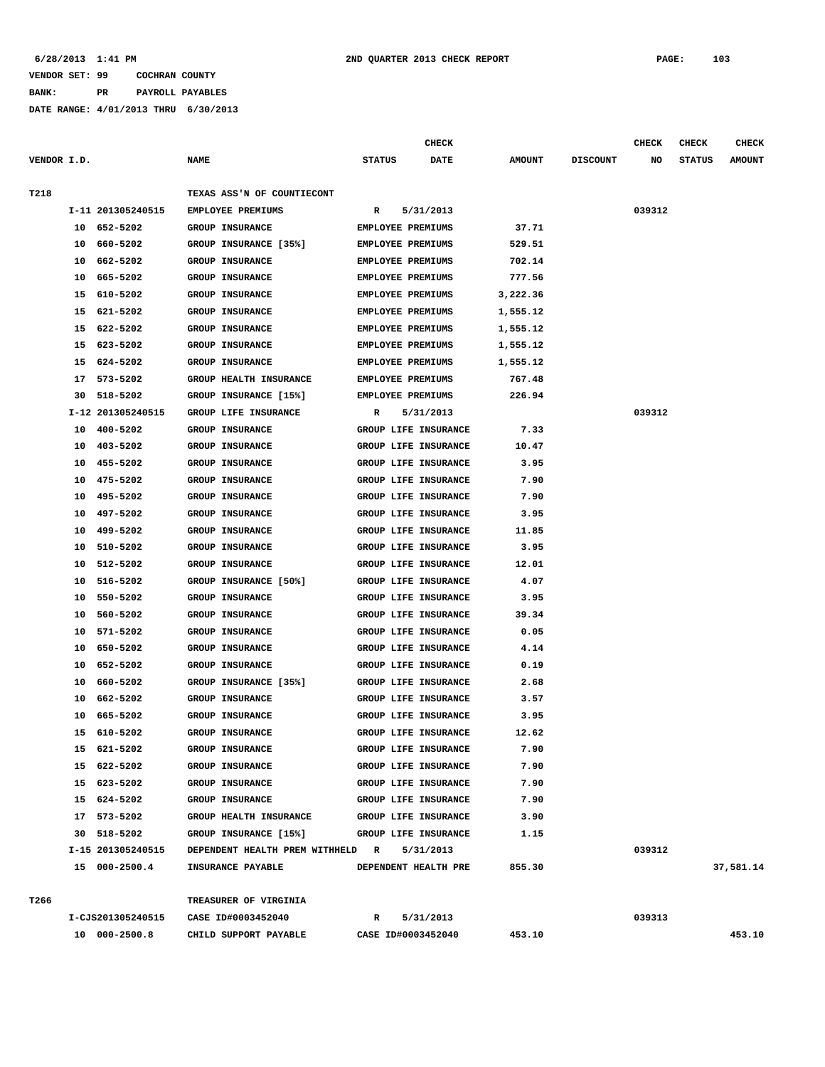**BANK: PR PAYROLL PAYABLES**

|             |          |                      |                                                 |                          | <b>CHECK</b>                                 |               |                 | <b>CHECK</b> | CHECK         | <b>CHECK</b>  |
|-------------|----------|----------------------|-------------------------------------------------|--------------------------|----------------------------------------------|---------------|-----------------|--------------|---------------|---------------|
| VENDOR I.D. |          |                      | <b>NAME</b>                                     | <b>STATUS</b>            | <b>DATE</b>                                  | <b>AMOUNT</b> | <b>DISCOUNT</b> | NO           | <b>STATUS</b> | <b>AMOUNT</b> |
| T218        |          |                      | TEXAS ASS'N OF COUNTIECONT                      |                          |                                              |               |                 |              |               |               |
|             |          | I-11 201305240515    | EMPLOYEE PREMIUMS                               | R                        | 5/31/2013                                    |               |                 | 039312       |               |               |
|             | 10       | 652-5202             | <b>GROUP INSURANCE</b>                          | EMPLOYEE PREMIUMS        |                                              | 37.71         |                 |              |               |               |
|             | 10       | 660-5202             | GROUP INSURANCE [35%]                           | <b>EMPLOYEE PREMIUMS</b> |                                              | 529.51        |                 |              |               |               |
|             | 10       | 662-5202             | <b>GROUP INSURANCE</b>                          | <b>EMPLOYEE PREMIUMS</b> |                                              | 702.14        |                 |              |               |               |
|             | 10       | 665-5202             | <b>GROUP INSURANCE</b>                          | EMPLOYEE PREMIUMS        |                                              | 777.56        |                 |              |               |               |
|             | 15       | 610-5202             | <b>GROUP INSURANCE</b>                          | EMPLOYEE PREMIUMS        |                                              | 3,222.36      |                 |              |               |               |
|             | 15       | 621-5202             | <b>GROUP INSURANCE</b>                          | <b>EMPLOYEE PREMIUMS</b> |                                              | 1,555.12      |                 |              |               |               |
|             | 15       | 622-5202             | <b>GROUP INSURANCE</b>                          | <b>EMPLOYEE PREMIUMS</b> |                                              | 1,555.12      |                 |              |               |               |
|             | 15       | 623-5202             | <b>GROUP INSURANCE</b>                          | EMPLOYEE PREMIUMS        |                                              | 1,555.12      |                 |              |               |               |
|             | 15       | 624-5202             | <b>GROUP INSURANCE</b>                          | EMPLOYEE PREMIUMS        |                                              | 1,555.12      |                 |              |               |               |
|             | 17       | 573-5202             | <b>GROUP HEALTH INSURANCE</b>                   | EMPLOYEE PREMIUMS        |                                              | 767.48        |                 |              |               |               |
|             | 30       | 518-5202             | GROUP INSURANCE [15%]                           | EMPLOYEE PREMIUMS        |                                              | 226.94        |                 |              |               |               |
|             |          | I-12 201305240515    | GROUP LIFE INSURANCE                            | R                        | 5/31/2013                                    |               |                 | 039312       |               |               |
|             | 10       | 400-5202             | <b>GROUP INSURANCE</b>                          |                          | GROUP LIFE INSURANCE                         | 7.33          |                 |              |               |               |
|             | 10       | 403-5202             | <b>GROUP INSURANCE</b>                          |                          | GROUP LIFE INSURANCE                         | 10.47         |                 |              |               |               |
|             | 10       | 455-5202             | <b>GROUP INSURANCE</b>                          |                          | GROUP LIFE INSURANCE                         | 3.95          |                 |              |               |               |
|             | 10       | 475-5202             | GROUP INSURANCE                                 |                          | GROUP LIFE INSURANCE                         | 7.90          |                 |              |               |               |
|             | 10       | 495-5202             | GROUP INSURANCE                                 |                          | GROUP LIFE INSURANCE                         | 7.90          |                 |              |               |               |
|             | 10       | 497-5202             | <b>GROUP INSURANCE</b>                          |                          | GROUP LIFE INSURANCE                         | 3.95          |                 |              |               |               |
|             | 10       | 499-5202             | <b>GROUP INSURANCE</b>                          |                          | GROUP LIFE INSURANCE                         | 11.85         |                 |              |               |               |
|             | 10       | 510-5202<br>512-5202 | GROUP INSURANCE                                 |                          | GROUP LIFE INSURANCE                         | 3.95          |                 |              |               |               |
|             | 10<br>10 | 516-5202             | <b>GROUP INSURANCE</b><br>GROUP INSURANCE [50%] |                          | GROUP LIFE INSURANCE<br>GROUP LIFE INSURANCE | 12.01<br>4.07 |                 |              |               |               |
|             | 10       | 550-5202             | <b>GROUP INSURANCE</b>                          |                          | GROUP LIFE INSURANCE                         | 3.95          |                 |              |               |               |
|             | 10       | 560-5202             | <b>GROUP INSURANCE</b>                          |                          | GROUP LIFE INSURANCE                         | 39.34         |                 |              |               |               |
|             | 10       | 571-5202             | <b>GROUP INSURANCE</b>                          |                          | GROUP LIFE INSURANCE                         | 0.05          |                 |              |               |               |
|             | 10       | 650-5202             | <b>GROUP INSURANCE</b>                          |                          | GROUP LIFE INSURANCE                         | 4.14          |                 |              |               |               |
|             | 10       | 652-5202             | <b>GROUP INSURANCE</b>                          |                          | GROUP LIFE INSURANCE                         | 0.19          |                 |              |               |               |
|             | 10       | 660-5202             | GROUP INSURANCE [35%]                           |                          | GROUP LIFE INSURANCE                         | 2.68          |                 |              |               |               |
|             | 10       | 662-5202             | <b>GROUP INSURANCE</b>                          |                          | GROUP LIFE INSURANCE                         | 3.57          |                 |              |               |               |
|             | 10       | 665-5202             | <b>GROUP INSURANCE</b>                          |                          | GROUP LIFE INSURANCE                         | 3.95          |                 |              |               |               |
|             | 15       | 610-5202             | <b>GROUP INSURANCE</b>                          |                          | GROUP LIFE INSURANCE                         | 12.62         |                 |              |               |               |
|             |          | 15 621-5202          | GROUP INSURANCE                                 |                          | GROUP LIFE INSURANCE                         | 7.90          |                 |              |               |               |
|             |          | 15 622-5202          | <b>GROUP INSURANCE</b>                          |                          | GROUP LIFE INSURANCE                         | 7.90          |                 |              |               |               |
|             |          | 15 623-5202          | GROUP INSURANCE                                 |                          | GROUP LIFE INSURANCE                         | 7.90          |                 |              |               |               |
|             |          | 15 624-5202          | GROUP INSURANCE                                 |                          | GROUP LIFE INSURANCE                         | 7.90          |                 |              |               |               |
|             |          | 17 573-5202          | <b>GROUP HEALTH INSURANCE</b>                   |                          | GROUP LIFE INSURANCE                         | 3.90          |                 |              |               |               |
|             |          | 30 518-5202          | GROUP INSURANCE [15%]                           |                          | GROUP LIFE INSURANCE                         | 1.15          |                 |              |               |               |
|             |          | I-15 201305240515    | DEPENDENT HEALTH PREM WITHHELD R                |                          | 5/31/2013                                    |               |                 | 039312       |               |               |
|             |          | 15 000-2500.4        | <b>INSURANCE PAYABLE</b>                        |                          | DEPENDENT HEALTH PRE                         | 855.30        |                 |              |               | 37,581.14     |
| T266        |          |                      | TREASURER OF VIRGINIA                           |                          |                                              |               |                 |              |               |               |
|             |          | I-CJS201305240515    | CASE ID#0003452040                              | $\mathbf{R}$             | 5/31/2013                                    |               |                 | 039313       |               |               |
|             |          | 10 000-2500.8        | CHILD SUPPORT PAYABLE                           |                          | CASE ID#0003452040                           | 453.10        |                 |              |               | 453.10        |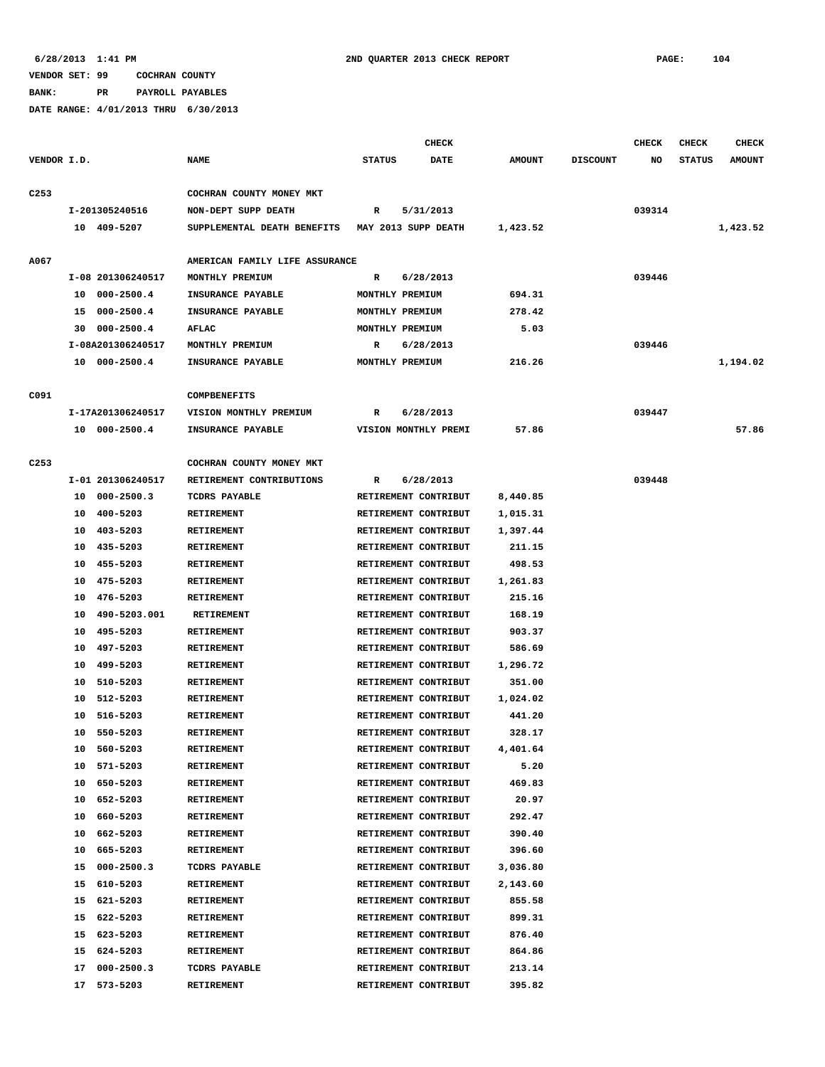**BANK: PR PAYROLL PAYABLES**

|                  |                      |                                | <b>CHECK</b>              |               |                 | <b>CHECK</b> | <b>CHECK</b>  | <b>CHECK</b>  |
|------------------|----------------------|--------------------------------|---------------------------|---------------|-----------------|--------------|---------------|---------------|
| VENDOR I.D.      |                      | <b>NAME</b>                    | <b>STATUS</b><br>DATE     | <b>AMOUNT</b> | <b>DISCOUNT</b> | NO           | <b>STATUS</b> | <b>AMOUNT</b> |
| C <sub>253</sub> |                      | COCHRAN COUNTY MONEY MKT       |                           |               |                 |              |               |               |
|                  | I-201305240516       | NON-DEPT SUPP DEATH            | $\mathbb{R}$<br>5/31/2013 |               |                 | 039314       |               |               |
|                  | 10 409-5207          | SUPPLEMENTAL DEATH BENEFITS    | MAY 2013 SUPP DEATH       | 1,423.52      |                 |              |               | 1,423.52      |
|                  |                      |                                |                           |               |                 |              |               |               |
| A067             |                      | AMERICAN FAMILY LIFE ASSURANCE |                           |               |                 |              |               |               |
|                  | I-08 201306240517    | MONTHLY PREMIUM                | 6/28/2013<br>R            |               |                 | 039446       |               |               |
|                  | $000 - 2500.4$<br>10 | INSURANCE PAYABLE              | MONTHLY PREMIUM           | 694.31        |                 |              |               |               |
|                  | 000-2500.4<br>15     | INSURANCE PAYABLE              | MONTHLY PREMIUM           | 278.42        |                 |              |               |               |
|                  | 000-2500.4<br>30     | <b>AFLAC</b>                   | MONTHLY PREMIUM           | 5.03          |                 |              |               |               |
|                  | I-08A201306240517    | MONTHLY PREMIUM                | 6/28/2013<br>R            |               |                 | 039446       |               |               |
|                  | 10 000-2500.4        | INSURANCE PAYABLE              | MONTHLY PREMIUM           | 216.26        |                 |              |               | 1,194.02      |
| C091             |                      | <b>COMPBENEFITS</b>            |                           |               |                 |              |               |               |
|                  |                      |                                |                           |               |                 |              |               |               |
|                  | I-17A201306240517    | VISION MONTHLY PREMIUM         | 6/28/2013<br>R            |               |                 | 039447       |               |               |
|                  | 10 000-2500.4        | INSURANCE PAYABLE              | VISION MONTHLY PREMI      | 57.86         |                 |              |               | 57.86         |
| C <sub>253</sub> |                      | COCHRAN COUNTY MONEY MKT       |                           |               |                 |              |               |               |
|                  | I-01 201306240517    | RETIREMENT CONTRIBUTIONS       | 6/28/2013<br>R            |               |                 | 039448       |               |               |
|                  | $000 - 2500.3$<br>10 | TCDRS PAYABLE                  | RETIREMENT CONTRIBUT      | 8,440.85      |                 |              |               |               |
|                  | 400-5203<br>10       | <b>RETIREMENT</b>              | RETIREMENT CONTRIBUT      | 1,015.31      |                 |              |               |               |
|                  | 403-5203<br>10       | RETIREMENT                     | RETIREMENT CONTRIBUT      | 1,397.44      |                 |              |               |               |
|                  | 435-5203<br>10       | RETIREMENT                     | RETIREMENT CONTRIBUT      | 211.15        |                 |              |               |               |
|                  | 455-5203<br>10       | RETIREMENT                     | RETIREMENT CONTRIBUT      | 498.53        |                 |              |               |               |
|                  | 475-5203<br>10       | RETIREMENT                     | RETIREMENT CONTRIBUT      | 1,261.83      |                 |              |               |               |
|                  | 476-5203<br>10       | RETIREMENT                     | RETIREMENT CONTRIBUT      | 215.16        |                 |              |               |               |
|                  | 490-5203.001<br>10   | <b>RETIREMENT</b>              | RETIREMENT CONTRIBUT      | 168.19        |                 |              |               |               |
|                  | 495-5203<br>10       | <b>RETIREMENT</b>              | RETIREMENT CONTRIBUT      | 903.37        |                 |              |               |               |
|                  | 497-5203<br>10       | <b>RETIREMENT</b>              | RETIREMENT CONTRIBUT      | 586.69        |                 |              |               |               |
|                  | 499-5203<br>10       | RETIREMENT                     | RETIREMENT CONTRIBUT      | 1,296.72      |                 |              |               |               |
|                  | 510-5203<br>10       | <b>RETIREMENT</b>              | RETIREMENT CONTRIBUT      | 351.00        |                 |              |               |               |
|                  | 10<br>512-5203       | RETIREMENT                     | RETIREMENT CONTRIBUT      | 1,024.02      |                 |              |               |               |
|                  | $516 - 5203$<br>10   | <b>RETIREMENT</b>              | RETIREMENT CONTRIBUT      | 441.20        |                 |              |               |               |
|                  | 10<br>550-5203       | <b>RETIREMENT</b>              | RETIREMENT CONTRIBUT      | 328.17        |                 |              |               |               |
|                  | 560-5203<br>10       | <b>RETIREMENT</b>              | RETIREMENT CONTRIBUT      | 4,401.64      |                 |              |               |               |
|                  | 571-5203<br>10       | RETIREMENT                     | RETIREMENT CONTRIBUT      | 5.20          |                 |              |               |               |
|                  | 650-5203<br>10       | RETIREMENT                     | RETIREMENT CONTRIBUT      | 469.83        |                 |              |               |               |
|                  | 652-5203<br>10       | RETIREMENT                     | RETIREMENT CONTRIBUT      | 20.97         |                 |              |               |               |
|                  | 660-5203<br>10       | RETIREMENT                     | RETIREMENT CONTRIBUT      | 292.47        |                 |              |               |               |
|                  | 10<br>662-5203       | RETIREMENT                     | RETIREMENT CONTRIBUT      | 390.40        |                 |              |               |               |
|                  | 10<br>665-5203       | RETIREMENT                     | RETIREMENT CONTRIBUT      | 396.60        |                 |              |               |               |
|                  | $000 - 2500.3$<br>15 | TCDRS PAYABLE                  | RETIREMENT CONTRIBUT      | 3,036.80      |                 |              |               |               |
|                  | 610-5203<br>15       | RETIREMENT                     | RETIREMENT CONTRIBUT      | 2,143.60      |                 |              |               |               |
|                  | 15<br>621-5203       | RETIREMENT                     | RETIREMENT CONTRIBUT      | 855.58        |                 |              |               |               |
|                  | 622-5203<br>15       | RETIREMENT                     | RETIREMENT CONTRIBUT      | 899.31        |                 |              |               |               |
|                  | 15<br>623-5203       | RETIREMENT                     | RETIREMENT CONTRIBUT      | 876.40        |                 |              |               |               |
|                  | 624-5203<br>15       | RETIREMENT                     | RETIREMENT CONTRIBUT      | 864.86        |                 |              |               |               |
|                  | $000 - 2500.3$<br>17 | TCDRS PAYABLE                  | RETIREMENT CONTRIBUT      | 213.14        |                 |              |               |               |
|                  | 17<br>573-5203       | RETIREMENT                     | RETIREMENT CONTRIBUT      | 395.82        |                 |              |               |               |
|                  |                      |                                |                           |               |                 |              |               |               |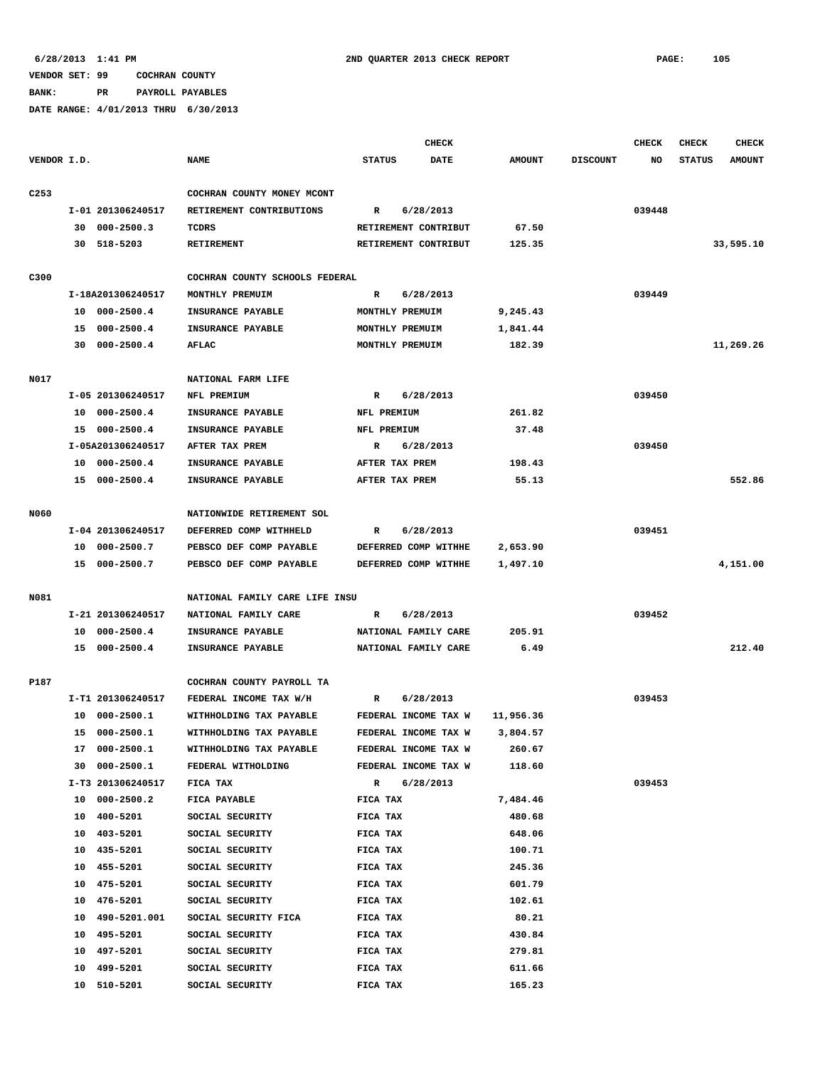**BANK: PR PAYROLL PAYABLES**

|                  |                    |                                |                           | CHECK |               |                 | <b>CHECK</b> | <b>CHECK</b>  | <b>CHECK</b>  |
|------------------|--------------------|--------------------------------|---------------------------|-------|---------------|-----------------|--------------|---------------|---------------|
| VENDOR I.D.      |                    | <b>NAME</b>                    | <b>STATUS</b>             | DATE  | <b>AMOUNT</b> | <b>DISCOUNT</b> | NO           | <b>STATUS</b> | <b>AMOUNT</b> |
| C <sub>253</sub> |                    | COCHRAN COUNTY MONEY MCONT     |                           |       |               |                 |              |               |               |
|                  | I-01 201306240517  | RETIREMENT CONTRIBUTIONS       | $\mathbb{R}$<br>6/28/2013 |       |               |                 | 039448       |               |               |
|                  | 30 000-2500.3      | TCDRS                          | RETIREMENT CONTRIBUT      |       | 67.50         |                 |              |               |               |
|                  | 30 518-5203        | RETIREMENT                     | RETIREMENT CONTRIBUT      |       | 125.35        |                 |              |               | 33,595.10     |
|                  |                    |                                |                           |       |               |                 |              |               |               |
| C300             |                    | COCHRAN COUNTY SCHOOLS FEDERAL |                           |       |               |                 |              |               |               |
|                  | I-18A201306240517  | MONTHLY PREMUIM                | 6/28/2013<br>R            |       |               |                 | 039449       |               |               |
|                  | 10 000-2500.4      | INSURANCE PAYABLE              | MONTHLY PREMUIM           |       | 9,245.43      |                 |              |               |               |
|                  | 15 000-2500.4      | INSURANCE PAYABLE              | MONTHLY PREMUIM           |       | 1,841.44      |                 |              |               |               |
|                  | 30 000-2500.4      | <b>AFLAC</b>                   | MONTHLY PREMUIM           |       | 182.39        |                 |              |               | 11,269.26     |
| N017             |                    | NATIONAL FARM LIFE             |                           |       |               |                 |              |               |               |
|                  | I-05 201306240517  | NFL PREMIUM                    | 6/28/2013<br>R            |       |               |                 | 039450       |               |               |
|                  | 10 000-2500.4      | INSURANCE PAYABLE              | NFL PREMIUM               |       | 261.82        |                 |              |               |               |
|                  | 15 000-2500.4      | INSURANCE PAYABLE              | NFL PREMIUM               |       | 37.48         |                 |              |               |               |
|                  | I-05A201306240517  | AFTER TAX PREM                 | $\mathbb{R}$<br>6/28/2013 |       |               |                 | 039450       |               |               |
|                  | 10 000-2500.4      | INSURANCE PAYABLE              | AFTER TAX PREM            |       | 198.43        |                 |              |               |               |
|                  | 15 000-2500.4      | INSURANCE PAYABLE              | AFTER TAX PREM            |       | 55.13         |                 |              |               | 552.86        |
|                  |                    |                                |                           |       |               |                 |              |               |               |
| N060             |                    | NATIONWIDE RETIREMENT SOL      |                           |       |               |                 |              |               |               |
|                  | I-04 201306240517  | DEFERRED COMP WITHHELD         | 6/28/2013<br>R            |       |               |                 | 039451       |               |               |
|                  | 10 000-2500.7      | PEBSCO DEF COMP PAYABLE        | DEFERRED COMP WITHHE      |       | 2,653.90      |                 |              |               |               |
|                  | 15 000-2500.7      | PEBSCO DEF COMP PAYABLE        | DEFERRED COMP WITHHE      |       | 1,497.10      |                 |              |               | 4,151.00      |
| N081             |                    | NATIONAL FAMILY CARE LIFE INSU |                           |       |               |                 |              |               |               |
|                  | I-21 201306240517  | NATIONAL FAMILY CARE           | 6/28/2013                 |       |               |                 | 039452       |               |               |
|                  |                    |                                | R                         |       | 205.91        |                 |              |               |               |
|                  | 10 000-2500.4      | INSURANCE PAYABLE              | NATIONAL FAMILY CARE      |       |               |                 |              |               |               |
|                  | 15 000-2500.4      | INSURANCE PAYABLE              | NATIONAL FAMILY CARE      |       | 6.49          |                 |              |               | 212.40        |
| P187             |                    | COCHRAN COUNTY PAYROLL TA      |                           |       |               |                 |              |               |               |
|                  | I-T1 201306240517  | FEDERAL INCOME TAX W/H         | 6/28/2013<br>R            |       |               |                 | 039453       |               |               |
|                  | 10 000-2500.1      | WITHHOLDING TAX PAYABLE        | FEDERAL INCOME TAX W      |       | 11,956.36     |                 |              |               |               |
|                  | 15 000-2500.1      | WITHHOLDING TAX PAYABLE        | FEDERAL INCOME TAX W      |       | 3,804.57      |                 |              |               |               |
|                  | 17 000-2500.1      | WITHHOLDING TAX PAYABLE        | FEDERAL INCOME TAX W      |       | 260.67        |                 |              |               |               |
|                  | 30 000-2500.1      | FEDERAL WITHOLDING             | FEDERAL INCOME TAX W      |       | 118.60        |                 |              |               |               |
|                  | I-T3 201306240517  | FICA TAX                       | 6/28/2013<br>$\mathbf R$  |       |               |                 | 039453       |               |               |
|                  | 10 000-2500.2      | FICA PAYABLE                   | FICA TAX                  |       | 7,484.46      |                 |              |               |               |
|                  | 10 400-5201        | SOCIAL SECURITY                | FICA TAX                  |       | 480.68        |                 |              |               |               |
|                  | 10<br>403-5201     | SOCIAL SECURITY                | FICA TAX                  |       | 648.06        |                 |              |               |               |
|                  | 10 435-5201        | SOCIAL SECURITY                | FICA TAX                  |       | 100.71        |                 |              |               |               |
|                  | 455-5201<br>10     | SOCIAL SECURITY                | FICA TAX                  |       | 245.36        |                 |              |               |               |
|                  | 475-5201<br>10     | SOCIAL SECURITY                | FICA TAX                  |       | 601.79        |                 |              |               |               |
|                  | 476-5201<br>10     | SOCIAL SECURITY                | FICA TAX                  |       | 102.61        |                 |              |               |               |
|                  | 490-5201.001<br>10 | SOCIAL SECURITY FICA           | FICA TAX                  |       | 80.21         |                 |              |               |               |
|                  | 10 495-5201        | SOCIAL SECURITY                | FICA TAX                  |       | 430.84        |                 |              |               |               |
|                  | 10 497-5201        | SOCIAL SECURITY                | FICA TAX                  |       | 279.81        |                 |              |               |               |
|                  | 499-5201<br>10     | SOCIAL SECURITY                | FICA TAX                  |       | 611.66        |                 |              |               |               |
|                  | 510-5201<br>10     | SOCIAL SECURITY                | FICA TAX                  |       | 165.23        |                 |              |               |               |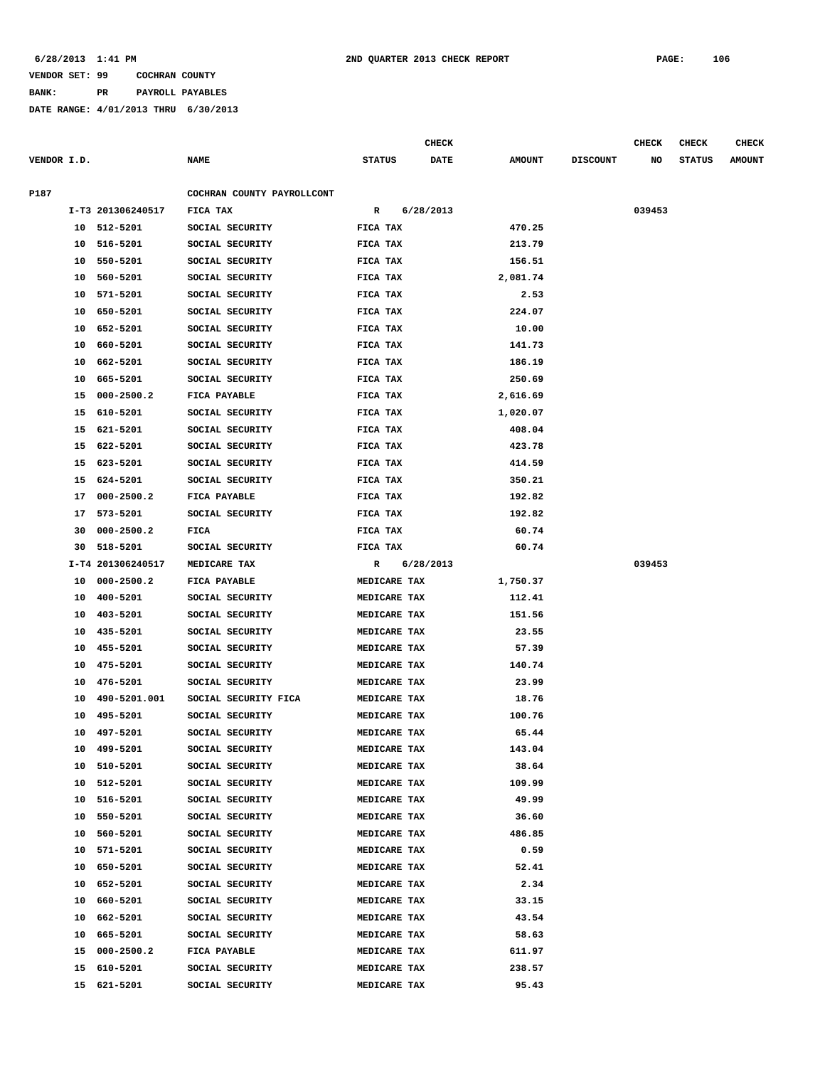**BANK: PR PAYROLL PAYABLES**

|             |    |                   |                            |                     | <b>CHECK</b> |             |               |                 | <b>CHECK</b> | CHECK         | <b>CHECK</b>  |
|-------------|----|-------------------|----------------------------|---------------------|--------------|-------------|---------------|-----------------|--------------|---------------|---------------|
| VENDOR I.D. |    |                   | <b>NAME</b>                | <b>STATUS</b>       |              | <b>DATE</b> | <b>AMOUNT</b> | <b>DISCOUNT</b> | NO           | <b>STATUS</b> | <b>AMOUNT</b> |
| P187        |    |                   | COCHRAN COUNTY PAYROLLCONT |                     |              |             |               |                 |              |               |               |
|             |    | I-T3 201306240517 | FICA TAX                   | R                   | 6/28/2013    |             |               |                 | 039453       |               |               |
|             |    | 10 512-5201       | SOCIAL SECURITY            | FICA TAX            |              |             | 470.25        |                 |              |               |               |
|             | 10 | 516-5201          | SOCIAL SECURITY            | FICA TAX            |              |             | 213.79        |                 |              |               |               |
|             | 10 | 550-5201          | SOCIAL SECURITY            | FICA TAX            |              |             | 156.51        |                 |              |               |               |
|             | 10 | 560-5201          | SOCIAL SECURITY            | FICA TAX            |              |             | 2,081.74      |                 |              |               |               |
|             | 10 | 571-5201          | SOCIAL SECURITY            | FICA TAX            |              |             | 2.53          |                 |              |               |               |
|             | 10 | 650-5201          | SOCIAL SECURITY            | FICA TAX            |              |             | 224.07        |                 |              |               |               |
|             | 10 | 652-5201          | SOCIAL SECURITY            | FICA TAX            |              |             | 10.00         |                 |              |               |               |
|             | 10 | 660-5201          | SOCIAL SECURITY            | FICA TAX            |              |             | 141.73        |                 |              |               |               |
|             | 10 | 662-5201          | SOCIAL SECURITY            | FICA TAX            |              |             | 186.19        |                 |              |               |               |
|             | 10 | 665-5201          | SOCIAL SECURITY            | FICA TAX            |              |             | 250.69        |                 |              |               |               |
|             | 15 | $000 - 2500.2$    | FICA PAYABLE               | FICA TAX            |              |             | 2,616.69      |                 |              |               |               |
|             | 15 | 610-5201          | SOCIAL SECURITY            | FICA TAX            |              |             | 1,020.07      |                 |              |               |               |
|             | 15 | 621-5201          | SOCIAL SECURITY            | FICA TAX            |              |             | 408.04        |                 |              |               |               |
|             | 15 | 622-5201          | SOCIAL SECURITY            | FICA TAX            |              |             | 423.78        |                 |              |               |               |
|             | 15 | 623-5201          | SOCIAL SECURITY            | FICA TAX            |              |             | 414.59        |                 |              |               |               |
|             | 15 | 624-5201          | SOCIAL SECURITY            | FICA TAX            |              |             | 350.21        |                 |              |               |               |
|             | 17 | $000 - 2500.2$    | FICA PAYABLE               | FICA TAX            |              |             | 192.82        |                 |              |               |               |
|             | 17 | 573-5201          | SOCIAL SECURITY            | FICA TAX            |              |             | 192.82        |                 |              |               |               |
|             | 30 | $000 - 2500.2$    | FICA                       | FICA TAX            |              |             | 60.74         |                 |              |               |               |
|             | 30 | 518-5201          | SOCIAL SECURITY            | FICA TAX            |              |             | 60.74         |                 |              |               |               |
|             |    | I-T4 201306240517 | MEDICARE TAX               | $\mathbb{R}$        | 6/28/2013    |             |               |                 | 039453       |               |               |
|             | 10 | 000-2500.2        | FICA PAYABLE               | MEDICARE TAX        |              |             | 1,750.37      |                 |              |               |               |
|             | 10 | 400-5201          | SOCIAL SECURITY            | MEDICARE TAX        |              |             | 112.41        |                 |              |               |               |
|             | 10 | 403-5201          | SOCIAL SECURITY            | MEDICARE TAX        |              |             | 151.56        |                 |              |               |               |
|             | 10 | 435-5201          | SOCIAL SECURITY            | MEDICARE TAX        |              |             | 23.55         |                 |              |               |               |
|             | 10 | 455-5201          | SOCIAL SECURITY            | MEDICARE TAX        |              |             | 57.39         |                 |              |               |               |
|             | 10 | 475-5201          | SOCIAL SECURITY            | MEDICARE TAX        |              |             | 140.74        |                 |              |               |               |
|             | 10 | 476-5201          | SOCIAL SECURITY            | MEDICARE TAX        |              |             | 23.99         |                 |              |               |               |
|             | 10 | 490-5201.001      | SOCIAL SECURITY FICA       | MEDICARE TAX        |              |             | 18.76         |                 |              |               |               |
|             | 10 | 495-5201          | SOCIAL SECURITY            | MEDICARE TAX        |              |             | 100.76        |                 |              |               |               |
|             | 10 | 497-5201          | SOCIAL SECURITY            | MEDICARE TAX        |              |             | 65.44         |                 |              |               |               |
|             | 10 | 499-5201          | SOCIAL SECURITY            | MEDICARE TAX        |              |             | 143.04        |                 |              |               |               |
|             |    | 10 510-5201       | SOCIAL SECURITY            | MEDICARE TAX        |              |             | 38.64         |                 |              |               |               |
|             |    | 10 512-5201       | SOCIAL SECURITY            | MEDICARE TAX        |              |             | 109.99        |                 |              |               |               |
|             |    | 10 516-5201       | SOCIAL SECURITY            | MEDICARE TAX        |              |             | 49.99         |                 |              |               |               |
|             | 10 | 550-5201          | SOCIAL SECURITY            | MEDICARE TAX        |              |             | 36.60         |                 |              |               |               |
|             | 10 | 560-5201          | SOCIAL SECURITY            | <b>MEDICARE TAX</b> |              |             | 486.85        |                 |              |               |               |
|             | 10 | 571-5201          | SOCIAL SECURITY            | MEDICARE TAX        |              |             | 0.59          |                 |              |               |               |
|             | 10 | 650-5201          | SOCIAL SECURITY            | MEDICARE TAX        |              |             | 52.41         |                 |              |               |               |
|             | 10 | 652-5201          | SOCIAL SECURITY            | MEDICARE TAX        |              |             | 2.34          |                 |              |               |               |
|             | 10 | 660-5201          | SOCIAL SECURITY            | MEDICARE TAX        |              |             | 33.15         |                 |              |               |               |
|             | 10 | 662-5201          | SOCIAL SECURITY            | MEDICARE TAX        |              |             | 43.54         |                 |              |               |               |
|             | 10 | 665-5201          | SOCIAL SECURITY            | MEDICARE TAX        |              |             | 58.63         |                 |              |               |               |
|             |    | 15 000-2500.2     | FICA PAYABLE               | MEDICARE TAX        |              |             | 611.97        |                 |              |               |               |
|             |    | 15 610-5201       | SOCIAL SECURITY            | MEDICARE TAX        |              |             | 238.57        |                 |              |               |               |
|             |    | 15 621-5201       | SOCIAL SECURITY            | MEDICARE TAX        |              |             | 95.43         |                 |              |               |               |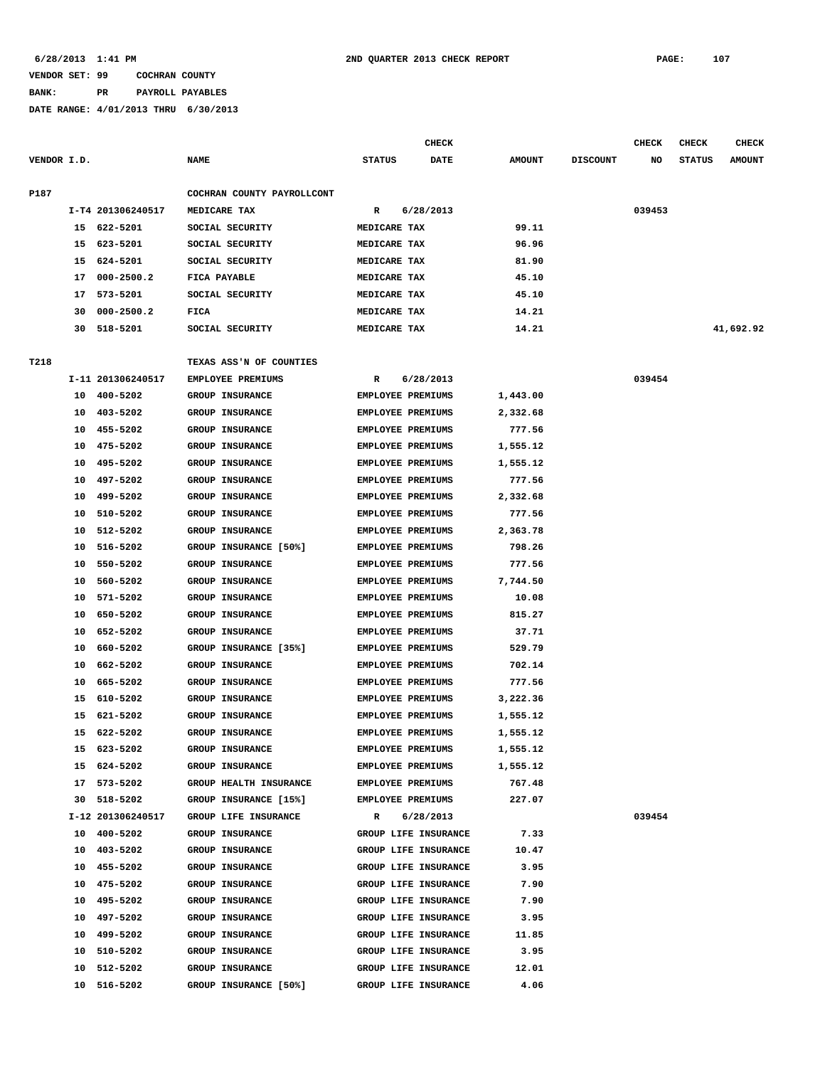# **BANK: PR PAYROLL PAYABLES**

|             |    |                      |                                                  |                          | CHECK                    |                  |                 | CHECK  | <b>CHECK</b>  | <b>CHECK</b>  |
|-------------|----|----------------------|--------------------------------------------------|--------------------------|--------------------------|------------------|-----------------|--------|---------------|---------------|
| VENDOR I.D. |    |                      | <b>NAME</b>                                      | <b>STATUS</b>            | <b>DATE</b>              | <b>AMOUNT</b>    | <b>DISCOUNT</b> | NO     | <b>STATUS</b> | <b>AMOUNT</b> |
| P187        |    |                      | COCHRAN COUNTY PAYROLLCONT                       |                          |                          |                  |                 |        |               |               |
|             |    | I-T4 201306240517    | MEDICARE TAX                                     | R                        | 6/28/2013                |                  |                 | 039453 |               |               |
|             |    | 15 622-5201          | SOCIAL SECURITY                                  | MEDICARE TAX             |                          | 99.11            |                 |        |               |               |
|             | 15 | 623-5201             | SOCIAL SECURITY                                  | MEDICARE TAX             |                          | 96.96            |                 |        |               |               |
|             | 15 | 624-5201             | SOCIAL SECURITY                                  | MEDICARE TAX             |                          | 81.90            |                 |        |               |               |
|             | 17 | $000 - 2500.2$       | FICA PAYABLE                                     | MEDICARE TAX             |                          | 45.10            |                 |        |               |               |
|             | 17 | 573-5201             | SOCIAL SECURITY                                  | MEDICARE TAX             |                          | 45.10            |                 |        |               |               |
|             | 30 | $000 - 2500.2$       | FICA                                             | MEDICARE TAX             |                          | 14.21            |                 |        |               |               |
|             | 30 | 518-5201             | SOCIAL SECURITY                                  | MEDICARE TAX             |                          | 14.21            |                 |        |               | 41,692.92     |
| T218        |    |                      | TEXAS ASS'N OF COUNTIES                          |                          |                          |                  |                 |        |               |               |
|             |    | I-11 201306240517    | EMPLOYEE PREMIUMS                                | R                        | 6/28/2013                |                  |                 | 039454 |               |               |
|             |    | 10 400-5202          | GROUP INSURANCE                                  | EMPLOYEE PREMIUMS        |                          | 1,443.00         |                 |        |               |               |
|             | 10 | 403-5202             | GROUP INSURANCE                                  | <b>EMPLOYEE PREMIUMS</b> |                          | 2,332.68         |                 |        |               |               |
|             | 10 | 455-5202             | <b>GROUP INSURANCE</b>                           | <b>EMPLOYEE PREMIUMS</b> |                          | 777.56           |                 |        |               |               |
|             | 10 | 475-5202             | <b>GROUP INSURANCE</b>                           | EMPLOYEE PREMIUMS        |                          | 1,555.12         |                 |        |               |               |
|             | 10 | 495-5202             | <b>GROUP INSURANCE</b>                           | <b>EMPLOYEE PREMIUMS</b> |                          | 1,555.12         |                 |        |               |               |
|             | 10 | 497-5202             | <b>GROUP INSURANCE</b>                           |                          | <b>EMPLOYEE PREMIUMS</b> | 777.56           |                 |        |               |               |
|             | 10 | 499-5202             | GROUP INSURANCE                                  |                          | <b>EMPLOYEE PREMIUMS</b> | 2,332.68         |                 |        |               |               |
|             | 10 | 510-5202             | <b>GROUP INSURANCE</b>                           | <b>EMPLOYEE PREMIUMS</b> |                          | 777.56           |                 |        |               |               |
|             | 10 | 512-5202             | <b>GROUP INSURANCE</b>                           | <b>EMPLOYEE PREMIUMS</b> |                          | 2,363.78         |                 |        |               |               |
|             | 10 | 516-5202             | GROUP INSURANCE [50%]                            | EMPLOYEE PREMIUMS        |                          | 798.26           |                 |        |               |               |
|             | 10 | 550-5202             | <b>GROUP INSURANCE</b>                           | <b>EMPLOYEE PREMIUMS</b> |                          | 777.56           |                 |        |               |               |
|             | 10 | 560-5202             | <b>GROUP INSURANCE</b>                           |                          | <b>EMPLOYEE PREMIUMS</b> | 7,744.50         |                 |        |               |               |
|             | 10 | 571-5202             | GROUP INSURANCE                                  |                          | EMPLOYEE PREMIUMS        | 10.08            |                 |        |               |               |
|             | 10 | 650-5202             | <b>GROUP INSURANCE</b>                           | <b>EMPLOYEE PREMIUMS</b> |                          | 815.27           |                 |        |               |               |
|             | 10 | 652-5202             | <b>GROUP INSURANCE</b>                           | <b>EMPLOYEE PREMIUMS</b> |                          | 37.71            |                 |        |               |               |
|             |    | 660-5202             |                                                  | <b>EMPLOYEE PREMIUMS</b> |                          | 529.79           |                 |        |               |               |
|             | 10 |                      | GROUP INSURANCE [35%]                            | <b>EMPLOYEE PREMIUMS</b> |                          |                  |                 |        |               |               |
|             | 10 | 662-5202<br>665-5202 | <b>GROUP INSURANCE</b><br><b>GROUP INSURANCE</b> | <b>EMPLOYEE PREMIUMS</b> |                          | 702.14<br>777.56 |                 |        |               |               |
|             | 10 |                      |                                                  |                          |                          |                  |                 |        |               |               |
|             | 15 | 610-5202             | <b>GROUP INSURANCE</b>                           | EMPLOYEE PREMIUMS        |                          | 3,222.36         |                 |        |               |               |
|             | 15 | 621-5202             | <b>GROUP INSURANCE</b>                           |                          | <b>EMPLOYEE PREMIUMS</b> | 1,555.12         |                 |        |               |               |
|             |    | 15 622-5202          | <b>GROUP INSURANCE</b>                           | <b>EMPLOYEE PREMIUMS</b> |                          | 1,555.12         |                 |        |               |               |
|             | 15 | 623-5202             | GROUP INSURANCE                                  |                          | EMPLOYEE PREMIUMS        | 1,555.12         |                 |        |               |               |
|             | 15 | 624-5202             | GROUP INSURANCE                                  |                          | <b>EMPLOYEE PREMIUMS</b> | 1,555.12         |                 |        |               |               |
|             | 17 | 573-5202             | GROUP HEALTH INSURANCE                           | <b>EMPLOYEE PREMIUMS</b> |                          | 767.48           |                 |        |               |               |
|             | 30 | 518-5202             | GROUP INSURANCE [15%]                            | <b>EMPLOYEE PREMIUMS</b> |                          | 227.07           |                 |        |               |               |
|             |    | I-12 201306240517    | GROUP LIFE INSURANCE                             | $\mathbf{R}$             | 6/28/2013                |                  |                 | 039454 |               |               |
|             |    | 10 400-5202          | GROUP INSURANCE                                  |                          | GROUP LIFE INSURANCE     | 7.33             |                 |        |               |               |
|             |    | 10 403-5202          | GROUP INSURANCE                                  |                          | GROUP LIFE INSURANCE     | 10.47            |                 |        |               |               |
|             |    | 10 455-5202          | <b>GROUP INSURANCE</b>                           |                          | GROUP LIFE INSURANCE     | 3.95             |                 |        |               |               |
|             |    | 10 475-5202          | GROUP INSURANCE                                  |                          | GROUP LIFE INSURANCE     | 7.90             |                 |        |               |               |
|             | 10 | 495-5202             | <b>GROUP INSURANCE</b>                           |                          | GROUP LIFE INSURANCE     | 7.90             |                 |        |               |               |
|             | 10 | 497-5202             | GROUP INSURANCE                                  |                          | GROUP LIFE INSURANCE     | 3.95             |                 |        |               |               |
|             | 10 | 499-5202             | GROUP INSURANCE                                  |                          | GROUP LIFE INSURANCE     | 11.85            |                 |        |               |               |
|             | 10 | 510-5202             | GROUP INSURANCE                                  |                          | GROUP LIFE INSURANCE     | 3.95             |                 |        |               |               |
|             | 10 | 512-5202             | GROUP INSURANCE                                  |                          | GROUP LIFE INSURANCE     | 12.01            |                 |        |               |               |
|             | 10 | 516-5202             | GROUP INSURANCE [50%]                            |                          | GROUP LIFE INSURANCE     | 4.06             |                 |        |               |               |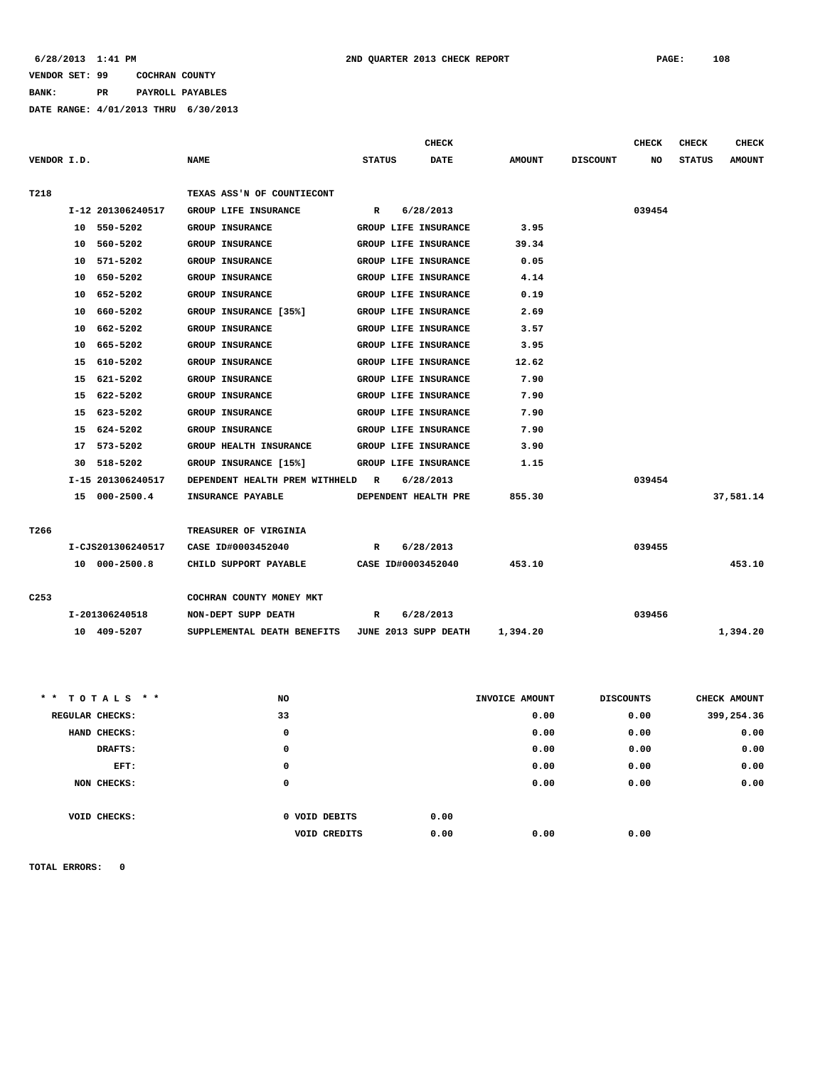**BANK: PR PAYROLL PAYABLES**

**DATE RANGE: 4/01/2013 THRU 6/30/2013**

|                  |    |                   |                                                  |               | <b>CHECK</b>                |               |                 | <b>CHECK</b> | <b>CHECK</b>  | <b>CHECK</b>  |
|------------------|----|-------------------|--------------------------------------------------|---------------|-----------------------------|---------------|-----------------|--------------|---------------|---------------|
| VENDOR I.D.      |    |                   | <b>NAME</b>                                      | <b>STATUS</b> | <b>DATE</b>                 | <b>AMOUNT</b> | <b>DISCOUNT</b> | NO           | <b>STATUS</b> | <b>AMOUNT</b> |
|                  |    |                   |                                                  |               |                             |               |                 |              |               |               |
| T218             |    |                   | TEXAS ASS'N OF COUNTIECONT                       |               |                             |               |                 |              |               |               |
|                  |    | I-12 201306240517 | GROUP LIFE INSURANCE                             | $\mathbb{R}$  | 6/28/2013                   |               |                 | 039454       |               |               |
|                  |    | 10 550-5202       | <b>GROUP INSURANCE</b>                           |               | GROUP LIFE INSURANCE        | 3.95          |                 |              |               |               |
|                  |    | 10 560-5202       | <b>GROUP INSURANCE</b>                           |               | GROUP LIFE INSURANCE        | 39.34         |                 |              |               |               |
|                  |    | 10 571-5202       | <b>GROUP INSURANCE</b>                           |               | <b>GROUP LIFE INSURANCE</b> | 0.05          |                 |              |               |               |
|                  |    | 10 650-5202       | <b>GROUP INSURANCE</b>                           |               | GROUP LIFE INSURANCE        | 4.14          |                 |              |               |               |
|                  |    | 10 652-5202       | <b>GROUP INSURANCE</b>                           |               | GROUP LIFE INSURANCE        | 0.19          |                 |              |               |               |
|                  | 10 | 660-5202          | GROUP INSURANCE [35%]                            |               | GROUP LIFE INSURANCE        | 2.69          |                 |              |               |               |
|                  |    | 10 662-5202       | <b>GROUP INSURANCE</b>                           |               | GROUP LIFE INSURANCE        | 3.57          |                 |              |               |               |
|                  | 10 | 665-5202          | <b>GROUP INSURANCE</b>                           |               | GROUP LIFE INSURANCE        | 3.95          |                 |              |               |               |
|                  |    | 15 610-5202       | <b>GROUP INSURANCE</b>                           |               | GROUP LIFE INSURANCE        | 12.62         |                 |              |               |               |
|                  |    | 15 621-5202       | <b>GROUP INSURANCE</b>                           |               | GROUP LIFE INSURANCE        | 7.90          |                 |              |               |               |
|                  | 15 | 622-5202          | <b>GROUP INSURANCE</b>                           |               | GROUP LIFE INSURANCE        | 7.90          |                 |              |               |               |
|                  |    | 15 623-5202       | <b>GROUP INSURANCE</b>                           |               | GROUP LIFE INSURANCE        | 7.90          |                 |              |               |               |
|                  |    | 15 624-5202       | <b>GROUP INSURANCE</b>                           |               | GROUP LIFE INSURANCE        | 7.90          |                 |              |               |               |
|                  |    | 17 573-5202       | GROUP HEALTH INSURANCE                           |               | GROUP LIFE INSURANCE        | 3.90          |                 |              |               |               |
|                  |    | 30 518-5202       | GROUP INSURANCE [15%]                            |               | GROUP LIFE INSURANCE        | 1.15          |                 |              |               |               |
|                  |    | I-15 201306240517 | DEPENDENT HEALTH PREM WITHHELD R                 |               | 6/28/2013                   |               |                 | 039454       |               |               |
|                  |    | 15 000-2500.4     | <b>INSURANCE PAYABLE</b>                         |               | DEPENDENT HEALTH PRE        | 855.30        |                 |              |               | 37,581.14     |
|                  |    |                   |                                                  |               |                             |               |                 |              |               |               |
| T266             |    |                   | TREASURER OF VIRGINIA                            |               |                             |               |                 |              |               |               |
|                  |    | I-CJS201306240517 | CASE ID#0003452040                               | R             | 6/28/2013                   |               |                 | 039455       |               |               |
|                  |    | 10 000-2500.8     | CHILD SUPPORT PAYABLE                            |               | CASE ID#0003452040          | 453.10        |                 |              |               | 453.10        |
|                  |    |                   |                                                  |               |                             |               |                 |              |               |               |
| C <sub>253</sub> |    |                   | COCHRAN COUNTY MONEY MKT                         |               |                             |               |                 |              |               |               |
|                  |    | I-201306240518    | NON-DEPT SUPP DEATH                              | R             | 6/28/2013                   |               |                 | 039456       |               |               |
|                  |    | 10 409-5207       | SUPPLEMENTAL DEATH BENEFITS JUNE 2013 SUPP DEATH |               |                             | 1,394.20      |                 |              |               | 1,394.20      |
|                  |    |                   |                                                  |               |                             |               |                 |              |               |               |

| ** TOTALS **    | NO |               | INVOICE AMOUNT |      | <b>DISCOUNTS</b> | CHECK AMOUNT |
|-----------------|----|---------------|----------------|------|------------------|--------------|
| REGULAR CHECKS: | 33 |               |                | 0.00 | 0.00             | 399,254.36   |
| HAND CHECKS:    |    | 0             |                | 0.00 | 0.00             | 0.00         |
| DRAFTS:         |    | 0             |                | 0.00 | 0.00             | 0.00         |
| EFT:            |    | 0             |                | 0.00 | 0.00             | 0.00         |
| NON CHECKS:     |    | 0             |                | 0.00 | 0.00             | 0.00         |
|                 |    |               |                |      |                  |              |
| VOID CHECKS:    |    | 0 VOID DEBITS | 0.00           |      |                  |              |
|                 |    | VOID CREDITS  | 0.00           | 0.00 | 0.00             |              |
|                 |    |               |                |      |                  |              |

**TOTAL ERRORS: 0**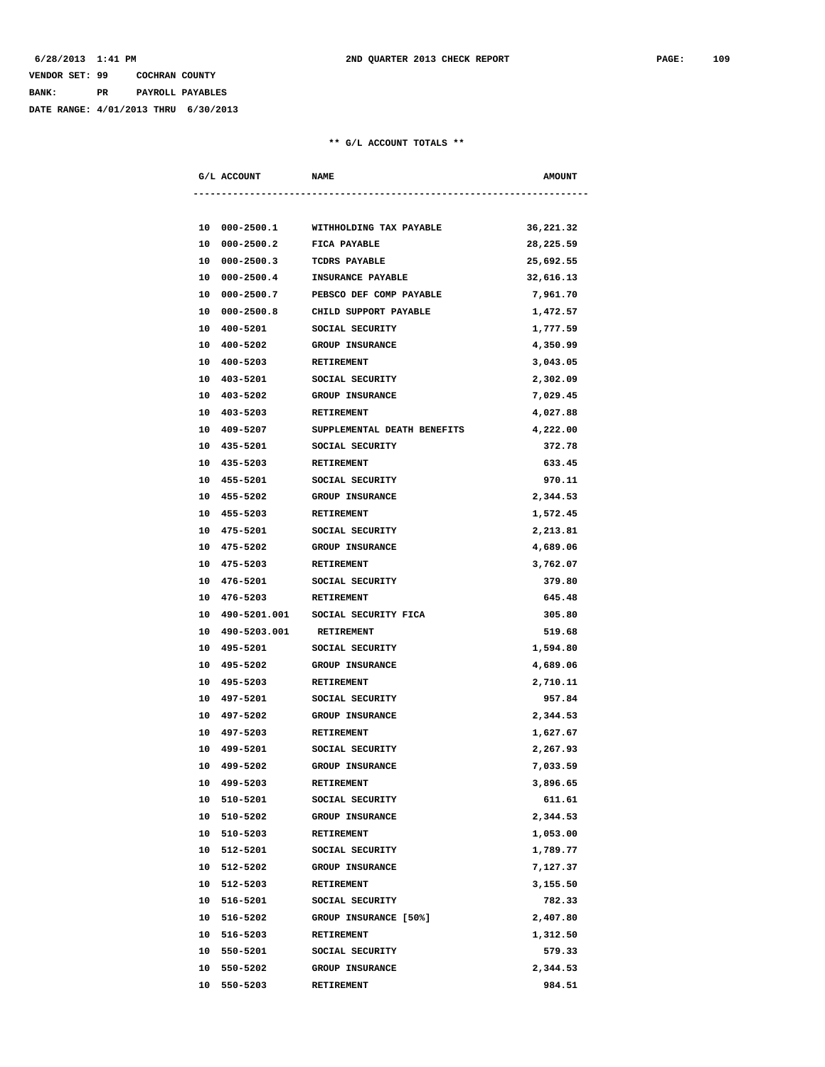# **VENDOR SET: 99 COCHRAN COUNTY BANK: PR PAYROLL PAYABLES**

**DATE RANGE: 4/01/2013 THRU 6/30/2013**

#### **\*\* G/L ACCOUNT TOTALS \*\***

|    | G/L ACCOUNT     | <b>NAME</b>                          | <b>AMOUNT</b> |
|----|-----------------|--------------------------------------|---------------|
|    |                 |                                      |               |
|    | 10 000-2500.1   | WITHHOLDING TAX PAYABLE              | 36,221.32     |
| 10 | $000 - 2500.2$  | FICA PAYABLE                         | 28,225.59     |
| 10 | $000 - 2500.3$  | TCDRS PAYABLE                        | 25,692.55     |
| 10 | $000 - 2500.4$  | INSURANCE PAYABLE                    | 32,616.13     |
| 10 | $000 - 2500.7$  | PEBSCO DEF COMP PAYABLE              | 7,961.70      |
| 10 | 000-2500.8      | CHILD SUPPORT PAYABLE                | 1,472.57      |
|    | 10 400-5201     | SOCIAL SECURITY                      | 1,777.59      |
|    | 10 400-5202     | <b>GROUP INSURANCE</b>               | 4,350.99      |
|    | 10 400-5203     | <b>RETIREMENT</b>                    | 3,043.05      |
|    | 10 403-5201     | SOCIAL SECURITY                      | 2,302.09      |
|    | 10 403-5202     | <b>GROUP INSURANCE</b>               | 7,029.45      |
|    | 10 403-5203     | RETIREMENT                           | 4,027.88      |
|    | 10 409-5207     | SUPPLEMENTAL DEATH BENEFITS          | 4,222.00      |
|    | 10 435-5201     | SOCIAL SECURITY                      | 372.78        |
|    | 10 435-5203     | <b>RETIREMENT</b>                    | 633.45        |
| 10 | 455-5201        | SOCIAL SECURITY                      | 970.11        |
|    | 10 455-5202     | <b>GROUP INSURANCE</b>               | 2,344.53      |
|    | 10 455-5203     | RETIREMENT                           | 1,572.45      |
|    | 10 475-5201     | SOCIAL SECURITY                      | 2,213.81      |
|    | 10 475-5202     | <b>GROUP INSURANCE</b>               | 4,689.06      |
|    | 10 475-5203     | RETIREMENT                           | 3,762.07      |
|    | 10 476-5201     | SOCIAL SECURITY                      | 379.80        |
|    | 10 476-5203     | <b>RETIREMENT</b>                    | 645.48        |
|    |                 | 10 490-5201.001 SOCIAL SECURITY FICA | 305.80        |
|    | 10 490-5203.001 | <b>RETIREMENT</b>                    | 519.68        |
|    | 10 495-5201     | SOCIAL SECURITY                      | 1,594.80      |
|    | 10 495-5202     | GROUP INSURANCE                      | 4,689.06      |
| 10 | 495-5203        | RETIREMENT                           | 2,710.11      |
|    | 10 497-5201     | SOCIAL SECURITY                      | 957.84        |
|    | 10 497-5202     | GROUP INSURANCE                      | 2,344.53      |
|    | 10 497-5203     | RETIREMENT                           | 1,627.67      |
|    | 10 499-5201     | SOCIAL SECURITY                      | 2,267.93      |
|    | 10 499-5202     | GROUP INSURANCE                      | 7,033.59      |
|    | 10 499-5203     | <b>RETIREMENT</b>                    | 3,896.65      |
|    | 10 510-5201     | SOCIAL SECURITY                      | 611.61        |
|    | 10 510-5202     | GROUP INSURANCE                      | 2,344.53      |
|    | 10 510-5203     | RETIREMENT                           | 1,053.00      |
|    | 10 512-5201     | SOCIAL SECURITY                      | 1,789.77      |
|    | 10 512-5202     | GROUP INSURANCE                      | 7,127.37      |
|    | 10 512-5203     | RETIREMENT                           | 3,155.50      |
| 10 | 516-5201        | SOCIAL SECURITY                      | 782.33        |
|    |                 |                                      |               |
|    | 10 516-5202     | GROUP INSURANCE [50%]                | 2,407.80      |
|    | 10 516-5203     | RETIREMENT                           | 1,312.50      |
|    | 10 550-5201     | SOCIAL SECURITY                      | 579.33        |
|    | 10 550-5202     | GROUP INSURANCE                      | 2,344.53      |
|    | 10 550-5203     | RETIREMENT                           | 984.51        |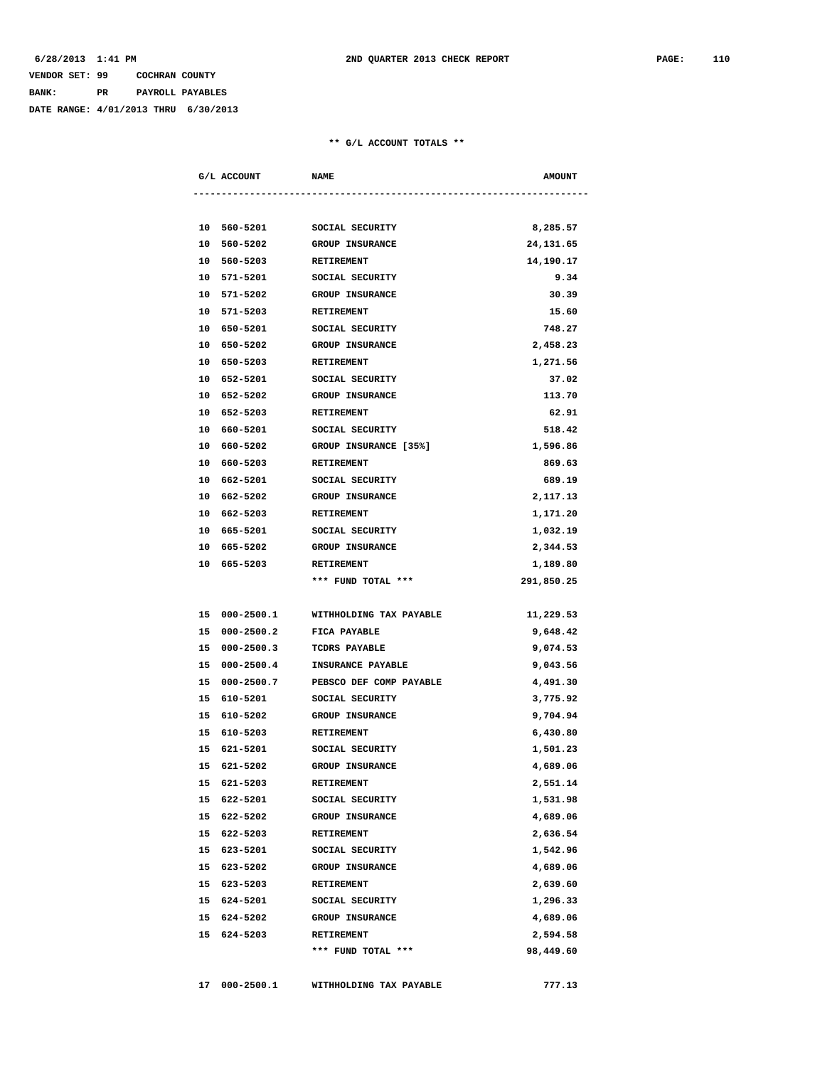| VENDOR SET: 99 |     | COCHRAN COUNTY |                  |
|----------------|-----|----------------|------------------|
| BANK:          | PR. |                | PAYROLL PAYABLES |

**DATE RANGE: 4/01/2013 THRU 6/30/2013**

#### **\*\* G/L ACCOUNT TOTALS \*\***

| G/L ACCOUNT                |          | <b>NAME</b>                      | <b>AMOUNT</b>         |
|----------------------------|----------|----------------------------------|-----------------------|
|                            |          |                                  |                       |
|                            |          | 10 560-5201 SOCIAL SECURITY      | 8,285.57              |
| 10 560-5202                |          | <b>GROUP INSURANCE</b>           | 24,131.65             |
| 10 560-5203                |          | <b>RETIREMENT</b>                | 14,190.17             |
| 10 571-5201                |          | SOCIAL SECURITY                  | 9.34                  |
| 10 571-5202                |          | <b>GROUP INSURANCE</b>           | 30.39                 |
| 10                         | 571-5203 | RETIREMENT                       | 15.60                 |
| 10 650-5201                |          | SOCIAL SECURITY                  | 748.27                |
| 10 650-5202                |          | <b>GROUP INSURANCE</b>           | 2,458.23              |
| 10 650-5203                |          | RETIREMENT                       | 1,271.56              |
| 10 652-5201                |          | SOCIAL SECURITY                  | 37.02                 |
| 10 652-5202                |          | <b>GROUP INSURANCE</b>           | 113.70                |
| 10 652-5203                |          | <b>RETIREMENT</b>                | 62.91                 |
| 10 660-5201                |          | SOCIAL SECURITY                  | 518.42                |
| 10 660-5202                |          | <b>GROUP INSURANCE [35%]</b>     | 1,596.86              |
| 10 660-5203                |          | <b>RETIREMENT</b>                | 869.63                |
| 10 662-5201                |          | SOCIAL SECURITY                  | 689.19                |
| 10 662-5202                |          | <b>GROUP INSURANCE</b>           | 2,117.13              |
| 10 662-5203                |          | <b>RETIREMENT</b>                | 1,171.20              |
| 10 665-5201                |          | SOCIAL SECURITY                  | 1,032.19              |
| 10 665-5202                |          | <b>GROUP INSURANCE</b>           | 2,344.53              |
| 10 665-5203                |          | RETIREMENT                       | 1,189.80              |
|                            |          | *** FUND TOTAL ***               | 291,850.25            |
| 15 000-2500.1              |          | WITHHOLDING TAX PAYABLE          | 11,229.53             |
| 15 000-2500.2              |          | <b>FICA PAYABLE</b>              | 9,648.42              |
| 15 000-2500.3              |          | <b>TCDRS PAYABLE</b>             | 9,074.53              |
|                            |          | 15 000-2500.4 INSURANCE PAYABLE  | 9,043.56              |
| 15 000-2500.7              |          | PEBSCO DEF COMP PAYABLE          | 4,491.30              |
| 15 610-5201                |          | SOCIAL SECURITY                  | 3,775.92              |
| 15 610-5202                |          | <b>GROUP INSURANCE</b>           | 9,704.94              |
| 15 610-5203                |          | <b>RETIREMENT</b>                | 6,430.80              |
| 15 621-5201                |          | SOCIAL SECURITY                  | 1,501.23              |
| 15 621-5202                |          | <b>GROUP INSURANCE</b>           | 4,689.06              |
|                            |          |                                  |                       |
| 15 621-5203<br>15 622-5201 |          | RETIREMENT<br>SOCIAL SECURITY    | 2,551.14<br>1,531.98  |
| 15 622-5202                |          |                                  | 4,689.06              |
|                            |          | <b>GROUP INSURANCE</b>           |                       |
| 15 622-5203                |          | <b>RETIREMENT</b>                | 2,636.54              |
| 15 623-5201                |          | SOCIAL SECURITY                  | 1,542.96              |
| 15 623-5202                |          | <b>GROUP INSURANCE</b>           | 4,689.06              |
| 15 623-5203                |          | RETIREMENT                       | 2,639.60              |
| 15 624-5201                |          | SOCIAL SECURITY                  | 1,296.33              |
| 15 624-5202                |          | <b>GROUP INSURANCE</b>           | 4,689.06              |
| 15 624-5203                |          | RETIREMENT<br>*** FUND TOTAL *** | 2,594.58<br>98,449.60 |
|                            |          |                                  |                       |
| 17 000-2500.1              |          | WITHHOLDING TAX PAYABLE          | 777.13                |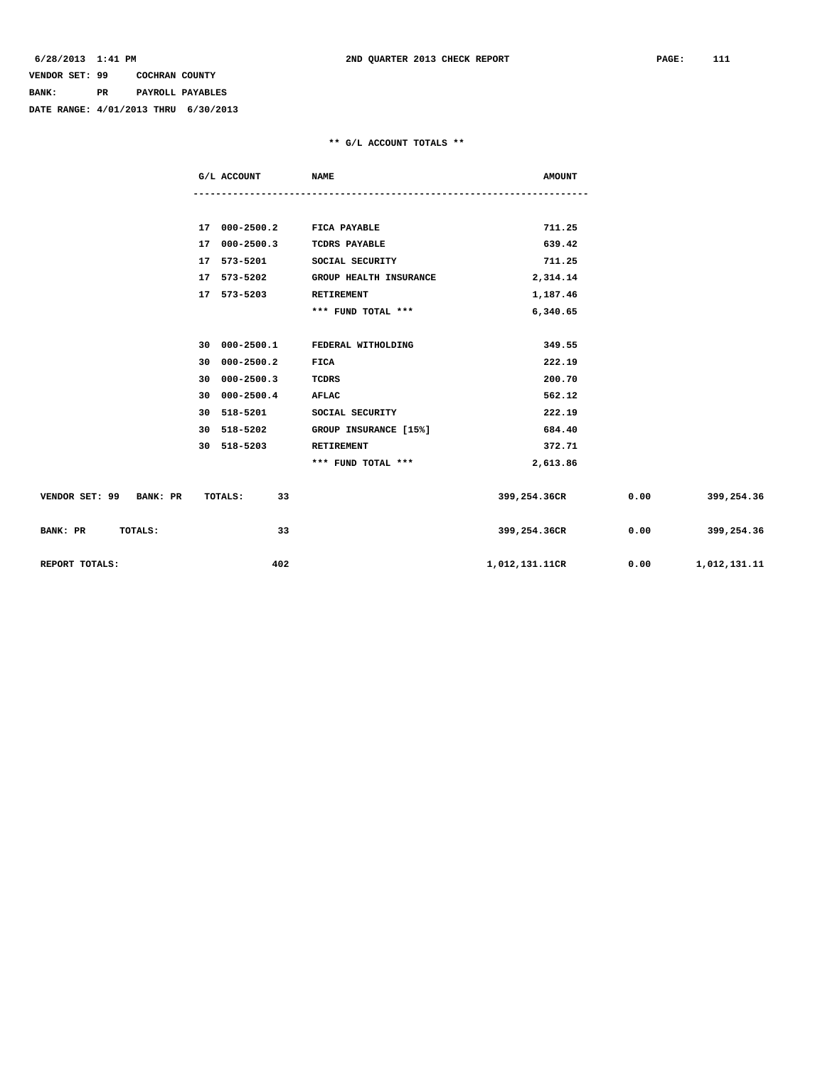# **VENDOR SET: 99 COCHRAN COUNTY BANK: PR PAYROLL PAYABLES**

**DATE RANGE: 4/01/2013 THRU 6/30/2013**

#### **\*\* G/L ACCOUNT TOTALS \*\***

|                         | G/L ACCOUNT                 | <b>NAME</b>                      | <b>AMOUNT</b>  |      |                   |
|-------------------------|-----------------------------|----------------------------------|----------------|------|-------------------|
|                         |                             |                                  |                |      |                   |
|                         | 17 000-2500.2 FICA PAYABLE  |                                  | 711.25         |      |                   |
|                         | 17 000-2500.3               | <b>TCDRS PAYABLE</b>             | 639.42         |      |                   |
|                         | 17 573-5201 SOCIAL SECURITY |                                  | 711.25         |      |                   |
|                         | 17 573-5202                 | <b>GROUP HEALTH INSURANCE</b>    | 2,314.14       |      |                   |
|                         | 17 573-5203                 | RETIREMENT                       | 1,187.46       |      |                   |
|                         |                             | *** FUND TOTAL ***               | 6,340.65       |      |                   |
|                         |                             |                                  |                |      |                   |
|                         |                             | 30 000-2500.1 FEDERAL WITHOLDING | 349.55         |      |                   |
|                         | 30 000-2500.2               | FICA                             | 222.19         |      |                   |
|                         | 30 000-2500.3               | TCDRS                            | 200.70         |      |                   |
|                         | 30 000-2500.4               | <b>AFLAC</b>                     | 562.12         |      |                   |
|                         | 30 518-5201                 | SOCIAL SECURITY                  | 222.19         |      |                   |
|                         | 30 518-5202                 | GROUP INSURANCE [15%]            | 684.40         |      |                   |
|                         | 30 518-5203                 | <b>RETIREMENT</b>                | 372.71         |      |                   |
|                         |                             | *** FUND TOTAL ***               | 2,613.86       |      |                   |
| VENDOR SET: 99 BANK: PR | TOTALS:<br>33               |                                  | 399,254.36CR   | 0.00 | 399,254.36        |
| BANK: PR<br>TOTALS:     | 33                          |                                  | 399,254.36CR   |      | $0.00$ 399,254.36 |
| REPORT TOTALS:          | 402                         |                                  | 1,012,131.11CR | 0.00 | 1,012,131.11      |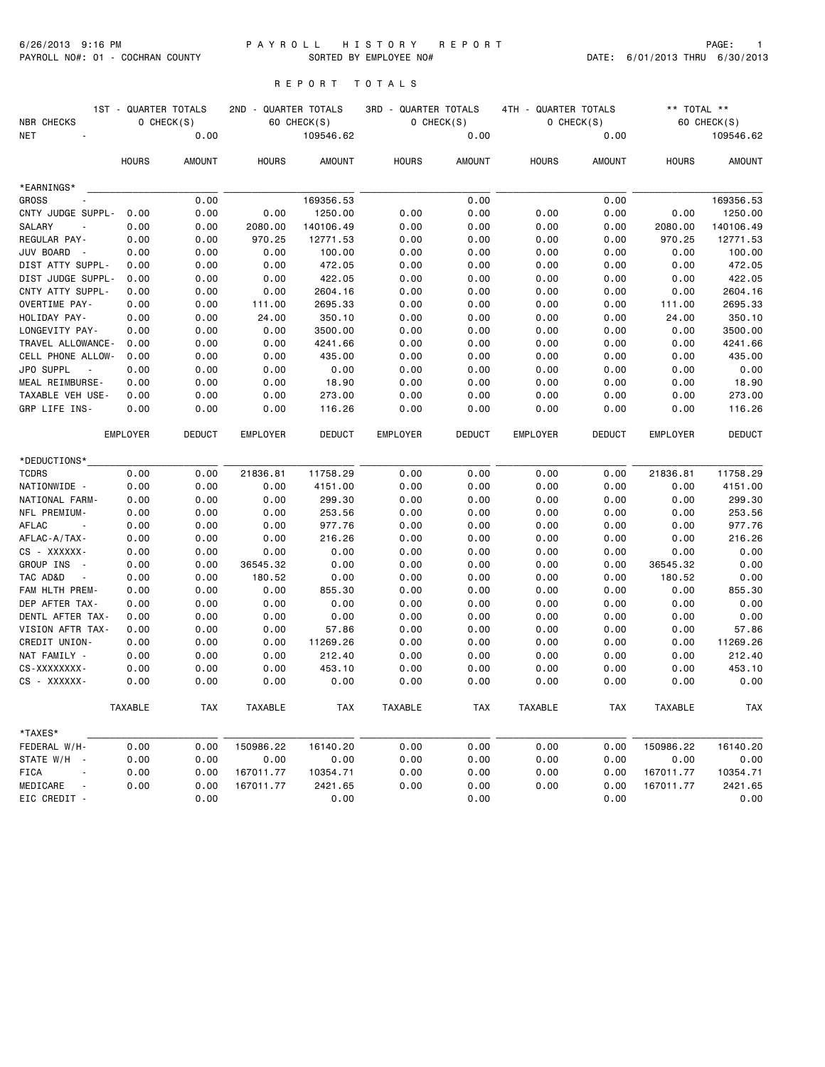### 6/26/2013 9:16 PM P A Y R O L L H I S T O R Y R E P O R T PAGE: 1 PAYROLL NO#: 01 - COCHRAN COUNTY SORTED BY EMPLOYEE NO# DATE: 6/01/2013 THRU 6/30/2013

# R E P O R T T O T A L S

|                                      | 1ST - QUARTER TOTALS |               | 2ND - QUARTER TOTALS |               | 3RD - QUARTER TOTALS |               | 4TH - QUARTER TOTALS |                 | ** TOTAL **     |               |
|--------------------------------------|----------------------|---------------|----------------------|---------------|----------------------|---------------|----------------------|-----------------|-----------------|---------------|
| <b>NBR CHECKS</b>                    |                      | $O$ CHECK(S)  |                      | 60 CHECK(S)   |                      | $O$ CHECK(S)  |                      | $O$ CHECK $(S)$ |                 | 60 CHECK(S)   |
| <b>NET</b>                           |                      | 0.00          |                      | 109546.62     |                      | 0.00          |                      | 0.00            |                 | 109546.62     |
|                                      | <b>HOURS</b>         | <b>AMOUNT</b> | <b>HOURS</b>         | <b>AMOUNT</b> | <b>HOURS</b>         | <b>AMOUNT</b> | <b>HOURS</b>         | <b>AMOUNT</b>   | <b>HOURS</b>    | <b>AMOUNT</b> |
| *EARNINGS*                           |                      |               |                      |               |                      |               |                      |                 |                 |               |
| <b>GROSS</b>                         |                      | 0.00          |                      | 169356.53     |                      | 0.00          |                      | 0.00            |                 | 169356.53     |
| CNTY JUDGE SUPPL-                    | 0.00                 | 0.00          | 0.00                 | 1250.00       | 0.00                 | 0.00          | 0.00                 | 0.00            | 0.00            | 1250.00       |
| <b>SALARY</b>                        | 0.00                 | 0.00          | 2080.00              | 140106.49     | 0.00                 | 0.00          | 0.00                 | 0.00            | 2080.00         | 140106.49     |
| REGULAR PAY-                         | 0.00                 | 0.00          | 970.25               | 12771.53      | 0.00                 | 0.00          | 0.00                 | 0.00            | 970.25          | 12771.53      |
| JUV BOARD                            | 0.00                 | 0.00          | 0.00                 | 100.00        | 0.00                 | 0.00          | 0.00                 | 0.00            | 0.00            | 100.00        |
| DIST ATTY SUPPL-                     | 0.00                 | 0.00          | 0.00                 | 472.05        | 0.00                 | 0.00          | 0.00                 | 0.00            | 0.00            | 472.05        |
| DIST JUDGE SUPPL-                    | 0.00                 | 0.00          | 0.00                 | 422.05        | 0.00                 | 0.00          | 0.00                 | 0.00            | 0.00            | 422.05        |
| CNTY ATTY SUPPL-                     | 0.00                 | 0.00          | 0.00                 | 2604.16       | 0.00                 | 0.00          | 0.00                 | 0.00            | 0.00            | 2604.16       |
| OVERTIME PAY-                        | 0.00                 | 0.00          | 111.00               | 2695.33       | 0.00                 | 0.00          | 0.00                 | 0.00            | 111.00          | 2695.33       |
| HOLIDAY PAY-                         | 0.00                 | 0.00          | 24.00                | 350.10        | 0.00                 | 0.00          | 0.00                 | 0.00            | 24.00           | 350.10        |
| LONGEVITY PAY-                       | 0.00                 | 0.00          | 0.00                 | 3500.00       | 0.00                 | 0.00          | 0.00                 | 0.00            | 0.00            | 3500.00       |
| TRAVEL ALLOWANCE-                    | 0.00                 | 0.00          | 0.00                 | 4241.66       | 0.00                 | 0.00          | 0.00                 | 0.00            | 0.00            | 4241.66       |
| CELL PHONE ALLOW-                    | 0.00                 | 0.00          | 0.00                 | 435.00        | 0.00                 | 0.00          | 0.00                 | 0.00            | 0.00            | 435.00        |
| JPO SUPPL                            | 0.00                 | 0.00          | 0.00                 | 0.00          | 0.00                 | 0.00          | 0.00                 | 0.00            | 0.00            | 0.00          |
| MEAL REIMBURSE-                      | 0.00                 | 0.00          | 0.00                 | 18.90         | 0.00                 | 0.00          | 0.00                 | 0.00            | 0.00            | 18.90         |
| TAXABLE VEH USE-                     | 0.00                 | 0.00          | 0.00                 | 273.00        | 0.00                 | 0.00          | 0.00                 | 0.00            | 0.00            | 273.00        |
| GRP LIFE INS-                        | 0.00                 | 0.00          | 0.00                 | 116.26        | 0.00                 | 0.00          | 0.00                 | 0.00            | 0.00            | 116.26        |
|                                      | <b>EMPLOYER</b>      | <b>DEDUCT</b> | <b>EMPLOYER</b>      | <b>DEDUCT</b> | <b>EMPLOYER</b>      | <b>DEDUCT</b> | <b>EMPLOYER</b>      | <b>DEDUCT</b>   | <b>EMPLOYER</b> | <b>DEDUCT</b> |
| *DEDUCTIONS*                         |                      |               |                      |               |                      |               |                      |                 |                 |               |
| <b>TCDRS</b>                         | 0.00                 | 0.00          | 21836.81             | 11758.29      | 0.00                 | 0.00          | 0.00                 | 0.00            | 21836.81        | 11758.29      |
| NATIONWIDE -                         | 0.00                 | 0.00          | 0.00                 | 4151.00       | 0.00                 | 0.00          | 0.00                 | 0.00            | 0.00            | 4151.00       |
| NATIONAL FARM-                       | 0.00                 | 0.00          | 0.00                 | 299.30        | 0.00                 | 0.00          | 0.00                 | 0.00            | 0.00            | 299.30        |
| NFL PREMIUM-                         | 0.00                 | 0.00          | 0.00                 | 253.56        | 0.00                 | 0.00          | 0.00                 | 0.00            | 0.00            | 253.56        |
| AFLAC                                | 0.00                 | 0.00          | 0.00                 | 977.76        | 0.00                 | 0.00          | 0.00                 | 0.00            | 0.00            | 977.76        |
| AFLAC-A/TAX-                         | 0.00                 | 0.00          | 0.00                 | 216.26        | 0.00                 | 0.00          | 0.00                 | 0.00            | 0.00            | 216.26        |
| CS - XXXXXX-                         | 0.00                 | 0.00          | 0.00                 | 0.00          | 0.00                 | 0.00          | 0.00                 | 0.00            | 0.00            | 0.00          |
| GROUP INS<br>$\sim$                  | 0.00                 | 0.00          | 36545.32             | 0.00          | 0.00                 | 0.00          | 0.00                 | 0.00            | 36545.32        | 0.00          |
| TAC AD&D                             | 0.00                 | 0.00          | 180.52               | 0.00          | 0.00                 | 0.00          | 0.00                 | 0.00            | 180.52          | 0.00          |
| FAM HLTH PREM-                       | 0.00                 | 0.00          | 0.00                 | 855.30        | 0.00                 | 0.00          | 0.00                 | 0.00            | 0.00            | 855.30        |
| DEP AFTER TAX-                       | 0.00                 | 0.00          | 0.00                 | 0.00          | 0.00                 | 0.00          | 0.00                 | 0.00            | 0.00            | 0.00          |
| DENTL AFTER TAX-                     | 0.00                 | 0.00          | 0.00                 | 0.00          | 0.00                 | 0.00          | 0.00                 | 0.00            | 0.00            | 0.00          |
| VISION AFTR TAX-                     | 0.00                 | 0.00          | 0.00                 | 57.86         | 0.00                 | 0.00          | 0.00                 | 0.00            | 0.00            | 57.86         |
| CREDIT UNION-                        | 0.00                 | 0.00          | 0.00                 | 11269.26      | 0.00                 | 0.00          | 0.00                 | 0.00            | 0.00            | 11269.26      |
| NAT FAMILY -                         | 0.00                 | 0.00          | 0.00                 | 212.40        | 0.00                 | 0.00          | 0.00                 | 0.00            | 0.00            | 212.40        |
| CS-XXXXXXXX-                         | 0.00                 | 0.00          | 0.00                 | 453.10        | 0.00                 | 0.00          | 0.00                 | 0.00            | 0.00            | 453.10        |
| CS - XXXXXX-                         | 0.00                 | 0.00          | 0.00                 | 0.00          | 0.00                 | 0.00          | 0.00                 | 0.00            | 0.00            | 0.00          |
|                                      | TAXABLE              | <b>TAX</b>    | TAXABLE              | <b>TAX</b>    | TAXABLE              | <b>TAX</b>    | <b>TAXABLE</b>       | <b>TAX</b>      | TAXABLE         | <b>TAX</b>    |
| *TAXES*                              |                      |               |                      |               |                      |               |                      |                 |                 |               |
| FEDERAL W/H-                         | 0.00                 | 0.00          | 150986.22            | 16140.20      | 0.00                 | 0.00          | 0.00                 | 0.00            | 150986.22       | 16140.20      |
| STATE W/H                            | 0.00                 | 0.00          | 0.00                 | 0.00          | 0.00                 | 0.00          | 0.00                 | 0.00            | 0.00            | 0.00          |
| <b>FICA</b>                          | 0.00                 | 0.00          | 167011.77            | 10354.71      | 0.00                 | 0.00          | 0.00                 | 0.00            | 167011.77       | 10354.71      |
| MEDICARE<br>$\overline{\phantom{a}}$ | 0.00                 | 0.00          | 167011.77            | 2421.65       | 0.00                 | 0.00          | 0.00                 | 0.00            | 167011.77       | 2421.65       |
| EIC CREDIT -                         |                      | 0.00          |                      | 0.00          |                      | 0.00          |                      | 0.00            |                 | 0.00          |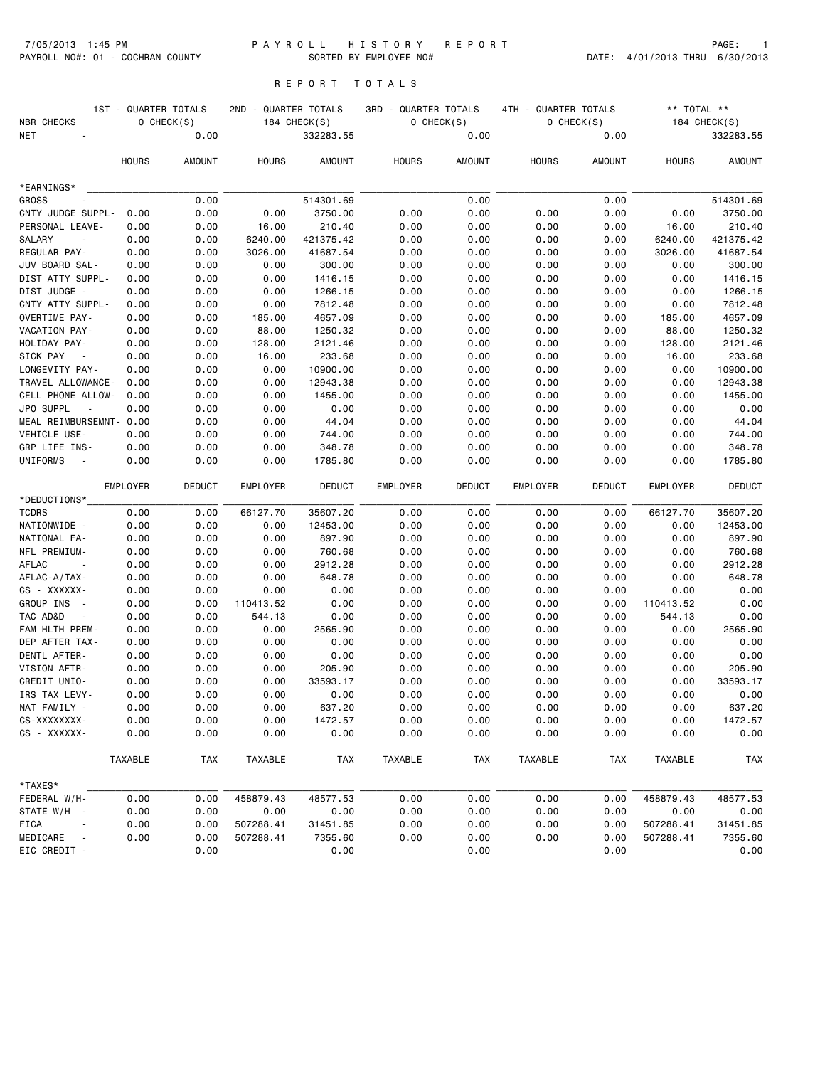#### 7/05/2013 1:45 PM P A Y R O L L H I S T O R Y R E P O R T PAGE: 1 PAYROLL NO#: 01 - COCHRAN COUNTY SORTED BY EMPLOYEE NO# DATE: 4/01/2013 THRU 6/30/2013

# R E P O R T T O T A L S

|                                       | 1ST - QUARTER TOTALS |               | 2ND -           | QUARTER TOTALS | 3RD - QUARTER TOTALS |               | 4TH - QUARTER TOTALS |               | ** TOTAL **     |               |
|---------------------------------------|----------------------|---------------|-----------------|----------------|----------------------|---------------|----------------------|---------------|-----------------|---------------|
| NBR CHECKS                            |                      | 0 CHECK(S)    |                 | 184 CHECK(S)   |                      | O CHECK(S)    |                      | 0 CHECK(S)    |                 | 184 CHECK(S)  |
| <b>NET</b>                            |                      | 0.00          |                 | 332283.55      |                      | 0.00          |                      | 0.00          |                 | 332283.55     |
|                                       | <b>HOURS</b>         | <b>AMOUNT</b> | <b>HOURS</b>    | <b>AMOUNT</b>  | <b>HOURS</b>         | AMOUNT        | <b>HOURS</b>         | <b>AMOUNT</b> | <b>HOURS</b>    | <b>AMOUNT</b> |
| *EARNINGS*                            |                      |               |                 |                |                      |               |                      |               |                 |               |
| <b>GROSS</b>                          |                      | 0.00          |                 | 514301.69      |                      | 0.00          |                      | 0.00          |                 | 514301.69     |
| CNTY JUDGE SUPPL-                     | 0.00                 | 0.00          | 0.00            | 3750.00        | 0.00                 | 0.00          | 0.00                 | 0.00          | 0.00            | 3750.00       |
| PERSONAL LEAVE-                       | 0.00                 | 0.00          | 16.00           | 210.40         | 0.00                 | 0.00          | 0.00                 | 0.00          | 16.00           | 210.40        |
| SALARY<br>$\overline{\phantom{a}}$    | 0.00                 | 0.00          | 6240.00         | 421375.42      | 0.00                 | 0.00          | 0.00                 | 0.00          | 6240.00         | 421375.42     |
| REGULAR PAY-                          | 0.00                 | 0.00          | 3026.00         | 41687.54       | 0.00                 | 0.00          | 0.00                 | 0.00          | 3026.00         | 41687.54      |
| JUV BOARD SAL-                        | 0.00                 | 0.00          | 0.00            | 300.00         | 0.00                 | 0.00          | 0.00                 | 0.00          | 0.00            | 300.00        |
| DIST ATTY SUPPL-                      | 0.00                 | 0.00          | 0.00            | 1416.15        | 0.00                 | 0.00          | 0.00                 | 0.00          | 0.00            | 1416.15       |
| DIST JUDGE -                          | 0.00                 | 0.00          | 0.00            | 1266.15        | 0.00                 | 0.00          | 0.00                 | 0.00          | 0.00            | 1266.15       |
| CNTY ATTY SUPPL-                      | 0.00                 | 0.00          | 0.00            | 7812.48        | 0.00                 | 0.00          | 0.00                 | 0.00          | 0.00            | 7812.48       |
| OVERTIME PAY-                         | 0.00                 | 0.00          | 185.00          | 4657.09        | 0.00                 | 0.00          | 0.00                 | 0.00          | 185.00          | 4657.09       |
| VACATION PAY-                         | 0.00                 | 0.00          | 88.00           | 1250.32        | 0.00                 | 0.00          | 0.00                 | 0.00          | 88.00           | 1250.32       |
| HOLIDAY PAY-                          | 0.00                 | 0.00          | 128.00          | 2121.46        | 0.00                 | 0.00          | 0.00                 | 0.00          | 128.00          | 2121.46       |
| SICK PAY                              | 0.00                 | 0.00          | 16.00           | 233.68         | 0.00                 | 0.00          | 0.00                 | 0.00          | 16.00           | 233.68        |
| LONGEVITY PAY-                        | 0.00                 | 0.00          | 0.00            | 10900.00       | 0.00                 | 0.00          | 0.00                 | 0.00          | 0.00            | 10900.00      |
| TRAVEL ALLOWANCE-                     | 0.00                 | 0.00          | 0.00            | 12943.38       | 0.00                 | 0.00          | 0.00                 | 0.00          | 0.00            | 12943.38      |
| CELL PHONE ALLOW-                     | 0.00                 | 0.00          | 0.00            | 1455.00        | 0.00                 | 0.00          | 0.00                 | 0.00          | 0.00            | 1455.00       |
| JPO SUPPL<br>$\overline{\phantom{a}}$ | 0.00                 | 0.00          | 0.00            | 0.00           | 0.00                 | 0.00          | 0.00                 | 0.00          | 0.00            | 0.00          |
| MEAL REIMBURSEMNT- 0.00               |                      | 0.00          | 0.00            | 44.04          | 0.00                 | 0.00          | 0.00                 | 0.00          | 0.00            | 44.04         |
| VEHICLE USE-                          | 0.00                 | 0.00          | 0.00            | 744.00         | 0.00                 | 0.00          | 0.00                 | 0.00          | 0.00            | 744.00        |
| GRP LIFE INS-                         | 0.00                 | 0.00          | 0.00            | 348.78         | 0.00                 | 0.00          | 0.00                 | 0.00          | 0.00            | 348.78        |
| UNIFORMS                              | 0.00                 | 0.00          | 0.00            | 1785.80        | 0.00                 | 0.00          | 0.00                 | 0.00          | 0.00            | 1785.80       |
|                                       | <b>EMPLOYER</b>      | <b>DEDUCT</b> | <b>EMPLOYER</b> | <b>DEDUCT</b>  | EMPLOYER             | <b>DEDUCT</b> | <b>EMPLOYER</b>      | <b>DEDUCT</b> | <b>EMPLOYER</b> | <b>DEDUCT</b> |
| *DEDUCTIONS*                          |                      |               |                 |                |                      |               |                      |               |                 |               |
| <b>TCDRS</b>                          | 0.00                 | 0.00          | 66127.70        | 35607.20       | 0.00                 | 0.00          | 0.00                 | 0.00          | 66127.70        | 35607.20      |
| NATIONWIDE -                          | 0.00                 | 0.00          | 0.00            | 12453.00       | 0.00                 | 0.00          | 0.00                 | 0.00          | 0.00            | 12453.00      |
| NATIONAL FA-                          | 0.00                 | 0.00          | 0.00            | 897.90         | 0.00                 | 0.00          | 0.00                 | 0.00          | 0.00            | 897.90        |
| NFL PREMIUM-                          | 0.00                 | 0.00          | 0.00            | 760.68         | 0.00                 | 0.00          | 0.00                 | 0.00          | 0.00            | 760.68        |
| AFLAC<br>$\sim$                       | 0.00                 | 0.00          | 0.00            | 2912.28        | 0.00                 | 0.00          | 0.00                 | 0.00          | 0.00            | 2912.28       |
| AFLAC-A/TAX-                          | 0.00                 | 0.00          | 0.00            | 648.78         | 0.00                 | 0.00          | 0.00                 | 0.00          | 0.00            | 648.78        |
| CS - XXXXXX-                          | 0.00                 | 0.00          | 0.00            | 0.00           | 0.00                 | 0.00          | 0.00                 | 0.00          | 0.00            | 0.00          |
| GROUP INS<br>$\sim$ $-$               | 0.00                 | 0.00          | 110413.52       | 0.00           | 0.00                 | 0.00          | 0.00                 | 0.00          | 110413.52       | 0.00          |
| TAC AD&D                              | 0.00                 | 0.00          | 544.13          | 0.00           | 0.00                 | 0.00          | 0.00                 | 0.00          | 544.13          | 0.00          |
| FAM HLTH PREM-                        | 0.00                 | 0.00          | 0.00            | 2565.90        | 0.00                 | 0.00          | 0.00                 | 0.00          | 0.00            | 2565.90       |
| DEP AFTER TAX-                        | 0.00                 | 0.00          | 0.00            | 0.00           | 0.00                 | 0.00          | 0.00                 | 0.00          | 0.00            | 0.00          |
| DENTL AFTER-                          | 0.00                 | 0.00          | 0.00            | 0.00           | 0.00                 | 0.00          | 0.00                 | 0.00          | 0.00            | 0.00          |
| VISION AFTR-                          | 0.00                 | 0.00          | 0.00            | 205.90         | 0.00                 | 0.00          | 0.00                 | 0.00          | 0.00            | 205.90        |
| CREDIT UNIO-                          | 0.00                 | 0.00          | 0.00            | 33593.17       | 0.00                 | 0.00          | 0.00                 | 0.00          | 0.00            | 33593.17      |
| IRS TAX LEVY-                         | 0.00                 | 0.00          | 0.00            | 0.00           | 0.00                 | 0.00          | 0.00                 | 0.00          | 0.00            | 0.00          |
| NAT FAMILY -                          | 0.00                 | 0.00          | 0.00            | 637.20         | 0.00                 | 0.00          | 0.00                 | 0.00          | 0.00            | 637.20        |
| CS-XXXXXXXX-                          | 0.00                 | 0.00          | 0.00            | 1472.57        | 0.00                 | 0.00          | 0.00                 | 0.00          | 0.00            | 1472.57       |
| CS - XXXXXX-                          | 0.00                 | 0.00          | 0.00            | 0.00           | 0.00                 | 0.00          | 0.00                 | 0.00          | 0.00            | 0.00          |
|                                       | TAXABLE              | <b>TAX</b>    | TAXABLE         | TAX            | TAXABLE              | <b>TAX</b>    | TAXABLE              | <b>TAX</b>    | TAXABLE         | <b>TAX</b>    |
| *TAXES*                               |                      |               |                 |                |                      |               |                      |               |                 |               |
| FEDERAL W/H-                          | 0.00                 | 0.00          | 458879.43       | 48577.53       | 0.00                 | 0.00          | 0.00                 | 0.00          | 458879.43       | 48577.53      |
| STATE W/H -                           | 0.00                 | 0.00          | 0.00            | 0.00           | 0.00                 | 0.00          | 0.00                 | 0.00          | 0.00            | 0.00          |
| FICA                                  | 0.00                 | 0.00          | 507288.41       | 31451.85       | 0.00                 | 0.00          | 0.00                 | 0.00          | 507288.41       | 31451.85      |
| MEDICARE<br>$\sim$ $\sim$             | 0.00                 | 0.00          | 507288.41       | 7355.60        | 0.00                 | 0.00          | 0.00                 | 0.00          | 507288.41       | 7355.60       |
| EIC CREDIT -                          |                      | 0.00          |                 | 0.00           |                      | 0.00          |                      | 0.00          |                 | 0.00          |